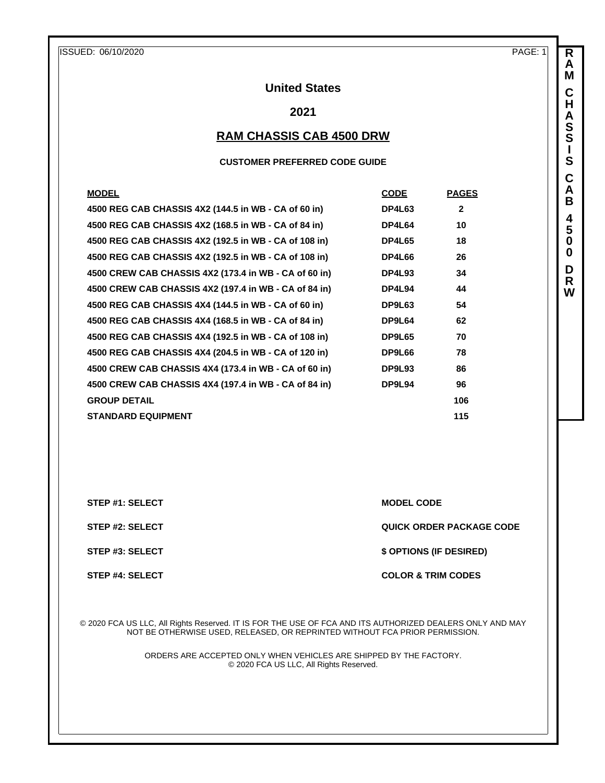**R A M C H A S S I S C A B 4 5 0 0 D R W**

# **United States**

# **2021**

# **RAM CHASSIS CAB 4500 DRW**

#### **CUSTOMER PREFERRED CODE GUIDE**

| <b>MODEL</b>                                          | <b>CODE</b>   | <b>PAGES</b> |
|-------------------------------------------------------|---------------|--------------|
| 4500 REG CAB CHASSIS 4X2 (144.5 in WB - CA of 60 in)  | DP4L63        | $\mathbf{2}$ |
| 4500 REG CAB CHASSIS 4X2 (168.5 in WB - CA of 84 in)  | DP4L64        | 10           |
| 4500 REG CAB CHASSIS 4X2 (192.5 in WB - CA of 108 in) | <b>DP4L65</b> | 18           |
| 4500 REG CAB CHASSIS 4X2 (192.5 in WB - CA of 108 in) | <b>DP4L66</b> | 26           |
| 4500 CREW CAB CHASSIS 4X2 (173.4 in WB - CA of 60 in) | DP4L93        | 34           |
| 4500 CREW CAB CHASSIS 4X2 (197.4 in WB - CA of 84 in) | DP4L94        | 44           |
| 4500 REG CAB CHASSIS 4X4 (144.5 in WB - CA of 60 in)  | DP9L63        | 54           |
| 4500 REG CAB CHASSIS 4X4 (168.5 in WB - CA of 84 in)  | DP9L64        | 62           |
| 4500 REG CAB CHASSIS 4X4 (192.5 in WB - CA of 108 in) | DP9L65        | 70           |
| 4500 REG CAB CHASSIS 4X4 (204.5 in WB - CA of 120 in) | DP9L66        | 78           |
| 4500 CREW CAB CHASSIS 4X4 (173.4 in WB - CA of 60 in) | <b>DP9L93</b> | 86           |
| 4500 CREW CAB CHASSIS 4X4 (197.4 in WB - CA of 84 in) | DP9L94        | 96           |
| <b>GROUP DETAIL</b>                                   |               | 106          |
| <b>STANDARD EQUIPMENT</b>                             |               | 115          |

**STEP #1: SELECT MODEL CODE** 

**STEP #2: SELECT QUICK ORDER PACKAGE CODE**

**STEP #3: SELECT \$ OPTIONS (IF DESIRED)**

**STEP #4: SELECT COLOR & TRIM CODES** 

© 2020 FCA US LLC, All Rights Reserved. IT IS FOR THE USE OF FCA AND ITS AUTHORIZED DEALERS ONLY AND MAY NOT BE OTHERWISE USED, RELEASED, OR REPRINTED WITHOUT FCA PRIOR PERMISSION.

> ORDERS ARE ACCEPTED ONLY WHEN VEHICLES ARE SHIPPED BY THE FACTORY. © 2020 FCA US LLC, All Rights Reserved.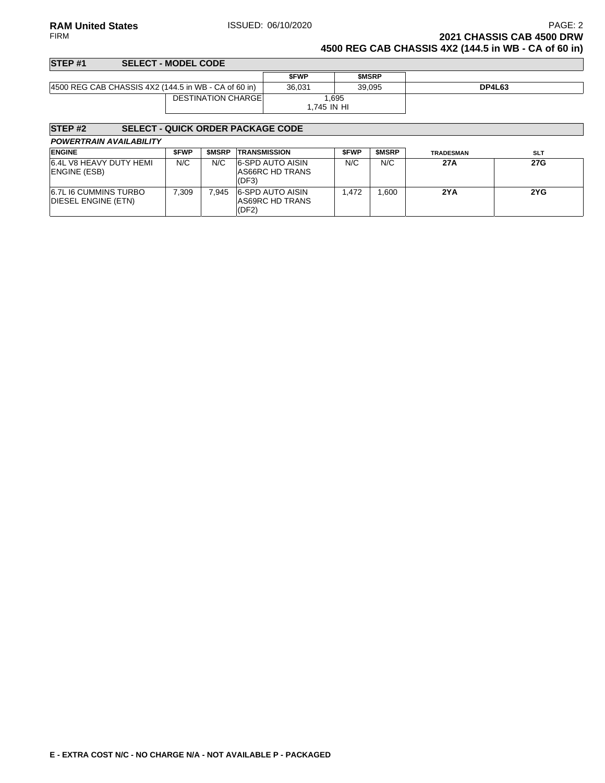### **RAM United States ISSUED: 06/10/2020** PAGE: 2<br>FIRM **PAGE: 2** PAGE: 2 **2021 CHASSIS CAB 4500 DRW 4500 REG CAB CHASSIS 4X2 (144.5 in WB - CA of 60 in)**

| <b>SFWP</b>                                                                 | <b>SMSRP</b>               |               |
|-----------------------------------------------------------------------------|----------------------------|---------------|
| 36.031                                                                      | 39.095                     | <b>DP4L63</b> |
| .695<br>1.745 IN HI                                                         |                            |               |
| SELECT - MODEL CODE<br>4500 REG CAB CHASSIS 4X2 (144.5 in WB - CA of 60 in) | <b>DESTINATION CHARGEL</b> |               |

# **STEP #2 SELECT - QUICK ORDER PACKAGE CODE**

| <b>ENGINE</b>                                       | <b>SFWP</b> | <b>SMSRP</b> | <b>TRANSMISSION</b>                                 | <b>SFWP</b> | <b>SMSRP</b> | <b>TRADESMAN</b> | <b>SLT</b> |
|-----------------------------------------------------|-------------|--------------|-----------------------------------------------------|-------------|--------------|------------------|------------|
| 6.4L V8 HEAVY DUTY HEMI<br>ENGINE (ESB)             | N/C         | N/C          | <b>6-SPD AUTO AISIN</b><br>AS66RC HD TRANS<br>(DF3) | N/C         | N/C          | 27A              | 27G        |
| <b>6.7L I6 CUMMINS TURBO</b><br>DIESEL ENGINE (ETN) | 7.309       | 945.`        | 6-SPD AUTO AISIN<br>AS69RC HD TRANS<br>(DF2)        | .472        | .600         | 2YA              | 2YG        |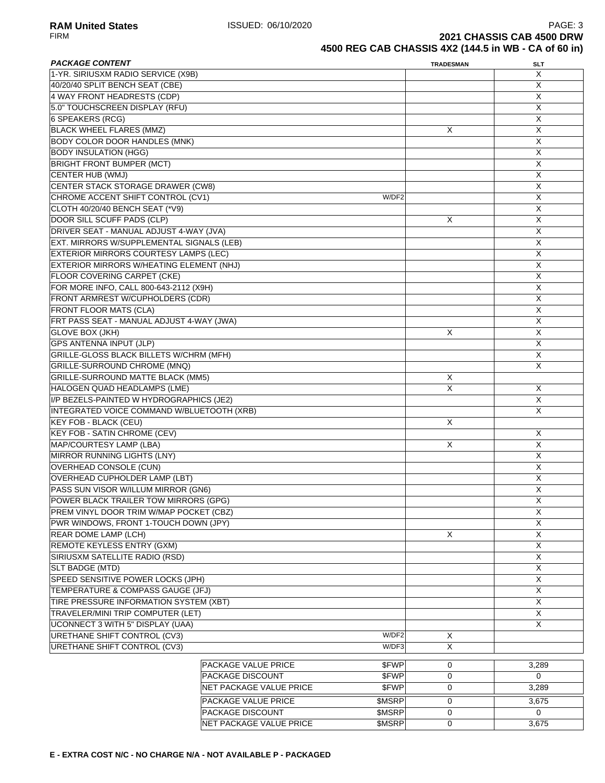| <b>PACKAGE CONTENT</b>                       | <b>TRADESMAN</b>                        | <b>SLT</b>  |                |  |
|----------------------------------------------|-----------------------------------------|-------------|----------------|--|
| 1-YR. SIRIUSXM RADIO SERVICE (X9B)           |                                         |             | X              |  |
| 40/20/40 SPLIT BENCH SEAT (CBE)              |                                         |             | X              |  |
| 4 WAY FRONT HEADRESTS (CDP)                  |                                         |             | X              |  |
| 5.0" TOUCHSCREEN DISPLAY (RFU)               |                                         |             | X              |  |
| <b>6 SPEAKERS (RCG)</b>                      |                                         |             | X              |  |
| <b>BLACK WHEEL FLARES (MMZ)</b>              |                                         | Χ           | X              |  |
| <b>BODY COLOR DOOR HANDLES (MNK)</b>         |                                         |             | X              |  |
| <b>BODY INSULATION (HGG)</b>                 |                                         |             | X              |  |
| <b>BRIGHT FRONT BUMPER (MCT)</b>             |                                         |             | X              |  |
| <b>CENTER HUB (WMJ)</b>                      |                                         |             | X              |  |
| <b>CENTER STACK STORAGE DRAWER (CW8)</b>     |                                         |             | X              |  |
| CHROME ACCENT SHIFT CONTROL (CV1)            | W/DF2                                   |             | X              |  |
| CLOTH 40/20/40 BENCH SEAT (*V9)              |                                         |             | X              |  |
| DOOR SILL SCUFF PADS (CLP)                   |                                         | X           | X              |  |
|                                              | DRIVER SEAT - MANUAL ADJUST 4-WAY (JVA) |             |                |  |
| EXT. MIRRORS W/SUPPLEMENTAL SIGNALS (LEB)    |                                         |             | X              |  |
| <b>EXTERIOR MIRRORS COURTESY LAMPS (LEC)</b> |                                         |             | X              |  |
| EXTERIOR MIRRORS W/HEATING ELEMENT (NHJ)     |                                         |             | $\overline{X}$ |  |
| <b>FLOOR COVERING CARPET (CKE)</b>           |                                         |             | X              |  |
| FOR MORE INFO, CALL 800-643-2112 (X9H)       |                                         |             | X              |  |
| FRONT ARMREST W/CUPHOLDERS (CDR)             |                                         |             | X              |  |
| <b>FRONT FLOOR MATS (CLA)</b>                |                                         |             | Х              |  |
| FRT PASS SEAT - MANUAL ADJUST 4-WAY (JWA)    |                                         |             | X              |  |
| <b>GLOVE BOX (JKH)</b>                       |                                         | X           | X              |  |
| <b>GPS ANTENNA INPUT (JLP)</b>               |                                         |             | X              |  |
| GRILLE-GLOSS BLACK BILLETS W/CHRM (MFH)      |                                         |             | X              |  |
| GRILLE-SURROUND CHROME (MNQ)                 |                                         |             | X              |  |
| <b>GRILLE-SURROUND MATTE BLACK (MM5)</b>     |                                         | Χ           |                |  |
| HALOGEN QUAD HEADLAMPS (LME)                 |                                         | X           | Х              |  |
| I/P BEZELS-PAINTED W HYDROGRAPHICS (JE2)     |                                         |             | X              |  |
| INTEGRATED VOICE COMMAND W/BLUETOOTH (XRB)   |                                         |             | X              |  |
| KEY FOB - BLACK (CEU)                        |                                         | X           |                |  |
| <b>KEY FOB - SATIN CHROME (CEV)</b>          |                                         |             | X              |  |
| MAP/COURTESY LAMP (LBA)                      |                                         | X           | X              |  |
| MIRROR RUNNING LIGHTS (LNY)                  |                                         |             | X              |  |
| <b>OVERHEAD CONSOLE (CUN)</b>                |                                         |             | X              |  |
| <b>OVERHEAD CUPHOLDER LAMP (LBT)</b>         |                                         |             | X              |  |
| PASS SUN VISOR W/ILLUM MIRROR (GN6)          |                                         |             | X              |  |
| POWER BLACK TRAILER TOW MIRRORS (GPG)        |                                         |             | $\mathsf X$    |  |
| PREM VINYL DOOR TRIM W/MAP POCKET (CBZ)      |                                         |             | X              |  |
| PWR WINDOWS, FRONT 1-TOUCH DOWN (JPY)        |                                         |             | X              |  |
| <b>REAR DOME LAMP (LCH)</b>                  |                                         | X           | X              |  |
| <b>REMOTE KEYLESS ENTRY (GXM)</b>            |                                         |             | X              |  |
| SIRIUSXM SATELLITE RADIO (RSD)               |                                         |             | X              |  |
| SLT BADGE (MTD)                              |                                         |             | X              |  |
| SPEED SENSITIVE POWER LOCKS (JPH)            |                                         |             | $\mathsf X$    |  |
| TEMPERATURE & COMPASS GAUGE (JFJ)            |                                         |             | X              |  |
| TIRE PRESSURE INFORMATION SYSTEM (XBT)       |                                         |             | X              |  |
| TRAVELER/MINI TRIP COMPUTER (LET)            |                                         |             | X              |  |
| UCONNECT 3 WITH 5" DISPLAY (UAA)             |                                         |             | X              |  |
| URETHANE SHIFT CONTROL (CV3)                 | W/DF2                                   | Χ           |                |  |
| URETHANE SHIFT CONTROL (CV3)                 | W/DF3                                   | X           |                |  |
|                                              |                                         |             |                |  |
|                                              | <b>PACKAGE VALUE PRICE</b><br>\$FWP     | 0           | 3,289          |  |
|                                              | PACKAGE DISCOUNT<br>\$FWP               | 0           | 0              |  |
|                                              | NET PACKAGE VALUE PRICE<br>\$FWP        | 0           | 3,289          |  |
|                                              | PACKAGE VALUE PRICE<br>\$MSRP           | $\mathbf 0$ | 3,675          |  |
|                                              | PACKAGE DISCOUNT<br>\$MSRP              | 0           | 0              |  |
|                                              | NET PACKAGE VALUE PRICE<br>\$MSRP       | 0           | 3,675          |  |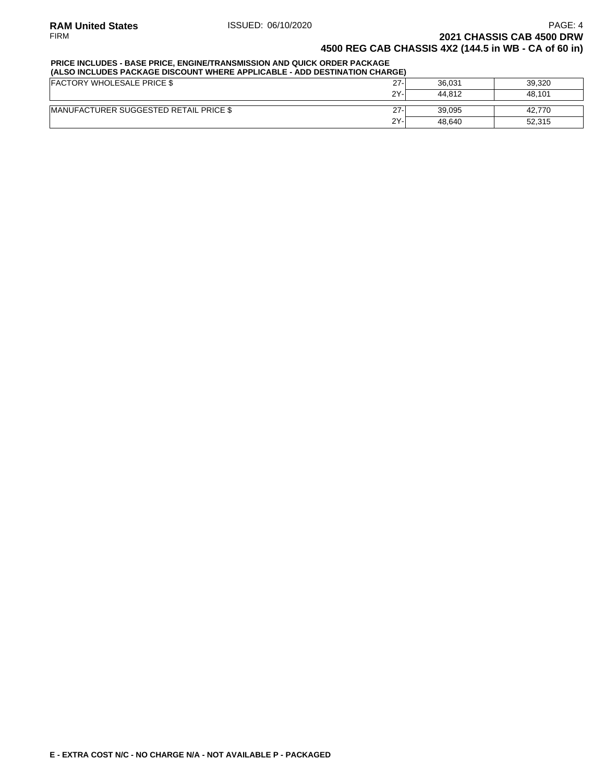### **PRICE INCLUDES - BASE PRICE, ENGINE/TRANSMISSION AND QUICK ORDER PACKAGE**

| (ALSO INCLUDES PACKAGE DISCOUNT WHERE APPLICABLE - ADD DESTINATION CHARGE) |        |        |        |  |  |
|----------------------------------------------------------------------------|--------|--------|--------|--|--|
| <b>FACTORY WHOLESALE PRICE \$</b>                                          | $27 -$ | 36.031 | 39.320 |  |  |
|                                                                            | 2Y-    | 44.812 | 48.101 |  |  |
| <b>IMANUFACTURER SUGGESTED RETAIL PRICE \$</b>                             | $27 -$ | 39.095 | 42.770 |  |  |
|                                                                            | 2Y-    | 48.640 | 52.315 |  |  |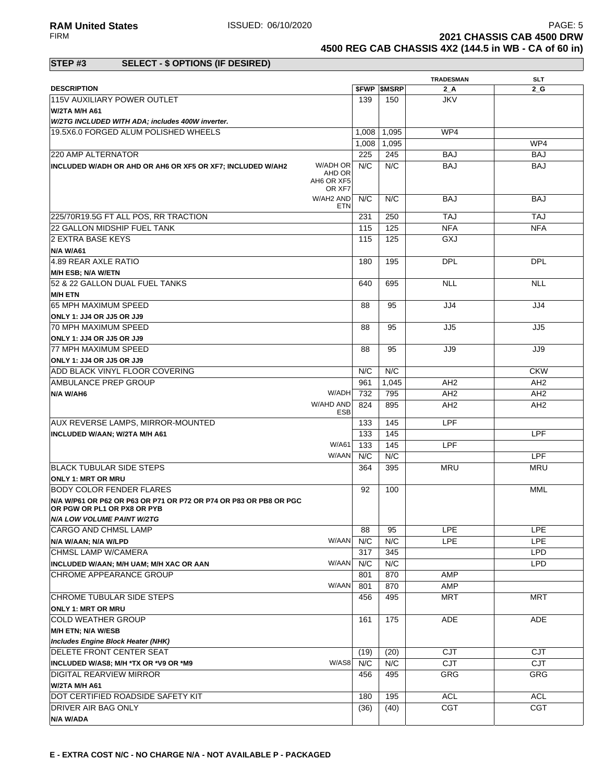**RAM United States ISSUED: 06/10/2020** PAGE: 5<br>FIRM **PAGE: 5**<br>**2021 CHASSIS CAB 4500 DRW 2021 CHASSIS CAB 4500 DRW 4500 REG CAB CHASSIS 4X2 (144.5 in WB - CA of 60 in)**

### **STEP #3 SELECT - \$ OPTIONS (IF DESIRED)**

|                                                                                                  |                   |                          | <b>TRADESMAN</b> | <b>SLT</b>      |
|--------------------------------------------------------------------------------------------------|-------------------|--------------------------|------------------|-----------------|
| <b>DESCRIPTION</b>                                                                               |                   | <b><i>SFWP SMSRP</i></b> | $2_A$            | 2 G             |
| 115V AUXILIARY POWER OUTLET                                                                      | 139               | 150                      | <b>JKV</b>       |                 |
| W/2TA M/H A61                                                                                    |                   |                          |                  |                 |
| W/2TG INCLUDED WITH ADA; includes 400W inverter.                                                 |                   |                          |                  |                 |
| 19.5X6.0 FORGED ALUM POLISHED WHEELS                                                             | 1,008             | 1,095                    | WP4              |                 |
|                                                                                                  | 1,008             | 1,095                    |                  | WP4             |
| 220 AMP ALTERNATOR                                                                               | 225               | 245                      | <b>BAJ</b>       | <b>BAJ</b>      |
| W/ADH OR<br>INCLUDED W/ADH OR AHD OR AH6 OR XF5 OR XF7; INCLUDED W/AH2                           | N/C               | N/C                      | <b>BAJ</b>       | <b>BAJ</b>      |
| AHD OR<br>AH6 OR XF5<br>OR XF7                                                                   |                   |                          |                  |                 |
| W/AH2 AND                                                                                        | N/C<br>ETN        | N/C                      | BAJ              | BAJ             |
| 225/70R19.5G FT ALL POS, RR TRACTION                                                             | 231               | 250                      | <b>TAJ</b>       | <b>TAJ</b>      |
| 22 GALLON MIDSHIP FUEL TANK                                                                      | 115               | 125                      | <b>NFA</b>       | <b>NFA</b>      |
| 2 EXTRA BASE KEYS                                                                                | 115               | 125                      | GXJ              |                 |
| N/A W/A61                                                                                        |                   |                          |                  |                 |
| 4.89 REAR AXLE RATIO                                                                             | 180               | 195                      | <b>DPL</b>       | <b>DPL</b>      |
| <b>M/H ESB: N/A W/ETN</b>                                                                        |                   |                          |                  |                 |
| 52 & 22 GALLON DUAL FUEL TANKS                                                                   | 640               | 695                      | <b>NLL</b>       | <b>NLL</b>      |
| <b>M/H ETN</b>                                                                                   |                   |                          |                  |                 |
| 65 MPH MAXIMUM SPEED                                                                             | 88                | 95                       | JJ4              | JJ4             |
| ONLY 1: JJ4 OR JJ5 OR JJ9                                                                        |                   |                          |                  |                 |
| 70 MPH MAXIMUM SPEED                                                                             | 88                | 95                       | JJ5              | JJ5             |
|                                                                                                  |                   |                          |                  |                 |
| ONLY 1: JJ4 OR JJ5 OR JJ9                                                                        |                   |                          |                  |                 |
| 77 MPH MAXIMUM SPEED                                                                             | 88                | 95                       | JJ9              | JJ9             |
| ONLY 1: JJ4 OR JJ5 OR JJ9                                                                        |                   |                          |                  |                 |
| ADD BLACK VINYL FLOOR COVERING                                                                   | N/C               | N/C                      |                  | <b>CKW</b>      |
| AMBULANCE PREP GROUP                                                                             | 961               | 1,045                    | AH <sub>2</sub>  | AH <sub>2</sub> |
| W/ADH<br>N/A W/AH6                                                                               | 732               | 795                      | AH <sub>2</sub>  | AH <sub>2</sub> |
| W/AHD AND                                                                                        | 824<br><b>ESB</b> | 895                      | AH <sub>2</sub>  | AH <sub>2</sub> |
| AUX REVERSE LAMPS, MIRROR-MOUNTED                                                                | 133               | 145                      | LPF              |                 |
| <b>INCLUDED W/AAN; W/2TA M/H A61</b>                                                             | 133               | 145                      |                  | LPF             |
| W/A61                                                                                            | 133               | 145                      | LPF              |                 |
| W/AAN                                                                                            | N/C               | N/C                      |                  | <b>LPF</b>      |
| <b>BLACK TUBULAR SIDE STEPS</b>                                                                  | 364               | 395                      | <b>MRU</b>       | <b>MRU</b>      |
| <b>ONLY 1: MRT OR MRU</b>                                                                        |                   |                          |                  |                 |
| BODY COLOR FENDER FLARES                                                                         | 92                | 100                      |                  | MML             |
| N/A W/P61 OR P62 OR P63 OR P71 OR P72 OR P74 OR P83 OR PB8 OR PGC<br>OR PGW OR PL1 OR PX8 OR PYB |                   |                          |                  |                 |
| N/A LOW VOLUME PAINT W/2TG                                                                       |                   |                          |                  |                 |
| <b>CARGO AND CHMSL LAMP</b>                                                                      | 88                | 95                       | <b>LPE</b>       | <b>LPE</b>      |
| W/AAN<br>N/A W/AAN; N/A W/LPD                                                                    | N/C               | N/C                      | <b>LPE</b>       | <b>LPE</b>      |
|                                                                                                  |                   |                          |                  |                 |
| CHMSL LAMP W/CAMERA                                                                              | 317               | 345                      |                  | <b>LPD</b>      |
| W/AAN<br>INCLUDED W/AAN; M/H UAM; M/H XAC OR AAN                                                 | N/C               | N/C                      |                  | <b>LPD</b>      |
| CHROME APPEARANCE GROUP                                                                          | 801               | 870                      | AMP              |                 |
| W/AAN                                                                                            | 801               | 870                      | AMP              |                 |
| CHROME TUBULAR SIDE STEPS                                                                        | 456               | 495                      | <b>MRT</b>       | <b>MRT</b>      |
| <b>ONLY 1: MRT OR MRU</b>                                                                        |                   |                          |                  |                 |
| COLD WEATHER GROUP                                                                               | 161               | 175                      | ADE              | ADE             |
| M/H ETN; N/A W/ESB                                                                               |                   |                          |                  |                 |
| <b>Includes Engine Block Heater (NHK)</b>                                                        |                   |                          |                  |                 |
| DELETE FRONT CENTER SEAT                                                                         | (19)              | (20)                     | <b>CJT</b>       | <b>CJT</b>      |
| W/AS8<br>INCLUDED W/AS8; M/H *TX OR *V9 OR *M9                                                   | N/C               | N/C                      | CJT              | CJT             |
| <b>DIGITAL REARVIEW MIRROR</b>                                                                   | 456               | 495                      | GRG              | GRG             |
| <b>W/2TA M/H A61</b>                                                                             |                   |                          |                  |                 |
| DOT CERTIFIED ROADSIDE SAFETY KIT                                                                | 180               | 195                      | <b>ACL</b>       | <b>ACL</b>      |
| DRIVER AIR BAG ONLY                                                                              | (36)              | (40)                     | CGT              | <b>CGT</b>      |
| N/A W/ADA                                                                                        |                   |                          |                  |                 |
|                                                                                                  |                   |                          |                  |                 |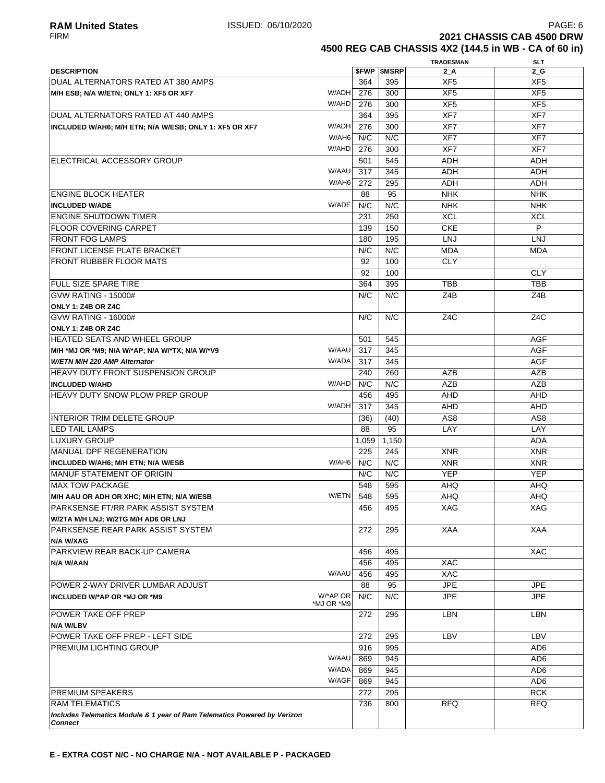**2021 CHASSIS CAB 4500 DRW 4500 REG CAB CHASSIS 4X2 (144.5 in WB - CA of 60 in)**

**TRADESMAN SLT**

| <b>DESCRIPTION</b>                                                                         |            |       | <b>\$FWP \$MSRP</b> | $2_A$            | $2_G$            |
|--------------------------------------------------------------------------------------------|------------|-------|---------------------|------------------|------------------|
| DUAL ALTERNATORS RATED AT 380 AMPS                                                         |            | 364   | 395                 | XF <sub>5</sub>  | XF <sub>5</sub>  |
| M/H ESB; N/A W/ETN; ONLY 1: XF5 OR XF7                                                     | W/ADH      | 276   | 300                 | XF <sub>5</sub>  | XF <sub>5</sub>  |
|                                                                                            | W/AHD      | 276   | 300                 | XF <sub>5</sub>  | XF <sub>5</sub>  |
| DUAL ALTERNATORS RATED AT 440 AMPS                                                         |            | 364   | 395                 | XF7              | XF7              |
| INCLUDED W/AH6; M/H ETN; N/A W/ESB; ONLY 1: XF5 OR XF7                                     | W/ADH      | 276   | 300                 | XF7              | XF7              |
|                                                                                            | W/AH6      | N/C   | N/C                 | XF7              | XF7              |
|                                                                                            | W/AHD      | 276   | 300                 | XF7              | XF7              |
|                                                                                            |            |       |                     |                  |                  |
| ELECTRICAL ACCESSORY GROUP                                                                 |            | 501   | 545                 | <b>ADH</b>       | ADH              |
|                                                                                            | W/AAU      | 317   | 345                 | <b>ADH</b>       | <b>ADH</b>       |
|                                                                                            | W/AH6      | 272   | 295                 | <b>ADH</b>       | ADH              |
| <b>ENGINE BLOCK HEATER</b>                                                                 |            | 88    | 95                  | <b>NHK</b>       | <b>NHK</b>       |
| <b>INCLUDED W/ADE</b>                                                                      | W/ADE      | N/C   | N/C                 | <b>NHK</b>       | <b>NHK</b>       |
| <b>ENGINE SHUTDOWN TIMER</b>                                                               |            | 231   | 250                 | <b>XCL</b>       | <b>XCL</b>       |
| <b>FLOOR COVERING CARPET</b>                                                               |            | 139   | 150                 | <b>CKE</b>       | P                |
| <b>FRONT FOG LAMPS</b>                                                                     |            | 180   | 195                 | <b>LNJ</b>       | LNJ              |
| <b>FRONT LICENSE PLATE BRACKET</b>                                                         |            | N/C   | N/C                 | <b>MDA</b>       | <b>MDA</b>       |
| FRONT RUBBER FLOOR MATS                                                                    |            | 92    | 100                 | <b>CLY</b>       |                  |
|                                                                                            |            | 92    | 100                 |                  | <b>CLY</b>       |
| <b>FULL SIZE SPARE TIRE</b>                                                                |            | 364   | 395                 | <b>TBB</b>       | <b>TBB</b>       |
| <b>GVW RATING - 15000#</b>                                                                 |            | N/C   | N/C                 | Z4B              | Z4B              |
| ONLY 1: Z4B OR Z4C                                                                         |            |       |                     |                  |                  |
| <b>GVW RATING - 16000#</b>                                                                 |            | N/C   | N/C                 | Z <sub>4</sub> C | Z <sub>4</sub> C |
| ONLY 1: Z4B OR Z4C                                                                         |            |       |                     |                  |                  |
| HEATED SEATS AND WHEEL GROUP                                                               |            | 501   | 545                 |                  | <b>AGF</b>       |
| M/H *MJ OR *M9; N/A W/*AP; N/A W/*TX; N/A W/*V9                                            | W/AAU      | 317   | 345                 |                  | <b>AGF</b>       |
| W/ETN M/H 220 AMP Alternator                                                               | W/ADA      | 317   | 345                 |                  | <b>AGF</b>       |
|                                                                                            |            |       |                     |                  |                  |
| HEAVY DUTY FRONT SUSPENSION GROUP                                                          |            | 240   | 260                 | AZB              | <b>AZB</b>       |
| <b>INCLUDED W/AHD</b>                                                                      | W/AHD      | N/C   | N/C                 | <b>AZB</b>       | <b>AZB</b>       |
| HEAVY DUTY SNOW PLOW PREP GROUP                                                            |            | 456   | 495                 | <b>AHD</b>       | <b>AHD</b>       |
|                                                                                            | W/ADH      | 317   | 345                 | AHD              | AHD              |
| <b>INTERIOR TRIM DELETE GROUP</b>                                                          |            | (36)  | (40)                | AS <sub>8</sub>  | AS <sub>8</sub>  |
| <b>LED TAIL LAMPS</b>                                                                      |            | 88    | 95                  | LAY              | LAY              |
| <b>LUXURY GROUP</b>                                                                        |            | 1,059 | 1,150               |                  | <b>ADA</b>       |
| MANUAL DPF REGENERATION                                                                    |            | 225   | 245                 | <b>XNR</b>       | <b>XNR</b>       |
| INCLUDED W/AH6; M/H ETN; N/A W/ESB                                                         | W/AH6      | N/C   | N/C                 | <b>XNR</b>       | <b>XNR</b>       |
| <b>MANUF STATEMENT OF ORIGIN</b>                                                           |            | N/C   | N/C                 | <b>YEP</b>       | <b>YEP</b>       |
| <b>MAX TOW PACKAGE</b>                                                                     |            | 548   | 595                 | AHQ              | AHQ              |
| M/H AAU OR ADH OR XHC; M/H ETN; N/A W/ESB                                                  | W/ETN      | 548   | 595                 | <b>AHQ</b>       | <b>AHQ</b>       |
| PARKSENSE FT/RR PARK ASSIST SYSTEM                                                         |            | 456   | 495                 | XAG              | XAG              |
| W/2TA M/H LNJ; W/2TG M/H AD6 OR LNJ                                                        |            |       |                     |                  |                  |
| PARKSENSE REAR PARK ASSIST SYSTEM                                                          |            | 272   | 295                 | XAA              | XAA              |
| N/A W/XAG                                                                                  |            |       |                     |                  |                  |
| PARKVIEW REAR BACK-UP CAMERA                                                               |            | 456   | 495                 |                  | <b>XAC</b>       |
| N/A W/AAN                                                                                  |            | 456   | 495                 | XAC              |                  |
|                                                                                            | W/AAU      | 456   | 495                 | XAC              |                  |
| POWER 2-WAY DRIVER LUMBAR ADJUST                                                           |            | 88    | 95                  | <b>JPE</b>       | <b>JPE</b>       |
|                                                                                            | W/*AP OR   | N/C   |                     |                  | <b>JPE</b>       |
| INCLUDED W/*AP OR *MJ OR *M9                                                               | *MJ OR *M9 |       | N/C                 | <b>JPE</b>       |                  |
| POWER TAKE OFF PREP                                                                        |            | 272   | 295                 | LBN              | LBN              |
| N/A W/LBV                                                                                  |            |       |                     |                  |                  |
| POWER TAKE OFF PREP - LEFT SIDE                                                            |            | 272   | 295                 | LBV              | LBV              |
| PREMIUM LIGHTING GROUP                                                                     |            | 916   | 995                 |                  | AD <sub>6</sub>  |
|                                                                                            | W/AAU      | 869   | 945                 |                  | AD <sub>6</sub>  |
|                                                                                            | W/ADA      | 869   | 945                 |                  | AD <sub>6</sub>  |
|                                                                                            | W/AGF      |       |                     |                  | AD <sub>6</sub>  |
|                                                                                            |            | 869   | 945                 |                  |                  |
| PREMIUM SPEAKERS                                                                           |            | 272   | 295                 |                  | <b>RCK</b>       |
| <b>RAM TELEMATICS</b>                                                                      |            | 736   | 800                 | <b>RFQ</b>       | <b>RFQ</b>       |
| Includes Telematics Module & 1 year of Ram Telematics Powered by Verizon<br><b>Connect</b> |            |       |                     |                  |                  |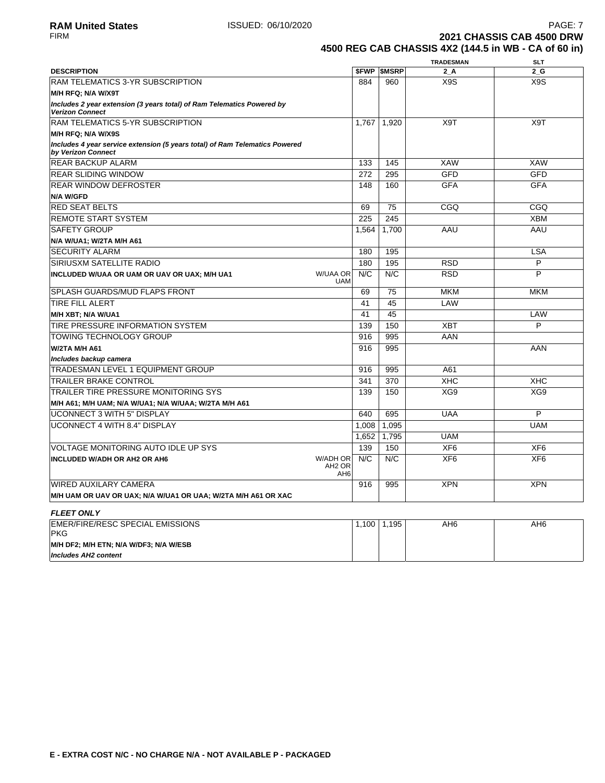**2021 CHASSIS CAB 4500 DRW 4500 REG CAB CHASSIS 4X2 (144.5 in WB - CA of 60 in)**

|                                                                                                   |       |                          | <b>TRADESMAN</b> | <b>SLT</b>      |
|---------------------------------------------------------------------------------------------------|-------|--------------------------|------------------|-----------------|
| <b>DESCRIPTION</b>                                                                                |       | <b><i>SFWP SMSRP</i></b> | $2_A$            | $2_G$           |
| <b>RAM TELEMATICS 3-YR SUBSCRIPTION</b>                                                           | 884   | 960                      | X9S              | X9S             |
| M/H RFQ; N/A W/X9T                                                                                |       |                          |                  |                 |
| Includes 2 year extension (3 years total) of Ram Telematics Powered by<br><b>Verizon Connect</b>  |       |                          |                  |                 |
| <b>RAM TELEMATICS 5-YR SUBSCRIPTION</b>                                                           | 1.767 | 1.920                    | X9T              | X9T             |
| M/H RFQ; N/A W/X9S                                                                                |       |                          |                  |                 |
| Includes 4 year service extension (5 years total) of Ram Telematics Powered<br>by Verizon Connect |       |                          |                  |                 |
| <b>REAR BACKUP ALARM</b>                                                                          | 133   | 145                      | <b>XAW</b>       | <b>XAW</b>      |
| <b>REAR SLIDING WINDOW</b>                                                                        | 272   | 295                      | <b>GFD</b>       | <b>GFD</b>      |
| <b>REAR WINDOW DEFROSTER</b>                                                                      | 148   | 160                      | <b>GFA</b>       | <b>GFA</b>      |
| N/A W/GFD                                                                                         |       |                          |                  |                 |
| <b>RED SEAT BELTS</b>                                                                             | 69    | 75                       | CGQ              | CGQ             |
| <b>REMOTE START SYSTEM</b>                                                                        | 225   | 245                      |                  | <b>XBM</b>      |
| <b>SAFETY GROUP</b>                                                                               | 1,564 | 1.700                    | AAU              | AAU             |
| N/A W/UA1; W/2TA M/H A61                                                                          |       |                          |                  |                 |
| <b>SECURITY ALARM</b>                                                                             | 180   | 195                      |                  | <b>LSA</b>      |
| <b>SIRIUSXM SATELLITE RADIO</b>                                                                   | 180   | 195                      | <b>RSD</b>       | P               |
| W/UAA OR<br>INCLUDED W/UAA OR UAM OR UAV OR UAX; M/H UA1<br><b>UAM</b>                            | N/C   | N/C                      | <b>RSD</b>       | P               |
| <b>SPLASH GUARDS/MUD FLAPS FRONT</b>                                                              | 69    | 75                       | <b>MKM</b>       | <b>MKM</b>      |
| <b>TIRE FILL ALERT</b>                                                                            | 41    | 45                       | LAW              |                 |
| M/H XBT; N/A W/UA1                                                                                | 41    | 45                       |                  | LAW             |
| TIRE PRESSURE INFORMATION SYSTEM                                                                  | 139   | 150                      | <b>XBT</b>       | P               |
| <b>TOWING TECHNOLOGY GROUP</b>                                                                    | 916   | 995                      | AAN              |                 |
| <b>W/2TA M/H A61</b>                                                                              | 916   | 995                      |                  | AAN             |
| Includes backup camera                                                                            |       |                          |                  |                 |
| <b>TRADESMAN LEVEL 1 EQUIPMENT GROUP</b>                                                          | 916   | 995                      | A61              |                 |
| <b>TRAILER BRAKE CONTROL</b>                                                                      | 341   | 370                      | <b>XHC</b>       | <b>XHC</b>      |
| TRAILER TIRE PRESSURE MONITORING SYS                                                              | 139   | 150                      | XG9              | XG9             |
| M/H A61; M/H UAM; N/A W/UA1; N/A W/UAA; W/2TA M/H A61                                             |       |                          |                  |                 |
| <b>UCONNECT 3 WITH 5" DISPLAY</b>                                                                 | 640   | 695                      | <b>UAA</b>       | P               |
| <b>UCONNECT 4 WITH 8.4" DISPLAY</b>                                                               | 1,008 | 1,095                    |                  | <b>UAM</b>      |
|                                                                                                   | 1.652 | 1.795                    | <b>UAM</b>       |                 |
| VOLTAGE MONITORING AUTO IDLE UP SYS                                                               | 139   | 150                      | XF <sub>6</sub>  | XF <sub>6</sub> |
| W/ADH OR<br><b>INCLUDED W/ADH OR AH2 OR AH6</b><br>AH <sub>2</sub> OR<br>AH <sub>6</sub>          | N/C   | N/C                      | XF <sub>6</sub>  | XF <sub>6</sub> |
| <b>WIRED AUXILARY CAMERA</b>                                                                      | 916   | 995                      | <b>XPN</b>       | <b>XPN</b>      |
| M/H UAM OR UAV OR UAX; N/A W/UA1 OR UAA; W/2TA M/H A61 OR XAC                                     |       |                          |                  |                 |
| <b>FLEET ONLY</b>                                                                                 |       |                          |                  |                 |
| <b>EMER/FIRE/RESC SPECIAL EMISSIONS</b><br><b>PKG</b>                                             | 1,100 | 1,195                    | AH <sub>6</sub>  | AH <sub>6</sub> |
| M/H DF2; M/H ETN; N/A W/DF3; N/A W/ESB                                                            |       |                          |                  |                 |
| <b>Includes AH2 content</b>                                                                       |       |                          |                  |                 |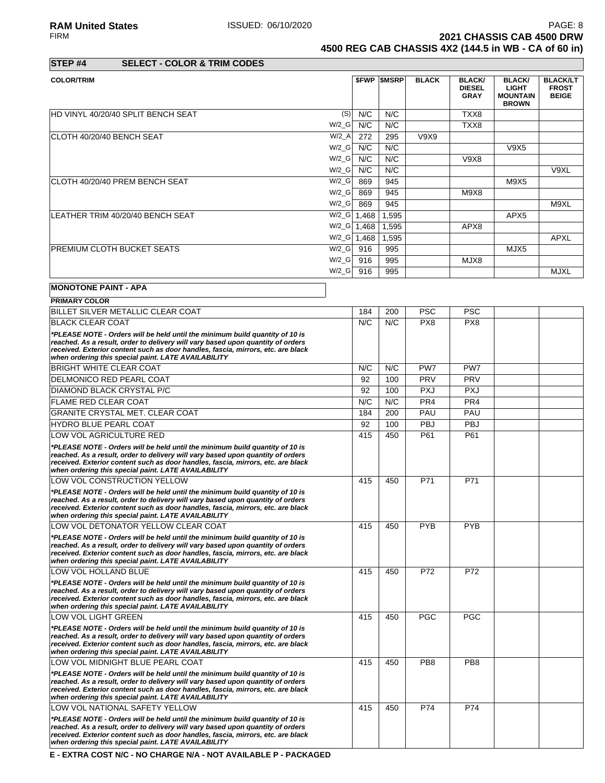### RA**M United States ISSUED: 06/10/2020** PAGE: 8<br>FIRM **PAGE: 8**<br>**2021 CHASSIS CAB 4500 DRW 2021 CHASSIS CAB 4500 DRW 4500 REG CAB CHASSIS 4X2 (144.5 in WB - CA of 60 in)**

**STEP #4 SELECT - COLOR & TRIM CODES**

| <b>COLOR/TRIM</b>                            |       | <b><i>SFWP SMSRP</i></b> | <b>BLACK</b> | <b>BLACK/</b>                | <b>BLACK/</b>                                   | <b>BLACK/LT</b>              |
|----------------------------------------------|-------|--------------------------|--------------|------------------------------|-------------------------------------------------|------------------------------|
|                                              |       |                          |              | <b>DIESEL</b><br><b>GRAY</b> | <b>LIGHT</b><br><b>MOUNTAIN</b><br><b>BROWN</b> | <b>FROST</b><br><b>BEIGE</b> |
| (S)<br>HD VINYL 40/20/40 SPLIT BENCH SEAT    | N/C   | N/C                      |              | TXX8                         |                                                 |                              |
| $W/2_G$                                      | N/C   | N/C                      |              | TXX8                         |                                                 |                              |
| $W/2_A$<br>ICLOTH 40/20/40 BENCH SEAT        | 272   | 295                      | V9X9         |                              |                                                 |                              |
| $W/2_G$                                      | N/C   | N/C                      |              |                              | V9X5                                            |                              |
| $W/2_G$                                      | N/C   | N/C                      |              | V9X8                         |                                                 |                              |
| $W/2_G$                                      | N/C   | N/C                      |              |                              |                                                 | V9XL                         |
| $W/2_G$<br>CLOTH 40/20/40 PREM BENCH SEAT    | 869   | 945                      |              |                              | M9X5                                            |                              |
| $W/2_G$                                      | 869   | 945                      |              | M9X8                         |                                                 |                              |
| $W/2_G$                                      | 869   | 945                      |              |                              |                                                 | M9XL                         |
| $W/2_G$<br>LEATHER TRIM 40/20/40 BENCH SEAT  | 1,468 | 1,595                    |              |                              | APX <sub>5</sub>                                |                              |
| $W/Z_G$ 1,468                                |       | 1,595                    |              | APX8                         |                                                 |                              |
| W/2_G                                        | 1,468 | 1,595                    |              |                              |                                                 | <b>APXL</b>                  |
| <b>PREMIUM CLOTH BUCKET SEATS</b><br>$W/2_G$ | 916   | 995                      |              |                              | MJX5                                            |                              |
| W/2_G                                        | 916   | 995                      |              | MJX8                         |                                                 |                              |
| $W/2$ <sub>_</sub> G                         | 916   | 995                      |              |                              |                                                 | <b>MJXL</b>                  |

# **MONOTONE PAINT - APA**

| <b>PRIMARY COLOR</b>                                                                                                                                                                                                                                                                                       |     |     |                 |                 |  |
|------------------------------------------------------------------------------------------------------------------------------------------------------------------------------------------------------------------------------------------------------------------------------------------------------------|-----|-----|-----------------|-----------------|--|
| BILLET SILVER METALLIC CLEAR COAT                                                                                                                                                                                                                                                                          | 184 | 200 | <b>PSC</b>      | <b>PSC</b>      |  |
| <b>BLACK CLEAR COAT</b>                                                                                                                                                                                                                                                                                    | N/C | N/C | PX8             | PX <sub>8</sub> |  |
| *PLEASE NOTE - Orders will be held until the minimum build quantity of 10 is<br>reached. As a result, order to delivery will vary based upon quantity of orders<br>received. Exterior content such as door handles, fascia, mirrors, etc. are black<br>when ordering this special paint. LATE AVAILABILITY |     |     |                 |                 |  |
| <b>BRIGHT WHITE CLEAR COAT</b>                                                                                                                                                                                                                                                                             | N/C | N/C | PW7             | PW7             |  |
| <b>DELMONICO RED PEARL COAT</b>                                                                                                                                                                                                                                                                            | 92  | 100 | PRV             | PRV             |  |
| <b>DIAMOND BLACK CRYSTAL P/C</b>                                                                                                                                                                                                                                                                           | 92  | 100 | <b>PXJ</b>      | <b>PXJ</b>      |  |
| <b>FLAME RED CLEAR COAT</b>                                                                                                                                                                                                                                                                                | N/C | N/C | PR <sub>4</sub> | PR <sub>4</sub> |  |
| <b>GRANITE CRYSTAL MET. CLEAR COAT</b>                                                                                                                                                                                                                                                                     | 184 | 200 | PAU             | PAU             |  |
| HYDRO BLUE PEARL COAT                                                                                                                                                                                                                                                                                      | 92  | 100 | PBJ             | PBJ             |  |
| LOW VOL AGRICULTURE RED                                                                                                                                                                                                                                                                                    | 415 | 450 | P61             | P61             |  |
| *PLEASE NOTE - Orders will be held until the minimum build quantity of 10 is<br>reached. As a result, order to delivery will vary based upon quantity of orders<br>received. Exterior content such as door handles, fascia, mirrors, etc. are black<br>when ordering this special paint. LATE AVAILABILITY |     |     |                 |                 |  |
| LOW VOL CONSTRUCTION YELLOW                                                                                                                                                                                                                                                                                | 415 | 450 | P71             | P71             |  |
| *PLEASE NOTE - Orders will be held until the minimum build quantity of 10 is<br>reached. As a result, order to delivery will vary based upon quantity of orders<br>received. Exterior content such as door handles, fascia, mirrors, etc. are black<br>when ordering this special paint. LATE AVAILABILITY |     |     |                 |                 |  |
| LOW VOL DETONATOR YELLOW CLEAR COAT                                                                                                                                                                                                                                                                        | 415 | 450 | <b>PYB</b>      | <b>PYB</b>      |  |
| *PLEASE NOTE - Orders will be held until the minimum build quantity of 10 is<br>reached. As a result, order to delivery will vary based upon quantity of orders<br>received. Exterior content such as door handles, fascia, mirrors, etc. are black<br>when ordering this special paint. LATE AVAILABILITY |     |     |                 |                 |  |
| LOW VOL HOLLAND BLUE                                                                                                                                                                                                                                                                                       | 415 | 450 | P72             | P72             |  |
| *PLEASE NOTE - Orders will be held until the minimum build quantity of 10 is<br>reached. As a result, order to delivery will vary based upon quantity of orders<br>received. Exterior content such as door handles, fascia, mirrors, etc. are black<br>when ordering this special paint. LATE AVAILABILITY |     |     |                 |                 |  |
| <b>LOW VOL LIGHT GREEN</b>                                                                                                                                                                                                                                                                                 | 415 | 450 | <b>PGC</b>      | <b>PGC</b>      |  |
| *PLEASE NOTE - Orders will be held until the minimum build quantity of 10 is<br>reached. As a result, order to delivery will vary based upon quantity of orders<br>received. Exterior content such as door handles, fascia, mirrors, etc. are black<br>when ordering this special paint. LATE AVAILABILITY |     |     |                 |                 |  |
| LOW VOL MIDNIGHT BLUE PEARL COAT                                                                                                                                                                                                                                                                           | 415 | 450 | PB <sub>8</sub> | PB <sub>8</sub> |  |
| *PLEASE NOTE - Orders will be held until the minimum build quantity of 10 is<br>reached. As a result, order to delivery will vary based upon quantity of orders<br>received. Exterior content such as door handles, fascia, mirrors, etc. are black<br>when ordering this special paint. LATE AVAILABILITY |     |     |                 |                 |  |
| LOW VOL NATIONAL SAFETY YELLOW                                                                                                                                                                                                                                                                             | 415 | 450 | P74             | P74             |  |
| *PLEASE NOTE - Orders will be held until the minimum build quantity of 10 is<br>reached. As a result, order to delivery will vary based upon quantity of orders<br>received. Exterior content such as door handles, fascia, mirrors, etc. are black<br>when ordering this special paint. LATE AVAILABILITY |     |     |                 |                 |  |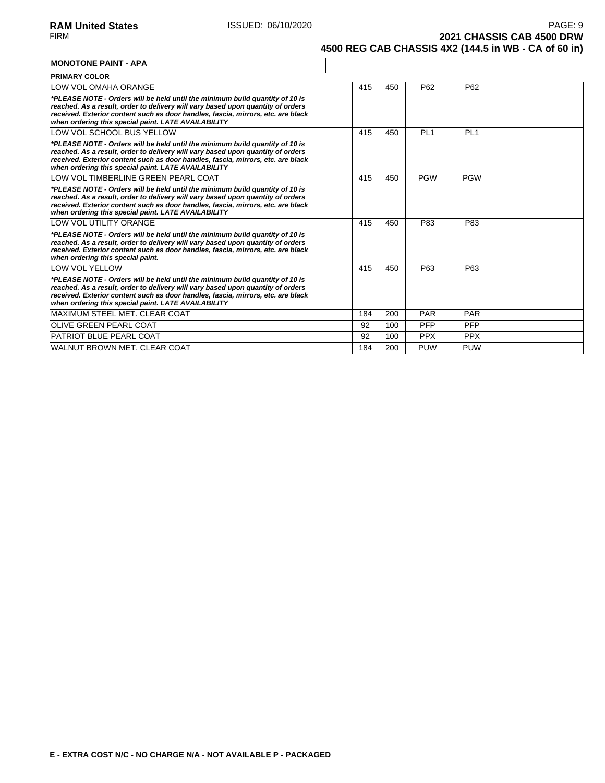**2021 CHASSIS CAB 4500 DRW 4500 REG CAB CHASSIS 4X2 (144.5 in WB - CA of 60 in)**

**MONOTONE PAINT - APA**

| <b>PRIMARY COLOR</b>                                                                                                                                                                                                                                                                                       |     |     |                 |                 |  |
|------------------------------------------------------------------------------------------------------------------------------------------------------------------------------------------------------------------------------------------------------------------------------------------------------------|-----|-----|-----------------|-----------------|--|
| LOW VOL OMAHA ORANGE                                                                                                                                                                                                                                                                                       | 415 | 450 | P <sub>62</sub> | P <sub>62</sub> |  |
| *PLEASE NOTE - Orders will be held until the minimum build quantity of 10 is<br>reached. As a result, order to delivery will vary based upon quantity of orders<br>received. Exterior content such as door handles, fascia, mirrors, etc. are black<br>when ordering this special paint. LATE AVAILABILITY |     |     |                 |                 |  |
| LOW VOL SCHOOL BUS YELLOW                                                                                                                                                                                                                                                                                  | 415 | 450 | PL <sub>1</sub> | PL <sub>1</sub> |  |
| *PLEASE NOTE - Orders will be held until the minimum build quantity of 10 is<br>reached. As a result, order to delivery will vary based upon quantity of orders<br>received. Exterior content such as door handles, fascia, mirrors, etc. are black<br>when ordering this special paint. LATE AVAILABILITY |     |     |                 |                 |  |
| LOW VOL TIMBERLINE GREEN PEARL COAT                                                                                                                                                                                                                                                                        | 415 | 450 | <b>PGW</b>      | <b>PGW</b>      |  |
| *PLEASE NOTE - Orders will be held until the minimum build quantity of 10 is<br>reached. As a result, order to delivery will vary based upon quantity of orders<br>received. Exterior content such as door handles, fascia, mirrors, etc. are black<br>when ordering this special paint. LATE AVAILABILITY |     |     |                 |                 |  |
| LOW VOL UTILITY ORANGE                                                                                                                                                                                                                                                                                     | 415 | 450 | P83             | P83             |  |
| *PLEASE NOTE - Orders will be held until the minimum build quantity of 10 is<br>reached. As a result, order to delivery will vary based upon quantity of orders<br>received. Exterior content such as door handles, fascia, mirrors, etc. are black<br>when ordering this special paint.                   |     |     |                 |                 |  |
| <b>LOW VOL YELLOW</b>                                                                                                                                                                                                                                                                                      | 415 | 450 | P63             | P63             |  |
| *PLEASE NOTE - Orders will be held until the minimum build quantity of 10 is<br>reached. As a result, order to delivery will vary based upon quantity of orders<br>received. Exterior content such as door handles, fascia, mirrors, etc. are black<br>when ordering this special paint. LATE AVAILABILITY |     |     |                 |                 |  |
| <b>MAXIMUM STEEL MET. CLEAR COAT</b>                                                                                                                                                                                                                                                                       | 184 | 200 | <b>PAR</b>      | <b>PAR</b>      |  |
| <b>IOLIVE GREEN PEARL COAT</b>                                                                                                                                                                                                                                                                             | 92  | 100 | PFP             | <b>PFP</b>      |  |
| <b>PATRIOT BLUE PEARL COAT</b>                                                                                                                                                                                                                                                                             | 92  | 100 | <b>PPX</b>      | <b>PPX</b>      |  |
| WALNUT BROWN MET. CLEAR COAT                                                                                                                                                                                                                                                                               | 184 | 200 | <b>PUW</b>      | <b>PUW</b>      |  |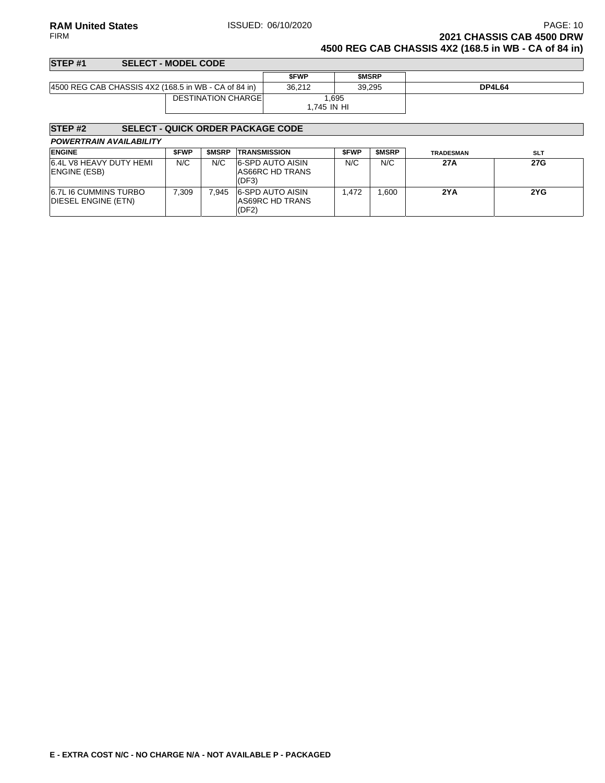**RAM United States ISSUED: 06/10/2020 PAGE: 10 PAGE: 10** FIRM **2021 CHASSIS CAB 4500 DRW 4500 REG CAB CHASSIS 4X2 (168.5 in WB - CA of 84 in)**

### **STEP #1 SELECT - MODEL CODE \$FWP \$MSRP** 4500 REG CAB CHASSIS 4X2 (168.5 in WB - CA of 84 in) 36,212 39,295 **DP4L64** DESTINATION CHARGE 1,695 1,745 IN HI

# **STEP #2 SELECT - QUICK ORDER PACKAGE CODE**

| <b>POWERTRAIN AVAILABILITY</b>               |       |              |                                                     |             |              |                  |            |
|----------------------------------------------|-------|--------------|-----------------------------------------------------|-------------|--------------|------------------|------------|
| <b>ENGINE</b>                                | \$FWP | <b>SMSRP</b> | <b>TRANSMISSION</b>                                 | <b>SFWP</b> | <b>SMSRP</b> | <b>TRADESMAN</b> | <b>SLT</b> |
| 6.4L V8 HEAVY DUTY HEMI<br>ENGINE (ESB)      | N/C   | N/C          | <b>6-SPD AUTO AISIN</b><br>AS66RC HD TRANS<br>(DF3) | N/C         | N/C          | 27 A             | <b>27G</b> |
| 6.7L I6 CUMMINS TURBO<br>DIESEL ENGINE (ETN) | 7.309 | 945.`        | 6-SPD AUTO AISIN<br>AS69RC HD TRANS                 | 1.472       | .600         | 2YA              | 2YG        |

(DF2)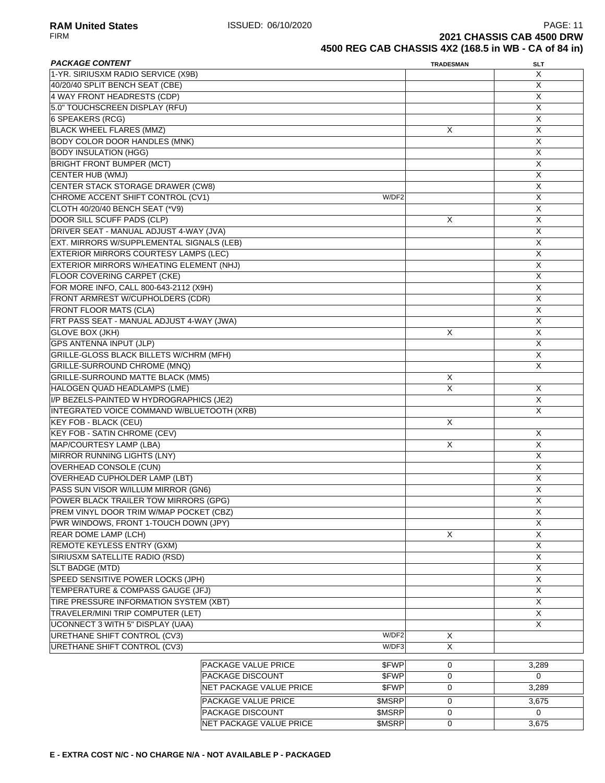| <b>PACKAGE CONTENT</b>                       |                         |               | <b>TRADESMAN</b>    | SLT                     |
|----------------------------------------------|-------------------------|---------------|---------------------|-------------------------|
| 1-YR. SIRIUSXM RADIO SERVICE (X9B)           |                         |               |                     | X                       |
| 40/20/40 SPLIT BENCH SEAT (CBE)              |                         |               |                     | X                       |
| 4 WAY FRONT HEADRESTS (CDP)                  |                         |               |                     | X                       |
| 5.0" TOUCHSCREEN DISPLAY (RFU)               |                         |               |                     | X                       |
| 6 SPEAKERS (RCG)                             |                         |               |                     | X                       |
| <b>BLACK WHEEL FLARES (MMZ)</b>              |                         |               | Χ                   | X                       |
| <b>BODY COLOR DOOR HANDLES (MNK)</b>         |                         |               |                     | X                       |
| <b>BODY INSULATION (HGG)</b>                 |                         |               |                     | X                       |
| <b>BRIGHT FRONT BUMPER (MCT)</b>             |                         |               |                     | X                       |
| CENTER HUB (WMJ)                             |                         |               |                     | X                       |
| <b>CENTER STACK STORAGE DRAWER (CW8)</b>     |                         |               |                     | X                       |
| CHROME ACCENT SHIFT CONTROL (CV1)            |                         | W/DF2         |                     | X                       |
| CLOTH 40/20/40 BENCH SEAT (*V9)              |                         |               |                     | X                       |
| DOOR SILL SCUFF PADS (CLP)                   |                         |               | X                   | X                       |
| DRIVER SEAT - MANUAL ADJUST 4-WAY (JVA)      |                         |               |                     | X                       |
| EXT. MIRRORS W/SUPPLEMENTAL SIGNALS (LEB)    |                         |               |                     | X                       |
| <b>EXTERIOR MIRRORS COURTESY LAMPS (LEC)</b> |                         |               |                     | X                       |
| EXTERIOR MIRRORS W/HEATING ELEMENT (NHJ)     |                         |               |                     | $\overline{X}$          |
| <b>FLOOR COVERING CARPET (CKE)</b>           |                         |               |                     | $\overline{X}$          |
| FOR MORE INFO, CALL 800-643-2112 (X9H)       |                         |               |                     | X                       |
| FRONT ARMREST W/CUPHOLDERS (CDR)             |                         |               |                     | X                       |
| <b>FRONT FLOOR MATS (CLA)</b>                |                         |               |                     | X                       |
| FRT PASS SEAT - MANUAL ADJUST 4-WAY (JWA)    |                         |               |                     | X                       |
| <b>GLOVE BOX (JKH)</b>                       |                         |               | X                   | X                       |
| <b>GPS ANTENNA INPUT (JLP)</b>               |                         |               |                     | X                       |
| GRILLE-GLOSS BLACK BILLETS W/CHRM (MFH)      |                         |               |                     | X                       |
| GRILLE-SURROUND CHROME (MNQ)                 |                         |               |                     | X                       |
| <b>GRILLE-SURROUND MATTE BLACK (MM5)</b>     |                         |               | Χ                   |                         |
| HALOGEN QUAD HEADLAMPS (LME)                 |                         |               | X                   | X                       |
| I/P BEZELS-PAINTED W HYDROGRAPHICS (JE2)     |                         | X             |                     |                         |
| INTEGRATED VOICE COMMAND W/BLUETOOTH (XRB)   |                         |               |                     | X                       |
| <b>KEY FOB - BLACK (CEU)</b>                 |                         |               | X                   |                         |
| <b>KEY FOB - SATIN CHROME (CEV)</b>          |                         |               |                     | X                       |
| MAP/COURTESY LAMP (LBA)                      |                         |               | X                   | X                       |
| <b>MIRROR RUNNING LIGHTS (LNY)</b>           |                         |               |                     | X                       |
| <b>OVERHEAD CONSOLE (CUN)</b>                |                         |               |                     | X                       |
| <b>OVERHEAD CUPHOLDER LAMP (LBT)</b>         |                         |               |                     | $\overline{X}$          |
| PASS SUN VISOR W/ILLUM MIRROR (GN6)          |                         |               |                     | X                       |
| POWER BLACK TRAILER TOW MIRRORS (GPG)        |                         |               |                     | $\overline{X}$          |
| PREM VINYL DOOR TRIM W/MAP POCKET (CBZ)      |                         |               |                     | X                       |
| PWR WINDOWS, FRONT 1-TOUCH DOWN (JPY)        |                         |               |                     | Χ                       |
| REAR DOME LAMP (LCH)                         |                         |               | X                   | X                       |
| REMOTE KEYLESS ENTRY (GXM)                   |                         |               |                     | X                       |
| SIRIUSXM SATELLITE RADIO (RSD)               |                         |               |                     | X                       |
| SLT BADGE (MTD)                              |                         |               |                     | X                       |
| SPEED SENSITIVE POWER LOCKS (JPH)            |                         |               |                     | X                       |
| TEMPERATURE & COMPASS GAUGE (JFJ)            |                         |               |                     | $\overline{\mathsf{x}}$ |
| TIRE PRESSURE INFORMATION SYSTEM (XBT)       |                         |               |                     | X                       |
| TRAVELER/MINI TRIP COMPUTER (LET)            |                         |               |                     | X                       |
| <b>UCONNECT 3 WITH 5" DISPLAY (UAA)</b>      |                         |               |                     | X                       |
| URETHANE SHIFT CONTROL (CV3)                 |                         | W/DF2         | Χ                   |                         |
| URETHANE SHIFT CONTROL (CV3)                 |                         | W/DF3         | X                   |                         |
|                                              |                         |               |                     |                         |
|                                              | PACKAGE VALUE PRICE     | \$FWP         | $\mathbf 0$         | 3,289                   |
|                                              | PACKAGE DISCOUNT        | \$FWP         | 0                   | 0                       |
|                                              | NET PACKAGE VALUE PRICE | \$FWP         | 0                   | 3,289                   |
|                                              | PACKAGE VALUE PRICE     | <b>\$MSRP</b> | $\mathsf{O}\xspace$ | 3,675                   |
|                                              | PACKAGE DISCOUNT        | \$MSRP        | $\mathbf 0$         | $\Omega$                |
|                                              | NET PACKAGE VALUE PRICE | \$MSRP        | 0                   | 3,675                   |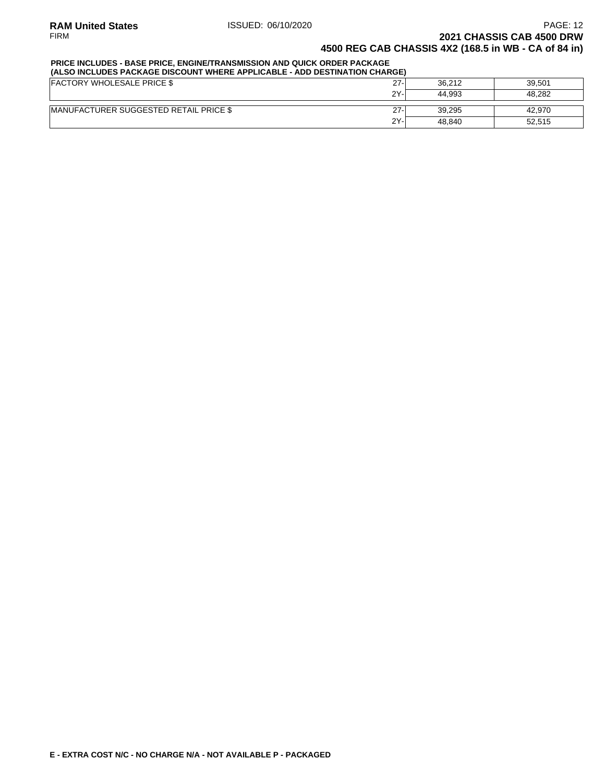### **PRICE INCLUDES - BASE PRICE, ENGINE/TRANSMISSION AND QUICK ORDER PACKAGE**

| (ALSO INCLUDES PACKAGE DISCOUNT WHERE APPLICABLE - ADD DESTINATION CHARGE) |        |        |        |  |  |  |  |  |
|----------------------------------------------------------------------------|--------|--------|--------|--|--|--|--|--|
| <b>FACTORY WHOLESALE PRICE \$</b>                                          | $27 -$ | 36.212 | 39.501 |  |  |  |  |  |
|                                                                            | $2Y -$ | 44.993 | 48.282 |  |  |  |  |  |
| <b>IMANUFACTURER SUGGESTED RETAIL PRICE \$</b>                             | $27-$  | 39.295 | 42.970 |  |  |  |  |  |
|                                                                            | 2Y-    | 48.840 | 52.515 |  |  |  |  |  |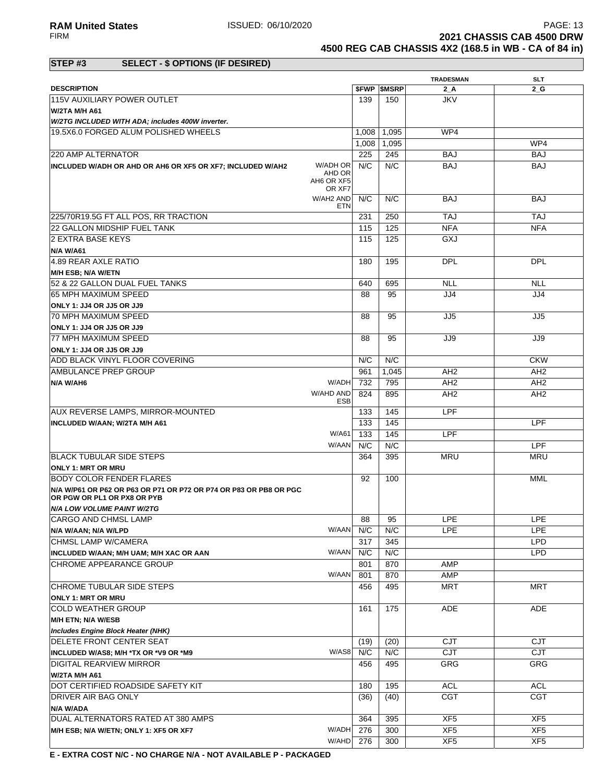**RAM United States ISSUED: 06/10/2020** PAGE: 13<br>FIRM **PAGE: 13 2021 CHASSIS CAB 4500 DRW 4500 REG CAB CHASSIS 4X2 (168.5 in WB - CA of 84 in)**

### **STEP #3 SELECT - \$ OPTIONS (IF DESIRED)**

|                                                                        |            |                          | <b>TRADESMAN</b> | <b>SLT</b>      |
|------------------------------------------------------------------------|------------|--------------------------|------------------|-----------------|
| <b>DESCRIPTION</b>                                                     |            | <b><i>SFWP SMSRP</i></b> | 2A               | 2 G             |
| 115V AUXILIARY POWER OUTLET                                            | 139        | 150                      | <b>JKV</b>       |                 |
| W/2TA M/H A61                                                          |            |                          |                  |                 |
|                                                                        |            |                          |                  |                 |
| W/2TG INCLUDED WITH ADA; includes 400W inverter.                       |            |                          |                  |                 |
| 19.5X6.0 FORGED ALUM POLISHED WHEELS                                   | 1,008      | 1,095                    | WP4              |                 |
|                                                                        | 1,008      | 1,095                    |                  | WP4             |
| 220 AMP ALTERNATOR                                                     | 225        | 245                      | BAJ              | <b>BAJ</b>      |
| W/ADH OR<br>INCLUDED W/ADH OR AHD OR AH6 OR XF5 OR XF7; INCLUDED W/AH2 | N/C        | N/C                      | <b>BAJ</b>       | <b>BAJ</b>      |
| AHD OR                                                                 |            |                          |                  |                 |
| AH6 OR XF5                                                             |            |                          |                  |                 |
| OR XF7                                                                 |            |                          |                  |                 |
| W/AH2 AND                                                              | N/C        | N/C                      | <b>BAJ</b>       | BAJ             |
|                                                                        | <b>ETN</b> |                          |                  |                 |
| 225/70R19.5G FT ALL POS. RR TRACTION                                   | 231        | 250                      | <b>TAJ</b>       | <b>TAJ</b>      |
| 22 GALLON MIDSHIP FUEL TANK                                            | 115        | 125                      | <b>NFA</b>       | <b>NFA</b>      |
| 2 EXTRA BASE KEYS                                                      | 115        | 125                      | GXJ              |                 |
| N/A W/A61                                                              |            |                          |                  |                 |
| 4.89 REAR AXLE RATIO                                                   | 180        | 195                      | <b>DPL</b>       | <b>DPL</b>      |
|                                                                        |            |                          |                  |                 |
| <b>M/H ESB; N/A W/ETN</b>                                              |            |                          |                  |                 |
| 52 & 22 GALLON DUAL FUEL TANKS                                         | 640        | 695                      | <b>NLL</b>       | <b>NLL</b>      |
| 65 MPH MAXIMUM SPEED                                                   | 88         | 95                       | JJ4              | JJ4             |
| ONLY 1: JJ4 OR JJ5 OR JJ9                                              |            |                          |                  |                 |
| 70 MPH MAXIMUM SPEED                                                   | 88         | 95                       | JJ5              | JJ5             |
| ONLY 1: JJ4 OR JJ5 OR JJ9                                              |            |                          |                  |                 |
|                                                                        |            |                          |                  |                 |
| <b>77 MPH MAXIMUM SPEED</b>                                            | 88         | 95                       | JJ9              | JJ9             |
| ONLY 1: JJ4 OR JJ5 OR JJ9                                              |            |                          |                  |                 |
| ADD BLACK VINYL FLOOR COVERING                                         | N/C        | N/C                      |                  | <b>CKW</b>      |
| AMBULANCE PREP GROUP                                                   | 961        | 1,045                    | AH <sub>2</sub>  | AH <sub>2</sub> |
| W/ADH<br>N/A W/AH6                                                     | 732        | 795                      | AH <sub>2</sub>  | AH <sub>2</sub> |
| W/AHD AND                                                              | 824        | 895                      | AH <sub>2</sub>  | AH <sub>2</sub> |
|                                                                        | ESB        |                          |                  |                 |
| AUX REVERSE LAMPS, MIRROR-MOUNTED                                      | 133        | 145                      | LPF              |                 |
| INCLUDED W/AAN; W/2TA M/H A61                                          | 133        | 145                      |                  | <b>LPF</b>      |
|                                                                        |            |                          |                  |                 |
| W/A61                                                                  | 133        | 145                      | LPF              |                 |
| W/AAN                                                                  | N/C        | N/C                      |                  | <b>LPF</b>      |
| <b>IBLACK TUBULAR SIDE STEPS</b>                                       | 364        | 395                      | MRU              | <b>MRU</b>      |
| <b>ONLY 1: MRT OR MRU</b>                                              |            |                          |                  |                 |
| BODY COLOR FENDER FLARES                                               | 92         | 100                      |                  | MML             |
| N/A W/P61 OR P62 OR P63 OR P71 OR P72 OR P74 OR P83 OR PB8 OR PGC      |            |                          |                  |                 |
| OR PGW OR PL1 OR PX8 OR PYB                                            |            |                          |                  |                 |
| <b>N/A LOW VOLUME PAINT W/2TG</b>                                      |            |                          |                  |                 |
|                                                                        |            |                          |                  |                 |
| CARGO AND CHMSL LAMP                                                   | 88         | 95                       | LPE              | LPE             |
| W/AAN<br>N/A W/AAN; N/A W/LPD                                          | N/C        | N/C                      | LPE              | <b>LPE</b>      |
| CHMSL LAMP W/CAMERA                                                    | 317        | 345                      |                  | <b>LPD</b>      |
| W/AAN<br>INCLUDED W/AAN; M/H UAM; M/H XAC OR AAN                       | N/C        | N/C                      |                  | <b>LPD</b>      |
| CHROME APPEARANCE GROUP                                                | 801        | 870                      | AMP              |                 |
| W/AAN                                                                  | 801        | 870                      | AMP              |                 |
|                                                                        |            |                          |                  |                 |
| CHROME TUBULAR SIDE STEPS                                              | 456        | 495                      | <b>MRT</b>       | MRT             |
| <b>ONLY 1: MRT OR MRU</b>                                              |            |                          |                  |                 |
| <b>COLD WEATHER GROUP</b>                                              | 161        | 175                      | <b>ADE</b>       | <b>ADE</b>      |
| M/H ETN; N/A W/ESB                                                     |            |                          |                  |                 |
| <b>Includes Engine Block Heater (NHK)</b>                              |            |                          |                  |                 |
| DELETE FRONT CENTER SEAT                                               | (19)       | (20)                     | <b>CJT</b>       | CJT             |
| W/AS8                                                                  | N/C        | N/C                      | CJT              |                 |
| INCLUDED W/AS8; M/H *TX OR *V9 OR *M9                                  |            |                          |                  | CJT             |
| DIGITAL REARVIEW MIRROR                                                | 456        | 495                      | GRG              | <b>GRG</b>      |
| W/2TA M/H A61                                                          |            |                          |                  |                 |
| DOT CERTIFIED ROADSIDE SAFETY KIT                                      | 180        | 195                      | <b>ACL</b>       | <b>ACL</b>      |
| DRIVER AIR BAG ONLY                                                    | (36)       | (40)                     | <b>CGT</b>       | <b>CGT</b>      |
|                                                                        |            |                          |                  |                 |
| N/A W/ADA                                                              |            |                          |                  |                 |
| DUAL ALTERNATORS RATED AT 380 AMPS                                     | 364        | 395                      | XF <sub>5</sub>  | XF <sub>5</sub> |
| W/ADH<br>M/H ESB; N/A W/ETN; ONLY 1: XF5 OR XF7                        | 276        | 300                      | XF5              | XF5             |
| W/AHD                                                                  | 276        | 300                      | XF <sub>5</sub>  | XF <sub>5</sub> |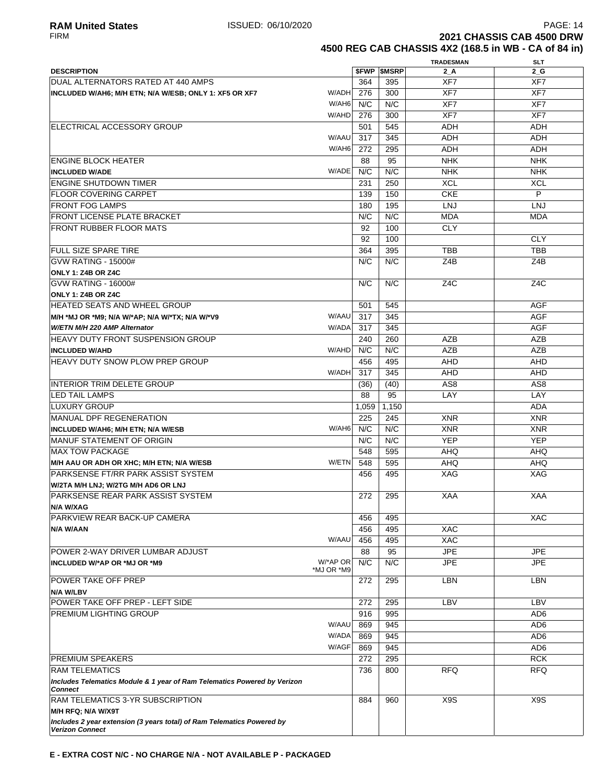**2021 CHASSIS CAB 4500 DRW 4500 REG CAB CHASSIS 4X2 (168.5 in WB - CA of 84 in)**

|                                                                          |                        |       |                          | <b>TRADESMAN</b> | SLT                      |
|--------------------------------------------------------------------------|------------------------|-------|--------------------------|------------------|--------------------------|
| <b>DESCRIPTION</b>                                                       |                        |       | <b><i>SFWP SMSRP</i></b> | $2_A$            | $2_G$                    |
| DUAL ALTERNATORS RATED AT 440 AMPS                                       |                        | 364   | 395                      | XF7              | XF7                      |
| INCLUDED W/AH6; M/H ETN; N/A W/ESB; ONLY 1: XF5 OR XF7                   | W/ADHI                 | 276   | 300                      | XF7              | XF7                      |
|                                                                          | W/AH6                  | N/C   | N/C                      | XF7              | XF7                      |
|                                                                          | W/AHD                  | 276   | 300                      | XF7              | XF7                      |
| <b>IELECTRICAL ACCESSORY GROUP</b>                                       |                        | 501   | 545                      | <b>ADH</b>       | <b>ADH</b>               |
|                                                                          | W/AAU                  | 317   | 345                      | ADH              | ADH                      |
|                                                                          | W/AH6                  | 272   | 295                      | <b>ADH</b>       | <b>ADH</b>               |
| <b>ENGINE BLOCK HEATER</b>                                               |                        | 88    | 95                       | <b>NHK</b>       | <b>NHK</b>               |
| <b>INCLUDED W/ADE</b>                                                    | W/ADE                  | N/C   | N/C                      | <b>NHK</b>       | <b>NHK</b>               |
| <b>ENGINE SHUTDOWN TIMER</b>                                             |                        | 231   | 250                      | <b>XCL</b>       | <b>XCL</b>               |
| <b>FLOOR COVERING CARPET</b>                                             |                        | 139   | 150                      | <b>CKE</b>       | P                        |
| <b>FRONT FOG LAMPS</b>                                                   |                        | 180   | 195                      | <b>LNJ</b>       | <b>LNJ</b>               |
| <b>FRONT LICENSE PLATE BRACKET</b>                                       |                        | N/C   | N/C                      | <b>MDA</b>       | <b>MDA</b>               |
| <b>FRONT RUBBER FLOOR MATS</b>                                           |                        | 92    | 100                      | <b>CLY</b>       |                          |
|                                                                          |                        | 92    | 100                      |                  | <b>CLY</b>               |
| <b>FULL SIZE SPARE TIRE</b>                                              |                        | 364   | 395                      | <b>TBB</b>       | <b>TBB</b>               |
| GVW RATING - 15000#                                                      |                        | N/C   | N/C                      | Z4B              | Z4B                      |
| ONLY 1: Z4B OR Z4C                                                       |                        |       |                          |                  |                          |
| GVW RATING - 16000#                                                      |                        | N/C   | N/C                      | Z <sub>4</sub> C | Z <sub>4</sub> C         |
| ONLY 1: Z4B OR Z4C                                                       |                        |       |                          |                  |                          |
| <b>HEATED SEATS AND WHEEL GROUP</b>                                      |                        | 501   | 545                      |                  | <b>AGF</b>               |
| M/H *MJ OR *M9; N/A W/*AP; N/A W/*TX; N/A W/*V9                          | W/AAU                  | 317   | 345                      |                  | <b>AGF</b>               |
| W/ETN M/H 220 AMP Alternator                                             | W/ADA                  | 317   | 345                      |                  | <b>AGF</b>               |
| <b>HEAVY DUTY FRONT SUSPENSION GROUP</b>                                 |                        | 240   | 260                      | <b>AZB</b>       | <b>AZB</b>               |
| <b>INCLUDED W/AHD</b>                                                    | W/AHD                  | N/C   | N/C                      | <b>AZB</b>       | <b>AZB</b>               |
| <b>HEAVY DUTY SNOW PLOW PREP GROUP</b>                                   |                        | 456   | 495                      | <b>AHD</b>       | <b>AHD</b>               |
|                                                                          | W/ADH                  | 317   | 345                      | AHD              | AHD                      |
| INTERIOR TRIM DELETE GROUP                                               |                        | (36)  | (40)                     | AS <sub>8</sub>  | AS <sub>8</sub>          |
| <b>LED TAIL LAMPS</b>                                                    |                        | 88    | 95                       | LAY              | LAY                      |
| <b>LUXURY GROUP</b>                                                      |                        | 1,059 | 1,150                    |                  | <b>ADA</b>               |
| <b>MANUAL DPF REGENERATION</b>                                           |                        | 225   | 245                      | <b>XNR</b>       | <b>XNR</b>               |
|                                                                          | W/AH6                  | N/C   | N/C                      |                  |                          |
| INCLUDED W/AH6; M/H ETN; N/A W/ESB                                       |                        | N/C   | N/C                      | <b>XNR</b>       | <b>XNR</b><br><b>YEP</b> |
| IMANUF STATEMENT OF ORIGIN                                               |                        |       |                          | <b>YEP</b>       |                          |
| <b>IMAX TOW PACKAGE</b>                                                  | W/ETN                  | 548   | 595                      | <b>AHQ</b>       | <b>AHQ</b>               |
| M/H AAU OR ADH OR XHC; M/H ETN; N/A W/ESB                                |                        | 548   | 595                      | <b>AHQ</b>       | <b>AHQ</b>               |
| <b>PARKSENSE FT/RR PARK ASSIST SYSTEM</b>                                |                        | 456   | 495                      | <b>XAG</b>       | XAG                      |
| W/2TA M/H LNJ; W/2TG M/H AD6 OR LNJ                                      |                        |       |                          |                  |                          |
| PARKSENSE REAR PARK ASSIST SYSTEM                                        |                        | 272   | 295                      | <b>XAA</b>       | <b>XAA</b>               |
| N/A W/XAG                                                                |                        |       |                          |                  |                          |
| PARKVIEW REAR BACK-UP CAMERA                                             |                        | 456   | 495                      |                  | <b>XAC</b>               |
| N/A W/AAN                                                                | W/AAU                  | 456   | 495                      | <b>XAC</b>       |                          |
|                                                                          |                        | 456   | 495                      | <b>XAC</b>       |                          |
| POWER 2-WAY DRIVER LUMBAR ADJUST                                         |                        | 88    | 95                       | <b>JPE</b>       | <b>JPE</b>               |
| INCLUDED W/*AP OR *MJ OR *M9                                             | W/*AP OR<br>*MJ OR *M9 | N/C   | N/C                      | <b>JPE</b>       | <b>JPE</b>               |
| <b>POWER TAKE OFF PREP</b>                                               |                        | 272   | 295                      | LBN              | LBN                      |
| N/A W/LBV                                                                |                        |       |                          |                  |                          |
| POWER TAKE OFF PREP - LEFT SIDE                                          |                        | 272   | 295                      | LBV              | LBV                      |
| <b>PREMIUM LIGHTING GROUP</b>                                            |                        | 916   | 995                      |                  | AD <sub>6</sub>          |
|                                                                          | W/AAU                  | 869   | 945                      |                  | AD <sub>6</sub>          |
|                                                                          | W/ADA                  | 869   | 945                      |                  | AD <sub>6</sub>          |
|                                                                          | W/AGF                  | 869   | 945                      |                  | AD <sub>6</sub>          |
| <b>PREMIUM SPEAKERS</b>                                                  |                        | 272   | 295                      |                  | <b>RCK</b>               |
| <b>RAM TELEMATICS</b>                                                    |                        | 736   | 800                      | <b>RFQ</b>       | <b>RFQ</b>               |
| Includes Telematics Module & 1 year of Ram Telematics Powered by Verizon |                        |       |                          |                  |                          |
| <b>Connect</b>                                                           |                        |       |                          |                  |                          |
| <b>RAM TELEMATICS 3-YR SUBSCRIPTION</b>                                  |                        | 884   | 960                      | X9S              | X <sub>9</sub> S         |
| M/H RFQ; N/A W/X9T                                                       |                        |       |                          |                  |                          |
| Includes 2 year extension (3 years total) of Ram Telematics Powered by   |                        |       |                          |                  |                          |
| <b>Verizon Connect</b>                                                   |                        |       |                          |                  |                          |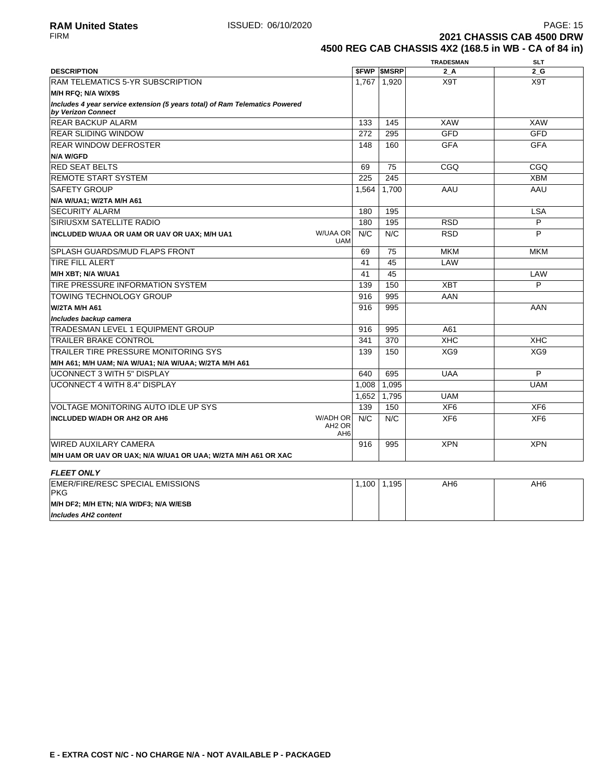**2021 CHASSIS CAB 4500 DRW 4500 REG CAB CHASSIS 4X2 (168.5 in WB - CA of 84 in)**

|                                                                                                   |                                                          |       |                          | <b>TRADESMAN</b> | <b>SLT</b>      |
|---------------------------------------------------------------------------------------------------|----------------------------------------------------------|-------|--------------------------|------------------|-----------------|
| <b>DESCRIPTION</b>                                                                                |                                                          |       | <b><i>SFWP SMSRP</i></b> | $2_A$            | 2G              |
| <b>RAM TELEMATICS 5-YR SUBSCRIPTION</b>                                                           |                                                          | 1,767 | 1,920                    | X9T              | X9T             |
| M/H RFQ; N/A W/X9S                                                                                |                                                          |       |                          |                  |                 |
| Includes 4 year service extension (5 years total) of Ram Telematics Powered<br>by Verizon Connect |                                                          |       |                          |                  |                 |
| <b>REAR BACKUP ALARM</b>                                                                          |                                                          | 133   | 145                      | <b>XAW</b>       | <b>XAW</b>      |
| <b>REAR SLIDING WINDOW</b>                                                                        |                                                          | 272   | 295                      | <b>GFD</b>       | <b>GFD</b>      |
| <b>REAR WINDOW DEFROSTER</b>                                                                      |                                                          | 148   | 160                      | <b>GFA</b>       | <b>GFA</b>      |
| <b>N/A W/GFD</b>                                                                                  |                                                          |       |                          |                  |                 |
| <b>RED SEAT BELTS</b>                                                                             |                                                          | 69    | 75                       | CGQ              | CGQ             |
| <b>REMOTE START SYSTEM</b>                                                                        |                                                          | 225   | 245                      |                  | <b>XBM</b>      |
| <b>SAFETY GROUP</b>                                                                               |                                                          | 1,564 | 1,700                    | AAU              | AAU             |
| N/A W/UA1; W/2TA M/H A61                                                                          |                                                          |       |                          |                  |                 |
| <b>SECURITY ALARM</b>                                                                             |                                                          | 180   | 195                      |                  | <b>LSA</b>      |
| <b>SIRIUSXM SATELLITE RADIO</b>                                                                   |                                                          | 180   | 195                      | <b>RSD</b>       | P               |
| INCLUDED W/UAA OR UAM OR UAV OR UAX; M/H UA1                                                      | <b>W/UAA OR</b><br><b>UAM</b>                            | N/C   | N/C                      | <b>RSD</b>       | P               |
| <b>SPLASH GUARDS/MUD FLAPS FRONT</b>                                                              |                                                          | 69    | 75                       | <b>MKM</b>       | <b>MKM</b>      |
| <b>TIRE FILL ALERT</b>                                                                            |                                                          | 41    | 45                       | LAW              |                 |
| M/H XBT; N/A W/UA1                                                                                |                                                          | 41    | 45                       |                  | LAW             |
| TIRE PRESSURE INFORMATION SYSTEM                                                                  |                                                          | 139   | 150                      | <b>XBT</b>       | P               |
| <b>TOWING TECHNOLOGY GROUP</b>                                                                    |                                                          | 916   | 995                      | AAN              |                 |
| W/2TA M/H A61                                                                                     |                                                          | 916   | 995                      |                  | AAN             |
| Includes backup camera                                                                            |                                                          |       |                          |                  |                 |
| TRADESMAN LEVEL 1 EQUIPMENT GROUP                                                                 |                                                          | 916   | 995                      | A61              |                 |
| <b>TRAILER BRAKE CONTROL</b>                                                                      |                                                          | 341   | 370                      | <b>XHC</b>       | <b>XHC</b>      |
| <b>TRAILER TIRE PRESSURE MONITORING SYS</b>                                                       |                                                          | 139   | 150                      | XG9              | XG9             |
| M/H A61; M/H UAM; N/A W/UA1; N/A W/UAA; W/2TA M/H A61                                             |                                                          |       |                          |                  |                 |
| <b>UCONNECT 3 WITH 5" DISPLAY</b>                                                                 |                                                          | 640   | 695                      | <b>UAA</b>       | P               |
| <b>UCONNECT 4 WITH 8.4" DISPLAY</b>                                                               |                                                          | 1.008 | 1,095                    |                  | <b>UAM</b>      |
|                                                                                                   |                                                          | 1,652 | 1,795                    | <b>UAM</b>       |                 |
| VOLTAGE MONITORING AUTO IDLE UP SYS                                                               |                                                          | 139   | 150                      | XF <sub>6</sub>  | XF <sub>6</sub> |
| <b>INCLUDED W/ADH OR AH2 OR AH6</b>                                                               | <b>W/ADH OR</b><br>AH <sub>2</sub> OR<br>AH <sub>6</sub> | N/C   | N/C                      | XF <sub>6</sub>  | XF <sub>6</sub> |
| <b>WIRED AUXILARY CAMERA</b>                                                                      |                                                          | 916   | 995                      | <b>XPN</b>       | <b>XPN</b>      |
| M/H UAM OR UAV OR UAX; N/A W/UA1 OR UAA; W/2TA M/H A61 OR XAC                                     |                                                          |       |                          |                  |                 |
| <b>FLEET ONLY</b>                                                                                 |                                                          |       |                          |                  |                 |
| <b>EMER/FIRE/RESC SPECIAL EMISSIONS</b>                                                           |                                                          |       | $1100$ $1105$            | $\triangle H$    | $\Delta H$      |

| EMER/FIRE/RESC SPECIAL EMISSIONS<br><b>IPKG</b> | .100 | .195، | AH <sub>6</sub> | AH <sub>6</sub> |
|-------------------------------------------------|------|-------|-----------------|-----------------|
| M/H DF2; M/H ETN; N/A W/DF3; N/A W/ESB          |      |       |                 |                 |
| Includes AH2 content                            |      |       |                 |                 |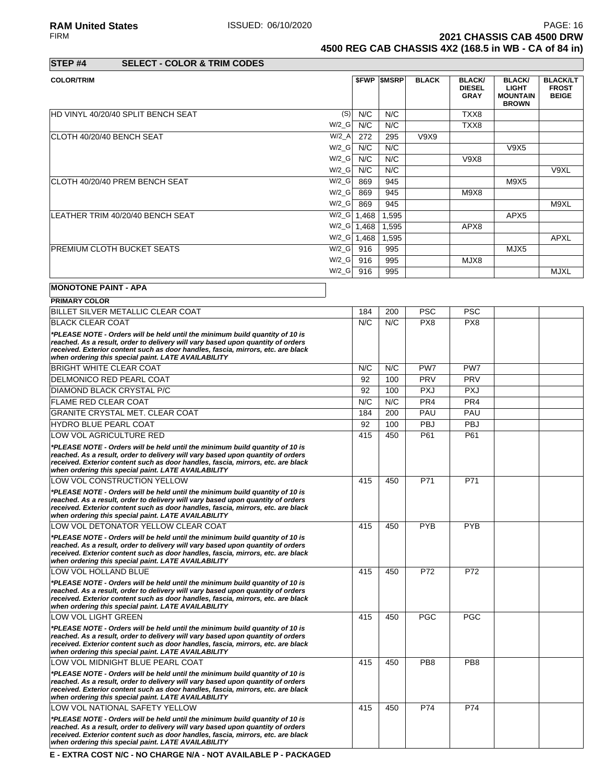**RAM United States** PAGE: 16<br>FIRM **PAGE: 16**<br>**2021 CHASSIS CAB 4500 DRW 2021 CHASSIS CAB 4500 DRW 4500 REG CAB CHASSIS 4X2 (168.5 in WB - CA of 84 in)**

**STEP #4 SELECT - COLOR & TRIM CODES**

| <b>COLOR/TRIM</b>                  |         |       | <b>\$FWP \$MSRP</b> | <b>BLACK</b> | <b>BLACK/</b><br><b>DIESEL</b><br><b>GRAY</b> | <b>BLACK/</b><br><b>LIGHT</b><br><b>MOUNTAIN</b><br><b>BROWN</b> | <b>BLACK/LT</b><br><b>FROST</b><br><b>BEIGE</b> |
|------------------------------------|---------|-------|---------------------|--------------|-----------------------------------------------|------------------------------------------------------------------|-------------------------------------------------|
| HD VINYL 40/20/40 SPLIT BENCH SEAT | (S)     | N/C   | N/C                 |              | TXX8                                          |                                                                  |                                                 |
|                                    | $W/2_G$ | N/C   | N/C                 |              | TXX8                                          |                                                                  |                                                 |
| ICLOTH 40/20/40 BENCH SEAT         | $W/2_A$ | 272   | 295                 | V9X9         |                                               |                                                                  |                                                 |
|                                    | $W/2_G$ | N/C   | N/C                 |              |                                               | V9X5                                                             |                                                 |
|                                    | $W/2_G$ | N/C   | N/C                 |              | V9X8                                          |                                                                  |                                                 |
|                                    | $W/2_G$ | N/C   | N/C                 |              |                                               |                                                                  | V9XL                                            |
| ICLOTH 40/20/40 PREM BENCH SEAT    | $W/2_G$ | 869   | 945                 |              |                                               | M9X5                                                             |                                                 |
|                                    | $W/2_G$ | 869   | 945                 |              | M9X8                                          |                                                                  |                                                 |
|                                    | $W/2_G$ | 869   | 945                 |              |                                               |                                                                  | M9XL                                            |
| LEATHER TRIM 40/20/40 BENCH SEAT   | $W/2_G$ | 1,468 | 1,595               |              |                                               | APX <sub>5</sub>                                                 |                                                 |
|                                    | $W/2_G$ | 1,468 | 1,595               |              | APX8                                          |                                                                  |                                                 |
|                                    | $W/2_G$ | 1,468 | 1,595               |              |                                               |                                                                  | <b>APXL</b>                                     |
| <b>PREMIUM CLOTH BUCKET SEATS</b>  | $W/2_G$ | 916   | 995                 |              |                                               | MJX5                                                             |                                                 |
|                                    | $W/2_G$ | 916   | 995                 |              | MJX8                                          |                                                                  |                                                 |
|                                    | $W/2_G$ | 916   | 995                 |              |                                               |                                                                  | <b>MJXL</b>                                     |

# **MONOTONE PAINT - APA**

| <b>PRIMARY COLOR</b>                                                                                                                                                                                                                                                                                       |     |     |                 |                 |  |
|------------------------------------------------------------------------------------------------------------------------------------------------------------------------------------------------------------------------------------------------------------------------------------------------------------|-----|-----|-----------------|-----------------|--|
| BILLET SILVER METALLIC CLEAR COAT                                                                                                                                                                                                                                                                          | 184 | 200 | <b>PSC</b>      | <b>PSC</b>      |  |
| <b>BLACK CLEAR COAT</b>                                                                                                                                                                                                                                                                                    | N/C | N/C | PX8             | PX8             |  |
| *PLEASE NOTE - Orders will be held until the minimum build quantity of 10 is<br>reached. As a result, order to delivery will vary based upon quantity of orders<br>received. Exterior content such as door handles, fascia, mirrors, etc. are black<br>when ordering this special paint. LATE AVAILABILITY |     |     |                 |                 |  |
| <b>BRIGHT WHITE CLEAR COAT</b>                                                                                                                                                                                                                                                                             | N/C | N/C | PW7             | PW7             |  |
| DELMONICO RED PEARL COAT                                                                                                                                                                                                                                                                                   | 92  | 100 | <b>PRV</b>      | PRV             |  |
| DIAMOND BLACK CRYSTAL P/C                                                                                                                                                                                                                                                                                  | 92  | 100 | <b>PXJ</b>      | <b>PXJ</b>      |  |
| <b>FLAME RED CLEAR COAT</b>                                                                                                                                                                                                                                                                                | N/C | N/C | PR <sub>4</sub> | PR4             |  |
| GRANITE CRYSTAL MET. CLEAR COAT                                                                                                                                                                                                                                                                            | 184 | 200 | PAU             | PAU             |  |
| <b>HYDRO BLUE PEARL COAT</b>                                                                                                                                                                                                                                                                               | 92  | 100 | <b>PBJ</b>      | <b>PBJ</b>      |  |
| LOW VOL AGRICULTURE RED                                                                                                                                                                                                                                                                                    | 415 | 450 | P61             | P61             |  |
| *PLEASE NOTE - Orders will be held until the minimum build quantity of 10 is<br>reached. As a result, order to delivery will vary based upon quantity of orders<br>received. Exterior content such as door handles, fascia, mirrors, etc. are black<br>when ordering this special paint. LATE AVAILABILITY |     |     |                 |                 |  |
| LOW VOL CONSTRUCTION YELLOW                                                                                                                                                                                                                                                                                | 415 | 450 | P71             | P71             |  |
| *PLEASE NOTE - Orders will be held until the minimum build quantity of 10 is<br>reached. As a result, order to delivery will vary based upon quantity of orders<br>received. Exterior content such as door handles, fascia, mirrors, etc. are black<br>when ordering this special paint. LATE AVAILABILITY |     |     |                 |                 |  |
| LOW VOL DETONATOR YELLOW CLEAR COAT                                                                                                                                                                                                                                                                        | 415 | 450 | <b>PYB</b>      | <b>PYB</b>      |  |
| *PLEASE NOTE - Orders will be held until the minimum build quantity of 10 is<br>reached. As a result, order to delivery will vary based upon quantity of orders<br>received. Exterior content such as door handles, fascia, mirrors, etc. are black<br>when ordering this special paint. LATE AVAILABILITY |     |     |                 |                 |  |
| LOW VOL HOLLAND BLUE                                                                                                                                                                                                                                                                                       | 415 | 450 | P72             | P72             |  |
| *PLEASE NOTE - Orders will be held until the minimum build quantity of 10 is<br>reached. As a result, order to delivery will vary based upon quantity of orders<br>received. Exterior content such as door handles, fascia, mirrors, etc. are black<br>when ordering this special paint. LATE AVAILABILITY |     |     |                 |                 |  |
| LOW VOL LIGHT GREEN                                                                                                                                                                                                                                                                                        | 415 | 450 | <b>PGC</b>      | <b>PGC</b>      |  |
| *PLEASE NOTE - Orders will be held until the minimum build quantity of 10 is<br>reached. As a result, order to delivery will vary based upon quantity of orders<br>received. Exterior content such as door handles, fascia, mirrors, etc. are black<br>when ordering this special paint. LATE AVAILABILITY |     |     |                 |                 |  |
| LOW VOL MIDNIGHT BLUE PEARL COAT                                                                                                                                                                                                                                                                           | 415 | 450 | PB <sub>8</sub> | PB <sub>8</sub> |  |
| *PLEASE NOTE - Orders will be held until the minimum build quantity of 10 is<br>reached. As a result, order to delivery will vary based upon quantity of orders<br>received. Exterior content such as door handles, fascia, mirrors, etc. are black<br>when ordering this special paint. LATE AVAILABILITY |     |     |                 |                 |  |
| LOW VOL NATIONAL SAFETY YELLOW                                                                                                                                                                                                                                                                             | 415 | 450 | P74             | P74             |  |
| *PLEASE NOTE - Orders will be held until the minimum build quantity of 10 is<br>reached. As a result, order to delivery will vary based upon quantity of orders<br>received. Exterior content such as door handles, fascia, mirrors, etc. are black<br>when ordering this special paint. LATE AVAILABILITY |     |     |                 |                 |  |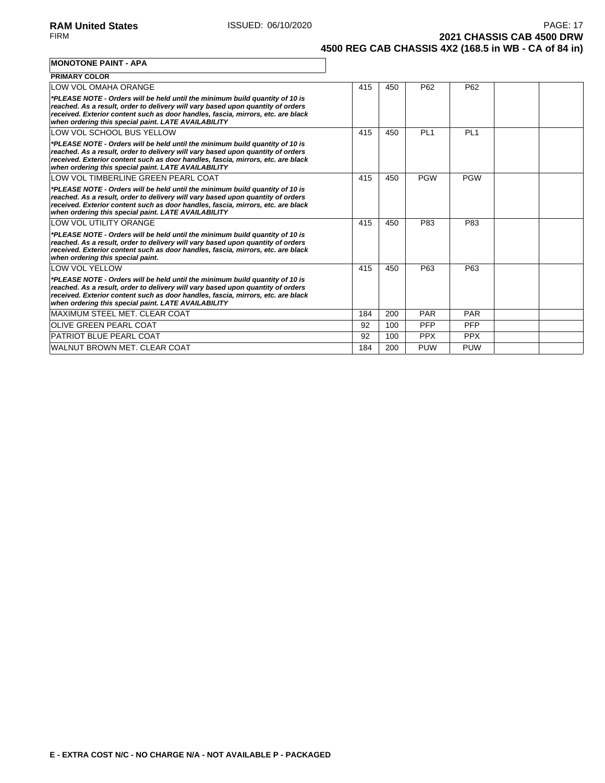**2021 CHASSIS CAB 4500 DRW 4500 REG CAB CHASSIS 4X2 (168.5 in WB - CA of 84 in)**

**MONOTONE PAINT - APA**

| <b>PRIMARY COLOR</b>                                                                                                                                                                                                                                                                                       |     |     |                 |                 |  |
|------------------------------------------------------------------------------------------------------------------------------------------------------------------------------------------------------------------------------------------------------------------------------------------------------------|-----|-----|-----------------|-----------------|--|
| LOW VOL OMAHA ORANGE                                                                                                                                                                                                                                                                                       | 415 | 450 | P <sub>62</sub> | P <sub>62</sub> |  |
| *PLEASE NOTE - Orders will be held until the minimum build quantity of 10 is<br>reached. As a result, order to delivery will vary based upon quantity of orders<br>received. Exterior content such as door handles, fascia, mirrors, etc. are black<br>when ordering this special paint. LATE AVAILABILITY |     |     |                 |                 |  |
| LOW VOL SCHOOL BUS YELLOW                                                                                                                                                                                                                                                                                  | 415 | 450 | PL <sub>1</sub> | PL <sub>1</sub> |  |
| *PLEASE NOTE - Orders will be held until the minimum build quantity of 10 is<br>reached. As a result, order to delivery will vary based upon quantity of orders<br>received. Exterior content such as door handles, fascia, mirrors, etc. are black<br>when ordering this special paint. LATE AVAILABILITY |     |     |                 |                 |  |
| LOW VOL TIMBERLINE GREEN PEARL COAT                                                                                                                                                                                                                                                                        | 415 | 450 | <b>PGW</b>      | <b>PGW</b>      |  |
| *PLEASE NOTE - Orders will be held until the minimum build quantity of 10 is<br>reached. As a result, order to delivery will vary based upon quantity of orders<br>received. Exterior content such as door handles, fascia, mirrors, etc. are black<br>when ordering this special paint. LATE AVAILABILITY |     |     |                 |                 |  |
| LOW VOL UTILITY ORANGE                                                                                                                                                                                                                                                                                     | 415 | 450 | P83             | P83             |  |
| *PLEASE NOTE - Orders will be held until the minimum build quantity of 10 is<br>reached. As a result, order to delivery will vary based upon quantity of orders<br>received. Exterior content such as door handles, fascia, mirrors, etc. are black<br>when ordering this special paint.                   |     |     |                 |                 |  |
| <b>LOW VOL YELLOW</b>                                                                                                                                                                                                                                                                                      | 415 | 450 | P63             | P63             |  |
| *PLEASE NOTE - Orders will be held until the minimum build quantity of 10 is<br>reached. As a result, order to delivery will vary based upon quantity of orders<br>received. Exterior content such as door handles, fascia, mirrors, etc. are black<br>when ordering this special paint. LATE AVAILABILITY |     |     |                 |                 |  |
| MAXIMUM STEEL MET. CLEAR COAT                                                                                                                                                                                                                                                                              | 184 | 200 | <b>PAR</b>      | <b>PAR</b>      |  |
| <b>OLIVE GREEN PEARL COAT</b>                                                                                                                                                                                                                                                                              | 92  | 100 | <b>PFP</b>      | PFP             |  |
| <b>PATRIOT BLUE PEARL COAT</b>                                                                                                                                                                                                                                                                             | 92  | 100 | <b>PPX</b>      | <b>PPX</b>      |  |
| WALNUT BROWN MET. CLEAR COAT                                                                                                                                                                                                                                                                               | 184 | 200 | <b>PUW</b>      | <b>PUW</b>      |  |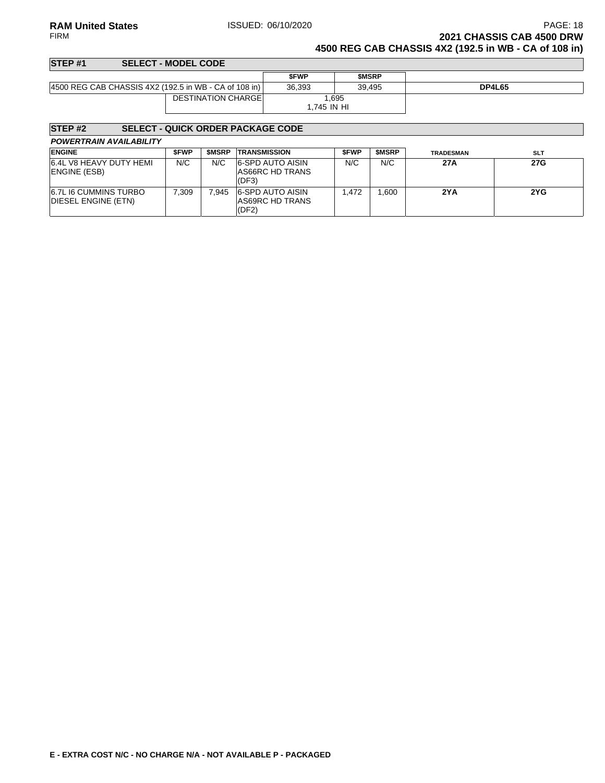### **RAM United States ISSUED: 06/10/2020 PAGE: 18 PAGE: 18** FIRM **2021 CHASSIS CAB 4500 DRW 4500 REG CAB CHASSIS 4X2 (192.5 in WB - CA of 108 in)**

### **STEP #1 SELECT - MODEL CODE \$FWP \$MSRP** 4500 REG CAB CHASSIS 4X2 (192.5 in WB - CA of 108 in) 36,393 39,495 **DP4L65** DESTINATION CHARGE 1,695 1,745 IN HI

# **STEP #2 SELECT - QUICK ORDER PACKAGE CODE**

| <b>POWERTRAIN AVAILABILITY</b> |  |
|--------------------------------|--|
|--------------------------------|--|

| <b>ENGINE</b>                                       | <b>SFWP</b> | <b>SMSRP</b> | <b>TRANSMISSION</b>                                        | <b>SFWP</b> | <b>SMSRP</b> | <b>TRADESMAN</b> | <b>SLT</b> |
|-----------------------------------------------------|-------------|--------------|------------------------------------------------------------|-------------|--------------|------------------|------------|
| 6.4L V8 HEAVY DUTY HEMI<br><b>ENGINE (ESB)</b>      | N/C         | N/C          | <b>6-SPD AUTO AISIN</b><br><b>AS66RC HD TRANS</b><br>(DF3) | N/C         | N/C          | 27A              | 27G        |
| <b>6.7L I6 CUMMINS TURBO</b><br>DIESEL ENGINE (ETN) | 7.309       | 7.945        | 6-SPD AUTO AISIN<br><b>AS69RC HD TRANS</b><br>(DF2)        | .472        | .600         | 2YA              | 2YG        |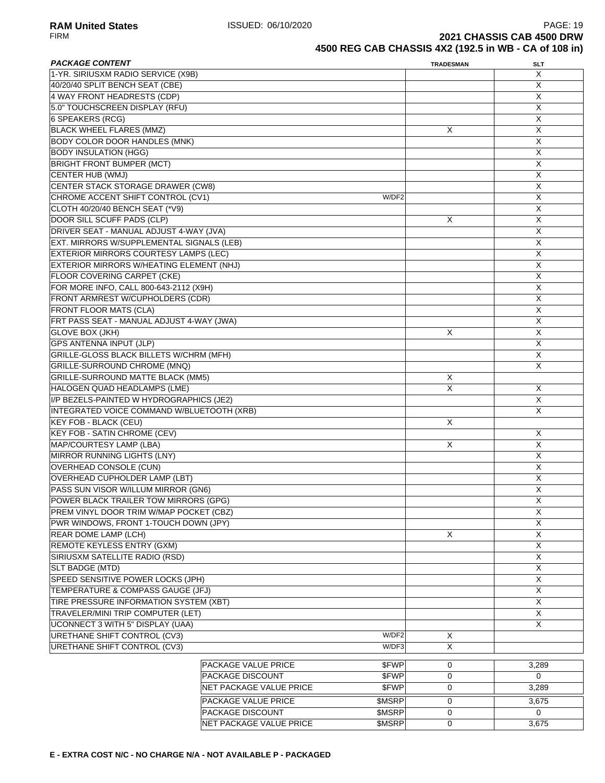**RAM United States** PAGE: 19<br>FIRM **PAGE: 19** PAGE: 19 ISSUED: 06/10/2020 **2021 CHASSIS CAB 4500 DRW 4500 REG CAB CHASSIS 4X2 (192.5 in WB - CA of 108 in)**

| <b>PACKAGE CONTENT</b>                         |                            |        | <b>TRADESMAN</b>        | SLT            |
|------------------------------------------------|----------------------------|--------|-------------------------|----------------|
| 1-YR. SIRIUSXM RADIO SERVICE (X9B)             |                            |        |                         | X              |
| 40/20/40 SPLIT BENCH SEAT (CBE)                |                            |        |                         | Χ              |
| 4 WAY FRONT HEADRESTS (CDP)                    |                            |        |                         | Χ              |
| 5.0" TOUCHSCREEN DISPLAY (RFU)                 |                            |        |                         | Χ              |
| 6 SPEAKERS (RCG)                               |                            |        |                         | X              |
| <b>BLACK WHEEL FLARES (MMZ)</b>                |                            |        | X                       | X              |
| <b>BODY COLOR DOOR HANDLES (MNK)</b>           |                            |        |                         | X              |
| <b>BODY INSULATION (HGG)</b>                   |                            |        |                         | X              |
| <b>BRIGHT FRONT BUMPER (MCT)</b>               |                            |        |                         | Χ              |
| CENTER HUB (WMJ)                               |                            |        |                         | X              |
| <b>CENTER STACK STORAGE DRAWER (CW8)</b>       |                            |        |                         | X              |
| CHROME ACCENT SHIFT CONTROL (CV1)              |                            | W/DF2  |                         | Χ              |
| CLOTH 40/20/40 BENCH SEAT (*V9)                |                            |        |                         | Χ              |
| DOOR SILL SCUFF PADS (CLP)                     |                            |        | X                       | Χ              |
| DRIVER SEAT - MANUAL ADJUST 4-WAY (JVA)        |                            |        |                         | X              |
|                                                |                            |        |                         |                |
| EXT. MIRRORS W/SUPPLEMENTAL SIGNALS (LEB)      |                            |        |                         | X              |
| EXTERIOR MIRRORS COURTESY LAMPS (LEC)          |                            |        |                         | $\overline{X}$ |
| EXTERIOR MIRRORS W/HEATING ELEMENT (NHJ)       |                            |        |                         | X              |
| <b>FLOOR COVERING CARPET (CKE)</b>             |                            |        |                         | Χ              |
| FOR MORE INFO, CALL 800-643-2112 (X9H)         |                            |        |                         | X              |
| <b>FRONT ARMREST W/CUPHOLDERS (CDR)</b>        |                            |        |                         | X              |
| <b>FRONT FLOOR MATS (CLA)</b>                  |                            |        |                         | X              |
| FRT PASS SEAT - MANUAL ADJUST 4-WAY (JWA)      |                            |        |                         | Χ              |
| <b>GLOVE BOX (JKH)</b>                         |                            |        | X                       | X              |
| <b>GPS ANTENNA INPUT (JLP)</b>                 |                            |        |                         | X              |
| <b>GRILLE-GLOSS BLACK BILLETS W/CHRM (MFH)</b> |                            |        |                         | X              |
| <b>GRILLE-SURROUND CHROME (MNQ)</b>            |                            |        |                         | X              |
| <b>GRILLE-SURROUND MATTE BLACK (MM5)</b>       |                            |        | Х                       |                |
| HALOGEN QUAD HEADLAMPS (LME)                   |                            |        | X                       | Χ              |
| I/P BEZELS-PAINTED W HYDROGRAPHICS (JE2)       |                            |        |                         | X              |
| INTEGRATED VOICE COMMAND W/BLUETOOTH (XRB)     |                            |        |                         | Χ              |
| <b>KEY FOB - BLACK (CEU)</b>                   |                            |        | X                       |                |
| <b>KEY FOB - SATIN CHROME (CEV)</b>            |                            |        |                         | X              |
| MAP/COURTESY LAMP (LBA)                        |                            |        | X                       | X              |
| MIRROR RUNNING LIGHTS (LNY)                    |                            |        |                         | X              |
| <b>OVERHEAD CONSOLE (CUN)</b>                  |                            |        |                         | X              |
| OVERHEAD CUPHOLDER LAMP (LBT)                  |                            |        |                         | Χ              |
| PASS SUN VISOR W/ILLUM MIRROR (GN6)            |                            |        |                         | X              |
| POWER BLACK TRAILER TOW MIRRORS (GPG)          |                            |        |                         | $\overline{X}$ |
| PREM VINYL DOOR TRIM W/MAP POCKET (CBZ)        |                            |        |                         | Χ              |
| PWR WINDOWS, FRONT 1-TOUCH DOWN (JPY)          |                            |        |                         | X              |
| <b>REAR DOME LAMP (LCH)</b>                    |                            |        | X                       | X              |
| <b>REMOTE KEYLESS ENTRY (GXM)</b>              |                            |        |                         | X              |
| SIRIUSXM SATELLITE RADIO (RSD)                 |                            |        |                         |                |
|                                                |                            |        |                         | X              |
| SLT BADGE (MTD)                                |                            |        |                         | X              |
| SPEED SENSITIVE POWER LOCKS (JPH)              |                            |        |                         | X              |
| TEMPERATURE & COMPASS GAUGE (JFJ)              |                            |        |                         | Χ              |
| TIRE PRESSURE INFORMATION SYSTEM (XBT)         |                            |        |                         | X              |
| TRAVELER/MINI TRIP COMPUTER (LET)              |                            |        |                         | X              |
| UCONNECT 3 WITH 5" DISPLAY (UAA)               |                            |        |                         | X              |
| URETHANE SHIFT CONTROL (CV3)                   |                            | W/DF2  | Χ                       |                |
| URETHANE SHIFT CONTROL (CV3)                   |                            | W/DF3  | $\overline{\mathsf{x}}$ |                |
|                                                | <b>PACKAGE VALUE PRICE</b> | \$FWP  | 0                       | 3,289          |
|                                                | <b>PACKAGE DISCOUNT</b>    | \$FWP  | 0                       | 0              |
|                                                | NET PACKAGE VALUE PRICE    | \$FWP  | 0                       | 3,289          |
|                                                |                            |        |                         |                |
|                                                | <b>PACKAGE VALUE PRICE</b> | \$MSRP | 0                       | 3,675          |
|                                                | PACKAGE DISCOUNT           | \$MSRP | 0                       | 0              |
|                                                | NET PACKAGE VALUE PRICE    | \$MSRP | 0                       | 3,675          |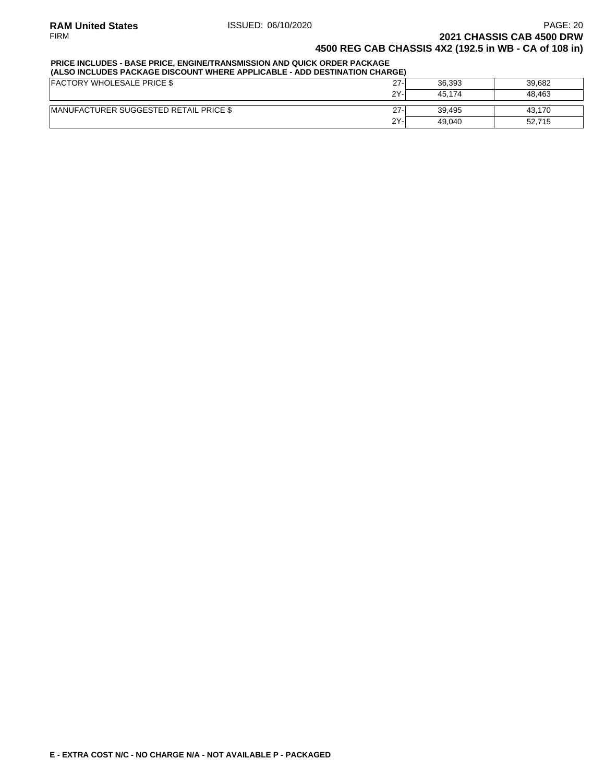# **PRICE INCLUDES - BASE PRICE, ENGINE/TRANSMISSION AND QUICK ORDER PACKAGE**

| (ALSO INCLUDES PACKAGE DISCOUNT WHERE APPLICABLE - ADD DESTINATION CHARGE) |        |        |        |  |  |  |  |  |
|----------------------------------------------------------------------------|--------|--------|--------|--|--|--|--|--|
| <b>FACTORY WHOLESALE PRICE \$</b>                                          | $27 -$ | 36.393 | 39.682 |  |  |  |  |  |
|                                                                            | 2Y-    | 45.174 | 48.463 |  |  |  |  |  |
| <b>IMANUFACTURER SUGGESTED RETAIL PRICE \$</b>                             | $27 -$ | 39.495 | 43.170 |  |  |  |  |  |
|                                                                            | 2Y-    | 49.040 | 52.715 |  |  |  |  |  |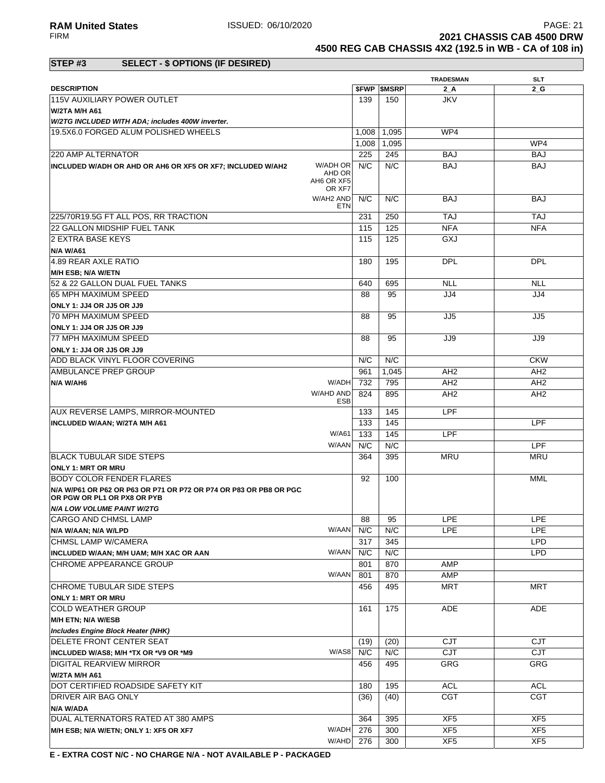**RAM United States ISSUED: 06/10/2020** PAGE: 21<br>FIRM **PAGE: 21 2021 CHASSIS CAB 4500 DRW** 

**TRADESMAN SLT**

**4500 REG CAB CHASSIS 4X2 (192.5 in WB - CA of 108 in)**

W/AHD 276 300 XF5 XF5

### **STEP #3 SELECT - \$ OPTIONS (IF DESIRED)**

| <b>DESCRIPTION</b>                                                                               |                                            |            | <b><i>SFWP SMSRP</i></b> | $2_A$           | 2 G             |
|--------------------------------------------------------------------------------------------------|--------------------------------------------|------------|--------------------------|-----------------|-----------------|
| 115V AUXILIARY POWER OUTLET                                                                      |                                            | 139        | 150                      | <b>JKV</b>      |                 |
| <b>W/2TA M/H A61</b>                                                                             |                                            |            |                          |                 |                 |
| W/2TG INCLUDED WITH ADA; includes 400W inverter.                                                 |                                            |            |                          |                 |                 |
| 19.5X6.0 FORGED ALUM POLISHED WHEELS                                                             |                                            | 1,008      | 1,095                    | WP4             |                 |
|                                                                                                  |                                            | 1,008      | 1,095                    |                 | WP4             |
| 220 AMP ALTERNATOR                                                                               |                                            | 225        | 245                      | <b>BAJ</b>      | <b>BAJ</b>      |
| INCLUDED W/ADH OR AHD OR AH6 OR XF5 OR XF7; INCLUDED W/AH2                                       | W/ADH OR<br>AHD OR<br>AH6 OR XF5<br>OR XF7 | N/C        | N/C                      | <b>BAJ</b>      | <b>BAJ</b>      |
|                                                                                                  | W/AH2 AND<br><b>ETN</b>                    | N/C        | N/C                      | <b>BAJ</b>      | BAJ             |
| 225/70R19.5G FT ALL POS, RR TRACTION                                                             |                                            | 231        | 250                      | <b>TAJ</b>      | <b>TAJ</b>      |
| <b>22 GALLON MIDSHIP FUEL TANK</b>                                                               |                                            | 115        | 125                      | <b>NFA</b>      | <b>NFA</b>      |
| <b>2 EXTRA BASE KEYS</b>                                                                         |                                            | 115        | 125                      | GXJ             |                 |
| <b>N/A W/A61</b>                                                                                 |                                            |            |                          |                 |                 |
| 4.89 REAR AXLE RATIO                                                                             |                                            | 180        | 195                      | <b>DPL</b>      | <b>DPL</b>      |
| M/H ESB; N/A W/ETN                                                                               |                                            |            |                          |                 |                 |
| 52 & 22 GALLON DUAL FUEL TANKS                                                                   |                                            | 640        | 695                      | <b>NLL</b>      | <b>NLL</b>      |
| 65 MPH MAXIMUM SPEED                                                                             |                                            | 88         | 95                       | JJ4             | JJ4             |
| ONLY 1: JJ4 OR JJ5 OR JJ9                                                                        |                                            |            |                          |                 |                 |
| 70 MPH MAXIMUM SPEED                                                                             |                                            | 88         | 95                       | JJ5             | JJ <sub>5</sub> |
| <b>ONLY 1: JJ4 OR JJ5 OR JJ9</b>                                                                 |                                            |            |                          |                 |                 |
| 77 MPH MAXIMUM SPEED                                                                             |                                            | 88         | 95                       | JJ9             | JJ9             |
| ONLY 1: JJ4 OR JJ5 OR JJ9                                                                        |                                            |            |                          |                 |                 |
| <b>ADD BLACK VINYL FLOOR COVERING</b>                                                            |                                            | N/C        | N/C                      |                 | <b>CKW</b>      |
| AMBULANCE PREP GROUP                                                                             |                                            | 961        | 1,045                    | AH <sub>2</sub> | AH <sub>2</sub> |
| N/A W/AH6                                                                                        | W/ADH                                      | 732        | 795                      | AH <sub>2</sub> | AH <sub>2</sub> |
|                                                                                                  | W/AHD AND                                  | 824        | 895                      | AH <sub>2</sub> | AH <sub>2</sub> |
|                                                                                                  | ESB                                        |            |                          |                 |                 |
| AUX REVERSE LAMPS, MIRROR-MOUNTED                                                                |                                            | 133        | 145                      | <b>LPF</b>      |                 |
| INCLUDED W/AAN; W/2TA M/H A61                                                                    | W/A61                                      | 133        | 145                      |                 | LPF             |
|                                                                                                  | W/AAN                                      | 133<br>N/C | 145<br>N/C               | <b>LPF</b>      |                 |
|                                                                                                  |                                            |            |                          |                 | <b>LPF</b>      |
| <b>BLACK TUBULAR SIDE STEPS</b>                                                                  |                                            | 364        | 395                      | <b>MRU</b>      | <b>MRU</b>      |
| <b>ONLY 1: MRT OR MRU</b><br><b>BODY COLOR FENDER FLARES</b>                                     |                                            | 92         | 100                      |                 | MML             |
| N/A W/P61 OR P62 OR P63 OR P71 OR P72 OR P74 OR P83 OR PB8 OR PGC<br>OR PGW OR PL1 OR PX8 OR PYB |                                            |            |                          |                 |                 |
| <b>N/A LOW VOLUME PAINT W/2TG</b>                                                                |                                            |            |                          |                 |                 |
| <b>CARGO AND CHMSL LAMP</b>                                                                      |                                            | 88         | 95                       | <b>LPE</b>      | <b>LPE</b>      |
| N/A W/AAN; N/A W/LPD                                                                             | W/AAN N/C N/C                              |            |                          | <b>LPE</b>      | <b>LPE</b>      |
| CHMSL LAMP W/CAMERA                                                                              |                                            | 317        | 345                      |                 | <b>LPD</b>      |
| INCLUDED W/AAN; M/H UAM; M/H XAC OR AAN                                                          | W/AAN                                      | N/C        | N/C                      |                 | <b>LPD</b>      |
| CHROME APPEARANCE GROUP                                                                          |                                            | 801        | 870                      | <b>AMP</b>      |                 |
|                                                                                                  | W/AAN                                      | 801        | 870                      | AMP             |                 |
| CHROME TUBULAR SIDE STEPS                                                                        |                                            | 456        | 495                      | MRT             | <b>MRT</b>      |
| <b>ONLY 1: MRT OR MRU</b>                                                                        |                                            |            |                          |                 |                 |
| <b>COLD WEATHER GROUP</b>                                                                        |                                            | 161        | 175                      | <b>ADE</b>      | <b>ADE</b>      |
| M/H ETN; N/A W/ESB                                                                               |                                            |            |                          |                 |                 |
| Includes Engine Block Heater (NHK)                                                               |                                            |            |                          |                 |                 |
| DELETE FRONT CENTER SEAT                                                                         |                                            | (19)       | (20)                     | <b>CJT</b>      | <b>CJT</b>      |
| INCLUDED W/AS8; M/H *TX OR *V9 OR *M9                                                            | W/AS8                                      | N/C        | N/C                      | <b>CJT</b>      | <b>CJT</b>      |
| DIGITAL REARVIEW MIRROR                                                                          |                                            | 456        | 495                      | GRG             | <b>GRG</b>      |
| W/2TA M/H A61                                                                                    |                                            |            |                          |                 |                 |
| DOT CERTIFIED ROADSIDE SAFETY KIT                                                                |                                            | 180        | 195                      | <b>ACL</b>      | ACL             |
| DRIVER AIR BAG ONLY                                                                              |                                            | (36)       | (40)                     | <b>CGT</b>      | <b>CGT</b>      |
| N/A W/ADA                                                                                        |                                            |            |                          |                 |                 |
| DUAL ALTERNATORS RATED AT 380 AMPS                                                               |                                            | 364        | 395                      | XF <sub>5</sub> | XF <sub>5</sub> |
| M/H ESB; N/A W/ETN; ONLY 1: XF5 OR XF7                                                           | W/ADH                                      | 276        | 300                      | XF <sub>5</sub> | XF <sub>5</sub> |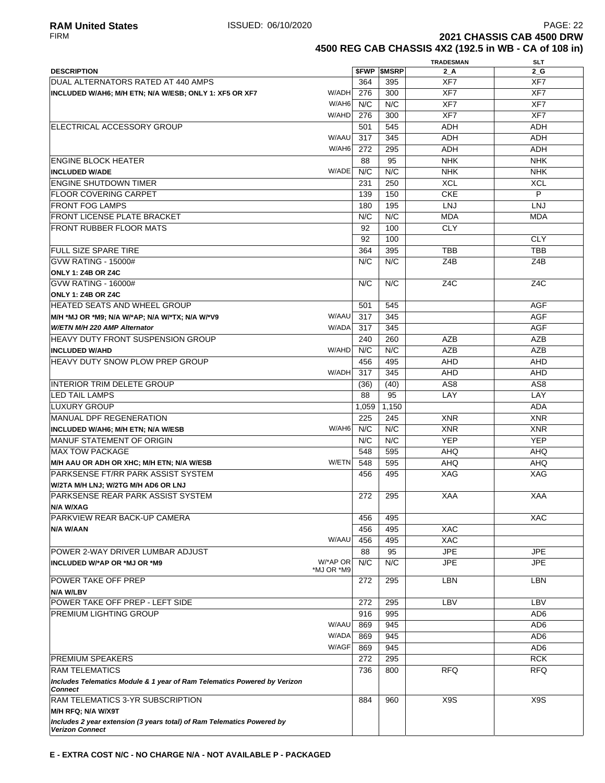**4500 REG CAB CHASSIS 4X2 (192.5 in WB - CA of 108 in)**

|                                                                                            |            |       |                          | <b>TRADESMAN</b> | <b>SLT</b>       |
|--------------------------------------------------------------------------------------------|------------|-------|--------------------------|------------------|------------------|
| <b>DESCRIPTION</b>                                                                         |            |       | <b><i>SFWP SMSRP</i></b> | 2 A              | $2_G$            |
| <b>IDUAL ALTERNATORS RATED AT 440 AMPS</b>                                                 |            | 364   | 395                      | XF7              | XF7              |
| INCLUDED W/AH6; M/H ETN; N/A W/ESB; ONLY 1: XF5 OR XF7                                     | W/ADH      | 276   | 300                      | XF7              | XF7              |
|                                                                                            | W/AH6      | N/C   | N/C                      | XF7              | XF7              |
|                                                                                            | W/AHD      | 276   | 300                      | XF7              | XF7              |
|                                                                                            |            |       |                          |                  |                  |
| <b>IELECTRICAL ACCESSORY GROUP</b>                                                         |            | 501   | 545                      | <b>ADH</b>       | <b>ADH</b>       |
|                                                                                            | W/AAU      | 317   | 345                      | ADH              | ADH              |
|                                                                                            | W/AH6      | 272   | 295                      | <b>ADH</b>       | <b>ADH</b>       |
| <b>ENGINE BLOCK HEATER</b>                                                                 |            | 88    | 95                       | <b>NHK</b>       | <b>NHK</b>       |
| <b>INCLUDED W/ADE</b>                                                                      | W/ADE      | N/C   | N/C                      | <b>NHK</b>       | <b>NHK</b>       |
| <b>ENGINE SHUTDOWN TIMER</b>                                                               |            | 231   | 250                      | <b>XCL</b>       | <b>XCL</b>       |
| <b>FLOOR COVERING CARPET</b>                                                               |            | 139   | 150                      | <b>CKE</b>       | P                |
| <b>FRONT FOG LAMPS</b>                                                                     |            | 180   | 195                      | LNJ              | <b>LNJ</b>       |
| <b>FRONT LICENSE PLATE BRACKET</b>                                                         |            | N/C   | N/C                      | <b>MDA</b>       | MDA              |
| <b>FRONT RUBBER FLOOR MATS</b>                                                             |            |       | 100                      | <b>CLY</b>       |                  |
|                                                                                            |            | 92    |                          |                  |                  |
|                                                                                            |            | 92    | 100                      |                  | <b>CLY</b>       |
| <b>FULL SIZE SPARE TIRE</b>                                                                |            | 364   | 395                      | <b>TBB</b>       | <b>TBB</b>       |
| <b>GVW RATING - 15000#</b>                                                                 |            | N/C   | N/C                      | Z4B              | Z4B              |
| <b>ONLY 1: Z4B OR Z4C</b>                                                                  |            |       |                          |                  |                  |
| <b>GVW RATING - 16000#</b>                                                                 |            | N/C   | N/C                      | Z <sub>4</sub> C | Z <sub>4</sub> C |
| ONLY 1: Z4B OR Z4C                                                                         |            |       |                          |                  |                  |
| <b>HEATED SEATS AND WHEEL GROUP</b>                                                        |            | 501   | 545                      |                  | <b>AGF</b>       |
| M/H *MJ OR *M9; N/A W/*AP; N/A W/*TX; N/A W/*V9                                            | W/AAU      | 317   | 345                      |                  | <b>AGF</b>       |
| W/ETN M/H 220 AMP Alternator                                                               | W/ADA      | 317   | 345                      |                  | <b>AGF</b>       |
| <b>HEAVY DUTY FRONT SUSPENSION GROUP</b>                                                   |            | 240   | 260                      | <b>AZB</b>       | AZB              |
|                                                                                            |            |       |                          |                  |                  |
| <b>INCLUDED W/AHD</b>                                                                      | W/AHD      | N/C   | N/C                      | <b>AZB</b>       | <b>AZB</b>       |
| <b>HEAVY DUTY SNOW PLOW PREP GROUP</b>                                                     |            | 456   | 495                      | <b>AHD</b>       | AHD              |
|                                                                                            | W/ADH      | 317   | 345                      | <b>AHD</b>       | <b>AHD</b>       |
| INTERIOR TRIM DELETE GROUP                                                                 |            | (36)  | (40)                     | AS <sub>8</sub>  | AS <sub>8</sub>  |
| <b>ILED TAIL LAMPS</b>                                                                     |            | 88    | 95                       | LAY              | LAY              |
| <b>LUXURY GROUP</b>                                                                        |            | 1,059 | 1,150                    |                  | <b>ADA</b>       |
| MANUAL DPF REGENERATION                                                                    |            | 225   | 245                      | <b>XNR</b>       | <b>XNR</b>       |
| <b>INCLUDED W/AH6; M/H ETN; N/A W/ESB</b>                                                  | W/AH6      | N/C   | N/C                      | <b>XNR</b>       | <b>XNR</b>       |
| MANUF STATEMENT OF ORIGIN                                                                  |            | N/C   | N/C                      | <b>YEP</b>       | <b>YEP</b>       |
| <b>MAX TOW PACKAGE</b>                                                                     |            | 548   | 595                      | <b>AHQ</b>       | <b>AHQ</b>       |
|                                                                                            | W/ETN      |       |                          |                  |                  |
| M/H AAU OR ADH OR XHC; M/H ETN; N/A W/ESB                                                  |            | 548   | 595                      | AHQ              | <b>AHQ</b>       |
| PARKSENSE FT/RR PARK ASSIST SYSTEM                                                         |            | 456   | 495                      | XAG              | XAG              |
| W/2TA M/H LNJ; W/2TG M/H AD6 OR LNJ                                                        |            |       |                          |                  |                  |
| <b>PARKSENSE REAR PARK ASSIST SYSTEM</b>                                                   |            | 272   | 295                      | <b>XAA</b>       | <b>XAA</b>       |
| N/A W/XAG                                                                                  |            |       |                          |                  |                  |
| PARKVIEW REAR BACK-UP CAMERA                                                               |            | 456   | 495                      |                  | <b>XAC</b>       |
| N/A W/AAN                                                                                  |            | 456   | 495                      | <b>XAC</b>       |                  |
|                                                                                            | W/AAU      | 456   | 495                      | <b>XAC</b>       |                  |
| POWER 2-WAY DRIVER LUMBAR ADJUST                                                           |            | 88    | 95                       | <b>JPE</b>       | <b>JPE</b>       |
| INCLUDED W/*AP OR *MJ OR *M9                                                               | W/*AP OR   | N/C   | N/C                      | <b>JPE</b>       | <b>JPE</b>       |
|                                                                                            | *MJ OR *M9 |       |                          |                  |                  |
| <b>POWER TAKE OFF PREP</b>                                                                 |            | 272   | 295                      | <b>LBN</b>       | <b>LBN</b>       |
| N/A W/LBV                                                                                  |            |       |                          |                  |                  |
| POWER TAKE OFF PREP - LEFT SIDE                                                            |            | 272   | 295                      | LBV              | LBV              |
| <b>PREMIUM LIGHTING GROUP</b>                                                              |            | 916   | 995                      |                  | AD <sub>6</sub>  |
|                                                                                            | W/AAU      | 869   | 945                      |                  | AD <sub>6</sub>  |
|                                                                                            | W/ADA      |       |                          |                  |                  |
|                                                                                            |            | 869   | 945                      |                  | AD <sub>6</sub>  |
|                                                                                            | W/AGF      | 869   | 945                      |                  | AD <sub>6</sub>  |
| <b>PREMIUM SPEAKERS</b>                                                                    |            | 272   | 295                      |                  | <b>RCK</b>       |
| <b>RAM TELEMATICS</b>                                                                      |            | 736   | 800                      | <b>RFQ</b>       | <b>RFQ</b>       |
| Includes Telematics Module & 1 year of Ram Telematics Powered by Verizon<br><b>Connect</b> |            |       |                          |                  |                  |
| RAM TELEMATICS 3-YR SUBSCRIPTION                                                           |            | 884   | 960                      | X9S              | X9S              |
| M/H RFQ; N/A W/X9T                                                                         |            |       |                          |                  |                  |
| Includes 2 year extension (3 years total) of Ram Telematics Powered by                     |            |       |                          |                  |                  |
| <b>Verizon Connect</b>                                                                     |            |       |                          |                  |                  |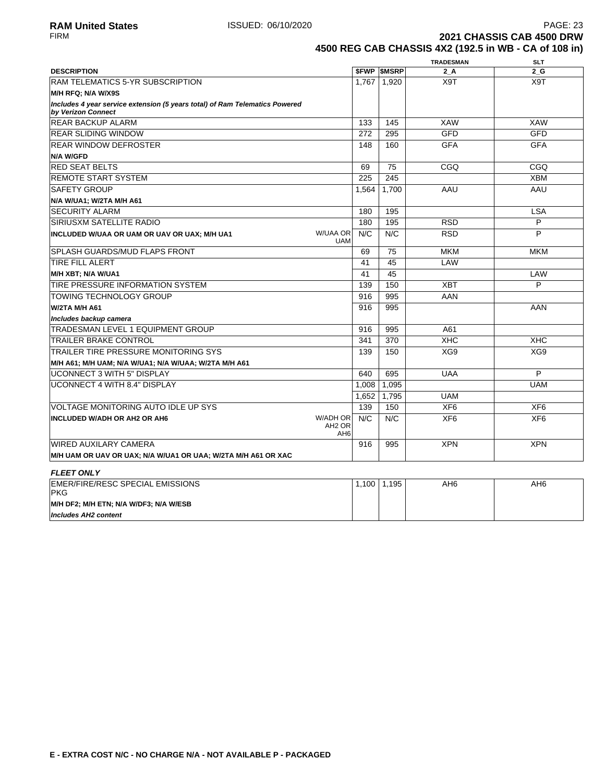VOLTAGE MONITORING AUTO IDLE UP SYS

EMER/FIRE/RESC SPECIAL EMISSIONS

**M/H DF2; M/H ETN; N/A W/DF3; N/A W/ESB**

**M/H UAM OR UAV OR UAX; N/A W/UA1 OR UAA; W/2TA M/H A61 OR XAC**

**INCLUDED W/ADH OR AH2 OR AH6**

WIRED AUXILARY CAMERA

**FLEET ONLY**

**Includes AH2 content**

**PKG** 

FIRM **2021 CHASSIS CAB 4500 DRW 4500 REG CAB CHASSIS 4X2 (192.5 in WB - CA of 108 in)**

139 150 XF6 XF6

N/C N/C XF6 XF6

916 995 XPN XPN

1,100 1,195 AH6 AH6

|                                                                                                   |                                      |              | <b>TRADESMAN</b> | <b>SLT</b> |
|---------------------------------------------------------------------------------------------------|--------------------------------------|--------------|------------------|------------|
| <b>DESCRIPTION</b>                                                                                | <b>SFWP</b>                          | <b>SMSRP</b> | 2A               | 2G         |
| <b>RAM TELEMATICS 5-YR SUBSCRIPTION</b>                                                           | 1.767                                | 1.920        | X9T              | X9T        |
| M/H RFQ; N/A W/X9S                                                                                |                                      |              |                  |            |
| Includes 4 year service extension (5 years total) of Ram Telematics Powered<br>by Verizon Connect |                                      |              |                  |            |
| <b>REAR BACKUP ALARM</b>                                                                          | 133                                  | 145          | <b>XAW</b>       | XAW        |
| <b>REAR SLIDING WINDOW</b>                                                                        | 272                                  | 295          | <b>GFD</b>       | <b>GFD</b> |
| <b>REAR WINDOW DEFROSTER</b>                                                                      | 148                                  | 160          | <b>GFA</b>       | <b>GFA</b> |
| <b>N/A W/GFD</b>                                                                                  |                                      |              |                  |            |
| <b>RED SEAT BELTS</b>                                                                             | 69                                   | 75           | CGO              | CGO        |
| <b>REMOTE START SYSTEM</b>                                                                        | 225                                  | 245          |                  | <b>XBM</b> |
| <b>SAFETY GROUP</b>                                                                               | 1.564                                | 1.700        | AAU              | AAU        |
| N/A W/UA1; W/2TA M/H A61                                                                          |                                      |              |                  |            |
| <b>SECURITY ALARM</b>                                                                             | 180                                  | 195          |                  | <b>LSA</b> |
| SIRIUSXM SATELLITE RADIO                                                                          | 180                                  | 195          | <b>RSD</b>       | P          |
| INCLUDED W/UAA OR UAM OR UAV OR UAX; M/H UA1                                                      | <b>W/UAA OR</b><br>N/C<br><b>UAM</b> | N/C          | <b>RSD</b>       | P          |
| <b>SPLASH GUARDS/MUD FLAPS FRONT</b>                                                              | 69                                   | 75           | <b>MKM</b>       | <b>MKM</b> |
| <b>TIRE FILL ALERT</b>                                                                            | 41                                   | 45           | LAW              |            |
| M/H XBT; N/A W/UA1                                                                                | 41                                   | 45           |                  | LAW        |
| TIRE PRESSURE INFORMATION SYSTEM                                                                  | 139                                  | 150          | <b>XBT</b>       | P          |
| <b>TOWING TECHNOLOGY GROUP</b>                                                                    | 916                                  | 995          | AAN              |            |
| W/2TA M/H A61                                                                                     | 916                                  | 995          |                  | AAN        |
| Includes backup camera                                                                            |                                      |              |                  |            |
| TRADESMAN LEVEL 1 EQUIPMENT GROUP                                                                 | 916                                  | 995          | A61              |            |
| <b>TRAILER BRAKE CONTROL</b>                                                                      | 341                                  | 370          | <b>XHC</b>       | <b>XHC</b> |
| TRAILER TIRE PRESSURE MONITORING SYS                                                              | 139                                  | 150          | XG9              | XG9        |
| M/H A61; M/H UAM; N/A W/UA1; N/A W/UAA; W/2TA M/H A61                                             |                                      |              |                  |            |
| <b>IUCONNECT 3 WITH 5" DISPLAY</b>                                                                | 640                                  | 695          | <b>UAA</b>       | P          |
| UCONNECT 4 WITH 8.4" DISPLAY                                                                      | 1,008                                | 1,095        |                  | <b>UAM</b> |
|                                                                                                   | 1.652                                | 1,795        | <b>UAM</b>       |            |

W/ADH OR AH2 OR AH6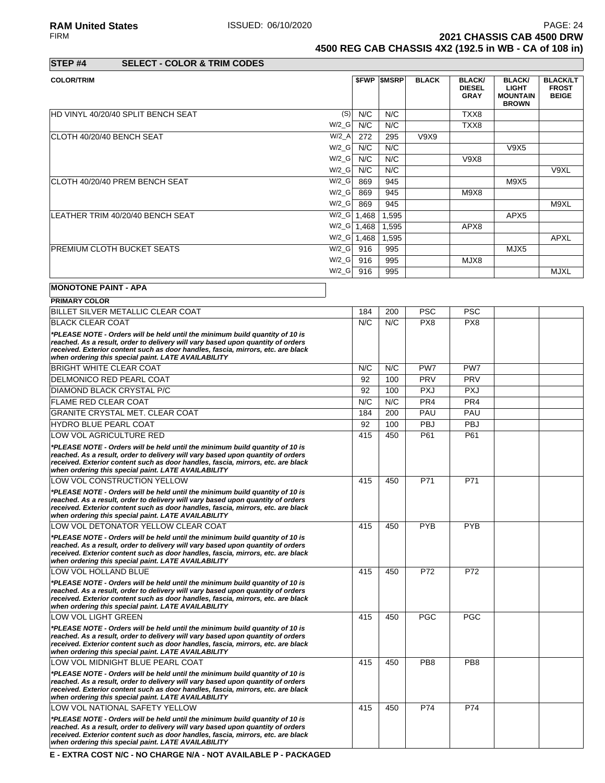**2021 CHASSIS CAB 4500 DRW** 

**4500 REG CAB CHASSIS 4X2 (192.5 in WB - CA of 108 in)**

| STEP #4 | <b>SELECT - COLOR &amp; TRIM CODES</b> |
|---------|----------------------------------------|

| <b>COLOR/TRIM</b>                         |                      |       | <b><i>SFWP SMSRP</i></b> | <b>BLACK</b> | <b>BLACK/</b><br><b>DIESEL</b><br><b>GRAY</b> | <b>BLACK/</b><br><b>LIGHT</b><br><b>MOUNTAIN</b><br><b>BROWN</b> | <b>BLACK/LT</b><br><b>FROST</b><br><b>BEIGE</b> |
|-------------------------------------------|----------------------|-------|--------------------------|--------------|-----------------------------------------------|------------------------------------------------------------------|-------------------------------------------------|
| <b>HD VINYL 40/20/40 SPLIT BENCH SEAT</b> | (S)                  | N/C   | N/C                      |              | TXX8                                          |                                                                  |                                                 |
|                                           | $W/2_G$              | N/C   | N/C                      |              | TXX8                                          |                                                                  |                                                 |
| ICLOTH 40/20/40 BENCH SEAT                | $W/2_A$              | 272   | 295                      | V9X9         |                                               |                                                                  |                                                 |
|                                           | $W/2_G$              | N/C   | N/C                      |              |                                               | V9X5                                                             |                                                 |
|                                           | $W/2$ <sub>_</sub> G | N/C   | N/C                      |              | V9X8                                          |                                                                  |                                                 |
|                                           | $W/2_G$              | N/C   | N/C                      |              |                                               |                                                                  | V9XL                                            |
| ICLOTH 40/20/40 PREM BENCH SEAT           | $W/2_G$              | 869   | 945                      |              |                                               | M9X5                                                             |                                                 |
|                                           | $W/2_G$              | 869   | 945                      |              | M9X8                                          |                                                                  |                                                 |
|                                           | $W/2_G$              | 869   | 945                      |              |                                               |                                                                  | M9XL                                            |
| LEATHER TRIM 40/20/40 BENCH SEAT          | $W/2_G$              | 1,468 | 1,595                    |              |                                               | APX <sub>5</sub>                                                 |                                                 |
|                                           | $W/2_G$              | 1,468 | 1,595                    |              | APX8                                          |                                                                  |                                                 |
|                                           | $W/2_G$              | 1,468 | 1,595                    |              |                                               |                                                                  | <b>APXL</b>                                     |
| <b>PREMIUM CLOTH BUCKET SEATS</b>         | $W/2_G$              | 916   | 995                      |              |                                               | MJX5                                                             |                                                 |
|                                           | $W/2_G$              | 916   | 995                      |              | MJX8                                          |                                                                  |                                                 |
|                                           | $W/2_G$              | 916   | 995                      |              |                                               |                                                                  | <b>MJXL</b>                                     |
| <b>MONOTONE PAINT - APA</b>               |                      |       |                          |              |                                               |                                                                  |                                                 |

| <b>PRIMARY COLOR</b>                                                                                                                                                |     |     |                 |                 |  |
|---------------------------------------------------------------------------------------------------------------------------------------------------------------------|-----|-----|-----------------|-----------------|--|
| BILLET SILVER METALLIC CLEAR COAT                                                                                                                                   | 184 | 200 | <b>PSC</b>      | <b>PSC</b>      |  |
| <b>BLACK CLEAR COAT</b>                                                                                                                                             | N/C | N/C | PX8             | PX <sub>8</sub> |  |
| *PLEASE NOTE - Orders will be held until the minimum build quantity of 10 is                                                                                        |     |     |                 |                 |  |
| reached. As a result, order to delivery will vary based upon quantity of orders<br>received. Exterior content such as door handles, fascia, mirrors, etc. are black |     |     |                 |                 |  |
| when ordering this special paint. LATE AVAILABILITY                                                                                                                 |     |     |                 |                 |  |
| <b>BRIGHT WHITE CLEAR COAT</b>                                                                                                                                      | N/C | N/C | PW7             | PW7             |  |
| DELMONICO RED PEARL COAT                                                                                                                                            | 92  | 100 | <b>PRV</b>      | <b>PRV</b>      |  |
| <b>DIAMOND BLACK CRYSTAL P/C</b>                                                                                                                                    | 92  | 100 | <b>PXJ</b>      | <b>PXJ</b>      |  |
| <b>FLAME RED CLEAR COAT</b>                                                                                                                                         | N/C | N/C | PR <sub>4</sub> | PR <sub>4</sub> |  |
| <b>GRANITE CRYSTAL MET. CLEAR COAT</b>                                                                                                                              | 184 | 200 | PAU             | PAU             |  |
| <b>HYDRO BLUE PEARL COAT</b>                                                                                                                                        | 92  | 100 | PBJ             | PBJ             |  |
| LOW VOL AGRICULTURE RED                                                                                                                                             | 415 | 450 | P61             | P61             |  |
| *PLEASE NOTE - Orders will be held until the minimum build quantity of 10 is                                                                                        |     |     |                 |                 |  |
| reached. As a result, order to delivery will vary based upon quantity of orders<br>received. Exterior content such as door handles, fascia, mirrors, etc. are black |     |     |                 |                 |  |
| when ordering this special paint. LATE AVAILABILITY                                                                                                                 |     |     |                 |                 |  |
| LOW VOL CONSTRUCTION YELLOW                                                                                                                                         | 415 | 450 | P71             | P71             |  |
| *PLEASE NOTE - Orders will be held until the minimum build quantity of 10 is                                                                                        |     |     |                 |                 |  |
| reached. As a result, order to delivery will vary based upon quantity of orders                                                                                     |     |     |                 |                 |  |
| received. Exterior content such as door handles, fascia, mirrors, etc. are black<br>when ordering this special paint. LATE AVAILABILITY                             |     |     |                 |                 |  |
| LOW VOL DETONATOR YELLOW CLEAR COAT                                                                                                                                 | 415 | 450 | <b>PYB</b>      | <b>PYB</b>      |  |
| *PLEASE NOTE - Orders will be held until the minimum build quantity of 10 is                                                                                        |     |     |                 |                 |  |
| reached. As a result, order to delivery will vary based upon quantity of orders                                                                                     |     |     |                 |                 |  |
| received. Exterior content such as door handles, fascia, mirrors, etc. are black<br>when ordering this special paint. LATE AVAILABILITY                             |     |     |                 |                 |  |
| LOW VOL HOLLAND BLUE                                                                                                                                                | 415 | 450 | P72             | P72             |  |
| *PLEASE NOTE - Orders will be held until the minimum build quantity of 10 is                                                                                        |     |     |                 |                 |  |
| reached. As a result, order to delivery will vary based upon quantity of orders                                                                                     |     |     |                 |                 |  |
| received. Exterior content such as door handles, fascia, mirrors, etc. are black<br>when ordering this special paint. LATE AVAILABILITY                             |     |     |                 |                 |  |
| LOW VOL LIGHT GREEN                                                                                                                                                 | 415 | 450 | <b>PGC</b>      | <b>PGC</b>      |  |
| *PLEASE NOTE - Orders will be held until the minimum build quantity of 10 is                                                                                        |     |     |                 |                 |  |
| reached. As a result, order to delivery will vary based upon quantity of orders                                                                                     |     |     |                 |                 |  |
| received. Exterior content such as door handles, fascia, mirrors, etc. are black<br>when ordering this special paint. LATE AVAILABILITY                             |     |     |                 |                 |  |
| LOW VOL MIDNIGHT BLUE PEARL COAT                                                                                                                                    | 415 | 450 | PB <sub>8</sub> | PB <sub>8</sub> |  |
| *PLEASE NOTE - Orders will be held until the minimum build quantity of 10 is                                                                                        |     |     |                 |                 |  |
| reached. As a result, order to delivery will vary based upon quantity of orders                                                                                     |     |     |                 |                 |  |
| received. Exterior content such as door handles, fascia, mirrors, etc. are black<br>when ordering this special paint. LATE AVAILABILITY                             |     |     |                 |                 |  |
| LOW VOL NATIONAL SAFETY YELLOW                                                                                                                                      | 415 | 450 | P74             | P74             |  |
| *PLEASE NOTE - Orders will be held until the minimum build quantity of 10 is                                                                                        |     |     |                 |                 |  |
| reached. As a result, order to delivery will vary based upon quantity of orders                                                                                     |     |     |                 |                 |  |
| received. Exterior content such as door handles, fascia, mirrors, etc. are black                                                                                    |     |     |                 |                 |  |
| when ordering this special paint. LATE AVAILABILITY                                                                                                                 |     |     |                 |                 |  |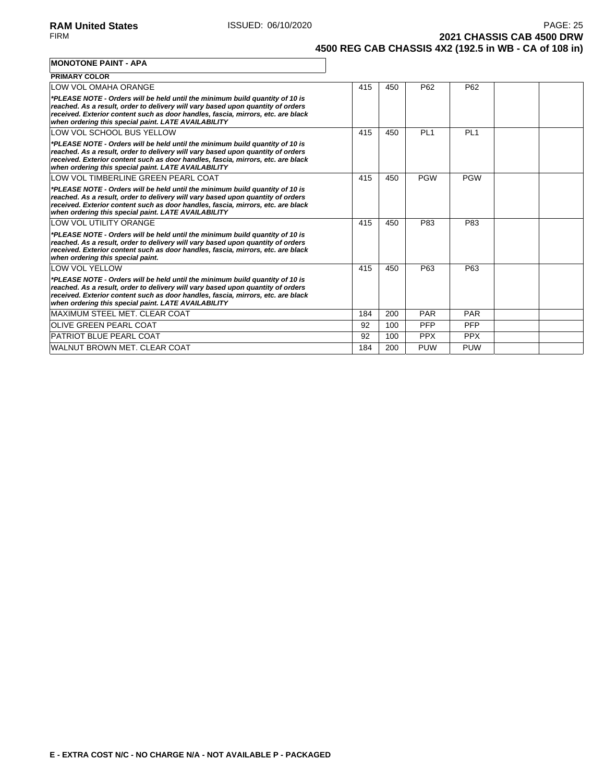**2021 CHASSIS CAB 4500 DRW 4500 REG CAB CHASSIS 4X2 (192.5 in WB - CA of 108 in)**

| <b>MONOTONE PAINT - APA</b>                                                                                                                                                                                                                                                                                |     |     |                 |                 |  |
|------------------------------------------------------------------------------------------------------------------------------------------------------------------------------------------------------------------------------------------------------------------------------------------------------------|-----|-----|-----------------|-----------------|--|
| <b>PRIMARY COLOR</b>                                                                                                                                                                                                                                                                                       |     |     |                 |                 |  |
| LOW VOL OMAHA ORANGE                                                                                                                                                                                                                                                                                       | 415 | 450 | P <sub>62</sub> | P <sub>62</sub> |  |
| *PLEASE NOTE - Orders will be held until the minimum build quantity of 10 is<br>reached. As a result, order to delivery will vary based upon quantity of orders<br>received. Exterior content such as door handles, fascia, mirrors, etc. are black<br>when ordering this special paint. LATE AVAILABILITY |     |     |                 |                 |  |
| LOW VOL SCHOOL BUS YELLOW                                                                                                                                                                                                                                                                                  | 415 | 450 | PL <sub>1</sub> | PL <sub>1</sub> |  |
| *PLEASE NOTE - Orders will be held until the minimum build quantity of 10 is<br>reached. As a result, order to delivery will vary based upon quantity of orders<br>received. Exterior content such as door handles, fascia, mirrors, etc. are black<br>when ordering this special paint. LATE AVAILABILITY |     |     |                 |                 |  |
| LOW VOL TIMBERLINE GREEN PEARL COAT                                                                                                                                                                                                                                                                        | 415 | 450 | <b>PGW</b>      | <b>PGW</b>      |  |
| *PLEASE NOTE - Orders will be held until the minimum build quantity of 10 is<br>reached. As a result, order to delivery will vary based upon quantity of orders<br>received. Exterior content such as door handles, fascia, mirrors, etc. are black<br>when ordering this special paint. LATE AVAILABILITY |     |     |                 |                 |  |
| LOW VOL UTILITY ORANGE                                                                                                                                                                                                                                                                                     | 415 | 450 | P83             | P83             |  |
| *PLEASE NOTE - Orders will be held until the minimum build quantity of 10 is<br>reached. As a result, order to delivery will vary based upon quantity of orders<br>received. Exterior content such as door handles, fascia, mirrors, etc. are black<br>when ordering this special paint.                   |     |     |                 |                 |  |
| <b>LOW VOL YELLOW</b>                                                                                                                                                                                                                                                                                      | 415 | 450 | P63             | P63             |  |
| *PLEASE NOTE - Orders will be held until the minimum build quantity of 10 is                                                                                                                                                                                                                               |     |     |                 |                 |  |

| reached. As a result, order to delivery will vary based upon quantity of orders<br>received. Exterior content such as door handles, fascia, mirrors, etc. are black<br>when ordering this special paint. LATE AVAILABILITY |     |     |            |            |  |
|----------------------------------------------------------------------------------------------------------------------------------------------------------------------------------------------------------------------------|-----|-----|------------|------------|--|
| IMAXIMUM STEEL MET. CLEAR COAT                                                                                                                                                                                             | 184 | 200 | <b>PAR</b> | <b>PAR</b> |  |
| OLIVE GREEN PEARL COAT                                                                                                                                                                                                     | 92  | 100 | <b>PFP</b> | <b>PFP</b> |  |
| PATRIOT BLUE PEARL COAT                                                                                                                                                                                                    | 92  | 100 | <b>PPX</b> | <b>PPX</b> |  |
| WALNUT BROWN MET. CLEAR COAT                                                                                                                                                                                               | 184 | 200 | <b>PUW</b> | <b>PUW</b> |  |
|                                                                                                                                                                                                                            |     |     |            |            |  |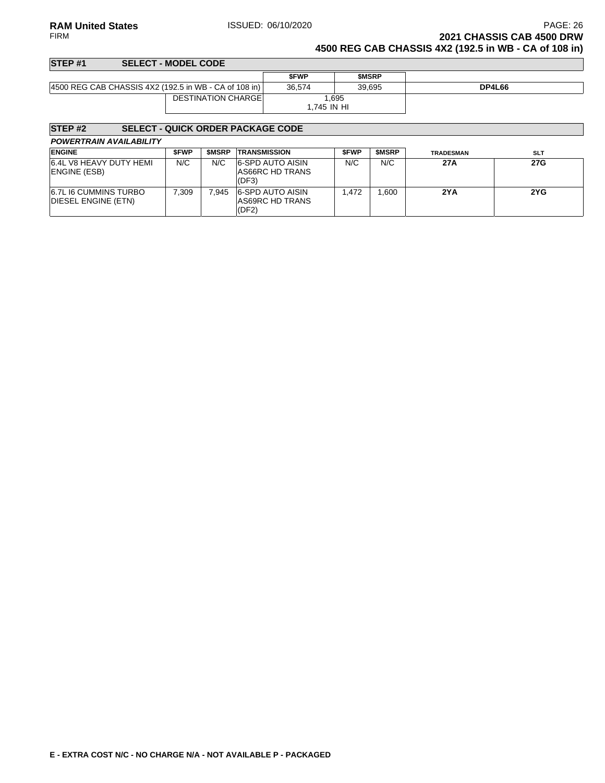# **RAM United States ISSUED: 06/10/2020** PAGE: 26<br>FIRM **PAGE: 26**<br>**2021 CHASSIS CAB 4500 DRW 2021 CHASSIS CAB 4500 DRW**

**4500 REG CAB CHASSIS 4X2 (192.5 in WB - CA of 108 in)**

| STEP <sub>#1</sub>                                    | <b>SELECT - MODEL CODE</b> |                      |              |               |
|-------------------------------------------------------|----------------------------|----------------------|--------------|---------------|
|                                                       |                            | <b>SFWP</b>          | <b>SMSRP</b> |               |
| 4500 REG CAB CHASSIS 4X2 (192.5 in WB - CA of 108 in) |                            | 36.574               | 39.695       | <b>DP4L66</b> |
|                                                       | <b>DESTINATION CHARGEI</b> | 1.695<br>1.745 IN HI |              |               |

# **STEP #2 SELECT - QUICK ORDER PACKAGE CODE**

| <b>ENGINE</b>                                       | <b>SFWP</b> | <b>SMSRP</b> | <b>TRANSMISSION</b>                                 | <b>SFWP</b> | <b>SMSRP</b> | <b>TRADESMAN</b> | <b>SLT</b> |
|-----------------------------------------------------|-------------|--------------|-----------------------------------------------------|-------------|--------------|------------------|------------|
| 6.4L V8 HEAVY DUTY HEMI<br>ENGINE (ESB)             | N/C         | N/C          | <b>6-SPD AUTO AISIN</b><br>AS66RC HD TRANS<br>(DF3) | N/C         | N/C          | 27A              | 27G        |
| <b>6.7L I6 CUMMINS TURBO</b><br>DIESEL ENGINE (ETN) | 7.309       | 7.945        | <b>6-SPD AUTO AISIN</b><br>AS69RC HD TRANS<br>(DF2) | .472        | .600         | 2YA              | 2YG        |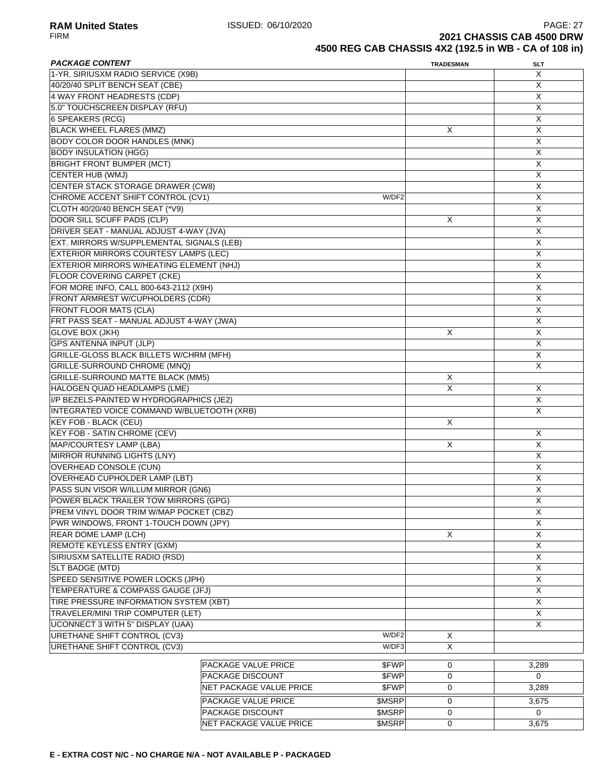**RAM United States ISSUED: 06/10/2020 PAGE: 27 PAGE: 27** FIRM **2021 CHASSIS CAB 4500 DRW 4500 REG CAB CHASSIS 4X2 (192.5 in WB - CA of 108 in)**

### **PACKAGE CONTENT** SLT 1-YR. SIRIUSXM RADIO SERVICE (X9B) X 40/20/40 SPLIT BENCH SEAT (CBE) X 4 WAY FRONT HEADRESTS (CDP) X 5.0" TOUCHSCREEN DISPLAY (RFU) X 6 SPEAKERS (RCG) X BLACK WHEEL FLARES (MMZ) X X BODY COLOR DOOR HANDLES (MNK) X X BODY INSULATION (HGG) X BRIGHT FRONT BUMPER (MCT) X CENTER HUB (WMJ) X X CENTER STACK STORAGE DRAWER (CW8) X X CHROME ACCENT SHIFT CONTROL (CV1) W/DF2 W/DF2 X CLOTH 40/20/40 BENCH SEAT (\*V9) X DOOR SILL SCUFF PADS (CLP) X X DRIVER SEAT - MANUAL ADJUST 4-WAY (JVA) X EXT. MIRRORS W/SUPPLEMENTAL SIGNALS (LEB) X EXTERIOR MIRRORS COURTESY LAMPS (LEC) X EXTERIOR MIRRORS W/HEATING ELEMENT (NHJ) X X FLOOR COVERING CARPET (CKE) X X FOR MORE INFO, CALL 800-643-2112 (X9H) X FRONT ARMREST W/CUPHOLDERS (CDR) X FRONT FLOOR MATS (CLA) X FRT PASS SEAT - MANUAL ADJUST 4-WAY (JWA) X GLOVE BOX (JKH) X X X GPS ANTENNA INPUT (JLP) X GRILLE-GLOSS BLACK BILLETS W/CHRM (MFH) X GRILLE-SURROUND CHROME (MNQ) X GRILLE-SURROUND MATTE BLACK (MM5) X HALOGEN QUAD HEADLAMPS (LME) X X I/P BEZELS-PAINTED W HYDROGRAPHICS (JE2) X INTEGRATED VOICE COMMAND W/BLUETOOTH (XRB) X KEY FOB - BLACK (CEU) X KEY FOB - SATIN CHROME (CEV) X MAP/COURTESY LAMP (LBA) X X MIRROR RUNNING LIGHTS (LNY) X OVERHEAD CONSOLE (CUN) X OVERHEAD CUPHOLDER LAMP (LBT) X X PASS SUN VISOR W/ILLUM MIRROR (GN6) X POWER BLACK TRAILER TOW MIRRORS (GPG) X PREM VINYL DOOR TRIM W/MAP POCKET (CBZ) X PWR WINDOWS, FRONT 1-TOUCH DOWN (JPY) X REAR DOME LAMP (LCH) X X REMOTE KEYLESS ENTRY (GXM) X X SIRIUSXM SATELLITE RADIO (RSD) X SLT BADGE (MTD) X SPEED SENSITIVE POWER LOCKS (JPH) X TEMPERATURE & COMPASS GAUGE (JFJ) X TIRE PRESSURE INFORMATION SYSTEM (XBT) X TRAVELER/MINI TRIP COMPUTER (LET) X UCONNECT 3 WITH 5" DISPLAY (UAA) X X URETHANE SHIFT CONTROL (CV3) W/DF2 X URETHANE SHIFT CONTROL (CV3) W/DF3 X PACKAGE VALUE PRICE  $\text{SPWP}$  0 0 3,289 PACKAGE DISCOUNT \$FWP 0 0 NET PACKAGE VALUE PRICE  $\begin{array}{ccc} 3,289 \end{array}$ PACKAGE VALUE PRICE **\$MSRP 0** 3,675 PACKAGE DISCOUNT \$MSRP 0 0 0 NET PACKAGE VALUE PRICE  $$M\$   $\left| \begin{array}{ccc} 0 & 0 & 3,675 \end{array} \right.$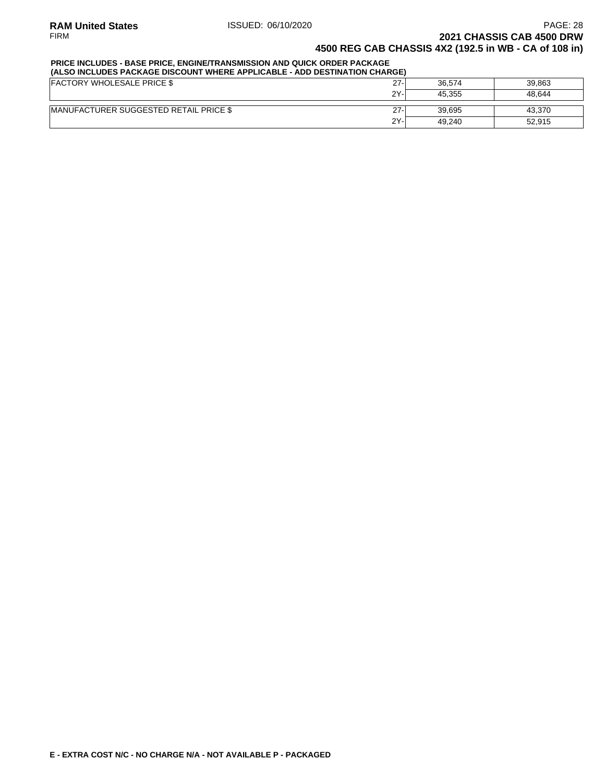### **PRICE INCLUDES - BASE PRICE, ENGINE/TRANSMISSION AND QUICK ORDER PACKAGE**

| (ALSO INCLUDES PACKAGE DISCOUNT WHERE APPLICABLE - ADD DESTINATION CHARGE) |        |        |        |  |  |  |  |  |  |
|----------------------------------------------------------------------------|--------|--------|--------|--|--|--|--|--|--|
| <b>FACTORY WHOLESALE PRICE \$</b>                                          | $27 -$ | 36.574 | 39.863 |  |  |  |  |  |  |
|                                                                            | $2Y -$ | 45.355 | 48.644 |  |  |  |  |  |  |
| <b>IMANUFACTURER SUGGESTED RETAIL PRICE \$</b>                             | $27-$  | 39.695 | 43.370 |  |  |  |  |  |  |
|                                                                            | 2Y-    | 49.240 | 52.915 |  |  |  |  |  |  |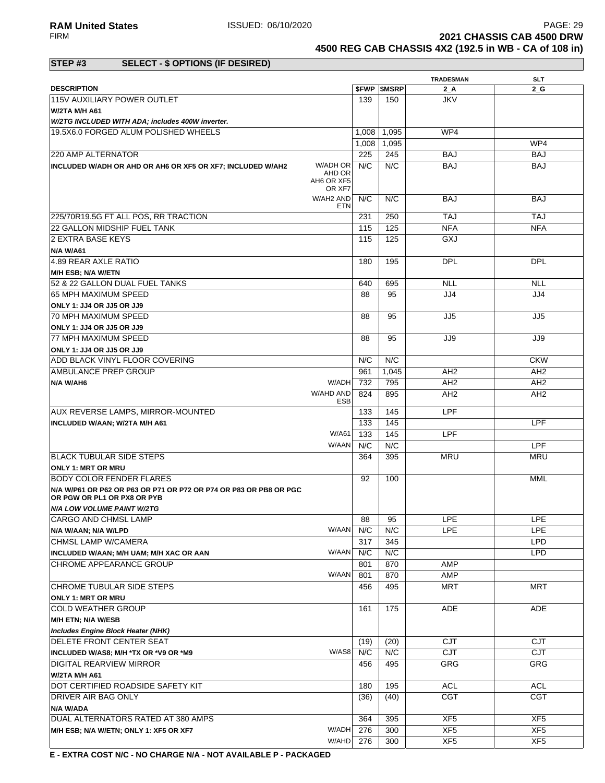**RAM United States ISSUED: 06/10/2020** PAGE: 29<br>FIRM **PAGE: 29** PAGE: 29 **2021 CHASSIS CAB 4500 DRW** 

**4500 REG CAB CHASSIS 4X2 (192.5 in WB - CA of 108 in)**

### **STEP #3 SELECT - \$ OPTIONS (IF DESIRED)**

|                                                                                                  |                  |       |                          | <b>TRADESMAN</b> | <b>SLT</b>      |
|--------------------------------------------------------------------------------------------------|------------------|-------|--------------------------|------------------|-----------------|
| <b>DESCRIPTION</b>                                                                               |                  |       | <b><i>SFWP SMSRP</i></b> | $2_A$            | 2 G             |
| 115V AUXILIARY POWER OUTLET                                                                      |                  | 139   | 150                      | <b>JKV</b>       |                 |
| W/2TA M/H A61                                                                                    |                  |       |                          |                  |                 |
| W/2TG INCLUDED WITH ADA; includes 400W inverter.                                                 |                  |       |                          |                  |                 |
| 19.5X6.0 FORGED ALUM POLISHED WHEELS                                                             |                  | 1,008 | 1,095                    | WP4              |                 |
|                                                                                                  |                  | 1,008 | 1,095                    |                  | WP4             |
| 220 AMP ALTERNATOR                                                                               |                  | 225   | 245                      | <b>BAJ</b>       | <b>BAJ</b>      |
| INCLUDED W/ADH OR AHD OR AH6 OR XF5 OR XF7; INCLUDED W/AH2                                       | W/ADH OR         | N/C   | N/C                      | <b>BAJ</b>       | <b>BAJ</b>      |
| AH6 OR XF5                                                                                       | AHD OR<br>OR XF7 |       |                          |                  |                 |
|                                                                                                  | W/AH2 AND<br>ETN | N/C   | N/C                      | <b>BAJ</b>       | <b>BAJ</b>      |
| 225/70R19.5G FT ALL POS, RR TRACTION                                                             |                  | 231   | 250                      | <b>TAJ</b>       | <b>TAJ</b>      |
| 22 GALLON MIDSHIP FUEL TANK                                                                      |                  | 115   | 125                      | <b>NFA</b>       | <b>NFA</b>      |
| 2 EXTRA BASE KEYS                                                                                |                  | 115   | 125                      | GXJ              |                 |
| <b>N/A W/A61</b>                                                                                 |                  |       |                          |                  |                 |
| 4.89 REAR AXLE RATIO                                                                             |                  | 180   | 195                      | <b>DPL</b>       | <b>DPL</b>      |
| M/H ESB; N/A W/ETN                                                                               |                  |       |                          |                  |                 |
| 52 & 22 GALLON DUAL FUEL TANKS                                                                   |                  | 640   | 695                      | <b>NLL</b>       | <b>NLL</b>      |
| 65 MPH MAXIMUM SPEED                                                                             |                  | 88    | 95                       | JJ4              | JJ4             |
|                                                                                                  |                  |       |                          |                  |                 |
| ONLY 1: JJ4 OR JJ5 OR JJ9                                                                        |                  |       |                          |                  |                 |
| <b>70 MPH MAXIMUM SPEED</b>                                                                      |                  | 88    | 95                       | JJ5              | JJ5             |
| ONLY 1: JJ4 OR JJ5 OR JJ9                                                                        |                  |       |                          |                  |                 |
| 77 MPH MAXIMUM SPEED                                                                             |                  | 88    | 95                       | JJ9              | JJ9             |
| ONLY 1: JJ4 OR JJ5 OR JJ9                                                                        |                  |       |                          |                  |                 |
| ADD BLACK VINYL FLOOR COVERING                                                                   |                  | N/C   | N/C                      |                  | <b>CKW</b>      |
| AMBULANCE PREP GROUP                                                                             |                  | 961   | 1,045                    | AH <sub>2</sub>  | AH <sub>2</sub> |
| N/A W/AH6                                                                                        | W/ADH            | 732   | 795                      | AH <sub>2</sub>  | AH <sub>2</sub> |
| W/AHD AND                                                                                        |                  | 824   | 895                      | AH <sub>2</sub>  | AH <sub>2</sub> |
|                                                                                                  | <b>ESB</b>       |       |                          |                  |                 |
| AUX REVERSE LAMPS, MIRROR-MOUNTED                                                                |                  | 133   | 145                      | LPF              |                 |
| <b>INCLUDED W/AAN; W/2TA M/H A61</b>                                                             |                  | 133   | 145                      |                  | LPF             |
|                                                                                                  | <b>W/A61</b>     | 133   | 145                      | LPF              |                 |
|                                                                                                  | W/AAN            | N/C   | N/C                      |                  | <b>LPF</b>      |
| <b>BLACK TUBULAR SIDE STEPS</b>                                                                  |                  | 364   | 395                      | <b>MRU</b>       | <b>MRU</b>      |
| <b>ONLY 1: MRT OR MRU</b>                                                                        |                  |       |                          |                  |                 |
| BODY COLOR FENDER FLARES                                                                         |                  | 92    | 100                      |                  | <b>MML</b>      |
| N/A W/P61 OR P62 OR P63 OR P71 OR P72 OR P74 OR P83 OR PB8 OR PGC<br>OR PGW OR PL1 OR PX8 OR PYB |                  |       |                          |                  |                 |
| <b>N/A LOW VOLUME PAINT W/2TG</b>                                                                |                  |       |                          |                  |                 |
| <b>CARGO AND CHMSL LAMP</b>                                                                      |                  | 88    | 95                       | <b>LPE</b>       | PE              |
| N/A W/AAN; N/A W/LPD                                                                             | W/AAN            | N/C   | N/C                      | <b>LPE</b>       | <b>LPE</b>      |
| CHMSL LAMP W/CAMERA                                                                              |                  | 317   | 345                      |                  | <b>LPD</b>      |
| INCLUDED W/AAN; M/H UAM; M/H XAC OR AAN                                                          | W/AAN            | N/C   | N/C                      |                  | <b>LPD</b>      |
| CHROME APPEARANCE GROUP                                                                          |                  | 801   | 870                      | AMP              |                 |
|                                                                                                  | W/AAN            | 801   | 870                      | AMP              |                 |
| CHROME TUBULAR SIDE STEPS                                                                        |                  | 456   | 495                      | <b>MRT</b>       | <b>MRT</b>      |
| <b>ONLY 1: MRT OR MRU</b>                                                                        |                  |       |                          |                  |                 |
| COLD WEATHER GROUP                                                                               |                  | 161   | 175                      | ADE              | <b>ADE</b>      |
| M/H ETN; N/A W/ESB                                                                               |                  |       |                          |                  |                 |
| <b>Includes Engine Block Heater (NHK)</b>                                                        |                  |       |                          |                  |                 |
| DELETE FRONT CENTER SEAT                                                                         |                  | (19)  | (20)                     | <b>CJT</b>       | <b>CJT</b>      |
| INCLUDED W/AS8; M/H *TX OR *V9 OR *M9                                                            | W/AS8            | N/C   | N/C                      | <b>CJT</b>       | CJT             |
| <b>DIGITAL REARVIEW MIRROR</b>                                                                   |                  | 456   | 495                      | GRG              | GRG             |
| <b>W/2TA M/H A61</b>                                                                             |                  |       |                          |                  |                 |
|                                                                                                  |                  |       |                          |                  |                 |
| DOT CERTIFIED ROADSIDE SAFETY KIT                                                                |                  | 180   | 195                      | <b>ACL</b>       | <b>ACL</b>      |
| DRIVER AIR BAG ONLY                                                                              |                  | (36)  | (40)                     | CGT              | <b>CGT</b>      |
| N/A W/ADA                                                                                        |                  |       |                          |                  |                 |
| DUAL ALTERNATORS RATED AT 380 AMPS                                                               |                  | 364   | 395                      | XF <sub>5</sub>  | XF <sub>5</sub> |
| M/H ESB; N/A W/ETN; ONLY 1: XF5 OR XF7                                                           | W/ADH            | 276   | 300                      | XF <sub>5</sub>  | XF5             |
|                                                                                                  | W/AHD            | 276   | 300                      | XF <sub>5</sub>  | XF <sub>5</sub> |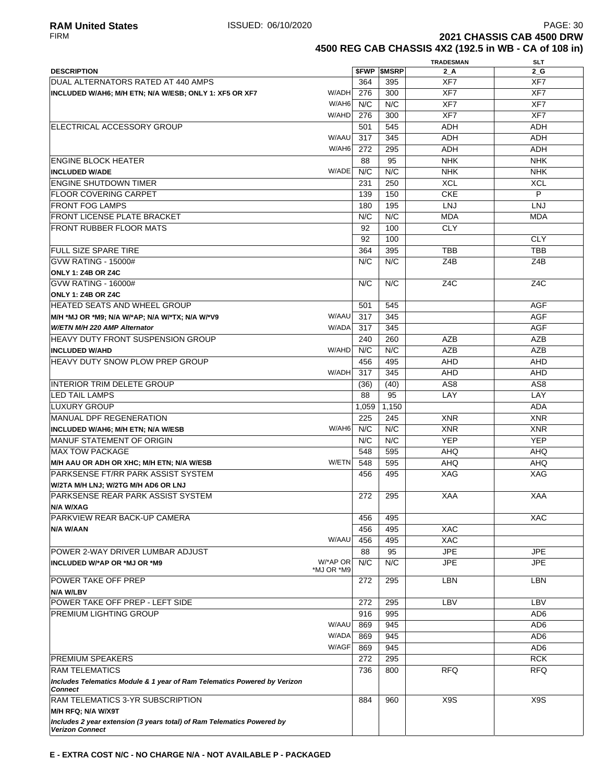**RAM United States ISSUED: 06/10/2020 PAGE: 30** PAGE: 30<br>FIRM **PAGE: 30** PAGE: 30 **2021 CHASSIS CAB 4500 DRW** 

**4500 REG CAB CHASSIS 4X2 (192.5 in WB - CA of 108 in)**

|                                                                                            |            |            |                          | <b>TRADESMAN</b> | <b>SLT</b>      |
|--------------------------------------------------------------------------------------------|------------|------------|--------------------------|------------------|-----------------|
| <b>DESCRIPTION</b>                                                                         |            |            | <b><i>SFWP SMSRP</i></b> | 2 A              | $2_G$           |
| DUAL ALTERNATORS RATED AT 440 AMPS                                                         |            | 364        | 395                      | XF7              | XF7             |
| INCLUDED W/AH6; M/H ETN; N/A W/ESB; ONLY 1: XF5 OR XF7                                     | W/ADH      | 276        | 300                      | XF7              | XF7             |
|                                                                                            | W/AH6      | N/C        | N/C                      | XF7              | XF7             |
|                                                                                            | W/AHD      | 276        | 300                      | XF7              | XF7             |
| ELECTRICAL ACCESSORY GROUP                                                                 |            | 501        | 545                      | <b>ADH</b>       | ADH             |
|                                                                                            | W/AAU      | 317        | 345                      | <b>ADH</b>       | <b>ADH</b>      |
|                                                                                            | W/AH6      | 272        | 295                      | <b>ADH</b>       | ADH             |
| ENGINE BLOCK HEATER                                                                        |            | 88         | 95                       | <b>NHK</b>       | <b>NHK</b>      |
| <b>INCLUDED W/ADE</b>                                                                      | W/ADE      | N/C        | N/C                      | <b>NHK</b>       | <b>NHK</b>      |
| <b>ENGINE SHUTDOWN TIMER</b>                                                               |            | 231        | 250                      | <b>XCL</b>       | <b>XCL</b>      |
| <b>IFLOOR COVERING CARPET</b>                                                              |            | 139        | 150                      | <b>CKE</b>       | P               |
| <b>IFRONT FOG LAMPS</b>                                                                    |            | 180        | 195                      | <b>LNJ</b>       | LNJ             |
| <b>FRONT LICENSE PLATE BRACKET</b>                                                         |            | N/C        | N/C                      | <b>MDA</b>       | <b>MDA</b>      |
| <b>IFRONT RUBBER FLOOR MATS</b>                                                            |            | 92         | 100                      | <b>CLY</b>       |                 |
|                                                                                            |            | 92         | 100                      |                  | <b>CLY</b>      |
| <b>FULL SIZE SPARE TIRE</b>                                                                |            | 364        | 395                      | TBB              | <b>TBB</b>      |
| <b>GVW RATING - 15000#</b>                                                                 |            | N/C        | N/C                      | Z4B              | Z4B             |
|                                                                                            |            |            |                          |                  |                 |
| <b>ONLY 1: Z4B OR Z4C</b><br><b>GVW RATING - 16000#</b>                                    |            | N/C        | N/C                      | Z <sub>4</sub> C | Z4C             |
| ONLY 1: Z4B OR Z4C                                                                         |            |            |                          |                  |                 |
| HEATED SEATS AND WHEEL GROUP                                                               |            | 501        | 545                      |                  | <b>AGF</b>      |
| M/H *MJ OR *M9; N/A W/*AP; N/A W/*TX; N/A W/*V9                                            | W/AAU      | 317        | 345                      |                  | <b>AGF</b>      |
| W/ETN M/H 220 AMP Alternator                                                               | W/ADA      |            |                          |                  |                 |
|                                                                                            |            | 317        | 345                      |                  | <b>AGF</b>      |
| IHEAVY DUTY FRONT SUSPENSION GROUP                                                         | W/AHD      | 240<br>N/C | 260<br>N/C               | <b>AZB</b>       | AZB             |
| <b>INCLUDED W/AHD</b>                                                                      |            |            |                          | AZB              | AZB             |
| <b>HEAVY DUTY SNOW PLOW PREP GROUP</b>                                                     |            | 456        | 495                      | AHD              | <b>AHD</b>      |
|                                                                                            | W/ADH      | 317        | 345                      | <b>AHD</b>       | <b>AHD</b>      |
| INTERIOR TRIM DELETE GROUP                                                                 |            | (36)       | (40)                     | AS <sub>8</sub>  | AS <sub>8</sub> |
| LED TAIL LAMPS                                                                             |            | 88         | 95                       | LAY              | LAY             |
| LUXURY GROUP                                                                               |            | 1,059      | 1,150                    |                  | ADA             |
| <b>MANUAL DPF REGENERATION</b>                                                             |            | 225        | 245                      | <b>XNR</b>       | <b>XNR</b>      |
| <b>INCLUDED W/AH6; M/H ETN; N/A W/ESB</b>                                                  | W/AH6      | N/C        | N/C                      | <b>XNR</b>       | <b>XNR</b>      |
| <b>MANUF STATEMENT OF ORIGIN</b>                                                           |            | N/C        | N/C                      | <b>YEP</b>       | <b>YEP</b>      |
| <b>IMAX TOW PACKAGE</b>                                                                    |            | 548        | 595                      | AHQ              | <b>AHQ</b>      |
| M/H AAU OR ADH OR XHC; M/H ETN; N/A W/ESB                                                  | W/ETN      | 548        | 595                      | <b>AHQ</b>       | <b>AHQ</b>      |
| PARKSENSE FT/RR PARK ASSIST SYSTEM                                                         |            | 456        | 495                      | XAG              | XAG             |
| W/2TA M/H LNJ; W/2TG M/H AD6 OR LNJ                                                        |            |            |                          |                  |                 |
| PARKSENSE REAR PARK ASSIST SYSTEM<br>N/A W/XAG                                             |            | 272        | 295                      | <b>XAA</b>       | <b>XAA</b>      |
| PARKVIEW REAR BACK-UP CAMERA                                                               |            | 456        | 495                      |                  | <b>XAC</b>      |
| N/A W/AAN                                                                                  |            | 456        | 495                      | <b>XAC</b>       |                 |
|                                                                                            | W/AAU      | 456        | 495                      | <b>XAC</b>       |                 |
| <b>POWER 2-WAY DRIVER LUMBAR ADJUST</b>                                                    |            | 88         | 95                       | <b>JPE</b>       | <b>JPE</b>      |
| INCLUDED W/*AP OR *MJ OR *M9                                                               | W/*AP OR   | N/C        | N/C                      | <b>JPE</b>       | <b>JPE</b>      |
|                                                                                            | *MJ OR *M9 |            |                          |                  |                 |
| POWER TAKE OFF PREP                                                                        |            | 272        | 295                      | LBN              | LBN             |
| N/A W/LBV                                                                                  |            |            |                          |                  |                 |
| POWER TAKE OFF PREP - LEFT SIDE                                                            |            | 272        | 295                      | LBV              | LBV             |
| <b>PREMIUM LIGHTING GROUP</b>                                                              |            | 916        | 995                      |                  | AD <sub>6</sub> |
|                                                                                            | W/AAU      | 869        | 945                      |                  | AD <sub>6</sub> |
|                                                                                            | W/ADA      | 869        | 945                      |                  | AD <sub>6</sub> |
|                                                                                            | W/AGF      | 869        | 945                      |                  | AD <sub>6</sub> |
| <b>PREMIUM SPEAKERS</b>                                                                    |            | 272        | 295                      |                  | <b>RCK</b>      |
| <b>RAM TELEMATICS</b>                                                                      |            | 736        | 800                      | <b>RFQ</b>       | <b>RFQ</b>      |
| Includes Telematics Module & 1 year of Ram Telematics Powered by Verizon<br><b>Connect</b> |            |            |                          |                  |                 |
| <b>RAM TELEMATICS 3-YR SUBSCRIPTION</b>                                                    |            | 884        | 960                      | X9S              | X9S             |
| M/H RFQ; N/A W/X9T                                                                         |            |            |                          |                  |                 |
| Includes 2 year extension (3 years total) of Ram Telematics Powered by                     |            |            |                          |                  |                 |
| <b>Verizon Connect</b>                                                                     |            |            |                          |                  |                 |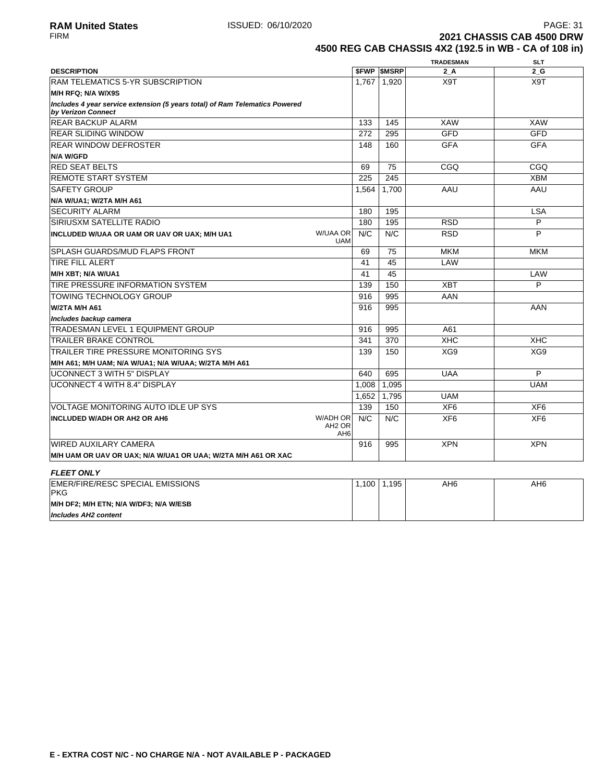**Includes AH2 content**

**2021 CHASSIS CAB 4500 DRW 4500 REG CAB CHASSIS 4X2 (192.5 in WB - CA of 108 in)**

|                                                                                                   |       |                   | <b>TRADESMAN</b> | <b>SLT</b>      |
|---------------------------------------------------------------------------------------------------|-------|-------------------|------------------|-----------------|
| <b>DESCRIPTION</b>                                                                                |       | <b>SFWP SMSRP</b> | 2 A              | 2 G             |
| RAM TELEMATICS 5-YR SUBSCRIPTION                                                                  | 1.767 | 1,920             | X9T              | X9T             |
| M/H RFQ; N/A W/X9S                                                                                |       |                   |                  |                 |
| Includes 4 year service extension (5 years total) of Ram Telematics Powered<br>by Verizon Connect |       |                   |                  |                 |
| <b>REAR BACKUP ALARM</b>                                                                          | 133   | 145               | <b>XAW</b>       | <b>XAW</b>      |
| <b>REAR SLIDING WINDOW</b>                                                                        | 272   | 295               | <b>GFD</b>       | <b>GFD</b>      |
| <b>REAR WINDOW DEFROSTER</b>                                                                      | 148   | 160               | <b>GFA</b>       | <b>GFA</b>      |
| <b>N/A W/GFD</b>                                                                                  |       |                   |                  |                 |
| <b>RED SEAT BELTS</b>                                                                             | 69    | 75                | CGQ              | CGQ             |
| <b>REMOTE START SYSTEM</b>                                                                        | 225   | 245               |                  | <b>XBM</b>      |
| <b>SAFETY GROUP</b>                                                                               | 1,564 | 1.700             | AAU              | AAU             |
| N/A W/UA1; W/2TA M/H A61                                                                          |       |                   |                  |                 |
| <b>SECURITY ALARM</b>                                                                             | 180   | 195               |                  | <b>LSA</b>      |
| SIRIUSXM SATELLITE RADIO                                                                          | 180   | 195               | <b>RSD</b>       | P               |
| W/UAA OR<br>INCLUDED W/UAA OR UAM OR UAV OR UAX; M/H UA1<br><b>UAM</b>                            | N/C   | N/C               | <b>RSD</b>       | P               |
| <b>SPLASH GUARDS/MUD FLAPS FRONT</b>                                                              | 69    | 75                | <b>MKM</b>       | <b>MKM</b>      |
| <b>TIRE FILL ALERT</b>                                                                            | 41    | 45                | LAW              |                 |
| M/H XBT; N/A W/UA1                                                                                | 41    | 45                |                  | LAW             |
| <b>TIRE PRESSURE INFORMATION SYSTEM</b>                                                           | 139   | 150               | <b>XBT</b>       | P               |
| <b>TOWING TECHNOLOGY GROUP</b>                                                                    | 916   | 995               | AAN              |                 |
| W/2TA M/H A61                                                                                     | 916   | 995               |                  | AAN             |
| Includes backup camera                                                                            |       |                   |                  |                 |
| <b>TRADESMAN LEVEL 1 EQUIPMENT GROUP</b>                                                          | 916   | 995               | A61              |                 |
| <b>TRAILER BRAKE CONTROL</b>                                                                      | 341   | 370               | XHC              | <b>XHC</b>      |
| TRAILER TIRE PRESSURE MONITORING SYS                                                              | 139   | 150               | XG9              | XG9             |
| M/H A61; M/H UAM; N/A W/UA1; N/A W/UAA; W/2TA M/H A61                                             |       |                   |                  |                 |
| <b>UCONNECT 3 WITH 5" DISPLAY</b>                                                                 | 640   | 695               | <b>UAA</b>       | P               |
| <b>UCONNECT 4 WITH 8.4" DISPLAY</b>                                                               | 1,008 | 1,095             |                  | <b>UAM</b>      |
|                                                                                                   | 1.652 | 1.795             | <b>UAM</b>       |                 |
| VOLTAGE MONITORING AUTO IDLE UP SYS                                                               | 139   | 150               | XF <sub>6</sub>  | XF <sub>6</sub> |
| W/ADH OR<br><b>INCLUDED W/ADH OR AH2 OR AH6</b><br>AH <sub>2</sub> OR<br>AH <sub>6</sub>          | N/C   | N/C               | XF <sub>6</sub>  | XF <sub>6</sub> |
| <b>WIRED AUXILARY CAMERA</b>                                                                      | 916   | 995               | <b>XPN</b>       | <b>XPN</b>      |
| M/H UAM OR UAV OR UAX; N/A W/UA1 OR UAA; W/2TA M/H A61 OR XAC                                     |       |                   |                  |                 |
| <b>FLEET ONLY</b>                                                                                 |       |                   |                  |                 |
| <b>EMER/FIRE/RESC SPECIAL EMISSIONS</b><br><b>PKG</b>                                             | 1.100 | 1,195             | AH <sub>6</sub>  | AH <sub>6</sub> |
| M/H DF2; M/H ETN; N/A W/DF3; N/A W/ESB                                                            |       |                   |                  |                 |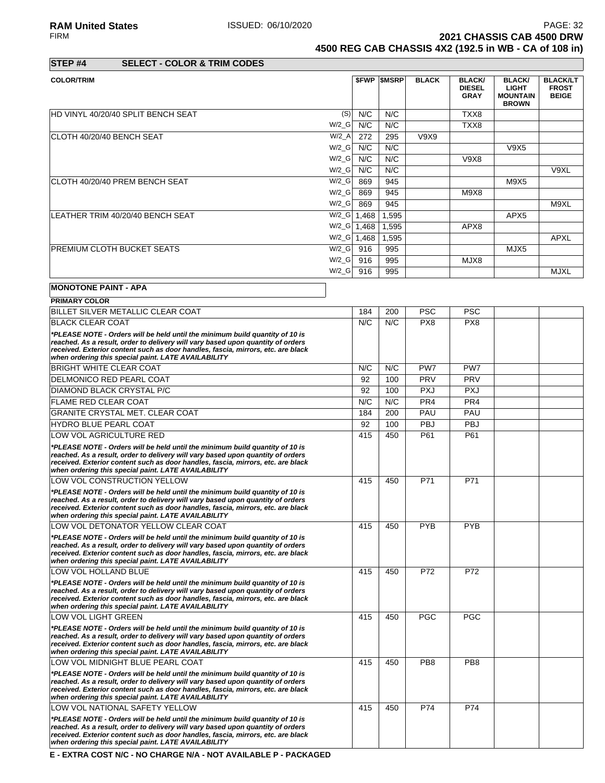**2021 CHASSIS CAB 4500 DRW** 

**4500 REG CAB CHASSIS 4X2 (192.5 in WB - CA of 108 in)**

| STEP <sub>#4</sub> | <b>SELECT - COLOR &amp; TRIM CODES</b> |
|--------------------|----------------------------------------|

| <b>COLOR/TRIM</b>                           |               | <b>SFWP SMSRP</b> | <b>BLACK</b> | <b>BLACK/</b><br><b>DIESEL</b><br><b>GRAY</b> | <b>BLACK/</b><br><b>LIGHT</b><br><b>MOUNTAIN</b><br><b>BROWN</b> | <b>BLACK/LT</b><br><b>FROST</b><br><b>BEIGE</b> |
|---------------------------------------------|---------------|-------------------|--------------|-----------------------------------------------|------------------------------------------------------------------|-------------------------------------------------|
| HD VINYL 40/20/40 SPLIT BENCH SEAT<br>(S)   | N/C           | N/C               |              | TXX8                                          |                                                                  |                                                 |
| $W/2_G$                                     | N/C           | N/C               |              | TXX8                                          |                                                                  |                                                 |
| $W/2_A$<br>CLOTH 40/20/40 BENCH SEAT        | 272           | 295               | V9X9         |                                               |                                                                  |                                                 |
| $W/2_G$                                     | N/C           | N/C               |              |                                               | V9X5                                                             |                                                 |
| $W/2_G$                                     | N/C           | N/C               |              | V9X8                                          |                                                                  |                                                 |
| $W/2_G$                                     | N/C           | N/C               |              |                                               |                                                                  | V9XL                                            |
| $W/2_G$<br>ICLOTH 40/20/40 PREM BENCH SEAT  | 869           | 945               |              |                                               | M9X5                                                             |                                                 |
| $W/2_G$                                     | 869           | 945               |              | M9X8                                          |                                                                  |                                                 |
| $W/2_G$                                     | 869           | 945               |              |                                               |                                                                  | M9XL                                            |
| $W/2_G$<br>LEATHER TRIM 40/20/40 BENCH SEAT | 1,468         | 1,595             |              |                                               | APX <sub>5</sub>                                                 |                                                 |
| $W/Z_G$ 1,468                               |               | 1,595             |              | APX8                                          |                                                                  |                                                 |
|                                             | $W/Z_G$ 1,468 | 1,595             |              |                                               |                                                                  | <b>APXL</b>                                     |
| <b>PREMIUM CLOTH BUCKET SEATS</b><br>W/2 G  | 916           | 995               |              |                                               | MJX5                                                             |                                                 |
| $W/2_G$                                     | 916           | 995               |              | MJX8                                          |                                                                  |                                                 |
| $W/2_G$                                     | 916           | 995               |              |                                               |                                                                  | <b>MJXL</b>                                     |

# **MONOTONE PAINT - APA**

| <b>PRIMARY COLOR</b>                                                                                                                                                                                                                                                                                       |     |     |                 |                 |  |
|------------------------------------------------------------------------------------------------------------------------------------------------------------------------------------------------------------------------------------------------------------------------------------------------------------|-----|-----|-----------------|-----------------|--|
| BILLET SILVER METALLIC CLEAR COAT                                                                                                                                                                                                                                                                          | 184 | 200 | <b>PSC</b>      | <b>PSC</b>      |  |
| <b>BLACK CLEAR COAT</b>                                                                                                                                                                                                                                                                                    | N/C | N/C | PX8             | PX8             |  |
| *PLEASE NOTE - Orders will be held until the minimum build quantity of 10 is<br>reached. As a result, order to delivery will vary based upon quantity of orders<br>received. Exterior content such as door handles, fascia, mirrors, etc. are black<br>when ordering this special paint. LATE AVAILABILITY |     |     |                 |                 |  |
| <b>BRIGHT WHITE CLEAR COAT</b>                                                                                                                                                                                                                                                                             | N/C | N/C | PW7             | PW7             |  |
| DELMONICO RED PEARL COAT                                                                                                                                                                                                                                                                                   | 92  | 100 | PRV             | <b>PRV</b>      |  |
| DIAMOND BLACK CRYSTAL P/C                                                                                                                                                                                                                                                                                  | 92  | 100 | <b>PXJ</b>      | <b>PXJ</b>      |  |
| <b>FLAME RED CLEAR COAT</b>                                                                                                                                                                                                                                                                                | N/C | N/C | PR <sub>4</sub> | PR <sub>4</sub> |  |
| GRANITE CRYSTAL MET. CLEAR COAT                                                                                                                                                                                                                                                                            | 184 | 200 | PAU             | PAU             |  |
| <b>HYDRO BLUE PEARL COAT</b>                                                                                                                                                                                                                                                                               | 92  | 100 | <b>PBJ</b>      | <b>PBJ</b>      |  |
| LOW VOL AGRICULTURE RED                                                                                                                                                                                                                                                                                    | 415 | 450 | P61             | P61             |  |
| *PLEASE NOTE - Orders will be held until the minimum build quantity of 10 is<br>reached. As a result, order to delivery will vary based upon quantity of orders<br>received. Exterior content such as door handles, fascia, mirrors, etc. are black<br>when ordering this special paint. LATE AVAILABILITY |     |     |                 |                 |  |
| LOW VOL CONSTRUCTION YELLOW                                                                                                                                                                                                                                                                                | 415 | 450 | P71             | P71             |  |
| *PLEASE NOTE - Orders will be held until the minimum build quantity of 10 is<br>reached. As a result, order to delivery will vary based upon quantity of orders<br>received. Exterior content such as door handles, fascia, mirrors, etc. are black<br>when ordering this special paint. LATE AVAILABILITY |     |     |                 |                 |  |
| LOW VOL DETONATOR YELLOW CLEAR COAT                                                                                                                                                                                                                                                                        | 415 | 450 | <b>PYB</b>      | <b>PYB</b>      |  |
| *PLEASE NOTE - Orders will be held until the minimum build quantity of 10 is<br>reached. As a result, order to delivery will vary based upon quantity of orders<br>received. Exterior content such as door handles, fascia, mirrors, etc. are black<br>when ordering this special paint. LATE AVAILABILITY |     |     |                 |                 |  |
| LOW VOL HOLLAND BLUE                                                                                                                                                                                                                                                                                       | 415 | 450 | P72             | P72             |  |
| *PLEASE NOTE - Orders will be held until the minimum build quantity of 10 is<br>reached. As a result, order to delivery will vary based upon quantity of orders<br>received. Exterior content such as door handles, fascia, mirrors, etc. are black<br>when ordering this special paint. LATE AVAILABILITY |     |     |                 |                 |  |
| LOW VOL LIGHT GREEN                                                                                                                                                                                                                                                                                        | 415 | 450 | <b>PGC</b>      | <b>PGC</b>      |  |
| *PLEASE NOTE - Orders will be held until the minimum build quantity of 10 is<br>reached. As a result, order to delivery will vary based upon quantity of orders<br>received. Exterior content such as door handles, fascia, mirrors, etc. are black<br>when ordering this special paint. LATE AVAILABILITY |     |     |                 |                 |  |
| LOW VOL MIDNIGHT BLUE PEARL COAT                                                                                                                                                                                                                                                                           | 415 | 450 | PB <sub>8</sub> | PB <sub>8</sub> |  |
| *PLEASE NOTE - Orders will be held until the minimum build quantity of 10 is<br>reached. As a result, order to delivery will vary based upon quantity of orders<br>received. Exterior content such as door handles, fascia, mirrors, etc. are black<br>when ordering this special paint. LATE AVAILABILITY |     |     |                 |                 |  |
| LOW VOL NATIONAL SAFETY YELLOW                                                                                                                                                                                                                                                                             | 415 | 450 | P74             | P74             |  |
| *PLEASE NOTE - Orders will be held until the minimum build quantity of 10 is<br>reached. As a result, order to delivery will vary based upon quantity of orders<br>received. Exterior content such as door handles, fascia, mirrors, etc. are black<br>when ordering this special paint. LATE AVAILABILITY |     |     |                 |                 |  |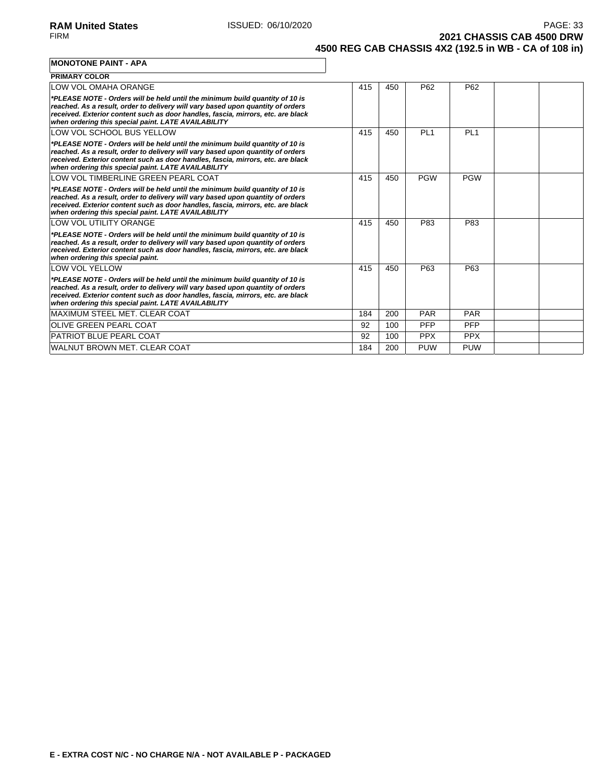**2021 CHASSIS CAB 4500 DRW 4500 REG CAB CHASSIS 4X2 (192.5 in WB - CA of 108 in)**

#### **MONOTONE PAINT - APA**

| <b>PRIMARY COLOR</b>                                                                                                                                                                                                                                                                                       |     |     |                 |                 |  |
|------------------------------------------------------------------------------------------------------------------------------------------------------------------------------------------------------------------------------------------------------------------------------------------------------------|-----|-----|-----------------|-----------------|--|
| LOW VOL OMAHA ORANGE                                                                                                                                                                                                                                                                                       | 415 | 450 | P62             | P <sub>62</sub> |  |
| *PLEASE NOTE - Orders will be held until the minimum build quantity of 10 is<br>reached. As a result, order to delivery will vary based upon quantity of orders<br>received. Exterior content such as door handles, fascia, mirrors, etc. are black<br>when ordering this special paint. LATE AVAILABILITY |     |     |                 |                 |  |
| LOW VOL SCHOOL BUS YELLOW                                                                                                                                                                                                                                                                                  | 415 | 450 | PL <sub>1</sub> | PL <sub>1</sub> |  |
| *PLEASE NOTE - Orders will be held until the minimum build quantity of 10 is<br>reached. As a result, order to delivery will vary based upon quantity of orders<br>received. Exterior content such as door handles, fascia, mirrors, etc. are black<br>when ordering this special paint. LATE AVAILABILITY |     |     |                 |                 |  |
| LOW VOL TIMBERLINE GREEN PEARL COAT                                                                                                                                                                                                                                                                        | 415 | 450 | <b>PGW</b>      | <b>PGW</b>      |  |
| *PLEASE NOTE - Orders will be held until the minimum build quantity of 10 is<br>reached. As a result, order to delivery will vary based upon quantity of orders<br>received. Exterior content such as door handles, fascia, mirrors, etc. are black<br>when ordering this special paint. LATE AVAILABILITY |     |     |                 |                 |  |
| LOW VOL UTILITY ORANGE                                                                                                                                                                                                                                                                                     | 415 | 450 | P83             | P83             |  |
| *PLEASE NOTE - Orders will be held until the minimum build quantity of 10 is<br>reached. As a result, order to delivery will vary based upon quantity of orders<br>received. Exterior content such as door handles, fascia, mirrors, etc. are black<br>when ordering this special paint.                   |     |     |                 |                 |  |
| <b>LOW VOL YELLOW</b>                                                                                                                                                                                                                                                                                      | 415 | 450 | P63             | P63             |  |
| *PLEASE NOTE - Orders will be held until the minimum build quantity of 10 is<br>reached. As a result, order to delivery will vary based upon quantity of orders<br>received. Exterior content such as door handles, fascia, mirrors, etc. are black<br>when ordering this special paint. LATE AVAILABILITY |     |     |                 |                 |  |
| MAXIMUM STEEL MET. CLEAR COAT                                                                                                                                                                                                                                                                              | 184 | 200 | <b>PAR</b>      | <b>PAR</b>      |  |
| <b>OLIVE GREEN PEARL COAT</b>                                                                                                                                                                                                                                                                              | 92  | 100 | <b>PFP</b>      | PFP             |  |
| <b>PATRIOT BLUE PEARL COAT</b>                                                                                                                                                                                                                                                                             | 92  | 100 | <b>PPX</b>      | <b>PPX</b>      |  |
| <b>WALNUT BROWN MET. CLEAR COAT</b>                                                                                                                                                                                                                                                                        | 184 | 200 | <b>PUW</b>      | <b>PUW</b>      |  |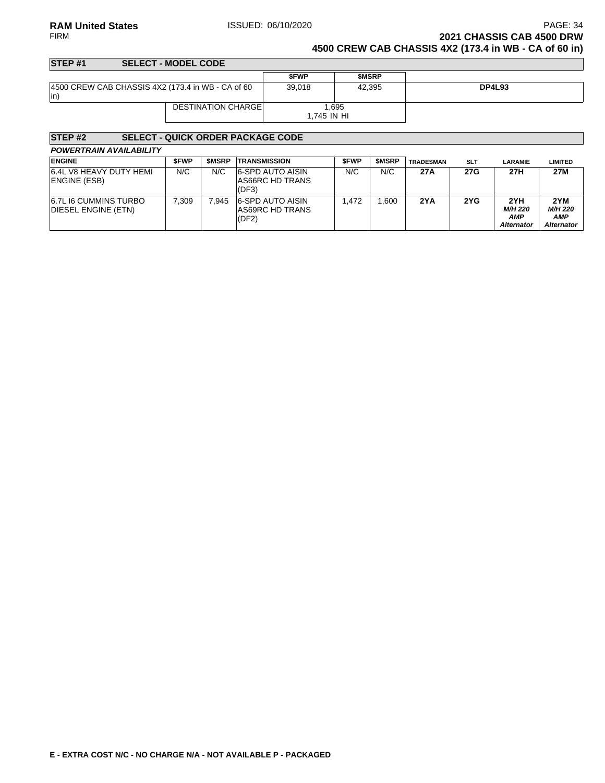### **RAM United States ISSUED: 06/10/2020** PAGE: 34<br>PAGE: 34 **PAGE: 34** PAGE: 06/10/2020 **2021 CHASSIS CAB 4500 DRW 4500 CREW CAB CHASSIS 4X2 (173.4 in WB - CA of 60 in)**

| STEP <sub>#1</sub> | <b>SELECT - MODEL CODE</b>                        |                      |              |               |
|--------------------|---------------------------------------------------|----------------------|--------------|---------------|
|                    |                                                   | <b>SFWP</b>          | <b>SMSRP</b> |               |
| $ $ in             | 4500 CREW CAB CHASSIS 4X2 (173.4 in WB - CA of 60 | 39.018               | 42.395       | <b>DP4L93</b> |
|                    | <b>DESTINATION CHARGEL</b>                        | 1.695<br>1.745 IN HI |              |               |
|                    |                                                   |                      |              |               |

| STEP <sub>#2</sub>                             |             |              | <b>SELECT - QUICK ORDER PACKAGE CODE</b>            |             |              |                  |            |                                                   |                                                   |
|------------------------------------------------|-------------|--------------|-----------------------------------------------------|-------------|--------------|------------------|------------|---------------------------------------------------|---------------------------------------------------|
| <b>POWERTRAIN AVAILABILITY</b>                 |             |              |                                                     |             |              |                  |            |                                                   |                                                   |
| <b>ENGINE</b>                                  | <b>SFWP</b> | <b>SMSRP</b> | <b>TRANSMISSION</b>                                 | <b>SFWP</b> | <b>SMSRP</b> | <b>TRADESMAN</b> | <b>SLT</b> | <b>LARAMIE</b>                                    | <b>LIMITED</b>                                    |
| 6.4L V8 HEAVY DUTY HEMI<br><b>ENGINE (ESB)</b> | N/C         | N/C          | <b>6-SPD AUTO AISIN</b><br>AS66RC HD TRANS<br>(DF3) | N/C         | N/C          | 27A              | 27G        | 27H                                               | 27M                                               |
| 6.7L I6 CUMMINS TURBO<br>DIESEL ENGINE (ETN)   | 7.309       | 7.945        | <b>6-SPD AUTO AISIN</b><br>AS69RC HD TRANS<br>(DF2) | 1.472       | .600         | 2YA              | 2YG        | 2YH<br><b>M/H 220</b><br>AMP<br><b>Alternator</b> | 2YM<br><b>M/H 220</b><br>AMP<br><b>Alternator</b> |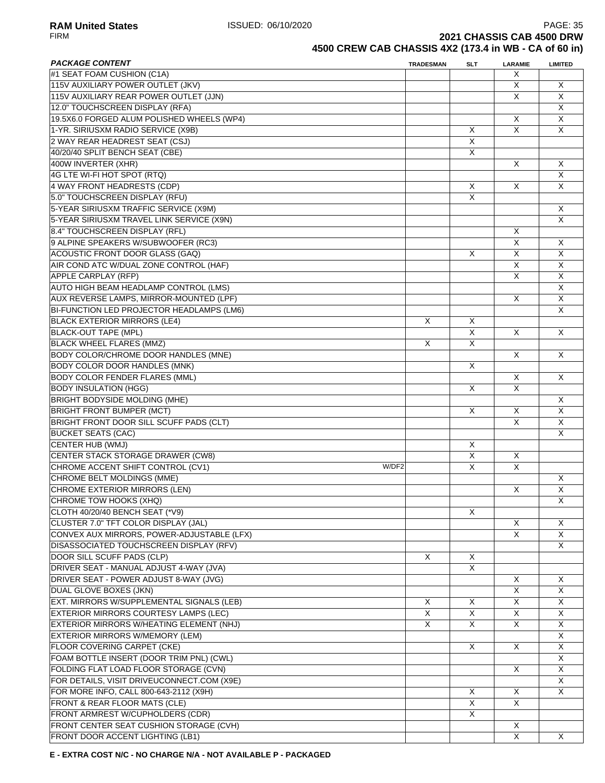**RAM United States ISSUED: 06/10/2020** PAGE: 35<br>FIRM **PAGE: 35**<br>**2021 CHASSIS CAB 4500 DRW 2021 CHASSIS CAB 4500 DRW** 

# **4500 CREW CAB CHASSIS 4X2 (173.4 in WB - CA of 60 in)**

| <b>PACKAGE CONTENT</b>                       | <b>TRADESMAN</b> | <b>SLT</b>     | <b>LARAMIE</b>          | <b>LIMITED</b>          |
|----------------------------------------------|------------------|----------------|-------------------------|-------------------------|
| #1 SEAT FOAM CUSHION (C1A)                   |                  |                | X                       |                         |
| 115V AUXILIARY POWER OUTLET (JKV)            |                  |                | X                       | X                       |
| 115V AUXILIARY REAR POWER OUTLET (JJN)       |                  |                | X                       | X                       |
| 12.0" TOUCHSCREEN DISPLAY (RFA)              |                  |                |                         | X                       |
| 19.5X6.0 FORGED ALUM POLISHED WHEELS (WP4)   |                  |                | X                       | X                       |
| 1-YR. SIRIUSXM RADIO SERVICE (X9B)           |                  | X              | X                       | X                       |
| 2 WAY REAR HEADREST SEAT (CSJ)               |                  | X              |                         |                         |
| 40/20/40 SPLIT BENCH SEAT (CBE)              |                  | X              |                         |                         |
| 400W INVERTER (XHR)                          |                  |                | X                       | X                       |
| 4G LTE WI-FI HOT SPOT (RTQ)                  |                  |                |                         | X                       |
| 4 WAY FRONT HEADRESTS (CDP)                  |                  | X              | X                       | X                       |
| 5.0" TOUCHSCREEN DISPLAY (RFU)               |                  | X              |                         |                         |
| 5-YEAR SIRIUSXM TRAFFIC SERVICE (X9M)        |                  |                |                         | X                       |
| 5-YEAR SIRIUSXM TRAVEL LINK SERVICE (X9N)    |                  |                |                         | X                       |
|                                              |                  |                |                         |                         |
| 8.4" TOUCHSCREEN DISPLAY (RFL)               |                  |                | X                       |                         |
| 9 ALPINE SPEAKERS W/SUBWOOFER (RC3)          |                  |                | X                       | X                       |
| <b>ACOUSTIC FRONT DOOR GLASS (GAQ)</b>       |                  | X              | X                       | X                       |
| AIR COND ATC W/DUAL ZONE CONTROL (HAF)       |                  |                | $\overline{\mathsf{x}}$ | X                       |
| APPLE CARPLAY (RFP)                          |                  |                | X                       | $\overline{\mathsf{x}}$ |
| AUTO HIGH BEAM HEADLAMP CONTROL (LMS)        |                  |                |                         | X                       |
| AUX REVERSE LAMPS, MIRROR-MOUNTED (LPF)      |                  |                | X                       | X                       |
| BI-FUNCTION LED PROJECTOR HEADLAMPS (LM6)    |                  |                |                         | X                       |
| <b>BLACK EXTERIOR MIRRORS (LE4)</b>          | $\times$         | X              |                         |                         |
| <b>BLACK-OUT TAPE (MPL)</b>                  |                  | X              | X                       | X                       |
| <b>BLACK WHEEL FLARES (MMZ)</b>              | X                | X              |                         |                         |
| <b>BODY COLOR/CHROME DOOR HANDLES (MNE)</b>  |                  |                | X                       | X                       |
| <b>BODY COLOR DOOR HANDLES (MNK)</b>         |                  | X              |                         |                         |
| <b>BODY COLOR FENDER FLARES (MML)</b>        |                  |                | X                       | X                       |
| <b>BODY INSULATION (HGG)</b>                 |                  | X              | X                       |                         |
| <b>BRIGHT BODYSIDE MOLDING (MHE)</b>         |                  |                |                         | X                       |
| <b>BRIGHT FRONT BUMPER (MCT)</b>             |                  | X              | X                       | X                       |
| BRIGHT FRONT DOOR SILL SCUFF PADS (CLT)      |                  |                | X                       | X                       |
| <b>BUCKET SEATS (CAC)</b>                    |                  |                |                         | X                       |
| <b>CENTER HUB (WMJ)</b>                      |                  | X              |                         |                         |
| <b>CENTER STACK STORAGE DRAWER (CW8)</b>     |                  | X              | X                       |                         |
| CHROME ACCENT SHIFT CONTROL (CV1)<br>W/DF2   |                  | X              | X                       |                         |
| <b>CHROME BELT MOLDINGS (MME)</b>            |                  |                |                         | X                       |
|                                              |                  |                |                         |                         |
| CHROME EXTERIOR MIRRORS (LEN)                |                  |                | X                       | $\overline{\mathsf{x}}$ |
| CHROME TOW HOOKS (XHQ)                       |                  |                |                         | $\overline{\mathsf{X}}$ |
| CLOTH 40/20/40 BENCH SEAT (*V9)              |                  | X              |                         |                         |
| CLUSTER 7.0" TFT COLOR DISPLAY (JAL)         |                  |                | X                       | X                       |
| CONVEX AUX MIRRORS, POWER-ADJUSTABLE (LFX)   |                  |                | X                       | X                       |
| DISASSOCIATED TOUCHSCREEN DISPLAY (RFV)      |                  |                |                         | X                       |
| DOOR SILL SCUFF PADS (CLP)                   | Χ                | X              |                         |                         |
| DRIVER SEAT - MANUAL ADJUST 4-WAY (JVA)      |                  | X              |                         |                         |
| DRIVER SEAT - POWER ADJUST 8-WAY (JVG)       |                  |                | X                       | X                       |
| DUAL GLOVE BOXES (JKN)                       |                  |                | X                       | X                       |
| EXT. MIRRORS W/SUPPLEMENTAL SIGNALS (LEB)    | X                | X              | X                       | X                       |
| <b>EXTERIOR MIRRORS COURTESY LAMPS (LEC)</b> | $\overline{X}$   | $\overline{X}$ | X                       | X                       |
| EXTERIOR MIRRORS W/HEATING ELEMENT (NHJ)     | X                | X              | X                       | X                       |
| <b>EXTERIOR MIRRORS W/MEMORY (LEM)</b>       |                  |                |                         | X                       |
| FLOOR COVERING CARPET (CKE)                  |                  | X              | X                       | X                       |
| FOAM BOTTLE INSERT (DOOR TRIM PNL) (CWL)     |                  |                |                         | X                       |
| FOLDING FLAT LOAD FLOOR STORAGE (CVN)        |                  |                | X                       | X                       |
| FOR DETAILS, VISIT DRIVEUCONNECT.COM (X9E)   |                  |                |                         | X                       |
| FOR MORE INFO, CALL 800-643-2112 (X9H)       |                  | X              | X                       | X                       |
| FRONT & REAR FLOOR MATS (CLE)                |                  | X              | X                       |                         |
| FRONT ARMREST W/CUPHOLDERS (CDR)             |                  | X              |                         |                         |
|                                              |                  |                |                         |                         |
| FRONT CENTER SEAT CUSHION STORAGE (CVH)      |                  |                | X                       |                         |
| FRONT DOOR ACCENT LIGHTING (LB1)             |                  |                | X                       | X                       |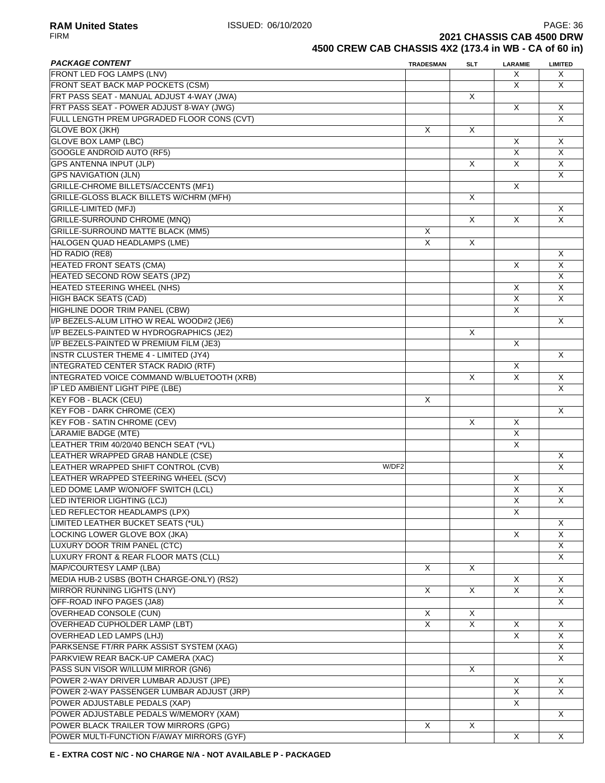**RAM United States ISSUED: 06/10/2020 PAGE: 36**<br>FIRM **PAGE: 36**<br>**2021 CHASSIS CAB 4500 DRW 2021 CHASSIS CAB 4500 DRW** 

# **4500 CREW CAB CHASSIS 4X2 (173.4 in WB - CA of 60 in)**

| <b>PACKAGE CONTENT</b>                       | <b>TRADESMAN</b> | SLT                     | <b>LARAMIE</b>          | <b>LIMITED</b>          |
|----------------------------------------------|------------------|-------------------------|-------------------------|-------------------------|
| <b>FRONT LED FOG LAMPS (LNV)</b>             |                  |                         | X                       | X                       |
| FRONT SEAT BACK MAP POCKETS (CSM)            |                  |                         | X                       | X                       |
| FRT PASS SEAT - MANUAL ADJUST 4-WAY (JWA)    |                  | X                       |                         |                         |
| FRT PASS SEAT - POWER ADJUST 8-WAY (JWG)     |                  |                         | X                       | X                       |
| FULL LENGTH PREM UPGRADED FLOOR CONS (CVT)   |                  |                         |                         | X                       |
| <b>GLOVE BOX (JKH)</b>                       | X                | X                       |                         |                         |
| <b>GLOVE BOX LAMP (LBC)</b>                  |                  |                         | X                       | X                       |
| <b>GOOGLE ANDROID AUTO (RF5)</b>             |                  |                         | X                       | $\times$                |
| <b>GPS ANTENNA INPUT (JLP)</b>               |                  | X                       | X                       | X                       |
| <b>GPS NAVIGATION (JLN)</b>                  |                  |                         |                         | X                       |
| GRILLE-CHROME BILLETS/ACCENTS (MF1)          |                  |                         | X                       |                         |
| GRILLE-GLOSS BLACK BILLETS W/CHRM (MFH)      |                  | X                       |                         |                         |
| <b>GRILLE-LIMITED (MFJ)</b>                  |                  |                         |                         |                         |
|                                              |                  |                         |                         | X                       |
| GRILLE-SURROUND CHROME (MNQ)                 |                  | X                       | X                       | $\overline{\mathsf{x}}$ |
| <b>GRILLE-SURROUND MATTE BLACK (MM5)</b>     | X                |                         |                         |                         |
| HALOGEN QUAD HEADLAMPS (LME)                 | X                | X                       |                         |                         |
| HD RADIO (RE8)                               |                  |                         |                         | X                       |
| <b>HEATED FRONT SEATS (CMA)</b>              |                  |                         | X                       | X                       |
| <b>HEATED SECOND ROW SEATS (JPZ)</b>         |                  |                         |                         | X                       |
| <b>HEATED STEERING WHEEL (NHS)</b>           |                  |                         | X                       | $\overline{\mathsf{x}}$ |
| HIGH BACK SEATS (CAD)                        |                  |                         | $\overline{\mathsf{x}}$ | X                       |
| HIGHLINE DOOR TRIM PANEL (CBW)               |                  |                         | X                       |                         |
| I/P BEZELS-ALUM LITHO W REAL WOOD#2 (JE6)    |                  |                         |                         | X                       |
| I/P BEZELS-PAINTED W HYDROGRAPHICS (JE2)     |                  | X                       |                         |                         |
| I/P BEZELS-PAINTED W PREMIUM FILM (JE3)      |                  |                         | X                       |                         |
| <b>INSTR CLUSTER THEME 4 - LIMITED (JY4)</b> |                  |                         |                         | X                       |
| INTEGRATED CENTER STACK RADIO (RTF)          |                  |                         | X                       |                         |
| INTEGRATED VOICE COMMAND W/BLUETOOTH (XRB)   |                  | X                       | X                       | X                       |
| IP LED AMBIENT LIGHT PIPE (LBE)              |                  |                         |                         | X                       |
| <b>KEY FOB - BLACK (CEU)</b>                 | X                |                         |                         |                         |
| <b>KEY FOB - DARK CHROME (CEX)</b>           |                  |                         |                         | X                       |
| <b>KEY FOB - SATIN CHROME (CEV)</b>          |                  | X                       | X                       |                         |
| <b>LARAMIE BADGE (MTE)</b>                   |                  |                         | X                       |                         |
| LEATHER TRIM 40/20/40 BENCH SEAT (*VL)       |                  |                         | X                       |                         |
| LEATHER WRAPPED GRAB HANDLE (CSE)            |                  |                         |                         | X                       |
| LEATHER WRAPPED SHIFT CONTROL (CVB)<br>W/DF2 |                  |                         |                         | $\times$                |
| LEATHER WRAPPED STEERING WHEEL (SCV)         |                  |                         | X                       |                         |
| LED DOME LAMP W/ON/OFF SWITCH (LCL)          |                  |                         | X                       | X                       |
|                                              |                  |                         | $\overline{\mathsf{X}}$ | $\overline{\mathsf{X}}$ |
| LED INTERIOR LIGHTING (LCJ)                  |                  |                         | X                       |                         |
| LED REFLECTOR HEADLAMPS (LPX)                |                  |                         |                         |                         |
| LIMITED LEATHER BUCKET SEATS (*UL)           |                  |                         |                         | X                       |
| LOCKING LOWER GLOVE BOX (JKA)                |                  |                         | X                       | X                       |
| LUXURY DOOR TRIM PANEL (CTC)                 |                  |                         |                         | X                       |
| LUXURY FRONT & REAR FLOOR MATS (CLL)         |                  |                         |                         | X                       |
| MAP/COURTESY LAMP (LBA)                      | X                | X                       |                         |                         |
| MEDIA HUB-2 USBS (BOTH CHARGE-ONLY) (RS2)    |                  |                         | X                       | X                       |
| <b>MIRROR RUNNING LIGHTS (LNY)</b>           | Χ                | X                       | X                       | X                       |
| OFF-ROAD INFO PAGES (JA8)                    |                  |                         |                         | X                       |
| OVERHEAD CONSOLE (CUN)                       | X                | X                       |                         |                         |
| <b>OVERHEAD CUPHOLDER LAMP (LBT)</b>         | X                | $\overline{\mathsf{x}}$ | X                       | Χ                       |
| OVERHEAD LED LAMPS (LHJ)                     |                  |                         | X                       | X                       |
| PARKSENSE FT/RR PARK ASSIST SYSTEM (XAG)     |                  |                         |                         | X                       |
| PARKVIEW REAR BACK-UP CAMERA (XAC)           |                  |                         |                         | X                       |
| PASS SUN VISOR W/ILLUM MIRROR (GN6)          |                  | X                       |                         |                         |
| POWER 2-WAY DRIVER LUMBAR ADJUST (JPE)       |                  |                         | X                       | X                       |
| POWER 2-WAY PASSENGER LUMBAR ADJUST (JRP)    |                  |                         | X                       | X                       |
| POWER ADJUSTABLE PEDALS (XAP)                |                  |                         | X                       |                         |
| POWER ADJUSTABLE PEDALS W/MEMORY (XAM)       |                  |                         |                         | X                       |
| POWER BLACK TRAILER TOW MIRRORS (GPG)        | X                | X                       |                         |                         |
| POWER MULTI-FUNCTION F/AWAY MIRRORS (GYF)    |                  |                         | X                       | X                       |
|                                              |                  |                         |                         |                         |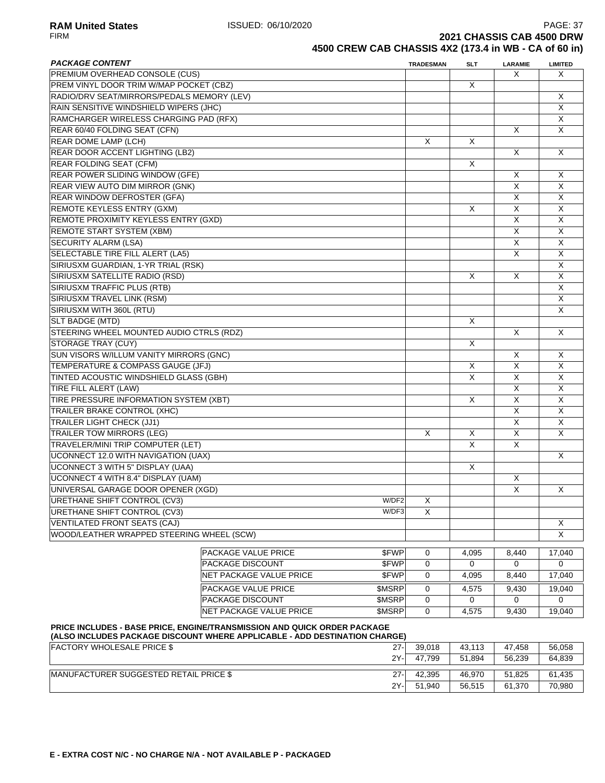**RAM United States ISSUED: 06/10/2020** PAGE: 37<br>FIRM **PAGE: 37 2021 CHASSIS CAB 4500 DRW** 

2Y- 51,940 56,515 61,370 70,980

**4500 CREW CAB CHASSIS 4X2 (173.4 in WB - CA of 60 in)**

| <b>PACKAGE CONTENT</b>                     |                                                                            |        | <b>TRADESMAN</b> | <b>SLT</b> | <b>LARAMIE</b>          | <b>LIMITED</b>          |
|--------------------------------------------|----------------------------------------------------------------------------|--------|------------------|------------|-------------------------|-------------------------|
| PREMIUM OVERHEAD CONSOLE (CUS)             |                                                                            |        |                  |            | X                       | X                       |
| PREM VINYL DOOR TRIM W/MAP POCKET (CBZ)    |                                                                            |        |                  | X          |                         |                         |
| RADIO/DRV SEAT/MIRRORS/PEDALS MEMORY (LEV) |                                                                            |        |                  |            |                         | X                       |
| RAIN SENSITIVE WINDSHIELD WIPERS (JHC)     |                                                                            |        |                  |            |                         | $\overline{\mathsf{x}}$ |
| RAMCHARGER WIRELESS CHARGING PAD (RFX)     |                                                                            |        |                  |            |                         | X                       |
| REAR 60/40 FOLDING SEAT (CFN)              |                                                                            |        |                  |            | X                       | $\overline{X}$          |
| REAR DOME LAMP (LCH)                       |                                                                            |        | X                | Х          |                         |                         |
| REAR DOOR ACCENT LIGHTING (LB2)            |                                                                            |        |                  |            | X                       | X                       |
| <b>REAR FOLDING SEAT (CFM)</b>             |                                                                            |        |                  | X          |                         |                         |
| <b>REAR POWER SLIDING WINDOW (GFE)</b>     |                                                                            |        |                  |            | X                       | Χ                       |
| REAR VIEW AUTO DIM MIRROR (GNK)            |                                                                            |        |                  |            | X                       | $\mathsf{X}$            |
| REAR WINDOW DEFROSTER (GFA)                |                                                                            |        |                  |            | X                       | X                       |
| REMOTE KEYLESS ENTRY (GXM)                 |                                                                            |        |                  | X          | $\overline{\mathsf{x}}$ | $\overline{X}$          |
| REMOTE PROXIMITY KEYLESS ENTRY (GXD)       |                                                                            |        |                  |            | X                       | $\overline{\mathsf{x}}$ |
| <b>REMOTE START SYSTEM (XBM)</b>           |                                                                            |        |                  |            | $\overline{\mathsf{x}}$ | $\overline{X}$          |
| <b>SECURITY ALARM (LSA)</b>                |                                                                            |        |                  |            | X                       | $\mathsf{X}$            |
| SELECTABLE TIRE FILL ALERT (LA5)           |                                                                            |        |                  |            | X                       | $\sf X$                 |
| SIRIUSXM GUARDIAN, 1-YR TRIAL (RSK)        |                                                                            |        |                  |            |                         | $\times$                |
| SIRIUSXM SATELLITE RADIO (RSD)             |                                                                            |        |                  | X          | X                       | X                       |
| SIRIUSXM TRAFFIC PLUS (RTB)                |                                                                            |        |                  |            |                         | X                       |
| SIRIUSXM TRAVEL LINK (RSM)                 |                                                                            |        |                  |            |                         | X                       |
| SIRIUSXM WITH 360L (RTU)                   |                                                                            |        |                  |            |                         | $\pmb{\times}$          |
|                                            |                                                                            |        |                  |            |                         |                         |
| SLT BADGE (MTD)                            |                                                                            |        |                  | X          |                         |                         |
| STEERING WHEEL MOUNTED AUDIO CTRLS (RDZ)   |                                                                            |        |                  |            | X                       | X                       |
| <b>STORAGE TRAY (CUY)</b>                  |                                                                            |        |                  | X          |                         |                         |
| SUN VISORS W/ILLUM VANITY MIRRORS (GNC)    |                                                                            |        |                  |            | X                       | X                       |
| TEMPERATURE & COMPASS GAUGE (JFJ)          |                                                                            |        |                  | Χ          | X                       | $\sf X$                 |
| TINTED ACOUSTIC WINDSHIELD GLASS (GBH)     |                                                                            |        |                  | X          | X                       | X                       |
| TIRE FILL ALERT (LAW)                      |                                                                            |        |                  |            | X                       | X                       |
| TIRE PRESSURE INFORMATION SYSTEM (XBT)     |                                                                            |        |                  | X          | X                       | $\sf X$                 |
| <b>TRAILER BRAKE CONTROL (XHC)</b>         |                                                                            |        |                  |            | X                       | $\overline{X}$          |
| <b>TRAILER LIGHT CHECK (JJ1)</b>           |                                                                            |        |                  |            | X                       | $\overline{\mathsf{x}}$ |
| <b>TRAILER TOW MIRRORS (LEG)</b>           |                                                                            |        | X                | X          | X                       | X                       |
| TRAVELER/MINI TRIP COMPUTER (LET)          |                                                                            |        |                  | X          | X                       |                         |
| <b>UCONNECT 12.0 WITH NAVIGATION (UAX)</b> |                                                                            |        |                  |            |                         | X                       |
| <b>UCONNECT 3 WITH 5" DISPLAY (UAA)</b>    |                                                                            |        |                  | X          |                         |                         |
| <b>UCONNECT 4 WITH 8.4" DISPLAY (UAM)</b>  |                                                                            |        |                  |            | X                       |                         |
| UNIVERSAL GARAGE DOOR OPENER (XGD)         |                                                                            |        |                  |            | X                       | X                       |
| URETHANE SHIFT CONTROL (CV3)               |                                                                            | W/DF2  | Х                |            |                         |                         |
| URETHANE SHIFT CONTROL (CV3)               |                                                                            | W/DF3  | X                |            |                         |                         |
| VENTILATED FRONT SEATS (CAJ)               |                                                                            |        |                  |            |                         | X                       |
| WOOD/LEATHER WRAPPED STEERING WHEEL (SCW)  |                                                                            |        |                  |            |                         | X                       |
|                                            |                                                                            |        |                  |            |                         |                         |
|                                            | <b>PACKAGE VALUE PRICE</b>                                                 | \$FWP  | 0                | 4,095      | 8,440                   | 17,040                  |
|                                            | <b>PACKAGE DISCOUNT</b>                                                    | \$FWP  | 0                | 0          | 0                       | 0                       |
|                                            | NET PACKAGE VALUE PRICE                                                    | \$FWP  | 0                | 4,095      | 8,440                   | 17,040                  |
|                                            | PACKAGE VALUE PRICE                                                        | \$MSRP | 0                | 4,575      | 9,430                   | 19,040                  |
|                                            | PACKAGE DISCOUNT                                                           | \$MSRP | 0                | 0          | 0                       | 0                       |
|                                            | NET PACKAGE VALUE PRICE                                                    | \$MSRP | 0                | 4,575      | 9,430                   | 19,040                  |
|                                            | PRICE INCLUDES - BASE PRICE, ENGINE/TRANSMISSION AND QUICK ORDER PACKAGE   |        |                  |            |                         |                         |
|                                            | (ALSO INCLUDES PACKAGE DISCOUNT WHERE APPLICABLE - ADD DESTINATION CHARGE) |        |                  |            |                         |                         |
| <b>FACTORY WHOLESALE PRICE \$</b>          |                                                                            | $27 -$ | 39,018           | 43,113     | 47,458                  | 56,058                  |
|                                            |                                                                            | 2Y-    | 47,799           | 51,894     | 56,239                  | 64,839                  |
| MANUFACTURER SUGGESTED RETAIL PRICE \$     |                                                                            | $27 -$ | 42,395           | 46,970     | 51,825                  | 61,435                  |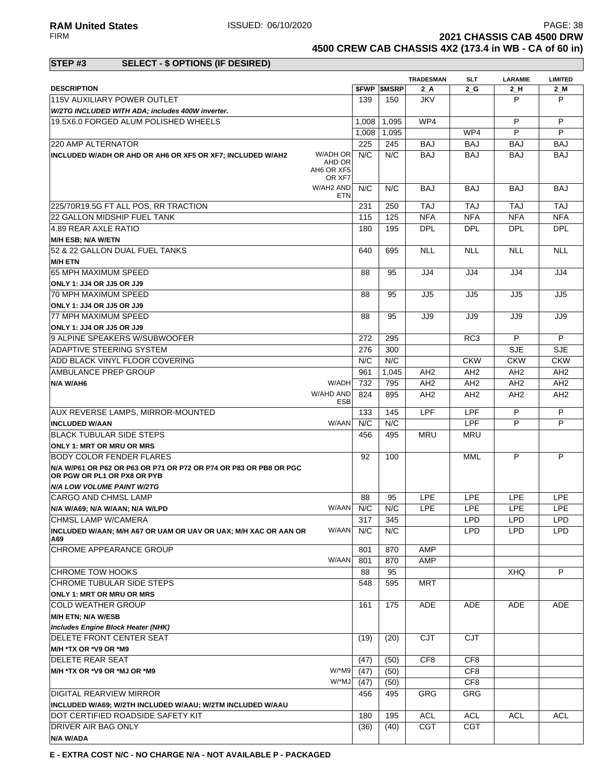**2021 CHASSIS CAB 4500 DRW** 

**4500 CREW CAB CHASSIS 4X2 (173.4 in WB - CA of 60 in)**

### **STEP #3 SELECT - \$ OPTIONS (IF DESIRED)**

|                                                                        |               |                   |                 | <b>TRADESMAN</b> | SLT             | <b>LARAMIE</b>  | <b>LIMITED</b>  |
|------------------------------------------------------------------------|---------------|-------------------|-----------------|------------------|-----------------|-----------------|-----------------|
| <b>DESCRIPTION</b>                                                     |               | <b>SFWP SMSRP</b> |                 | $2_A$            | 2 G             | $2_H$           | 2_M             |
| 115V AUXILIARY POWER OUTLET                                            | 139           |                   | 150             | <b>JKV</b>       |                 | P               | P               |
| W/2TG INCLUDED WITH ADA; includes 400W inverter.                       |               |                   |                 |                  |                 |                 |                 |
| 19.5X6.0 FORGED ALUM POLISHED WHEELS                                   | 1,008         |                   | 1,095           | WP4              |                 | P               | P               |
|                                                                        | 1,008         |                   | 1,095           |                  | WP4             | P               | P               |
| 220 AMP ALTERNATOR                                                     | 225           |                   | 245             | <b>BAJ</b>       | <b>BAJ</b>      | <b>BAJ</b>      | <b>BAJ</b>      |
| W/ADH OR<br>INCLUDED W/ADH OR AHD OR AH6 OR XF5 OR XF7; INCLUDED W/AH2 | N/C           |                   | N/C             | <b>BAJ</b>       | <b>BAJ</b>      | <b>BAJ</b>      | <b>BAJ</b>      |
|                                                                        | AHD OR        |                   |                 |                  |                 |                 |                 |
| AH6 OR XF5                                                             | OR XF7        |                   |                 |                  |                 |                 |                 |
| W/AH2 AND                                                              | N/C           |                   | N/C             | <b>BAJ</b>       | <b>BAJ</b>      | <b>BAJ</b>      | <b>BAJ</b>      |
|                                                                        | <b>ETN</b>    |                   |                 |                  |                 |                 |                 |
| 225/70R19.5G FT ALL POS, RR TRACTION                                   | 231           |                   | 250             | <b>TAJ</b>       | <b>TAJ</b>      | <b>TAJ</b>      | <b>TAJ</b>      |
| 22 GALLON MIDSHIP FUEL TANK                                            | 115           |                   | 125             | <b>NFA</b>       | <b>NFA</b>      | <b>NFA</b>      | <b>NFA</b>      |
| 4.89 REAR AXLE RATIO                                                   | 180           |                   | 195             | <b>DPL</b>       | <b>DPL</b>      | <b>DPL</b>      | <b>DPL</b>      |
| <b>M/H ESB; N/A W/ETN</b>                                              |               |                   |                 |                  |                 |                 |                 |
| 52 & 22 GALLON DUAL FUEL TANKS                                         | 640           |                   | 695             | <b>NLL</b>       | <b>NLL</b>      | <b>NLL</b>      | <b>NLL</b>      |
| <b>M/H ETN</b>                                                         |               |                   |                 |                  |                 |                 |                 |
| 65 MPH MAXIMUM SPEED                                                   | 88            |                   | 95              | JJ4              | JJ4             | JJ4             | JJ4             |
| ONLY 1: JJ4 OR JJ5 OR JJ9                                              |               |                   |                 |                  |                 |                 |                 |
| 70 MPH MAXIMUM SPEED                                                   | 88            |                   | 95              | JJ5              | JJ5             | JJ5             | JJ5             |
|                                                                        |               |                   |                 |                  |                 |                 |                 |
| ONLY 1: JJ4 OR JJ5 OR JJ9<br>77 MPH MAXIMUM SPEED                      |               |                   |                 |                  |                 |                 |                 |
|                                                                        | 88            |                   | 95              | JJ9              | JJ9             | JJ9             | JJ9             |
| ONLY 1: JJ4 OR JJ5 OR JJ9                                              |               |                   |                 |                  |                 |                 |                 |
| 9 ALPINE SPEAKERS W/SUBWOOFER                                          | 272           |                   | 295             |                  | RC <sub>3</sub> | P               | P               |
| ADAPTIVE STEERING SYSTEM                                               | 276           |                   | 300             |                  |                 | <b>SJE</b>      | <b>SJE</b>      |
| ADD BLACK VINYL FLOOR COVERING                                         | N/C           |                   | N/C             |                  | <b>CKW</b>      | <b>CKW</b>      | <b>CKW</b>      |
| AMBULANCE PREP GROUP                                                   | 961           |                   | 1,045           | AH <sub>2</sub>  | AH <sub>2</sub> | AH <sub>2</sub> | AH <sub>2</sub> |
| N/A W/AH6                                                              | W/ADH<br>732  |                   | 795             | AH <sub>2</sub>  | AH <sub>2</sub> | AH <sub>2</sub> | AH <sub>2</sub> |
| W/AHD AND                                                              | 824           |                   | 895             | AH <sub>2</sub>  | AH <sub>2</sub> | AH <sub>2</sub> | AH <sub>2</sub> |
|                                                                        | <b>ESB</b>    |                   |                 |                  |                 |                 |                 |
| <b>AUX REVERSE LAMPS, MIRROR-MOUNTED</b>                               | 133           |                   | 145             | <b>LPF</b>       | LPF             | P               | P               |
| <b>INCLUDED W/AAN</b>                                                  | N/C<br>W/AAN  |                   | N/C             |                  | <b>LPF</b>      | P               | P               |
| BLACK TUBULAR SIDE STEPS                                               | 456           |                   | 495             | <b>MRU</b>       | <b>MRU</b>      |                 |                 |
| <b>ONLY 1: MRT OR MRU OR MRS</b>                                       |               |                   |                 |                  |                 |                 |                 |
| BODY COLOR FENDER FLARES                                               | 92            |                   | 100             |                  | MML             | P               | P               |
| N/A W/P61 OR P62 OR P63 OR P71 OR P72 OR P74 OR P83 OR PB8 OR PGC      |               |                   |                 |                  |                 |                 |                 |
| OR PGW OR PL1 OR PX8 OR PYB                                            |               |                   |                 |                  |                 |                 |                 |
| <b>N/A LOW VOLUME PAINT W/2TG</b>                                      |               |                   |                 |                  |                 |                 |                 |
| ICARGO AND CHMSL LAMP                                                  | 88            |                   | 95              | <b>LPE</b>       | <b>LPE</b>      | <b>LPE</b>      | <b>LPE</b>      |
| N/A W/A69; N/A W/AAN; N/A W/LPD                                        | W/AAN<br>N/C  |                   | N/C             | <b>LPE</b>       | <b>LPE</b>      | <b>LPE</b>      | <b>LPE</b>      |
| CHMSL LAMP W/CAMERA                                                    | 317           |                   | $\frac{1}{345}$ |                  | <b>LPD</b>      | LPD             | LPD             |
| INCLUDED W/AAN; M/H A67 OR UAM OR UAV OR UAX; M/H XAC OR AAN OR        | W/AAN<br>N/C  |                   | N/C             |                  | <b>LPD</b>      | <b>LPD</b>      | <b>LPD</b>      |
| A69                                                                    |               |                   |                 |                  |                 |                 |                 |
| CHROME APPEARANCE GROUP                                                | 801           |                   | 870             | AMP              |                 |                 |                 |
|                                                                        | W/AAN<br>801  |                   | 870             | AMP              |                 |                 |                 |
| <b>CHROME TOW HOOKS</b>                                                | 88            |                   | 95              |                  |                 | <b>XHQ</b>      | P               |
| CHROME TUBULAR SIDE STEPS                                              | 548           |                   | 595             | MRT              |                 |                 |                 |
| ONLY 1: MRT OR MRU OR MRS                                              |               |                   |                 |                  |                 |                 |                 |
| <b>COLD WEATHER GROUP</b>                                              | 161           |                   | 175             | ADE              | ADE             | ADE             | ADE             |
| <b>M/H ETN; N/A W/ESB</b>                                              |               |                   |                 |                  |                 |                 |                 |
| Includes Engine Block Heater (NHK)                                     |               |                   |                 |                  |                 |                 |                 |
| <b>DELETE FRONT CENTER SEAT</b>                                        | (19)          |                   | (20)            | CJT              | <b>CJT</b>      |                 |                 |
| M/H *TX OR *V9 OR *M9                                                  |               |                   |                 |                  |                 |                 |                 |
| <b>DELETE REAR SEAT</b>                                                | (47)          |                   | (50)            | CF8              | CF <sub>8</sub> |                 |                 |
| M/H *TX OR *V9 OR *MJ OR *M9                                           | W/*M9<br>(47) |                   | (50)            |                  | CF8             |                 |                 |
|                                                                        | W/*MJ<br>(47) |                   | (50)            |                  | CF <sub>8</sub> |                 |                 |
| <b>DIGITAL REARVIEW MIRROR</b>                                         |               |                   |                 |                  | GRG             |                 |                 |
|                                                                        | 456           |                   | 495             | GRG              |                 |                 |                 |
| INCLUDED W/A69; W/2TH INCLUDED W/AAU; W/2TM INCLUDED W/AAU             |               |                   |                 |                  |                 |                 |                 |
| DOT CERTIFIED ROADSIDE SAFETY KIT                                      | 180           |                   | 195             | <b>ACL</b>       | <b>ACL</b>      | <b>ACL</b>      | <b>ACL</b>      |
| <b>DRIVER AIR BAG ONLY</b>                                             | (36)          |                   | (40)            | <b>CGT</b>       | <b>CGT</b>      |                 |                 |
| N/A W/ADA                                                              |               |                   |                 |                  |                 |                 |                 |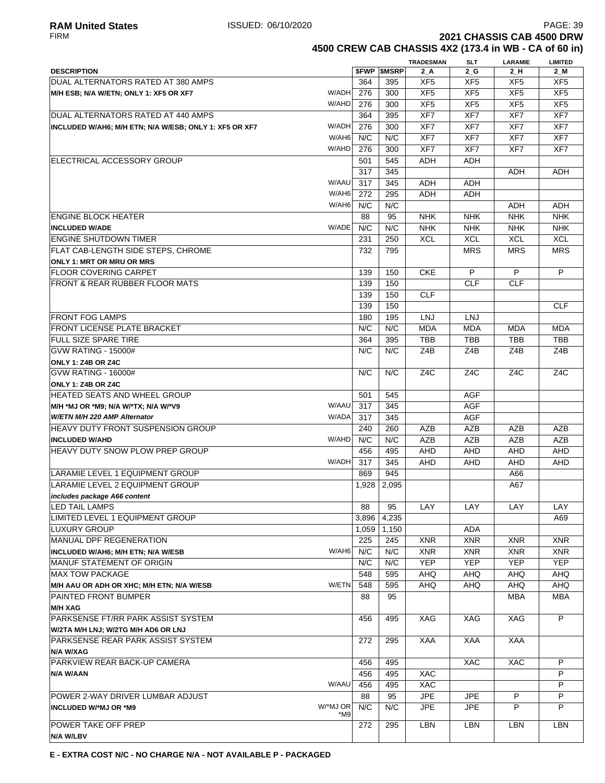**4500 CREW CAB CHASSIS 4X2 (173.4 in WB - CA of 60 in)**

|                                                        |                 |       |                     | <b>TRADESMAN</b> | <b>SLT</b>       | <b>LARAMIE</b>   | <b>LIMITED</b>   |
|--------------------------------------------------------|-----------------|-------|---------------------|------------------|------------------|------------------|------------------|
| <b>DESCRIPTION</b>                                     |                 |       | <b>\$FWP \$MSRP</b> | $2_A$            | $2_G$            | 2H               | $2$ M            |
| DUAL ALTERNATORS RATED AT 380 AMPS                     |                 | 364   | 395                 | XF <sub>5</sub>  | XF <sub>5</sub>  | XF <sub>5</sub>  | XF <sub>5</sub>  |
| M/H ESB; N/A W/ETN; ONLY 1: XF5 OR XF7                 | W/ADH           | 276   | 300                 | XF <sub>5</sub>  | XF <sub>5</sub>  | XF <sub>5</sub>  | XF <sub>5</sub>  |
|                                                        | W/AHD           | 276   | 300                 | XF <sub>5</sub>  | XF <sub>5</sub>  | XF <sub>5</sub>  | XF <sub>5</sub>  |
| DUAL ALTERNATORS RATED AT 440 AMPS                     |                 | 364   | 395                 | XF7              | XF7              | XF7              | XF7              |
| INCLUDED W/AH6; M/H ETN; N/A W/ESB; ONLY 1: XF5 OR XF7 | W/ADH           | 276   | 300                 | XF7              | XF7              | XF7              | XF7              |
|                                                        | W/AH6           | N/C   | N/C                 | XF7              | XF7              | XF7              | XF7              |
|                                                        | W/AHD           | 276   | 300                 | XF7              | XF7              | XF7              | XF7              |
| ELECTRICAL ACCESSORY GROUP                             |                 | 501   | 545                 | ADH              | ADH              |                  |                  |
|                                                        |                 | 317   | 345                 |                  |                  | ADH              | ADH              |
|                                                        | W/AAU           | 317   | 345                 | ADH              | ADH              |                  |                  |
|                                                        | W/AH6           | 272   | 295                 | <b>ADH</b>       | ADH              |                  |                  |
|                                                        | W/AH6           | N/C   | N/C                 |                  |                  | ADH              | <b>ADH</b>       |
| <b>ENGINE BLOCK HEATER</b>                             |                 | 88    | 95                  | <b>NHK</b>       | <b>NHK</b>       | <b>NHK</b>       | <b>NHK</b>       |
| <b>INCLUDED W/ADE</b>                                  | W/ADE           | N/C   | N/C                 | <b>NHK</b>       | <b>NHK</b>       | <b>NHK</b>       | <b>NHK</b>       |
| <b>ENGINE SHUTDOWN TIMER</b>                           |                 | 231   | 250                 | <b>XCL</b>       | <b>XCL</b>       | <b>XCL</b>       | <b>XCL</b>       |
| <b>FLAT CAB-LENGTH SIDE STEPS, CHROME</b>              |                 | 732   | 795                 |                  | <b>MRS</b>       | <b>MRS</b>       | <b>MRS</b>       |
| <b>ONLY 1: MRT OR MRU OR MRS</b>                       |                 |       |                     |                  |                  |                  |                  |
| <b>FLOOR COVERING CARPET</b>                           |                 | 139   | 150                 | <b>CKE</b>       | P                | P                | P                |
| FRONT & REAR RUBBER FLOOR MATS                         |                 | 139   | 150                 |                  | <b>CLF</b>       | <b>CLF</b>       |                  |
|                                                        |                 | 139   | 150                 | <b>CLF</b>       |                  |                  |                  |
|                                                        |                 | 139   | 150                 |                  |                  |                  | <b>CLF</b>       |
| <b>FRONT FOG LAMPS</b>                                 |                 | 180   | 195                 | LNJ              | LNJ              |                  |                  |
| <b>FRONT LICENSE PLATE BRACKET</b>                     |                 | N/C   | N/C                 | <b>MDA</b>       | <b>MDA</b>       | <b>MDA</b>       | <b>MDA</b>       |
| <b>FULL SIZE SPARE TIRE</b>                            |                 | 364   | 395                 | TBB              | <b>TBB</b>       | TBB              | <b>TBB</b>       |
| <b>GVW RATING - 15000#</b>                             |                 | N/C   | N/C                 | Z4B              | Z4B              | Z4B              | Z4B              |
| <b>ONLY 1: Z4B OR Z4C</b>                              |                 |       |                     |                  |                  |                  |                  |
| <b>GVW RATING - 16000#</b>                             |                 | N/C   | N/C                 | Z <sub>4</sub> C | Z <sub>4</sub> C | Z <sub>4</sub> C | Z <sub>4</sub> C |
| ONLY 1: Z4B OR Z4C                                     |                 |       |                     |                  |                  |                  |                  |
| HEATED SEATS AND WHEEL GROUP                           |                 | 501   | 545                 |                  | AGF              |                  |                  |
| M/H *MJ OR *M9; N/A W/*TX; N/A W/*V9                   | W/AAU           | 317   | 345                 |                  | AGF              |                  |                  |
| W/ETN M/H 220 AMP Alternator                           | W/ADA           | 317   | 345                 |                  | AGF              |                  |                  |
| <b>HEAVY DUTY FRONT SUSPENSION GROUP</b>               |                 | 240   | 260                 | <b>AZB</b>       | AZB              | AZB              | <b>AZB</b>       |
| <b>INCLUDED W/AHD</b>                                  | W/AHD           | N/C   | N/C                 | <b>AZB</b>       | <b>AZB</b>       | AZB              | AZB              |
| <b>HEAVY DUTY SNOW PLOW PREP GROUP</b>                 |                 | 456   | 495                 | AHD              | AHD              | <b>AHD</b>       | AHD              |
|                                                        | W/ADH           | 317   | 345                 | <b>AHD</b>       | <b>AHD</b>       | <b>AHD</b>       | <b>AHD</b>       |
| LARAMIE LEVEL 1 EQUIPMENT GROUP                        |                 | 869   | 945                 |                  |                  | A66              |                  |
| LARAMIE LEVEL 2 EQUIPMENT GROUP                        |                 | 1,928 | 2.095               |                  |                  | A67              |                  |
| includes package A66 content                           |                 |       |                     |                  |                  |                  |                  |
| <b>LED TAIL LAMPS</b>                                  |                 | 88    | 95                  | LAY              | LAY              | LAY              | LAY              |
| LIMITED LEVEL 1 EQUIPMENT GROUP                        |                 | 3,896 | 4,235               |                  |                  |                  | A69              |
| <b>LUXURY GROUP</b>                                    |                 | 1,059 | 1,150               |                  | <b>ADA</b>       |                  |                  |
| MANUAL DPF REGENERATION                                |                 | 225   | 245                 | <b>XNR</b>       | <b>XNR</b>       | <b>XNR</b>       | <b>XNR</b>       |
| INCLUDED W/AH6; M/H ETN; N/A W/ESB                     | W/AH6           | N/C   | N/C                 | <b>XNR</b>       | <b>XNR</b>       | <b>XNR</b>       | <b>XNR</b>       |
| <b>MANUF STATEMENT OF ORIGIN</b>                       |                 | N/C   | N/C                 | <b>YEP</b>       | <b>YEP</b>       | <b>YEP</b>       | <b>YEP</b>       |
| <b>MAX TOW PACKAGE</b>                                 |                 | 548   | 595                 | AHQ              | <b>AHQ</b>       | <b>AHQ</b>       | AHQ              |
| M/H AAU OR ADH OR XHC; M/H ETN; N/A W/ESB              | W/ETN           | 548   | 595                 | <b>AHQ</b>       | AHQ              | <b>AHQ</b>       | <b>AHQ</b>       |
| <b>PAINTED FRONT BUMPER</b>                            |                 | 88    | 95                  |                  |                  | MBA              | <b>MBA</b>       |
| <b>M/H XAG</b>                                         |                 |       |                     |                  |                  |                  |                  |
| PARKSENSE FT/RR PARK ASSIST SYSTEM                     |                 | 456   | 495                 | XAG              | XAG              | XAG              | P                |
| W/2TA M/H LNJ; W/2TG M/H AD6 OR LNJ                    |                 |       |                     |                  |                  |                  |                  |
| PARKSENSE REAR PARK ASSIST SYSTEM                      |                 | 272   | 295                 | XAA              | XAA              | XAA              |                  |
| N/A W/XAG                                              |                 |       |                     |                  |                  |                  |                  |
| PARKVIEW REAR BACK-UP CAMERA                           |                 | 456   | 495                 |                  | XAC              | <b>XAC</b>       | P                |
| N/A W/AAN                                              |                 | 456   | 495                 | XAC              |                  |                  | P                |
|                                                        | W/AAU           | 456   | 495                 | XAC              |                  |                  | P                |
| POWER 2-WAY DRIVER LUMBAR ADJUST                       |                 | 88    | 95                  | <b>JPE</b>       | <b>JPE</b>       | P                | P                |
| <b>INCLUDED W/*MJ OR *M9</b>                           | W/*MJ OR<br>*M9 | N/C   | N/C                 | <b>JPE</b>       | <b>JPE</b>       | P                | P                |
| POWER TAKE OFF PREP                                    |                 | 272   | 295                 | LBN              | LBN              | LBN              | LBN              |
| N/A W/LBV                                              |                 |       |                     |                  |                  |                  |                  |
|                                                        |                 |       |                     |                  |                  |                  |                  |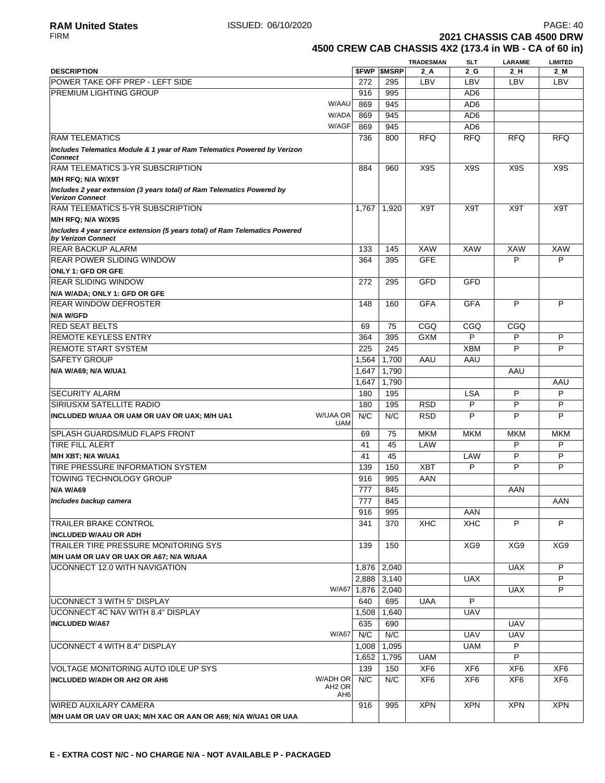## **TRADESMAN SLT LARAMIE LIMITED DESCRIPTION \$FWP \$MSRP 2\_A 2\_G 2\_H 2\_M** POWER TAKE OFF PREP - LEFT SIDE THE CONDUCT AND RESIDENCE 272 295 LBV LBV LBV LBV LBV PREMIUM LIGHTING GROUP AD6 W/AAU 869 945 AD6 W/ADA 869 945 AD6 W/AGF 869 945 | AD6 736 | 800 | RFQ | RFQ | RFQ | RFQ 884 | 960 | X9S | X9S | X9S | X9S FIRM **2021 CHASSIS CAB 4500 DRW 4500 CREW CAB CHASSIS 4X2 (173.4 in WB - CA of 60 in)**

| W/AGF                                                                                             | 869   | 945           |                  | AD <sub>6</sub>  |                  |                  |
|---------------------------------------------------------------------------------------------------|-------|---------------|------------------|------------------|------------------|------------------|
| <b>RAM TELEMATICS</b>                                                                             | 736   | 800           | <b>RFQ</b>       | <b>RFQ</b>       | <b>RFQ</b>       | <b>RFQ</b>       |
| Includes Telematics Module & 1 year of Ram Telematics Powered by Verizon<br><b>Connect</b>        |       |               |                  |                  |                  |                  |
| <b>RAM TELEMATICS 3-YR SUBSCRIPTION</b>                                                           | 884   | 960           | X <sub>9</sub> S | X <sub>9</sub> S | X <sub>9</sub> S | X <sub>9</sub> S |
| M/H RFQ; N/A W/X9T                                                                                |       |               |                  |                  |                  |                  |
| Includes 2 year extension (3 years total) of Ram Telematics Powered by<br><b>Verizon Connect</b>  |       |               |                  |                  |                  |                  |
| <b>RAM TELEMATICS 5-YR SUBSCRIPTION</b>                                                           | 1,767 | 1,920         | X9T              | X9T              | X9T              | X9T              |
| M/H RFQ; N/A W/X9S                                                                                |       |               |                  |                  |                  |                  |
| Includes 4 year service extension (5 years total) of Ram Telematics Powered<br>by Verizon Connect |       |               |                  |                  |                  |                  |
| <b>REAR BACKUP ALARM</b>                                                                          | 133   | 145           | <b>XAW</b>       | <b>XAW</b>       | <b>XAW</b>       | <b>XAW</b>       |
| <b>REAR POWER SLIDING WINDOW</b>                                                                  | 364   | 395           | <b>GFE</b>       |                  | P                | P                |
| <b>ONLY 1: GFD OR GFE</b>                                                                         |       |               |                  |                  |                  |                  |
| <b>IREAR SLIDING WINDOW</b>                                                                       | 272   | 295           | <b>GFD</b>       | GFD              |                  |                  |
| N/A W/ADA; ONLY 1: GFD OR GFE                                                                     |       |               |                  |                  |                  |                  |
| <b>IREAR WINDOW DEFROSTER</b>                                                                     | 148   | 160           | <b>GFA</b>       | <b>GFA</b>       | P                | P                |
| N/A W/GFD                                                                                         |       |               |                  |                  |                  |                  |
| <b>RED SEAT BELTS</b>                                                                             | 69    | 75            | CGQ              | CGQ              | CGQ              |                  |
| <b>REMOTE KEYLESS ENTRY</b>                                                                       | 364   | 395           | <b>GXM</b>       | P                | P                | P                |
| <b>REMOTE START SYSTEM</b>                                                                        | 225   | 245           |                  | <b>XBM</b>       | P                | P                |
| <b>SAFETY GROUP</b>                                                                               | 1,564 | 1,700         | AAU              | AAU              |                  |                  |
| N/A W/A69; N/A W/UA1                                                                              | 1,647 | 1,790         |                  |                  | AAU              |                  |
|                                                                                                   | 1,647 | 1,790         |                  |                  |                  | AAU              |
| <b>SECURITY ALARM</b>                                                                             | 180   | 195           |                  | <b>LSA</b>       | P                | P                |
| SIRIUSXM SATELLITE RADIO                                                                          | 180   | 195           | <b>RSD</b>       | P                | P                | P                |
| <b>W/UAA OR</b><br>INCLUDED W/UAA OR UAM OR UAV OR UAX; M/H UA1<br><b>UAM</b>                     | N/C   | N/C           | <b>RSD</b>       | P                | P                | P                |
| SPLASH GUARDS/MUD FLAPS FRONT                                                                     | 69    | 75            | <b>MKM</b>       | <b>MKM</b>       | <b>MKM</b>       | <b>MKM</b>       |
| <b>TIRE FILL ALERT</b>                                                                            | 41    | 45            | LAW              |                  | P                | P                |
| M/H XBT; N/A W/UA1                                                                                | 41    | 45            |                  | LAW              | P                | P                |
| TIRE PRESSURE INFORMATION SYSTEM                                                                  | 139   | 150           | <b>XBT</b>       | P                | P                | P                |
| TOWING TECHNOLOGY GROUP                                                                           | 916   | 995           | AAN              |                  |                  |                  |
| N/A W/A69                                                                                         | 777   | 845           |                  |                  | AAN              |                  |
| Includes backup camera                                                                            | 777   | 845           |                  |                  |                  | AAN              |
|                                                                                                   | 916   | 995           |                  | AAN              |                  |                  |
| <b>TRAILER BRAKE CONTROL</b>                                                                      | 341   | 370           | <b>XHC</b>       | <b>XHC</b>       | P                | P                |
| <b>INCLUDED W/AAU OR ADH</b>                                                                      |       |               |                  |                  |                  |                  |
| TRAILER TIRE PRESSURE MONITORING SYS                                                              | 139   | 150           |                  | XG9              | XG9              | XG9              |
| M/H UAM OR UAV OR UAX OR A67; N/A W/UAA                                                           |       |               |                  |                  |                  |                  |
| UCONNECT 12.0 WITH NAVIGATION                                                                     |       | 1,876   2,040 |                  |                  | <b>UAX</b>       | P                |
|                                                                                                   | 2,888 | 3,140         |                  | <b>UAX</b>       |                  | P                |
| W/A67                                                                                             | 1,876 | 2,040         |                  |                  | <b>UAX</b>       | P                |
| UCONNECT 3 WITH 5" DISPLAY                                                                        | 640   | 695           | <b>UAA</b>       | P                |                  |                  |
| UCONNECT 4C NAV WITH 8.4" DISPLAY                                                                 | 1,508 | 1,640         |                  | <b>UAV</b>       |                  |                  |
| <b>INCLUDED W/A67</b>                                                                             | 635   | 690           |                  |                  | <b>UAV</b>       |                  |
| W/A67                                                                                             | N/C   | N/C           |                  | <b>UAV</b>       | <b>UAV</b>       |                  |
| UCONNECT 4 WITH 8.4" DISPLAY                                                                      | 1,008 | 1,095         |                  | UAM              | P                |                  |
|                                                                                                   | 1,652 | 1,795         | <b>UAM</b>       |                  | P                |                  |
| VOLTAGE MONITORING AUTO IDLE UP SYS                                                               | 139   | 150           | XF <sub>6</sub>  | XF <sub>6</sub>  | XF <sub>6</sub>  | XF <sub>6</sub>  |
| <b>W/ADH OR</b><br><b>INCLUDED W/ADH OR AH2 OR AH6</b>                                            | N/C   | N/C           | XF <sub>6</sub>  | XF <sub>6</sub>  | XF <sub>6</sub>  | XF <sub>6</sub>  |
| AH <sub>2</sub> OR<br>AH6                                                                         |       |               |                  |                  |                  |                  |
| <b>WIRED AUXILARY CAMERA</b>                                                                      | 916   | 995           | <b>XPN</b>       | <b>XPN</b>       | <b>XPN</b>       | <b>XPN</b>       |
| M/H UAM OR UAV OR UAX; M/H XAC OR AAN OR A69; N/A W/UA1 OR UAA                                    |       |               |                  |                  |                  |                  |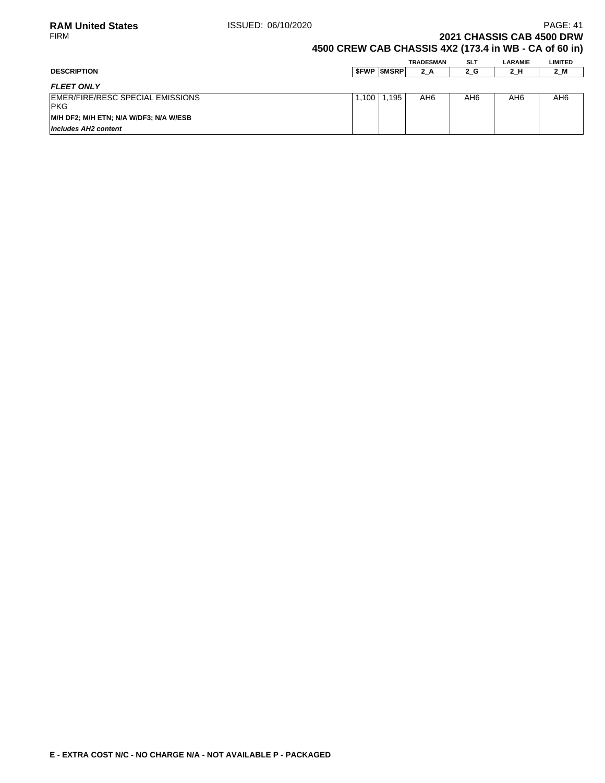**2021 CHASSIS CAB 4500 DRW** 

### **4500 CREW CAB CHASSIS 4X2 (173.4 in WB - CA of 60 in)**

|                                                 |       |                   | <b>TRADESMAN</b> | <b>SLT</b> | LARAMIE         | <b>LIMITED</b> |
|-------------------------------------------------|-------|-------------------|------------------|------------|-----------------|----------------|
| <b>DESCRIPTION</b>                              |       | <b>SFWP SMSRP</b> | $2_A$            | 2_G        | 2_H             | 2_M            |
| <b>FLEET ONLY</b>                               |       |                   |                  |            |                 |                |
| EMER/FIRE/RESC SPECIAL EMISSIONS<br><b>IPKG</b> | 1,100 | i.195             | AH6              | AH6        | AH <sub>6</sub> | AH6            |
| M/H DF2; M/H ETN; N/A W/DF3; N/A W/ESB          |       |                   |                  |            |                 |                |
| Includes AH2 content                            |       |                   |                  |            |                 |                |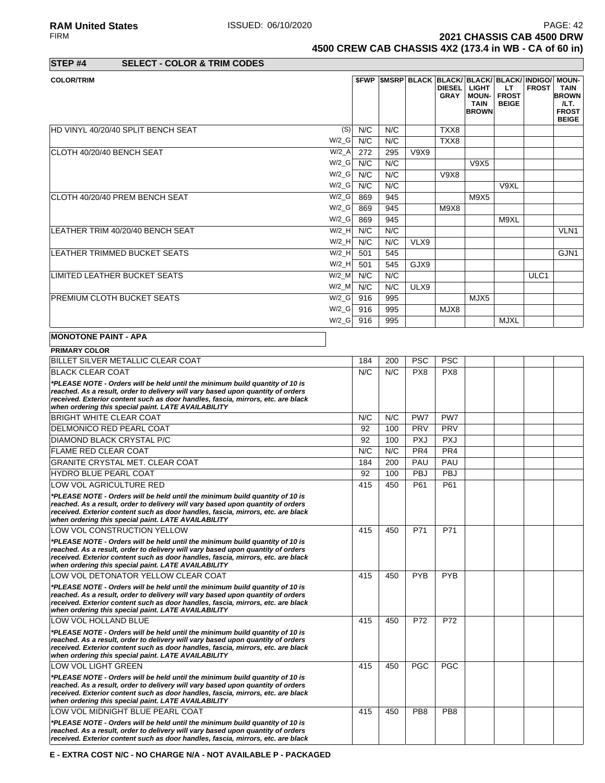**RAM United States ISSUED: 06/10/2020 PAGE: 42**<br>FIRM **PAGE: 42**<br>**2021 CHASSIS CAB 4500 DRW 2021 CHASSIS CAB 4500 DRW 4500 CREW CAB CHASSIS 4X2 (173.4 in WB - CA of 60 in)**

# **STEP #4 SELECT - COLOR & TRIM CODES**

| <b>COLOR/TRIM</b>                  |          |     |     |            |               | <b>\$FWP SMSRP BLACK BLACK/ BLACK/ BLACK/ INDIGO/ MOUN-</b> |                              |              |                      |
|------------------------------------|----------|-----|-----|------------|---------------|-------------------------------------------------------------|------------------------------|--------------|----------------------|
|                                    |          |     |     |            | <b>DIESEL</b> | <b>LIGHT</b>                                                | LT.                          | <b>FROST</b> | <b>TAIN</b>          |
|                                    |          |     |     |            | <b>GRAY</b>   | <b>MOUN-</b><br><b>TAIN</b>                                 | <b>FROST</b><br><b>BEIGE</b> |              | <b>BROWN</b><br>/LT. |
|                                    |          |     |     |            |               | <b>BROWN</b>                                                |                              |              | <b>FROST</b>         |
|                                    |          |     |     |            |               |                                                             |                              |              | <b>BEIGE</b>         |
| HD VINYL 40/20/40 SPLIT BENCH SEAT | (S)      | N/C | N/C |            | TXX8          |                                                             |                              |              |                      |
|                                    | $W/2_G$  | N/C | N/C |            | TXX8          |                                                             |                              |              |                      |
| ICLOTH 40/20/40 BENCH SEAT         | W/2 A    | 272 | 295 | V9X9       |               |                                                             |                              |              |                      |
|                                    | $W/2_G$  | N/C | N/C |            |               | V9X5                                                        |                              |              |                      |
|                                    | W/2 G    | N/C | N/C |            | V9X8          |                                                             |                              |              |                      |
|                                    | W/2 G    | N/C | N/C |            |               |                                                             | V9XL                         |              |                      |
| ICLOTH 40/20/40 PREM BENCH SEAT    | $W/2_G$  | 869 | 945 |            |               | M9X5                                                        |                              |              |                      |
|                                    | W/2 G    | 869 | 945 |            | M9X8          |                                                             |                              |              |                      |
|                                    | W/2 G    | 869 | 945 |            |               |                                                             | M9XL                         |              |                      |
| LEATHER TRIM 40/20/40 BENCH SEAT   | W/2 H    | N/C | N/C |            |               |                                                             |                              |              | VLN <sub>1</sub>     |
|                                    | W/2 H    | N/C | N/C | VLX9       |               |                                                             |                              |              |                      |
| LEATHER TRIMMED BUCKET SEATS       | W/2 H    | 501 | 545 |            |               |                                                             |                              |              | GJN <sub>1</sub>     |
|                                    | $W/2$ _H | 501 | 545 | GJX9       |               |                                                             |                              |              |                      |
| LIMITED LEATHER BUCKET SEATS       | $W/2$ _M | N/C | N/C |            |               |                                                             |                              | ULC1         |                      |
|                                    | $W/2$ _M | N/C | N/C | ULX9       |               |                                                             |                              |              |                      |
| <b>PREMIUM CLOTH BUCKET SEATS</b>  | W/2 G    | 916 | 995 |            |               | MJX5                                                        |                              |              |                      |
|                                    | $W/2_G$  | 916 | 995 |            | MJX8          |                                                             |                              |              |                      |
|                                    | $W/2_G$  | 916 | 995 |            |               |                                                             | <b>MJXL</b>                  |              |                      |
| <b>MONOTONE PAINT - APA</b>        |          |     |     |            |               |                                                             |                              |              |                      |
| <b>PRIMARY COLOR</b>               |          |     |     |            |               |                                                             |                              |              |                      |
| BILLET SILVER METALLIC CLEAR COAT  |          | 184 | 200 | <b>PSC</b> | <b>PSC</b>    |                                                             |                              |              |                      |
|                                    |          |     |     |            |               |                                                             |                              |              |                      |

| DILLET SILVEN IVIETALLIU ULLAN UUAT                                                                                                                                                                                                                                                                        | 104 | zuu | гоо             | гоо             |  |  |
|------------------------------------------------------------------------------------------------------------------------------------------------------------------------------------------------------------------------------------------------------------------------------------------------------------|-----|-----|-----------------|-----------------|--|--|
| <b>BLACK CLEAR COAT</b>                                                                                                                                                                                                                                                                                    | N/C | N/C | PX8             | PX8             |  |  |
| *PLEASE NOTE - Orders will be held until the minimum build quantity of 10 is<br>reached. As a result, order to delivery will vary based upon quantity of orders<br>received. Exterior content such as door handles, fascia, mirrors, etc. are black<br>when ordering this special paint. LATE AVAILABILITY |     |     |                 |                 |  |  |
| <b>BRIGHT WHITE CLEAR COAT</b>                                                                                                                                                                                                                                                                             | N/C | N/C | PW7             | PW7             |  |  |
| DELMONICO RED PEARL COAT                                                                                                                                                                                                                                                                                   | 92  | 100 | PRV             | PRV             |  |  |
| <b>DIAMOND BLACK CRYSTAL P/C</b>                                                                                                                                                                                                                                                                           | 92  | 100 | <b>PXJ</b>      | <b>PXJ</b>      |  |  |
| <b>FLAME RED CLEAR COAT</b>                                                                                                                                                                                                                                                                                | N/C | N/C | PR4             | PR4             |  |  |
| <b>GRANITE CRYSTAL MET. CLEAR COAT</b>                                                                                                                                                                                                                                                                     | 184 | 200 | PAU             | PAU             |  |  |
| <b>HYDRO BLUE PEARL COAT</b>                                                                                                                                                                                                                                                                               | 92  | 100 | <b>PBJ</b>      | <b>PBJ</b>      |  |  |
| LOW VOL AGRICULTURE RED                                                                                                                                                                                                                                                                                    | 415 | 450 | P61             | P61             |  |  |
| *PLEASE NOTE - Orders will be held until the minimum build quantity of 10 is<br>reached. As a result, order to delivery will vary based upon quantity of orders<br>received. Exterior content such as door handles, fascia, mirrors, etc. are black<br>when ordering this special paint. LATE AVAILABILITY |     |     |                 |                 |  |  |
| LOW VOL CONSTRUCTION YELLOW                                                                                                                                                                                                                                                                                | 415 | 450 | P71             | P71             |  |  |
| *PLEASE NOTE - Orders will be held until the minimum build quantity of 10 is<br>reached. As a result, order to delivery will vary based upon quantity of orders<br>received. Exterior content such as door handles, fascia, mirrors, etc. are black<br>when ordering this special paint. LATE AVAILABILITY |     |     |                 |                 |  |  |
| LOW VOL DETONATOR YELLOW CLEAR COAT                                                                                                                                                                                                                                                                        | 415 | 450 | <b>PYB</b>      | <b>PYB</b>      |  |  |
| *PLEASE NOTE - Orders will be held until the minimum build quantity of 10 is<br>reached. As a result, order to delivery will vary based upon quantity of orders<br>received. Exterior content such as door handles, fascia, mirrors, etc. are black<br>when ordering this special paint. LATE AVAILABILITY |     |     |                 |                 |  |  |
| LOW VOL HOLLAND BLUE                                                                                                                                                                                                                                                                                       | 415 | 450 | P72             | P72             |  |  |
| *PLEASE NOTE - Orders will be held until the minimum build quantity of 10 is<br>reached. As a result, order to delivery will vary based upon quantity of orders<br>received. Exterior content such as door handles, fascia, mirrors, etc. are black<br>when ordering this special paint. LATE AVAILABILITY |     |     |                 |                 |  |  |
| LOW VOL LIGHT GREEN                                                                                                                                                                                                                                                                                        | 415 | 450 | <b>PGC</b>      | <b>PGC</b>      |  |  |
| *PLEASE NOTE - Orders will be held until the minimum build quantity of 10 is<br>reached. As a result, order to delivery will vary based upon quantity of orders<br>received. Exterior content such as door handles, fascia, mirrors, etc. are black<br>when ordering this special paint. LATE AVAILABILITY |     |     |                 |                 |  |  |
| LOW VOL MIDNIGHT BLUE PEARL COAT                                                                                                                                                                                                                                                                           | 415 | 450 | PB <sub>8</sub> | PB <sub>8</sub> |  |  |
| *PLEASE NOTE - Orders will be held until the minimum build quantity of 10 is<br>reached. As a result, order to delivery will vary based upon quantity of orders<br>received. Exterior content such as door handles, fascia, mirrors, etc. are black                                                        |     |     |                 |                 |  |  |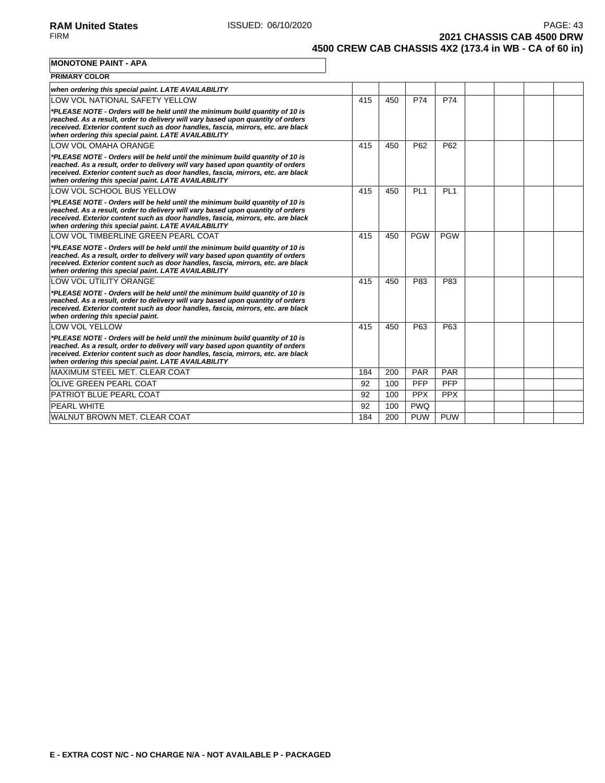**2021 CHASSIS CAB 4500 DRW 4500 CREW CAB CHASSIS 4X2 (173.4 in WB - CA of 60 in)**

**MONOTONE PAINT - APA**

| <b>PRIMARY COLOR</b>                                                                                                                                                                                                                                                                                       |     |     |                 |                 |  |  |
|------------------------------------------------------------------------------------------------------------------------------------------------------------------------------------------------------------------------------------------------------------------------------------------------------------|-----|-----|-----------------|-----------------|--|--|
| when ordering this special paint. LATE AVAILABILITY                                                                                                                                                                                                                                                        |     |     |                 |                 |  |  |
| LOW VOL NATIONAL SAFETY YELLOW                                                                                                                                                                                                                                                                             | 415 | 450 | P74             | P74             |  |  |
| *PLEASE NOTE - Orders will be held until the minimum build quantity of 10 is<br>reached. As a result, order to delivery will vary based upon quantity of orders<br>received. Exterior content such as door handles, fascia, mirrors, etc. are black<br>when ordering this special paint. LATE AVAILABILITY |     |     |                 |                 |  |  |
| LOW VOL OMAHA ORANGE                                                                                                                                                                                                                                                                                       | 415 | 450 | P62             | P62             |  |  |
| *PLEASE NOTE - Orders will be held until the minimum build quantity of 10 is<br>reached. As a result, order to delivery will vary based upon quantity of orders<br>received. Exterior content such as door handles, fascia, mirrors, etc. are black<br>when ordering this special paint. LATE AVAILABILITY |     |     |                 |                 |  |  |
| LOW VOL SCHOOL BUS YELLOW                                                                                                                                                                                                                                                                                  | 415 | 450 | PL <sub>1</sub> | PL <sub>1</sub> |  |  |
| *PLEASE NOTE - Orders will be held until the minimum build quantity of 10 is<br>reached. As a result, order to delivery will vary based upon quantity of orders<br>received. Exterior content such as door handles, fascia, mirrors, etc. are black<br>when ordering this special paint. LATE AVAILABILITY |     |     |                 |                 |  |  |
| LOW VOL TIMBERLINE GREEN PEARL COAT                                                                                                                                                                                                                                                                        | 415 | 450 | <b>PGW</b>      | <b>PGW</b>      |  |  |
| *PLEASE NOTE - Orders will be held until the minimum build quantity of 10 is<br>reached. As a result, order to delivery will vary based upon quantity of orders<br>received. Exterior content such as door handles, fascia, mirrors, etc. are black<br>when ordering this special paint. LATE AVAILABILITY |     |     |                 |                 |  |  |
| <b>LOW VOL UTILITY ORANGE</b>                                                                                                                                                                                                                                                                              | 415 | 450 | P83             | P83             |  |  |
| *PLEASE NOTE - Orders will be held until the minimum build quantity of 10 is<br>reached. As a result, order to delivery will vary based upon quantity of orders<br>received. Exterior content such as door handles, fascia, mirrors, etc. are black<br>when ordering this special paint.                   |     |     |                 |                 |  |  |
| <b>LOW VOL YELLOW</b>                                                                                                                                                                                                                                                                                      | 415 | 450 | P63             | P63             |  |  |
| *PLEASE NOTE - Orders will be held until the minimum build quantity of 10 is<br>reached. As a result, order to delivery will vary based upon quantity of orders<br>received. Exterior content such as door handles, fascia, mirrors, etc. are black<br>when ordering this special paint. LATE AVAILABILITY |     |     |                 |                 |  |  |
| MAXIMUM STEEL MET. CLEAR COAT                                                                                                                                                                                                                                                                              | 184 | 200 | PAR             | PAR             |  |  |
| <b>OLIVE GREEN PEARL COAT</b>                                                                                                                                                                                                                                                                              | 92  | 100 | <b>PFP</b>      | <b>PFP</b>      |  |  |
| PATRIOT BLUE PEARL COAT                                                                                                                                                                                                                                                                                    | 92  | 100 | <b>PPX</b>      | <b>PPX</b>      |  |  |
| <b>PEARL WHITE</b>                                                                                                                                                                                                                                                                                         | 92  | 100 | <b>PWQ</b>      |                 |  |  |
| WALNUT BROWN MET. CLEAR COAT                                                                                                                                                                                                                                                                               | 184 | 200 | <b>PUW</b>      | <b>PUW</b>      |  |  |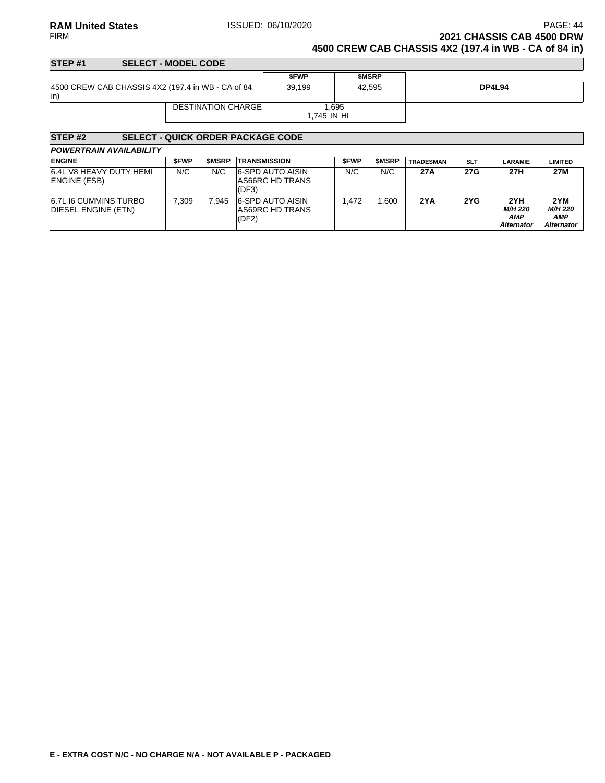### **RAM United States ISSUED: 06/10/2020 PAGE: 44 PAGE: 44** FIRM **2021 CHASSIS CAB 4500 DRW 4500 CREW CAB CHASSIS 4X2 (197.4 in WB - CA of 84 in)**

### **STEP #1 SELECT - MODEL CODE \$FWP \$MSRP** 4500 CREW CAB CHASSIS 4X2 (197.4 in WB - CA of 84 in) 39,199 42,595 **DP4L94** DESTINATION CHARGE 1,695 1,745 IN HI

| STEP <sub>#2</sub>                                   |             |              | <b>SELECT - QUICK ORDER PACKAGE CODE</b>            |             |              |                  |            |                                                          |                                     |
|------------------------------------------------------|-------------|--------------|-----------------------------------------------------|-------------|--------------|------------------|------------|----------------------------------------------------------|-------------------------------------|
| <b>POWERTRAIN AVAILABILITY</b>                       |             |              |                                                     |             |              |                  |            |                                                          |                                     |
| <b>ENGINE</b>                                        | <b>SFWP</b> | <b>SMSRP</b> | <b>TRANSMISSION</b>                                 | <b>SFWP</b> | <b>SMSRP</b> | <b>TRADESMAN</b> | <b>SLT</b> | <b>LARAMIE</b>                                           | <b>LIMITED</b>                      |
| 6.4L V8 HEAVY DUTY HEMI<br><b>ENGINE (ESB)</b>       | N/C         | N/C          | 6-SPD AUTO AISIN<br>AS66RC HD TRANS<br>(DF3)        | N/C         | N/C          | 27A              | 27G        | 27H                                                      | 27M                                 |
| 6.7L I6 CUMMINS TURBO<br><b>IDIESEL ENGINE (ETN)</b> | 7.309       | 7.945        | 6-SPD AUTO AISIN<br><b>AS69RC HD TRANS</b><br>(DF2) | 1.472       | .600         | 2YA              | 2YG        | 2YH<br><b>M/H 220</b><br><b>AMP</b><br><b>Alternator</b> | 2YM<br>M/H 220<br>AMP<br>Alternator |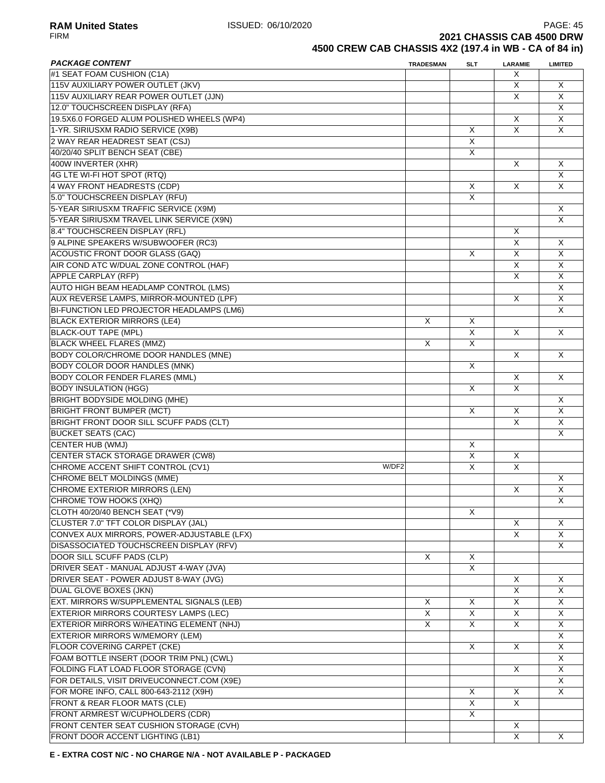### **RAM United States ISSUED: 06/10/2020 PAGE: 45**<br>FIRM **PAGE: 4500 DRW 2021 CHASSIS CAB 4500 DRW 4500 CREW CAB CHASSIS 4X2 (197.4 in WB - CA of 84 in)**

| <b>PACKAGE CONTENT</b>                      | <b>TRADESMAN</b> | <b>SLT</b>              | <b>LARAMIE</b>          | <b>LIMITED</b>          |
|---------------------------------------------|------------------|-------------------------|-------------------------|-------------------------|
| #1 SEAT FOAM CUSHION (C1A)                  |                  |                         | X                       |                         |
| 115V AUXILIARY POWER OUTLET (JKV)           |                  |                         | X                       | X                       |
| 115V AUXILIARY REAR POWER OUTLET (JJN)      |                  |                         | X                       | X                       |
| 12.0" TOUCHSCREEN DISPLAY (RFA)             |                  |                         |                         | X                       |
| 19.5X6.0 FORGED ALUM POLISHED WHEELS (WP4)  |                  |                         | X                       | X                       |
| 1-YR. SIRIUSXM RADIO SERVICE (X9B)          |                  | X                       | $\overline{\mathsf{x}}$ | X                       |
| 2 WAY REAR HEADREST SEAT (CSJ)              |                  | $\overline{\mathsf{x}}$ |                         |                         |
| 40/20/40 SPLIT BENCH SEAT (CBE)             |                  | X                       |                         |                         |
| 400W INVERTER (XHR)                         |                  |                         | X                       | X                       |
| 4G LTE WI-FI HOT SPOT (RTQ)                 |                  |                         |                         | X                       |
| 4 WAY FRONT HEADRESTS (CDP)                 |                  | X                       | Χ                       | X                       |
| 5.0" TOUCHSCREEN DISPLAY (RFU)              |                  | X                       |                         |                         |
| 5-YEAR SIRIUSXM TRAFFIC SERVICE (X9M)       |                  |                         |                         | X                       |
| 5-YEAR SIRIUSXM TRAVEL LINK SERVICE (X9N)   |                  |                         |                         | X                       |
| 8.4" TOUCHSCREEN DISPLAY (RFL)              |                  |                         | X                       |                         |
| 9 ALPINE SPEAKERS W/SUBWOOFER (RC3)         |                  |                         | $\overline{X}$          |                         |
|                                             |                  |                         |                         | $\overline{X}$          |
| ACOUSTIC FRONT DOOR GLASS (GAQ)             |                  | X                       | X                       | X                       |
| AIR COND ATC W/DUAL ZONE CONTROL (HAF)      |                  |                         | X                       | X                       |
| <b>APPLE CARPLAY (RFP)</b>                  |                  |                         | X                       | X                       |
| AUTO HIGH BEAM HEADLAMP CONTROL (LMS)       |                  |                         |                         | X                       |
| AUX REVERSE LAMPS, MIRROR-MOUNTED (LPF)     |                  |                         | X                       | X                       |
| BI-FUNCTION LED PROJECTOR HEADLAMPS (LM6)   |                  |                         |                         | X                       |
| <b>BLACK EXTERIOR MIRRORS (LE4)</b>         | X                | X                       |                         |                         |
| <b>BLACK-OUT TAPE (MPL)</b>                 |                  | $\overline{\mathsf{x}}$ | X                       | X                       |
| <b>BLACK WHEEL FLARES (MMZ)</b>             | X                | $\overline{\mathsf{x}}$ |                         |                         |
| <b>BODY COLOR/CHROME DOOR HANDLES (MNE)</b> |                  |                         | X                       | X                       |
| <b>BODY COLOR DOOR HANDLES (MNK)</b>        |                  | X                       |                         |                         |
| <b>BODY COLOR FENDER FLARES (MML)</b>       |                  |                         | X                       | X                       |
| <b>BODY INSULATION (HGG)</b>                |                  | $\mathsf{X}$            | X                       |                         |
| <b>BRIGHT BODYSIDE MOLDING (MHE)</b>        |                  |                         |                         | X                       |
| <b>BRIGHT FRONT BUMPER (MCT)</b>            |                  | X                       | Χ                       | X                       |
| BRIGHT FRONT DOOR SILL SCUFF PADS (CLT)     |                  |                         | X                       | X                       |
| <b>BUCKET SEATS (CAC)</b>                   |                  |                         |                         | X                       |
| CENTER HUB (WMJ)                            |                  | X                       |                         |                         |
| <b>CENTER STACK STORAGE DRAWER (CW8)</b>    |                  | $\overline{\mathsf{x}}$ | X                       |                         |
| CHROME ACCENT SHIFT CONTROL (CV1)<br>W/DF2  |                  | X                       | X                       |                         |
| <b>CHROME BELT MOLDINGS (MME)</b>           |                  |                         |                         | X                       |
| <b>CHROME EXTERIOR MIRRORS (LEN)</b>        |                  |                         | X                       | $\overline{\mathsf{x}}$ |
|                                             |                  |                         |                         | X                       |
| CHROME TOW HOOKS (XHQ)                      |                  |                         |                         |                         |
| CLOTH 40/20/40 BENCH SEAT (*V9)             |                  | Χ                       |                         |                         |
| CLUSTER 7.0" TFT COLOR DISPLAY (JAL)        |                  |                         | X<br>$\overline{X}$     | X                       |
| CONVEX AUX MIRRORS, POWER-ADJUSTABLE (LFX)  |                  |                         |                         | X                       |
| DISASSOCIATED TOUCHSCREEN DISPLAY (RFV)     |                  |                         |                         | X                       |
| DOOR SILL SCUFF PADS (CLP)                  | X                | X                       |                         |                         |
| DRIVER SEAT - MANUAL ADJUST 4-WAY (JVA)     |                  | $\overline{X}$          |                         |                         |
| DRIVER SEAT - POWER ADJUST 8-WAY (JVG)      |                  |                         | X                       | X                       |
| <b>DUAL GLOVE BOXES (JKN)</b>               |                  |                         | X                       | X.                      |
| EXT. MIRRORS W/SUPPLEMENTAL SIGNALS (LEB)   | X                | X                       | X                       | X                       |
| EXTERIOR MIRRORS COURTESY LAMPS (LEC)       | X                | X                       | X                       | X                       |
| EXTERIOR MIRRORS W/HEATING ELEMENT (NHJ)    | X                | X                       | X                       | X.                      |
| EXTERIOR MIRRORS W/MEMORY (LEM)             |                  |                         |                         | X                       |
| FLOOR COVERING CARPET (CKE)                 |                  | X                       | X                       | X                       |
| FOAM BOTTLE INSERT (DOOR TRIM PNL) (CWL)    |                  |                         |                         | X                       |
| FOLDING FLAT LOAD FLOOR STORAGE (CVN)       |                  |                         | X                       | X                       |
| FOR DETAILS, VISIT DRIVEUCONNECT.COM (X9E)  |                  |                         |                         | X.                      |
| FOR MORE INFO, CALL 800-643-2112 (X9H)      |                  | X                       | X                       | X                       |
| FRONT & REAR FLOOR MATS (CLE)               |                  | X                       | X                       |                         |
| FRONT ARMREST W/CUPHOLDERS (CDR)            |                  | X                       |                         |                         |
| FRONT CENTER SEAT CUSHION STORAGE (CVH)     |                  |                         | X                       |                         |
|                                             |                  |                         |                         |                         |
| FRONT DOOR ACCENT LIGHTING (LB1)            |                  |                         | X                       | X                       |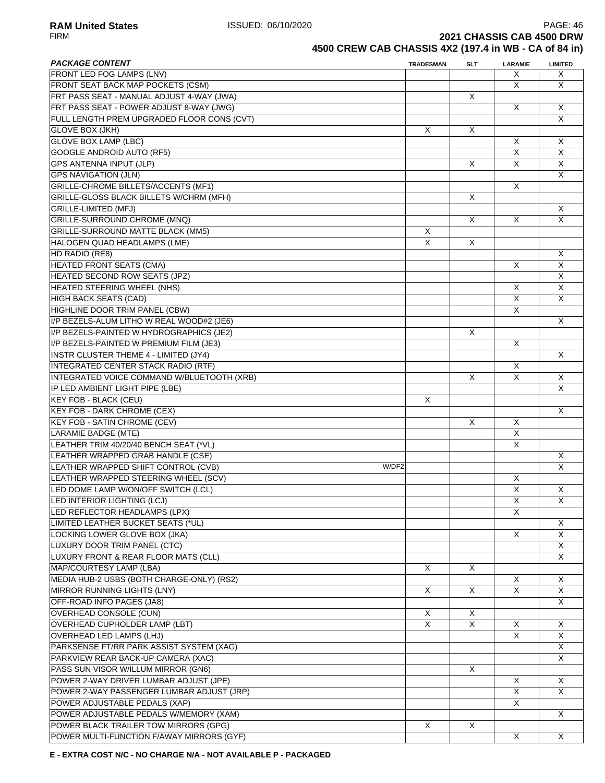**RAM United States ISSUED: 06/10/2020 PAGE: 46 PAGE: 46 PAGE: 46 PAGE: 46 PAGE: 46 PAGE: 46 PAGE: 46 PAGE: 46 PAGE: 46 PAGE: 46 PAGE: 46 PAGE: 46 PAGE: 46 PAGE: 46 PAGE: 46 PAGE: 46 PAGE 2021 CHASSIS CAB 4500 DRW 4500 CREW CAB CHASSIS 4X2 (197.4 in WB - CA of 84 in)**

| <b>PACKAGE CONTENT</b>                       | <b>TRADESMAN</b> | <b>SLT</b>     | LARAMIE                 | <b>LIMITED</b> |
|----------------------------------------------|------------------|----------------|-------------------------|----------------|
| FRONT LED FOG LAMPS (LNV)                    |                  |                | X                       | X              |
| FRONT SEAT BACK MAP POCKETS (CSM)            |                  |                | X                       | X              |
| FRT PASS SEAT - MANUAL ADJUST 4-WAY (JWA)    |                  | X              |                         |                |
| FRT PASS SEAT - POWER ADJUST 8-WAY (JWG)     |                  |                | X                       | X              |
| FULL LENGTH PREM UPGRADED FLOOR CONS (CVT)   |                  |                |                         | X              |
| <b>GLOVE BOX (JKH)</b>                       | X                | X              |                         |                |
| <b>GLOVE BOX LAMP (LBC)</b>                  |                  |                | X                       | X              |
| <b>GOOGLE ANDROID AUTO (RF5)</b>             |                  |                | X                       | X              |
| <b>GPS ANTENNA INPUT (JLP)</b>               |                  | X              | X                       | X              |
| <b>GPS NAVIGATION (JLN)</b>                  |                  |                |                         | X              |
| GRILLE-CHROME BILLETS/ACCENTS (MF1)          |                  |                | X                       |                |
| GRILLE-GLOSS BLACK BILLETS W/CHRM (MFH)      |                  | X              |                         |                |
| <b>GRILLE-LIMITED (MFJ)</b>                  |                  |                |                         | X              |
| <b>GRILLE-SURROUND CHROME (MNQ)</b>          |                  | X              | X                       | X              |
| <b>GRILLE-SURROUND MATTE BLACK (MM5)</b>     | X                |                |                         |                |
| HALOGEN QUAD HEADLAMPS (LME)                 | X                | $\overline{X}$ |                         |                |
|                                              |                  |                |                         | X              |
| HD RADIO (RE8)                               |                  |                | X                       | X              |
| <b>HEATED FRONT SEATS (CMA)</b>              |                  |                |                         |                |
| HEATED SECOND ROW SEATS (JPZ)                |                  |                |                         | X              |
| HEATED STEERING WHEEL (NHS)                  |                  |                | X                       | X              |
| <b>HIGH BACK SEATS (CAD)</b>                 |                  |                | X                       | X              |
| HIGHLINE DOOR TRIM PANEL (CBW)               |                  |                | X                       |                |
| I/P BEZELS-ALUM LITHO W REAL WOOD#2 (JE6)    |                  |                |                         | X              |
| I/P BEZELS-PAINTED W HYDROGRAPHICS (JE2)     |                  | X              |                         |                |
| I/P BEZELS-PAINTED W PREMIUM FILM (JE3)      |                  |                | X                       |                |
| <b>INSTR CLUSTER THEME 4 - LIMITED (JY4)</b> |                  |                |                         | X              |
| INTEGRATED CENTER STACK RADIO (RTF)          |                  |                | X                       |                |
| INTEGRATED VOICE COMMAND W/BLUETOOTH (XRB)   |                  | X              | X                       | X              |
| IP LED AMBIENT LIGHT PIPE (LBE)              |                  |                |                         | X              |
| <b>KEY FOB - BLACK (CEU)</b>                 | X                |                |                         |                |
| <b>KEY FOB - DARK CHROME (CEX)</b>           |                  |                |                         | X              |
| <b>KEY FOB - SATIN CHROME (CEV)</b>          |                  | X              | X                       |                |
| <b>LARAMIE BADGE (MTE)</b>                   |                  |                | X                       |                |
| LEATHER TRIM 40/20/40 BENCH SEAT (*VL)       |                  |                | X                       |                |
| LEATHER WRAPPED GRAB HANDLE (CSE)            |                  |                |                         | X              |
| LEATHER WRAPPED SHIFT CONTROL (CVB)<br>W/DF2 |                  |                |                         | X              |
| LEATHER WRAPPED STEERING WHEEL (SCV)         |                  |                | X                       |                |
| LED DOME LAMP W/ON/OFF SWITCH (LCL)          |                  |                | X                       | X              |
| LED INTERIOR LIGHTING (LCJ)                  |                  |                | X                       | X              |
| LED REFLECTOR HEADLAMPS (LPX)                |                  |                | X                       |                |
| LIMITED LEATHER BUCKET SEATS (*UL)           |                  |                |                         | X              |
| LOCKING LOWER GLOVE BOX (JKA)                |                  |                | X                       | X              |
|                                              |                  |                |                         |                |
| LUXURY DOOR TRIM PANEL (CTC)                 |                  |                |                         | X              |
| LUXURY FRONT & REAR FLOOR MATS (CLL)         |                  |                |                         | X              |
| MAP/COURTESY LAMP (LBA)                      | X                | X              |                         |                |
| MEDIA HUB-2 USBS (BOTH CHARGE-ONLY) (RS2)    |                  |                | X                       | X              |
| MIRROR RUNNING LIGHTS (LNY)                  | Χ                | X              | X                       | X              |
| OFF-ROAD INFO PAGES (JA8)                    |                  |                |                         | X              |
| OVERHEAD CONSOLE (CUN)                       | X                | X              |                         |                |
| <b>OVERHEAD CUPHOLDER LAMP (LBT)</b>         | X                | X              | X                       | X              |
| OVERHEAD LED LAMPS (LHJ)                     |                  |                | $\overline{\mathsf{x}}$ | X              |
| PARKSENSE FT/RR PARK ASSIST SYSTEM (XAG)     |                  |                |                         | X              |
| PARKVIEW REAR BACK-UP CAMERA (XAC)           |                  |                |                         | X              |
| PASS SUN VISOR W/ILLUM MIRROR (GN6)          |                  | X              |                         |                |
| POWER 2-WAY DRIVER LUMBAR ADJUST (JPE)       |                  |                | X                       | X              |
| POWER 2-WAY PASSENGER LUMBAR ADJUST (JRP)    |                  |                | X                       | X              |
| POWER ADJUSTABLE PEDALS (XAP)                |                  |                | X                       |                |
| POWER ADJUSTABLE PEDALS W/MEMORY (XAM)       |                  |                |                         | X              |
| POWER BLACK TRAILER TOW MIRRORS (GPG)        | X                | X              |                         |                |
| POWER MULTI-FUNCTION F/AWAY MIRRORS (GYF)    |                  |                | X                       | Χ              |
|                                              |                  |                |                         |                |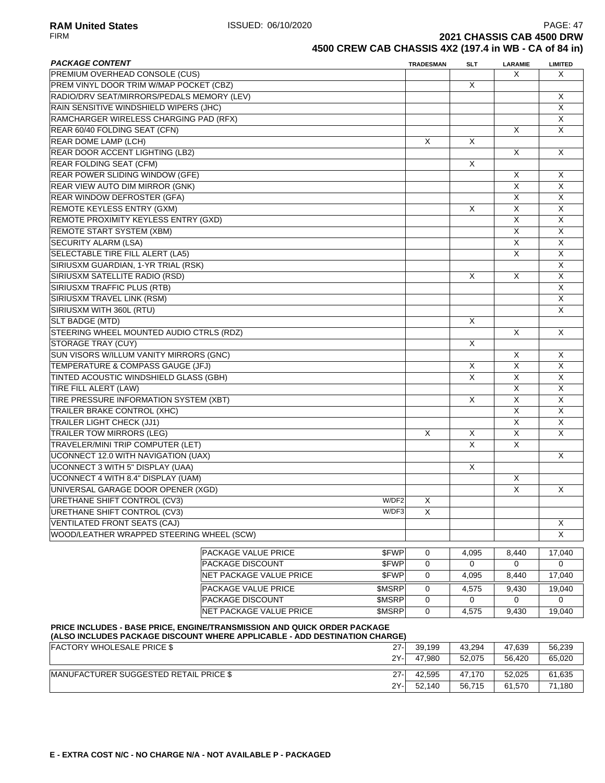**RAM United States ISSUED: 06/10/2020** PAGE: 47<br>FIRM **PAGE: 47 2021 CHASSIS CAB 4500 DRW** 

# **4500 CREW CAB CHASSIS 4X2 (197.4 in WB - CA of 84 in)**

| <b>PACKAGE CONTENT</b>                     |                                                                                                                                                        | <b>TRADESMAN</b> | SLT                     | <b>LARAMIE</b> | <b>LIMITED</b> |
|--------------------------------------------|--------------------------------------------------------------------------------------------------------------------------------------------------------|------------------|-------------------------|----------------|----------------|
| PREMIUM OVERHEAD CONSOLE (CUS)             |                                                                                                                                                        |                  |                         | X              | X              |
| PREM VINYL DOOR TRIM W/MAP POCKET (CBZ)    |                                                                                                                                                        |                  | X                       |                |                |
| RADIO/DRV SEAT/MIRRORS/PEDALS MEMORY (LEV) |                                                                                                                                                        |                  |                         |                | X              |
| RAIN SENSITIVE WINDSHIELD WIPERS (JHC)     |                                                                                                                                                        |                  |                         |                | X              |
| RAMCHARGER WIRELESS CHARGING PAD (RFX)     |                                                                                                                                                        |                  |                         |                | X              |
| REAR 60/40 FOLDING SEAT (CFN)              |                                                                                                                                                        |                  |                         | X              | X              |
| REAR DOME LAMP (LCH)                       |                                                                                                                                                        | X                | X                       |                |                |
| REAR DOOR ACCENT LIGHTING (LB2)            |                                                                                                                                                        |                  |                         | X              | X              |
| <b>REAR FOLDING SEAT (CFM)</b>             |                                                                                                                                                        |                  | X                       |                |                |
| <b>REAR POWER SLIDING WINDOW (GFE)</b>     |                                                                                                                                                        |                  |                         | X              | X              |
| REAR VIEW AUTO DIM MIRROR (GNK)            |                                                                                                                                                        |                  |                         | X              | X              |
| REAR WINDOW DEFROSTER (GFA)                |                                                                                                                                                        |                  |                         | X              | X              |
| <b>REMOTE KEYLESS ENTRY (GXM)</b>          |                                                                                                                                                        |                  | $\mathsf{X}$            | X              | X              |
| REMOTE PROXIMITY KEYLESS ENTRY (GXD)       |                                                                                                                                                        |                  |                         | X              | X              |
| <b>REMOTE START SYSTEM (XBM)</b>           |                                                                                                                                                        |                  |                         | X              | X              |
| <b>SECURITY ALARM (LSA)</b>                |                                                                                                                                                        |                  |                         | X              | X              |
| SELECTABLE TIRE FILL ALERT (LA5)           |                                                                                                                                                        |                  |                         | X              | X              |
| SIRIUSXM GUARDIAN, 1-YR TRIAL (RSK)        |                                                                                                                                                        |                  |                         |                | X              |
| SIRIUSXM SATELLITE RADIO (RSD)             |                                                                                                                                                        |                  | X                       | X              | X              |
| SIRIUSXM TRAFFIC PLUS (RTB)                |                                                                                                                                                        |                  |                         |                | X              |
| SIRIUSXM TRAVEL LINK (RSM)                 |                                                                                                                                                        |                  |                         |                | X              |
| SIRIUSXM WITH 360L (RTU)                   |                                                                                                                                                        |                  |                         |                | X              |
| SLT BADGE (MTD)                            |                                                                                                                                                        |                  | X                       |                |                |
| STEERING WHEEL MOUNTED AUDIO CTRLS (RDZ)   |                                                                                                                                                        |                  |                         | X              | X              |
| STORAGE TRAY (CUY)                         |                                                                                                                                                        |                  | X                       |                |                |
| SUN VISORS W/ILLUM VANITY MIRRORS (GNC)    |                                                                                                                                                        |                  |                         | X              | X              |
| TEMPERATURE & COMPASS GAUGE (JFJ)          |                                                                                                                                                        |                  | X                       | $\overline{X}$ | X              |
| TINTED ACOUSTIC WINDSHIELD GLASS (GBH)     |                                                                                                                                                        |                  | $\overline{\mathsf{x}}$ | $\overline{X}$ | X              |
| TIRE FILL ALERT (LAW)                      |                                                                                                                                                        |                  |                         | X              | X              |
| TIRE PRESSURE INFORMATION SYSTEM (XBT)     |                                                                                                                                                        |                  | X                       | X              | X              |
| TRAILER BRAKE CONTROL (XHC)                |                                                                                                                                                        |                  |                         | X              | X              |
| <b>TRAILER LIGHT CHECK (JJ1)</b>           |                                                                                                                                                        |                  |                         | X              | X              |
| <b>TRAILER TOW MIRRORS (LEG)</b>           |                                                                                                                                                        | Χ                | Χ                       | X              | X              |
| TRAVELER/MINI TRIP COMPUTER (LET)          |                                                                                                                                                        |                  | X                       | X              |                |
| <b>UCONNECT 12.0 WITH NAVIGATION (UAX)</b> |                                                                                                                                                        |                  |                         |                | X              |
| <b>UCONNECT 3 WITH 5" DISPLAY (UAA)</b>    |                                                                                                                                                        |                  | $\times$                |                |                |
| <b>UCONNECT 4 WITH 8.4" DISPLAY (UAM)</b>  |                                                                                                                                                        |                  |                         | X              |                |
| UNIVERSAL GARAGE DOOR OPENER (XGD)         |                                                                                                                                                        |                  |                         | X              | X              |
| URETHANE SHIFT CONTROL (CV3)               | W/DF2                                                                                                                                                  | X                |                         |                |                |
| URETHANE SHIFT CONTROL (CV3)               | W/DF3                                                                                                                                                  | X                |                         |                |                |
| VENTILATED FRONT SEATS (CAJ)               |                                                                                                                                                        |                  |                         |                | X              |
| WOOD/LEATHER WRAPPED STEERING WHEEL (SCW)  |                                                                                                                                                        |                  |                         |                | X              |
|                                            | \$FWP<br>PACKAGE VALUE PRICE                                                                                                                           | 0                | 4,095                   | 8,440          | 17,040         |
|                                            | <b>PACKAGE DISCOUNT</b><br>\$FWP                                                                                                                       | 0                | 0                       | 0              | $\mathbf 0$    |
|                                            | NET PACKAGE VALUE PRICE<br>\$FWP                                                                                                                       | 0                | 4,095                   | 8,440          | 17,040         |
|                                            |                                                                                                                                                        |                  |                         |                |                |
|                                            | PACKAGE VALUE PRICE<br>\$MSRP                                                                                                                          | 0                | 4,575                   | 9,430          | 19,040         |
|                                            | PACKAGE DISCOUNT<br>\$MSRP<br>NET PACKAGE VALUE PRICE                                                                                                  | 0                | 0                       | 0              | 0              |
|                                            | <b>SMSRP</b>                                                                                                                                           | $\mathbf 0$      | 4,575                   | 9,430          | 19,040         |
|                                            | PRICE INCLUDES - BASE PRICE, ENGINE/TRANSMISSION AND QUICK ORDER PACKAGE<br>(ALSO INCLUDES PACKAGE DISCOUNT WHERE APPLICABLE - ADD DESTINATION CHARGE) |                  |                         |                |                |
| <b>FACTORY WHOLESALE PRICE \$</b>          | $27 -$                                                                                                                                                 | 39,199           | 43,294                  | 47,639         | 56,239         |
|                                            | 2Y-                                                                                                                                                    | 47,980           | 52,075                  | 56,420         | 65,020         |

|                                                |        | <b>UU.IUU</b> | −∪…−   | 71. UU | JU,LUJ     |
|------------------------------------------------|--------|---------------|--------|--------|------------|
|                                                | 2Y-    | 47.980        | 52.075 | 56.420 | 65,020     |
|                                                |        |               |        |        |            |
| <b>IMANUFACTURER SUGGESTED RETAIL PRICE \$</b> | $27 -$ | 42.595        | 47.170 | 52.025 | 61,635     |
|                                                | 2Y-    | 52.140        | 56,715 | 61,570 | .180<br>71 |
|                                                |        |               |        |        |            |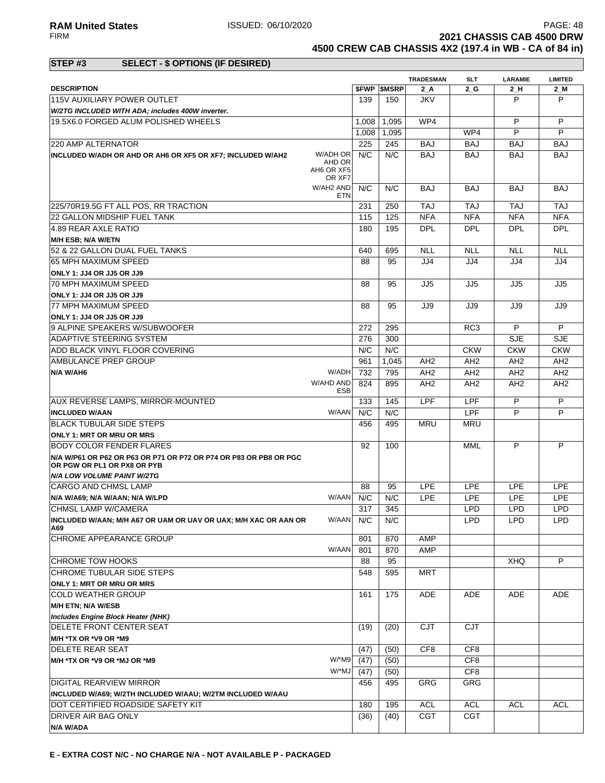**2021 CHASSIS CAB 4500 DRW 4500 CREW CAB CHASSIS 4X2 (197.4 in WB - CA of 84 in)**

### **STEP #3 SELECT - \$ OPTIONS (IF DESIRED)**

|                                                                              |                      |       |                          | <b>TRADESMAN</b> | SLT             | <b>LARAMIE</b>  | <b>LIMITED</b>  |
|------------------------------------------------------------------------------|----------------------|-------|--------------------------|------------------|-----------------|-----------------|-----------------|
| <b>DESCRIPTION</b>                                                           |                      |       | <b><i>SFWP SMSRP</i></b> | $2_A$            | 2 G             | $2_H$           | $2$ M           |
| 115V AUXILIARY POWER OUTLET                                                  |                      | 139   | 150                      | <b>JKV</b>       |                 | P               | P               |
| W/2TG INCLUDED WITH ADA; includes 400W inverter.                             |                      |       |                          |                  |                 |                 |                 |
| 19.5X6.0 FORGED ALUM POLISHED WHEELS                                         |                      | 1,008 | 1,095                    | WP4              |                 | P               | P               |
|                                                                              |                      | 1.008 | 1.095                    |                  | WP4             | P               | P               |
| 220 AMP ALTERNATOR                                                           |                      | 225   | 245                      | <b>BAJ</b>       | <b>BAJ</b>      | <b>BAJ</b>      | <b>BAJ</b>      |
| INCLUDED W/ADH OR AHD OR AH6 OR XF5 OR XF7; INCLUDED W/AH2                   | W/ADH OR             | N/C   | N/C                      | BAJ              | <b>BAJ</b>      | BAJ             | <b>BAJ</b>      |
|                                                                              | AHD OR<br>AH6 OR XF5 |       |                          |                  |                 |                 |                 |
|                                                                              | OR XF7               |       |                          |                  |                 |                 |                 |
|                                                                              | W/AH2 AND            | N/C   | N/C                      | <b>BAJ</b>       | <b>BAJ</b>      | <b>BAJ</b>      | <b>BAJ</b>      |
|                                                                              | ETN                  |       |                          |                  |                 |                 |                 |
| 225/70R19.5G FT ALL POS, RR TRACTION                                         |                      | 231   | 250                      | <b>TAJ</b>       | <b>TAJ</b>      | <b>TAJ</b>      | <b>TAJ</b>      |
| <b>22 GALLON MIDSHIP FUEL TANK</b>                                           |                      | 115   | 125                      | <b>NFA</b>       | <b>NFA</b>      | <b>NFA</b>      | <b>NFA</b>      |
| 4.89 REAR AXLE RATIO                                                         |                      | 180   | 195                      | <b>DPL</b>       | <b>DPL</b>      | <b>DPL</b>      | <b>DPL</b>      |
| <b>M/H ESB; N/A W/ETN</b>                                                    |                      |       |                          |                  |                 |                 |                 |
| 52 & 22 GALLON DUAL FUEL TANKS                                               |                      | 640   | 695                      | <b>NLL</b>       | <b>NLL</b>      | <b>NLL</b>      | <b>NLL</b>      |
| 65 MPH MAXIMUM SPEED                                                         |                      | 88    | 95                       | JJ4              | JJ4             | JJ4             | JJ4             |
| ONLY 1: JJ4 OR JJ5 OR JJ9                                                    |                      |       |                          |                  |                 |                 |                 |
| 70 MPH MAXIMUM SPEED                                                         |                      | 88    | 95                       | JJ5              | JJ5             | JJ5             | JJ5             |
| ONLY 1: JJ4 OR JJ5 OR JJ9                                                    |                      |       |                          |                  |                 |                 |                 |
| 77 MPH MAXIMUM SPEED                                                         |                      | 88    | 95                       | JJ9              | JJ9             | JJ9             | JJ9             |
| ONLY 1: JJ4 OR JJ5 OR JJ9                                                    |                      |       |                          |                  |                 |                 |                 |
| 9 ALPINE SPEAKERS W/SUBWOOFER                                                |                      | 272   | 295                      |                  | RC <sub>3</sub> | P               | P               |
| <b>ADAPTIVE STEERING SYSTEM</b>                                              |                      | 276   | 300                      |                  |                 | <b>SJE</b>      | <b>SJE</b>      |
| ADD BLACK VINYL FLOOR COVERING                                               |                      | N/C   | N/C                      |                  | <b>CKW</b>      | <b>CKW</b>      | <b>CKW</b>      |
| AMBULANCE PREP GROUP                                                         |                      | 961   | 1,045                    | AH <sub>2</sub>  | AH <sub>2</sub> | AH2             | AH <sub>2</sub> |
| N/A W/AH6                                                                    | W/ADH                | 732   | 795                      | AH <sub>2</sub>  | AH <sub>2</sub> | AH <sub>2</sub> | AH <sub>2</sub> |
|                                                                              | W/AHD AND<br>ESB     | 824   | 895                      | AH <sub>2</sub>  | AH <sub>2</sub> | AH2             | AH <sub>2</sub> |
| <b>AUX REVERSE LAMPS, MIRROR-MOUNTED</b>                                     |                      | 133   | 145                      | <b>LPF</b>       | <b>LPF</b>      | P               | P               |
| <b>INCLUDED W/AAN</b>                                                        | W/AAN                | N/C   | N/C                      |                  | LPF             | P               | P               |
| <b>BLACK TUBULAR SIDE STEPS</b>                                              |                      | 456   | 495                      | <b>MRU</b>       | <b>MRU</b>      |                 |                 |
| <b>ONLY 1: MRT OR MRU OR MRS</b>                                             |                      |       |                          |                  |                 |                 |                 |
| <b>BODY COLOR FENDER FLARES</b>                                              |                      | 92    | 100                      |                  | MML             | P               | P               |
| N/A W/P61 OR P62 OR P63 OR P71 OR P72 OR P74 OR P83 OR PB8 OR PGC            |                      |       |                          |                  |                 |                 |                 |
| OR PGW OR PL1 OR PX8 OR PYB                                                  |                      |       |                          |                  |                 |                 |                 |
| <b>N/A LOW VOLUME PAINT W/2TG</b>                                            |                      |       |                          |                  |                 |                 |                 |
| <b>CARGO AND CHMSL LAMP</b>                                                  |                      | 88    | 95                       | <b>LPE</b>       | <b>LPE</b>      | LPE             | LPE             |
| N/A W/A69; N/A W/AAN; N/A W/LPD                                              | W/AAN                | N/C   | N/C                      | <b>LPE</b>       | LPE             | LPE             | <b>LPE</b>      |
| CHMSL LAMP W/CAMERA                                                          |                      | 317   | 345                      |                  | <b>LPD</b>      | <b>LPD</b>      | <b>LPD</b>      |
| INCLUDED W/AAN; M/H A67 OR UAM OR UAV OR UAX; M/H XAC OR AAN OR              | W/AAN N/C            |       | N/C                      |                  | <b>LPD</b>      | <b>LPD</b>      | LPD             |
| A69                                                                          |                      |       |                          |                  |                 |                 |                 |
| CHROME APPEARANCE GROUP                                                      |                      | 801   | 870                      | AMP              |                 |                 |                 |
|                                                                              | W/AAN                | 801   | 870                      | AMP              |                 |                 |                 |
| <b>CHROME TOW HOOKS</b>                                                      |                      | 88    | 95                       |                  |                 | <b>XHQ</b>      | P               |
| CHROME TUBULAR SIDE STEPS                                                    |                      | 548   | 595                      | <b>MRT</b>       |                 |                 |                 |
| ONLY 1: MRT OR MRU OR MRS                                                    |                      |       |                          |                  |                 |                 |                 |
| <b>COLD WEATHER GROUP</b>                                                    |                      | 161   | 175                      | ADE              | ADE             | ADE             | ADE             |
| M/H ETN; N/A W/ESB                                                           |                      |       |                          |                  |                 |                 |                 |
| <b>Includes Engine Block Heater (NHK)</b><br><b>DELETE FRONT CENTER SEAT</b> |                      | (19)  | (20)                     | <b>CJT</b>       | <b>CJT</b>      |                 |                 |
|                                                                              |                      |       |                          |                  |                 |                 |                 |
| M/H *TX OR *V9 OR *M9<br><b>DELETE REAR SEAT</b>                             |                      | (47)  | (50)                     | CF <sub>8</sub>  | CF8             |                 |                 |
|                                                                              | W/*M9                |       |                          |                  |                 |                 |                 |
| M/H *TX OR *V9 OR *MJ OR *M9                                                 |                      | (47)  | (50)                     |                  | CF8             |                 |                 |
|                                                                              | W/*MJ                | (47)  | (50)                     |                  | CF8             |                 |                 |
| DIGITAL REARVIEW MIRROR                                                      |                      | 456   | 495                      | <b>GRG</b>       | GRG             |                 |                 |
| INCLUDED W/A69; W/2TH INCLUDED W/AAU; W/2TM INCLUDED W/AAU                   |                      |       |                          |                  |                 |                 |                 |
| DOT CERTIFIED ROADSIDE SAFETY KIT                                            |                      | 180   | 195                      | ACL              | <b>ACL</b>      | <b>ACL</b>      | <b>ACL</b>      |
| <b>DRIVER AIR BAG ONLY</b>                                                   |                      | (36)  | (40)                     | <b>CGT</b>       | <b>CGT</b>      |                 |                 |
| N/A W/ADA                                                                    |                      |       |                          |                  |                 |                 |                 |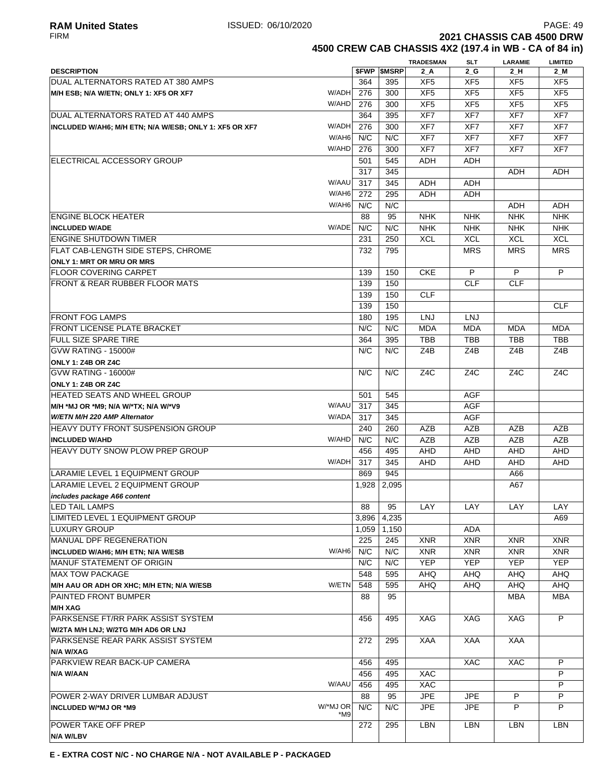**4500 CREW CAB CHASSIS 4X2 (197.4 in WB - CA of 84 in)**

|                                                                 |     |            |                     | <b>TRADESMAN</b>         | <b>SLT</b>       | <b>LARAMIE</b>   | <b>LIMITED</b>   |
|-----------------------------------------------------------------|-----|------------|---------------------|--------------------------|------------------|------------------|------------------|
| <b>DESCRIPTION</b>                                              |     |            | <b>\$FWP \$MSRP</b> | $2_A$                    | $2_G$            | 2_H              | $2$ M            |
| DUAL ALTERNATORS RATED AT 380 AMPS                              |     | 364        | 395                 | XF5                      | XF <sub>5</sub>  | XF <sub>5</sub>  | XF <sub>5</sub>  |
| W/ADH<br>M/H ESB; N/A W/ETN; ONLY 1: XF5 OR XF7                 |     | 276        | 300                 | XF <sub>5</sub>          | XF <sub>5</sub>  | XF <sub>5</sub>  | XF <sub>5</sub>  |
| W/AHD                                                           |     | 276        | 300                 | XF <sub>5</sub>          | XF <sub>5</sub>  | XF <sub>5</sub>  | XF <sub>5</sub>  |
| DUAL ALTERNATORS RATED AT 440 AMPS                              |     | 364        | 395                 | XF7                      | XF7              | XF7              | XF7              |
| W/ADH<br>INCLUDED W/AH6; M/H ETN; N/A W/ESB; ONLY 1: XF5 OR XF7 |     | 276        | 300                 | XF7                      | XF7              | XF7              | XF7              |
| W/AH6                                                           |     | N/C        | N/C                 | XF7                      | XF7              | XF7              | XF7              |
| W/AHD                                                           |     | 276        | 300                 | XF7                      | XF7              | XF7              | XF7              |
| ELECTRICAL ACCESSORY GROUP                                      |     | 501        | 545                 | ADH                      | ADH              |                  |                  |
|                                                                 |     | 317        | 345                 |                          |                  | ADH              | ADH              |
| W/AAU<br>W/AH6                                                  |     | 317        | 345                 | ADH                      | ADH              |                  |                  |
| W/AH6                                                           |     | 272<br>N/C | 295<br>N/C          | <b>ADH</b>               | ADH              | <b>ADH</b>       | <b>ADH</b>       |
|                                                                 |     | 88         | 95                  |                          | <b>NHK</b>       | <b>NHK</b>       | <b>NHK</b>       |
| <b>ENGINE BLOCK HEATER</b><br>W/ADE<br><b>INCLUDED W/ADE</b>    |     | N/C        | N/C                 | <b>NHK</b><br><b>NHK</b> | <b>NHK</b>       | <b>NHK</b>       | <b>NHK</b>       |
| <b>ENGINE SHUTDOWN TIMER</b>                                    |     | 231        | 250                 | <b>XCL</b>               | <b>XCL</b>       | <b>XCL</b>       | <b>XCL</b>       |
| FLAT CAB-LENGTH SIDE STEPS. CHROME                              |     | 732        | 795                 |                          | <b>MRS</b>       | <b>MRS</b>       | <b>MRS</b>       |
| <b>ONLY 1: MRT OR MRU OR MRS</b>                                |     |            |                     |                          |                  |                  |                  |
| <b>FLOOR COVERING CARPET</b>                                    |     | 139        | 150                 | <b>CKE</b>               | $\overline{P}$   | P                | P                |
| FRONT & REAR RUBBER FLOOR MATS                                  |     | 139        | 150                 |                          | <b>CLF</b>       | <b>CLF</b>       |                  |
|                                                                 |     | 139        | 150                 | <b>CLF</b>               |                  |                  |                  |
|                                                                 |     | 139        | 150                 |                          |                  |                  | <b>CLF</b>       |
| <b>IFRONT FOG LAMPS</b>                                         |     | 180        | 195                 | LNJ                      | <b>LNJ</b>       |                  |                  |
| <b>FRONT LICENSE PLATE BRACKET</b>                              |     | N/C        | N/C                 | <b>MDA</b>               | <b>MDA</b>       | <b>MDA</b>       | <b>MDA</b>       |
| <b>FULL SIZE SPARE TIRE</b>                                     |     | 364        | 395                 | <b>TBB</b>               | <b>TBB</b>       | TBB              | <b>TBB</b>       |
| <b>GVW RATING - 15000#</b>                                      |     | N/C        | N/C                 | Z4B                      | Z4B              | Z4B              | Z4B              |
| <b>ONLY 1: Z4B OR Z4C</b>                                       |     |            |                     |                          |                  |                  |                  |
| <b>GVW RATING - 16000#</b>                                      |     | N/C        | N/C                 | Z <sub>4</sub> C         | Z <sub>4</sub> C | Z <sub>4</sub> C | Z <sub>4</sub> C |
| ONLY 1: Z4B OR Z4C                                              |     |            |                     |                          |                  |                  |                  |
| HEATED SEATS AND WHEEL GROUP                                    |     | 501        | 545                 |                          | AGF              |                  |                  |
| W/AAU<br>M/H *MJ OR *M9; N/A W/*TX; N/A W/*V9                   |     | 317        | 345                 |                          | <b>AGF</b>       |                  |                  |
| W/ADA<br>W/ETN M/H 220 AMP Alternator                           |     | 317        | 345                 |                          | <b>AGF</b>       |                  |                  |
| HEAVY DUTY FRONT SUSPENSION GROUP                               |     | 240        | 260                 | AZB                      | AZB              | <b>AZB</b>       | <b>AZB</b>       |
| W/AHD<br><b>INCLUDED W/AHD</b>                                  |     | N/C        | N/C                 | AZB                      | <b>AZB</b>       | <b>AZB</b>       | <b>AZB</b>       |
| <b>HEAVY DUTY SNOW PLOW PREP GROUP</b>                          |     | 456        | 495                 | AHD                      | AHD              | AHD              | AHD              |
| W/ADH                                                           |     | 317        | 345                 | <b>AHD</b>               | <b>AHD</b>       | AHD              | <b>AHD</b>       |
| LARAMIE LEVEL 1 EQUIPMENT GROUP                                 |     | 869        | 945                 |                          |                  | A66              |                  |
| LARAMIE LEVEL 2 EQUIPMENT GROUP                                 |     | 1,928      | 2,095               |                          |                  | A67              |                  |
| includes package A66 content                                    |     |            |                     |                          |                  |                  |                  |
| <b>LED TAIL LAMPS</b>                                           |     | 88         | 95                  | LAY                      | LAY              | LAY              | LAY              |
| LIMITED LEVEL 1 EQUIPMENT GROUP                                 |     | 3,896      | 4,235               |                          |                  |                  | A69              |
| <b>LUXURY GROUP</b>                                             |     | 1,059      | 1,150               |                          | <b>ADA</b>       |                  |                  |
| MANUAL DPF REGENERATION                                         |     | 225        | 245                 | <b>XNR</b>               | <b>XNR</b>       | <b>XNR</b>       | <b>XNR</b>       |
| W/AH6<br>INCLUDED W/AH6; M/H ETN; N/A W/ESB                     |     | N/C        | N/C                 | <b>XNR</b>               | <b>XNR</b>       | <b>XNR</b>       | <b>XNR</b>       |
| <b>MANUF STATEMENT OF ORIGIN</b>                                |     | N/C        | N/C                 | <b>YEP</b>               | <b>YEP</b>       | <b>YEP</b>       | <b>YEP</b>       |
| <b>MAX TOW PACKAGE</b>                                          |     | 548        | 595                 | AHQ                      | <b>AHQ</b>       | AHQ              | AHQ              |
| W/ETN<br>M/H AAU OR ADH OR XHC; M/H ETN; N/A W/ESB              |     | 548        | 595                 | <b>AHQ</b>               | <b>AHQ</b>       | AHQ              | AHQ              |
| <b>PAINTED FRONT BUMPER</b>                                     |     | 88         | 95                  |                          |                  | MBA              | <b>MBA</b>       |
| <b>M/H XAG</b>                                                  |     |            |                     |                          |                  |                  |                  |
| <b>PARKSENSE FT/RR PARK ASSIST SYSTEM</b>                       |     | 456        | 495                 | XAG                      | XAG              | XAG              | P                |
| W/2TA M/H LNJ; W/2TG M/H AD6 OR LNJ                             |     |            |                     |                          |                  |                  |                  |
| PARKSENSE REAR PARK ASSIST SYSTEM                               |     | 272        | 295                 | XAA                      | XAA              | XAA              |                  |
| N/A W/XAG                                                       |     |            |                     |                          |                  |                  |                  |
| <b>PARKVIEW REAR BACK-UP CAMERA</b>                             |     | 456        | 495                 |                          | <b>XAC</b>       | <b>XAC</b>       | P                |
| N/A W/AAN                                                       |     | 456        | 495                 | XAC                      |                  |                  | P                |
| W/AAU                                                           |     | 456        | 495                 | XAC                      |                  |                  | P                |
| POWER 2-WAY DRIVER LUMBAR ADJUST                                |     | 88         | 95                  | <b>JPE</b>               | <b>JPE</b>       | P                | P                |
| W/*MJ OR<br><b>INCLUDED W/*MJ OR *M9</b>                        | *M9 | N/C        | N/C                 | <b>JPE</b>               | <b>JPE</b>       | P                | P                |
| POWER TAKE OFF PREP                                             |     | 272        | 295                 | LBN                      | LBN              | LBN              | LBN              |
| N/A W/LBV                                                       |     |            |                     |                          |                  |                  |                  |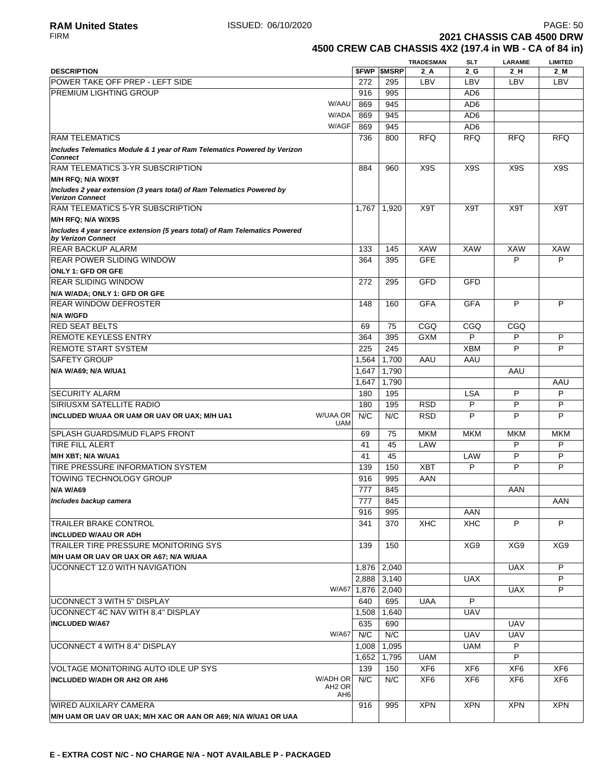FIRM **2021 CHASSIS CAB 4500 DRW 4500 CREW CAB CHASSIS 4X2 (197.4 in WB - CA of 84 in)**

916 995 XPN XPN XPN XPN

|                                                                                                   |                                              |                          | <b>TRADESMAN</b> | <b>SLT</b>       | <b>LARAMIE</b>   | <b>LIMITED</b>   |
|---------------------------------------------------------------------------------------------------|----------------------------------------------|--------------------------|------------------|------------------|------------------|------------------|
| <b>DESCRIPTION</b>                                                                                |                                              | <b><i>SFWP SMSRP</i></b> | 2 A              | $2_G$            | 2 H              | 2 M              |
| POWER TAKE OFF PREP - LEFT SIDE                                                                   | 272                                          | 295                      | LBV              | LBV              | LBV              | LBV              |
| PREMIUM LIGHTING GROUP                                                                            | 916                                          | 995                      |                  | AD <sub>6</sub>  |                  |                  |
|                                                                                                   | W/AAU<br>869                                 | 945                      |                  | AD <sub>6</sub>  |                  |                  |
|                                                                                                   | W/ADA<br>869                                 | 945                      |                  | AD <sub>6</sub>  |                  |                  |
|                                                                                                   | W/AGF<br>869                                 | 945                      |                  | AD <sub>6</sub>  |                  |                  |
| <b>RAM TELEMATICS</b>                                                                             | 736                                          | 800                      | <b>RFQ</b>       | <b>RFQ</b>       | <b>RFQ</b>       | <b>RFQ</b>       |
| Includes Telematics Module & 1 year of Ram Telematics Powered by Verizon<br><b>Connect</b>        |                                              |                          |                  |                  |                  |                  |
| RAM TELEMATICS 3-YR SUBSCRIPTION                                                                  | 884                                          | 960                      | X <sub>9</sub> S | X <sub>9</sub> S | X <sub>9</sub> S | X <sub>9</sub> S |
| M/H RFQ; N/A W/X9T                                                                                |                                              |                          |                  |                  |                  |                  |
| Includes 2 year extension (3 years total) of Ram Telematics Powered by<br><b>Verizon Connect</b>  |                                              |                          |                  |                  |                  |                  |
| RAM TELEMATICS 5-YR SUBSCRIPTION                                                                  | 1,767                                        | 1,920                    | X9T              | X9T              | X9T              | X9T              |
| M/H RFQ; N/A W/X9S                                                                                |                                              |                          |                  |                  |                  |                  |
| Includes 4 year service extension (5 years total) of Ram Telematics Powered<br>by Verizon Connect |                                              |                          |                  |                  |                  |                  |
| <b>REAR BACKUP ALARM</b>                                                                          | 133                                          | 145                      | <b>XAW</b>       | <b>XAW</b>       | <b>XAW</b>       | XAW              |
| <b>REAR POWER SLIDING WINDOW</b>                                                                  | 364                                          | 395                      | <b>GFE</b>       |                  | P                | P                |
| ONLY 1: GFD OR GFE                                                                                |                                              |                          |                  |                  |                  |                  |
| <b>REAR SLIDING WINDOW</b>                                                                        | 272                                          | 295                      | <b>GFD</b>       | GFD              |                  |                  |
| N/A W/ADA; ONLY 1: GFD OR GFE                                                                     |                                              |                          |                  |                  |                  |                  |
| <b>REAR WINDOW DEFROSTER</b>                                                                      | 148                                          | 160                      | <b>GFA</b>       | <b>GFA</b>       | P                | P                |
| <b>N/A W/GFD</b>                                                                                  |                                              |                          |                  |                  |                  |                  |
| <b>RED SEAT BELTS</b>                                                                             | 69                                           | 75                       | CGQ              | CGQ              | CGQ              |                  |
| <b>REMOTE KEYLESS ENTRY</b>                                                                       | 364                                          | 395                      | <b>GXM</b>       | P                | P                | P                |
| <b>REMOTE START SYSTEM</b>                                                                        | 225                                          | 245                      |                  | <b>XBM</b>       | P                | P                |
| <b>SAFETY GROUP</b>                                                                               | 1,564                                        | 1,700                    | AAU              | AAU              |                  |                  |
| N/A W/A69; N/A W/UA1                                                                              | 1,647                                        | 1,790                    |                  |                  | AAU              |                  |
|                                                                                                   | 1,647                                        | 1,790                    |                  |                  |                  | AAU              |
| <b>SECURITY ALARM</b>                                                                             | 180                                          | 195                      |                  | <b>LSA</b>       | P                | P                |
| <b>SIRIUSXM SATELLITE RADIO</b>                                                                   | 180                                          | 195                      | <b>RSD</b>       | P                | P                | P                |
| <b>W/UAA OR</b><br>INCLUDED W/UAA OR UAM OR UAV OR UAX; M/H UA1                                   | N/C                                          | N/C                      | <b>RSD</b>       | P                | P                | P                |
|                                                                                                   | <b>UAM</b>                                   |                          |                  |                  |                  |                  |
| <b>SPLASH GUARDS/MUD FLAPS FRONT</b>                                                              | 69                                           | 75                       | <b>MKM</b>       | <b>MKM</b>       | <b>MKM</b>       | <b>MKM</b>       |
| <b>TIRE FILL ALERT</b>                                                                            | 41                                           | 45                       | LAW              |                  | P                | P                |
| M/H XBT; N/A W/UA1                                                                                | 41                                           | 45                       |                  | LAW              | P                | P                |
| TIRE PRESSURE INFORMATION SYSTEM                                                                  | 139                                          | 150                      | <b>XBT</b>       | P                | P                | P                |
| <b>TOWING TECHNOLOGY GROUP</b>                                                                    | 916                                          | 995                      | AAN              |                  |                  |                  |
| <b>N/A W/A69</b>                                                                                  | 777                                          | 845                      |                  |                  | AAN              |                  |
| Includes backup camera                                                                            | 777                                          | 845                      |                  |                  |                  | AAN              |
|                                                                                                   | 916                                          | 995                      |                  | AAN              |                  |                  |
| <b>TRAILER BRAKE CONTROL</b>                                                                      | 341                                          | 370                      | <b>XHC</b>       | <b>XHC</b>       | P                | P                |
| <b>INCLUDED W/AAU OR ADH</b>                                                                      |                                              |                          |                  |                  |                  |                  |
| TRAILER TIRE PRESSURE MONITORING SYS                                                              | 139                                          | 150                      |                  | XG9              | XG9              | XG9              |
| M/H UAM OR UAV OR UAX OR A67; N/A W/UAA                                                           |                                              |                          |                  |                  |                  |                  |
| UCONNECT 12.0 WITH NAVIGATION                                                                     | 1,876                                        | 2,040                    |                  |                  | <b>UAX</b>       | P                |
|                                                                                                   | 2,888                                        | 3,140                    |                  | <b>UAX</b>       |                  | P                |
|                                                                                                   | W/A67                                        |                          |                  |                  | <b>UAX</b>       | P                |
|                                                                                                   |                                              | 1,876 2,040              |                  | P                |                  |                  |
| UCONNECT 3 WITH 5" DISPLAY                                                                        | 640                                          | 695                      | <b>UAA</b>       |                  |                  |                  |
| UCONNECT 4C NAV WITH 8.4" DISPLAY                                                                 | 1,508                                        | 1,640                    |                  | <b>UAV</b>       |                  |                  |
| <b>INCLUDED W/A67</b>                                                                             | 635                                          | 690                      |                  |                  | <b>UAV</b>       |                  |
|                                                                                                   | W/A67<br>N/C                                 | N/C                      |                  | <b>UAV</b>       | <b>UAV</b>       |                  |
| UCONNECT 4 WITH 8.4" DISPLAY                                                                      | 1,008                                        | 1,095                    |                  | <b>UAM</b>       | P                |                  |
|                                                                                                   | 1,652                                        | 1,795                    | <b>UAM</b>       |                  | P                |                  |
| VOLTAGE MONITORING AUTO IDLE UP SYS                                                               | 139                                          | 150                      | XF <sub>6</sub>  | XF <sub>6</sub>  | XF <sub>6</sub>  | XF <sub>6</sub>  |
| W/ADH OR<br><b>INCLUDED W/ADH OR AH2 OR AH6</b>                                                   | N/C<br>AH <sub>2</sub> OR<br>AH <sub>6</sub> | N/C                      | XF <sub>6</sub>  | XF <sub>6</sub>  | XF <sub>6</sub>  | XF <sub>6</sub>  |

**M/H UAM OR UAV OR UAX; M/H XAC OR AAN OR A69; N/A W/UA1 OR UAA**

WIRED AUXILARY CAMERA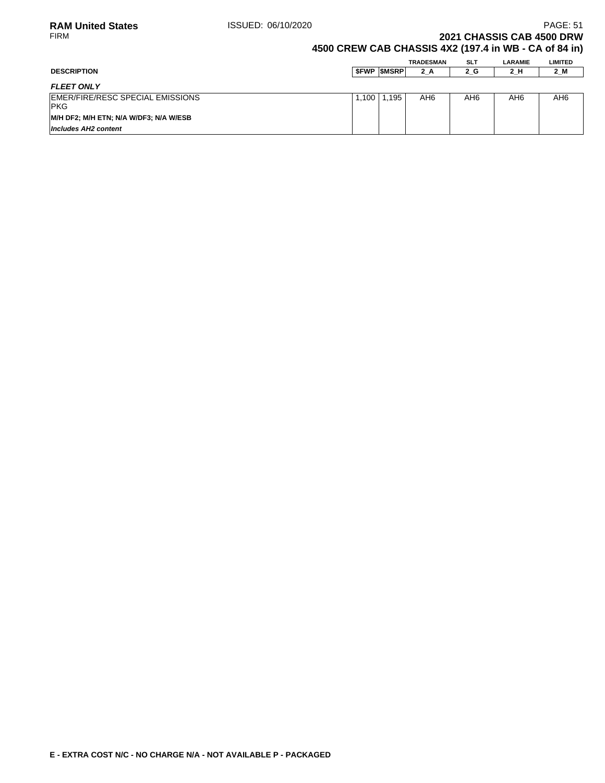### **2021 CHASSIS CAB 4500 DRW 4500 CREW CAB CHASSIS 4X2 (197.4 in WB - CA of 84 in)**

| <b>DESCRIPTION</b>                              |       | <b>SFWP SMSRP</b> | TRADESMAN<br>2 A | <b>SLT</b><br>$2_G$ | <b>LARAMIE</b><br>2 H | <b>LIMITED</b><br>2 M |
|-------------------------------------------------|-------|-------------------|------------------|---------------------|-----------------------|-----------------------|
| <b>FLEET ONLY</b>                               |       |                   |                  |                     |                       |                       |
| EMER/FIRE/RESC SPECIAL EMISSIONS<br><b>IPKG</b> | 1.100 | 1.195             | AH6              | AH <sub>6</sub>     | AH6                   | AH6                   |
| M/H DF2; M/H ETN; N/A W/DF3; N/A W/ESB          |       |                   |                  |                     |                       |                       |
| Includes AH2 content                            |       |                   |                  |                     |                       |                       |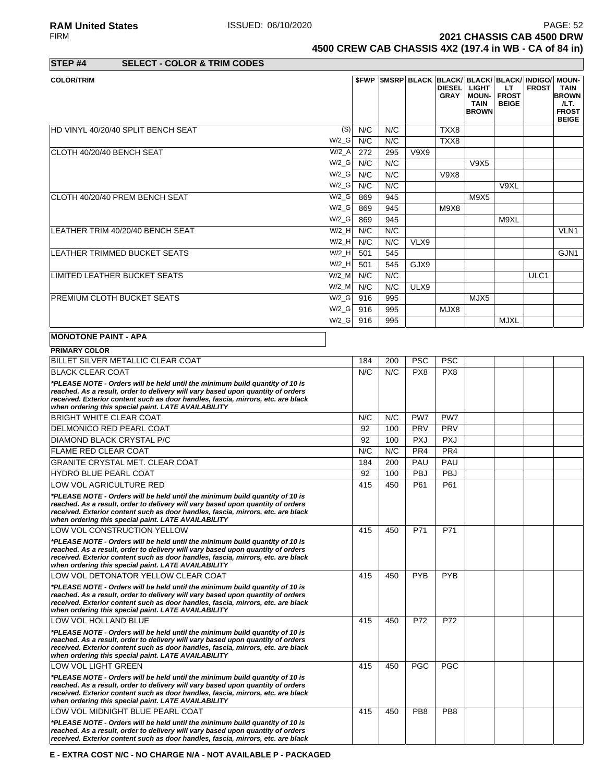RA**M United States ISSUED: 06/10/2020** PAGE: 52<br>FIRM **PAGE: 52 2021 CHASSIS CAB 4500 DRW 4500 CREW CAB CHASSIS 4X2 (197.4 in WB - CA of 84 in)**

**STEP #4 SELECT - COLOR & TRIM CODES**

| <b>COLOR/TRIM</b>                  |          |     |     |      | <b>DIESEL</b><br><b>GRAY</b> | \$FWP   \$MSRP   BLACK   BLACK/ BLACK/ BLACK/ INDIGO/   MOUN-<br><b>LIGHT</b><br><b>MOUN-</b><br><b>TAIN</b><br><b>BROWN</b> | LT.<br><b>FROST</b><br><b>BEIGE</b> | <b>FROST</b> | TAIN<br><b>BROWN</b><br>/LT.<br><b>FROST</b><br><b>BEIGE</b> |
|------------------------------------|----------|-----|-----|------|------------------------------|------------------------------------------------------------------------------------------------------------------------------|-------------------------------------|--------------|--------------------------------------------------------------|
| HD VINYL 40/20/40 SPLIT BENCH SEAT | (S)      | N/C | N/C |      | TXX8                         |                                                                                                                              |                                     |              |                                                              |
|                                    | W/2 G    | N/C | N/C |      | TXX8                         |                                                                                                                              |                                     |              |                                                              |
| CLOTH 40/20/40 BENCH SEAT          | $W/2_A$  | 272 | 295 | V9X9 |                              |                                                                                                                              |                                     |              |                                                              |
|                                    | W/2 G    | N/C | N/C |      |                              | V9X5                                                                                                                         |                                     |              |                                                              |
|                                    | $W/2_G$  | N/C | N/C |      | <b>V9X8</b>                  |                                                                                                                              |                                     |              |                                                              |
|                                    | $W/2_G$  | N/C | N/C |      |                              |                                                                                                                              | V9XL                                |              |                                                              |
| CLOTH 40/20/40 PREM BENCH SEAT     | $W/2_G$  | 869 | 945 |      |                              | M9X5                                                                                                                         |                                     |              |                                                              |
|                                    | $W/2_G$  | 869 | 945 |      | M9X8                         |                                                                                                                              |                                     |              |                                                              |
|                                    | $W/2_G$  | 869 | 945 |      |                              |                                                                                                                              | M9XL                                |              |                                                              |
| LEATHER TRIM 40/20/40 BENCH SEAT   | $W/2$ H  | N/C | N/C |      |                              |                                                                                                                              |                                     |              | VLN <sub>1</sub>                                             |
|                                    | $W/2$ _H | N/C | N/C | VLX9 |                              |                                                                                                                              |                                     |              |                                                              |
| LEATHER TRIMMED BUCKET SEATS       | W/2 H    | 501 | 545 |      |                              |                                                                                                                              |                                     |              | GJN <sub>1</sub>                                             |
|                                    | $W/2$ _H | 501 | 545 | GJX9 |                              |                                                                                                                              |                                     |              |                                                              |
| LIMITED LEATHER BUCKET SEATS       | $W/2$ M  | N/C | N/C |      |                              |                                                                                                                              |                                     | ULC1         |                                                              |
|                                    | $W/2$ _M | N/C | N/C | ULX9 |                              |                                                                                                                              |                                     |              |                                                              |
| <b>PREMIUM CLOTH BUCKET SEATS</b>  | $W/2_G$  | 916 | 995 |      |                              | MJX5                                                                                                                         |                                     |              |                                                              |
|                                    | W/2 G    | 916 | 995 |      | MJX8                         |                                                                                                                              |                                     |              |                                                              |
|                                    | $W/2_G$  | 916 | 995 |      |                              |                                                                                                                              | <b>MJXL</b>                         |              |                                                              |
| <b>MONOTONE PAINT - APA</b>        |          |     |     |      |                              |                                                                                                                              |                                     |              |                                                              |
| <b>PRIMARY COLOR</b>               |          |     |     |      |                              |                                                                                                                              |                                     |              |                                                              |

| BILLET SILVER METALLIC CLEAR COAT                                                                                                                                                                                                                                                                          | 184 | 200 | <b>PSC</b>      | <b>PSC</b>      |  |  |
|------------------------------------------------------------------------------------------------------------------------------------------------------------------------------------------------------------------------------------------------------------------------------------------------------------|-----|-----|-----------------|-----------------|--|--|
| <b>BLACK CLEAR COAT</b>                                                                                                                                                                                                                                                                                    | N/C | N/C | PX8             | PX8             |  |  |
| *PLEASE NOTE - Orders will be held until the minimum build quantity of 10 is<br>reached. As a result, order to delivery will vary based upon quantity of orders<br>received. Exterior content such as door handles, fascia, mirrors, etc. are black<br>when ordering this special paint. LATE AVAILABILITY |     |     |                 |                 |  |  |
| <b>BRIGHT WHITE CLEAR COAT</b>                                                                                                                                                                                                                                                                             | N/C | N/C | PW7             | PW7             |  |  |
| <b>DELMONICO RED PEARL COAT</b>                                                                                                                                                                                                                                                                            | 92  | 100 | PRV             | PRV             |  |  |
| <b>DIAMOND BLACK CRYSTAL P/C</b>                                                                                                                                                                                                                                                                           | 92  | 100 | <b>PXJ</b>      | <b>PXJ</b>      |  |  |
| <b>FLAME RED CLEAR COAT</b>                                                                                                                                                                                                                                                                                | N/C | N/C | PR <sub>4</sub> | PR <sub>4</sub> |  |  |
| <b>GRANITE CRYSTAL MET. CLEAR COAT</b>                                                                                                                                                                                                                                                                     | 184 | 200 | PAU             | PAU             |  |  |
| <b>HYDRO BLUE PEARL COAT</b>                                                                                                                                                                                                                                                                               | 92  | 100 | PBJ             | PBJ             |  |  |
| LOW VOL AGRICULTURE RED                                                                                                                                                                                                                                                                                    | 415 | 450 | P61             | P61             |  |  |
| *PLEASE NOTE - Orders will be held until the minimum build quantity of 10 is<br>reached. As a result, order to delivery will vary based upon quantity of orders<br>received. Exterior content such as door handles, fascia, mirrors, etc. are black<br>when ordering this special paint. LATE AVAILABILITY |     |     |                 |                 |  |  |
| LOW VOL CONSTRUCTION YELLOW                                                                                                                                                                                                                                                                                | 415 | 450 | P71             | P71             |  |  |
| *PLEASE NOTE - Orders will be held until the minimum build quantity of 10 is<br>reached. As a result, order to delivery will vary based upon quantity of orders<br>received. Exterior content such as door handles, fascia, mirrors, etc. are black<br>when ordering this special paint. LATE AVAILABILITY |     |     |                 |                 |  |  |
| LOW VOL DETONATOR YELLOW CLEAR COAT                                                                                                                                                                                                                                                                        | 415 | 450 | <b>PYB</b>      | <b>PYB</b>      |  |  |
| *PLEASE NOTE - Orders will be held until the minimum build quantity of 10 is<br>reached. As a result, order to delivery will vary based upon quantity of orders<br>received. Exterior content such as door handles, fascia, mirrors, etc. are black<br>when ordering this special paint. LATE AVAILABILITY |     |     |                 |                 |  |  |
| LOW VOL HOLLAND BLUE                                                                                                                                                                                                                                                                                       | 415 | 450 | P72             | P72             |  |  |
| *PLEASE NOTE - Orders will be held until the minimum build quantity of 10 is<br>reached. As a result, order to delivery will vary based upon quantity of orders<br>received. Exterior content such as door handles, fascia, mirrors, etc. are black<br>when ordering this special paint. LATE AVAILABILITY |     |     |                 |                 |  |  |
| LOW VOL LIGHT GREEN                                                                                                                                                                                                                                                                                        | 415 | 450 | <b>PGC</b>      | <b>PGC</b>      |  |  |
| *PLEASE NOTE - Orders will be held until the minimum build quantity of 10 is<br>reached. As a result, order to delivery will vary based upon quantity of orders<br>received. Exterior content such as door handles, fascia, mirrors, etc. are black<br>when ordering this special paint. LATE AVAILABILITY |     |     |                 |                 |  |  |
| LOW VOL MIDNIGHT BLUE PEARL COAT                                                                                                                                                                                                                                                                           | 415 | 450 | PB <sub>8</sub> | PB <sub>8</sub> |  |  |
| *PLEASE NOTE - Orders will be held until the minimum build quantity of 10 is<br>reached. As a result, order to delivery will vary based upon quantity of orders<br>received. Exterior content such as door handles, fascia, mirrors, etc. are black                                                        |     |     |                 |                 |  |  |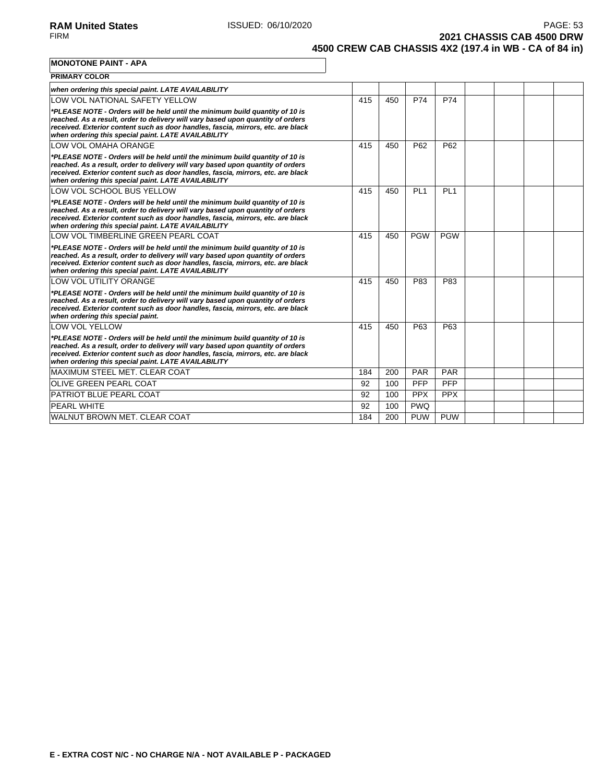**2021 CHASSIS CAB 4500 DRW 4500 CREW CAB CHASSIS 4X2 (197.4 in WB - CA of 84 in)**

**MONOTONE PAINT - APA**

| <b>PRIMARY COLOR</b>                                                                                                                                                                                                                                                                                       |     |     |                 |                 |  |  |
|------------------------------------------------------------------------------------------------------------------------------------------------------------------------------------------------------------------------------------------------------------------------------------------------------------|-----|-----|-----------------|-----------------|--|--|
| when ordering this special paint. LATE AVAILABILITY                                                                                                                                                                                                                                                        |     |     |                 |                 |  |  |
| LOW VOL NATIONAL SAFETY YELLOW                                                                                                                                                                                                                                                                             | 415 | 450 | P74             | P74             |  |  |
| *PLEASE NOTE - Orders will be held until the minimum build quantity of 10 is<br>reached. As a result, order to delivery will vary based upon quantity of orders<br>received. Exterior content such as door handles, fascia, mirrors, etc. are black<br>when ordering this special paint. LATE AVAILABILITY |     |     |                 |                 |  |  |
| LOW VOL OMAHA ORANGE                                                                                                                                                                                                                                                                                       | 415 | 450 | P62             | P62             |  |  |
| *PLEASE NOTE - Orders will be held until the minimum build quantity of 10 is<br>reached. As a result, order to delivery will vary based upon quantity of orders<br>received. Exterior content such as door handles, fascia, mirrors, etc. are black<br>when ordering this special paint. LATE AVAILABILITY |     |     |                 |                 |  |  |
| LOW VOL SCHOOL BUS YELLOW                                                                                                                                                                                                                                                                                  | 415 | 450 | PL <sub>1</sub> | PL <sub>1</sub> |  |  |
| *PLEASE NOTE - Orders will be held until the minimum build quantity of 10 is<br>reached. As a result, order to delivery will vary based upon quantity of orders<br>received. Exterior content such as door handles, fascia, mirrors, etc. are black<br>when ordering this special paint. LATE AVAILABILITY |     |     |                 |                 |  |  |
| LOW VOL TIMBERLINE GREEN PEARL COAT                                                                                                                                                                                                                                                                        | 415 | 450 | <b>PGW</b>      | <b>PGW</b>      |  |  |
| *PLEASE NOTE - Orders will be held until the minimum build quantity of 10 is<br>reached. As a result, order to delivery will vary based upon quantity of orders<br>received. Exterior content such as door handles, fascia, mirrors, etc. are black<br>when ordering this special paint. LATE AVAILABILITY |     |     |                 |                 |  |  |
| <b>LOW VOL UTILITY ORANGE</b>                                                                                                                                                                                                                                                                              | 415 | 450 | P83             | P83             |  |  |
| *PLEASE NOTE - Orders will be held until the minimum build quantity of 10 is<br>reached. As a result, order to delivery will vary based upon quantity of orders<br>received. Exterior content such as door handles, fascia, mirrors, etc. are black<br>when ordering this special paint.                   |     |     |                 |                 |  |  |
| <b>LOW VOL YELLOW</b>                                                                                                                                                                                                                                                                                      | 415 | 450 | P63             | P63             |  |  |
| *PLEASE NOTE - Orders will be held until the minimum build quantity of 10 is<br>reached. As a result, order to delivery will vary based upon quantity of orders<br>received. Exterior content such as door handles, fascia, mirrors, etc. are black<br>when ordering this special paint. LATE AVAILABILITY |     |     |                 |                 |  |  |
| MAXIMUM STEEL MET. CLEAR COAT                                                                                                                                                                                                                                                                              | 184 | 200 | PAR             | PAR             |  |  |
| <b>OLIVE GREEN PEARL COAT</b>                                                                                                                                                                                                                                                                              | 92  | 100 | <b>PFP</b>      | <b>PFP</b>      |  |  |
| PATRIOT BLUE PEARL COAT                                                                                                                                                                                                                                                                                    | 92  | 100 | <b>PPX</b>      | <b>PPX</b>      |  |  |
| <b>PEARL WHITE</b>                                                                                                                                                                                                                                                                                         | 92  | 100 | <b>PWQ</b>      |                 |  |  |
| WALNUT BROWN MET. CLEAR COAT                                                                                                                                                                                                                                                                               | 184 | 200 | <b>PUW</b>      | <b>PUW</b>      |  |  |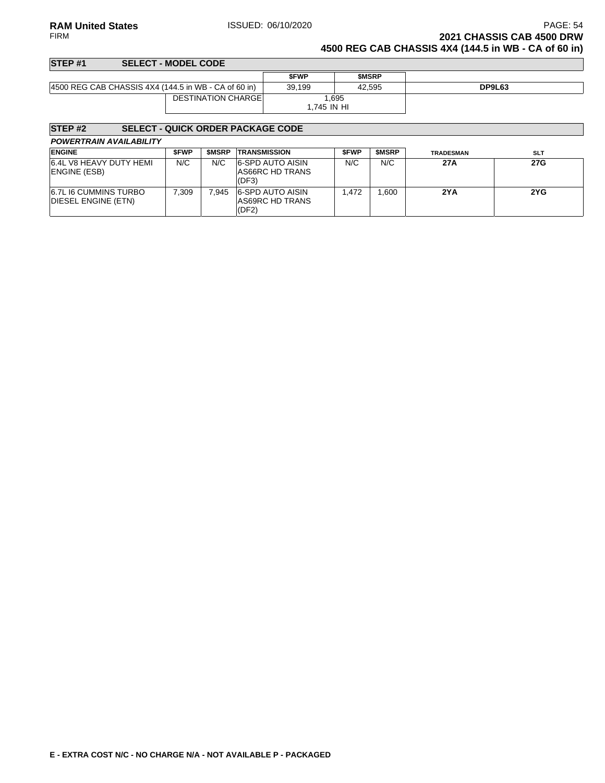### **RAM United States ISSUED: 06/10/2020 PAGE: 54**<br>FIRM **PAGE: 54**<br>**2021 CHASSIS CAB 4500 DRW 2021 CHASSIS CAB 4500 DRW 4500 REG CAB CHASSIS 4X4 (144.5 in WB - CA of 60 in)**

| STEP <sub>#1</sub>                                   | <b>SELECT - MODEL CODE</b> |             |              |        |
|------------------------------------------------------|----------------------------|-------------|--------------|--------|
|                                                      |                            | <b>SFWP</b> | <b>SMSRP</b> |        |
| 4500 REG CAB CHASSIS 4X4 (144.5 in WB - CA of 60 in) |                            | 39.199      | 42.595       | DP9L63 |
|                                                      | <b>DESTINATION CHARGEI</b> | 1.695       |              |        |
|                                                      |                            | 1.745 IN HI |              |        |

### **STEP #2 SELECT - QUICK ORDER PACKAGE CODE**

| <b>ENGINE</b>                                       | <b>SFWP</b> | <b>SMSRP</b> | <b>TRANSMISSION</b>                                 | <b>SFWP</b> | <b>SMSRP</b> | <b>TRADESMAN</b> | <b>SLT</b> |
|-----------------------------------------------------|-------------|--------------|-----------------------------------------------------|-------------|--------------|------------------|------------|
| 6.4L V8 HEAVY DUTY HEMI<br>ENGINE (ESB)             | N/C         | N/C          | <b>6-SPD AUTO AISIN</b><br>AS66RC HD TRANS<br>(DF3) | N/C         | N/C          | 27A              | 27G        |
| <b>6.7L I6 CUMMINS TURBO</b><br>DIESEL ENGINE (ETN) | 7.309       | 945.`        | 6-SPD AUTO AISIN<br>AS69RC HD TRANS<br>(DF2)        | .472        | .600         | 2YA              | 2YG        |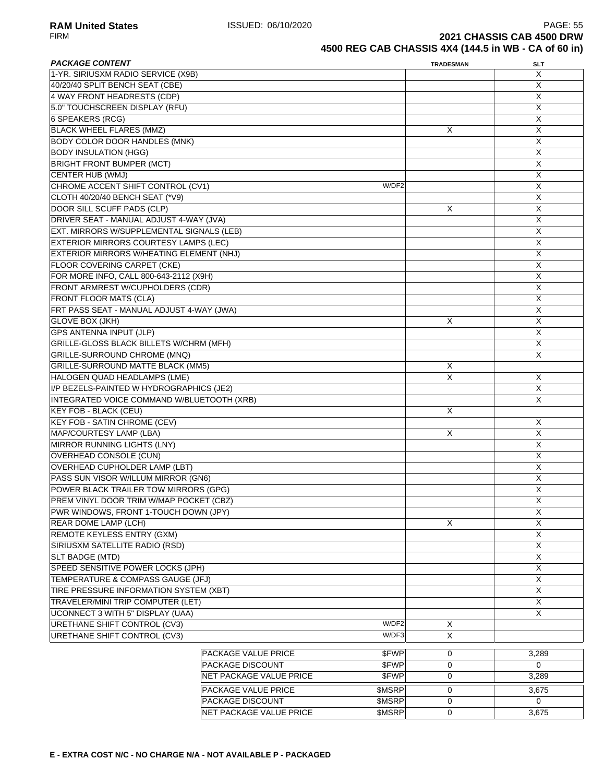| <b>PACKAGE CONTENT</b>                         |                         |               | <b>TRADESMAN</b> | <b>SLT</b>              |
|------------------------------------------------|-------------------------|---------------|------------------|-------------------------|
| 1-YR. SIRIUSXM RADIO SERVICE (X9B)             |                         |               |                  | X                       |
| 40/20/40 SPLIT BENCH SEAT (CBE)                |                         |               |                  | X                       |
| 4 WAY FRONT HEADRESTS (CDP)                    |                         |               |                  | X                       |
| 5.0" TOUCHSCREEN DISPLAY (RFU)                 |                         |               |                  | X                       |
| 6 SPEAKERS (RCG)                               |                         |               |                  | X                       |
| <b>BLACK WHEEL FLARES (MMZ)</b>                |                         |               | $\times$         | $\overline{X}$          |
| <b>BODY COLOR DOOR HANDLES (MNK)</b>           |                         |               |                  | X                       |
| <b>BODY INSULATION (HGG)</b>                   |                         |               |                  | Χ                       |
| <b>BRIGHT FRONT BUMPER (MCT)</b>               |                         |               |                  | X                       |
| <b>CENTER HUB (WMJ)</b>                        |                         |               |                  | X                       |
|                                                |                         | W/DF2         |                  |                         |
| CHROME ACCENT SHIFT CONTROL (CV1)              |                         |               |                  | X                       |
| CLOTH 40/20/40 BENCH SEAT (*V9)                |                         |               |                  | X                       |
| DOOR SILL SCUFF PADS (CLP)                     |                         |               | X                | X                       |
| DRIVER SEAT - MANUAL ADJUST 4-WAY (JVA)        |                         |               |                  | X                       |
| EXT. MIRRORS W/SUPPLEMENTAL SIGNALS (LEB)      |                         |               |                  | $\overline{X}$          |
| EXTERIOR MIRRORS COURTESY LAMPS (LEC)          |                         |               |                  | $\overline{X}$          |
| EXTERIOR MIRRORS W/HEATING ELEMENT (NHJ)       |                         |               |                  | Χ                       |
| FLOOR COVERING CARPET (CKE)                    |                         |               |                  | $\overline{\mathsf{x}}$ |
| FOR MORE INFO, CALL 800-643-2112 (X9H)         |                         |               |                  | X                       |
| FRONT ARMREST W/CUPHOLDERS (CDR)               |                         |               |                  | X                       |
| <b>FRONT FLOOR MATS (CLA)</b>                  |                         |               |                  | X                       |
| FRT PASS SEAT - MANUAL ADJUST 4-WAY (JWA)      |                         |               |                  | X                       |
| <b>GLOVE BOX (JKH)</b>                         |                         |               | X                | X                       |
| <b>GPS ANTENNA INPUT (JLP)</b>                 |                         |               |                  | X                       |
| <b>GRILLE-GLOSS BLACK BILLETS W/CHRM (MFH)</b> |                         |               |                  | X                       |
| GRILLE-SURROUND CHROME (MNQ)                   |                         |               |                  | $\overline{X}$          |
| <b>GRILLE-SURROUND MATTE BLACK (MM5)</b>       |                         |               |                  |                         |
|                                                |                         |               | Χ                |                         |
| HALOGEN QUAD HEADLAMPS (LME)                   | X                       | X             |                  |                         |
| I/P BEZELS-PAINTED W HYDROGRAPHICS (JE2)       |                         |               |                  | X                       |
| INTEGRATED VOICE COMMAND W/BLUETOOTH (XRB)     |                         |               |                  | X                       |
| <b>KEY FOB - BLACK (CEU)</b>                   |                         |               | X                |                         |
| <b>KEY FOB - SATIN CHROME (CEV)</b>            |                         |               |                  | X                       |
| MAP/COURTESY LAMP (LBA)                        |                         |               | X                | X                       |
| <b>MIRROR RUNNING LIGHTS (LNY)</b>             |                         |               |                  | X                       |
| <b>OVERHEAD CONSOLE (CUN)</b>                  |                         |               |                  | $\overline{X}$          |
| <b>OVERHEAD CUPHOLDER LAMP (LBT)</b>           |                         |               |                  | X                       |
| PASS SUN VISOR W/ILLUM MIRROR (GN6)            |                         |               |                  | $\overline{\mathsf{x}}$ |
| POWER BLACK TRAILER TOW MIRRORS (GPG)          |                         |               |                  | X                       |
| PREM VINYL DOOR TRIM W/MAP POCKET (CBZ)        |                         |               |                  | $\mathsf X$             |
| PWR WINDOWS, FRONT 1-TOUCH DOWN (JPY)          |                         |               |                  | X                       |
| REAR DOME LAMP (LCH)                           |                         |               | X                | X                       |
| <b>REMOTE KEYLESS ENTRY (GXM)</b>              |                         |               |                  | X                       |
| SIRIUSXM SATELLITE RADIO (RSD)                 |                         |               |                  | $\overline{X}$          |
| SLT BADGE (MTD)                                |                         |               |                  | $\overline{X}$          |
| SPEED SENSITIVE POWER LOCKS (JPH)              |                         |               |                  | $\overline{X}$          |
|                                                |                         |               |                  |                         |
| TEMPERATURE & COMPASS GAUGE (JFJ)              |                         |               |                  | X                       |
| TIRE PRESSURE INFORMATION SYSTEM (XBT)         |                         |               |                  | X                       |
| TRAVELER/MINI TRIP COMPUTER (LET)              |                         |               |                  | X                       |
| UCONNECT 3 WITH 5" DISPLAY (UAA)               |                         |               |                  | X                       |
| <b>URETHANE SHIFT CONTROL (CV3)</b>            |                         | W/DF2         | Χ                |                         |
| URETHANE SHIFT CONTROL (CV3)                   |                         | W/DF3         | X                |                         |
|                                                |                         | \$FWP         |                  |                         |
|                                                | PACKAGE VALUE PRICE     |               | 0                | 3,289                   |
|                                                | PACKAGE DISCOUNT        | \$FWP         | 0                | 0                       |
|                                                | NET PACKAGE VALUE PRICE | \$FWP         | 0                | 3,289                   |
|                                                | PACKAGE VALUE PRICE     | <b>\$MSRP</b> | 0                | 3,675                   |
|                                                | PACKAGE DISCOUNT        | \$MSRP        | 0                | $\Omega$                |
|                                                | NET PACKAGE VALUE PRICE | \$MSRP        | 0                | 3,675                   |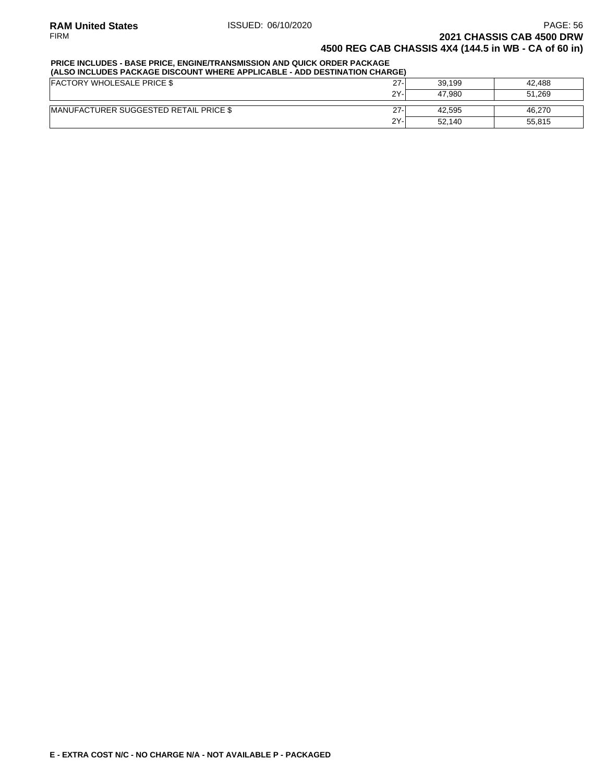### **PRICE INCLUDES - BASE PRICE, ENGINE/TRANSMISSION AND QUICK ORDER PACKAGE**

| (ALSO INCLUDES PACKAGE DISCOUNT WHERE APPLICABLE - ADD DESTINATION CHARGE) |        |        |        |  |  |  |
|----------------------------------------------------------------------------|--------|--------|--------|--|--|--|
| <b>FACTORY WHOLESALE PRICE \$</b>                                          | $27 -$ | 39.199 | 42.488 |  |  |  |
|                                                                            | $2Y -$ | 47.980 | 51.269 |  |  |  |
| <b>IMANUFACTURER SUGGESTED RETAIL PRICE \$</b>                             | $27-$  | 42.595 | 46.270 |  |  |  |
|                                                                            | 2Y-    | 52.140 | 55.815 |  |  |  |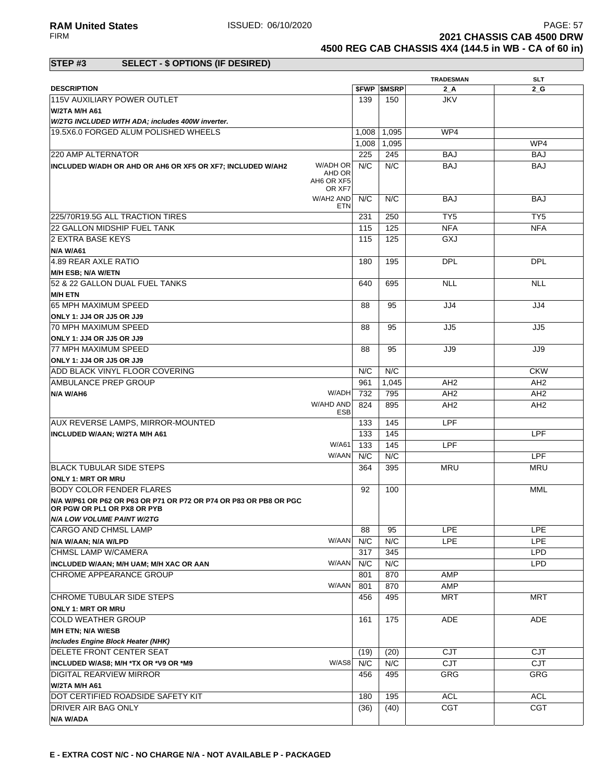**RAM United States ISSUED: 06/10/2020** PAGE: 57<br>FIRM **PAGE: 57 2021 CHASSIS CAB 4500 DRW 4500 REG CAB CHASSIS 4X4 (144.5 in WB - CA of 60 in)**

### **STEP #3 SELECT - \$ OPTIONS (IF DESIRED)**

|                                                                                                  |                                |       |                          | <b>TRADESMAN</b> | <b>SLT</b>      |
|--------------------------------------------------------------------------------------------------|--------------------------------|-------|--------------------------|------------------|-----------------|
| <b>DESCRIPTION</b>                                                                               |                                |       | <b><i>SFWP SMSRP</i></b> | 2 A              | 2 G             |
| 115V AUXILIARY POWER OUTLET                                                                      |                                | 139   | 150                      | <b>JKV</b>       |                 |
| W/2TA M/H A61                                                                                    |                                |       |                          |                  |                 |
| W/2TG INCLUDED WITH ADA; includes 400W inverter.                                                 |                                |       |                          |                  |                 |
| 19.5X6.0 FORGED ALUM POLISHED WHEELS                                                             |                                | 1,008 | 1,095                    | WP4              |                 |
|                                                                                                  |                                | 1.008 | 1,095                    |                  | WP4             |
| 220 AMP ALTERNATOR                                                                               |                                | 225   | 245                      | <b>BAJ</b>       | <b>BAJ</b>      |
| INCLUDED W/ADH OR AHD OR AH6 OR XF5 OR XF7; INCLUDED W/AH2                                       | W/ADH OR                       | N/C   | N/C                      | <b>BAJ</b>       | <b>BAJ</b>      |
|                                                                                                  | AHD OR<br>AH6 OR XF5<br>OR XF7 |       |                          |                  |                 |
|                                                                                                  | W/AH2 AND<br>ETN               | N/C   | N/C                      | <b>BAJ</b>       | <b>BAJ</b>      |
| 225/70R19.5G ALL TRACTION TIRES                                                                  |                                | 231   | 250                      | TY <sub>5</sub>  | TY <sub>5</sub> |
| 22 GALLON MIDSHIP FUEL TANK                                                                      |                                | 115   | 125                      | <b>NFA</b>       | <b>NFA</b>      |
| 2 EXTRA BASE KEYS                                                                                |                                | 115   | 125                      | GXJ              |                 |
| <b>N/A W/A61</b>                                                                                 |                                |       |                          |                  |                 |
| 4.89 REAR AXLE RATIO                                                                             |                                | 180   | 195                      | <b>DPL</b>       | <b>DPL</b>      |
| M/H ESB; N/A W/ETN                                                                               |                                |       |                          |                  |                 |
| 52 & 22 GALLON DUAL FUEL TANKS                                                                   |                                | 640   | 695                      | <b>NLL</b>       | <b>NLL</b>      |
| <b>M/H ETN</b>                                                                                   |                                |       |                          |                  |                 |
| 65 MPH MAXIMUM SPEED                                                                             |                                | 88    | 95                       | JJ4              | JJ4             |
| ONLY 1: JJ4 OR JJ5 OR JJ9                                                                        |                                |       |                          |                  |                 |
| 70 MPH MAXIMUM SPEED                                                                             |                                | 88    | 95                       | JJ5              | JJ5             |
| ONLY 1: JJ4 OR JJ5 OR JJ9                                                                        |                                |       |                          |                  |                 |
| <b>77 MPH MAXIMUM SPEED</b>                                                                      |                                | 88    | 95                       | JJ9              | JJ9             |
| ONLY 1: JJ4 OR JJ5 OR JJ9                                                                        |                                |       |                          |                  |                 |
| ADD BLACK VINYL FLOOR COVERING                                                                   |                                | N/C   | N/C                      |                  | <b>CKW</b>      |
| <b>AMBULANCE PREP GROUP</b>                                                                      |                                | 961   | 1,045                    | AH <sub>2</sub>  | AH <sub>2</sub> |
| N/A W/AH6                                                                                        | W/ADH                          | 732   | 795                      | AH <sub>2</sub>  | AH <sub>2</sub> |
|                                                                                                  | W/AHD AND                      | 824   | 895                      | AH <sub>2</sub>  | AH <sub>2</sub> |
|                                                                                                  | <b>ESB</b>                     |       |                          |                  |                 |
| <b>AUX REVERSE LAMPS, MIRROR-MOUNTED</b>                                                         |                                | 133   | 145                      | LPF              |                 |
| INCLUDED W/AAN; W/2TA M/H A61                                                                    |                                | 133   | 145                      |                  | <b>LPF</b>      |
|                                                                                                  | W/A61                          | 133   | 145                      | LPF              |                 |
|                                                                                                  | W/AAN                          | N/C   | N/C                      |                  | <b>LPF</b>      |
| <b>BLACK TUBULAR SIDE STEPS</b>                                                                  |                                | 364   | 395                      | MRU              | MRU             |
| <b>ONLY 1: MRT OR MRU</b>                                                                        |                                |       |                          |                  |                 |
| <b>BODY COLOR FENDER FLARES</b>                                                                  |                                | 92    | 100                      |                  | MML             |
| N/A W/P61 OR P62 OR P63 OR P71 OR P72 OR P74 OR P83 OR PB8 OR PGC<br>OR PGW OR PL1 OR PX8 OR PYB |                                |       |                          |                  |                 |
| N/A LOW VOLUME PAINT W/2TG                                                                       |                                |       |                          |                  |                 |
| CARGO AND CHMSL LAMP                                                                             |                                | 88    | 95                       | <b>LPE</b>       | <b>LPE</b>      |
| N/A W/AAN; N/A W/LPD                                                                             | W/AAN                          | N/C   | N/C                      | <b>LPE</b>       | <b>LPE</b>      |
| CHMSL LAMP W/CAMERA                                                                              |                                | 317   | 345                      |                  | <b>LPD</b>      |
| INCLUDED W/AAN; M/H UAM; M/H XAC OR AAN                                                          | W/AAN                          | N/C   | N/C                      |                  | <b>LPD</b>      |
| CHROME APPEARANCE GROUP                                                                          |                                | 801   | 870                      | <b>AMP</b>       |                 |
|                                                                                                  | W/AAN                          | 801   | 870                      | AMP              |                 |
| CHROME TUBULAR SIDE STEPS                                                                        |                                | 456   | 495                      | <b>MRT</b>       | MRT             |
| <b>ONLY 1: MRT OR MRU</b>                                                                        |                                |       |                          |                  |                 |
| <b>COLD WEATHER GROUP</b>                                                                        |                                | 161   | 175                      | ADE              | ADE             |
| M/H ETN; N/A W/ESB                                                                               |                                |       |                          |                  |                 |
| <b>Includes Engine Block Heater (NHK)</b>                                                        |                                |       |                          |                  |                 |
| <b>DELETE FRONT CENTER SEAT</b>                                                                  |                                | (19)  | (20)                     | <b>CJT</b>       | <b>CJT</b>      |
|                                                                                                  | W/AS8                          | N/C   | N/C                      | CJT              | CJT             |
| INCLUDED W/AS8; M/H *TX OR *V9 OR *M9<br>DIGITAL REARVIEW MIRROR                                 |                                | 456   | 495                      | GRG              | GRG             |
|                                                                                                  |                                |       |                          |                  |                 |
| W/2TA M/H A61                                                                                    |                                |       |                          |                  |                 |
| DOT CERTIFIED ROADSIDE SAFETY KIT                                                                |                                | 180   | 195                      | <b>ACL</b>       | <b>ACL</b>      |
| DRIVER AIR BAG ONLY                                                                              |                                | (36)  | (40)                     | CGT              | <b>CGT</b>      |
| N/A W/ADA                                                                                        |                                |       |                          |                  |                 |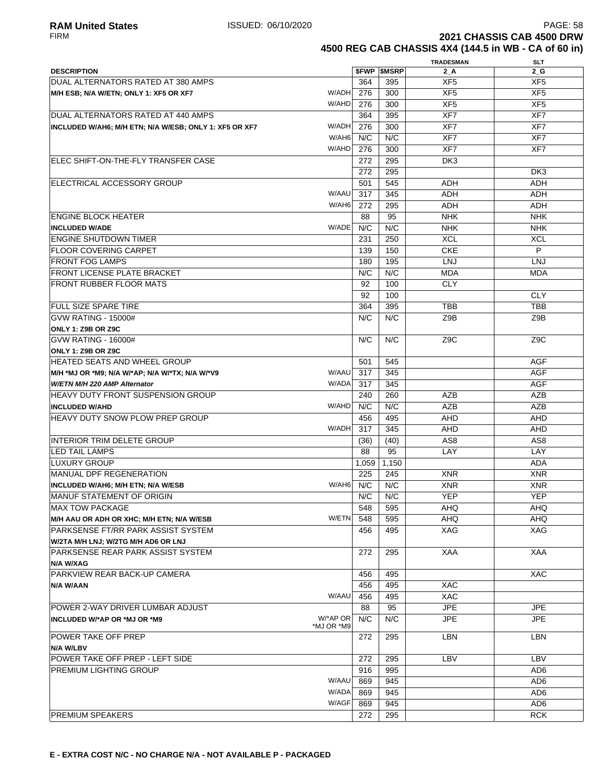**2021 CHASSIS CAB 4500 DRW 4500 REG CAB CHASSIS 4X4 (144.5 in WB - CA of 60 in)**

|                                                        |            |       |                          | <b>TRADESMAN</b> | <b>SLT</b>       |
|--------------------------------------------------------|------------|-------|--------------------------|------------------|------------------|
| <b>DESCRIPTION</b>                                     |            |       | <b><i>SFWP SMSRP</i></b> | 2 A              | 2G               |
| DUAL ALTERNATORS RATED AT 380 AMPS                     |            | 364   | 395                      | XF <sub>5</sub>  | XF5              |
| M/H ESB; N/A W/ETN; ONLY 1: XF5 OR XF7                 | W/ADH      | 276   | 300                      | XF <sub>5</sub>  | XF <sub>5</sub>  |
|                                                        | W/AHD      | 276   | 300                      | XF <sub>5</sub>  | XF <sub>5</sub>  |
| DUAL ALTERNATORS RATED AT 440 AMPS                     |            | 364   | 395                      | XF7              | XF7              |
| INCLUDED W/AH6; M/H ETN; N/A W/ESB; ONLY 1: XF5 OR XF7 | W/ADH      | 276   | 300                      | XF7              | XF7              |
|                                                        | W/AH6      | N/C   | N/C                      | XF7              | XF7              |
|                                                        | W/AHD      | 276   | 300                      | XF7              | XF7              |
| ELEC SHIFT-ON-THE-FLY TRANSFER CASE                    |            | 272   | 295                      | DK3              |                  |
|                                                        |            | 272   | 295                      |                  | DK3              |
| ELECTRICAL ACCESSORY GROUP                             |            | 501   | 545                      | <b>ADH</b>       | <b>ADH</b>       |
|                                                        | W/AAU      | 317   | 345                      |                  |                  |
|                                                        | W/AH6      |       |                          | <b>ADH</b>       | ADH              |
|                                                        |            | 272   | 295                      | <b>ADH</b>       | ADH              |
| <b>ENGINE BLOCK HEATER</b>                             |            | 88    | 95                       | <b>NHK</b>       | <b>NHK</b>       |
| <b>INCLUDED W/ADE</b>                                  | W/ADE      | N/C   | N/C                      | <b>NHK</b>       | <b>NHK</b>       |
| <b>ENGINE SHUTDOWN TIMER</b>                           |            | 231   | 250                      | <b>XCL</b>       | <b>XCL</b>       |
| <b>FLOOR COVERING CARPET</b>                           |            | 139   | 150                      | <b>CKE</b>       | P                |
| <b>FRONT FOG LAMPS</b>                                 |            | 180   | 195                      | <b>LNJ</b>       | <b>LNJ</b>       |
| <b>FRONT LICENSE PLATE BRACKET</b>                     |            | N/C   | N/C                      | <b>MDA</b>       | <b>MDA</b>       |
| <b>FRONT RUBBER FLOOR MATS</b>                         |            | 92    | 100                      | <b>CLY</b>       |                  |
|                                                        |            | 92    | 100                      |                  | <b>CLY</b>       |
| FULL SIZE SPARE TIRE                                   |            | 364   | 395                      | <b>TBB</b>       | <b>TBB</b>       |
| <b>GVW RATING - 15000#</b>                             |            | N/C   | N/C                      | Z9B              | Z9B              |
| <b>ONLY 1: Z9B OR Z9C</b>                              |            |       |                          |                  |                  |
| <b>GVW RATING - 16000#</b>                             |            | N/C   | N/C                      | Z <sub>9</sub> C | Z <sub>9</sub> C |
| <b>ONLY 1: Z9B OR Z9C</b>                              |            |       |                          |                  |                  |
| HEATED SEATS AND WHEEL GROUP                           |            | 501   | 545                      |                  | <b>AGF</b>       |
| M/H *MJ OR *M9; N/A W/*AP; N/A W/*TX; N/A W/*V9        | W/AAU      | 317   | 345                      |                  | <b>AGF</b>       |
| W/ETN M/H 220 AMP Alternator                           | W/ADA      | 317   | 345                      |                  | <b>AGF</b>       |
| HEAVY DUTY FRONT SUSPENSION GROUP                      |            | 240   | 260                      | AZB              | <b>AZB</b>       |
| <b>INCLUDED W/AHD</b>                                  | W/AHD      | N/C   | N/C                      | <b>AZB</b>       | <b>AZB</b>       |
| <b>HEAVY DUTY SNOW PLOW PREP GROUP</b>                 |            | 456   | 495                      | <b>AHD</b>       | AHD              |
|                                                        | W/ADH      | 317   | 345                      | <b>AHD</b>       | <b>AHD</b>       |
| <b>INTERIOR TRIM DELETE GROUP</b>                      |            |       |                          |                  |                  |
|                                                        |            | (36)  | (40)                     | AS <sub>8</sub>  | AS8              |
| <b>LED TAIL LAMPS</b>                                  |            | 88    | 95                       | LAY              | LAY              |
| <b>LUXURY GROUP</b>                                    |            | 1,059 | 1,150                    |                  | <b>ADA</b>       |
| MANUAL DPF REGENERATION                                |            | 225   | 245                      | <b>XNR</b>       | <b>XNR</b>       |
| INCLUDED W/AH6; M/H ETN; N/A W/ESB                     | W/AH6      | N/C   | N/C                      | <b>XNR</b>       | <b>XNR</b>       |
| MANUF STATEMENT OF ORIGIN                              |            | N/C   | N/C                      | <b>YEP</b>       | <b>YEP</b>       |
| <b>MAX TOW PACKAGE</b>                                 |            | 548   | 595                      | AHQ              | AHQ              |
| M/H AAU OR ADH OR XHC; M/H ETN; N/A W/ESB              | W/ETN      | 548   | 595                      | <b>AHQ</b>       | <b>AHQ</b>       |
| PARKSENSE FT/RR PARK ASSIST SYSTEM                     |            | 456   | 495                      | <b>XAG</b>       | XAG              |
| W/2TA M/H LNJ; W/2TG M/H AD6 OR LNJ                    |            |       |                          |                  |                  |
| PARKSENSE REAR PARK ASSIST SYSTEM                      |            | 272   | 295                      | <b>XAA</b>       | <b>XAA</b>       |
| N/A W/XAG                                              |            |       |                          |                  |                  |
| PARKVIEW REAR BACK-UP CAMERA                           |            | 456   | 495                      |                  | <b>XAC</b>       |
| N/A W/AAN                                              |            | 456   | 495                      | XAC              |                  |
|                                                        | W/AAU      | 456   | 495                      | <b>XAC</b>       |                  |
| POWER 2-WAY DRIVER LUMBAR ADJUST                       |            | 88    | 95                       | <b>JPE</b>       | JPE              |
| INCLUDED W/*AP OR *MJ OR *M9                           | W/*AP OR   | N/C   | N/C                      | <b>JPE</b>       | <b>JPE</b>       |
|                                                        | *MJ OR *M9 |       |                          |                  |                  |
| POWER TAKE OFF PREP                                    |            | 272   | 295                      | <b>LBN</b>       | LBN              |
| N/A W/LBV                                              |            |       |                          |                  |                  |
| POWER TAKE OFF PREP - LEFT SIDE                        |            | 272   | 295                      | LBV              | LBV              |
| PREMIUM LIGHTING GROUP                                 |            | 916   | 995                      |                  | AD <sub>6</sub>  |
|                                                        | W/AAU      | 869   | 945                      |                  | AD <sub>6</sub>  |
|                                                        | W/ADA      | 869   | 945                      |                  | AD6              |
|                                                        | W/AGF      | 869   | 945                      |                  | AD <sub>6</sub>  |
| PREMIUM SPEAKERS                                       |            | 272   | 295                      |                  | <b>RCK</b>       |
|                                                        |            |       |                          |                  |                  |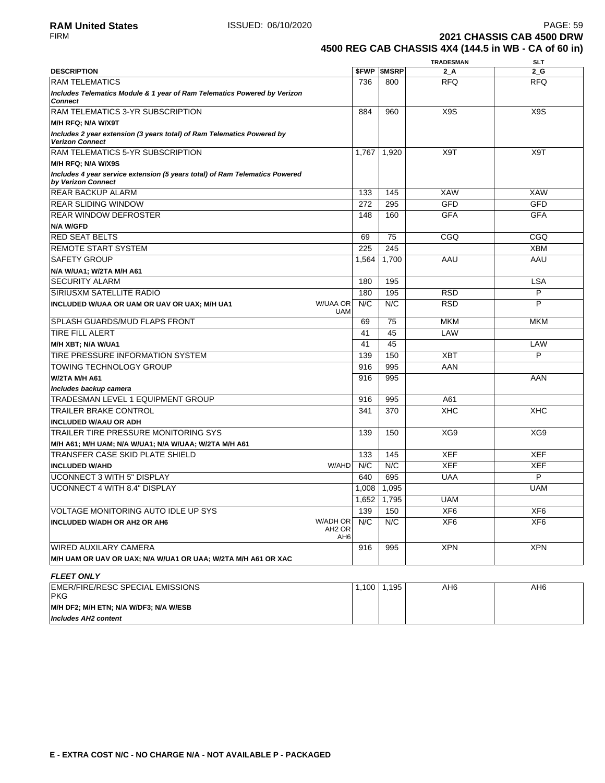**2021 CHASSIS CAB 4500 DRW 4500 REG CAB CHASSIS 4X4 (144.5 in WB - CA of 60 in)**

|                                                                                                   |                                              |                     | <b>TRADESMAN</b> | <b>SLT</b>       |
|---------------------------------------------------------------------------------------------------|----------------------------------------------|---------------------|------------------|------------------|
| <b>DESCRIPTION</b>                                                                                |                                              | <b>\$FWP \$MSRP</b> | 2 A              | $2_G$            |
| <b>RAM TELEMATICS</b>                                                                             | 736                                          | 800                 | <b>RFQ</b>       | <b>RFQ</b>       |
| Includes Telematics Module & 1 year of Ram Telematics Powered by Verizon<br><b>Connect</b>        |                                              |                     |                  |                  |
| <b>RAM TELEMATICS 3-YR SUBSCRIPTION</b>                                                           | 884                                          | 960                 | X9S              | X <sub>9</sub> S |
| M/H RFQ; N/A W/X9T                                                                                |                                              |                     |                  |                  |
| Includes 2 year extension (3 years total) of Ram Telematics Powered by<br><b>Verizon Connect</b>  |                                              |                     |                  |                  |
| <b>RAM TELEMATICS 5-YR SUBSCRIPTION</b>                                                           | 1,767                                        | 1,920               | X9T              | X9T              |
| M/H RFQ; N/A W/X9S                                                                                |                                              |                     |                  |                  |
| Includes 4 year service extension (5 years total) of Ram Telematics Powered<br>by Verizon Connect |                                              |                     |                  |                  |
| <b>REAR BACKUP ALARM</b>                                                                          | 133                                          | 145                 | <b>XAW</b>       | <b>XAW</b>       |
| <b>REAR SLIDING WINDOW</b>                                                                        | 272                                          | 295                 | GFD              | <b>GFD</b>       |
| <b>REAR WINDOW DEFROSTER</b>                                                                      | 148                                          | 160                 | <b>GFA</b>       | <b>GFA</b>       |
| <b>N/A W/GFD</b>                                                                                  |                                              |                     |                  |                  |
| <b>RED SEAT BELTS</b>                                                                             | 69                                           | 75                  | CGQ              | CGQ              |
| <b>REMOTE START SYSTEM</b>                                                                        | 225                                          | 245                 |                  | <b>XBM</b>       |
| <b>SAFETY GROUP</b>                                                                               | 1.564                                        | 1,700               | AAU              | AAU              |
| N/A W/UA1; W/2TA M/H A61                                                                          |                                              |                     |                  |                  |
| <b>SECURITY ALARM</b>                                                                             | 180                                          | 195                 |                  | <b>LSA</b>       |
| <b>SIRIUSXM SATELLITE RADIO</b>                                                                   | 180                                          | 195                 | <b>RSD</b>       | P                |
| W/UAA OR<br>INCLUDED W/UAA OR UAM OR UAV OR UAX; M/H UA1                                          | N/C<br><b>UAM</b>                            | N/C                 | <b>RSD</b>       | P                |
| <b>SPLASH GUARDS/MUD FLAPS FRONT</b>                                                              | 69                                           | 75                  | <b>MKM</b>       | <b>MKM</b>       |
| <b>TIRE FILL ALERT</b>                                                                            | 41                                           | 45                  | LAW              |                  |
| M/H XBT; N/A W/UA1                                                                                | 41                                           | 45                  |                  | LAW              |
| TIRE PRESSURE INFORMATION SYSTEM                                                                  | 139                                          | 150                 | <b>XBT</b>       | P                |
| <b>TOWING TECHNOLOGY GROUP</b>                                                                    | 916                                          | 995                 | AAN              |                  |
| <b>W/2TA M/H A61</b>                                                                              | 916                                          | 995                 |                  | AAN              |
| Includes backup camera                                                                            |                                              |                     |                  |                  |
| <b>TRADESMAN LEVEL 1 EQUIPMENT GROUP</b>                                                          | 916                                          | 995                 | A61              |                  |
| <b>TRAILER BRAKE CONTROL</b>                                                                      | 341                                          | 370                 | <b>XHC</b>       | <b>XHC</b>       |
| <b>INCLUDED W/AAU OR ADH</b>                                                                      |                                              |                     |                  |                  |
| TRAILER TIRE PRESSURE MONITORING SYS                                                              | 139                                          | 150                 | XG9              | XG9              |
| M/H A61; M/H UAM; N/A W/UA1; N/A W/UAA; W/2TA M/H A61                                             |                                              |                     |                  |                  |
| <b>TRANSFER CASE SKID PLATE SHIELD</b>                                                            | 133                                          | 145                 | <b>XEF</b>       | <b>XEF</b>       |
| <b>INCLUDED W/AHD</b>                                                                             | N/C<br>W/AHD                                 | N/C                 | <b>XEF</b>       | <b>XEF</b>       |
| <b>UCONNECT 3 WITH 5" DISPLAY</b>                                                                 | 640                                          | 695                 | <b>UAA</b>       | P                |
| <b>UCONNECT 4 WITH 8.4" DISPLAY</b>                                                               | 1,008                                        | 1,095               |                  | <b>UAM</b>       |
|                                                                                                   |                                              | 1,652 1,795         | <b>UAM</b>       |                  |
| VOLTAGE MONITORING AUTO IDLE UP SYS                                                               | 139                                          | 150                 | XF6              | XF <sub>6</sub>  |
| <b>W/ADH OR</b><br><b>INCLUDED W/ADH OR AH2 OR AH6</b>                                            | N/C<br>AH <sub>2</sub> OR<br>AH <sub>6</sub> | N/C                 | XF6              | XF <sub>6</sub>  |
| <b>WIRED AUXILARY CAMERA</b>                                                                      | 916                                          | 995                 | <b>XPN</b>       | <b>XPN</b>       |
| M/H UAM OR UAV OR UAX; N/A W/UA1 OR UAA; W/2TA M/H A61 OR XAC                                     |                                              |                     |                  |                  |
| <b>FLEET ONLY</b>                                                                                 |                                              |                     |                  |                  |
| EMER/FIRE/RESC SPECIAL EMISSIONS<br><b>PKG</b>                                                    | 1,100                                        | 1,195               | AH6              | AH <sub>6</sub>  |
| M/H DF2; M/H ETN; N/A W/DF3; N/A W/ESB<br><b>Includes AH2 content</b>                             |                                              |                     |                  |                  |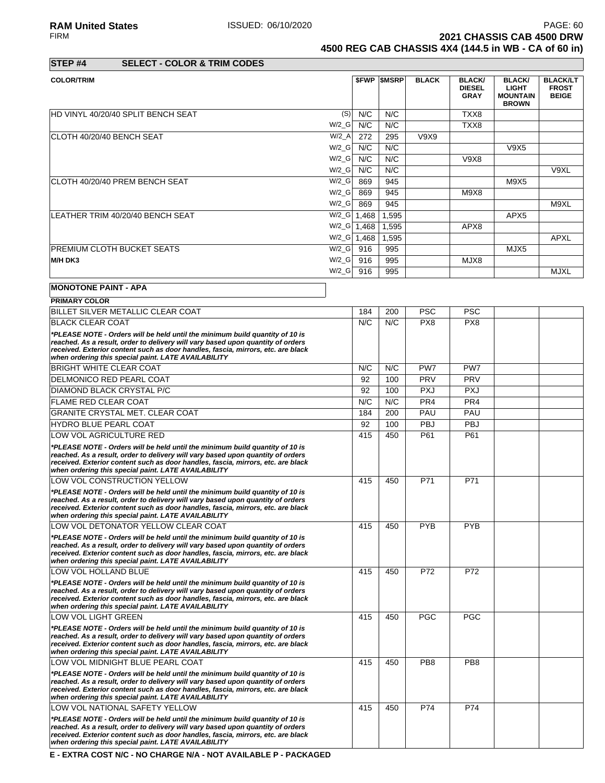**RAM United States ISSUED: 06/10/2020 PAGE: 60**<br>FIRM **PAGE: 60 PAGE: 60 PAGE: 60 PAGE: 60 PAGE: 60 PAGE: 60 PAGE: 60 PAGE: 60 PAGE: 60 PAGE: 60 PAGE: 60 PAGE: 60 PAGE: 60 PAGE: 60 PAGE: 60 2021 CHASSIS CAB 4500 DRW 4500 REG CAB CHASSIS 4X4 (144.5 in WB - CA of 60 in)**

**STEP #4 SELECT - COLOR & TRIM CODES**

| <b>COLOR/TRIM</b>                  |                      |       | <b>\$FWP \$MSRP</b> | <b>BLACK</b> | <b>BLACK/</b><br><b>DIESEL</b><br><b>GRAY</b> | <b>BLACK/</b><br><b>LIGHT</b><br><b>MOUNTAIN</b><br><b>BROWN</b> | <b>BLACK/LT</b><br><b>FROST</b><br><b>BEIGE</b> |
|------------------------------------|----------------------|-------|---------------------|--------------|-----------------------------------------------|------------------------------------------------------------------|-------------------------------------------------|
| HD VINYL 40/20/40 SPLIT BENCH SEAT | (S)                  | N/C   | N/C                 |              | TXX8                                          |                                                                  |                                                 |
|                                    | $W/2_G$              | N/C   | N/C                 |              | TXX8                                          |                                                                  |                                                 |
| ICLOTH 40/20/40 BENCH SEAT         | $W/2_A$              | 272   | 295                 | V9X9         |                                               |                                                                  |                                                 |
|                                    | $W/2_G$              | N/C   | N/C                 |              |                                               | V9X5                                                             |                                                 |
|                                    | $W/2_G$              | N/C   | N/C                 |              | V9X8                                          |                                                                  |                                                 |
|                                    | $W/2_G$              | N/C   | N/C                 |              |                                               |                                                                  | V9XL                                            |
| ICLOTH 40/20/40 PREM BENCH SEAT    | $W/2_G$              | 869   | 945                 |              |                                               | M9X5                                                             |                                                 |
|                                    | $W/2_G$              | 869   | 945                 |              | M9X8                                          |                                                                  |                                                 |
|                                    | $W/2_G$              | 869   | 945                 |              |                                               |                                                                  | M9XL                                            |
| LEATHER TRIM 40/20/40 BENCH SEAT   | $W/2_G$              | 1,468 | 1,595               |              |                                               | APX <sub>5</sub>                                                 |                                                 |
|                                    | $W/2$ <sub>_</sub> G | 1,468 | 1,595               |              | APX8                                          |                                                                  |                                                 |
|                                    | $W/2_G$              | 1,468 | 1,595               |              |                                               |                                                                  | APXL                                            |
| <b>IPREMIUM CLOTH BUCKET SEATS</b> | $W/2_G$              | 916   | 995                 |              |                                               | MJX5                                                             |                                                 |
| M/H DK3                            | $W/2_G$              | 916   | 995                 |              | MJX8                                          |                                                                  |                                                 |
|                                    | $W/2_G$              | 916   | 995                 |              |                                               |                                                                  | <b>MJXL</b>                                     |
| <b>MONOTONE PAINT - APA</b>        |                      |       |                     |              |                                               |                                                                  |                                                 |

| <b>PRIMARY COLOR</b>                                                                                                                                                                                                                                                                                       |     |     |                 |                 |  |
|------------------------------------------------------------------------------------------------------------------------------------------------------------------------------------------------------------------------------------------------------------------------------------------------------------|-----|-----|-----------------|-----------------|--|
| <b>BILLET SILVER METALLIC CLEAR COAT</b>                                                                                                                                                                                                                                                                   | 184 | 200 | <b>PSC</b>      | <b>PSC</b>      |  |
| <b>BLACK CLEAR COAT</b>                                                                                                                                                                                                                                                                                    | N/C | N/C | PX8             | PX8             |  |
| *PLEASE NOTE - Orders will be held until the minimum build quantity of 10 is<br>reached. As a result, order to delivery will vary based upon quantity of orders<br>received. Exterior content such as door handles, fascia, mirrors, etc. are black<br>when ordering this special paint. LATE AVAILABILITY |     |     |                 |                 |  |
| <b>BRIGHT WHITE CLEAR COAT</b>                                                                                                                                                                                                                                                                             | N/C | N/C | PW7             | PW7             |  |
| <b>DELMONICO RED PEARL COAT</b>                                                                                                                                                                                                                                                                            | 92  | 100 | PRV             | PRV             |  |
| <b>DIAMOND BLACK CRYSTAL P/C</b>                                                                                                                                                                                                                                                                           | 92  | 100 | <b>PXJ</b>      | <b>PXJ</b>      |  |
| <b>FLAME RED CLEAR COAT</b>                                                                                                                                                                                                                                                                                | N/C | N/C | PR <sub>4</sub> | PR4             |  |
| GRANITE CRYSTAL MET. CLEAR COAT                                                                                                                                                                                                                                                                            | 184 | 200 | PAU             | PAU             |  |
| <b>HYDRO BLUE PEARL COAT</b>                                                                                                                                                                                                                                                                               | 92  | 100 | <b>PBJ</b>      | <b>PBJ</b>      |  |
| LOW VOL AGRICULTURE RED                                                                                                                                                                                                                                                                                    | 415 | 450 | P61             | P61             |  |
| *PLEASE NOTE - Orders will be held until the minimum build quantity of 10 is<br>reached. As a result, order to delivery will vary based upon quantity of orders<br>received. Exterior content such as door handles, fascia, mirrors, etc. are black<br>when ordering this special paint. LATE AVAILABILITY |     |     |                 |                 |  |
| LOW VOL CONSTRUCTION YELLOW                                                                                                                                                                                                                                                                                | 415 | 450 | P71             | P71             |  |
| *PLEASE NOTE - Orders will be held until the minimum build quantity of 10 is<br>reached. As a result, order to delivery will vary based upon quantity of orders<br>received. Exterior content such as door handles, fascia, mirrors, etc. are black<br>when ordering this special paint. LATE AVAILABILITY |     |     |                 |                 |  |
| LOW VOL DETONATOR YELLOW CLEAR COAT                                                                                                                                                                                                                                                                        | 415 | 450 | <b>PYB</b>      | <b>PYB</b>      |  |
| *PLEASE NOTE - Orders will be held until the minimum build quantity of 10 is<br>reached. As a result, order to delivery will vary based upon quantity of orders<br>received. Exterior content such as door handles, fascia, mirrors, etc. are black<br>when ordering this special paint. LATE AVAILABILITY |     |     |                 |                 |  |
| LOW VOL HOLLAND BLUE                                                                                                                                                                                                                                                                                       | 415 | 450 | P72             | P72             |  |
| *PLEASE NOTE - Orders will be held until the minimum build quantity of 10 is<br>reached. As a result, order to delivery will vary based upon quantity of orders<br>received. Exterior content such as door handles, fascia, mirrors, etc. are black<br>when ordering this special paint. LATE AVAILABILITY |     |     |                 |                 |  |
| LOW VOL LIGHT GREEN                                                                                                                                                                                                                                                                                        | 415 | 450 | <b>PGC</b>      | <b>PGC</b>      |  |
| *PLEASE NOTE - Orders will be held until the minimum build quantity of 10 is<br>reached. As a result, order to delivery will vary based upon quantity of orders<br>received. Exterior content such as door handles, fascia, mirrors, etc. are black<br>when ordering this special paint. LATE AVAILABILITY |     |     |                 |                 |  |
| LOW VOL MIDNIGHT BLUE PEARL COAT                                                                                                                                                                                                                                                                           | 415 | 450 | PB <sub>8</sub> | PB <sub>8</sub> |  |
| *PLEASE NOTE - Orders will be held until the minimum build quantity of 10 is<br>reached. As a result, order to delivery will vary based upon quantity of orders<br>received. Exterior content such as door handles, fascia, mirrors, etc. are black<br>when ordering this special paint. LATE AVAILABILITY |     |     |                 |                 |  |
| LOW VOL NATIONAL SAFETY YELLOW                                                                                                                                                                                                                                                                             | 415 | 450 | P74             | P74             |  |
| *PLEASE NOTE - Orders will be held until the minimum build quantity of 10 is<br>reached. As a result, order to delivery will vary based upon quantity of orders<br>received. Exterior content such as door handles, fascia, mirrors, etc. are black<br>when ordering this special paint. LATE AVAILABILITY |     |     |                 |                 |  |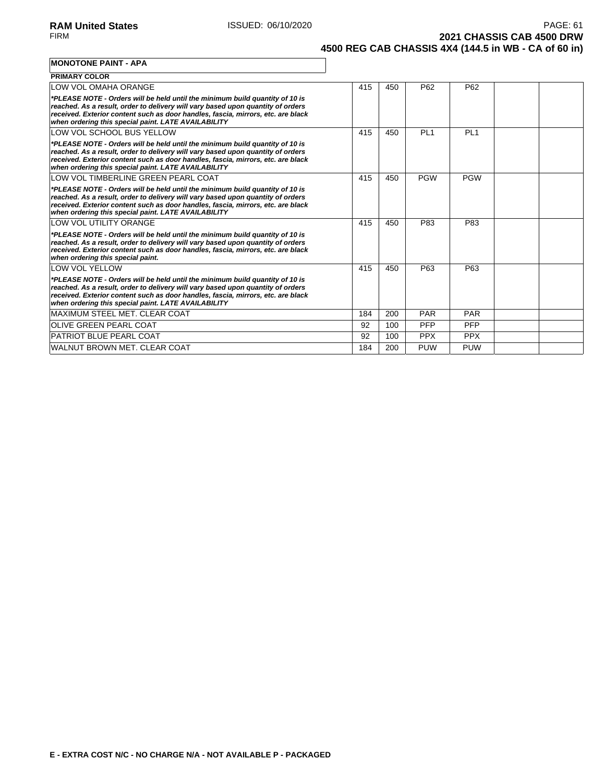**2021 CHASSIS CAB 4500 DRW 4500 REG CAB CHASSIS 4X4 (144.5 in WB - CA of 60 in)**

**MONOTONE PAINT - APA**

| <b>PRIMARY COLOR</b>                                                                                                                                                                                                                                                                                       |     |     |            |                 |  |
|------------------------------------------------------------------------------------------------------------------------------------------------------------------------------------------------------------------------------------------------------------------------------------------------------------|-----|-----|------------|-----------------|--|
| LOW VOL OMAHA ORANGE                                                                                                                                                                                                                                                                                       | 415 | 450 | P62        | P <sub>62</sub> |  |
| *PLEASE NOTE - Orders will be held until the minimum build quantity of 10 is<br>reached. As a result, order to delivery will vary based upon quantity of orders<br>received. Exterior content such as door handles, fascia, mirrors, etc. are black<br>when ordering this special paint. LATE AVAILABILITY |     |     |            |                 |  |
| LOW VOL SCHOOL BUS YELLOW                                                                                                                                                                                                                                                                                  | 415 | 450 | PI 1       | PI 1            |  |
| *PLEASE NOTE - Orders will be held until the minimum build quantity of 10 is<br>reached. As a result, order to delivery will vary based upon quantity of orders<br>received. Exterior content such as door handles, fascia, mirrors, etc. are black<br>when ordering this special paint. LATE AVAILABILITY |     |     |            |                 |  |
| LOW VOL TIMBERLINE GREEN PEARL COAT                                                                                                                                                                                                                                                                        | 415 | 450 | <b>PGW</b> | <b>PGW</b>      |  |
| *PLEASE NOTE - Orders will be held until the minimum build quantity of 10 is<br>reached. As a result, order to delivery will vary based upon quantity of orders<br>received. Exterior content such as door handles, fascia, mirrors, etc. are black<br>when ordering this special paint. LATE AVAILABILITY |     |     |            |                 |  |
| <b>LOW VOL UTILITY ORANGE</b>                                                                                                                                                                                                                                                                              | 415 | 450 | P83        | P83             |  |
| *PLEASE NOTE - Orders will be held until the minimum build quantity of 10 is<br>reached. As a result, order to delivery will vary based upon quantity of orders<br>received. Exterior content such as door handles, fascia, mirrors, etc. are black<br>when ordering this special paint.                   |     |     |            |                 |  |
| <b>LOW VOL YELLOW</b>                                                                                                                                                                                                                                                                                      | 415 | 450 | P63        | P63             |  |
| *PLEASE NOTE - Orders will be held until the minimum build quantity of 10 is<br>reached. As a result, order to delivery will vary based upon quantity of orders<br>received. Exterior content such as door handles, fascia, mirrors, etc. are black<br>when ordering this special paint. LATE AVAILABILITY |     |     |            |                 |  |
| MAXIMUM STEEL MET. CLEAR COAT                                                                                                                                                                                                                                                                              | 184 | 200 | <b>PAR</b> | <b>PAR</b>      |  |
| <b>IOLIVE GREEN PEARL COAT</b>                                                                                                                                                                                                                                                                             | 92  | 100 | <b>PFP</b> | <b>PFP</b>      |  |
| <b>PATRIOT BLUE PEARL COAT</b>                                                                                                                                                                                                                                                                             | 92  | 100 | <b>PPX</b> | <b>PPX</b>      |  |
| WALNUT BROWN MET. CLEAR COAT                                                                                                                                                                                                                                                                               | 184 | 200 | <b>PUW</b> | <b>PUW</b>      |  |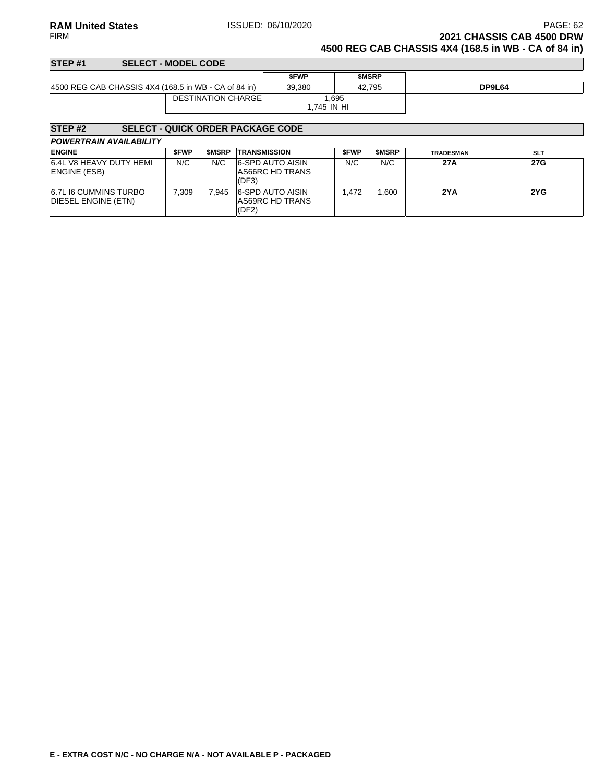### **RAM United States ISSUED: 06/10/2020** PAGE: 62<br>FIRM **PAGE: 62**<br>**2021 CHASSIS CAB 4500 DRW 2021 CHASSIS CAB 4500 DRW 4500 REG CAB CHASSIS 4X4 (168.5 in WB - CA of 84 in)**

| STEP <sub>#1</sub>                                   | <b>SELECT - MODEL CODE</b> |             |              |        |
|------------------------------------------------------|----------------------------|-------------|--------------|--------|
|                                                      |                            | <b>SFWP</b> | <b>SMSRP</b> |        |
| 4500 REG CAB CHASSIS 4X4 (168.5 in WB - CA of 84 in) |                            | 39.380      | 42.795       | DP9L64 |
|                                                      | <b>DESTINATION CHARGEL</b> | 1.695       |              |        |
|                                                      |                            | 1.745 IN HI |              |        |

### **STEP #2 SELECT - QUICK ORDER PACKAGE CODE**

| <b>ENGINE</b>                                       | <b>SFWP</b> | <b>SMSRP</b> | <b>TRANSMISSION</b>                                 | <b>SFWP</b> | <b>SMSRP</b> | <b>TRADESMAN</b> | <b>SLT</b> |
|-----------------------------------------------------|-------------|--------------|-----------------------------------------------------|-------------|--------------|------------------|------------|
| 6.4L V8 HEAVY DUTY HEMI<br>ENGINE (ESB)             | N/C         | N/C          | <b>6-SPD AUTO AISIN</b><br>AS66RC HD TRANS<br>(DF3) | N/C         | N/C          | 27A              | 27G        |
| <b>6.7L I6 CUMMINS TURBO</b><br>DIESEL ENGINE (ETN) | 7.309       | 945.`        | 6-SPD AUTO AISIN<br>AS69RC HD TRANS<br>(DF2)        | .472        | .600         | 2YA              | 2YG        |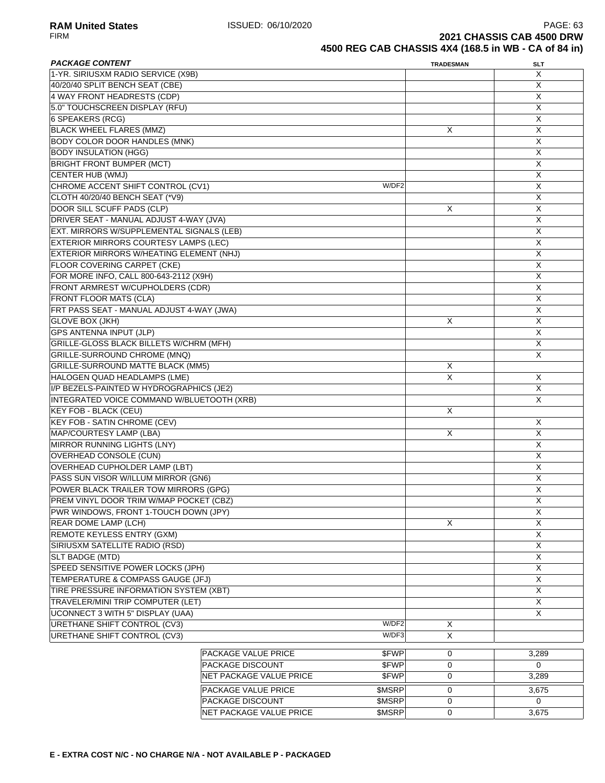| <b>PACKAGE CONTENT</b>                         |                            |        | <b>TRADESMAN</b> | <b>SLT</b>              |
|------------------------------------------------|----------------------------|--------|------------------|-------------------------|
| 1-YR. SIRIUSXM RADIO SERVICE (X9B)             |                            |        |                  | X                       |
| 40/20/40 SPLIT BENCH SEAT (CBE)                |                            |        |                  | X                       |
| 4 WAY FRONT HEADRESTS (CDP)                    |                            |        |                  | X                       |
| 5.0" TOUCHSCREEN DISPLAY (RFU)                 |                            |        |                  | X                       |
| 6 SPEAKERS (RCG)                               |                            |        |                  | X                       |
| <b>BLACK WHEEL FLARES (MMZ)</b>                |                            |        | Х                | $\overline{\mathsf{x}}$ |
| <b>BODY COLOR DOOR HANDLES (MNK)</b>           |                            |        |                  | $\overline{X}$          |
| <b>BODY INSULATION (HGG)</b>                   |                            |        |                  | X                       |
| <b>BRIGHT FRONT BUMPER (MCT)</b>               |                            |        |                  | X                       |
| <b>CENTER HUB (WMJ)</b>                        |                            |        |                  | X                       |
|                                                |                            | W/DF2  |                  |                         |
| CHROME ACCENT SHIFT CONTROL (CV1)              |                            |        |                  | X                       |
| CLOTH 40/20/40 BENCH SEAT (*V9)                |                            |        |                  | X                       |
| DOOR SILL SCUFF PADS (CLP)                     |                            |        | X                | X                       |
| DRIVER SEAT - MANUAL ADJUST 4-WAY (JVA)        |                            |        |                  | $\overline{X}$          |
| EXT. MIRRORS W/SUPPLEMENTAL SIGNALS (LEB)      |                            |        |                  | $\overline{\mathsf{x}}$ |
| EXTERIOR MIRRORS COURTESY LAMPS (LEC)          |                            |        |                  | $\overline{X}$          |
| EXTERIOR MIRRORS W/HEATING ELEMENT (NHJ)       |                            |        |                  | Χ                       |
| <b>FLOOR COVERING CARPET (CKE)</b>             |                            |        |                  | X                       |
| FOR MORE INFO, CALL 800-643-2112 (X9H)         |                            |        |                  | X                       |
| FRONT ARMREST W/CUPHOLDERS (CDR)               |                            |        |                  | X                       |
| <b>FRONT FLOOR MATS (CLA)</b>                  |                            |        |                  | X                       |
| FRT PASS SEAT - MANUAL ADJUST 4-WAY (JWA)      |                            |        |                  | X                       |
| <b>GLOVE BOX (JKH)</b>                         |                            |        | Χ                | X                       |
| <b>GPS ANTENNA INPUT (JLP)</b>                 |                            |        |                  | $\overline{X}$          |
| <b>GRILLE-GLOSS BLACK BILLETS W/CHRM (MFH)</b> |                            |        |                  | $\overline{X}$          |
| <b>GRILLE-SURROUND CHROME (MNQ)</b>            |                            |        |                  | X                       |
|                                                |                            |        |                  |                         |
| <b>GRILLE-SURROUND MATTE BLACK (MM5)</b>       |                            |        | X                |                         |
| HALOGEN QUAD HEADLAMPS (LME)                   |                            |        | X                | X                       |
| I/P BEZELS-PAINTED W HYDROGRAPHICS (JE2)       |                            |        |                  | X                       |
| INTEGRATED VOICE COMMAND W/BLUETOOTH (XRB)     |                            |        |                  | X                       |
| KEY FOB - BLACK (CEU)                          |                            |        | X                |                         |
| <b>KEY FOB - SATIN CHROME (CEV)</b>            |                            |        |                  | X                       |
| MAP/COURTESY LAMP (LBA)                        |                            |        | X                | X                       |
| <b>MIRROR RUNNING LIGHTS (LNY)</b>             |                            |        |                  | $\overline{X}$          |
| OVERHEAD CONSOLE (CUN)                         |                            |        |                  | $\overline{X}$          |
| <b>OVERHEAD CUPHOLDER LAMP (LBT)</b>           |                            |        |                  | X                       |
| PASS SUN VISOR W/ILLUM MIRROR (GN6)            |                            |        |                  | X                       |
| POWER BLACK TRAILER TOW MIRRORS (GPG)          |                            |        |                  | X                       |
| PREM VINYL DOOR TRIM W/MAP POCKET (CBZ)        |                            |        |                  | Χ                       |
| PWR WINDOWS, FRONT 1-TOUCH DOWN (JPY)          |                            |        |                  | X                       |
| REAR DOME LAMP (LCH)                           |                            |        | X                | X                       |
| <b>REMOTE KEYLESS ENTRY (GXM)</b>              |                            |        |                  | $\overline{X}$          |
|                                                |                            |        |                  | $\overline{X}$          |
| SIRIUSXM SATELLITE RADIO (RSD)                 |                            |        |                  | $\overline{X}$          |
| SLT BADGE (MTD)                                |                            |        |                  |                         |
| SPEED SENSITIVE POWER LOCKS (JPH)              |                            |        |                  | $\overline{X}$          |
| TEMPERATURE & COMPASS GAUGE (JFJ)              |                            |        |                  | X                       |
| TIRE PRESSURE INFORMATION SYSTEM (XBT)         |                            |        |                  | $\overline{X}$          |
| TRAVELER/MINI TRIP COMPUTER (LET)              |                            |        |                  | X                       |
| <b>UCONNECT 3 WITH 5" DISPLAY (UAA)</b>        |                            |        |                  | X                       |
| URETHANE SHIFT CONTROL (CV3)                   |                            | W/DF2  | X                |                         |
| URETHANE SHIFT CONTROL (CV3)                   |                            | W/DF3  | X                |                         |
|                                                |                            |        |                  |                         |
|                                                | <b>PACKAGE VALUE PRICE</b> | \$FWP  | 0                | 3,289                   |
|                                                | PACKAGE DISCOUNT           | \$FWP  | 0                | $\mathbf 0$             |
|                                                | NET PACKAGE VALUE PRICE    | \$FWP  | 0                | 3,289                   |
|                                                | PACKAGE VALUE PRICE        | \$MSRP | 0                | 3,675                   |
|                                                | PACKAGE DISCOUNT           | \$MSRP | 0                | $\Omega$                |
|                                                | NET PACKAGE VALUE PRICE    | \$MSRP | 0                | 3,675                   |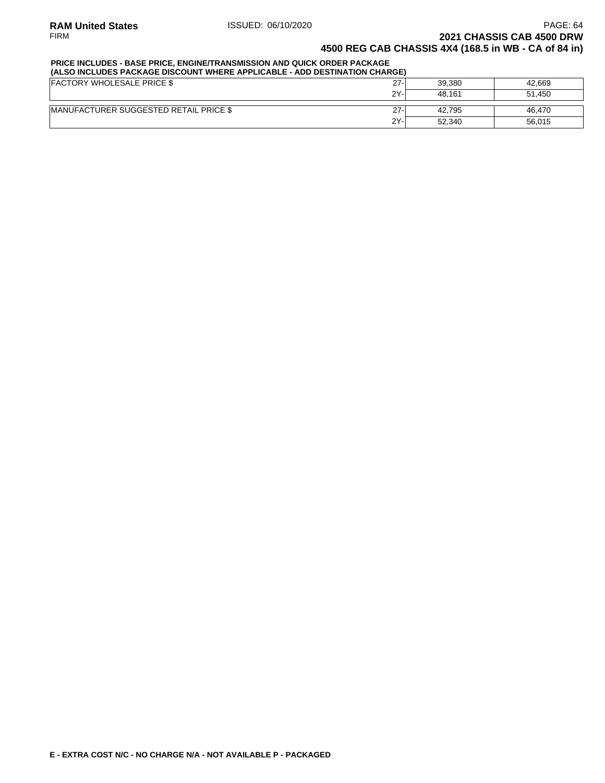### **PRICE INCLUDES - BASE PRICE, ENGINE/TRANSMISSION AND QUICK ORDER PACKAGE**

| (ALSO INCLUDES PACKAGE DISCOUNT WHERE APPLICABLE - ADD DESTINATION CHARGE) |        |        |        |  |  |  |
|----------------------------------------------------------------------------|--------|--------|--------|--|--|--|
| <b>FACTORY WHOLESALE PRICE \$</b>                                          | $27 -$ | 39.380 | 42.669 |  |  |  |
|                                                                            | $2Y -$ | 48.161 | 51.450 |  |  |  |
| <b>IMANUFACTURER SUGGESTED RETAIL PRICE \$</b>                             | $27-$  | 42.795 | 46.470 |  |  |  |
|                                                                            | 2Y-    | 52.340 | 56,015 |  |  |  |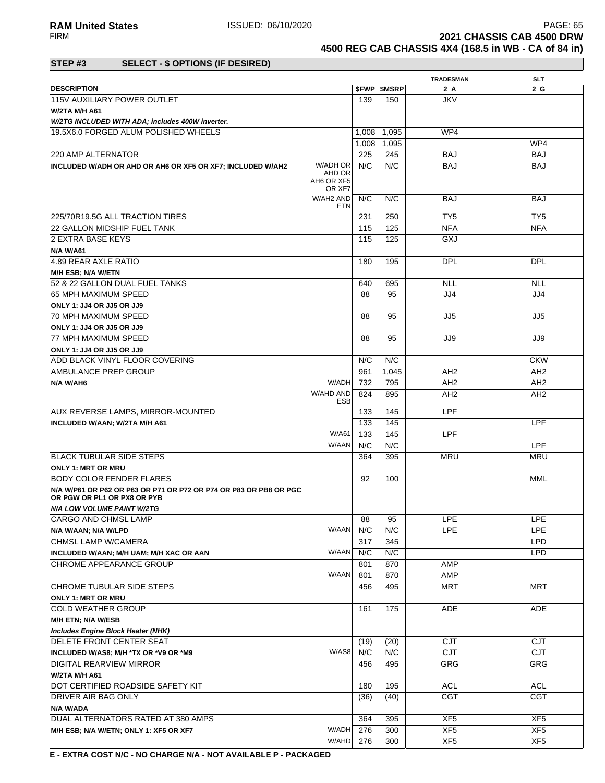**RAM United States ISSUED: 06/10/2020 PAGE: 65**<br>FIRM **PAGE: 65**<br>**2021 CHASSIS CAB 4500 DRW 2021 CHASSIS CAB 4500 DRW 4500 REG CAB CHASSIS 4X4 (168.5 in WB - CA of 84 in)**

### **STEP #3 SELECT - \$ OPTIONS (IF DESIRED)**

|                                                                                                  |            |       |                          | <b>TRADESMAN</b> | <b>SLT</b>      |
|--------------------------------------------------------------------------------------------------|------------|-------|--------------------------|------------------|-----------------|
| <b>DESCRIPTION</b>                                                                               |            |       | <b><i>SFWP SMSRP</i></b> | 2A               | 2 G             |
| 115V AUXILIARY POWER OUTLET                                                                      |            | 139   | 150                      | <b>JKV</b>       |                 |
| W/2TA M/H A61                                                                                    |            |       |                          |                  |                 |
|                                                                                                  |            |       |                          |                  |                 |
| W/2TG INCLUDED WITH ADA; includes 400W inverter.                                                 |            |       |                          |                  |                 |
| 19.5X6.0 FORGED ALUM POLISHED WHEELS                                                             |            | 1,008 | 1,095                    | WP4              |                 |
|                                                                                                  |            | 1,008 | 1,095                    |                  | WP4             |
| 220 AMP ALTERNATOR                                                                               |            | 225   | 245                      | BAJ              | <b>BAJ</b>      |
| W/ADH OR<br>INCLUDED W/ADH OR AHD OR AH6 OR XF5 OR XF7; INCLUDED W/AH2                           |            | N/C   | N/C                      | <b>BAJ</b>       | <b>BAJ</b>      |
| AHD OR                                                                                           |            |       |                          |                  |                 |
| AH6 OR XF5<br>OR XF7                                                                             |            |       |                          |                  |                 |
| W/AH2 AND                                                                                        |            | N/C   | N/C                      | <b>BAJ</b>       | BAJ             |
|                                                                                                  | <b>ETN</b> |       |                          |                  |                 |
| 225/70R19.5G ALL TRACTION TIRES                                                                  |            | 231   | 250                      | TY <sub>5</sub>  | TY <sub>5</sub> |
| 22 GALLON MIDSHIP FUEL TANK                                                                      |            | 115   | 125                      | <b>NFA</b>       | <b>NFA</b>      |
|                                                                                                  |            | 115   | 125                      | GXJ              |                 |
| 2 EXTRA BASE KEYS                                                                                |            |       |                          |                  |                 |
| N/A W/A61                                                                                        |            |       |                          |                  |                 |
| 4.89 REAR AXLE RATIO                                                                             |            | 180   | 195                      | <b>DPL</b>       | <b>DPL</b>      |
| <b>M/H ESB; N/A W/ETN</b>                                                                        |            |       |                          |                  |                 |
| 52 & 22 GALLON DUAL FUEL TANKS                                                                   |            | 640   | 695                      | <b>NLL</b>       | <b>NLL</b>      |
| 65 MPH MAXIMUM SPEED                                                                             |            | 88    | 95                       | JJ4              | JJ4             |
| ONLY 1: JJ4 OR JJ5 OR JJ9                                                                        |            |       |                          |                  |                 |
| 70 MPH MAXIMUM SPEED                                                                             |            | 88    | 95                       | JJ5              | JJ5             |
| ONLY 1: JJ4 OR JJ5 OR JJ9                                                                        |            |       |                          |                  |                 |
|                                                                                                  |            |       |                          |                  |                 |
| 77 MPH MAXIMUM SPEED                                                                             |            | 88    | 95                       | JJ9              | JJ9             |
| ONLY 1: JJ4 OR JJ5 OR JJ9                                                                        |            |       |                          |                  |                 |
| ADD BLACK VINYL FLOOR COVERING                                                                   |            | N/C   | N/C                      |                  | <b>CKW</b>      |
| AMBULANCE PREP GROUP                                                                             |            | 961   | 1,045                    | AH <sub>2</sub>  | AH <sub>2</sub> |
| W/ADH<br>N/A W/AH6                                                                               |            | 732   | 795                      | AH <sub>2</sub>  | AH <sub>2</sub> |
| W/AHD AND                                                                                        |            | 824   | 895                      | AH <sub>2</sub>  | AH <sub>2</sub> |
|                                                                                                  | ESB        |       |                          |                  |                 |
| AUX REVERSE LAMPS, MIRROR-MOUNTED                                                                |            | 133   | 145                      | LPF              |                 |
| INCLUDED W/AAN; W/2TA M/H A61                                                                    |            | 133   | 145                      |                  | <b>LPF</b>      |
| W/A61                                                                                            |            | 133   | 145                      | LPF              |                 |
| W/AAN                                                                                            |            | N/C   | N/C                      |                  | <b>LPF</b>      |
| <b>IBLACK TUBULAR SIDE STEPS</b>                                                                 |            | 364   | 395                      | MRU              | <b>MRU</b>      |
| <b>ONLY 1: MRT OR MRU</b>                                                                        |            |       |                          |                  |                 |
| BODY COLOR FENDER FLARES                                                                         |            | 92    | 100                      |                  | MML             |
|                                                                                                  |            |       |                          |                  |                 |
| N/A W/P61 OR P62 OR P63 OR P71 OR P72 OR P74 OR P83 OR PB8 OR PGC<br>OR PGW OR PL1 OR PX8 OR PYB |            |       |                          |                  |                 |
| <b>N/A LOW VOLUME PAINT W/2TG</b>                                                                |            |       |                          |                  |                 |
| CARGO AND CHMSL LAMP                                                                             |            | 88    | 95                       | LPE              | LPE             |
|                                                                                                  |            |       |                          |                  |                 |
| N/A W/AAN; N/A W/LPD                                                                             | W/AAN      | N/C   | N/C                      | LPE              | <b>LPE</b>      |
| CHMSL LAMP W/CAMERA                                                                              |            | 317   | 345                      |                  | <b>LPD</b>      |
| W/AAN<br>INCLUDED W/AAN; M/H UAM; M/H XAC OR AAN                                                 |            | N/C   | N/C                      |                  | <b>LPD</b>      |
| CHROME APPEARANCE GROUP                                                                          |            | 801   | 870                      | AMP              |                 |
| W/AAN                                                                                            |            | 801   | 870                      | AMP              |                 |
| CHROME TUBULAR SIDE STEPS                                                                        |            | 456   | 495                      | <b>MRT</b>       | MRT             |
| <b>ONLY 1: MRT OR MRU</b>                                                                        |            |       |                          |                  |                 |
| <b>COLD WEATHER GROUP</b>                                                                        |            | 161   | 175                      | <b>ADE</b>       | <b>ADE</b>      |
| M/H ETN; N/A W/ESB                                                                               |            |       |                          |                  |                 |
|                                                                                                  |            |       |                          |                  |                 |
| <b>Includes Engine Block Heater (NHK)</b>                                                        |            |       |                          |                  |                 |
| DELETE FRONT CENTER SEAT                                                                         |            | (19)  | (20)                     | <b>CJT</b>       | CJT             |
| W/AS8<br>INCLUDED W/AS8; M/H *TX OR *V9 OR *M9                                                   |            | N/C   | N/C                      | CJT              | CJT             |
| DIGITAL REARVIEW MIRROR                                                                          |            | 456   | 495                      | GRG              | <b>GRG</b>      |
| W/2TA M/H A61                                                                                    |            |       |                          |                  |                 |
| DOT CERTIFIED ROADSIDE SAFETY KIT                                                                |            | 180   | 195                      | <b>ACL</b>       | <b>ACL</b>      |
| DRIVER AIR BAG ONLY                                                                              |            | (36)  | (40)                     | <b>CGT</b>       | <b>CGT</b>      |
| N/A W/ADA                                                                                        |            |       |                          |                  |                 |
| DUAL ALTERNATORS RATED AT 380 AMPS                                                               |            | 364   | 395                      | XF <sub>5</sub>  | XF <sub>5</sub> |
| W/ADH                                                                                            |            | 276   | 300                      | XF5              | XF5             |
| M/H ESB; N/A W/ETN; ONLY 1: XF5 OR XF7                                                           |            |       |                          |                  |                 |
| W/AHD                                                                                            |            | 276   | 300                      | XF <sub>5</sub>  | XF <sub>5</sub> |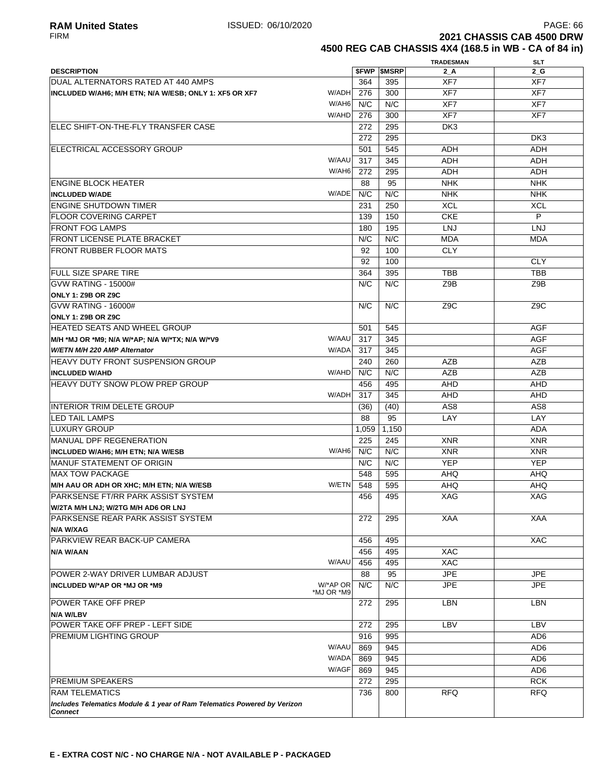**2021 CHASSIS CAB 4500 DRW 4500 REG CAB CHASSIS 4X4 (168.5 in WB - CA of 84 in)**

|                                                                          |       |                          | <b>TRADESMAN</b> | SLT             |
|--------------------------------------------------------------------------|-------|--------------------------|------------------|-----------------|
| <b>DESCRIPTION</b>                                                       |       | <b><i>SFWP SMSRP</i></b> | $2_A$            | $2_G$           |
| DUAL ALTERNATORS RATED AT 440 AMPS                                       | 364   | 395                      | XF7              | XF7             |
| W/ADH<br>INCLUDED W/AH6; M/H ETN; N/A W/ESB; ONLY 1: XF5 OR XF7          | 276   | 300                      | XF7              | XF7             |
| W/AH6                                                                    | N/C   | N/C                      | XF7              | XF7             |
| W/AHD                                                                    | 276   | 300                      | XF7              | XF7             |
| <b>IELEC SHIFT-ON-THE-FLY TRANSFER CASE</b>                              | 272   | 295                      | DK <sub>3</sub>  |                 |
|                                                                          | 272   | 295                      |                  | DK3             |
| ELECTRICAL ACCESSORY GROUP                                               | 501   | 545                      | ADH              | <b>ADH</b>      |
| W/AAU                                                                    | 317   | 345                      | <b>ADH</b>       | <b>ADH</b>      |
| W/AH6                                                                    | 272   | 295                      | <b>ADH</b>       | <b>ADH</b>      |
| <b>ENGINE BLOCK HEATER</b>                                               | 88    | 95                       | <b>NHK</b>       | <b>NHK</b>      |
| W/ADE<br><b>INCLUDED W/ADE</b>                                           | N/C   | N/C                      | <b>NHK</b>       | <b>NHK</b>      |
| <b>ENGINE SHUTDOWN TIMER</b>                                             | 231   | 250                      | <b>XCL</b>       | <b>XCL</b>      |
| <b>FLOOR COVERING CARPET</b>                                             | 139   | 150                      | <b>CKE</b>       | P               |
| <b>FRONT FOG LAMPS</b>                                                   | 180   | 195                      | <b>LNJ</b>       | <b>LNJ</b>      |
| <b>FRONT LICENSE PLATE BRACKET</b>                                       | N/C   | N/C                      | <b>MDA</b>       | <b>MDA</b>      |
| FRONT RUBBER FLOOR MATS                                                  | 92    | 100                      | <b>CLY</b>       |                 |
|                                                                          | 92    | 100                      |                  | <b>CLY</b>      |
|                                                                          |       |                          |                  |                 |
| <b>FULL SIZE SPARE TIRE</b>                                              | 364   | 395                      | <b>TBB</b>       | <b>TBB</b>      |
| <b>GVW RATING - 15000#</b>                                               | N/C   | N/C                      | Z9B              | Z9B             |
| <b>ONLY 1: Z9B OR Z9C</b>                                                |       |                          |                  |                 |
| <b>GVW RATING - 16000#</b>                                               | N/C   | N/C                      | Z <sub>9</sub> C | Z9C             |
| <b>ONLY 1: Z9B OR Z9C</b>                                                |       |                          |                  |                 |
| <b>HEATED SEATS AND WHEEL GROUP</b>                                      | 501   | 545                      |                  | AGF             |
| W/AAU<br>M/H *MJ OR *M9; N/A W/*AP; N/A W/*TX; N/A W/*V9                 | 317   | 345                      |                  | <b>AGF</b>      |
| W/ADA<br>W/ETN M/H 220 AMP Alternator                                    | 317   | 345                      |                  | AGF             |
| <b>HEAVY DUTY FRONT SUSPENSION GROUP</b>                                 | 240   | 260                      | <b>AZB</b>       | <b>AZB</b>      |
| W/AHD<br><b>INCLUDED W/AHD</b>                                           | N/C   | N/C                      | <b>AZB</b>       | <b>AZB</b>      |
| <b>HEAVY DUTY SNOW PLOW PREP GROUP</b>                                   | 456   | 495                      | AHD              | <b>AHD</b>      |
| W/ADH                                                                    | 317   | 345                      | AHD              | <b>AHD</b>      |
| INTERIOR TRIM DELETE GROUP                                               | (36)  | (40)                     | AS <sub>8</sub>  | AS <sub>8</sub> |
| <b>ILED TAIL LAMPS</b>                                                   | 88    | 95                       | LAY              | LAY             |
| ILUXURY GROUP                                                            | 1,059 | 1,150                    |                  | ADA             |
| MANUAL DPF REGENERATION                                                  | 225   | 245                      | <b>XNR</b>       | <b>XNR</b>      |
| W/AH6<br>INCLUDED W/AH6; M/H ETN; N/A W/ESB                              | N/C   | N/C                      | <b>XNR</b>       | <b>XNR</b>      |
| <b>MANUF STATEMENT OF ORIGIN</b>                                         | N/C   | N/C                      | <b>YEP</b>       | <b>YEP</b>      |
| <b>MAX TOW PACKAGE</b>                                                   | 548   | 595                      | AHQ              | AHQ.            |
| W/ETN<br>M/H AAU OR ADH OR XHC; M/H ETN; N/A W/ESB                       | 548   | 595                      | AHQ              | AHQ             |
| <b>PARKSENSE FT/RR PARK ASSIST SYSTEM</b>                                | 456   | 495                      | <b>XAG</b>       | <b>XAG</b>      |
| W/2TA M/H LNJ; W/2TG M/H AD6 OR LNJ                                      |       |                          |                  |                 |
| <b>PARKSENSE REAR PARK ASSIST SYSTEM</b>                                 | 272   | 295                      | <b>XAA</b>       | XAA             |
| N/A W/XAG                                                                |       |                          |                  |                 |
| PARKVIEW REAR BACK-UP CAMERA                                             | 456   | 495                      |                  | <b>XAC</b>      |
| N/A W/AAN                                                                | 456   | 495                      | <b>XAC</b>       |                 |
| W/AAU                                                                    | 456   | 495                      | <b>XAC</b>       |                 |
| POWER 2-WAY DRIVER LUMBAR ADJUST                                         | 88    | 95                       | <b>JPE</b>       | <b>JPE</b>      |
| W/*AP OR<br>INCLUDED W/*AP OR *MJ OR *M9<br>*MJ OR *M9                   | N/C   | N/C                      | <b>JPE</b>       | <b>JPE</b>      |
| <b>POWER TAKE OFF PREP</b>                                               | 272   | 295                      | <b>LBN</b>       | <b>LBN</b>      |
| N/A W/LBV                                                                |       |                          |                  |                 |
| POWER TAKE OFF PREP - LEFT SIDE                                          | 272   | 295                      | LBV              | LBV             |
| <b>PREMIUM LIGHTING GROUP</b>                                            | 916   | 995                      |                  | AD <sub>6</sub> |
| W/AAU                                                                    | 869   | 945                      |                  | AD <sub>6</sub> |
| W/ADA                                                                    | 869   | 945                      |                  | AD <sub>6</sub> |
| W/AGF                                                                    | 869   | 945                      |                  | AD <sub>6</sub> |
| <b>PREMIUM SPEAKERS</b>                                                  | 272   | 295                      |                  | <b>RCK</b>      |
| <b>RAM TELEMATICS</b>                                                    | 736   | 800                      | <b>RFQ</b>       | <b>RFQ</b>      |
| Includes Telematics Module & 1 year of Ram Telematics Powered by Verizon |       |                          |                  |                 |
| <b>Connect</b>                                                           |       |                          |                  |                 |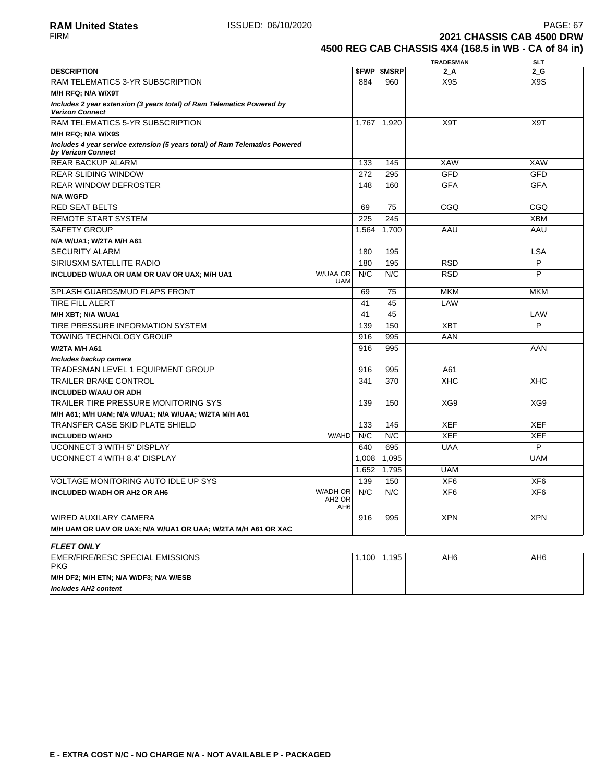**2021 CHASSIS CAB 4500 DRW 4500 REG CAB CHASSIS 4X4 (168.5 in WB - CA of 84 in)**

|                                                                                                   |                        |                          | <b>TRADESMAN</b> | SLT             |
|---------------------------------------------------------------------------------------------------|------------------------|--------------------------|------------------|-----------------|
| <b>DESCRIPTION</b>                                                                                |                        | <b><i>SFWP SMSRP</i></b> | $2_A$            | $2_G$           |
| RAM TELEMATICS 3-YR SUBSCRIPTION                                                                  | 884                    | 960                      | X9S              | X9S             |
| M/H RFQ; N/A W/X9T                                                                                |                        |                          |                  |                 |
| Includes 2 year extension (3 years total) of Ram Telematics Powered by<br><b>Verizon Connect</b>  |                        |                          |                  |                 |
| RAM TELEMATICS 5-YR SUBSCRIPTION                                                                  | 1,767                  | 1.920                    | X <sub>9</sub> T | X9T             |
| M/H RFQ; N/A W/X9S                                                                                |                        |                          |                  |                 |
| Includes 4 year service extension (5 years total) of Ram Telematics Powered<br>by Verizon Connect |                        |                          |                  |                 |
| <b>REAR BACKUP ALARM</b>                                                                          | 133                    | 145                      | <b>XAW</b>       | <b>XAW</b>      |
| <b>IREAR SLIDING WINDOW</b>                                                                       | 272                    | 295                      | <b>GFD</b>       | <b>GFD</b>      |
| <b>REAR WINDOW DEFROSTER</b>                                                                      | 148                    | 160                      | <b>GFA</b>       | <b>GFA</b>      |
| N/A W/GFD                                                                                         |                        |                          |                  |                 |
| <b>RED SEAT BELTS</b>                                                                             | 69                     | 75                       | CGQ              | CGQ             |
| <b>REMOTE START SYSTEM</b>                                                                        | 225                    | 245                      |                  | <b>XBM</b>      |
| <b>SAFETY GROUP</b>                                                                               | 1,564                  | 1,700                    | AAU              | AAU             |
| N/A W/UA1; W/2TA M/H A61                                                                          |                        |                          |                  |                 |
| <b>SECURITY ALARM</b>                                                                             | 180                    | 195                      |                  | <b>LSA</b>      |
| SIRIUSXM SATELLITE RADIO                                                                          | 180                    | 195                      | <b>RSD</b>       | P               |
| W/UAA OR<br>INCLUDED W/UAA OR UAM OR UAV OR UAX; M/H UA1<br><b>UAM</b>                            | N/C                    | N/C                      | <b>RSD</b>       | P               |
| SPLASH GUARDS/MUD FLAPS FRONT                                                                     | 69                     | 75                       | <b>MKM</b>       | <b>MKM</b>      |
| <b>TIRE FILL ALERT</b>                                                                            | 41                     | 45                       | LAW              |                 |
| M/H XBT: N/A W/UA1                                                                                | 41                     | 45                       |                  | LAW             |
| TIRE PRESSURE INFORMATION SYSTEM                                                                  | 139                    | 150                      | <b>XBT</b>       | P               |
| <b>TOWING TECHNOLOGY GROUP</b>                                                                    | 916                    | 995                      | AAN              |                 |
| W/2TA M/H A61                                                                                     | 916                    | 995                      |                  | AAN             |
| Includes backup camera                                                                            |                        |                          |                  |                 |
| <b>TRADESMAN LEVEL 1 EQUIPMENT GROUP</b>                                                          | 916                    | 995                      | A61              |                 |
| <b>TRAILER BRAKE CONTROL</b>                                                                      | 341                    | 370                      | <b>XHC</b>       | <b>XHC</b>      |
| <b>INCLUDED W/AAU OR ADH</b>                                                                      |                        |                          |                  |                 |
| <b>TRAILER TIRE PRESSURE MONITORING SYS</b>                                                       | 139                    | 150                      | XG9              | XG9             |
| M/H A61; M/H UAM; N/A W/UA1; N/A W/UAA; W/2TA M/H A61                                             |                        |                          |                  |                 |
| TRANSFER CASE SKID PLATE SHIELD                                                                   | 133                    | 145                      | <b>XEF</b>       | <b>XEF</b>      |
| W/AHD<br><b>INCLUDED W/AHD</b>                                                                    | N/C                    | N/C                      | <b>XEF</b>       | <b>XEF</b>      |
| <b>UCONNECT 3 WITH 5" DISPLAY</b>                                                                 | 640                    | 695                      | <b>UAA</b>       | P               |
| UCONNECT 4 WITH 8.4" DISPLAY                                                                      | 1,008                  | 1,095                    |                  | <b>UAM</b>      |
|                                                                                                   | 1,652                  | 1,795                    | <b>UAM</b>       |                 |
| <b>VOLTAGE MONITORING AUTO IDLE UP SYS</b>                                                        | 139                    | 150                      | XF <sub>6</sub>  | XF <sub>6</sub> |
| W/ADH OR<br><b>INCLUDED W/ADH OR AH2 OR AH6</b><br>AH <sub>2</sub> OR                             | N/C<br>AH <sub>6</sub> | N/C                      | XF <sub>6</sub>  | XF <sub>6</sub> |
| <b>WIRED AUXILARY CAMERA</b>                                                                      | 916                    | 995                      | <b>XPN</b>       | <b>XPN</b>      |
| M/H UAM OR UAV OR UAX; N/A W/UA1 OR UAA; W/2TA M/H A61 OR XAC                                     |                        |                          |                  |                 |
| <b>FLEET ONLY</b>                                                                                 |                        |                          |                  |                 |
| <b>EMER/FIRE/RESC SPECIAL EMISSIONS</b><br><b>PKG</b>                                             | 1,100                  | 1,195                    | AH <sub>6</sub>  | AH6             |
| M/H DF2; M/H ETN; N/A W/DF3; N/A W/ESB                                                            |                        |                          |                  |                 |
| <b>Includes AH2 content</b>                                                                       |                        |                          |                  |                 |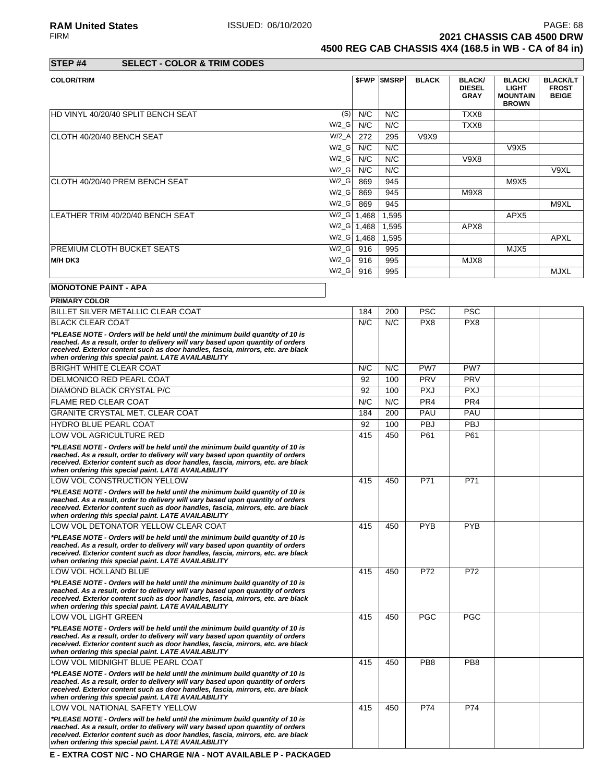RA**M United States** PAGE: 68<br>FIRM **PAGE: 68**<br>2021 CHASSIS CAB 4500 DRW **2021 CHASSIS CAB 4500 DRW 4500 REG CAB CHASSIS 4X4 (168.5 in WB - CA of 84 in)**

**STEP #4 SELECT - COLOR & TRIM CODES**

| <b>COLOR/TRIM</b>                  |                      |       | <b><i>SFWP SMSRP</i></b>    | <b>BLACK</b> | <b>BLACK/</b><br><b>DIESEL</b><br><b>GRAY</b> | <b>BLACK/</b><br><b>LIGHT</b><br><b>MOUNTAIN</b><br><b>BROWN</b> | <b>BLACK/LT</b><br><b>FROST</b><br><b>BEIGE</b> |
|------------------------------------|----------------------|-------|-----------------------------|--------------|-----------------------------------------------|------------------------------------------------------------------|-------------------------------------------------|
| HD VINYL 40/20/40 SPLIT BENCH SEAT | (S)                  | N/C   | N/C                         |              | TXX8                                          |                                                                  |                                                 |
|                                    | $W/2_G$              | N/C   | N/C                         |              | TXX8                                          |                                                                  |                                                 |
| CLOTH 40/20/40 BENCH SEAT          | $W/2_A$              | 272   | 295                         | V9X9         |                                               |                                                                  |                                                 |
|                                    | $W/2_G$              | N/C   | N/C                         |              |                                               | V9X5                                                             |                                                 |
|                                    | $W/2_G$              | N/C   | N/C                         |              | <b>V9X8</b>                                   |                                                                  |                                                 |
|                                    | $W/2_G$              | N/C   | N/C                         |              |                                               |                                                                  | V9XL                                            |
| CLOTH 40/20/40 PREM BENCH SEAT     | $W/2_G$              | 869   | 945                         |              |                                               | M9X5                                                             |                                                 |
|                                    | $W/2_G$              | 869   | 945                         |              | M9X8                                          |                                                                  |                                                 |
|                                    | $W/2_G$              | 869   | 945                         |              |                                               |                                                                  | M9XL                                            |
| LEATHER TRIM 40/20/40 BENCH SEAT   | $W/2_G$              | 1,468 | 1,595                       |              |                                               | APX <sub>5</sub>                                                 |                                                 |
|                                    | $W/2$ <sub>_</sub> G | 1,468 | 1,595                       |              | APX8                                          |                                                                  |                                                 |
|                                    | $W/2_G$              | 1,468 | 1,595                       |              |                                               |                                                                  | <b>APXL</b>                                     |
| <b>PREMIUM CLOTH BUCKET SEATS</b>  | $W/2_G$              | 916   | 995                         |              |                                               | MJX5                                                             |                                                 |
| M/H DK3                            | $W/2_G$              | 916   | 995                         |              | MJX8                                          |                                                                  |                                                 |
|                                    | $W/2_G$              | 916   | 995                         |              |                                               |                                                                  | <b>MJXL</b>                                     |
| <b>MONOTONE PAINT - APA</b>        |                      |       |                             |              |                                               |                                                                  |                                                 |
| <b>PRIMARY COLOR</b>               |                      |       |                             |              |                                               |                                                                  |                                                 |
| F''                                |                      |       | $\sim$ $\sim$ $\sim$ $\sim$ | $\sim$       | $\sim$ $\sim$                                 |                                                                  |                                                 |

| BILLET SILVER METALLIC CLEAR COAT                                                                                                                                                                                                                                                                          | 184 | 200 | <b>PSC</b>      | <b>PSC</b>      |  |
|------------------------------------------------------------------------------------------------------------------------------------------------------------------------------------------------------------------------------------------------------------------------------------------------------------|-----|-----|-----------------|-----------------|--|
| <b>BLACK CLEAR COAT</b>                                                                                                                                                                                                                                                                                    | N/C | N/C | PX <sub>8</sub> | PX8             |  |
| *PLEASE NOTE - Orders will be held until the minimum build quantity of 10 is<br>reached. As a result, order to delivery will vary based upon quantity of orders<br>received. Exterior content such as door handles, fascia, mirrors, etc. are black<br>when ordering this special paint. LATE AVAILABILITY |     |     |                 |                 |  |
| <b>BRIGHT WHITE CLEAR COAT</b>                                                                                                                                                                                                                                                                             | N/C | N/C | PW7             | PW7             |  |
| DELMONICO RED PEARL COAT                                                                                                                                                                                                                                                                                   | 92  | 100 | PRV             | PRV             |  |
| DIAMOND BLACK CRYSTAL P/C                                                                                                                                                                                                                                                                                  | 92  | 100 | <b>PXJ</b>      | <b>PXJ</b>      |  |
| <b>FLAME RED CLEAR COAT</b>                                                                                                                                                                                                                                                                                | N/C | N/C | PR <sub>4</sub> | PR <sub>4</sub> |  |
| <b>GRANITE CRYSTAL MET. CLEAR COAT</b>                                                                                                                                                                                                                                                                     | 184 | 200 | PAU             | PAU             |  |
| <b>HYDRO BLUE PEARL COAT</b>                                                                                                                                                                                                                                                                               | 92  | 100 | PBJ             | <b>PBJ</b>      |  |
| LOW VOL AGRICULTURE RED                                                                                                                                                                                                                                                                                    | 415 | 450 | P61             | P61             |  |
| *PLEASE NOTE - Orders will be held until the minimum build quantity of 10 is<br>reached. As a result, order to delivery will vary based upon quantity of orders<br>received. Exterior content such as door handles, fascia, mirrors, etc. are black<br>when ordering this special paint. LATE AVAILABILITY |     |     |                 |                 |  |
| LOW VOL CONSTRUCTION YELLOW                                                                                                                                                                                                                                                                                | 415 | 450 | P71             | P71             |  |
| *PLEASE NOTE - Orders will be held until the minimum build quantity of 10 is<br>reached. As a result, order to delivery will vary based upon quantity of orders<br>received. Exterior content such as door handles, fascia, mirrors, etc. are black<br>when ordering this special paint. LATE AVAILABILITY |     |     |                 |                 |  |
| LOW VOL DETONATOR YELLOW CLEAR COAT                                                                                                                                                                                                                                                                        | 415 | 450 | <b>PYB</b>      | <b>PYB</b>      |  |
| *PLEASE NOTE - Orders will be held until the minimum build quantity of 10 is<br>reached. As a result, order to delivery will vary based upon quantity of orders<br>received. Exterior content such as door handles, fascia, mirrors, etc. are black<br>when ordering this special paint. LATE AVAILABILITY |     |     |                 |                 |  |
| LOW VOL HOLLAND BLUE                                                                                                                                                                                                                                                                                       | 415 | 450 | P72             | P72             |  |
| *PLEASE NOTE - Orders will be held until the minimum build quantity of 10 is<br>reached. As a result, order to delivery will vary based upon quantity of orders<br>received. Exterior content such as door handles, fascia, mirrors, etc. are black<br>when ordering this special paint. LATE AVAILABILITY |     |     |                 |                 |  |
| LOW VOL LIGHT GREEN                                                                                                                                                                                                                                                                                        | 415 | 450 | <b>PGC</b>      | <b>PGC</b>      |  |
| *PLEASE NOTE - Orders will be held until the minimum build quantity of 10 is<br>reached. As a result, order to delivery will vary based upon quantity of orders<br>received. Exterior content such as door handles, fascia, mirrors, etc. are black<br>when ordering this special paint. LATE AVAILABILITY |     |     |                 |                 |  |
| LOW VOL MIDNIGHT BLUE PEARL COAT                                                                                                                                                                                                                                                                           | 415 | 450 | PB <sub>8</sub> | PB <sub>8</sub> |  |
| *PLEASE NOTE - Orders will be held until the minimum build quantity of 10 is<br>reached. As a result, order to delivery will vary based upon quantity of orders<br>received. Exterior content such as door handles, fascia, mirrors, etc. are black<br>when ordering this special paint. LATE AVAILABILITY |     |     |                 |                 |  |
| LOW VOL NATIONAL SAFETY YELLOW                                                                                                                                                                                                                                                                             | 415 | 450 | P74             | P74             |  |
| *PLEASE NOTE - Orders will be held until the minimum build quantity of 10 is<br>reached. As a result, order to delivery will vary based upon quantity of orders<br>received. Exterior content such as door handles, fascia, mirrors, etc. are black<br>when ordering this special paint. LATE AVAILABILITY |     |     |                 |                 |  |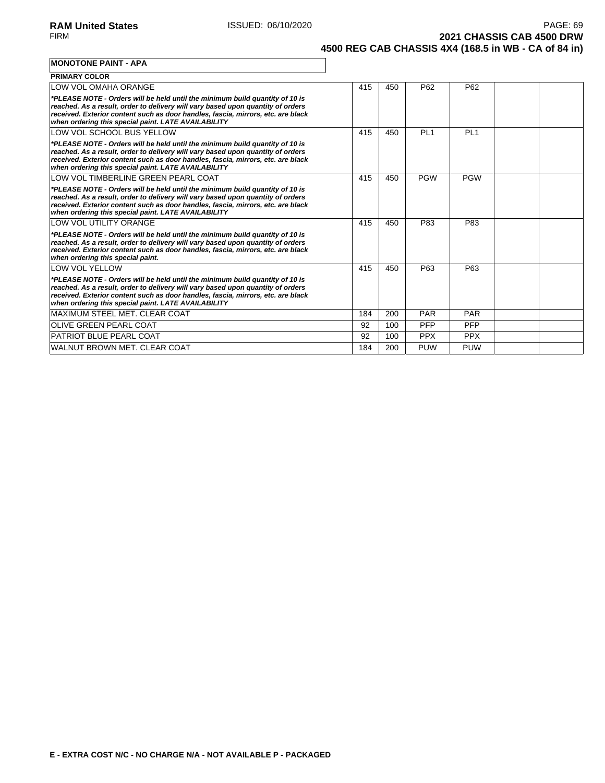**2021 CHASSIS CAB 4500 DRW 4500 REG CAB CHASSIS 4X4 (168.5 in WB - CA of 84 in)**

### **MONOTONE PAINT - APA**

| <b>PRIMARY COLOR</b>                                                                                                                                                                                                                                                                                       |     |     |                 |                 |  |
|------------------------------------------------------------------------------------------------------------------------------------------------------------------------------------------------------------------------------------------------------------------------------------------------------------|-----|-----|-----------------|-----------------|--|
| LOW VOL OMAHA ORANGE                                                                                                                                                                                                                                                                                       | 415 | 450 | P62             | P <sub>62</sub> |  |
| *PLEASE NOTE - Orders will be held until the minimum build quantity of 10 is<br>reached. As a result, order to delivery will vary based upon quantity of orders<br>received. Exterior content such as door handles, fascia, mirrors, etc. are black<br>when ordering this special paint. LATE AVAILABILITY |     |     |                 |                 |  |
| LOW VOL SCHOOL BUS YELLOW                                                                                                                                                                                                                                                                                  | 415 | 450 | PL <sub>1</sub> | PL <sub>1</sub> |  |
| *PLEASE NOTE - Orders will be held until the minimum build quantity of 10 is<br>reached. As a result, order to delivery will vary based upon quantity of orders<br>received. Exterior content such as door handles, fascia, mirrors, etc. are black<br>when ordering this special paint. LATE AVAILABILITY |     |     |                 |                 |  |
| LOW VOL TIMBERLINE GREEN PEARL COAT                                                                                                                                                                                                                                                                        | 415 | 450 | <b>PGW</b>      | <b>PGW</b>      |  |
| *PLEASE NOTE - Orders will be held until the minimum build quantity of 10 is<br>reached. As a result, order to delivery will vary based upon quantity of orders<br>received. Exterior content such as door handles, fascia, mirrors, etc. are black<br>when ordering this special paint. LATE AVAILABILITY |     |     |                 |                 |  |
| LOW VOL UTILITY ORANGE                                                                                                                                                                                                                                                                                     | 415 | 450 | P83             | P83             |  |
| *PLEASE NOTE - Orders will be held until the minimum build quantity of 10 is<br>reached. As a result, order to delivery will vary based upon quantity of orders<br>received. Exterior content such as door handles, fascia, mirrors, etc. are black<br>when ordering this special paint.                   |     |     |                 |                 |  |
| <b>LOW VOL YELLOW</b>                                                                                                                                                                                                                                                                                      | 415 | 450 | P63             | P63             |  |
| *PLEASE NOTE - Orders will be held until the minimum build quantity of 10 is<br>reached. As a result, order to delivery will vary based upon quantity of orders<br>received. Exterior content such as door handles, fascia, mirrors, etc. are black<br>when ordering this special paint. LATE AVAILABILITY |     |     |                 |                 |  |
| MAXIMUM STEEL MET. CLEAR COAT                                                                                                                                                                                                                                                                              | 184 | 200 | PAR             | <b>PAR</b>      |  |
| <b>OLIVE GREEN PEARL COAT</b>                                                                                                                                                                                                                                                                              | 92  | 100 | PFP             | PFP             |  |
| <b>PATRIOT BLUE PEARL COAT</b>                                                                                                                                                                                                                                                                             | 92  | 100 | <b>PPX</b>      | <b>PPX</b>      |  |
| WALNUT BROWN MET. CLEAR COAT                                                                                                                                                                                                                                                                               | 184 | 200 | <b>PUW</b>      | <b>PUW</b>      |  |

 $\overline{\phantom{a}}$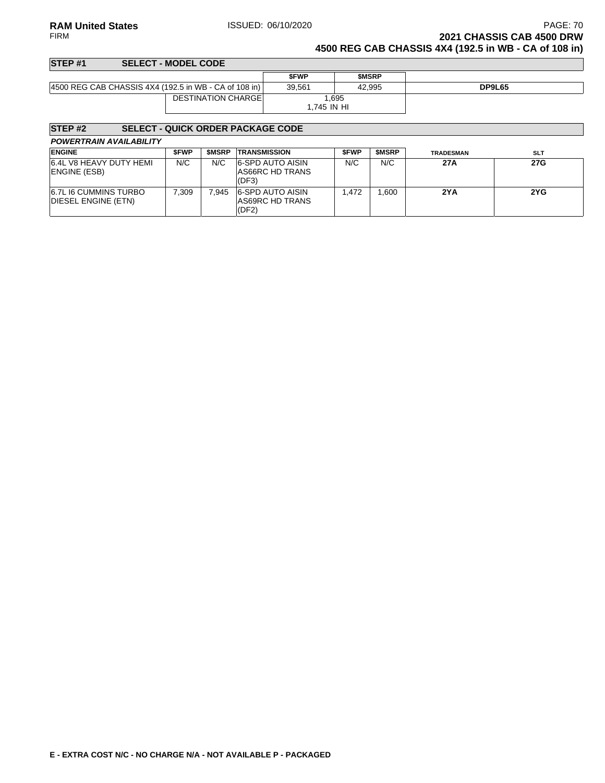**RAM United States ISSUED: 06/10/2020 PAGE: 70 PAGE: 70** FIRM **2021 CHASSIS CAB 4500 DRW**

**4500 REG CAB CHASSIS 4X4 (192.5 in WB - CA of 108 in)**

### **STEP #1 SELECT - MODEL CODE \$FWP \$MSRP** 4500 REG CAB CHASSIS 4X4 (192.5 in WB - CA of 108 in) 39,561 42,995 **DP9L65** DESTINATION CHARGE 1,695 1,745 IN HI

### **STEP #2 SELECT - QUICK ORDER PACKAGE CODE**

| <b>POWERTRAIN AVAILABILITY</b> |  |
|--------------------------------|--|
|--------------------------------|--|

| <b>ENGINE</b>                                       | <b>SFWP</b> | <b>SMSRP</b> | <b>TRANSMISSION</b>                                 | <b>SFWP</b> | <b>SMSRP</b> | <b>TRADESMAN</b> | <b>SLT</b> |
|-----------------------------------------------------|-------------|--------------|-----------------------------------------------------|-------------|--------------|------------------|------------|
| 6.4L V8 HEAVY DUTY HEMI<br><b>ENGINE (ESB)</b>      | N/C         | N/C          | <b>6-SPD AUTO AISIN</b><br>AS66RC HD TRANS<br>(DF3) | N/C         | N/C          | 27A              | 27G        |
| <b>6.7L I6 CUMMINS TURBO</b><br>DIESEL ENGINE (ETN) | 7.309       | 7.945        | <b>6-SPD AUTO AISIN</b><br>AS69RC HD TRANS<br>(DF2) | .472        | .600         | 2YA              | 2YG        |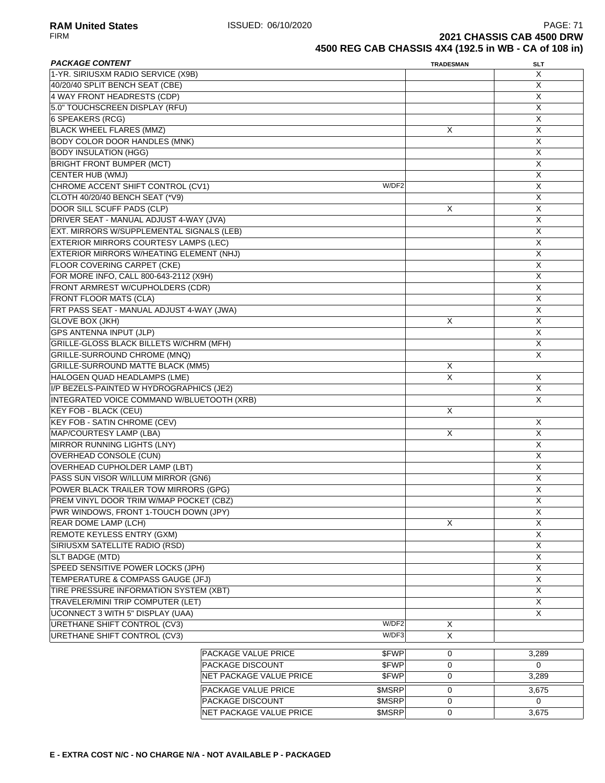**RAM United States ISSUED: 06/10/2020** PAGE: 71<br>FIRM **PAGE: 71** PAGE: 71 **2021 CHASSIS CAB 4500 DRW 4500 REG CAB CHASSIS 4X4 (192.5 in WB - CA of 108 in)**

| <b>PACKAGE CONTENT</b>                         |                         |        | <b>TRADESMAN</b> | <b>SLT</b>                |
|------------------------------------------------|-------------------------|--------|------------------|---------------------------|
| 1-YR. SIRIUSXM RADIO SERVICE (X9B)             |                         |        |                  | X                         |
| 40/20/40 SPLIT BENCH SEAT (CBE)                |                         |        |                  | $\boldsymbol{\mathsf{X}}$ |
| 4 WAY FRONT HEADRESTS (CDP)                    |                         |        |                  | $\overline{X}$            |
| 5.0" TOUCHSCREEN DISPLAY (RFU)                 |                         |        |                  | $\boldsymbol{\mathsf{X}}$ |
| 6 SPEAKERS (RCG)                               |                         |        |                  | X                         |
| <b>BLACK WHEEL FLARES (MMZ)</b>                |                         |        | X                | X                         |
| <b>BODY COLOR DOOR HANDLES (MNK)</b>           |                         |        |                  | X                         |
| <b>BODY INSULATION (HGG)</b>                   |                         |        |                  | X                         |
| <b>BRIGHT FRONT BUMPER (MCT)</b>               |                         |        |                  | X                         |
| CENTER HUB (WMJ)                               |                         |        |                  | X                         |
| CHROME ACCENT SHIFT CONTROL (CV1)              |                         | W/DF2  |                  | $\overline{X}$            |
| CLOTH 40/20/40 BENCH SEAT (*V9)                |                         |        |                  | X                         |
| DOOR SILL SCUFF PADS (CLP)                     |                         |        | Х                | $\overline{X}$            |
| DRIVER SEAT - MANUAL ADJUST 4-WAY (JVA)        |                         |        |                  | X                         |
| EXT. MIRRORS W/SUPPLEMENTAL SIGNALS (LEB)      |                         |        |                  | X                         |
| EXTERIOR MIRRORS COURTESY LAMPS (LEC)          |                         |        |                  | X                         |
| EXTERIOR MIRRORS W/HEATING ELEMENT (NHJ)       |                         |        |                  | X                         |
| <b>FLOOR COVERING CARPET (CKE)</b>             |                         |        |                  | X                         |
| FOR MORE INFO, CALL 800-643-2112 (X9H)         |                         |        |                  | X                         |
| FRONT ARMREST W/CUPHOLDERS (CDR)               |                         |        |                  | X                         |
| <b>FRONT FLOOR MATS (CLA)</b>                  |                         |        |                  | $\overline{X}$            |
| FRT PASS SEAT - MANUAL ADJUST 4-WAY (JWA)      |                         |        |                  | $\boldsymbol{\mathsf{X}}$ |
| <b>GLOVE BOX (JKH)</b>                         |                         |        | X                | X                         |
| <b>GPS ANTENNA INPUT (JLP)</b>                 |                         |        |                  | X                         |
| <b>GRILLE-GLOSS BLACK BILLETS W/CHRM (MFH)</b> |                         |        |                  | X                         |
|                                                |                         |        |                  |                           |
| GRILLE-SURROUND CHROME (MNQ)                   |                         |        |                  | X                         |
| <b>GRILLE-SURROUND MATTE BLACK (MM5)</b>       |                         |        | X                |                           |
| HALOGEN QUAD HEADLAMPS (LME)                   |                         |        | X                | X                         |
| I/P BEZELS-PAINTED W HYDROGRAPHICS (JE2)       |                         |        |                  | X                         |
| INTEGRATED VOICE COMMAND W/BLUETOOTH (XRB)     |                         |        |                  | X                         |
| <b>KEY FOB - BLACK (CEU)</b>                   |                         |        | X                |                           |
| <b>KEY FOB - SATIN CHROME (CEV)</b>            |                         |        |                  | Χ                         |
| MAP/COURTESY LAMP (LBA)                        |                         |        | X                | X                         |
| <b>MIRROR RUNNING LIGHTS (LNY)</b>             |                         |        |                  | X                         |
| <b>OVERHEAD CONSOLE (CUN)</b>                  |                         |        |                  | Χ                         |
| <b>OVERHEAD CUPHOLDER LAMP (LBT)</b>           |                         |        |                  | X                         |
| PASS SUN VISOR W/ILLUM MIRROR (GN6)            |                         |        |                  | X                         |
| POWER BLACK TRAILER TOW MIRRORS (GPG)          |                         |        |                  | $\overline{X}$            |
| PREM VINYL DOOR TRIM W/MAP POCKET (CBZ)        |                         |        |                  | $\overline{\mathsf{X}}$   |
| PWR WINDOWS, FRONT 1-TOUCH DOWN (JPY)          |                         |        |                  | X                         |
| REAR DOME LAMP (LCH)                           |                         |        | X                | X                         |
| REMOTE KEYLESS ENTRY (GXM)                     |                         |        |                  | X                         |
| SIRIUSXM SATELLITE RADIO (RSD)                 |                         |        |                  | X                         |
| <b>SLT BADGE (MTD)</b>                         |                         |        |                  | X                         |
| SPEED SENSITIVE POWER LOCKS (JPH)              |                         |        |                  | X                         |
| TEMPERATURE & COMPASS GAUGE (JFJ)              |                         |        |                  | X                         |
| TIRE PRESSURE INFORMATION SYSTEM (XBT)         |                         |        |                  | X                         |
| TRAVELER/MINI TRIP COMPUTER (LET)              |                         |        |                  | X                         |
| UCONNECT 3 WITH 5" DISPLAY (UAA)               |                         |        |                  | X                         |
| URETHANE SHIFT CONTROL (CV3)                   |                         | W/DF2  | X                |                           |
| URETHANE SHIFT CONTROL (CV3)                   |                         | W/DF3  | X                |                           |
|                                                | PACKAGE VALUE PRICE     | \$FWP  | 0                | 3,289                     |
|                                                | <b>PACKAGE DISCOUNT</b> | \$FWP  | 0                | $\Omega$                  |
|                                                | NET PACKAGE VALUE PRICE | \$FWP  | 0                | 3,289                     |
|                                                |                         |        |                  |                           |
|                                                | PACKAGE VALUE PRICE     | \$MSRP | 0                | 3,675                     |
|                                                | PACKAGE DISCOUNT        | \$MSRP | 0                | 0                         |

NET PACKAGE VALUE PRICE \$MSRP 0 3,675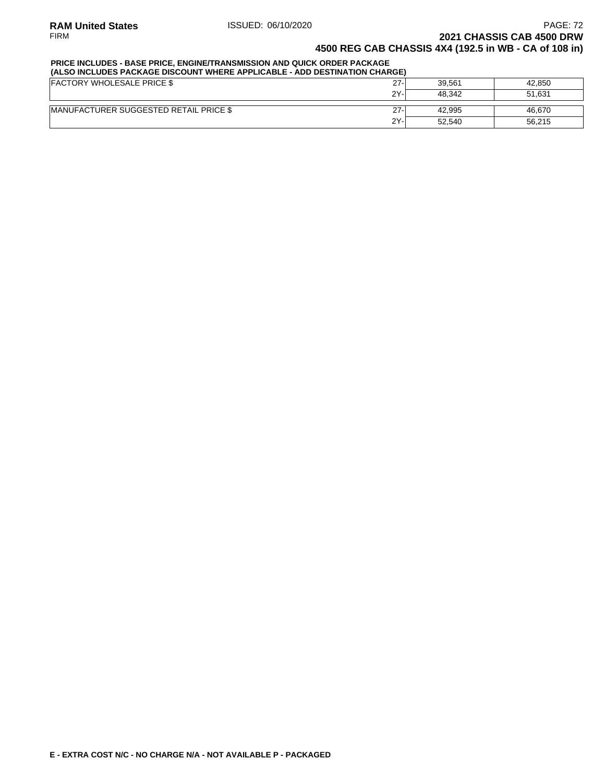### **PRICE INCLUDES - BASE PRICE, ENGINE/TRANSMISSION AND QUICK ORDER PACKAGE**

| (ALSO INCLUDES PACKAGE DISCOUNT WHERE APPLICABLE - ADD DESTINATION CHARGE) |        |        |        |  |  |  |  |
|----------------------------------------------------------------------------|--------|--------|--------|--|--|--|--|
| <b>FACTORY WHOLESALE PRICE \$</b>                                          | $27 -$ | 39.561 | 42.850 |  |  |  |  |
|                                                                            | 2Y-    | 48.342 | 51.631 |  |  |  |  |
| <b>IMANUFACTURER SUGGESTED RETAIL PRICE \$</b>                             | $27 -$ | 42.995 | 46.670 |  |  |  |  |
|                                                                            | 2Y-    | 52.540 | 56.215 |  |  |  |  |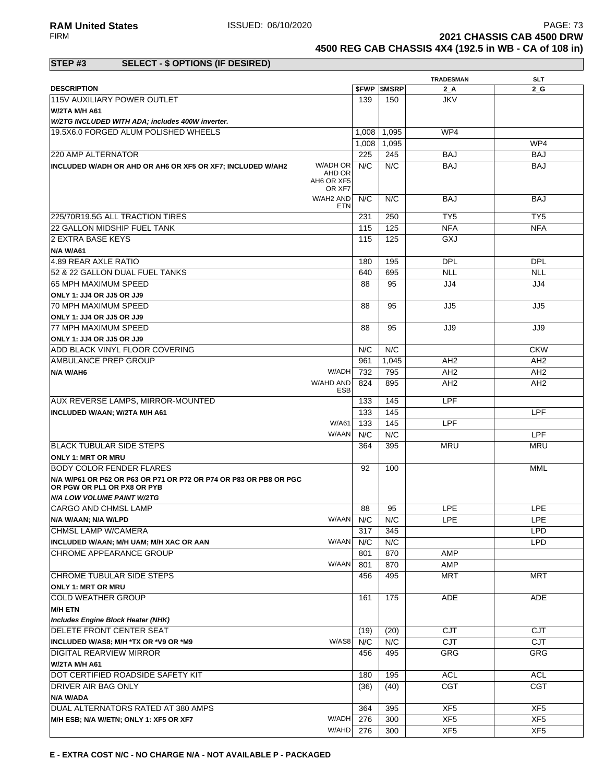**RAM United States ISSUED: 06/10/2020 PAGE: 73**<br>FIRM **PAGE: 73**<br>**2021 CHASSIS CAB 4500 DRW 2021 CHASSIS CAB 4500 DRW** 

**4500 REG CAB CHASSIS 4X4 (192.5 in WB - CA of 108 in)**

### **STEP #3 SELECT - \$ OPTIONS (IF DESIRED)**

|                                                                                                  |                                |       |                          | <b>TRADESMAN</b> | <b>SLT</b>      |
|--------------------------------------------------------------------------------------------------|--------------------------------|-------|--------------------------|------------------|-----------------|
| <b>DESCRIPTION</b>                                                                               |                                |       | <b><i>SFWP SMSRP</i></b> | 2 A              | 2 G             |
| 115V AUXILIARY POWER OUTLET                                                                      |                                | 139   | 150                      | <b>JKV</b>       |                 |
| W/2TA M/H A61                                                                                    |                                |       |                          |                  |                 |
| W/2TG INCLUDED WITH ADA; includes 400W inverter.                                                 |                                |       |                          |                  |                 |
| 19.5X6.0 FORGED ALUM POLISHED WHEELS                                                             |                                | 1,008 | 1,095                    | WP4              |                 |
|                                                                                                  |                                | 1,008 | 1,095                    |                  | WP4             |
| 220 AMP ALTERNATOR                                                                               |                                | 225   | 245                      | <b>BAJ</b>       | <b>BAJ</b>      |
| INCLUDED W/ADH OR AHD OR AH6 OR XF5 OR XF7; INCLUDED W/AH2                                       | W/ADH OR                       | N/C   | N/C                      | <b>BAJ</b>       | <b>BAJ</b>      |
|                                                                                                  | AHD OR<br>AH6 OR XF5<br>OR XF7 |       |                          |                  |                 |
|                                                                                                  | W/AH2 AND<br><b>ETN</b>        | N/C   | N/C                      | <b>BAJ</b>       | <b>BAJ</b>      |
| 225/70R19.5G ALL TRACTION TIRES                                                                  |                                | 231   | 250                      | TY <sub>5</sub>  | TY <sub>5</sub> |
| 22 GALLON MIDSHIP FUEL TANK                                                                      |                                | 115   | 125                      | <b>NFA</b>       | <b>NFA</b>      |
| 2 EXTRA BASE KEYS                                                                                |                                | 115   | 125                      | GXJ              |                 |
| <b>N/A W/A61</b>                                                                                 |                                |       |                          |                  |                 |
| 4.89 REAR AXLE RATIO                                                                             |                                | 180   | 195                      | <b>DPL</b>       | <b>DPL</b>      |
| 52 & 22 GALLON DUAL FUEL TANKS                                                                   |                                | 640   | 695                      | <b>NLL</b>       | <b>NLL</b>      |
| 65 MPH MAXIMUM SPEED                                                                             |                                | 88    | 95                       | JJ4              | JJ4             |
| ONLY 1: JJ4 OR JJ5 OR JJ9                                                                        |                                |       |                          |                  |                 |
| 70 MPH MAXIMUM SPEED                                                                             |                                | 88    | 95                       | JJ5              | JJ5             |
| ONLY 1: JJ4 OR JJ5 OR JJ9                                                                        |                                |       |                          |                  |                 |
| 77 MPH MAXIMUM SPEED                                                                             |                                | 88    | 95                       | JJ9              | JJ9             |
| ONLY 1: JJ4 OR JJ5 OR JJ9                                                                        |                                |       |                          |                  |                 |
| ADD BLACK VINYL FLOOR COVERING                                                                   |                                | N/C   | N/C                      |                  | <b>CKW</b>      |
| AMBULANCE PREP GROUP                                                                             |                                | 961   | 1,045                    | AH <sub>2</sub>  | AH <sub>2</sub> |
| N/A W/AH6                                                                                        | W/ADH                          | 732   | 795                      | AH <sub>2</sub>  | AH <sub>2</sub> |
|                                                                                                  | W/AHD AND                      | 824   | 895                      |                  |                 |
|                                                                                                  | <b>ESB</b>                     |       |                          | AH <sub>2</sub>  | AH <sub>2</sub> |
| <b>AUX REVERSE LAMPS, MIRROR-MOUNTED</b>                                                         |                                | 133   | 145                      | LPF              |                 |
| INCLUDED W/AAN; W/2TA M/H A61                                                                    |                                | 133   | 145                      |                  | <b>LPF</b>      |
|                                                                                                  | W/A61                          | 133   | 145                      | LPF              |                 |
|                                                                                                  | W/AAN                          | N/C   | N/C                      |                  | <b>LPF</b>      |
| <b>IBLACK TUBULAR SIDE STEPS</b>                                                                 |                                | 364   | 395                      | MRU              | <b>MRU</b>      |
| <b>ONLY 1: MRT OR MRU</b>                                                                        |                                |       |                          |                  |                 |
| BODY COLOR FENDER FLARES                                                                         |                                | 92    | 100                      |                  | <b>MML</b>      |
| N/A W/P61 OR P62 OR P63 OR P71 OR P72 OR P74 OR P83 OR PB8 OR PGC<br>OR PGW OR PL1 OR PX8 OR PYB |                                |       |                          |                  |                 |
| <b>N/A LOW VOLUME PAINT W/2TG</b>                                                                |                                |       |                          |                  |                 |
| <b>CARGO AND CHMSL LAMP</b>                                                                      |                                | 88    | 95                       | <b>LPE</b>       | <b>LPE</b>      |
| N/A W/AAN; N/A W/LPD                                                                             | W/AAN N/C                      |       | N/C                      | LPE              | <b>LPE</b>      |
| CHMSL LAMP W/CAMERA                                                                              |                                | 317   | 345                      |                  | <b>LPD</b>      |
| INCLUDED W/AAN; M/H UAM; M/H XAC OR AAN                                                          | W/AAN                          | N/C   | N/C                      |                  | <b>LPD</b>      |
| CHROME APPEARANCE GROUP                                                                          |                                | 801   | 870                      | AMP              |                 |
|                                                                                                  | W/AAN                          | 801   | 870                      | AMP              |                 |
| CHROME TUBULAR SIDE STEPS                                                                        |                                | 456   | 495                      | <b>MRT</b>       | <b>MRT</b>      |
| <b>ONLY 1: MRT OR MRU</b>                                                                        |                                |       |                          |                  |                 |
| COLD WEATHER GROUP                                                                               |                                | 161   | 175                      | ADE              | ADE             |
| <b>M/H ETN</b>                                                                                   |                                |       |                          |                  |                 |
| Includes Engine Block Heater (NHK)                                                               |                                |       |                          |                  |                 |
| <b>DELETE FRONT CENTER SEAT</b>                                                                  |                                | (19)  | (20)                     | <b>CJT</b>       | <b>CJT</b>      |
| INCLUDED W/AS8; M/H *TX OR *V9 OR *M9                                                            | W/AS8                          | N/C   | N/C                      | <b>CJT</b>       | CJT             |
| <b>DIGITAL REARVIEW MIRROR</b>                                                                   |                                | 456   | 495                      | GRG              | GRG             |
| <b>W/2TA M/H A61</b>                                                                             |                                |       |                          |                  |                 |
| DOT CERTIFIED ROADSIDE SAFETY KIT                                                                |                                | 180   | 195                      | <b>ACL</b>       | <b>ACL</b>      |
| DRIVER AIR BAG ONLY                                                                              |                                | (36)  | (40)                     | <b>CGT</b>       | <b>CGT</b>      |
| N/A W/ADA                                                                                        |                                |       |                          |                  |                 |
| DUAL ALTERNATORS RATED AT 380 AMPS                                                               |                                | 364   | 395                      | XF <sub>5</sub>  | XF <sub>5</sub> |
| M/H ESB; N/A W/ETN; ONLY 1: XF5 OR XF7                                                           | W/ADH                          | 276   | 300                      | XF <sub>5</sub>  | XF <sub>5</sub> |
|                                                                                                  | W/AHD                          | 276   | 300                      | XF <sub>5</sub>  | XF <sub>5</sub> |
|                                                                                                  |                                |       |                          |                  |                 |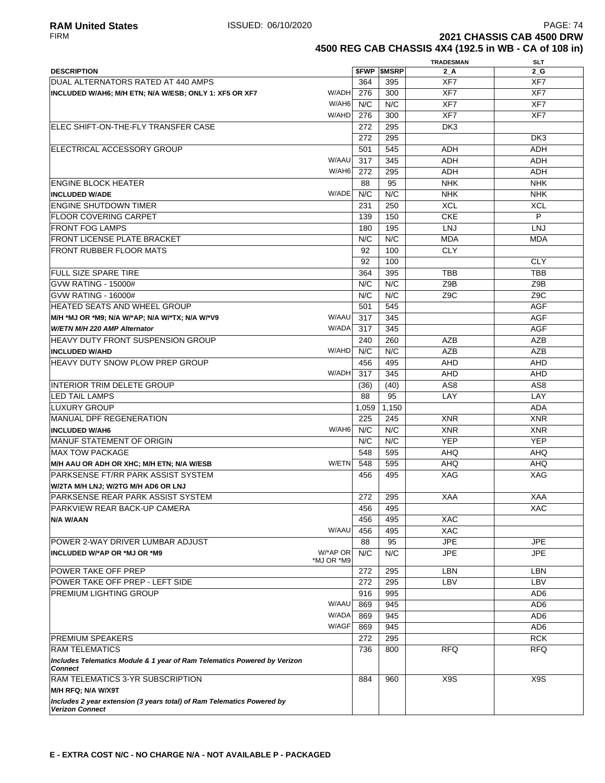**2021 CHASSIS CAB 4500 DRW 4500 REG CAB CHASSIS 4X4 (192.5 in WB - CA of 108 in)**

|                                                                                                  |            |       |                          | <b>TRADESMAN</b> | <b>SLT</b>       |
|--------------------------------------------------------------------------------------------------|------------|-------|--------------------------|------------------|------------------|
| <b>DESCRIPTION</b>                                                                               |            |       | <b><i>SFWP SMSRP</i></b> | 2 A              | 2 G              |
| DUAL ALTERNATORS RATED AT 440 AMPS                                                               |            | 364   | 395                      | XF7              | XF7              |
| INCLUDED W/AH6; M/H ETN; N/A W/ESB; ONLY 1: XF5 OR XF7                                           | W/ADH      | 276   | 300                      | XF7              | XF7              |
|                                                                                                  | W/AH6      | N/C   | N/C                      | XF7              | XF7              |
|                                                                                                  | W/AHD      | 276   | 300                      | XF7              | XF7              |
|                                                                                                  |            |       |                          |                  |                  |
| <b>IELEC SHIFT-ON-THE-FLY TRANSFER CASE</b>                                                      |            | 272   | 295                      | DK <sub>3</sub>  |                  |
|                                                                                                  |            | 272   | 295                      |                  | DK3              |
| ELECTRICAL ACCESSORY GROUP                                                                       |            | 501   | 545                      | <b>ADH</b>       | ADH              |
|                                                                                                  | W/AAU      | 317   | 345                      | <b>ADH</b>       | <b>ADH</b>       |
|                                                                                                  | W/AH6      | 272   | 295                      | <b>ADH</b>       | <b>ADH</b>       |
| <b>ENGINE BLOCK HEATER</b>                                                                       |            | 88    | 95                       | <b>NHK</b>       | <b>NHK</b>       |
| <b>INCLUDED W/ADE</b>                                                                            | W/ADE      | N/C   | N/C                      | <b>NHK</b>       | <b>NHK</b>       |
| <b>ENGINE SHUTDOWN TIMER</b>                                                                     |            | 231   | 250                      | <b>XCL</b>       | <b>XCL</b>       |
| <b>FLOOR COVERING CARPET</b>                                                                     |            | 139   | 150                      | <b>CKE</b>       | P                |
|                                                                                                  |            |       |                          |                  |                  |
| <b>FRONT FOG LAMPS</b>                                                                           |            | 180   | 195                      | <b>LNJ</b>       | <b>LNJ</b>       |
| <b>FRONT LICENSE PLATE BRACKET</b>                                                               |            | N/C   | N/C                      | <b>MDA</b>       | <b>MDA</b>       |
| <b>FRONT RUBBER FLOOR MATS</b>                                                                   |            | 92    | 100                      | <b>CLY</b>       |                  |
|                                                                                                  |            | 92    | 100                      |                  | <b>CLY</b>       |
| <b>FULL SIZE SPARE TIRE</b>                                                                      |            | 364   | 395                      | <b>TBB</b>       | <b>TBB</b>       |
| <b>GVW RATING - 15000#</b>                                                                       |            | N/C   | N/C                      | Z9B              | Z9B              |
| GVW RATING - 16000#                                                                              |            | N/C   | N/C                      | Z <sub>9</sub> C | Z <sub>9</sub> C |
| <b>HEATED SEATS AND WHEEL GROUP</b>                                                              |            | 501   | 545                      |                  | <b>AGF</b>       |
| M/H *MJ OR *M9; N/A W/*AP; N/A W/*TX; N/A W/*V9                                                  | W/AAU      | 317   | 345                      |                  | <b>AGF</b>       |
|                                                                                                  | W/ADA      |       |                          |                  |                  |
| W/ETN M/H 220 AMP Alternator                                                                     |            | 317   | 345                      |                  | <b>AGF</b>       |
| <b>HEAVY DUTY FRONT SUSPENSION GROUP</b>                                                         |            | 240   | 260                      | <b>AZB</b>       | AZB              |
| <b>INCLUDED W/AHD</b>                                                                            | W/AHD      | N/C   | N/C                      | <b>AZB</b>       | <b>AZB</b>       |
| <b>HEAVY DUTY SNOW PLOW PREP GROUP</b>                                                           |            | 456   | 495                      | <b>AHD</b>       | <b>AHD</b>       |
|                                                                                                  | W/ADH      | 317   | 345                      | <b>AHD</b>       | <b>AHD</b>       |
| INTERIOR TRIM DELETE GROUP                                                                       |            | (36)  | (40)                     | AS <sub>8</sub>  | AS <sub>8</sub>  |
| LED TAIL LAMPS                                                                                   |            | 88    | 95                       | LAY              | LAY              |
| LUXURY GROUP                                                                                     |            | 1,059 | 1,150                    |                  | <b>ADA</b>       |
| <b>MANUAL DPF REGENERATION</b>                                                                   |            | 225   | 245                      | <b>XNR</b>       | <b>XNR</b>       |
| <b>INCLUDED W/AH6</b>                                                                            | W/AH6      | N/C   | N/C                      | <b>XNR</b>       | <b>XNR</b>       |
|                                                                                                  |            |       |                          |                  |                  |
| <b>MANUF STATEMENT OF ORIGIN</b>                                                                 |            | N/C   | N/C                      | <b>YEP</b>       | <b>YEP</b>       |
| <b>MAX TOW PACKAGE</b>                                                                           |            | 548   | 595                      | <b>AHQ</b>       | AHQ              |
| M/H AAU OR ADH OR XHC; M/H ETN; N/A W/ESB                                                        | W/ETN      | 548   | 595                      | AHQ              | <b>AHQ</b>       |
| PARKSENSE FT/RR PARK ASSIST SYSTEM                                                               |            | 456   | 495                      | <b>XAG</b>       | XAG              |
| W/2TA M/H LNJ; W/2TG M/H AD6 OR LNJ                                                              |            |       |                          |                  |                  |
| PARKSENSE REAR PARK ASSIST SYSTEM                                                                |            | 272   | 295                      | <b>XAA</b>       | <b>XAA</b>       |
| PARKVIEW REAR BACK-UP CAMERA                                                                     |            | 456   | 495                      |                  | XAC              |
| N/A W/AAN                                                                                        |            | 456   | 495                      | <b>XAC</b>       |                  |
|                                                                                                  | W/AAU      | 456   | 495                      | XAC              |                  |
| POWER 2-WAY DRIVER LUMBAR ADJUST                                                                 |            | 88    | 95                       | <b>JPE</b>       | <b>JPE</b>       |
| INCLUDED W/*AP OR *MJ OR *M9                                                                     | W/*AP OR   | N/C   | N/C                      | <b>JPE</b>       | JPE              |
|                                                                                                  | *MJ OR *M9 |       |                          |                  |                  |
| POWER TAKE OFF PREP                                                                              |            | 272   | 295                      | LBN              | LBN              |
| POWER TAKE OFF PREP - LEFT SIDE                                                                  |            | 272   | 295                      | LBV              | LBV              |
| <b>PREMIUM LIGHTING GROUP</b>                                                                    |            | 916   | 995                      |                  | AD6              |
|                                                                                                  | W/AAU      |       |                          |                  |                  |
|                                                                                                  |            | 869   | 945                      |                  | AD <sub>6</sub>  |
|                                                                                                  | W/ADA      | 869   | 945                      |                  | AD <sub>6</sub>  |
|                                                                                                  | W/AGF      | 869   | 945                      |                  | AD <sub>6</sub>  |
| <b>PREMIUM SPEAKERS</b>                                                                          |            | 272   | 295                      |                  | <b>RCK</b>       |
| <b>RAM TELEMATICS</b>                                                                            |            | 736   | 800                      | <b>RFQ</b>       | <b>RFQ</b>       |
| Includes Telematics Module & 1 year of Ram Telematics Powered by Verizon<br><b>Connect</b>       |            |       |                          |                  |                  |
| RAM TELEMATICS 3-YR SUBSCRIPTION                                                                 |            | 884   | 960                      | X9S              | X9S              |
| M/H RFQ; N/A W/X9T                                                                               |            |       |                          |                  |                  |
| Includes 2 year extension (3 years total) of Ram Telematics Powered by<br><b>Verizon Connect</b> |            |       |                          |                  |                  |
|                                                                                                  |            |       |                          |                  |                  |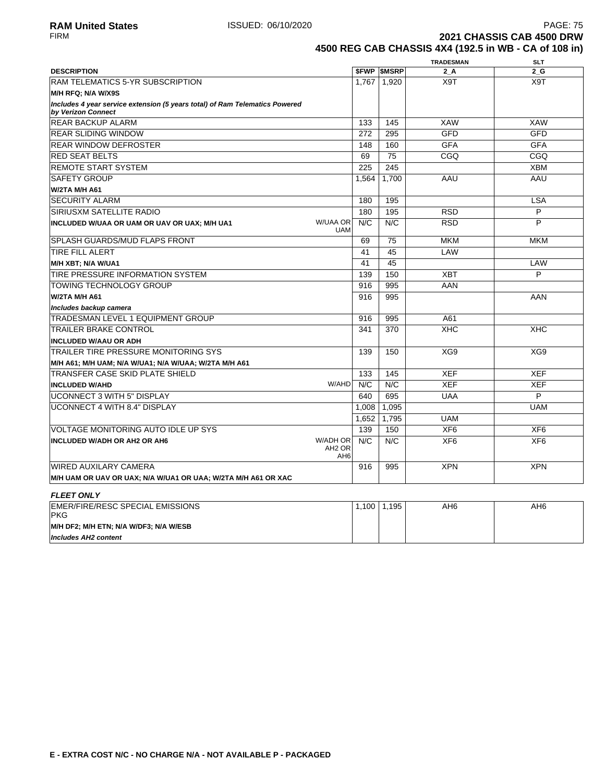**2021 CHASSIS CAB 4500 DRW 4500 REG CAB CHASSIS 4X4 (192.5 in WB - CA of 108 in)**

|                                                                                                   |                                                          |       |                   | <b>TRADESMAN</b> | <b>SLT</b>      |
|---------------------------------------------------------------------------------------------------|----------------------------------------------------------|-------|-------------------|------------------|-----------------|
| <b>DESCRIPTION</b>                                                                                |                                                          |       | <b>SFWP SMSRP</b> | 2 A              | 2G              |
| RAM TELEMATICS 5-YR SUBSCRIPTION                                                                  |                                                          | 1,767 | 1,920             | X9T              | X9T             |
| M/H RFQ; N/A W/X9S                                                                                |                                                          |       |                   |                  |                 |
| Includes 4 year service extension (5 years total) of Ram Telematics Powered<br>by Verizon Connect |                                                          |       |                   |                  |                 |
| <b>REAR BACKUP ALARM</b>                                                                          |                                                          | 133   | 145               | <b>XAW</b>       | <b>XAW</b>      |
| <b>REAR SLIDING WINDOW</b>                                                                        |                                                          | 272   | 295               | <b>GFD</b>       | <b>GFD</b>      |
| <b>REAR WINDOW DEFROSTER</b>                                                                      |                                                          | 148   | 160               | <b>GFA</b>       | <b>GFA</b>      |
| <b>RED SEAT BELTS</b>                                                                             |                                                          | 69    | 75                | CGO              | CGO             |
| <b>REMOTE START SYSTEM</b>                                                                        |                                                          | 225   | 245               |                  | <b>XBM</b>      |
| <b>SAFETY GROUP</b>                                                                               |                                                          | 1.564 | 1.700             | AAU              | AAU             |
| <b>W/2TA M/H A61</b>                                                                              |                                                          |       |                   |                  |                 |
| <b>SECURITY ALARM</b>                                                                             |                                                          | 180   | 195               |                  | <b>LSA</b>      |
| <b>SIRIUSXM SATELLITE RADIO</b>                                                                   |                                                          | 180   | 195               | <b>RSD</b>       | P               |
| INCLUDED W/UAA OR UAM OR UAV OR UAX; M/H UA1                                                      | W/UAA OR<br><b>UAM</b>                                   | N/C   | N/C               | <b>RSD</b>       | P               |
| <b>SPLASH GUARDS/MUD FLAPS FRONT</b>                                                              |                                                          | 69    | 75                | <b>MKM</b>       | <b>MKM</b>      |
| <b>TIRE FILL ALERT</b>                                                                            |                                                          | 41    | 45                | LAW              |                 |
| M/H XBT; N/A W/UA1                                                                                |                                                          | 41    | 45                |                  | LAW             |
| TIRE PRESSURE INFORMATION SYSTEM                                                                  |                                                          | 139   | 150               | <b>XBT</b>       | P               |
| <b>TOWING TECHNOLOGY GROUP</b>                                                                    |                                                          | 916   | 995               | AAN              |                 |
| <b>W/2TA M/H A61</b>                                                                              |                                                          | 916   | 995               |                  | AAN             |
| Includes backup camera                                                                            |                                                          |       |                   |                  |                 |
| <b>TRADESMAN LEVEL 1 EQUIPMENT GROUP</b>                                                          |                                                          | 916   | 995               | A61              |                 |
| <b>TRAILER BRAKE CONTROL</b>                                                                      |                                                          | 341   | 370               | <b>XHC</b>       | <b>XHC</b>      |
| <b>INCLUDED W/AAU OR ADH</b>                                                                      |                                                          |       |                   |                  |                 |
| TRAILER TIRE PRESSURE MONITORING SYS                                                              |                                                          | 139   | 150               | XG9              | XG9             |
| M/H A61; M/H UAM; N/A W/UA1; N/A W/UAA; W/2TA M/H A61                                             |                                                          |       |                   |                  |                 |
| TRANSFER CASE SKID PLATE SHIELD                                                                   |                                                          | 133   | 145               | <b>XEF</b>       | <b>XEF</b>      |
| <b>INCLUDED W/AHD</b>                                                                             | W/AHD                                                    | N/C   | N/C               | <b>XEF</b>       | <b>XEF</b>      |
| <b>UCONNECT 3 WITH 5" DISPLAY</b>                                                                 |                                                          | 640   | 695               | <b>UAA</b>       | P               |
| <b>UCONNECT 4 WITH 8.4" DISPLAY</b>                                                               |                                                          | 1,008 | 1,095             |                  | <b>UAM</b>      |
|                                                                                                   |                                                          | 1,652 | 1,795             | <b>UAM</b>       |                 |
| <b>VOLTAGE MONITORING AUTO IDLE UP SYS</b>                                                        |                                                          | 139   | 150               | XF <sub>6</sub>  | XF <sub>6</sub> |
| <b>INCLUDED W/ADH OR AH2 OR AH6</b>                                                               | <b>W/ADH OR</b><br>AH <sub>2</sub> OR<br>AH <sub>6</sub> | N/C   | N/C               | XF <sub>6</sub>  | XF <sub>6</sub> |
| <b>WIRED AUXILARY CAMERA</b>                                                                      |                                                          | 916   | 995               | <b>XPN</b>       | <b>XPN</b>      |
| M/H UAM OR UAV OR UAX; N/A W/UA1 OR UAA; W/2TA M/H A61 OR XAC                                     |                                                          |       |                   |                  |                 |
| <b>FLEET ONLY</b>                                                                                 |                                                          |       |                   |                  |                 |
| EMER/FIRE/RESC SPECIAL EMISSIONS<br><b>PKG</b>                                                    |                                                          | 1,100 | 1,195             | AH6              | AH6             |
| M/H DF2; M/H ETN; N/A W/DF3; N/A W/ESB                                                            |                                                          |       |                   |                  |                 |

**Includes AH2 content**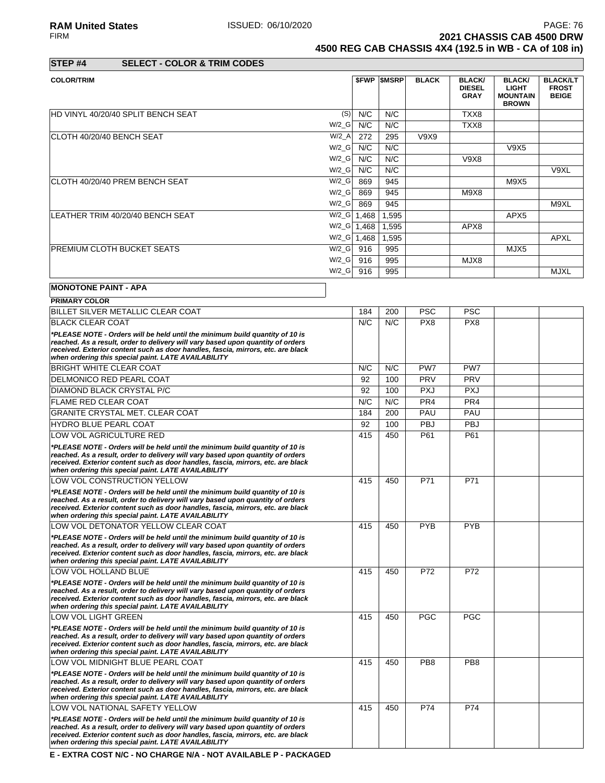**2021 CHASSIS CAB 4500 DRW** 

**4500 REG CAB CHASSIS 4X4 (192.5 in WB - CA of 108 in)**

| STEP #4 | <b>SELECT - COLOR &amp; TRIM CODES</b> |  |
|---------|----------------------------------------|--|

| <b>COLOR/TRIM</b>                                                                                                                                                                                                                                                                                                                                                                    |               |       | <b><i>SFWP SMSRP</i></b> | <b>BLACK</b> | <b>BLACK/</b><br><b>DIESEL</b><br><b>GRAY</b> | <b>BLACK/</b><br><b>LIGHT</b><br><b>MOUNTAIN</b><br><b>BROWN</b> | <b>BLACK/LT</b><br><b>FROST</b><br><b>BEIGE</b> |
|--------------------------------------------------------------------------------------------------------------------------------------------------------------------------------------------------------------------------------------------------------------------------------------------------------------------------------------------------------------------------------------|---------------|-------|--------------------------|--------------|-----------------------------------------------|------------------------------------------------------------------|-------------------------------------------------|
| HD VINYL 40/20/40 SPLIT BENCH SEAT                                                                                                                                                                                                                                                                                                                                                   | (S)           | N/C   | N/C                      |              | TXX8                                          |                                                                  |                                                 |
|                                                                                                                                                                                                                                                                                                                                                                                      | $W/2_G$       | N/C   | N/C                      |              | TXX8                                          |                                                                  |                                                 |
| ICLOTH 40/20/40 BENCH SEAT                                                                                                                                                                                                                                                                                                                                                           | $W/2_A$       | 272   | 295                      | V9X9         |                                               |                                                                  |                                                 |
|                                                                                                                                                                                                                                                                                                                                                                                      | $W/2_G$       | N/C   | N/C                      |              |                                               | V9X5                                                             |                                                 |
|                                                                                                                                                                                                                                                                                                                                                                                      | $W/2_G$       | N/C   | N/C                      |              | <b>V9X8</b>                                   |                                                                  |                                                 |
|                                                                                                                                                                                                                                                                                                                                                                                      | $W/2_G$       | N/C   | N/C                      |              |                                               |                                                                  | V9XL                                            |
| CLOTH 40/20/40 PREM BENCH SEAT                                                                                                                                                                                                                                                                                                                                                       | $W/2_G$       | 869   | 945                      |              |                                               | M9X5                                                             |                                                 |
|                                                                                                                                                                                                                                                                                                                                                                                      | $W/2_G$       | 869   | 945                      |              | M9X8                                          |                                                                  |                                                 |
|                                                                                                                                                                                                                                                                                                                                                                                      | $W/2_G$       | 869   | 945                      |              |                                               |                                                                  | M9XL                                            |
| LEATHER TRIM 40/20/40 BENCH SEAT                                                                                                                                                                                                                                                                                                                                                     | $W/2_G$       | 1,468 | 1,595                    |              |                                               | APX <sub>5</sub>                                                 |                                                 |
|                                                                                                                                                                                                                                                                                                                                                                                      | $W/Z_G$ 1,468 |       | 1,595                    |              | APX8                                          |                                                                  |                                                 |
|                                                                                                                                                                                                                                                                                                                                                                                      | $W/Z_G$       | 1,468 | 1,595                    |              |                                               |                                                                  | APXL                                            |
| <b>PREMIUM CLOTH BUCKET SEATS</b>                                                                                                                                                                                                                                                                                                                                                    | $W/2$ G       | 916   | 995                      |              |                                               | MJX5                                                             |                                                 |
|                                                                                                                                                                                                                                                                                                                                                                                      | $W/2_G$       | 916   | 995                      |              | MJX8                                          |                                                                  |                                                 |
|                                                                                                                                                                                                                                                                                                                                                                                      | $W/2_G$       | 916   | 995                      |              |                                               |                                                                  | <b>MJXL</b>                                     |
| <b>MONOTONE PAINT - APA</b>                                                                                                                                                                                                                                                                                                                                                          |               |       |                          |              |                                               |                                                                  |                                                 |
| <b>PRIMARY COLOR</b>                                                                                                                                                                                                                                                                                                                                                                 |               |       |                          |              |                                               |                                                                  |                                                 |
| $\overline{a}$ $\overline{b}$ $\overline{c}$ $\overline{c}$ $\overline{c}$ $\overline{c}$ $\overline{c}$ $\overline{c}$ $\overline{c}$ $\overline{c}$ $\overline{c}$ $\overline{c}$ $\overline{c}$ $\overline{c}$ $\overline{c}$ $\overline{c}$ $\overline{c}$ $\overline{c}$ $\overline{c}$ $\overline{c}$ $\overline{c}$ $\overline{c}$ $\overline{c}$ $\overline{c}$ $\overline{$ |               |       | المممانية                | $-\sim$      | $\sim$ $\sim$                                 |                                                                  |                                                 |

| BILLET SILVER METALLIC CLEAR COAT                                                                                                                                                                                                                                                                          | 184 | 200 | <b>PSC</b>      | <b>PSC</b>      |  |
|------------------------------------------------------------------------------------------------------------------------------------------------------------------------------------------------------------------------------------------------------------------------------------------------------------|-----|-----|-----------------|-----------------|--|
| <b>BLACK CLEAR COAT</b>                                                                                                                                                                                                                                                                                    | N/C | N/C | PX <sub>8</sub> | PX <sub>8</sub> |  |
| *PLEASE NOTE - Orders will be held until the minimum build quantity of 10 is<br>reached. As a result, order to delivery will vary based upon quantity of orders<br>received. Exterior content such as door handles, fascia, mirrors, etc. are black<br>when ordering this special paint. LATE AVAILABILITY |     |     |                 |                 |  |
| <b>BRIGHT WHITE CLEAR COAT</b>                                                                                                                                                                                                                                                                             | N/C | N/C | PW7             | PW7             |  |
| <b>DELMONICO RED PEARL COAT</b>                                                                                                                                                                                                                                                                            | 92  | 100 | <b>PRV</b>      | <b>PRV</b>      |  |
| DIAMOND BLACK CRYSTAL P/C                                                                                                                                                                                                                                                                                  | 92  | 100 | <b>PXJ</b>      | <b>PXJ</b>      |  |
| <b>FLAME RED CLEAR COAT</b>                                                                                                                                                                                                                                                                                | N/C | N/C | PR4             | PR4             |  |
| <b>GRANITE CRYSTAL MET. CLEAR COAT</b>                                                                                                                                                                                                                                                                     | 184 | 200 | PAU             | PAU             |  |
| <b>HYDRO BLUE PEARL COAT</b>                                                                                                                                                                                                                                                                               | 92  | 100 | PBJ             | <b>PBJ</b>      |  |
| LOW VOL AGRICULTURE RED                                                                                                                                                                                                                                                                                    | 415 | 450 | P61             | P61             |  |
| *PLEASE NOTE - Orders will be held until the minimum build quantity of 10 is<br>reached. As a result, order to delivery will vary based upon quantity of orders<br>received. Exterior content such as door handles, fascia, mirrors, etc. are black<br>when ordering this special paint. LATE AVAILABILITY |     |     |                 |                 |  |
| LOW VOL CONSTRUCTION YELLOW                                                                                                                                                                                                                                                                                | 415 | 450 | P71             | P71             |  |
| *PLEASE NOTE - Orders will be held until the minimum build quantity of 10 is<br>reached. As a result, order to delivery will vary based upon quantity of orders<br>received. Exterior content such as door handles, fascia, mirrors, etc. are black<br>when ordering this special paint. LATE AVAILABILITY |     |     |                 |                 |  |
| LOW VOL DETONATOR YELLOW CLEAR COAT                                                                                                                                                                                                                                                                        | 415 | 450 | <b>PYB</b>      | <b>PYB</b>      |  |
| *PLEASE NOTE - Orders will be held until the minimum build quantity of 10 is<br>reached. As a result, order to delivery will vary based upon quantity of orders<br>received. Exterior content such as door handles, fascia, mirrors, etc. are black<br>when ordering this special paint. LATE AVAILABILITY |     |     |                 |                 |  |
| LOW VOL HOLLAND BLUE                                                                                                                                                                                                                                                                                       | 415 | 450 | P72             | P72             |  |
| *PLEASE NOTE - Orders will be held until the minimum build quantity of 10 is<br>reached. As a result, order to delivery will vary based upon quantity of orders<br>received. Exterior content such as door handles, fascia, mirrors, etc. are black<br>when ordering this special paint. LATE AVAILABILITY |     |     |                 |                 |  |
| <b>LOW VOL LIGHT GREEN</b>                                                                                                                                                                                                                                                                                 | 415 | 450 | <b>PGC</b>      | <b>PGC</b>      |  |
| *PLEASE NOTE - Orders will be held until the minimum build quantity of 10 is<br>reached. As a result, order to delivery will vary based upon quantity of orders<br>received. Exterior content such as door handles, fascia, mirrors, etc. are black<br>when ordering this special paint. LATE AVAILABILITY |     |     |                 |                 |  |
| LOW VOL MIDNIGHT BLUE PEARL COAT                                                                                                                                                                                                                                                                           | 415 | 450 | PB <sub>8</sub> | PB <sub>8</sub> |  |
| *PLEASE NOTE - Orders will be held until the minimum build quantity of 10 is<br>reached. As a result, order to delivery will vary based upon quantity of orders<br>received. Exterior content such as door handles, fascia, mirrors, etc. are black<br>when ordering this special paint. LATE AVAILABILITY |     |     |                 |                 |  |
| LOW VOL NATIONAL SAFETY YELLOW                                                                                                                                                                                                                                                                             | 415 | 450 | P74             | P74             |  |
| *PLEASE NOTE - Orders will be held until the minimum build quantity of 10 is<br>reached. As a result, order to delivery will vary based upon quantity of orders<br>received. Exterior content such as door handles, fascia, mirrors, etc. are black<br>when ordering this special paint. LATE AVAILABILITY |     |     |                 |                 |  |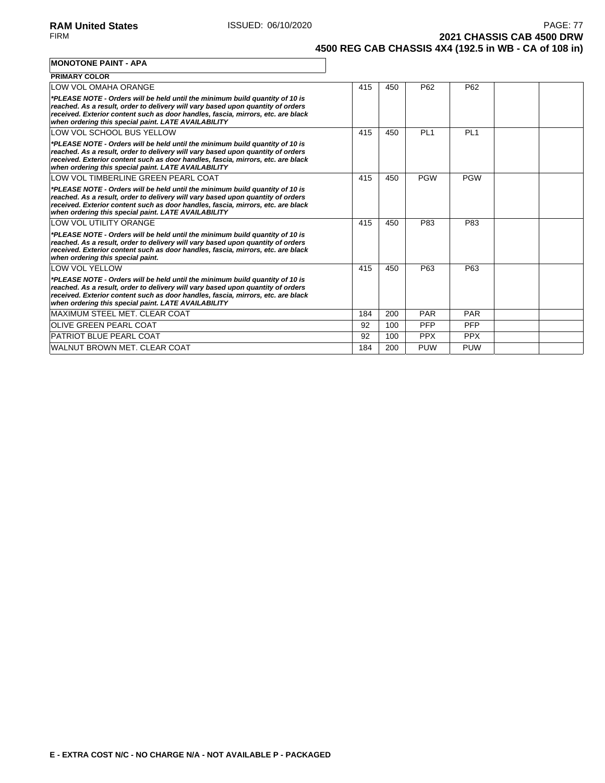**2021 CHASSIS CAB 4500 DRW 4500 REG CAB CHASSIS 4X4 (192.5 in WB - CA of 108 in)**

#### **MONOTONE PAINT - APA**

| <b>PRIMARY COLOR</b>                                                                                                                                                                                                                                                                                       |     |     |            |                 |  |
|------------------------------------------------------------------------------------------------------------------------------------------------------------------------------------------------------------------------------------------------------------------------------------------------------------|-----|-----|------------|-----------------|--|
| LOW VOL OMAHA ORANGE                                                                                                                                                                                                                                                                                       | 415 | 450 | P62        | P <sub>62</sub> |  |
| *PLEASE NOTE - Orders will be held until the minimum build quantity of 10 is<br>reached. As a result, order to delivery will vary based upon quantity of orders<br>received. Exterior content such as door handles, fascia, mirrors, etc. are black<br>when ordering this special paint. LATE AVAILABILITY |     |     |            |                 |  |
| LOW VOL SCHOOL BUS YELLOW                                                                                                                                                                                                                                                                                  | 415 | 450 | PI 1       | PI <sub>1</sub> |  |
| *PLEASE NOTE - Orders will be held until the minimum build quantity of 10 is<br>reached. As a result, order to delivery will vary based upon quantity of orders<br>received. Exterior content such as door handles, fascia, mirrors, etc. are black<br>when ordering this special paint. LATE AVAILABILITY |     |     |            |                 |  |
| LOW VOL TIMBERLINE GREEN PEARL COAT                                                                                                                                                                                                                                                                        | 415 | 450 | <b>PGW</b> | <b>PGW</b>      |  |
| *PLEASE NOTE - Orders will be held until the minimum build quantity of 10 is<br>reached. As a result, order to delivery will vary based upon quantity of orders<br>received. Exterior content such as door handles, fascia, mirrors, etc. are black<br>when ordering this special paint. LATE AVAILABILITY |     |     |            |                 |  |
| <b>LOW VOL UTILITY ORANGE</b>                                                                                                                                                                                                                                                                              | 415 | 450 | P83        | P83             |  |
| *PLEASE NOTE - Orders will be held until the minimum build quantity of 10 is<br>reached. As a result, order to delivery will vary based upon quantity of orders<br>received. Exterior content such as door handles, fascia, mirrors, etc. are black<br>when ordering this special paint.                   |     |     |            |                 |  |
| <b>LOW VOL YELLOW</b>                                                                                                                                                                                                                                                                                      | 415 | 450 | P63        | P63             |  |
| *PLEASE NOTE - Orders will be held until the minimum build quantity of 10 is<br>reached. As a result, order to delivery will vary based upon quantity of orders<br>received. Exterior content such as door handles, fascia, mirrors, etc. are black<br>when ordering this special paint. LATE AVAILABILITY |     |     |            |                 |  |
| MAXIMUM STEEL MET. CLEAR COAT                                                                                                                                                                                                                                                                              | 184 | 200 | <b>PAR</b> | <b>PAR</b>      |  |
| <b>OLIVE GREEN PEARL COAT</b>                                                                                                                                                                                                                                                                              | 92  | 100 | <b>PFP</b> | <b>PFP</b>      |  |
| <b>PATRIOT BLUE PEARL COAT</b>                                                                                                                                                                                                                                                                             | 92  | 100 | <b>PPX</b> | <b>PPX</b>      |  |
| WALNUT BROWN MET. CLEAR COAT                                                                                                                                                                                                                                                                               | 184 | 200 | <b>PUW</b> | <b>PUW</b>      |  |

٦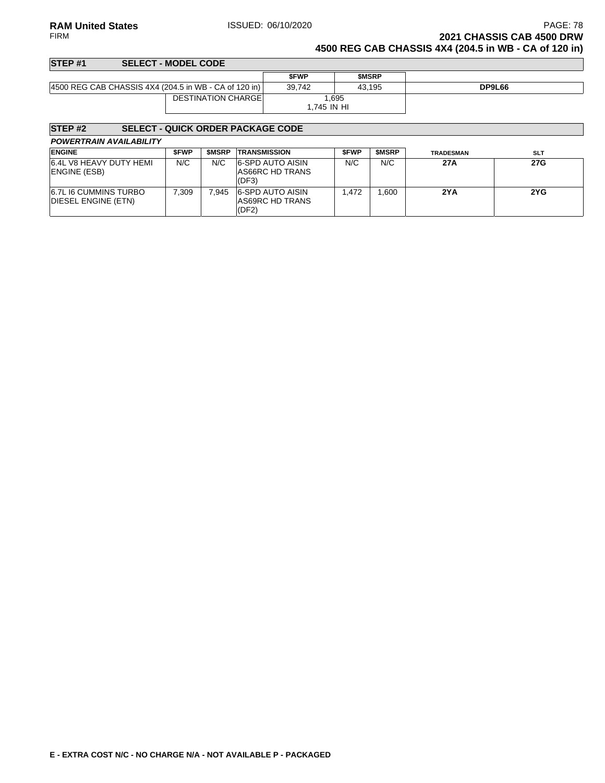**RAM United States ISSUED: 06/10/2020 PAGE: 78 PAGE: 78** FIRM **2021 CHASSIS CAB 4500 DRW**

**4500 REG CAB CHASSIS 4X4 (204.5 in WB - CA of 120 in)**

## **STEP #1 SELECT - MODEL CODE \$FWP \$MSRP** 4500 REG CAB CHASSIS 4X4 (204.5 in WB - CA of 120 in) 39,742 43,195 **DP9L66** DESTINATION CHARGE 1,695 1,745 IN HI

## **STEP #2 SELECT - QUICK ORDER PACKAGE CODE**

| <b>POWERTRAIN AVAILABILITY</b> |  |
|--------------------------------|--|
|--------------------------------|--|

| <b>ENGINE</b>                                       | <b>SFWP</b> | <b>SMSRP</b> | <b>TRANSMISSION</b>                                        | <b>SFWP</b> | <b>SMSRP</b> | <b>TRADESMAN</b> | <b>SLT</b> |
|-----------------------------------------------------|-------------|--------------|------------------------------------------------------------|-------------|--------------|------------------|------------|
| 6.4L V8 HEAVY DUTY HEMI<br><b>ENGINE (ESB)</b>      | N/C         | N/C          | <b>6-SPD AUTO AISIN</b><br><b>AS66RC HD TRANS</b><br>(DF3) | N/C         | N/C          | 27A              | 27G        |
| <b>6.7L I6 CUMMINS TURBO</b><br>DIESEL ENGINE (ETN) | 7.309       | 7.945        | <b>6-SPD AUTO AISIN</b><br>AS69RC HD TRANS<br>(DF2)        | .472        | .600         | 2YA              | 2YG        |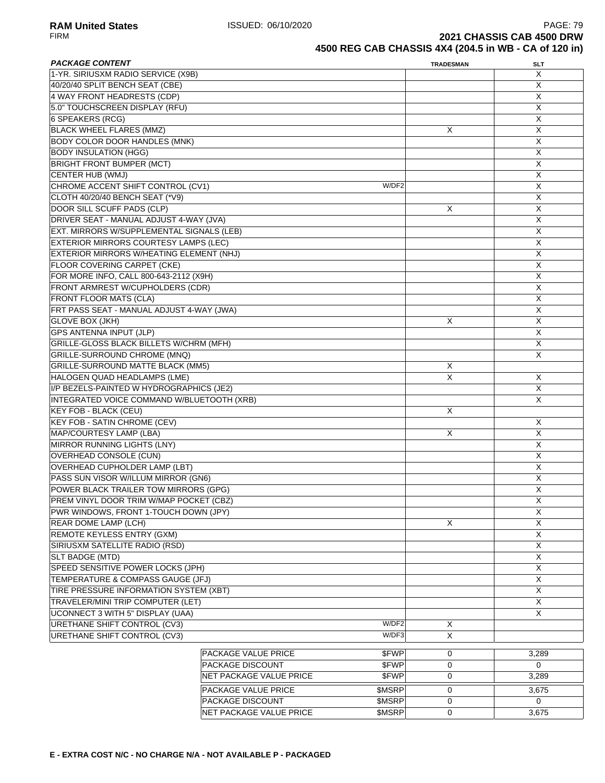**RAM United States ISSUED: 06/10/2020 PAGE: 79**<br>FIRM **PAGE: 79 PAGE: 79 PAGE: 79 PAGE: 79 PAGE: 79 PAGE: 79 PAGE: 79 PAGE: 79 PAGE: 79 PAGE: 79 PAGE: 79 PAGE: 79 PAGE: 79 PAGE: 79 PAGE: 79 2021 CHASSIS CAB 4500 DRW 4500 REG CAB CHASSIS 4X4 (204.5 in WB - CA of 120 in)**

| <b>PACKAGE CONTENT</b>                     |                         |        | <b>TRADESMAN</b> | <b>SLT</b>     |
|--------------------------------------------|-------------------------|--------|------------------|----------------|
| 1-YR. SIRIUSXM RADIO SERVICE (X9B)         |                         |        |                  | X              |
| 40/20/40 SPLIT BENCH SEAT (CBE)            |                         |        |                  | X              |
| 4 WAY FRONT HEADRESTS (CDP)                |                         |        |                  | X              |
| 5.0" TOUCHSCREEN DISPLAY (RFU)             |                         |        |                  | X              |
| 6 SPEAKERS (RCG)                           |                         |        |                  | X              |
| <b>BLACK WHEEL FLARES (MMZ)</b>            |                         |        | X                | X              |
| <b>BODY COLOR DOOR HANDLES (MNK)</b>       |                         |        |                  | X              |
| <b>BODY INSULATION (HGG)</b>               |                         |        |                  | X              |
| <b>BRIGHT FRONT BUMPER (MCT)</b>           |                         |        |                  | $\overline{X}$ |
| CENTER HUB (WMJ)                           |                         |        |                  | $\overline{X}$ |
| CHROME ACCENT SHIFT CONTROL (CV1)          |                         | W/DF2  |                  | X              |
| CLOTH 40/20/40 BENCH SEAT (*V9)            |                         |        |                  | X              |
| DOOR SILL SCUFF PADS (CLP)                 |                         |        | X                | X              |
| DRIVER SEAT - MANUAL ADJUST 4-WAY (JVA)    |                         |        |                  | X              |
| EXT. MIRRORS W/SUPPLEMENTAL SIGNALS (LEB)  |                         |        |                  | Χ              |
| EXTERIOR MIRRORS COURTESY LAMPS (LEC)      |                         |        |                  | X              |
| EXTERIOR MIRRORS W/HEATING ELEMENT (NHJ)   |                         |        |                  | X              |
| FLOOR COVERING CARPET (CKE)                |                         |        |                  | X              |
| FOR MORE INFO, CALL 800-643-2112 (X9H)     |                         |        |                  | $\overline{X}$ |
| FRONT ARMREST W/CUPHOLDERS (CDR)           |                         |        |                  | X              |
| <b>FRONT FLOOR MATS (CLA)</b>              |                         |        |                  | X              |
| FRT PASS SEAT - MANUAL ADJUST 4-WAY (JWA)  |                         |        |                  | X              |
| <b>GLOVE BOX (JKH)</b>                     |                         |        | X                | X              |
| <b>GPS ANTENNA INPUT (JLP)</b>             |                         |        |                  | X              |
| GRILLE-GLOSS BLACK BILLETS W/CHRM (MFH)    |                         |        |                  | Χ              |
| GRILLE-SURROUND CHROME (MNQ)               |                         |        |                  | X              |
| <b>GRILLE-SURROUND MATTE BLACK (MM5)</b>   |                         |        | Х                |                |
| HALOGEN QUAD HEADLAMPS (LME)               |                         |        | $\overline{X}$   | X              |
| I/P BEZELS-PAINTED W HYDROGRAPHICS (JE2)   |                         | X      |                  |                |
| INTEGRATED VOICE COMMAND W/BLUETOOTH (XRB) |                         |        |                  | X              |
| <b>KEY FOB - BLACK (CEU)</b>               |                         |        | X                |                |
| <b>KEY FOB - SATIN CHROME (CEV)</b>        |                         |        |                  | Χ              |
| MAP/COURTESY LAMP (LBA)                    |                         |        | X                | X              |
| MIRROR RUNNING LIGHTS (LNY)                |                         |        |                  | X              |
| <b>OVERHEAD CONSOLE (CUN)</b>              |                         |        |                  | X              |
| OVERHEAD CUPHOLDER LAMP (LBT)              |                         |        |                  | X              |
| PASS SUN VISOR W/ILLUM MIRROR (GN6)        |                         |        |                  | $\overline{X}$ |
| POWER BLACK TRAILER TOW MIRRORS (GPG)      |                         |        |                  | X              |
| PREM VINYL DOOR TRIM W/MAP POCKET (CBZ)    |                         |        |                  | $\mathsf X$    |
| PWR WINDOWS, FRONT 1-TOUCH DOWN (JPY)      |                         |        |                  | X              |
| REAR DOME LAMP (LCH)                       |                         |        | X                | Χ              |
| REMOTE KEYLESS ENTRY (GXM)                 |                         |        |                  | X              |
| SIRIUSXM SATELLITE RADIO (RSD)             |                         |        |                  | X              |
| SLT BADGE (MTD)                            |                         |        |                  | X              |
| SPEED SENSITIVE POWER LOCKS (JPH)          |                         |        |                  | $\overline{X}$ |
| TEMPERATURE & COMPASS GAUGE (JFJ)          |                         |        |                  | X              |
| TIRE PRESSURE INFORMATION SYSTEM (XBT)     |                         |        |                  | $\overline{X}$ |
| TRAVELER/MINI TRIP COMPUTER (LET)          |                         |        |                  | X              |
| <b>UCONNECT 3 WITH 5" DISPLAY (UAA)</b>    |                         |        |                  | X              |
| <b>URETHANE SHIFT CONTROL (CV3)</b>        |                         | W/DF2  | X                |                |
| URETHANE SHIFT CONTROL (CV3)               |                         | W/DF3  | X                |                |
|                                            |                         |        |                  |                |
|                                            | PACKAGE VALUE PRICE     | \$FWP  | 0                | 3,289          |
|                                            | PACKAGE DISCOUNT        | \$FWP  | 0                | $\Omega$       |
|                                            | NET PACKAGE VALUE PRICE | \$FWP  | 0                | 3,289          |
|                                            | PACKAGE VALUE PRICE     | \$MSRP | 0                | 3,675          |
|                                            | PACKAGE DISCOUNT        | \$MSRP | 0                | 0              |

NET PACKAGE VALUE PRICE \$MSRP 0 3,675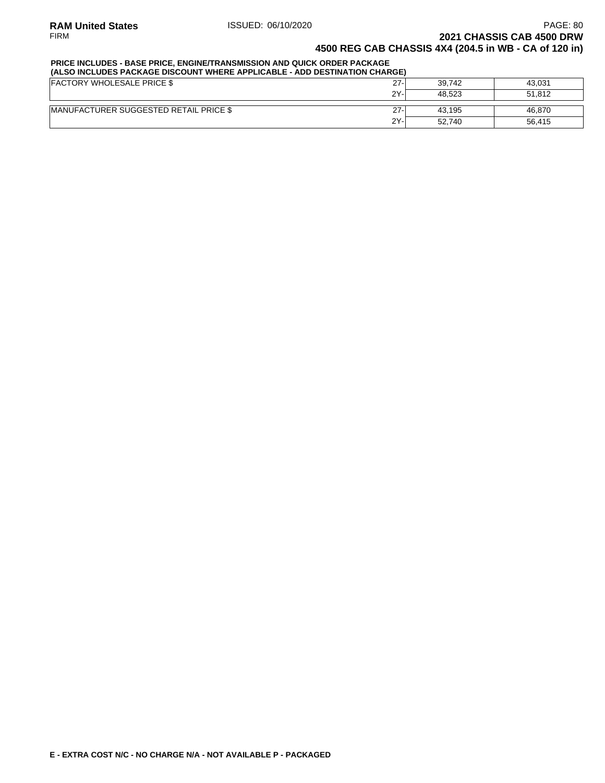## **PRICE INCLUDES - BASE PRICE, ENGINE/TRANSMISSION AND QUICK ORDER PACKAGE**

| (ALSO INCLUDES PACKAGE DISCOUNT WHERE APPLICABLE - ADD DESTINATION CHARGE) |        |        |        |  |  |  |
|----------------------------------------------------------------------------|--------|--------|--------|--|--|--|
| <b>FACTORY WHOLESALE PRICE \$</b>                                          | $27 -$ | 39.742 | 43.031 |  |  |  |
|                                                                            | 2Y-    | 48.523 | 51.812 |  |  |  |
| <b>IMANUFACTURER SUGGESTED RETAIL PRICE \$</b>                             | $27 -$ | 43.195 | 46.870 |  |  |  |
|                                                                            | $2Y -$ | 52.740 | 56.415 |  |  |  |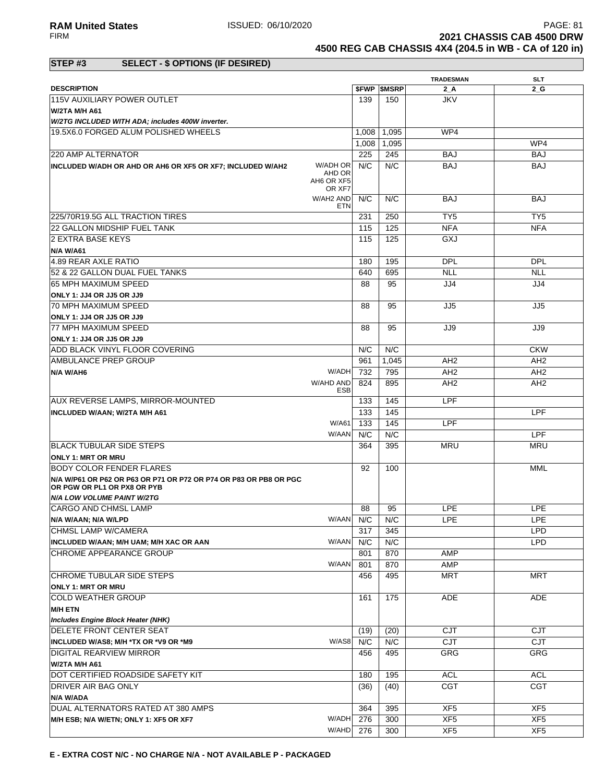**RAM United States ISSUED: 06/10/2020** PAGE: 81<br>PAGE: 81 **PAGE: 81** PAGE: 81 **PAGE: 81** PIRM **2021 CHASSIS CAB 4500 DRW** 

**4500 REG CAB CHASSIS 4X4 (204.5 in WB - CA of 120 in)**

### **STEP #3 SELECT - \$ OPTIONS (IF DESIRED)**

|                                                                                                  |                     |                          | <b>TRADESMAN</b>         | <b>SLT</b>                    |
|--------------------------------------------------------------------------------------------------|---------------------|--------------------------|--------------------------|-------------------------------|
| <b>DESCRIPTION</b>                                                                               |                     | <b><i>SFWP SMSRP</i></b> | 2 A                      | 2 G                           |
| 115V AUXILIARY POWER OUTLET                                                                      | 139                 | 150                      | <b>JKV</b>               |                               |
| <b>W/2TA M/H A61</b>                                                                             |                     |                          |                          |                               |
| W/2TG INCLUDED WITH ADA; includes 400W inverter.                                                 |                     |                          |                          |                               |
| 19.5X6.0 FORGED ALUM POLISHED WHEELS                                                             | 1,008               | 1,095                    | WP4                      |                               |
|                                                                                                  | 1,008               | 1,095                    |                          | WP4                           |
| 220 AMP ALTERNATOR<br>W/ADH OR                                                                   | 225<br>N/C          | 245<br>N/C               | <b>BAJ</b><br><b>BAJ</b> | <b>BAJ</b>                    |
| INCLUDED W/ADH OR AHD OR AH6 OR XF5 OR XF7; INCLUDED W/AH2<br>AHD OR<br>AH6 OR XF5               | OR XF7              |                          |                          | <b>BAJ</b>                    |
| W/AH2 AND                                                                                        | N/C<br><b>ETN</b>   | N/C                      | <b>BAJ</b>               | <b>BAJ</b>                    |
| 225/70R19.5G ALL TRACTION TIRES                                                                  | 231                 | 250                      | TY <sub>5</sub>          | TY5                           |
| 22 GALLON MIDSHIP FUEL TANK                                                                      | 115                 | 125                      | <b>NFA</b>               | <b>NFA</b>                    |
| 2 EXTRA BASE KEYS                                                                                | 115                 | 125                      | GXJ                      |                               |
| <b>N/A W/A61</b>                                                                                 |                     |                          |                          |                               |
| 4.89 REAR AXLE RATIO                                                                             | 180                 | 195                      | <b>DPL</b>               | <b>DPL</b>                    |
| 52 & 22 GALLON DUAL FUEL TANKS                                                                   | 640                 | 695                      | <b>NLL</b>               | <b>NLL</b>                    |
| 65 MPH MAXIMUM SPEED                                                                             | 88                  | 95                       | JJ4                      | JJ4                           |
| <b>ONLY 1: JJ4 OR JJ5 OR JJ9</b>                                                                 |                     |                          |                          |                               |
| 70 MPH MAXIMUM SPEED                                                                             | 88                  | 95                       | JJ5                      | JJ5                           |
| <b>ONLY 1: JJ4 OR JJ5 OR JJ9</b>                                                                 |                     |                          |                          |                               |
| <b>77 MPH MAXIMUM SPEED</b>                                                                      | 88                  | 95                       | JJ9                      | JJ9                           |
| ONLY 1: JJ4 OR JJ5 OR JJ9                                                                        | N/C                 | N/C                      |                          |                               |
| ADD BLACK VINYL FLOOR COVERING<br><b>IAMBULANCE PREP GROUP</b>                                   | 961                 | 1.045                    | AH <sub>2</sub>          | <b>CKW</b><br>AH <sub>2</sub> |
| N/A W/AH6                                                                                        | W/ADH<br>732        | 795                      | AH <sub>2</sub>          | AH <sub>2</sub>               |
| W/AHD AND                                                                                        | 824                 | 895                      | AH <sub>2</sub>          | AH <sub>2</sub>               |
|                                                                                                  | <b>ESB</b>          |                          |                          |                               |
| AUX REVERSE LAMPS, MIRROR-MOUNTED                                                                | 133                 | 145                      | LPF                      |                               |
| <b>INCLUDED W/AAN; W/2TA M/H A61</b>                                                             | 133                 | 145                      |                          | <b>LPF</b>                    |
|                                                                                                  | W/A61<br>133        | 145                      | LPF                      |                               |
|                                                                                                  | N/C<br>W/AAN        | N/C                      |                          | <b>LPF</b>                    |
| <b>BLACK TUBULAR SIDE STEPS</b>                                                                  | 364                 | 395                      | <b>MRU</b>               | <b>MRU</b>                    |
| <b>ONLY 1: MRT OR MRU</b>                                                                        |                     |                          |                          |                               |
| <b>BODY COLOR FENDER FLARES</b>                                                                  | 92                  | 100                      |                          | MML                           |
| N/A W/P61 OR P62 OR P63 OR P71 OR P72 OR P74 OR P83 OR PB8 OR PGC<br>OR PGW OR PL1 OR PX8 OR PYB |                     |                          |                          |                               |
| <b>N/A LOW VOLUME PAINT W/2TG</b>                                                                |                     |                          |                          |                               |
| <b>CARGO AND CHMSL LAMP</b>                                                                      | 88                  | 95                       | <b>LPE</b>               | <b>LPE</b>                    |
| N/A W/AAN; N/A W/LPD                                                                             | W/AAN N/C           | N/C                      | <b>LPE</b>               | <b>LPE</b>                    |
| CHMSL LAMP W/CAMERA                                                                              | 317                 | 345                      |                          | <b>LPD</b>                    |
| INCLUDED W/AAN; M/H UAM; M/H XAC OR AAN                                                          | N/C<br>W/AAN        | N/C                      |                          | <b>LPD</b>                    |
| CHROME APPEARANCE GROUP                                                                          | 801<br>W/AAN<br>801 | 870<br>870               | AMP<br>AMP               |                               |
| CHROME TUBULAR SIDE STEPS                                                                        | 456                 | 495                      | <b>MRT</b>               | <b>MRT</b>                    |
| <b>ONLY 1: MRT OR MRU</b>                                                                        |                     |                          |                          |                               |
| <b>COLD WEATHER GROUP</b>                                                                        | 161                 | 175                      | <b>ADE</b>               | ADE                           |
| <b>M/H ETN</b>                                                                                   |                     |                          |                          |                               |
| Includes Engine Block Heater (NHK)                                                               |                     |                          |                          |                               |
| <b>DELETE FRONT CENTER SEAT</b>                                                                  | (19)                | (20)                     | <b>CJT</b>               | <b>CJT</b>                    |
| INCLUDED W/AS8; M/H *TX OR *V9 OR *M9                                                            | W/AS8<br>N/C        | N/C                      | <b>CJT</b>               | CJT                           |
| <b>DIGITAL REARVIEW MIRROR</b>                                                                   | 456                 | 495                      | <b>GRG</b>               | GRG                           |
| W/2TA M/H A61                                                                                    |                     |                          |                          |                               |
| DOT CERTIFIED ROADSIDE SAFETY KIT                                                                | 180                 | 195                      | <b>ACL</b>               | <b>ACL</b>                    |
| DRIVER AIR BAG ONLY                                                                              | (36)                | (40)                     | <b>CGT</b>               | CGT                           |
| N/A W/ADA                                                                                        |                     |                          |                          |                               |
| DUAL ALTERNATORS RATED AT 380 AMPS                                                               | 364                 | 395                      | XF <sub>5</sub>          | XF <sub>5</sub>               |
| M/H ESB; N/A W/ETN; ONLY 1: XF5 OR XF7                                                           | W/ADH<br>276        | 300                      | XF <sub>5</sub>          | XF <sub>5</sub>               |
|                                                                                                  | W/AHD<br>276        | 300                      | XF <sub>5</sub>          | XF <sub>5</sub>               |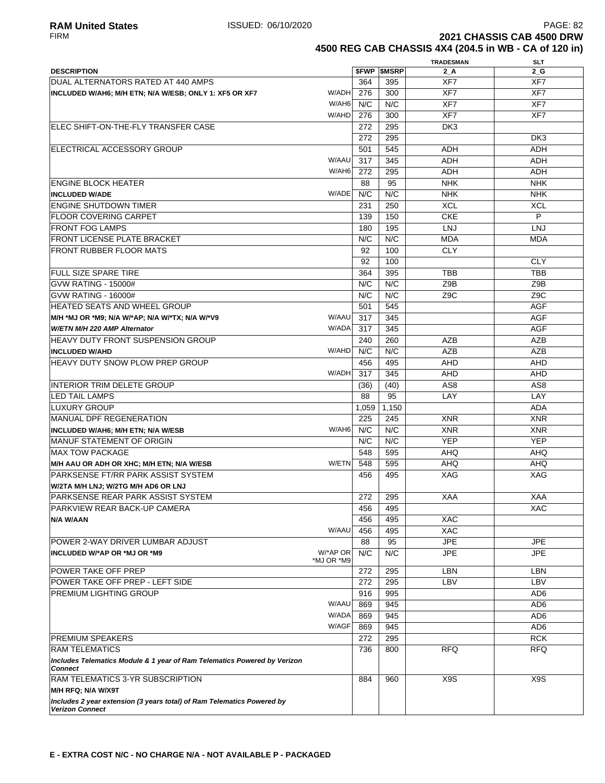**2021 CHASSIS CAB 4500 DRW 4500 REG CAB CHASSIS 4X4 (204.5 in WB - CA of 120 in)**

|                                                                          |            |       |                          | <b>TRADESMAN</b> | <b>SLT</b>       |
|--------------------------------------------------------------------------|------------|-------|--------------------------|------------------|------------------|
| <b>DESCRIPTION</b>                                                       |            |       | <b><i>SFWP SMSRP</i></b> | 2A               | $2_G$            |
| DUAL ALTERNATORS RATED AT 440 AMPS                                       |            | 364   | 395                      | XF7              | XF7              |
| INCLUDED W/AH6; M/H ETN; N/A W/ESB; ONLY 1: XF5 OR XF7                   | W/ADH      | 276   | 300                      | XF7              | XF7              |
|                                                                          | W/AH6      | N/C   | N/C                      | XF7              | XF7              |
|                                                                          | W/AHD      | 276   | 300                      | XF7              | XF7              |
| IELEC SHIFT-ON-THE-FLY TRANSFER CASE                                     |            | 272   | 295                      | DK3              |                  |
|                                                                          |            | 272   | 295                      |                  | DK <sub>3</sub>  |
| ELECTRICAL ACCESSORY GROUP                                               |            | 501   | 545                      | ADH              | <b>ADH</b>       |
|                                                                          | W/AAU      | 317   | 345                      | <b>ADH</b>       | ADH              |
|                                                                          | W/AH6      | 272   | 295                      | <b>ADH</b>       | <b>ADH</b>       |
|                                                                          |            |       |                          |                  |                  |
| <b>ENGINE BLOCK HEATER</b>                                               |            | 88    | 95                       | <b>NHK</b>       | <b>NHK</b>       |
| <b>INCLUDED W/ADE</b>                                                    | W/ADE      | N/C   | N/C                      | <b>NHK</b>       | <b>NHK</b>       |
| <b>ENGINE SHUTDOWN TIMER</b>                                             |            | 231   | 250                      | <b>XCL</b>       | XCL              |
| <b>FLOOR COVERING CARPET</b>                                             |            | 139   | 150                      | <b>CKE</b>       | P                |
| <b>FRONT FOG LAMPS</b>                                                   |            | 180   | 195                      | <b>LNJ</b>       | <b>LNJ</b>       |
| <b>FRONT LICENSE PLATE BRACKET</b>                                       |            | N/C   | N/C                      | <b>MDA</b>       | <b>MDA</b>       |
| FRONT RUBBER FLOOR MATS                                                  |            | 92    | 100                      | <b>CLY</b>       |                  |
|                                                                          |            | 92    | 100                      |                  | <b>CLY</b>       |
| <b>FULL SIZE SPARE TIRE</b>                                              |            | 364   | 395                      | <b>TBB</b>       | <b>TBB</b>       |
| GVW RATING - 15000#                                                      |            | N/C   | N/C                      | Z9B              | Z9B              |
| GVW RATING - 16000#                                                      |            | N/C   | N/C                      | Z <sub>9</sub> C | Z <sub>9</sub> C |
| HEATED SEATS AND WHEEL GROUP                                             |            | 501   | 545                      |                  | <b>AGF</b>       |
| M/H *MJ OR *M9; N/A W/*AP; N/A W/*TX; N/A W/*V9                          | W/AAU      | 317   | 345                      |                  | <b>AGF</b>       |
| W/ETN M/H 220 AMP Alternator                                             | W/ADA      | 317   | 345                      |                  | <b>AGF</b>       |
| <b>HEAVY DUTY FRONT SUSPENSION GROUP</b>                                 |            | 240   | 260                      | <b>AZB</b>       | AZB              |
| <b>INCLUDED W/AHD</b>                                                    | W/AHD      | N/C   | N/C                      | <b>AZB</b>       | AZB              |
| <b>HEAVY DUTY SNOW PLOW PREP GROUP</b>                                   |            | 456   | 495                      | <b>AHD</b>       | <b>AHD</b>       |
|                                                                          | W/ADH      | 317   | 345                      | <b>AHD</b>       | <b>AHD</b>       |
|                                                                          |            |       |                          |                  |                  |
| INTERIOR TRIM DELETE GROUP                                               |            | (36)  | (40)                     | AS8              | AS <sub>8</sub>  |
| <b>LED TAIL LAMPS</b>                                                    |            | 88    | 95                       | LAY              | LAY              |
| LUXURY GROUP                                                             |            | 1,059 | 1,150                    |                  | <b>ADA</b>       |
| MANUAL DPF REGENERATION                                                  |            | 225   | 245                      | <b>XNR</b>       | <b>XNR</b>       |
| <b>INCLUDED W/AH6; M/H ETN; N/A W/ESB</b>                                | W/AH6      | N/C   | N/C                      | <b>XNR</b>       | <b>XNR</b>       |
| <b>MANUF STATEMENT OF ORIGIN</b>                                         |            | N/C   | N/C                      | <b>YEP</b>       | <b>YEP</b>       |
| <b>MAX TOW PACKAGE</b>                                                   |            | 548   | 595                      | <b>AHQ</b>       | <b>AHQ</b>       |
| M/H AAU OR ADH OR XHC; M/H ETN; N/A W/ESB                                | W/ETN      | 548   | 595                      | <b>AHQ</b>       | <b>AHQ</b>       |
| PARKSENSE FT/RR PARK ASSIST SYSTEM                                       |            | 456   | 495                      | XAG              | XAG              |
| W/2TA M/H LNJ; W/2TG M/H AD6 OR LNJ                                      |            |       |                          |                  |                  |
| PARKSENSE REAR PARK ASSIST SYSTEM                                        |            | 272   | 295                      | <b>XAA</b>       | <b>XAA</b>       |
| <b>PARKVIEW REAR BACK-UP CAMERA</b>                                      |            | 456   | 495                      |                  | XAC              |
| N/A W/AAN                                                                |            | 456   | 495                      | <b>XAC</b>       |                  |
|                                                                          | W/AAU      | 456   | 495                      | <b>XAC</b>       |                  |
| POWER 2-WAY DRIVER LUMBAR ADJUST                                         |            | 88    | 95                       | <b>JPE</b>       | <b>JPE</b>       |
| INCLUDED W/*AP OR *MJ OR *M9                                             | W/*AP OR   | N/C   | N/C                      | <b>JPE</b>       | <b>JPE</b>       |
|                                                                          | *MJ OR *M9 |       |                          |                  |                  |
| POWER TAKE OFF PREP                                                      |            | 272   | 295                      | <b>LBN</b>       | <b>LBN</b>       |
| POWER TAKE OFF PREP - LEFT SIDE                                          |            | 272   | 295                      | LBV              | LBV              |
| <b>PREMIUM LIGHTING GROUP</b>                                            |            | 916   | 995                      |                  | AD6              |
|                                                                          | W/AAU      | 869   | 945                      |                  | AD <sub>6</sub>  |
|                                                                          | W/ADA      | 869   | 945                      |                  | AD <sub>6</sub>  |
|                                                                          | W/AGF      | 869   | 945                      |                  | AD <sub>6</sub>  |
| <b>PREMIUM SPEAKERS</b>                                                  |            | 272   | 295                      |                  | <b>RCK</b>       |
| <b>RAM TELEMATICS</b>                                                    |            | 736   | 800                      | <b>RFQ</b>       | <b>RFQ</b>       |
| Includes Telematics Module & 1 year of Ram Telematics Powered by Verizon |            |       |                          |                  |                  |
| <b>Connect</b>                                                           |            |       |                          |                  |                  |
| RAM TELEMATICS 3-YR SUBSCRIPTION                                         |            | 884   | 960                      | X9S              | X9S              |
| M/H RFQ; N/A W/X9T                                                       |            |       |                          |                  |                  |
| Includes 2 year extension (3 years total) of Ram Telematics Powered by   |            |       |                          |                  |                  |
| <b>Verizon Connect</b>                                                   |            |       |                          |                  |                  |
|                                                                          |            |       |                          |                  |                  |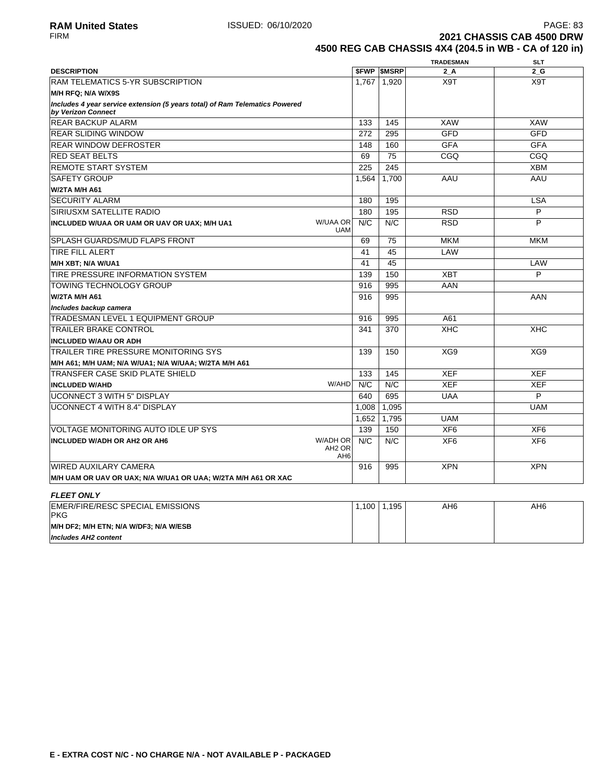**2021 CHASSIS CAB 4500 DRW 4500 REG CAB CHASSIS 4X4 (204.5 in WB - CA of 120 in)**

|                                                                                                   |                                                   |       |                          | <b>TRADESMAN</b> | <b>SLT</b>      |
|---------------------------------------------------------------------------------------------------|---------------------------------------------------|-------|--------------------------|------------------|-----------------|
| <b>DESCRIPTION</b>                                                                                |                                                   |       | <b><i>SFWP SMSRP</i></b> | 2 A              | 2 G             |
| <b>RAM TELEMATICS 5-YR SUBSCRIPTION</b>                                                           |                                                   | 1,767 | 1,920                    | X9T              | X9T             |
| M/H RFQ: N/A W/X9S                                                                                |                                                   |       |                          |                  |                 |
| Includes 4 year service extension (5 years total) of Ram Telematics Powered<br>by Verizon Connect |                                                   |       |                          |                  |                 |
| <b>REAR BACKUP ALARM</b>                                                                          |                                                   | 133   | 145                      | <b>XAW</b>       | <b>XAW</b>      |
| <b>REAR SLIDING WINDOW</b>                                                                        |                                                   | 272   | 295                      | <b>GFD</b>       | <b>GFD</b>      |
| <b>REAR WINDOW DEFROSTER</b>                                                                      |                                                   | 148   | 160                      | <b>GFA</b>       | <b>GFA</b>      |
| <b>RED SEAT BELTS</b>                                                                             |                                                   | 69    | 75                       | CGQ              | CGQ             |
| <b>REMOTE START SYSTEM</b>                                                                        |                                                   | 225   | 245                      |                  | <b>XBM</b>      |
| <b>SAFETY GROUP</b>                                                                               |                                                   | 1.564 | 1.700                    | AAU              | AAU             |
| <b>W/2TA M/H A61</b>                                                                              |                                                   |       |                          |                  |                 |
| <b>SECURITY ALARM</b>                                                                             |                                                   | 180   | 195                      |                  | <b>LSA</b>      |
| <b>SIRIUSXM SATELLITE RADIO</b>                                                                   |                                                   | 180   | 195                      | <b>RSD</b>       | P               |
| INCLUDED W/UAA OR UAM OR UAV OR UAX; M/H UA1                                                      | <b>W/UAA OR</b><br><b>UAM</b>                     | N/C   | N/C                      | <b>RSD</b>       | P               |
| <b>SPLASH GUARDS/MUD FLAPS FRONT</b>                                                              |                                                   | 69    | 75                       | <b>MKM</b>       | <b>MKM</b>      |
| <b>TIRE FILL ALERT</b>                                                                            |                                                   | 41    | 45                       | LAW              |                 |
| M/H XBT; N/A W/UA1                                                                                |                                                   | 41    | 45                       |                  | LAW             |
| TIRE PRESSURE INFORMATION SYSTEM                                                                  |                                                   | 139   | 150                      | <b>XBT</b>       | P               |
| <b>TOWING TECHNOLOGY GROUP</b>                                                                    |                                                   | 916   | 995                      | AAN              |                 |
| W/2TA M/H A61                                                                                     |                                                   | 916   | 995                      |                  | AAN             |
| Includes backup camera                                                                            |                                                   |       |                          |                  |                 |
| <b>TRADESMAN LEVEL 1 EQUIPMENT GROUP</b>                                                          |                                                   | 916   | 995                      | A61              |                 |
| <b>TRAILER BRAKE CONTROL</b>                                                                      |                                                   | 341   | 370                      | <b>XHC</b>       | <b>XHC</b>      |
| <b>INCLUDED W/AAU OR ADH</b>                                                                      |                                                   |       |                          |                  |                 |
| TRAILER TIRE PRESSURE MONITORING SYS                                                              |                                                   | 139   | 150                      | XG9              | XG9             |
| M/H A61; M/H UAM; N/A W/UA1; N/A W/UAA; W/2TA M/H A61                                             |                                                   |       |                          |                  |                 |
| TRANSFER CASE SKID PLATE SHIELD                                                                   |                                                   | 133   | 145                      | <b>XEF</b>       | <b>XEF</b>      |
| <b>INCLUDED W/AHD</b>                                                                             | W/AHD                                             | N/C   | N/C                      | <b>XEF</b>       | <b>XEF</b>      |
| <b>UCONNECT 3 WITH 5" DISPLAY</b>                                                                 |                                                   | 640   | 695                      | <b>UAA</b>       | P               |
| <b>UCONNECT 4 WITH 8.4" DISPLAY</b>                                                               |                                                   | 1.008 | 1.095                    |                  | <b>UAM</b>      |
|                                                                                                   |                                                   | 1,652 | 1,795                    | <b>UAM</b>       |                 |
| VOLTAGE MONITORING AUTO IDLE UP SYS                                                               |                                                   | 139   | 150                      | XF <sub>6</sub>  | XF <sub>6</sub> |
| <b>INCLUDED W/ADH OR AH2 OR AH6</b>                                                               | W/ADH OR<br>AH <sub>2</sub> OR<br>AH <sub>6</sub> | N/C   | N/C                      | XF <sub>6</sub>  | XF <sub>6</sub> |
| <b>WIRED AUXILARY CAMERA</b>                                                                      |                                                   | 916   | 995                      | <b>XPN</b>       | <b>XPN</b>      |
| M/H UAM OR UAV OR UAX; N/A W/UA1 OR UAA; W/2TA M/H A61 OR XAC                                     |                                                   |       |                          |                  |                 |
|                                                                                                   |                                                   |       |                          |                  |                 |
| <b>FLEET ONLY</b>                                                                                 |                                                   |       |                          |                  |                 |
| EMER/FIRE/RESC SPECIAL EMISSIONS<br><b>PKG</b>                                                    |                                                   | 1,100 | 1,195                    | AH <sub>6</sub>  | AH <sub>6</sub> |
| M/H DF2; M/H ETN; N/A W/DF3; N/A W/ESB                                                            |                                                   |       |                          |                  |                 |
| <b>Includes AH2 content</b>                                                                       |                                                   |       |                          |                  |                 |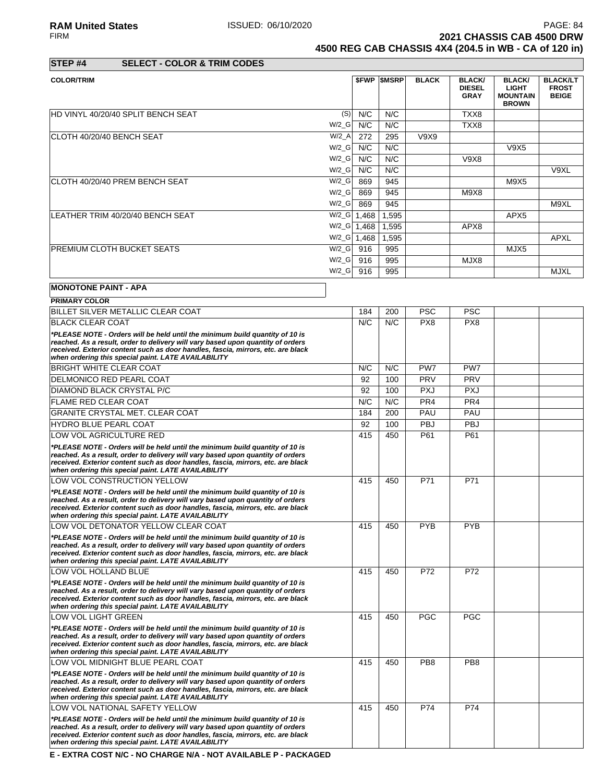RAM United States **ISSUED: 06/10/2020**<br>FIRM **PAGE: 84**<br>2021 CHASSIS CAB 4500 DRW **2021 CHASSIS CAB 4500 DRW** 

**4500 REG CAB CHASSIS 4X4 (204.5 in WB - CA of 120 in)**

| STEP #4 | <b>SELECT - COLOR &amp; TRIM CODES</b> |
|---------|----------------------------------------|

| <b>COLOR/TRIM</b>                           |               | <b><i>SFWP SMSRP</i></b> | <b>BLACK</b> | <b>BLACK/</b><br><b>DIESEL</b><br><b>GRAY</b> | <b>BLACK/</b><br><b>LIGHT</b><br><b>MOUNTAIN</b><br><b>BROWN</b> | <b>BLACK/LT</b><br><b>FROST</b><br><b>BEIGE</b> |
|---------------------------------------------|---------------|--------------------------|--------------|-----------------------------------------------|------------------------------------------------------------------|-------------------------------------------------|
| HD VINYL 40/20/40 SPLIT BENCH SEAT<br>(S)   | N/C           | N/C                      |              | TXX8                                          |                                                                  |                                                 |
| $W/2_G$                                     | N/C           | N/C                      |              | TXX8                                          |                                                                  |                                                 |
| $W/2_A$<br>ICLOTH 40/20/40 BENCH SEAT       | 272           | 295                      | V9X9         |                                               |                                                                  |                                                 |
| $W/2$ <sub>_</sub> G                        | N/C           | N/C                      |              |                                               | V9X5                                                             |                                                 |
| $W/2$ <sub>_</sub> G                        | N/C           | N/C                      |              | <b>V9X8</b>                                   |                                                                  |                                                 |
| $W/2$ <sub>_</sub> G                        | N/C           | N/C                      |              |                                               |                                                                  | V9XL                                            |
| $W/2_G$<br>ICLOTH 40/20/40 PREM BENCH SEAT  | 869           | 945                      |              |                                               | M9X5                                                             |                                                 |
| $W/2$ <sub>_</sub> G                        | 869           | 945                      |              | M9X8                                          |                                                                  |                                                 |
| $W/2$ <sub>_</sub> G                        | 869           | 945                      |              |                                               |                                                                  | M9XL                                            |
| $W/2_G$<br>LEATHER TRIM 40/20/40 BENCH SEAT | 1,468         | 1,595                    |              |                                               | APX <sub>5</sub>                                                 |                                                 |
|                                             | $W/Z_G$ 1,468 | 1,595                    |              | APX8                                          |                                                                  |                                                 |
| $W/2_G$                                     | 1,468         | 1,595                    |              |                                               |                                                                  | <b>APXL</b>                                     |
| $W/2_G$<br>IPREMIUM CLOTH BUCKET SEATS      | 916           | 995                      |              |                                               | MJX5                                                             |                                                 |
| $W/2$ <sub>_</sub> G                        | 916           | 995                      |              | MJX8                                          |                                                                  |                                                 |
| $W/2_G$                                     | 916           | 995                      |              |                                               |                                                                  | <b>MJXL</b>                                     |

## **MONOTONE PAINT - APA**

| <b>PRIMARY COLOR</b>                                                                                                                                                                                                                                                                                       |     |     |                 |                 |  |
|------------------------------------------------------------------------------------------------------------------------------------------------------------------------------------------------------------------------------------------------------------------------------------------------------------|-----|-----|-----------------|-----------------|--|
| BILLET SILVER METALLIC CLEAR COAT                                                                                                                                                                                                                                                                          | 184 | 200 | <b>PSC</b>      | <b>PSC</b>      |  |
| <b>BLACK CLEAR COAT</b>                                                                                                                                                                                                                                                                                    | N/C | N/C | PX8             | PX8             |  |
| *PLEASE NOTE - Orders will be held until the minimum build quantity of 10 is<br>reached. As a result, order to delivery will vary based upon quantity of orders<br>received. Exterior content such as door handles, fascia, mirrors, etc. are black<br>when ordering this special paint. LATE AVAILABILITY |     |     |                 |                 |  |
| <b>BRIGHT WHITE CLEAR COAT</b>                                                                                                                                                                                                                                                                             | N/C | N/C | PW7             | PW7             |  |
| DELMONICO RED PEARL COAT                                                                                                                                                                                                                                                                                   | 92  | 100 | PRV             | PRV             |  |
| DIAMOND BLACK CRYSTAL P/C                                                                                                                                                                                                                                                                                  | 92  | 100 | <b>PXJ</b>      | <b>PXJ</b>      |  |
| <b>FLAME RED CLEAR COAT</b>                                                                                                                                                                                                                                                                                | N/C | N/C | PR <sub>4</sub> | PR <sub>4</sub> |  |
| GRANITE CRYSTAL MET. CLEAR COAT                                                                                                                                                                                                                                                                            | 184 | 200 | PAU             | PAU             |  |
| <b>HYDRO BLUE PEARL COAT</b>                                                                                                                                                                                                                                                                               | 92  | 100 | PBJ             | <b>PBJ</b>      |  |
| LOW VOL AGRICULTURE RED                                                                                                                                                                                                                                                                                    | 415 | 450 | P61             | P61             |  |
| *PLEASE NOTE - Orders will be held until the minimum build quantity of 10 is<br>reached. As a result, order to delivery will vary based upon quantity of orders<br>received. Exterior content such as door handles, fascia, mirrors, etc. are black<br>when ordering this special paint. LATE AVAILABILITY |     |     |                 |                 |  |
| LOW VOL CONSTRUCTION YELLOW                                                                                                                                                                                                                                                                                | 415 | 450 | P71             | P71             |  |
| *PLEASE NOTE - Orders will be held until the minimum build quantity of 10 is<br>reached. As a result, order to delivery will vary based upon quantity of orders<br>received. Exterior content such as door handles, fascia, mirrors, etc. are black<br>when ordering this special paint. LATE AVAILABILITY |     |     |                 |                 |  |
| LOW VOL DETONATOR YELLOW CLEAR COAT                                                                                                                                                                                                                                                                        | 415 | 450 | <b>PYB</b>      | <b>PYB</b>      |  |
| *PLEASE NOTE - Orders will be held until the minimum build quantity of 10 is<br>reached. As a result, order to delivery will vary based upon quantity of orders<br>received. Exterior content such as door handles, fascia, mirrors, etc. are black<br>when ordering this special paint. LATE AVAILABILITY |     |     |                 |                 |  |
| LOW VOL HOLLAND BLUE                                                                                                                                                                                                                                                                                       | 415 | 450 | P72             | P72             |  |
| *PLEASE NOTE - Orders will be held until the minimum build quantity of 10 is<br>reached. As a result, order to delivery will vary based upon quantity of orders<br>received. Exterior content such as door handles, fascia, mirrors, etc. are black<br>when ordering this special paint. LATE AVAILABILITY |     |     |                 |                 |  |
| LOW VOL LIGHT GREEN                                                                                                                                                                                                                                                                                        | 415 | 450 | <b>PGC</b>      | <b>PGC</b>      |  |
| *PLEASE NOTE - Orders will be held until the minimum build quantity of 10 is<br>reached. As a result, order to delivery will vary based upon quantity of orders<br>received. Exterior content such as door handles, fascia, mirrors, etc. are black<br>when ordering this special paint. LATE AVAILABILITY |     |     |                 |                 |  |
| LOW VOL MIDNIGHT BLUE PEARL COAT                                                                                                                                                                                                                                                                           | 415 | 450 | PB <sub>8</sub> | PB <sub>8</sub> |  |
| *PLEASE NOTE - Orders will be held until the minimum build quantity of 10 is<br>reached. As a result, order to delivery will vary based upon quantity of orders<br>received. Exterior content such as door handles, fascia, mirrors, etc. are black<br>when ordering this special paint. LATE AVAILABILITY |     |     |                 |                 |  |
| LOW VOL NATIONAL SAFETY YELLOW                                                                                                                                                                                                                                                                             | 415 | 450 | P74             | P74             |  |
| *PLEASE NOTE - Orders will be held until the minimum build quantity of 10 is<br>reached. As a result, order to delivery will vary based upon quantity of orders<br>received. Exterior content such as door handles, fascia, mirrors, etc. are black<br>when ordering this special paint. LATE AVAILABILITY |     |     |                 |                 |  |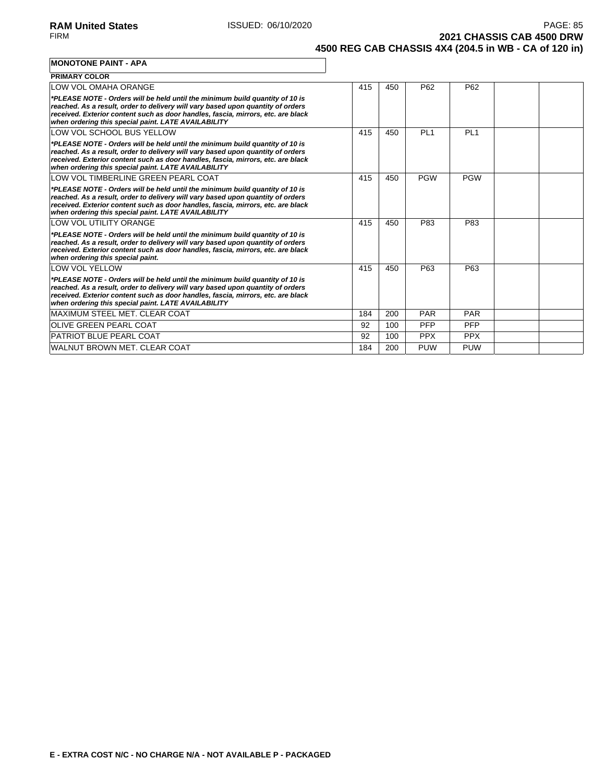**2021 CHASSIS CAB 4500 DRW 4500 REG CAB CHASSIS 4X4 (204.5 in WB - CA of 120 in)**

#### **MONOTONE PAINT - APA**

| <b>PRIMARY COLOR</b>                                                                                                                                                                                                                                                                                       |     |     |            |                 |  |
|------------------------------------------------------------------------------------------------------------------------------------------------------------------------------------------------------------------------------------------------------------------------------------------------------------|-----|-----|------------|-----------------|--|
| LOW VOL OMAHA ORANGE                                                                                                                                                                                                                                                                                       | 415 | 450 | P62        | P62             |  |
| *PLEASE NOTE - Orders will be held until the minimum build quantity of 10 is<br>reached. As a result, order to delivery will vary based upon quantity of orders<br>received. Exterior content such as door handles, fascia, mirrors, etc. are black<br>when ordering this special paint. LATE AVAILABILITY |     |     |            |                 |  |
| LOW VOL SCHOOL BUS YELLOW                                                                                                                                                                                                                                                                                  | 415 | 450 | PI 1       | PI <sub>1</sub> |  |
| *PLEASE NOTE - Orders will be held until the minimum build quantity of 10 is<br>reached. As a result, order to delivery will vary based upon quantity of orders<br>received. Exterior content such as door handles, fascia, mirrors, etc. are black<br>when ordering this special paint. LATE AVAILABILITY |     |     |            |                 |  |
| LOW VOL TIMBERLINE GREEN PEARL COAT                                                                                                                                                                                                                                                                        | 415 | 450 | <b>PGW</b> | <b>PGW</b>      |  |
| *PLEASE NOTE - Orders will be held until the minimum build quantity of 10 is<br>reached. As a result, order to delivery will vary based upon quantity of orders<br>received. Exterior content such as door handles, fascia, mirrors, etc. are black<br>when ordering this special paint. LATE AVAILABILITY |     |     |            |                 |  |
| LOW VOL UTILITY ORANGE                                                                                                                                                                                                                                                                                     | 415 | 450 | P83        | P83             |  |
| *PLEASE NOTE - Orders will be held until the minimum build quantity of 10 is<br>reached. As a result, order to delivery will vary based upon quantity of orders<br>received. Exterior content such as door handles, fascia, mirrors, etc. are black<br>when ordering this special paint.                   |     |     |            |                 |  |
| <b>LOW VOL YELLOW</b>                                                                                                                                                                                                                                                                                      | 415 | 450 | P63        | P63             |  |
| *PLEASE NOTE - Orders will be held until the minimum build quantity of 10 is<br>reached. As a result, order to delivery will vary based upon quantity of orders<br>received. Exterior content such as door handles, fascia, mirrors, etc. are black<br>when ordering this special paint. LATE AVAILABILITY |     |     |            |                 |  |
| MAXIMUM STEEL MET. CLEAR COAT                                                                                                                                                                                                                                                                              | 184 | 200 | PAR        | <b>PAR</b>      |  |
| <b>OLIVE GREEN PEARL COAT</b>                                                                                                                                                                                                                                                                              | 92  | 100 | PFP        | <b>PFP</b>      |  |
| <b>PATRIOT BLUE PEARL COAT</b>                                                                                                                                                                                                                                                                             | 92  | 100 | <b>PPX</b> | <b>PPX</b>      |  |
| WALNUT BROWN MET. CLEAR COAT                                                                                                                                                                                                                                                                               | 184 | 200 | <b>PUW</b> | <b>PUW</b>      |  |

٦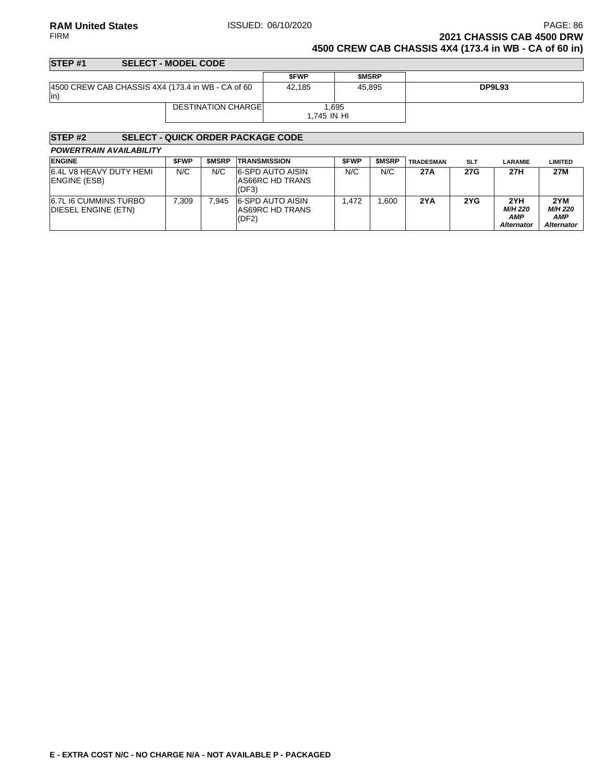### **RAM United States ISSUED: 06/10/2020 PAGE: 86 PAGE: 86** FIRM **2021 CHASSIS CAB 4500 DRW 4500 CREW CAB CHASSIS 4X4 (173.4 in WB - CA of 60 in)**

#### **STEP #1 SELECT - MODEL CODE \$FWP \$MSRP** 4500 CREW CAB CHASSIS 4X4 (173.4 in WB - CA of 60 in) 42,185 45,895 **DP9L93** DESTINATION CHARGE 1,695 1,745 IN HI

| <b>STEP#2</b>                                       |             |              | <b>SELECT - QUICK ORDER PACKAGE CODE</b>     |             |              |                  |            |                                                   |                                                   |
|-----------------------------------------------------|-------------|--------------|----------------------------------------------|-------------|--------------|------------------|------------|---------------------------------------------------|---------------------------------------------------|
| <b>POWERTRAIN AVAILABILITY</b>                      |             |              |                                              |             |              |                  |            |                                                   |                                                   |
| <b>ENGINE</b>                                       | <b>SFWP</b> | <b>SMSRP</b> | <b>TRANSMISSION</b>                          | <b>SFWP</b> | <b>SMSRP</b> | <b>TRADESMAN</b> | <b>SLT</b> | LARAMIE                                           | LIMITED                                           |
| 6.4L V8 HEAVY DUTY HEMI<br>ENGINE (ESB)             | N/C         | N/C          | 6-SPD AUTO AISIN<br>AS66RC HD TRANS<br>(DF3) | N/C         | N/C          | 27A              | 27G        | 27H                                               | 27M                                               |
| <b>6.7L I6 CUMMINS TURBO</b><br>DIESEL ENGINE (ETN) | 7.309       | 7.945        | 6-SPD AUTO AISIN<br>AS69RC HD TRANS<br>(DF2) | 1.472       | .600         | 2YA              | 2YG        | 2YH<br><b>M/H 220</b><br>AMP<br><b>Alternator</b> | 2YM<br><b>M/H 220</b><br>AMP<br><b>Alternator</b> |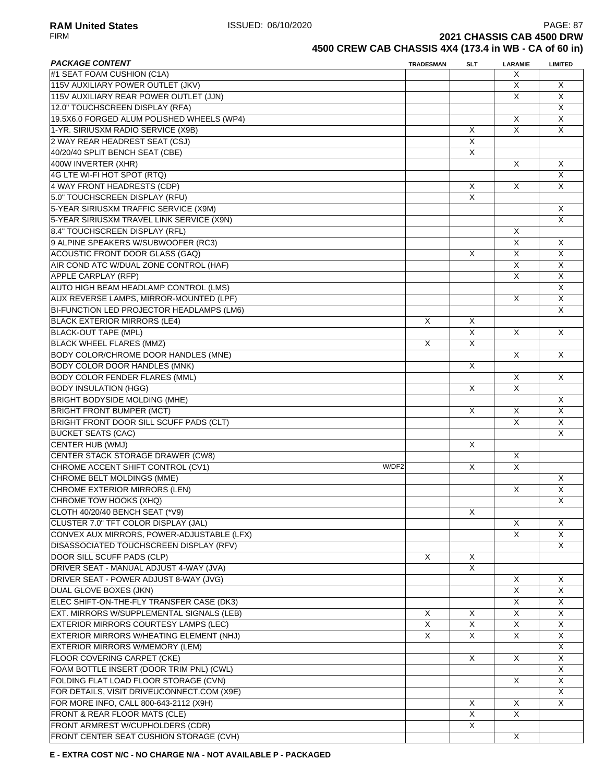**RAM United States ISSUED: 06/10/2020 PAGE: 87**<br>FIRM **PAGE: 87 2021 CHASSIS CAB 4500 DRW** 

**4500 CREW CAB CHASSIS 4X4 (173.4 in WB - CA of 60 in)**

| <b>PACKAGE CONTENT</b>                     | <b>TRADESMAN</b> | <b>SLT</b>              | <b>LARAMIE</b>          | <b>LIMITED</b>          |
|--------------------------------------------|------------------|-------------------------|-------------------------|-------------------------|
| #1 SEAT FOAM CUSHION (C1A)                 |                  |                         | X                       |                         |
| 115V AUXILIARY POWER OUTLET (JKV)          |                  |                         | X                       | Χ                       |
| 115V AUXILIARY REAR POWER OUTLET (JJN)     |                  |                         | X                       | X                       |
| 12.0" TOUCHSCREEN DISPLAY (RFA)            |                  |                         |                         | $\overline{\mathsf{x}}$ |
| 19.5X6.0 FORGED ALUM POLISHED WHEELS (WP4) |                  |                         | X                       | X                       |
| 1-YR. SIRIUSXM RADIO SERVICE (X9B)         |                  | X                       | $\overline{\mathsf{x}}$ | X                       |
| 2 WAY REAR HEADREST SEAT (CSJ)             |                  | X                       |                         |                         |
| 40/20/40 SPLIT BENCH SEAT (CBE)            |                  | X                       |                         |                         |
|                                            |                  |                         | X                       |                         |
| 400W INVERTER (XHR)                        |                  |                         |                         | X                       |
| 4G LTE WI-FI HOT SPOT (RTQ)                |                  |                         |                         | X                       |
| 4 WAY FRONT HEADRESTS (CDP)                |                  | X                       | X                       | X                       |
| 5.0" TOUCHSCREEN DISPLAY (RFU)             |                  | X                       |                         |                         |
| 5-YEAR SIRIUSXM TRAFFIC SERVICE (X9M)      |                  |                         |                         | X                       |
| 5-YEAR SIRIUSXM TRAVEL LINK SERVICE (X9N)  |                  |                         |                         | X                       |
| 8.4" TOUCHSCREEN DISPLAY (RFL)             |                  |                         | X                       |                         |
| 9 ALPINE SPEAKERS W/SUBWOOFER (RC3)        |                  |                         | X                       | X                       |
| <b>ACOUSTIC FRONT DOOR GLASS (GAQ)</b>     |                  | X                       | X                       | X                       |
| AIR COND ATC W/DUAL ZONE CONTROL (HAF)     |                  |                         | X                       | X                       |
| APPLE CARPLAY (RFP)                        |                  |                         | X                       | X                       |
| AUTO HIGH BEAM HEADLAMP CONTROL (LMS)      |                  |                         |                         | X                       |
|                                            |                  |                         |                         |                         |
| AUX REVERSE LAMPS, MIRROR-MOUNTED (LPF)    |                  |                         | X                       | X                       |
| BI-FUNCTION LED PROJECTOR HEADLAMPS (LM6)  |                  |                         |                         | X                       |
| <b>BLACK EXTERIOR MIRRORS (LE4)</b>        | X                | X                       |                         |                         |
| <b>BLACK-OUT TAPE (MPL)</b>                |                  | $\overline{\mathsf{x}}$ | X                       | X                       |
| <b>BLACK WHEEL FLARES (MMZ)</b>            | X                | $\overline{\mathsf{x}}$ |                         |                         |
| BODY COLOR/CHROME DOOR HANDLES (MNE)       |                  |                         | X                       | X                       |
| <b>BODY COLOR DOOR HANDLES (MNK)</b>       |                  | X                       |                         |                         |
| <b>BODY COLOR FENDER FLARES (MML)</b>      |                  |                         | X                       | X                       |
| <b>BODY INSULATION (HGG)</b>               |                  | X                       | X                       |                         |
| <b>BRIGHT BODYSIDE MOLDING (MHE)</b>       |                  |                         |                         | Χ                       |
| <b>BRIGHT FRONT BUMPER (MCT)</b>           |                  | X                       | X                       | X                       |
| BRIGHT FRONT DOOR SILL SCUFF PADS (CLT)    |                  |                         | X                       | $\overline{\mathsf{x}}$ |
|                                            |                  |                         |                         | X                       |
| <b>BUCKET SEATS (CAC)</b>                  |                  | X                       |                         |                         |
| CENTER HUB (WMJ)                           |                  |                         |                         |                         |
| CENTER STACK STORAGE DRAWER (CW8)          |                  |                         | X                       |                         |
| CHROME ACCENT SHIFT CONTROL (CV1)<br>W/DF2 |                  | X                       | $\overline{\mathsf{x}}$ |                         |
| CHROME BELT MOLDINGS (MME)                 |                  |                         |                         | X                       |
| <b>CHROME EXTERIOR MIRRORS (LEN)</b>       |                  |                         | X                       | X                       |
| CHROME TOW HOOKS (XHQ)                     |                  |                         |                         | X                       |
| CLOTH 40/20/40 BENCH SEAT (*V9)            |                  | X                       |                         |                         |
| CLUSTER 7.0" TFT COLOR DISPLAY (JAL)       |                  |                         | X                       | X                       |
| CONVEX AUX MIRRORS, POWER-ADJUSTABLE (LFX) |                  |                         | $\overline{\mathsf{x}}$ | X                       |
| DISASSOCIATED TOUCHSCREEN DISPLAY (RFV)    |                  |                         |                         | $\mathsf{X}$            |
| DOOR SILL SCUFF PADS (CLP)                 | X                | X                       |                         |                         |
| DRIVER SEAT - MANUAL ADJUST 4-WAY (JVA)    |                  | X                       |                         |                         |
| DRIVER SEAT - POWER ADJUST 8-WAY (JVG)     |                  |                         | X                       | X                       |
| DUAL GLOVE BOXES (JKN)                     |                  |                         | X                       | X                       |
|                                            |                  |                         |                         |                         |
| ELEC SHIFT-ON-THE-FLY TRANSFER CASE (DK3)  |                  |                         | X                       | X                       |
| EXT. MIRRORS W/SUPPLEMENTAL SIGNALS (LEB)  | Χ                | X                       | X                       | Χ                       |
| EXTERIOR MIRRORS COURTESY LAMPS (LEC)      | X                | X                       | X                       | X                       |
| EXTERIOR MIRRORS W/HEATING ELEMENT (NHJ)   | X                | X                       | X                       | X                       |
| EXTERIOR MIRRORS W/MEMORY (LEM)            |                  |                         |                         | X                       |
| <b>FLOOR COVERING CARPET (CKE)</b>         |                  | X                       | X                       | X                       |
| FOAM BOTTLE INSERT (DOOR TRIM PNL) (CWL)   |                  |                         |                         | X                       |
| FOLDING FLAT LOAD FLOOR STORAGE (CVN)      |                  |                         | X                       | X                       |
| FOR DETAILS, VISIT DRIVEUCONNECT.COM (X9E) |                  |                         |                         | X                       |
| FOR MORE INFO, CALL 800-643-2112 (X9H)     |                  | X                       | X                       | X                       |
| FRONT & REAR FLOOR MATS (CLE)              |                  | X                       | X                       |                         |
| FRONT ARMREST W/CUPHOLDERS (CDR)           |                  | X                       |                         |                         |
|                                            |                  |                         |                         |                         |
| FRONT CENTER SEAT CUSHION STORAGE (CVH)    |                  |                         | X                       |                         |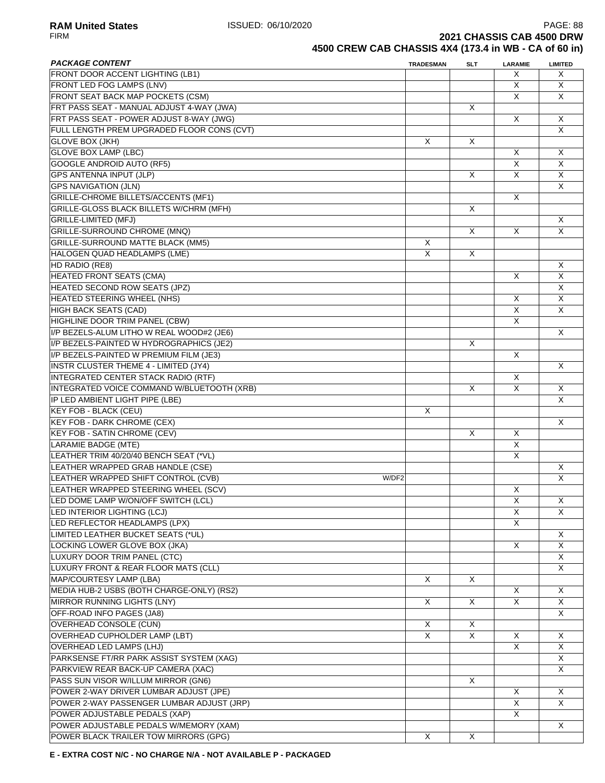RA**M United States** PAGE: 88<br>FIRM **PAGE: 88**<br>2021 CHASSIS CAB 4500 DRW **2021 CHASSIS CAB 4500 DRW** 

**4500 CREW CAB CHASSIS 4X4 (173.4 in WB - CA of 60 in)**

| <b>PACKAGE CONTENT</b>                       | <b>TRADESMAN</b> | <b>SLT</b>              | LARAMIE                 | <b>LIMITED</b>          |
|----------------------------------------------|------------------|-------------------------|-------------------------|-------------------------|
| FRONT DOOR ACCENT LIGHTING (LB1)             |                  |                         | Χ                       | X                       |
| FRONT LED FOG LAMPS (LNV)                    |                  |                         | X                       | X.                      |
| <b>FRONT SEAT BACK MAP POCKETS (CSM)</b>     |                  |                         | X                       | X                       |
| FRT PASS SEAT - MANUAL ADJUST 4-WAY (JWA)    |                  | X                       |                         |                         |
| FRT PASS SEAT - POWER ADJUST 8-WAY (JWG)     |                  |                         | X                       | X                       |
| FULL LENGTH PREM UPGRADED FLOOR CONS (CVT)   |                  |                         |                         | $\overline{\mathsf{x}}$ |
| <b>GLOVE BOX (JKH)</b>                       | X                | X                       |                         |                         |
| <b>GLOVE BOX LAMP (LBC)</b>                  |                  |                         | X                       | X                       |
| <b>GOOGLE ANDROID AUTO (RF5)</b>             |                  |                         | X                       | X                       |
| <b>GPS ANTENNA INPUT (JLP)</b>               |                  | X                       | X                       | X                       |
| <b>GPS NAVIGATION (JLN)</b>                  |                  |                         |                         | X                       |
| GRILLE-CHROME BILLETS/ACCENTS (MF1)          |                  |                         | X                       |                         |
| GRILLE-GLOSS BLACK BILLETS W/CHRM (MFH)      |                  | X                       |                         |                         |
| <b>GRILLE-LIMITED (MFJ)</b>                  |                  |                         |                         | X                       |
| <b>GRILLE-SURROUND CHROME (MNQ)</b>          |                  | $\times$                | X                       | $\overline{\mathsf{x}}$ |
| <b>GRILLE-SURROUND MATTE BLACK (MM5)</b>     | X                |                         |                         |                         |
| <b>HALOGEN QUAD HEADLAMPS (LME)</b>          | X                |                         |                         |                         |
|                                              |                  | X                       |                         |                         |
| HD RADIO (RE8)                               |                  |                         |                         | X                       |
| <b>HEATED FRONT SEATS (CMA)</b>              |                  |                         | X                       | X                       |
| <b>HEATED SECOND ROW SEATS (JPZ)</b>         |                  |                         |                         | X                       |
| <b>HEATED STEERING WHEEL (NHS)</b>           |                  |                         | X                       | X                       |
| HIGH BACK SEATS (CAD)                        |                  |                         | X                       | X                       |
| HIGHLINE DOOR TRIM PANEL (CBW)               |                  |                         | $\overline{\mathsf{x}}$ |                         |
| I/P BEZELS-ALUM LITHO W REAL WOOD#2 (JE6)    |                  |                         |                         | X                       |
| I/P BEZELS-PAINTED W HYDROGRAPHICS (JE2)     |                  | X                       |                         |                         |
| I/P BEZELS-PAINTED W PREMIUM FILM (JE3)      |                  |                         | X                       |                         |
| <b>INSTR CLUSTER THEME 4 - LIMITED (JY4)</b> |                  |                         |                         | X                       |
| <b>INTEGRATED CENTER STACK RADIO (RTF)</b>   |                  |                         | X                       |                         |
| INTEGRATED VOICE COMMAND W/BLUETOOTH (XRB)   |                  | X                       | X                       | X                       |
| IP LED AMBIENT LIGHT PIPE (LBE)              |                  |                         |                         | X                       |
| KEY FOB - BLACK (CEU)                        | X                |                         |                         |                         |
| <b>KEY FOB - DARK CHROME (CEX)</b>           |                  |                         |                         | X                       |
| <b>KEY FOB - SATIN CHROME (CEV)</b>          |                  | $\times$                | X                       |                         |
| <b>LARAMIE BADGE (MTE)</b>                   |                  |                         | $\overline{X}$          |                         |
| LEATHER TRIM 40/20/40 BENCH SEAT (*VL)       |                  |                         | $\overline{\mathsf{x}}$ |                         |
| LEATHER WRAPPED GRAB HANDLE (CSE)            |                  |                         |                         | X                       |
| LEATHER WRAPPED SHIFT CONTROL (CVB)<br>W/DF2 |                  |                         |                         | X                       |
| LEATHER WRAPPED STEERING WHEEL (SCV)         |                  |                         | X                       |                         |
| LED DOME LAMP W/ON/OFF SWITCH (LCL)          |                  |                         | X                       |                         |
|                                              |                  |                         |                         | X                       |
| LED INTERIOR LIGHTING (LCJ)                  |                  |                         | X                       | X                       |
| LED REFLECTOR HEADLAMPS (LPX)                |                  |                         | X.                      |                         |
| LIMITED LEATHER BUCKET SEATS (*UL)           |                  |                         |                         | X                       |
| LOCKING LOWER GLOVE BOX (JKA)                |                  |                         | X                       | X                       |
| LUXURY DOOR TRIM PANEL (CTC)                 |                  |                         |                         | X.                      |
| LUXURY FRONT & REAR FLOOR MATS (CLL)         |                  |                         |                         | X.                      |
| MAP/COURTESY LAMP (LBA)                      | X                | X                       |                         |                         |
| MEDIA HUB-2 USBS (BOTH CHARGE-ONLY) (RS2)    |                  |                         | X                       | X                       |
| MIRROR RUNNING LIGHTS (LNY)                  | X                | X                       | X                       | X                       |
| OFF-ROAD INFO PAGES (JA8)                    |                  |                         |                         | X                       |
| <b>OVERHEAD CONSOLE (CUN)</b>                | X                | X                       |                         |                         |
| OVERHEAD CUPHOLDER LAMP (LBT)                | $\times$         | $\overline{\mathsf{x}}$ | X                       | X                       |
| OVERHEAD LED LAMPS (LHJ)                     |                  |                         | X                       | X                       |
| PARKSENSE FT/RR PARK ASSIST SYSTEM (XAG)     |                  |                         |                         | X                       |
| PARKVIEW REAR BACK-UP CAMERA (XAC)           |                  |                         |                         | X                       |
| PASS SUN VISOR W/ILLUM MIRROR (GN6)          |                  | X                       |                         |                         |
| POWER 2-WAY DRIVER LUMBAR ADJUST (JPE)       |                  |                         | X                       | X                       |
| POWER 2-WAY PASSENGER LUMBAR ADJUST (JRP)    |                  |                         | X                       | X                       |
| POWER ADJUSTABLE PEDALS (XAP)                |                  |                         | X                       |                         |
| POWER ADJUSTABLE PEDALS W/MEMORY (XAM)       |                  |                         |                         | X                       |
| POWER BLACK TRAILER TOW MIRRORS (GPG)        | X                | X                       |                         |                         |
|                                              |                  |                         |                         |                         |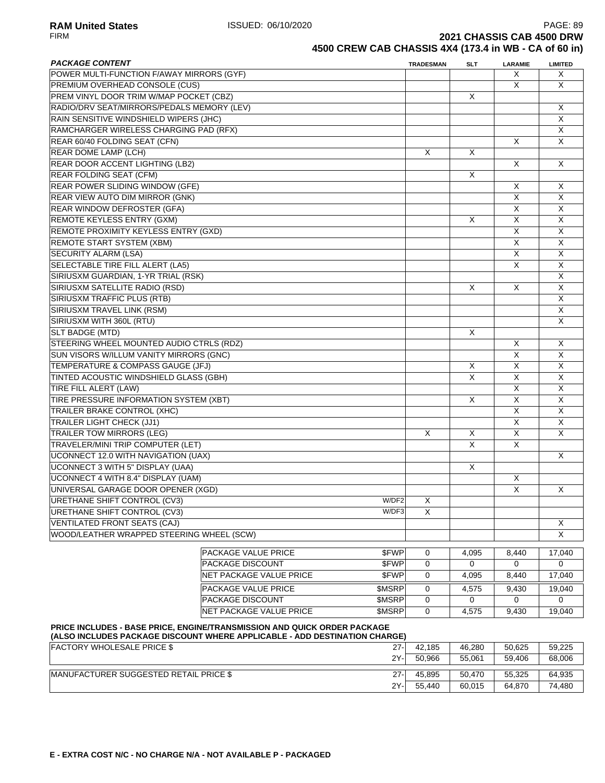**RAM United States ISSUED: 06/10/2020** PAGE: 89<br>FIRM **PAGE: 89** PAGE: 89 **2021 CHASSIS CAB 4500 DRW** 

2Y- 55,440 60,015 64,870 74,480

# **4500 CREW CAB CHASSIS 4X4 (173.4 in WB - CA of 60 in)**

| <b>PACKAGE CONTENT</b>                     |                                                                                                                                                        |                | <b>TRADESMAN</b> | SLT                     | <b>LARAMIE</b>          | <b>LIMITED</b>          |
|--------------------------------------------|--------------------------------------------------------------------------------------------------------------------------------------------------------|----------------|------------------|-------------------------|-------------------------|-------------------------|
| POWER MULTI-FUNCTION F/AWAY MIRRORS (GYF)  |                                                                                                                                                        |                |                  |                         | Х                       | X                       |
| PREMIUM OVERHEAD CONSOLE (CUS)             |                                                                                                                                                        |                |                  |                         | X                       | X                       |
| PREM VINYL DOOR TRIM W/MAP POCKET (CBZ)    |                                                                                                                                                        |                |                  | X                       |                         |                         |
| RADIO/DRV SEAT/MIRRORS/PEDALS MEMORY (LEV) |                                                                                                                                                        |                |                  |                         |                         | Χ                       |
| RAIN SENSITIVE WINDSHIELD WIPERS (JHC)     |                                                                                                                                                        |                |                  |                         |                         | X                       |
| RAMCHARGER WIRELESS CHARGING PAD (RFX)     |                                                                                                                                                        |                |                  |                         |                         | X                       |
| REAR 60/40 FOLDING SEAT (CFN)              |                                                                                                                                                        |                |                  |                         | X                       | $\overline{\mathsf{x}}$ |
| <b>REAR DOME LAMP (LCH)</b>                |                                                                                                                                                        |                | X                | X                       |                         |                         |
| <b>REAR DOOR ACCENT LIGHTING (LB2)</b>     |                                                                                                                                                        |                |                  |                         | X                       | X                       |
| <b>REAR FOLDING SEAT (CFM)</b>             |                                                                                                                                                        |                |                  | X                       |                         |                         |
| <b>REAR POWER SLIDING WINDOW (GFE)</b>     |                                                                                                                                                        |                |                  |                         | X                       | X                       |
| REAR VIEW AUTO DIM MIRROR (GNK)            |                                                                                                                                                        |                |                  |                         | X                       | X                       |
| REAR WINDOW DEFROSTER (GFA)                |                                                                                                                                                        |                |                  |                         | X                       | X                       |
| REMOTE KEYLESS ENTRY (GXM)                 |                                                                                                                                                        |                |                  | X                       | X                       | X                       |
| REMOTE PROXIMITY KEYLESS ENTRY (GXD)       |                                                                                                                                                        |                |                  |                         | X                       | X                       |
| <b>REMOTE START SYSTEM (XBM)</b>           |                                                                                                                                                        |                |                  |                         | $\overline{\mathsf{x}}$ | X                       |
| SECURITY ALARM (LSA)                       |                                                                                                                                                        |                |                  |                         | X                       | X                       |
| <b>SELECTABLE TIRE FILL ALERT (LA5)</b>    |                                                                                                                                                        |                |                  |                         | X                       | X                       |
| SIRIUSXM GUARDIAN, 1-YR TRIAL (RSK)        |                                                                                                                                                        |                |                  |                         |                         | X                       |
| SIRIUSXM SATELLITE RADIO (RSD)             |                                                                                                                                                        |                |                  | X                       | X                       | X                       |
| SIRIUSXM TRAFFIC PLUS (RTB)                |                                                                                                                                                        |                |                  |                         |                         | X                       |
| SIRIUSXM TRAVEL LINK (RSM)                 |                                                                                                                                                        |                |                  |                         |                         | X                       |
| SIRIUSXM WITH 360L (RTU)                   |                                                                                                                                                        |                |                  |                         |                         | X                       |
| SLT BADGE (MTD)                            |                                                                                                                                                        |                |                  | X                       |                         |                         |
| STEERING WHEEL MOUNTED AUDIO CTRLS (RDZ)   |                                                                                                                                                        |                |                  |                         | X                       | X                       |
|                                            |                                                                                                                                                        |                |                  |                         | $\overline{\mathsf{x}}$ | $\overline{\mathsf{x}}$ |
| SUN VISORS W/ILLUM VANITY MIRRORS (GNC)    |                                                                                                                                                        |                |                  |                         |                         |                         |
| TEMPERATURE & COMPASS GAUGE (JFJ)          |                                                                                                                                                        |                |                  | X                       | X                       | X                       |
| TINTED ACOUSTIC WINDSHIELD GLASS (GBH)     |                                                                                                                                                        |                |                  | $\overline{\mathsf{x}}$ | $\overline{\mathsf{x}}$ | X                       |
| TIRE FILL ALERT (LAW)                      |                                                                                                                                                        |                |                  |                         | X                       | X                       |
| TIRE PRESSURE INFORMATION SYSTEM (XBT)     |                                                                                                                                                        |                |                  | X                       | X                       | X                       |
| TRAILER BRAKE CONTROL (XHC)                |                                                                                                                                                        |                |                  |                         | X                       | X                       |
| <b>TRAILER LIGHT CHECK (JJ1)</b>           |                                                                                                                                                        |                |                  |                         | X                       | X                       |
| <b>TRAILER TOW MIRRORS (LEG)</b>           |                                                                                                                                                        |                | X                | X                       | X                       | X                       |
| <b>TRAVELER/MINI TRIP COMPUTER (LET)</b>   |                                                                                                                                                        |                |                  | $\times$                | X                       |                         |
| <b>UCONNECT 12.0 WITH NAVIGATION (UAX)</b> |                                                                                                                                                        |                |                  |                         |                         | $\times$                |
| <b>UCONNECT 3 WITH 5" DISPLAY (UAA)</b>    |                                                                                                                                                        |                |                  | X                       |                         |                         |
| <b>UCONNECT 4 WITH 8.4" DISPLAY (UAM)</b>  |                                                                                                                                                        |                |                  |                         | X                       |                         |
| UNIVERSAL GARAGE DOOR OPENER (XGD)         |                                                                                                                                                        |                |                  |                         | X                       | X                       |
| URETHANE SHIFT CONTROL (CV3)               |                                                                                                                                                        | W/DF2          | X                |                         |                         |                         |
| URETHANE SHIFT CONTROL (CV3)               |                                                                                                                                                        | W/DF3          | X                |                         |                         |                         |
| <b>VENTILATED FRONT SEATS (CAJ)</b>        |                                                                                                                                                        |                |                  |                         |                         | X                       |
| WOOD/LEATHER WRAPPED STEERING WHEEL (SCW)  |                                                                                                                                                        |                |                  |                         |                         | X                       |
|                                            | <b>PACKAGE VALUE PRICE</b>                                                                                                                             | \$FWP          | 0                | 4,095                   | 8,440                   | 17,040                  |
|                                            | <b>PACKAGE DISCOUNT</b>                                                                                                                                |                |                  |                         |                         | 0                       |
|                                            | NET PACKAGE VALUE PRICE                                                                                                                                | \$FWP<br>\$FWP | 0                | 0<br>4,095              | 0                       | 17,040                  |
|                                            |                                                                                                                                                        |                | 0                |                         | 8,440                   |                         |
|                                            | <b>PACKAGE VALUE PRICE</b>                                                                                                                             | \$MSRP         | 0                | 4,575                   | 9,430                   | 19,040                  |
|                                            | <b>PACKAGE DISCOUNT</b>                                                                                                                                | \$MSRP         | 0                | 0                       | 0                       | 0                       |
|                                            | NET PACKAGE VALUE PRICE                                                                                                                                | <b>SMSRP</b>   | 0                | 4,575                   | 9,430                   | 19,040                  |
|                                            | PRICE INCLUDES - BASE PRICE, ENGINE/TRANSMISSION AND QUICK ORDER PACKAGE<br>(ALSO INCLUDES PACKAGE DISCOUNT WHERE APPLICABLE - ADD DESTINATION CHARGE) |                |                  |                         |                         |                         |
| <b>FACTORY WHOLESALE PRICE \$</b>          |                                                                                                                                                        | $27 -$         | 42,185           | 46,280                  | 50,625                  | 59,225                  |
|                                            |                                                                                                                                                        | 2Y-            | 50,966           | 55,061                  | 59,406                  | 68,006                  |
|                                            |                                                                                                                                                        |                |                  |                         |                         |                         |
| MANUFACTURER SUGGESTED RETAIL PRICE \$     |                                                                                                                                                        | $27 -$         | 45,895           | 50,470                  | 55,325                  | 64,935                  |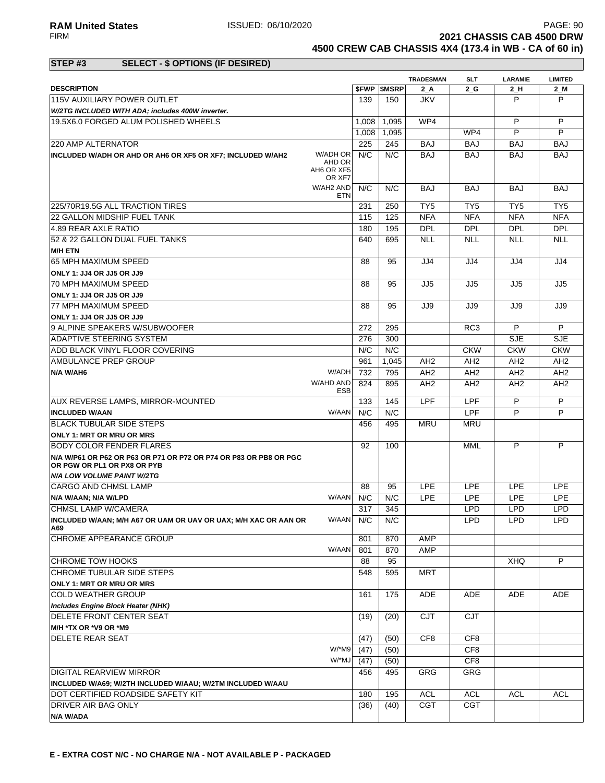**RAM United States ISSUED: 06/10/2020** PAGE: 90<br>FIRM **PAGE: 90** PAGE: 90 **2021 CHASSIS CAB 4500 DRW** 

**4500 CREW CAB CHASSIS 4X4 (173.4 in WB - CA of 60 in)**

### **STEP #3 SELECT - \$ OPTIONS (IF DESIRED)**

|                                                                                                  |            |                          | <b>TRADESMAN</b> | <b>SLT</b>      | <b>LARAMIE</b>  | <b>LIMITED</b>  |
|--------------------------------------------------------------------------------------------------|------------|--------------------------|------------------|-----------------|-----------------|-----------------|
| <b>DESCRIPTION</b>                                                                               |            | <b><i>SFWP SMSRP</i></b> | 2 A              | 2 G             | 2_H             | $2$ M           |
| <b>115V AUXILIARY POWER OUTLET</b>                                                               | 139        | 150                      | JKV              |                 | P               | P               |
| W/2TG INCLUDED WITH ADA; includes 400W inverter.                                                 |            |                          |                  |                 |                 |                 |
| 19.5X6.0 FORGED ALUM POLISHED WHEELS                                                             | 1,008      | 1.095                    | WP4              |                 | P               | P               |
|                                                                                                  | 1,008      | 1,095                    |                  | WP4             | P               | P               |
| 220 AMP ALTERNATOR                                                                               | 225        | 245                      | <b>BAJ</b>       | <b>BAJ</b>      | <b>BAJ</b>      | <b>BAJ</b>      |
| W/ADH OR<br>INCLUDED W/ADH OR AHD OR AH6 OR XF5 OR XF7; INCLUDED W/AH2                           | N/C        | N/C                      | <b>BAJ</b>       | <b>BAJ</b>      | <b>BAJ</b>      | <b>BAJ</b>      |
| AHD OR<br>AH6 OR XF5<br>OR XF7                                                                   |            |                          |                  |                 |                 |                 |
| W/AH2 AND                                                                                        | N/C<br>ETN | N/C                      | <b>BAJ</b>       | <b>BAJ</b>      | <b>BAJ</b>      | <b>BAJ</b>      |
| 225/70R19.5G ALL TRACTION TIRES                                                                  | 231        | 250                      | TY <sub>5</sub>  | TY <sub>5</sub> | TY <sub>5</sub> | TY <sub>5</sub> |
| 22 GALLON MIDSHIP FUEL TANK                                                                      | 115        | 125                      | <b>NFA</b>       | <b>NFA</b>      | <b>NFA</b>      | <b>NFA</b>      |
| 4.89 REAR AXLE RATIO                                                                             | 180        | 195                      | <b>DPL</b>       | <b>DPL</b>      | <b>DPL</b>      | <b>DPL</b>      |
| 52 & 22 GALLON DUAL FUEL TANKS                                                                   | 640        | 695                      | <b>NLL</b>       | <b>NLL</b>      | <b>NLL</b>      | <b>NLL</b>      |
| <b>M/H ETN</b>                                                                                   |            |                          |                  |                 |                 |                 |
| 65 MPH MAXIMUM SPEED                                                                             | 88         | 95                       | JJ4              | JJ4             | JJ4             | JJ4             |
| ONLY 1: JJ4 OR JJ5 OR JJ9                                                                        |            |                          |                  |                 |                 |                 |
| 70 MPH MAXIMUM SPEED                                                                             | 88         | 95                       | JJ5              | JJ5             | JJ5             | JJ5             |
| ONLY 1: JJ4 OR JJ5 OR JJ9                                                                        |            |                          |                  |                 |                 |                 |
| 77 MPH MAXIMUM SPEED                                                                             | 88         | 95                       | JJ9              | JJ9             | JJ9             | JJ9             |
| ONLY 1: JJ4 OR JJ5 OR JJ9                                                                        |            |                          |                  |                 |                 |                 |
| 9 ALPINE SPEAKERS W/SUBWOOFER                                                                    | 272        | 295                      |                  | RC <sub>3</sub> | P               | P               |
| ADAPTIVE STEERING SYSTEM                                                                         | 276        | 300                      |                  |                 | <b>SJE</b>      | <b>SJE</b>      |
| ADD BLACK VINYL FLOOR COVERING                                                                   | N/C        | N/C                      |                  | <b>CKW</b>      | <b>CKW</b>      | <b>CKW</b>      |
| AMBULANCE PREP GROUP                                                                             | 961        | 1,045                    | AH <sub>2</sub>  | AH <sub>2</sub> | AH <sub>2</sub> | AH <sub>2</sub> |
| W/ADH<br>N/A W/AH6                                                                               | 732        | 795                      | AH <sub>2</sub>  | AH <sub>2</sub> | AH <sub>2</sub> | AH <sub>2</sub> |
| W/AHD AND                                                                                        | 824        | 895                      | AH <sub>2</sub>  | AH <sub>2</sub> | AH <sub>2</sub> | AH <sub>2</sub> |
|                                                                                                  | <b>ESB</b> |                          |                  |                 |                 |                 |
| AUX REVERSE LAMPS, MIRROR-MOUNTED                                                                | 133        | 145                      | <b>LPF</b>       | LPF             | P               | P               |
| W/AAN<br><b>INCLUDED W/AAN</b>                                                                   | N/C        | N/C                      |                  | LPF             | P               | P               |
| <b>BLACK TUBULAR SIDE STEPS</b>                                                                  | 456        | 495                      | <b>MRU</b>       | <b>MRU</b>      |                 |                 |
| <b>ONLY 1: MRT OR MRU OR MRS</b>                                                                 |            |                          |                  |                 |                 |                 |
| <b>BODY COLOR FENDER FLARES</b>                                                                  | 92         | 100                      |                  | <b>MML</b>      | P               | P               |
| N/A W/P61 OR P62 OR P63 OR P71 OR P72 OR P74 OR P83 OR PB8 OR PGC<br>OR PGW OR PL1 OR PX8 OR PYB |            |                          |                  |                 |                 |                 |
| <b>N/A LOW VOLUME PAINT W/2TG</b>                                                                |            |                          |                  |                 |                 |                 |
| ICARGO AND CHMSL LAMP                                                                            | 88         | 95                       | <b>LPE</b>       | <b>LPE</b>      | <b>LPE</b>      | <b>LPE</b>      |
| W/AAN<br>N/A W/AAN; N/A W/LPD                                                                    | N/C        | N/C                      | <b>LPE</b>       | <b>LPE</b>      | <b>LPE</b>      | <b>LPE</b>      |
| <b>CHMSL LAMP W/CAMERA</b>                                                                       | 317        | 345                      |                  | <b>LPD</b>      | <b>LPD</b>      | <b>LPD</b>      |
| INCLUDED W/AAN; M/H A67 OR UAM OR UAV OR UAX; M/H XAC OR AAN OR<br>A69                           | W/AAN N/C  | N/C                      |                  | LPD             | LPD             | LPD             |
| CHROME APPEARANCE GROUP                                                                          | 801        | 870                      | AMP              |                 |                 |                 |
| W/AAN                                                                                            | 801        | 870                      | AMP              |                 |                 |                 |
| CHROME TOW HOOKS                                                                                 | 88         | 95                       |                  |                 | XHQ             | P               |
| CHROME TUBULAR SIDE STEPS                                                                        | 548        | 595                      | <b>MRT</b>       |                 |                 |                 |
| ONLY 1: MRT OR MRU OR MRS                                                                        |            |                          |                  |                 |                 |                 |
| <b>COLD WEATHER GROUP</b>                                                                        | 161        | 175                      | ADE              | ADE             | ADE             | ADE             |
| Includes Engine Block Heater (NHK)                                                               |            |                          |                  |                 |                 |                 |
| DELETE FRONT CENTER SEAT                                                                         | (19)       | (20)                     | CJT              | <b>CJT</b>      |                 |                 |
| M/H *TX OR *V9 OR *M9                                                                            |            |                          |                  |                 |                 |                 |
| <b>DELETE REAR SEAT</b>                                                                          | (47)       | (50)                     | CF8              | CF <sub>8</sub> |                 |                 |
| W/*M9                                                                                            | (47)       | (50)                     |                  | CF8             |                 |                 |
| W/*MJ                                                                                            | (47)       | (50)                     |                  | CF8             |                 |                 |
| DIGITAL REARVIEW MIRROR                                                                          | 456        | 495                      | GRG              | GRG             |                 |                 |
| INCLUDED W/A69; W/2TH INCLUDED W/AAU; W/2TM INCLUDED W/AAU                                       |            |                          |                  |                 |                 |                 |
| DOT CERTIFIED ROADSIDE SAFETY KIT                                                                | 180        | 195                      | <b>ACL</b>       | <b>ACL</b>      | <b>ACL</b>      | <b>ACL</b>      |
| DRIVER AIR BAG ONLY                                                                              | (36)       | (40)                     | <b>CGT</b>       | CGT             |                 |                 |
| N/A W/ADA                                                                                        |            |                          |                  |                 |                 |                 |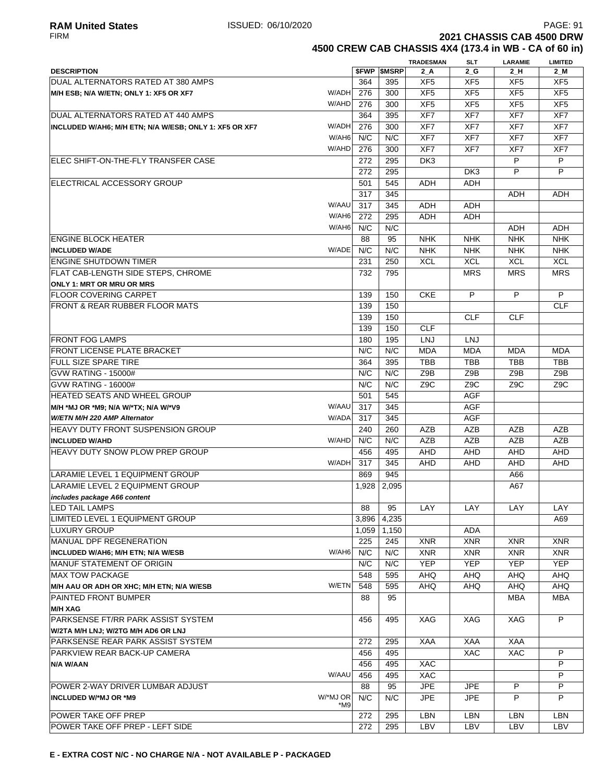**4500 CREW CAB CHASSIS 4X4 (173.4 in WB - CA of 60 in)**

|                                                                 |       |                     | <b>TRADESMAN</b> | SLT              | <b>LARAMIE</b>   | <b>LIMITED</b>   |
|-----------------------------------------------------------------|-------|---------------------|------------------|------------------|------------------|------------------|
| <b>DESCRIPTION</b>                                              |       | <b>\$FWP \$MSRP</b> | $2_A$            | $2_G$            | $2_H$            | $2$ M            |
| IDUAL ALTERNATORS RATED AT 380 AMPS                             | 364   | 395                 | XF <sub>5</sub>  | XF <sub>5</sub>  | XF <sub>5</sub>  | XF <sub>5</sub>  |
| W/ADH<br>M/H ESB; N/A W/ETN; ONLY 1: XF5 OR XF7                 | 276   | 300                 | XF <sub>5</sub>  | XF <sub>5</sub>  | XF <sub>5</sub>  | XF <sub>5</sub>  |
| W/AHD                                                           | 276   | 300                 | XF <sub>5</sub>  | XF <sub>5</sub>  | XF <sub>5</sub>  | XF <sub>5</sub>  |
| DUAL ALTERNATORS RATED AT 440 AMPS                              | 364   | 395                 | XF7              | XF7              | XF7              | XF7              |
| W/ADH<br>INCLUDED W/AH6; M/H ETN; N/A W/ESB; ONLY 1: XF5 OR XF7 | 276   | 300                 | XF7              | XF7              | XF7              | XF7              |
| W/AH6                                                           | N/C   | N/C                 | XF7              | XF7              | XF7              | XF7              |
| W/AHD                                                           | 276   | 300                 | XF7              | XF7              | XF7              | XF7              |
| IELEC SHIFT-ON-THE-FLY TRANSFER CASE                            | 272   | 295                 | DK <sub>3</sub>  |                  | P                | P                |
|                                                                 | 272   | 295                 |                  | DK3              | P                | P                |
| ELECTRICAL ACCESSORY GROUP                                      | 501   | 545                 | ADH              | <b>ADH</b>       |                  |                  |
|                                                                 | 317   | 345                 |                  |                  | ADH              | ADH              |
| W/AAU                                                           | 317   | 345                 | ADH              | <b>ADH</b>       |                  |                  |
| W/AH6                                                           | 272   | 295                 | ADH              | ADH              |                  |                  |
| W/AH6                                                           | N/C   | N/C                 |                  |                  | ADH              | ADH              |
| <b>ENGINE BLOCK HEATER</b>                                      | 88    | 95                  | <b>NHK</b>       | <b>NHK</b>       | <b>NHK</b>       | <b>NHK</b>       |
| W/ADE<br><b>INCLUDED W/ADE</b>                                  | N/C   | N/C                 | <b>NHK</b>       | <b>NHK</b>       | <b>NHK</b>       | <b>NHK</b>       |
| <b>ENGINE SHUTDOWN TIMER</b>                                    | 231   | 250                 | <b>XCL</b>       | <b>XCL</b>       | <b>XCL</b>       | <b>XCL</b>       |
| <b>FLAT CAB-LENGTH SIDE STEPS, CHROME</b>                       | 732   | 795                 |                  | <b>MRS</b>       | <b>MRS</b>       | <b>MRS</b>       |
| ONLY 1: MRT OR MRU OR MRS                                       |       |                     |                  |                  |                  |                  |
| <b>FLOOR COVERING CARPET</b>                                    | 139   | 150                 | <b>CKE</b>       | P                | P                | P                |
| <b>IFRONT &amp; REAR RUBBER FLOOR MATS</b>                      | 139   | 150                 |                  |                  |                  | <b>CLF</b>       |
|                                                                 | 139   | 150                 |                  | <b>CLF</b>       | <b>CLF</b>       |                  |
|                                                                 | 139   | 150                 | <b>CLF</b>       |                  |                  |                  |
| <b>FRONT FOG LAMPS</b>                                          | 180   | 195                 | LNJ              | LNJ              |                  |                  |
| <b>FRONT LICENSE PLATE BRACKET</b>                              | N/C   | N/C                 | <b>MDA</b>       | <b>MDA</b>       | <b>MDA</b>       | <b>MDA</b>       |
| <b>FULL SIZE SPARE TIRE</b>                                     | 364   | 395                 | <b>TBB</b>       | <b>TBB</b>       | <b>TBB</b>       | <b>TBB</b>       |
|                                                                 |       |                     |                  |                  |                  |                  |
| GVW RATING - 15000#                                             | N/C   | N/C<br>N/C          | Z9B              | Z9B              | Z9B              | Z9B              |
| GVW RATING - 16000#                                             | N/C   |                     | Z <sub>9</sub> C | Z <sub>9</sub> C | Z <sub>9</sub> C | Z <sub>9</sub> C |
| <b>HEATED SEATS AND WHEEL GROUP</b>                             | 501   | 545                 |                  | <b>AGF</b>       |                  |                  |
| W/AAU<br>M/H *MJ OR *M9; N/A W/*TX; N/A W/*V9                   | 317   | 345                 |                  | <b>AGF</b>       |                  |                  |
| W/ADA<br>W/ETN M/H 220 AMP Alternator                           | 317   | 345                 |                  | <b>AGF</b>       |                  |                  |
| <b>HEAVY DUTY FRONT SUSPENSION GROUP</b>                        | 240   | 260                 | AZB              | AZB              | AZB              | AZB              |
| W/AHD<br><b>INCLUDED W/AHD</b>                                  | N/C   | N/C                 | AZB              | <b>AZB</b>       | AZB              | <b>AZB</b>       |
| <b>HEAVY DUTY SNOW PLOW PREP GROUP</b>                          | 456   | 495                 | <b>AHD</b>       | AHD              | <b>AHD</b>       | AHD              |
| W/ADH                                                           | 317   | 345                 | AHD              | AHD              | AHD              | AHD              |
| LARAMIE LEVEL 1 EQUIPMENT GROUP                                 | 869   | 945                 |                  |                  | A66              |                  |
| LARAMIE LEVEL 2 EQUIPMENT GROUP                                 | 1,928 | 2,095               |                  |                  | A67              |                  |
| includes package A66 content                                    |       |                     |                  |                  |                  |                  |
| LED TAIL LAMPS                                                  | 88    | 95                  | LAY              | LAY              | LAY              | LAY              |
| LIMITED LEVEL 1 EQUIPMENT GROUP                                 | 3,896 | 4,235               |                  |                  |                  | A69              |
| <b>LUXURY GROUP</b>                                             | 1,059 | 1,150               |                  | ADA              |                  |                  |
| MANUAL DPF REGENERATION                                         | 225   | 245                 | <b>XNR</b>       | <b>XNR</b>       | <b>XNR</b>       | <b>XNR</b>       |
| W/AH6<br>INCLUDED W/AH6; M/H ETN; N/A W/ESB                     | N/C   | N/C                 | <b>XNR</b>       | <b>XNR</b>       | <b>XNR</b>       | <b>XNR</b>       |
| MANUF STATEMENT OF ORIGIN                                       | N/C   | N/C                 | <b>YEP</b>       | <b>YEP</b>       | <b>YEP</b>       | <b>YEP</b>       |
| <b>MAX TOW PACKAGE</b>                                          | 548   | 595                 | AHQ              | AHQ              | AHQ              | AHQ              |
| W/ETN<br>M/H AAU OR ADH OR XHC; M/H ETN; N/A W/ESB              | 548   | 595                 | <b>AHQ</b>       | <b>AHQ</b>       | <b>AHQ</b>       | AHQ              |
| PAINTED FRONT BUMPER                                            | 88    | 95                  |                  |                  | MBA              | MBA              |
| <b>M/H XAG</b>                                                  |       |                     |                  |                  |                  |                  |
| PARKSENSE FT/RR PARK ASSIST SYSTEM                              | 456   | 495                 | XAG              | XAG              | XAG              | P                |
| W/2TA M/H LNJ; W/2TG M/H AD6 OR LNJ                             |       |                     |                  |                  |                  |                  |
| PARKSENSE REAR PARK ASSIST SYSTEM                               | 272   | 295                 | XAA              | XAA              | XAA              |                  |
| PARKVIEW REAR BACK-UP CAMERA                                    | 456   | 495                 |                  | XAC              | <b>XAC</b>       | P                |
| N/A W/AAN                                                       | 456   | 495                 | <b>XAC</b>       |                  |                  | P                |
| W/AAU                                                           | 456   | 495                 | XAC              |                  |                  | P                |
| POWER 2-WAY DRIVER LUMBAR ADJUST                                | 88    | 95                  | <b>JPE</b>       | <b>JPE</b>       | P                | P                |
| W/*MJ OR<br><b>INCLUDED W/*MJ OR *M9</b>                        | N/C   | N/C                 | JPE              | <b>JPE</b>       | P                | P                |
| *M9                                                             |       |                     |                  |                  |                  |                  |
| POWER TAKE OFF PREP                                             | 272   | 295                 | LBN              | <b>LBN</b>       | <b>LBN</b>       | <b>LBN</b>       |
| POWER TAKE OFF PREP - LEFT SIDE                                 | 272   | 295                 | LBV              | LBV              | LBV              | LBV              |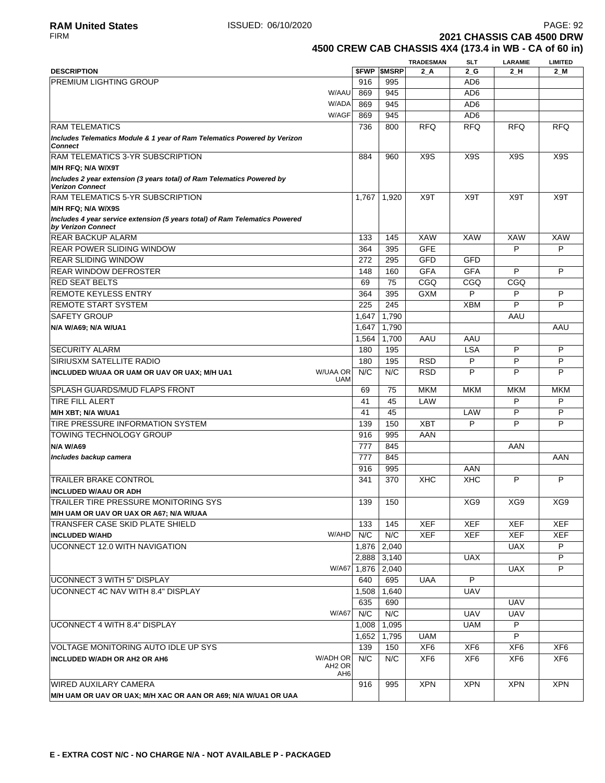# f 60 in)

|                                                       | <b>2021 CHASSIS CAB 4500 DRW</b> |  |
|-------------------------------------------------------|----------------------------------|--|
| 4500 CREW CAB CHASSIS 4X4 (173.4 in WB - CA of 60 in) |                                  |  |

| <b>DESCRIPTION</b>                                                                                |                                       | <b>SFWP</b> | <b>SMSRP</b> | <b>TRADESMAN</b><br>$2_A$ | SLT<br>2 G      | <b>LARAMIE</b><br>2 H | <b>LIMITED</b><br>2_M |
|---------------------------------------------------------------------------------------------------|---------------------------------------|-------------|--------------|---------------------------|-----------------|-----------------------|-----------------------|
| <b>PREMIUM LIGHTING GROUP</b>                                                                     |                                       | 916         | 995          |                           | AD6             |                       |                       |
|                                                                                                   | W/AAU                                 | 869         | 945          |                           | AD <sub>6</sub> |                       |                       |
|                                                                                                   | W/ADA                                 | 869         | 945          |                           | AD <sub>6</sub> |                       |                       |
|                                                                                                   | W/AGF                                 |             | 945          |                           |                 |                       |                       |
|                                                                                                   |                                       | 869         |              |                           | AD <sub>6</sub> |                       |                       |
| <b>RAM TELEMATICS</b>                                                                             |                                       | 736         | 800          | <b>RFQ</b>                | <b>RFQ</b>      | <b>RFQ</b>            | <b>RFQ</b>            |
| Includes Telematics Module & 1 year of Ram Telematics Powered by Verizon<br><b>Connect</b>        |                                       |             |              |                           |                 |                       |                       |
| RAM TELEMATICS 3-YR SUBSCRIPTION                                                                  |                                       | 884         | 960          | X <sub>9</sub> S          | X9S             | X <sub>9</sub> S      | X <sub>9</sub> S      |
| M/H RFQ; N/A W/X9T                                                                                |                                       |             |              |                           |                 |                       |                       |
| Includes 2 year extension (3 years total) of Ram Telematics Powered by<br><b>Verizon Connect</b>  |                                       |             |              |                           |                 |                       |                       |
| <b>RAM TELEMATICS 5-YR SUBSCRIPTION</b>                                                           |                                       | 1,767       | 1,920        | X9T                       | X9T             | X9T                   | X9T                   |
| M/H RFQ; N/A W/X9S                                                                                |                                       |             |              |                           |                 |                       |                       |
| Includes 4 year service extension (5 years total) of Ram Telematics Powered<br>by Verizon Connect |                                       |             |              |                           |                 |                       |                       |
| <b>REAR BACKUP ALARM</b>                                                                          |                                       | 133         | 145          | <b>XAW</b>                | <b>XAW</b>      | XAW                   | XAW                   |
| <b>REAR POWER SLIDING WINDOW</b>                                                                  |                                       | 364         | 395          | <b>GFE</b>                |                 | P                     | P                     |
| <b>REAR SLIDING WINDOW</b>                                                                        |                                       | 272         | 295          | GFD                       | <b>GFD</b>      |                       |                       |
| <b>REAR WINDOW DEFROSTER</b>                                                                      |                                       | 148         | 160          | <b>GFA</b>                | <b>GFA</b>      | P                     | P                     |
| <b>RED SEAT BELTS</b>                                                                             |                                       | 69          | 75           | CGQ                       | CGQ             | CGQ                   |                       |
| <b>REMOTE KEYLESS ENTRY</b>                                                                       |                                       | 364         | 395          | <b>GXM</b>                | P               | P                     | P                     |
| <b>REMOTE START SYSTEM</b>                                                                        |                                       | 225         | 245          |                           | <b>XBM</b>      | P                     | P                     |
| <b>SAFETY GROUP</b>                                                                               |                                       | 1,647       | 1,790        |                           |                 | AAU                   |                       |
|                                                                                                   |                                       | 1,647       | 1,790        |                           |                 |                       | AAU                   |
| N/A W/A69; N/A W/UA1                                                                              |                                       |             |              |                           |                 |                       |                       |
|                                                                                                   |                                       | 1,564       | 1,700        | AAU                       | AAU             |                       |                       |
| <b>SECURITY ALARM</b>                                                                             |                                       | 180         | 195          |                           | <b>LSA</b>      | P                     | P                     |
| <b>SIRIUSXM SATELLITE RADIO</b>                                                                   |                                       | 180         | 195          | <b>RSD</b>                | P               | P                     | P                     |
| INCLUDED W/UAA OR UAM OR UAV OR UAX; M/H UA1                                                      | <b>W/UAA OR</b><br><b>UAM</b>         | N/C         | N/C          | <b>RSD</b>                | P               | P                     | P                     |
| <b>SPLASH GUARDS/MUD FLAPS FRONT</b>                                                              |                                       | 69          | 75           | <b>MKM</b>                | <b>MKM</b>      | <b>MKM</b>            | <b>MKM</b>            |
| <b>TIRE FILL ALERT</b>                                                                            |                                       | 41          | 45           | LAW                       |                 | P                     | P                     |
| M/H XBT; N/A W/UA1                                                                                |                                       | 41          | 45           |                           | LAW             | P                     | P                     |
| TIRE PRESSURE INFORMATION SYSTEM                                                                  |                                       | 139         | 150          | <b>XBT</b>                | P               | P                     | P                     |
| <b>TOWING TECHNOLOGY GROUP</b>                                                                    |                                       | 916         | 995          | AAN                       |                 |                       |                       |
| <b>N/A W/A69</b>                                                                                  |                                       | 777         | 845          |                           |                 | AAN                   |                       |
| Includes backup camera                                                                            |                                       | 777         | 845          |                           |                 |                       | AAN                   |
|                                                                                                   |                                       | 916         | 995          |                           | AAN             |                       |                       |
| <b>TRAILER BRAKE CONTROL</b>                                                                      |                                       | 341         | 370          | XHC                       | <b>XHC</b>      | P                     | P                     |
| <b>INCLUDED W/AAU OR ADH</b>                                                                      |                                       |             |              |                           |                 |                       |                       |
| TRAILER TIRE PRESSURE MONITORING SYS                                                              |                                       | 139         | 150          |                           | XG9             | XG9                   | XG9                   |
| M/H UAM OR UAV OR UAX OR A67; N/A W/UAA                                                           |                                       |             |              |                           |                 |                       |                       |
| TRANSFER CASE SKID PLATE SHIELD                                                                   |                                       | 133         | 145          | <b>XEF</b>                | <b>XEF</b>      | XEF                   | XEF                   |
| <b>INCLUDED W/AHD</b>                                                                             | W/AHD                                 | N/C         | N/C          | <b>XEF</b>                | <b>XEF</b>      | <b>XEF</b>            | <b>XEF</b>            |
| UCONNECT 12.0 WITH NAVIGATION                                                                     |                                       | 1,876       | 2,040        |                           |                 | <b>UAX</b>            | P                     |
|                                                                                                   |                                       | 2,888       | 3,140        |                           | <b>UAX</b>      |                       | P                     |
|                                                                                                   | W/A67                                 |             | 1,876 2,040  |                           |                 | <b>UAX</b>            | P                     |
| UCONNECT 3 WITH 5" DISPLAY                                                                        |                                       | 640         | 695          | <b>UAA</b>                | P               |                       |                       |
|                                                                                                   |                                       |             |              |                           |                 |                       |                       |
| UCONNECT 4C NAV WITH 8.4" DISPLAY                                                                 |                                       | 1,508       | 1,640        |                           | <b>UAV</b>      |                       |                       |
|                                                                                                   |                                       | 635         | 690          |                           |                 | <b>UAV</b>            |                       |
|                                                                                                   | <b>W/A67</b>                          | N/C         | N/C          |                           | UAV             | <b>UAV</b>            |                       |
| UCONNECT 4 WITH 8.4" DISPLAY                                                                      |                                       | 1,008       | 1,095        |                           | UAM             | P                     |                       |
|                                                                                                   |                                       | 1,652       | 1,795        | <b>UAM</b>                |                 | $\overline{P}$        |                       |
| VOLTAGE MONITORING AUTO IDLE UP SYS                                                               |                                       | 139         | 150          | XF <sub>6</sub>           | XF6             | XF <sub>6</sub>       | XF <sub>6</sub>       |
| <b>INCLUDED W/ADH OR AH2 OR AH6</b>                                                               | W/ADH OR                              | N/C         | N/C          | XF <sub>6</sub>           | XF6             | XF <sub>6</sub>       | XF <sub>6</sub>       |
|                                                                                                   | AH <sub>2</sub> OR<br>AH <sub>6</sub> |             |              |                           |                 |                       |                       |
| WIRED AUXILARY CAMERA                                                                             |                                       | 916         | 995          | <b>XPN</b>                | <b>XPN</b>      | <b>XPN</b>            | <b>XPN</b>            |
| M/H UAM OR UAV OR UAX; M/H XAC OR AAN OR A69; N/A W/UA1 OR UAA                                    |                                       |             |              |                           |                 |                       |                       |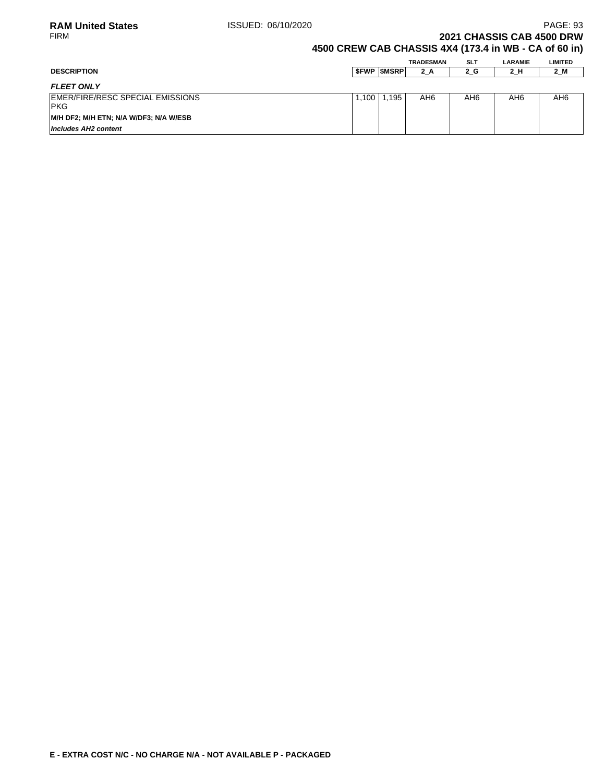### **2021 CHASSIS CAB 4500 DRW 4500 CREW CAB CHASSIS 4X4 (173.4 in WB - CA of 60 in)**

|                                                 |       |                   | TRADESMAN | <b>SLT</b>      | <b>LARAMIE</b> | <b>LIMITED</b> |
|-------------------------------------------------|-------|-------------------|-----------|-----------------|----------------|----------------|
| <b>DESCRIPTION</b>                              |       | <b>SFWP SMSRP</b> | $2_A$     | 2_G             | 2_H            | $2$ M          |
| <b>FLEET ONLY</b>                               |       |                   |           |                 |                |                |
| EMER/FIRE/RESC SPECIAL EMISSIONS<br><b>IPKG</b> | 1.100 | 1.195             | AH6       | AH <sub>6</sub> | AH6            | AH6            |
| M/H DF2; M/H ETN; N/A W/DF3; N/A W/ESB          |       |                   |           |                 |                |                |
| Includes AH2 content                            |       |                   |           |                 |                |                |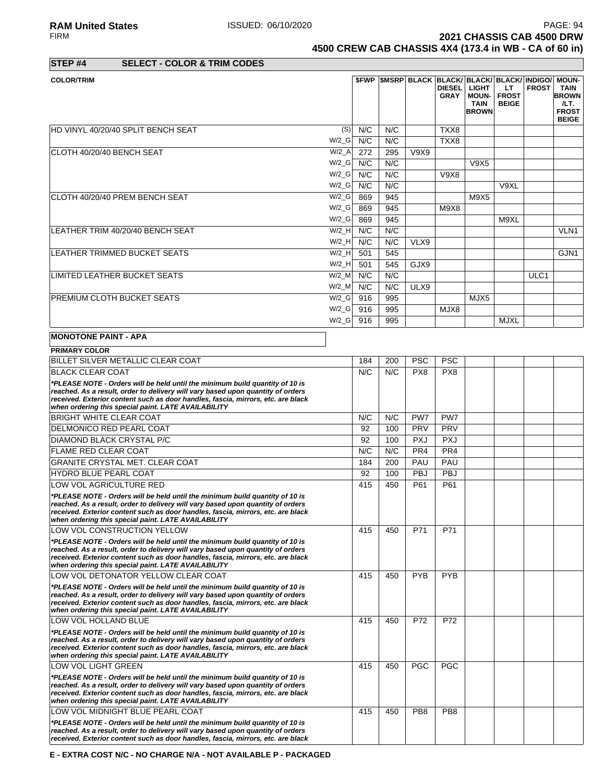**RAM United States ISSUED: 06/10/2020** PAGE: 94<br>FIRM **PAGE: 94** PAGE: 94 **2021 CHASSIS CAB 4500 DRW 4500 CREW CAB CHASSIS 4X4 (173.4 in WB - CA of 60 in)**

**STEP #4 SELECT - COLOR & TRIM CODES**

| <b>COLOR/TRIM</b>                                                                                                                                                                                                                                                                                          |          |     |     |             | <b>DIESEL</b><br><b>GRAY</b> | <b>\$FWP SMSRP BLACK BLACK/BLACK/BLACK/INDIGO/</b><br><b>LIGHT</b><br><b>MOUN-</b><br><b>TAIN</b><br><b>BROWN</b> | LT.<br><b>FROST</b><br><b>BEIGE</b> | <b>FROST</b> | <b>MOUN-</b><br><b>TAIN</b><br><b>BROWN</b><br>ILT.<br><b>FROST</b><br><b>BEIGE</b> |
|------------------------------------------------------------------------------------------------------------------------------------------------------------------------------------------------------------------------------------------------------------------------------------------------------------|----------|-----|-----|-------------|------------------------------|-------------------------------------------------------------------------------------------------------------------|-------------------------------------|--------------|-------------------------------------------------------------------------------------|
| HD VINYL 40/20/40 SPLIT BENCH SEAT                                                                                                                                                                                                                                                                         | (S)      | N/C | N/C |             | TXX8                         |                                                                                                                   |                                     |              |                                                                                     |
|                                                                                                                                                                                                                                                                                                            | $W/2_G$  | N/C | N/C |             | TXX8                         |                                                                                                                   |                                     |              |                                                                                     |
| CLOTH 40/20/40 BENCH SEAT                                                                                                                                                                                                                                                                                  | $W/2_A$  | 272 | 295 | <b>V9X9</b> |                              |                                                                                                                   |                                     |              |                                                                                     |
|                                                                                                                                                                                                                                                                                                            | $W/2_G$  | N/C | N/C |             |                              | V9X5                                                                                                              |                                     |              |                                                                                     |
|                                                                                                                                                                                                                                                                                                            | $W/2_G$  | N/C | N/C |             | <b>V9X8</b>                  |                                                                                                                   |                                     |              |                                                                                     |
|                                                                                                                                                                                                                                                                                                            | $W/2_G$  | N/C | N/C |             |                              |                                                                                                                   | V9XL                                |              |                                                                                     |
| CLOTH 40/20/40 PREM BENCH SEAT                                                                                                                                                                                                                                                                             | $W/2_G$  | 869 | 945 |             |                              | M9X5                                                                                                              |                                     |              |                                                                                     |
|                                                                                                                                                                                                                                                                                                            | $W/2_G$  | 869 | 945 |             | M9X8                         |                                                                                                                   |                                     |              |                                                                                     |
|                                                                                                                                                                                                                                                                                                            | $W/2_G$  | 869 | 945 |             |                              |                                                                                                                   | M9XL                                |              |                                                                                     |
| LEATHER TRIM 40/20/40 BENCH SEAT                                                                                                                                                                                                                                                                           | W/2 H    | N/C | N/C |             |                              |                                                                                                                   |                                     |              | VLN <sub>1</sub>                                                                    |
|                                                                                                                                                                                                                                                                                                            | W/2 H    | N/C | N/C | VLX9        |                              |                                                                                                                   |                                     |              |                                                                                     |
| LEATHER TRIMMED BUCKET SEATS                                                                                                                                                                                                                                                                               | $W/2$ _H | 501 | 545 |             |                              |                                                                                                                   |                                     |              | GJN <sub>1</sub>                                                                    |
|                                                                                                                                                                                                                                                                                                            | $W/2$ _H | 501 | 545 | GJX9        |                              |                                                                                                                   |                                     |              |                                                                                     |
| LIMITED LEATHER BUCKET SEATS                                                                                                                                                                                                                                                                               | W/2 M    | N/C | N/C |             |                              |                                                                                                                   |                                     | ULC1         |                                                                                     |
|                                                                                                                                                                                                                                                                                                            | $W/2$ _M | N/C | N/C | ULX9        |                              |                                                                                                                   |                                     |              |                                                                                     |
| <b>PREMIUM CLOTH BUCKET SEATS</b>                                                                                                                                                                                                                                                                          | $W/Z_G$  | 916 | 995 |             |                              | MJX5                                                                                                              |                                     |              |                                                                                     |
|                                                                                                                                                                                                                                                                                                            | $W/2_G$  | 916 | 995 |             | MJX8                         |                                                                                                                   |                                     |              |                                                                                     |
|                                                                                                                                                                                                                                                                                                            | $W/2_G$  | 916 | 995 |             |                              |                                                                                                                   | <b>MJXL</b>                         |              |                                                                                     |
| <b>MONOTONE PAINT - APA</b>                                                                                                                                                                                                                                                                                |          |     |     |             |                              |                                                                                                                   |                                     |              |                                                                                     |
| <b>PRIMARY COLOR</b>                                                                                                                                                                                                                                                                                       |          |     |     |             |                              |                                                                                                                   |                                     |              |                                                                                     |
| BILLET SILVER METALLIC CLEAR COAT                                                                                                                                                                                                                                                                          |          | 184 | 200 | <b>PSC</b>  | <b>PSC</b>                   |                                                                                                                   |                                     |              |                                                                                     |
| <b>BLACK CLEAR COAT</b>                                                                                                                                                                                                                                                                                    |          | N/C | N/C | PX8         | PX <sub>8</sub>              |                                                                                                                   |                                     |              |                                                                                     |
| *PLEASE NOTE - Orders will be held until the minimum build quantity of 10 is<br>reached. As a result, order to delivery will vary based upon quantity of orders<br>received. Exterior content such as door handles, fascia, mirrors, etc. are black<br>when ordering this special paint. LATE AVAILABILITY |          |     |     |             |                              |                                                                                                                   |                                     |              |                                                                                     |
| <b>BRIGHT WHITE CLEAR COAT</b>                                                                                                                                                                                                                                                                             |          | N/C | N/C | PW7         | PW7                          |                                                                                                                   |                                     |              |                                                                                     |
| <b>DELMONICO RED PEARL COAT</b>                                                                                                                                                                                                                                                                            |          | 92  | 100 | PRV         | PRV                          |                                                                                                                   |                                     |              |                                                                                     |
| DIAMOND BLACK CRYSTAL P/C                                                                                                                                                                                                                                                                                  |          | 92  | 100 | <b>PXJ</b>  | <b>PXJ</b>                   |                                                                                                                   |                                     |              |                                                                                     |
| <b>FLAME RED CLEAR COAT</b>                                                                                                                                                                                                                                                                                |          | N/C | N/C | PR4         | PR4                          |                                                                                                                   |                                     |              |                                                                                     |
| <b>GRANITE CRYSTAL MET. CLEAR COAT</b>                                                                                                                                                                                                                                                                     |          | 184 | 200 | PAU         | PAU                          |                                                                                                                   |                                     |              |                                                                                     |

| <b>DELMONICO RED PEARL COAT</b>                                                                                                                                                                                                                                                                            | 92  | 100 | PRV             | PRV             |  |  |
|------------------------------------------------------------------------------------------------------------------------------------------------------------------------------------------------------------------------------------------------------------------------------------------------------------|-----|-----|-----------------|-----------------|--|--|
| <b>DIAMOND BLACK CRYSTAL P/C</b>                                                                                                                                                                                                                                                                           | 92  | 100 | <b>PXJ</b>      | <b>PXJ</b>      |  |  |
| <b>FLAME RED CLEAR COAT</b>                                                                                                                                                                                                                                                                                | N/C | N/C | PR <sub>4</sub> | PR4             |  |  |
| <b>GRANITE CRYSTAL MET. CLEAR COAT</b>                                                                                                                                                                                                                                                                     | 184 | 200 | PAU             | PAU             |  |  |
| <b>HYDRO BLUE PEARL COAT</b>                                                                                                                                                                                                                                                                               | 92  | 100 | <b>PBJ</b>      | <b>PBJ</b>      |  |  |
| LOW VOL AGRICULTURE RED                                                                                                                                                                                                                                                                                    | 415 | 450 | P61             | P61             |  |  |
| *PLEASE NOTE - Orders will be held until the minimum build quantity of 10 is<br>reached. As a result, order to delivery will vary based upon quantity of orders<br>received. Exterior content such as door handles, fascia, mirrors, etc. are black<br>when ordering this special paint. LATE AVAILABILITY |     |     |                 |                 |  |  |
| LOW VOL CONSTRUCTION YELLOW                                                                                                                                                                                                                                                                                | 415 | 450 | P71             | P71             |  |  |
| *PLEASE NOTE - Orders will be held until the minimum build quantity of 10 is<br>reached. As a result, order to delivery will vary based upon quantity of orders<br>received. Exterior content such as door handles, fascia, mirrors, etc. are black<br>when ordering this special paint. LATE AVAILABILITY |     |     |                 |                 |  |  |
| LOW VOL DETONATOR YELLOW CLEAR COAT                                                                                                                                                                                                                                                                        | 415 | 450 | <b>PYB</b>      | <b>PYB</b>      |  |  |
| *PLEASE NOTE - Orders will be held until the minimum build quantity of 10 is<br>reached. As a result, order to delivery will vary based upon quantity of orders<br>received. Exterior content such as door handles, fascia, mirrors, etc. are black<br>when ordering this special paint. LATE AVAILABILITY |     |     |                 |                 |  |  |
| LOW VOL HOLLAND BLUE                                                                                                                                                                                                                                                                                       | 415 | 450 | P72             | P72             |  |  |
| *PLEASE NOTE - Orders will be held until the minimum build quantity of 10 is<br>reached. As a result, order to delivery will vary based upon quantity of orders<br>received. Exterior content such as door handles, fascia, mirrors, etc. are black<br>when ordering this special paint. LATE AVAILABILITY |     |     |                 |                 |  |  |
| LOW VOL LIGHT GREEN                                                                                                                                                                                                                                                                                        | 415 | 450 | <b>PGC</b>      | <b>PGC</b>      |  |  |
| *PLEASE NOTE - Orders will be held until the minimum build quantity of 10 is<br>reached. As a result, order to delivery will vary based upon quantity of orders<br>received. Exterior content such as door handles, fascia, mirrors, etc. are black<br>when ordering this special paint. LATE AVAILABILITY |     |     |                 |                 |  |  |
| LOW VOL MIDNIGHT BLUE PEARL COAT                                                                                                                                                                                                                                                                           | 415 | 450 | PB <sub>8</sub> | PB <sub>8</sub> |  |  |
| *PLEASE NOTE - Orders will be held until the minimum build quantity of 10 is<br>reached. As a result, order to delivery will vary based upon quantity of orders<br>received. Exterior content such as door handles, fascia, mirrors, etc. are black                                                        |     |     |                 |                 |  |  |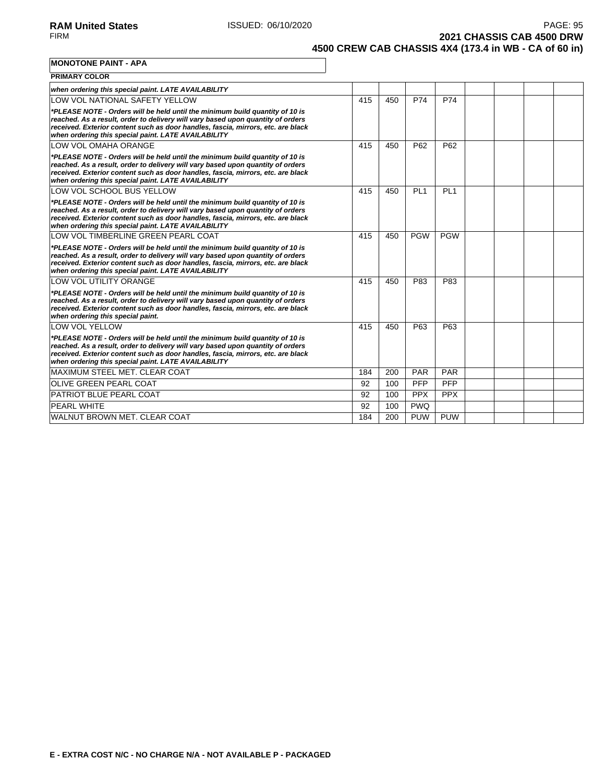**2021 CHASSIS CAB 4500 DRW 4500 CREW CAB CHASSIS 4X4 (173.4 in WB - CA of 60 in)**

**MONOTONE PAINT - APA**

| <b>PRIMARY COLOR</b>                                                                                                                                                                                                                                                                                       |     |     |                 |                 |  |  |
|------------------------------------------------------------------------------------------------------------------------------------------------------------------------------------------------------------------------------------------------------------------------------------------------------------|-----|-----|-----------------|-----------------|--|--|
| when ordering this special paint. LATE AVAILABILITY                                                                                                                                                                                                                                                        |     |     |                 |                 |  |  |
| LOW VOL NATIONAL SAFETY YELLOW                                                                                                                                                                                                                                                                             | 415 | 450 | P74             | P74             |  |  |
| *PLEASE NOTE - Orders will be held until the minimum build quantity of 10 is<br>reached. As a result, order to delivery will vary based upon quantity of orders<br>received. Exterior content such as door handles, fascia, mirrors, etc. are black<br>when ordering this special paint. LATE AVAILABILITY |     |     |                 |                 |  |  |
| LOW VOL OMAHA ORANGE                                                                                                                                                                                                                                                                                       | 415 | 450 | P62             | P62             |  |  |
| *PLEASE NOTE - Orders will be held until the minimum build quantity of 10 is<br>reached. As a result, order to delivery will vary based upon quantity of orders<br>received. Exterior content such as door handles, fascia, mirrors, etc. are black<br>when ordering this special paint. LATE AVAILABILITY |     |     |                 |                 |  |  |
| LOW VOL SCHOOL BUS YELLOW                                                                                                                                                                                                                                                                                  | 415 | 450 | PL <sub>1</sub> | PL <sub>1</sub> |  |  |
| *PLEASE NOTE - Orders will be held until the minimum build quantity of 10 is<br>reached. As a result, order to delivery will vary based upon quantity of orders<br>received. Exterior content such as door handles, fascia, mirrors, etc. are black<br>when ordering this special paint. LATE AVAILABILITY |     |     |                 |                 |  |  |
| LOW VOL TIMBERLINE GREEN PEARL COAT                                                                                                                                                                                                                                                                        | 415 | 450 | <b>PGW</b>      | <b>PGW</b>      |  |  |
| *PLEASE NOTE - Orders will be held until the minimum build quantity of 10 is<br>reached. As a result, order to delivery will vary based upon quantity of orders<br>received. Exterior content such as door handles, fascia, mirrors, etc. are black<br>when ordering this special paint. LATE AVAILABILITY |     |     |                 |                 |  |  |
| LOW VOL UTILITY ORANGE                                                                                                                                                                                                                                                                                     | 415 | 450 | P83             | P83             |  |  |
| *PLEASE NOTE - Orders will be held until the minimum build quantity of 10 is<br>reached. As a result, order to delivery will vary based upon quantity of orders<br>received. Exterior content such as door handles, fascia, mirrors, etc. are black<br>when ordering this special paint.                   |     |     |                 |                 |  |  |
| <b>LOW VOL YELLOW</b>                                                                                                                                                                                                                                                                                      | 415 | 450 | P63             | P63             |  |  |
| *PLEASE NOTE - Orders will be held until the minimum build quantity of 10 is<br>reached. As a result, order to delivery will vary based upon quantity of orders<br>received. Exterior content such as door handles, fascia, mirrors, etc. are black<br>when ordering this special paint. LATE AVAILABILITY |     |     |                 |                 |  |  |
| MAXIMUM STEEL MET. CLEAR COAT                                                                                                                                                                                                                                                                              | 184 | 200 | <b>PAR</b>      | <b>PAR</b>      |  |  |
| <b>OLIVE GREEN PEARL COAT</b>                                                                                                                                                                                                                                                                              | 92  | 100 | <b>PFP</b>      | <b>PFP</b>      |  |  |
| <b>PATRIOT BLUE PEARL COAT</b>                                                                                                                                                                                                                                                                             | 92  | 100 | <b>PPX</b>      | <b>PPX</b>      |  |  |
| <b>PEARL WHITE</b>                                                                                                                                                                                                                                                                                         | 92  | 100 | <b>PWQ</b>      |                 |  |  |
| WALNUT BROWN MET. CLEAR COAT                                                                                                                                                                                                                                                                               | 184 | 200 | <b>PUW</b>      | <b>PUW</b>      |  |  |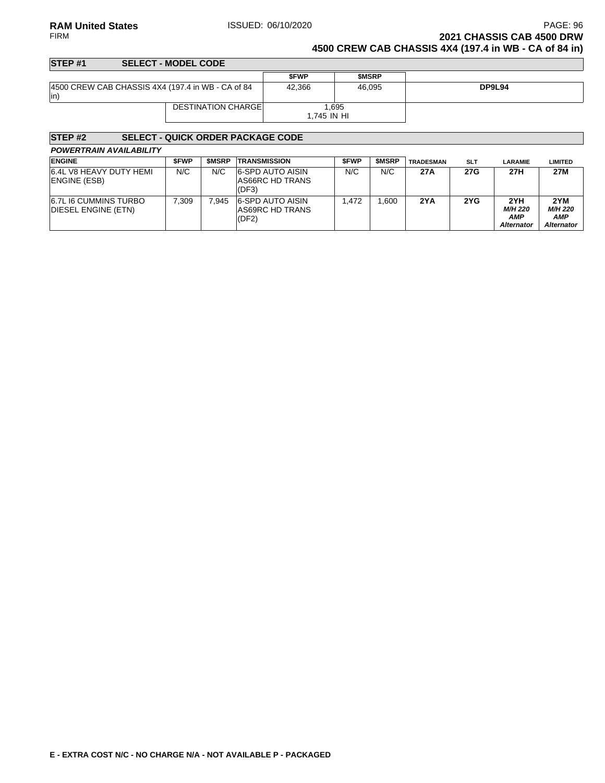### **RAM United States ISSUED: 06/10/2020 PAGE: 96 PAGE: 96** FIRM **2021 CHASSIS CAB 4500 DRW 4500 CREW CAB CHASSIS 4X4 (197.4 in WB - CA of 84 in)**

#### **STEP #1 SELECT - MODEL CODE \$FWP \$MSRP** 4500 CREW CAB CHASSIS 4X4 (197.4 in WB - CA of 84 in) 42,366 46,095 **DP9L94** DESTINATION CHARGE 1,695 1,745 IN HI

| STEP <sub>#2</sub>                                  |             |              | <b>SELECT - QUICK ORDER PACKAGE CODE</b>            |             |              |                  |            |                                                   |                                                   |
|-----------------------------------------------------|-------------|--------------|-----------------------------------------------------|-------------|--------------|------------------|------------|---------------------------------------------------|---------------------------------------------------|
| <b>POWERTRAIN AVAILABILITY</b>                      |             |              |                                                     |             |              |                  |            |                                                   |                                                   |
| <b>ENGINE</b>                                       | <b>SFWP</b> | <b>SMSRP</b> | <b>TRANSMISSION</b>                                 | <b>SFWP</b> | <b>SMSRP</b> | <b>TRADESMAN</b> | <b>SLT</b> | <b>LARAMIE</b>                                    | <b>LIMITED</b>                                    |
| 6.4L V8 HEAVY DUTY HEMI<br><b>IENGINE (ESB)</b>     | N/C         | N/C          | <b>6-SPD AUTO AISIN</b><br>AS66RC HD TRANS<br>(DF3) | N/C         | N/C          | 27A              | 27G        | 27H                                               | 27M                                               |
| <b>6.7L I6 CUMMINS TURBO</b><br>DIESEL ENGINE (ETN) | 7.309       | 7.945        | 6-SPD AUTO AISIN<br>AS69RC HD TRANS<br>(DF2)        | 1.472       | .600         | 2YA              | 2YG        | 2YH<br><b>M/H 220</b><br>AMP<br><b>Alternator</b> | 2YM<br><b>M/H 220</b><br>AMP<br><b>Alternator</b> |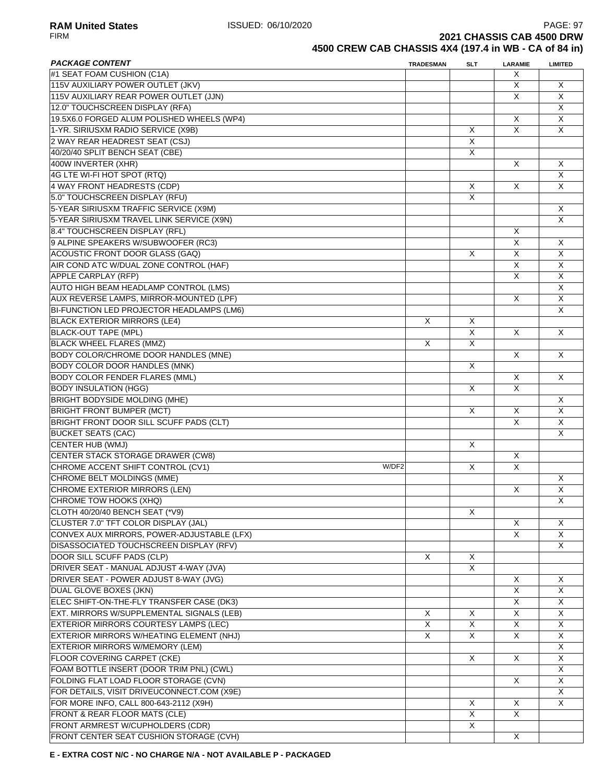**RAM United States ISSUED: 06/10/2020** PAGE: 97<br>FIRM **PAGE: 97 2021 CHASSIS CAB 4500 DRW** 

**4500 CREW CAB CHASSIS 4X4 (197.4 in WB - CA of 84 in)**

| <b>PACKAGE CONTENT</b>                      | <b>TRADESMAN</b> | <b>SLT</b>     | <b>LARAMIE</b> | <b>LIMITED</b>          |
|---------------------------------------------|------------------|----------------|----------------|-------------------------|
| #1 SEAT FOAM CUSHION (C1A)                  |                  |                | X.             |                         |
| 115V AUXILIARY POWER OUTLET (JKV)           |                  |                | X              | Χ                       |
| 115V AUXILIARY REAR POWER OUTLET (JJN)      |                  |                | X              | X                       |
| 12.0" TOUCHSCREEN DISPLAY (RFA)             |                  |                |                | X                       |
| 19.5X6.0 FORGED ALUM POLISHED WHEELS (WP4)  |                  |                | X              | X                       |
| 1-YR. SIRIUSXM RADIO SERVICE (X9B)          |                  | X              | $\overline{X}$ | X                       |
| 2 WAY REAR HEADREST SEAT (CSJ)              |                  | X              |                |                         |
| 40/20/40 SPLIT BENCH SEAT (CBE)             |                  | X              |                |                         |
| 400W INVERTER (XHR)                         |                  |                | $\mathsf{X}$   |                         |
|                                             |                  |                |                | X                       |
| 4G LTE WI-FI HOT SPOT (RTQ)                 |                  |                |                | X                       |
| 4 WAY FRONT HEADRESTS (CDP)                 |                  | X              | X              | X                       |
| 5.0" TOUCHSCREEN DISPLAY (RFU)              |                  | X              |                |                         |
| 5-YEAR SIRIUSXM TRAFFIC SERVICE (X9M)       |                  |                |                | X                       |
| 5-YEAR SIRIUSXM TRAVEL LINK SERVICE (X9N)   |                  |                |                | X                       |
| 8.4" TOUCHSCREEN DISPLAY (RFL)              |                  |                | X              |                         |
| 9 ALPINE SPEAKERS W/SUBWOOFER (RC3)         |                  |                | X              | X                       |
| <b>ACOUSTIC FRONT DOOR GLASS (GAQ)</b>      |                  | X              | X              | X                       |
| AIR COND ATC W/DUAL ZONE CONTROL (HAF)      |                  |                | X              | X                       |
| <b>APPLE CARPLAY (RFP)</b>                  |                  |                | X              | X                       |
| AUTO HIGH BEAM HEADLAMP CONTROL (LMS)       |                  |                |                | X                       |
| AUX REVERSE LAMPS, MIRROR-MOUNTED (LPF)     |                  |                | X              | X                       |
|                                             |                  |                |                | $\pmb{\times}$          |
| BI-FUNCTION LED PROJECTOR HEADLAMPS (LM6)   |                  |                |                |                         |
| <b>BLACK EXTERIOR MIRRORS (LE4)</b>         | X                | X              |                |                         |
| <b>BLACK-OUT TAPE (MPL)</b>                 |                  | $\overline{X}$ | X              | X                       |
| <b>BLACK WHEEL FLARES (MMZ)</b>             | X                | X              |                |                         |
| <b>BODY COLOR/CHROME DOOR HANDLES (MNE)</b> |                  |                | X              | X                       |
| <b>BODY COLOR DOOR HANDLES (MNK)</b>        |                  | X              |                |                         |
| <b>BODY COLOR FENDER FLARES (MML)</b>       |                  |                | X              | X                       |
| <b>BODY INSULATION (HGG)</b>                |                  | X              | X              |                         |
| <b>BRIGHT BODYSIDE MOLDING (MHE)</b>        |                  |                |                | X                       |
| <b>BRIGHT FRONT BUMPER (MCT)</b>            |                  | X              | X              | X                       |
| BRIGHT FRONT DOOR SILL SCUFF PADS (CLT)     |                  |                | X              | $\overline{\mathsf{x}}$ |
| <b>BUCKET SEATS (CAC)</b>                   |                  |                |                | X                       |
| CENTER HUB (WMJ)                            |                  | X              |                |                         |
| <b>CENTER STACK STORAGE DRAWER (CW8)</b>    |                  |                | X              |                         |
| CHROME ACCENT SHIFT CONTROL (CV1)<br>W/DF2  |                  | X              | X              |                         |
| <b>CHROME BELT MOLDINGS (MME)</b>           |                  |                |                | X                       |
| <b>CHROME EXTERIOR MIRRORS (LEN)</b>        |                  |                |                |                         |
|                                             |                  |                | X              | X                       |
| CHROME TOW HOOKS (XHQ)                      |                  |                |                | X                       |
| CLOTH 40/20/40 BENCH SEAT (*V9)             |                  | X              |                |                         |
| CLUSTER 7.0" TFT COLOR DISPLAY (JAL)        |                  |                | X              | X                       |
| CONVEX AUX MIRRORS, POWER-ADJUSTABLE (LFX)  |                  |                | $\overline{X}$ | X                       |
| DISASSOCIATED TOUCHSCREEN DISPLAY (RFV)     |                  |                |                | X                       |
| DOOR SILL SCUFF PADS (CLP)                  | X                | X              |                |                         |
| DRIVER SEAT - MANUAL ADJUST 4-WAY (JVA)     |                  | X              |                |                         |
| DRIVER SEAT - POWER ADJUST 8-WAY (JVG)      |                  |                | X              | X                       |
| <b>DUAL GLOVE BOXES (JKN)</b>               |                  |                | X              | X                       |
| ELEC SHIFT-ON-THE-FLY TRANSFER CASE (DK3)   |                  |                | X              | X                       |
| EXT. MIRRORS W/SUPPLEMENTAL SIGNALS (LEB)   | Χ                | X              | X              | Χ                       |
| EXTERIOR MIRRORS COURTESY LAMPS (LEC)       | X                | X              | X              | X                       |
| EXTERIOR MIRRORS W/HEATING ELEMENT (NHJ)    | X                | X              | X              | X                       |
|                                             |                  |                |                | X                       |
| EXTERIOR MIRRORS W/MEMORY (LEM)             |                  |                |                |                         |
| FLOOR COVERING CARPET (CKE)                 |                  | X              | X              | X                       |
| FOAM BOTTLE INSERT (DOOR TRIM PNL) (CWL)    |                  |                |                | X                       |
| FOLDING FLAT LOAD FLOOR STORAGE (CVN)       |                  |                | X              | X                       |
| FOR DETAILS, VISIT DRIVEUCONNECT.COM (X9E)  |                  |                |                | Χ                       |
| FOR MORE INFO, CALL 800-643-2112 (X9H)      |                  | X              | X              | X                       |
| FRONT & REAR FLOOR MATS (CLE)               |                  | X              | X              |                         |
| FRONT ARMREST W/CUPHOLDERS (CDR)            |                  | X              |                |                         |
| FRONT CENTER SEAT CUSHION STORAGE (CVH)     |                  |                | X              |                         |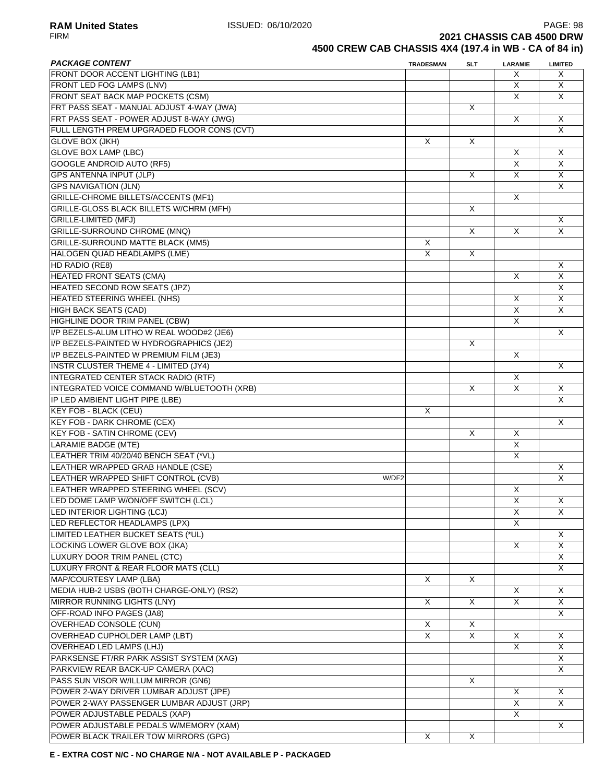**RAM United States** PAGE: 98<br>FIRM **PAGE: 98**<br>**2021 CHASSIS CAB 4500 DRW 2021 CHASSIS CAB 4500 DRW** 

**4500 CREW CAB CHASSIS 4X4 (197.4 in WB - CA of 84 in)**

| <b>PACKAGE CONTENT</b>                       | <b>TRADESMAN</b> | <b>SLT</b>   | LARAMIE                 | <b>LIMITED</b> |
|----------------------------------------------|------------------|--------------|-------------------------|----------------|
| FRONT DOOR ACCENT LIGHTING (LB1)             |                  |              | Х                       | X              |
| FRONT LED FOG LAMPS (LNV)                    |                  |              | X                       | X              |
| FRONT SEAT BACK MAP POCKETS (CSM)            |                  |              | X                       | X              |
| FRT PASS SEAT - MANUAL ADJUST 4-WAY (JWA)    |                  | X            |                         |                |
| FRT PASS SEAT - POWER ADJUST 8-WAY (JWG)     |                  |              | X                       | X              |
| FULL LENGTH PREM UPGRADED FLOOR CONS (CVT)   |                  |              |                         | $\overline{X}$ |
| <b>GLOVE BOX (JKH)</b>                       | X                | X            |                         |                |
| <b>GLOVE BOX LAMP (LBC)</b>                  |                  |              | $\sf X$                 | X              |
| <b>GOOGLE ANDROID AUTO (RF5)</b>             |                  |              | $\sf X$                 | X              |
| <b>GPS ANTENNA INPUT (JLP)</b>               |                  |              |                         |                |
|                                              |                  | X            | X                       | X              |
| <b>GPS NAVIGATION (JLN)</b>                  |                  |              |                         | X              |
| GRILLE-CHROME BILLETS/ACCENTS (MF1)          |                  |              | X                       |                |
| GRILLE-GLOSS BLACK BILLETS W/CHRM (MFH)      |                  | X            |                         |                |
| <b>GRILLE-LIMITED (MFJ)</b>                  |                  |              |                         | X              |
| <b>GRILLE-SURROUND CHROME (MNQ)</b>          |                  | X            | X                       | $\overline{X}$ |
| <b>GRILLE-SURROUND MATTE BLACK (MM5)</b>     | X                |              |                         |                |
| <b>HALOGEN QUAD HEADLAMPS (LME)</b>          | X                | X            |                         |                |
| HD RADIO (RE8)                               |                  |              |                         | X              |
| <b>HEATED FRONT SEATS (CMA)</b>              |                  |              | X                       | X              |
| <b>HEATED SECOND ROW SEATS (JPZ)</b>         |                  |              |                         | X              |
| HEATED STEERING WHEEL (NHS)                  |                  |              | X                       | X              |
| <b>HIGH BACK SEATS (CAD)</b>                 |                  |              | X                       | X              |
| HIGHLINE DOOR TRIM PANEL (CBW)               |                  |              | $\overline{\mathsf{x}}$ |                |
| I/P BEZELS-ALUM LITHO W REAL WOOD#2 (JE6)    |                  |              |                         | X              |
| I/P BEZELS-PAINTED W HYDROGRAPHICS (JE2)     |                  | X            |                         |                |
|                                              |                  |              |                         |                |
| I/P BEZELS-PAINTED W PREMIUM FILM (JE3)      |                  |              | X                       |                |
| <b>INSTR CLUSTER THEME 4 - LIMITED (JY4)</b> |                  |              |                         | X              |
| <b>INTEGRATED CENTER STACK RADIO (RTF)</b>   |                  |              | X                       |                |
| INTEGRATED VOICE COMMAND W/BLUETOOTH (XRB)   |                  | X            | X                       | X              |
| IP LED AMBIENT LIGHT PIPE (LBE)              |                  |              |                         | X              |
| KEY FOB - BLACK (CEU)                        | X                |              |                         |                |
| <b>KEY FOB - DARK CHROME (CEX)</b>           |                  |              |                         | X              |
| <b>KEY FOB - SATIN CHROME (CEV)</b>          |                  | $\times$     | X                       |                |
| <b>LARAMIE BADGE (MTE)</b>                   |                  |              | $\overline{X}$          |                |
| LEATHER TRIM 40/20/40 BENCH SEAT (*VL)       |                  |              | X                       |                |
| LEATHER WRAPPED GRAB HANDLE (CSE)            |                  |              |                         | X              |
| LEATHER WRAPPED SHIFT CONTROL (CVB)<br>W/DF2 |                  |              |                         | X              |
| LEATHER WRAPPED STEERING WHEEL (SCV)         |                  |              | X                       |                |
| LED DOME LAMP W/ON/OFF SWITCH (LCL)          |                  |              | X                       | X              |
| LED INTERIOR LIGHTING (LCJ)                  |                  |              | X                       | X              |
| LED REFLECTOR HEADLAMPS (LPX)                |                  |              | X                       |                |
| LIMITED LEATHER BUCKET SEATS (*UL)           |                  |              |                         | X              |
| LOCKING LOWER GLOVE BOX (JKA)                |                  |              | $\sf X$                 | X              |
|                                              |                  |              |                         |                |
| LUXURY DOOR TRIM PANEL (CTC)                 |                  |              |                         | X              |
| LUXURY FRONT & REAR FLOOR MATS (CLL)         |                  |              |                         | X              |
| MAP/COURTESY LAMP (LBA)                      | $\times$         | $\times$     |                         |                |
| MEDIA HUB-2 USBS (BOTH CHARGE-ONLY) (RS2)    |                  |              | Χ                       | X              |
| <b>MIRROR RUNNING LIGHTS (LNY)</b>           | X                | X            | X                       | X              |
| OFF-ROAD INFO PAGES (JA8)                    |                  |              |                         | X              |
| <b>OVERHEAD CONSOLE (CUN)</b>                | X                | X            |                         |                |
| OVERHEAD CUPHOLDER LAMP (LBT)                | X                | $\mathsf{X}$ | X                       | X              |
| OVERHEAD LED LAMPS (LHJ)                     |                  |              | $\overline{X}$          | X              |
| PARKSENSE FT/RR PARK ASSIST SYSTEM (XAG)     |                  |              |                         | X              |
| PARKVIEW REAR BACK-UP CAMERA (XAC)           |                  |              |                         | X              |
| PASS SUN VISOR W/ILLUM MIRROR (GN6)          |                  | $\mathsf{X}$ |                         |                |
| POWER 2-WAY DRIVER LUMBAR ADJUST (JPE)       |                  |              | X                       | X              |
| POWER 2-WAY PASSENGER LUMBAR ADJUST (JRP)    |                  |              | X                       | X              |
| POWER ADJUSTABLE PEDALS (XAP)                |                  |              | X                       |                |
| POWER ADJUSTABLE PEDALS W/MEMORY (XAM)       |                  |              |                         | X              |
| POWER BLACK TRAILER TOW MIRRORS (GPG)        | X                | $\times$     |                         |                |
|                                              |                  |              |                         |                |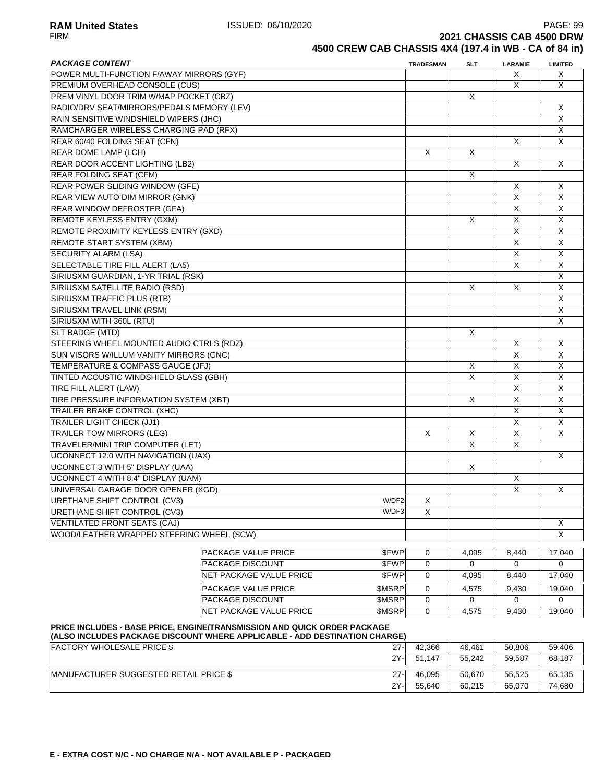**RAM United States** PAGE: 99<br>FIRM **PAGE: 99** PAGE: 09 ISSUED: 06/10/2020 **2021 CHASSIS CAB 4500 DRW** 

# **4500 CREW CAB CHASSIS 4X4 (197.4 in WB - CA of 84 in)**

| <b>PACKAGE CONTENT</b>                     |                                                                                                                                                        |               | <b>TRADESMAN</b> | SLT      | <b>LARAMIE</b>          | <b>LIMITED</b>          |
|--------------------------------------------|--------------------------------------------------------------------------------------------------------------------------------------------------------|---------------|------------------|----------|-------------------------|-------------------------|
| POWER MULTI-FUNCTION F/AWAY MIRRORS (GYF)  |                                                                                                                                                        |               |                  |          | X                       | X                       |
| PREMIUM OVERHEAD CONSOLE (CUS)             |                                                                                                                                                        |               |                  |          | X                       | X                       |
| PREM VINYL DOOR TRIM W/MAP POCKET (CBZ)    |                                                                                                                                                        |               |                  | X        |                         |                         |
| RADIO/DRV SEAT/MIRRORS/PEDALS MEMORY (LEV) |                                                                                                                                                        |               |                  |          |                         | X                       |
| RAIN SENSITIVE WINDSHIELD WIPERS (JHC)     |                                                                                                                                                        |               |                  |          |                         | X                       |
| RAMCHARGER WIRELESS CHARGING PAD (RFX)     |                                                                                                                                                        |               |                  |          |                         | X                       |
| REAR 60/40 FOLDING SEAT (CFN)              |                                                                                                                                                        |               |                  |          | X                       | X                       |
| <b>REAR DOME LAMP (LCH)</b>                |                                                                                                                                                        |               | X                | X        |                         |                         |
| REAR DOOR ACCENT LIGHTING (LB2)            |                                                                                                                                                        |               |                  |          | X                       | X                       |
| <b>REAR FOLDING SEAT (CFM)</b>             |                                                                                                                                                        |               |                  | X        |                         |                         |
| <b>REAR POWER SLIDING WINDOW (GFE)</b>     |                                                                                                                                                        |               |                  |          | X                       | X                       |
| REAR VIEW AUTO DIM MIRROR (GNK)            |                                                                                                                                                        |               |                  |          | $\overline{X}$          | $\overline{\mathsf{x}}$ |
| <b>REAR WINDOW DEFROSTER (GFA)</b>         |                                                                                                                                                        |               |                  |          | $\overline{X}$          | $\overline{\mathsf{x}}$ |
| <b>REMOTE KEYLESS ENTRY (GXM)</b>          |                                                                                                                                                        |               |                  | X        | X                       | X                       |
| REMOTE PROXIMITY KEYLESS ENTRY (GXD)       |                                                                                                                                                        |               |                  |          | X                       | X                       |
| REMOTE START SYSTEM (XBM)                  |                                                                                                                                                        |               |                  |          | X                       | X                       |
| <b>SECURITY ALARM (LSA)</b>                |                                                                                                                                                        |               |                  |          | X                       | X                       |
| SELECTABLE TIRE FILL ALERT (LA5)           |                                                                                                                                                        |               |                  |          | X                       | X                       |
| SIRIUSXM GUARDIAN, 1-YR TRIAL (RSK)        |                                                                                                                                                        |               |                  |          |                         | X                       |
| SIRIUSXM SATELLITE RADIO (RSD)             |                                                                                                                                                        |               |                  | X        | X                       | $\overline{\mathsf{x}}$ |
| SIRIUSXM TRAFFIC PLUS (RTB)                |                                                                                                                                                        |               |                  |          |                         | $\overline{X}$          |
| SIRIUSXM TRAVEL LINK (RSM)                 |                                                                                                                                                        |               |                  |          |                         | X                       |
| SIRIUSXM WITH 360L (RTU)                   |                                                                                                                                                        |               |                  |          |                         | X                       |
| <b>SLT BADGE (MTD)</b>                     |                                                                                                                                                        |               |                  | X        |                         |                         |
| STEERING WHEEL MOUNTED AUDIO CTRLS (RDZ)   |                                                                                                                                                        |               |                  |          | X                       | X                       |
| SUN VISORS W/ILLUM VANITY MIRRORS (GNC)    |                                                                                                                                                        |               |                  |          | X                       | X                       |
| TEMPERATURE & COMPASS GAUGE (JFJ)          |                                                                                                                                                        |               |                  |          | X                       | X                       |
| TINTED ACOUSTIC WINDSHIELD GLASS (GBH)     |                                                                                                                                                        |               |                  | Χ<br>X   | X                       | X                       |
|                                            |                                                                                                                                                        |               |                  |          | X                       | $\sf X$                 |
| TIRE FILL ALERT (LAW)                      |                                                                                                                                                        |               |                  |          | $\overline{X}$          | $\overline{X}$          |
| TIRE PRESSURE INFORMATION SYSTEM (XBT)     |                                                                                                                                                        |               |                  | X        |                         |                         |
| <b>TRAILER BRAKE CONTROL (XHC)</b>         |                                                                                                                                                        |               |                  |          | $\overline{\mathsf{x}}$ | $\sf X$                 |
| <b>TRAILER LIGHT CHECK (JJ1)</b>           |                                                                                                                                                        |               |                  |          | X                       | X                       |
| <b>TRAILER TOW MIRRORS (LEG)</b>           |                                                                                                                                                        |               | X                | X        | X                       | $\overline{X}$          |
| TRAVELER/MINI TRIP COMPUTER (LET)          |                                                                                                                                                        |               |                  | X        | X                       |                         |
| UCONNECT 12.0 WITH NAVIGATION (UAX)        |                                                                                                                                                        |               |                  |          |                         | X                       |
| <b>UCONNECT 3 WITH 5" DISPLAY (UAA)</b>    |                                                                                                                                                        |               |                  | X        |                         |                         |
| UCONNECT 4 WITH 8.4" DISPLAY (UAM)         |                                                                                                                                                        |               |                  |          | X                       |                         |
| UNIVERSAL GARAGE DOOR OPENER (XGD)         |                                                                                                                                                        |               |                  |          | $\overline{X}$          | X                       |
| URETHANE SHIFT CONTROL (CV3)               |                                                                                                                                                        | W/DF2         | $\mathsf X$      |          |                         |                         |
| URETHANE SHIFT CONTROL (CV3)               |                                                                                                                                                        | W/DF3         | X                |          |                         |                         |
| VENTILATED FRONT SEATS (CAJ)               |                                                                                                                                                        |               |                  |          |                         | X                       |
| WOOD/LEATHER WRAPPED STEERING WHEEL (SCW)  |                                                                                                                                                        |               |                  |          |                         | $\overline{X}$          |
|                                            | <b>PACKAGE VALUE PRICE</b>                                                                                                                             | \$FWP         | 0                | 4,095    | 8,440                   | 17,040                  |
|                                            | <b>PACKAGE DISCOUNT</b>                                                                                                                                | \$FWP         | $\mathbf 0$      | $\Omega$ | $\mathbf 0$             | $\Omega$                |
|                                            | NET PACKAGE VALUE PRICE                                                                                                                                | \$FWP         | $\mathbf 0$      | 4,095    | 8,440                   | 17,040                  |
|                                            | <b>PACKAGE VALUE PRICE</b>                                                                                                                             | <b>\$MSRP</b> | 0                | 4,575    | 9,430                   | 19,040                  |
|                                            | <b>PACKAGE DISCOUNT</b>                                                                                                                                | <b>\$MSRP</b> | $\mathbf 0$      | 0        | 0                       | 0                       |
|                                            | NET PACKAGE VALUE PRICE                                                                                                                                | <b>\$MSRP</b> | $\mathbf 0$      | 4,575    | 9,430                   | 19,040                  |
|                                            |                                                                                                                                                        |               |                  |          |                         |                         |
|                                            | PRICE INCLUDES - BASE PRICE, ENGINE/TRANSMISSION AND QUICK ORDER PACKAGE<br>(ALSO INCLUDES PACKAGE DISCOUNT WHERE APPLICABLE - ADD DESTINATION CHARGE) |               |                  |          |                         |                         |
| <b>FACTORY WHOLESALE PRICE \$</b>          |                                                                                                                                                        | 27-           | 42,366           | 46,461   | 50,806                  | 59,406                  |
|                                            |                                                                                                                                                        |               |                  |          |                         |                         |

| FACTORT WITCLESALE FRICE \$                    | - 21   | 42.JUU     | 40.40 L | <u>JU.OUU</u> | <b>JJ,400</b> |
|------------------------------------------------|--------|------------|---------|---------------|---------------|
|                                                | 2Y-    | .147<br>51 | 55.242  | 59.587        | 68,187        |
|                                                |        |            |         |               |               |
| <b>IMANUFACTURER SUGGESTED RETAIL PRICE \$</b> | $27 -$ | 46.095     | 50.670  | 55.525        | 65,135        |
|                                                | 2Y-    | 55.640     | 60.215  | 65.070        | 74,680        |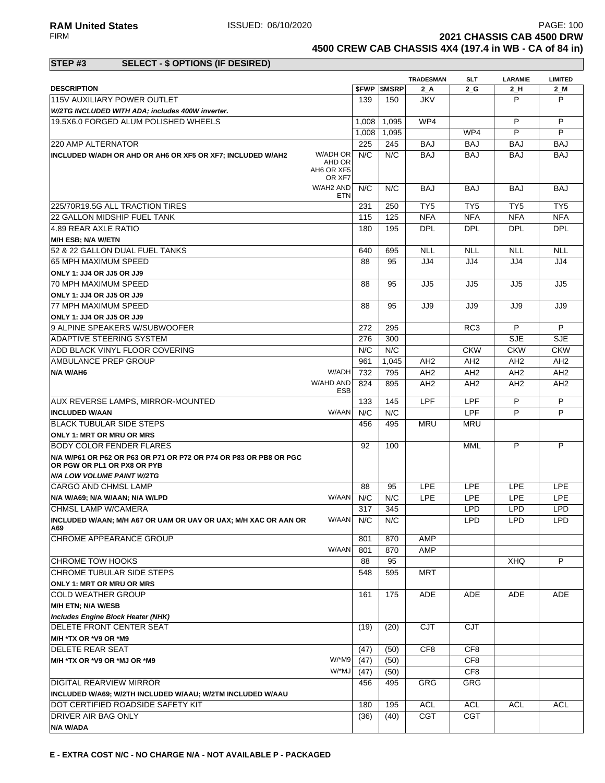**2021 CHASSIS CAB 4500 DRW 4500 CREW CAB CHASSIS 4X4 (197.4 in WB - CA of 84 in)**

### **STEP #3 SELECT - \$ OPTIONS (IF DESIRED)**

|                                                                                                  |                            |       |                          | <b>TRADESMAN</b> | <b>SLT</b>      | <b>LARAMIE</b>  | <b>LIMITED</b>  |
|--------------------------------------------------------------------------------------------------|----------------------------|-------|--------------------------|------------------|-----------------|-----------------|-----------------|
| <b>DESCRIPTION</b>                                                                               |                            |       | <b><i>SFWP SMSRP</i></b> | 2 A              | 2 G             | $2_H$           | $2$ M           |
| 115V AUXILIARY POWER OUTLET                                                                      |                            | 139   | 150                      | <b>JKV</b>       |                 | P               | P               |
| W/2TG INCLUDED WITH ADA; includes 400W inverter.                                                 |                            |       |                          |                  |                 |                 |                 |
| 19.5X6.0 FORGED ALUM POLISHED WHEELS                                                             |                            | 1.008 | 1.095                    | WP4              |                 | P               | P               |
|                                                                                                  |                            | 1,008 | 1,095                    |                  | WP4             | P               | P               |
| 220 AMP ALTERNATOR                                                                               |                            | 225   | 245                      | <b>BAJ</b>       | <b>BAJ</b>      | <b>BAJ</b>      | <b>BAJ</b>      |
| INCLUDED W/ADH OR AHD OR AH6 OR XF5 OR XF7; INCLUDED W/AH2<br>AH6 OR XF5                         | W/ADH OR<br>AHD OR         | N/C   | N/C                      | <b>BAJ</b>       | <b>BAJ</b>      | <b>BAJ</b>      | <b>BAJ</b>      |
|                                                                                                  | OR XF7<br>W/AH2 AND<br>ETN | N/C   | N/C                      | <b>BAJ</b>       | <b>BAJ</b>      | <b>BAJ</b>      | <b>BAJ</b>      |
| 225/70R19.5G ALL TRACTION TIRES                                                                  |                            | 231   | 250                      | TY <sub>5</sub>  | TY5             | TY <sub>5</sub> | TY <sub>5</sub> |
| 22 GALLON MIDSHIP FUEL TANK                                                                      |                            | 115   | 125                      | <b>NFA</b>       | <b>NFA</b>      | <b>NFA</b>      | <b>NFA</b>      |
| 4.89 REAR AXLE RATIO                                                                             |                            | 180   | 195                      | <b>DPL</b>       | <b>DPL</b>      | <b>DPL</b>      | <b>DPL</b>      |
| M/H ESB; N/A W/ETN                                                                               |                            |       |                          |                  |                 |                 |                 |
| 52 & 22 GALLON DUAL FUEL TANKS                                                                   |                            | 640   | 695                      | <b>NLL</b>       | <b>NLL</b>      | <b>NLL</b>      | <b>NLL</b>      |
| 65 MPH MAXIMUM SPEED                                                                             |                            | 88    | 95                       | JJ4              | JJ4             | JJ4             | JJ4             |
| ONLY 1: JJ4 OR JJ5 OR JJ9                                                                        |                            |       |                          |                  |                 |                 |                 |
| 70 MPH MAXIMUM SPEED                                                                             |                            | 88    | 95                       | JJ5              | JJ5             | JJ5             | JJ5             |
| ONLY 1: JJ4 OR JJ5 OR JJ9                                                                        |                            |       |                          |                  |                 |                 |                 |
| 77 MPH MAXIMUM SPEED                                                                             |                            | 88    | 95                       | JJ9              | JJ9             | JJ9             | JJ9             |
| ONLY 1: JJ4 OR JJ5 OR JJ9                                                                        |                            |       |                          |                  |                 |                 |                 |
| 9 ALPINE SPEAKERS W/SUBWOOFER                                                                    |                            | 272   | 295                      |                  | RC <sub>3</sub> | P               | P               |
| ADAPTIVE STEERING SYSTEM                                                                         |                            | 276   | 300                      |                  |                 | <b>SJE</b>      | <b>SJE</b>      |
| ADD BLACK VINYL FLOOR COVERING                                                                   |                            | N/C   | N/C                      |                  | <b>CKW</b>      | <b>CKW</b>      | <b>CKW</b>      |
| AMBULANCE PREP GROUP                                                                             |                            | 961   | 1.045                    | AH <sub>2</sub>  | AH <sub>2</sub> | AH <sub>2</sub> | AH <sub>2</sub> |
| N/A W/AH6                                                                                        | W/ADH                      | 732   | 795                      | AH2              | AH <sub>2</sub> | AH <sub>2</sub> | AH <sub>2</sub> |
|                                                                                                  | W/AHD AND                  |       |                          |                  |                 |                 |                 |
|                                                                                                  | <b>ESB</b>                 | 824   | 895                      | AH <sub>2</sub>  | AH <sub>2</sub> | AH <sub>2</sub> | AH <sub>2</sub> |
| <b>AUX REVERSE LAMPS, MIRROR-MOUNTED</b>                                                         |                            | 133   | 145                      | <b>LPF</b>       | LPF             | P               | P               |
| <b>INCLUDED W/AAN</b>                                                                            | W/AAN                      | N/C   | N/C                      |                  | LPF             | P               | P               |
| <b>BLACK TUBULAR SIDE STEPS</b>                                                                  |                            | 456   | 495                      | <b>MRU</b>       | <b>MRU</b>      |                 |                 |
| <b>ONLY 1: MRT OR MRU OR MRS</b>                                                                 |                            |       |                          |                  |                 |                 |                 |
| <b>BODY COLOR FENDER FLARES</b>                                                                  |                            | 92    | 100                      |                  | MML             | P               | P               |
| N/A W/P61 OR P62 OR P63 OR P71 OR P72 OR P74 OR P83 OR PB8 OR PGC<br>OR PGW OR PL1 OR PX8 OR PYB |                            |       |                          |                  |                 |                 |                 |
| <b>N/A LOW VOLUME PAINT W/2TG</b>                                                                |                            |       |                          |                  |                 |                 |                 |
| <b>CARGO AND CHMSL LAMP</b>                                                                      |                            | 88    | 95                       | <b>LPE</b>       | <b>LPE</b>      | <b>LPE</b>      | <b>LPE</b>      |
| N/A W/A69; N/A W/AAN; N/A W/LPD                                                                  | W/AAN                      | N/C   | N/C                      | <b>LPE</b>       | <b>LPE</b>      | <b>LPE</b>      | <b>LPE</b>      |
| <b>CHMSL LAMP W/CAMERA</b>                                                                       |                            | 317   | 345                      |                  | <b>LPD</b>      | <b>LPD</b>      | <b>LPD</b>      |
| INCLUDED W/AAN; M/H A67 OR UAM OR UAV OR UAX; M/H XAC OR AAN OR<br>A69                           | W/AAN N/C                  |       | N/C                      |                  | <b>LPD</b>      | LPD             | LPD             |
| <b>CHROME APPEARANCE GROUP</b>                                                                   |                            | 801   | 870                      | AMP              |                 |                 |                 |
|                                                                                                  | W/AAN                      | 801   | 870                      | AMP              |                 |                 |                 |
| <b>CHROME TOW HOOKS</b>                                                                          |                            | 88    | 95                       |                  |                 | <b>XHQ</b>      | P               |
| CHROME TUBULAR SIDE STEPS                                                                        |                            | 548   | 595                      | <b>MRT</b>       |                 |                 |                 |
|                                                                                                  |                            |       |                          |                  |                 |                 |                 |
| <b>ONLY 1: MRT OR MRU OR MRS</b><br><b>COLD WEATHER GROUP</b>                                    |                            | 161   | 175                      | ADE              | ADE             | ADE             | ADE             |
| M/H ETN; N/A W/ESB                                                                               |                            |       |                          |                  |                 |                 |                 |
| Includes Engine Block Heater (NHK)                                                               |                            |       |                          |                  |                 |                 |                 |
| DELETE FRONT CENTER SEAT                                                                         |                            | (19)  | (20)                     | <b>CJT</b>       | <b>CJT</b>      |                 |                 |
| M/H *TX OR *V9 OR *M9                                                                            |                            |       |                          |                  |                 |                 |                 |
| DELETE REAR SEAT                                                                                 |                            | (47)  | (50)                     | CF8              | CF <sub>8</sub> |                 |                 |
|                                                                                                  | W/*M9                      | (47)  | (50)                     |                  | CF <sub>8</sub> |                 |                 |
| M/H *TX OR *V9 OR *MJ OR *M9                                                                     | W/*MJ                      |       |                          |                  | CF <sub>8</sub> |                 |                 |
|                                                                                                  |                            | (47)  | (50)                     |                  |                 |                 |                 |
| DIGITAL REARVIEW MIRROR                                                                          |                            | 456   | 495                      | GRG              | GRG             |                 |                 |
| INCLUDED W/A69; W/2TH INCLUDED W/AAU; W/2TM INCLUDED W/AAU                                       |                            |       |                          |                  |                 |                 |                 |
| DOT CERTIFIED ROADSIDE SAFETY KIT                                                                |                            | 180   | 195                      | <b>ACL</b>       | <b>ACL</b>      | <b>ACL</b>      | <b>ACL</b>      |
| <b>DRIVER AIR BAG ONLY</b>                                                                       |                            | (36)  | (40)                     | <b>CGT</b>       | <b>CGT</b>      |                 |                 |
| N/A W/ADA                                                                                        |                            |       |                          |                  |                 |                 |                 |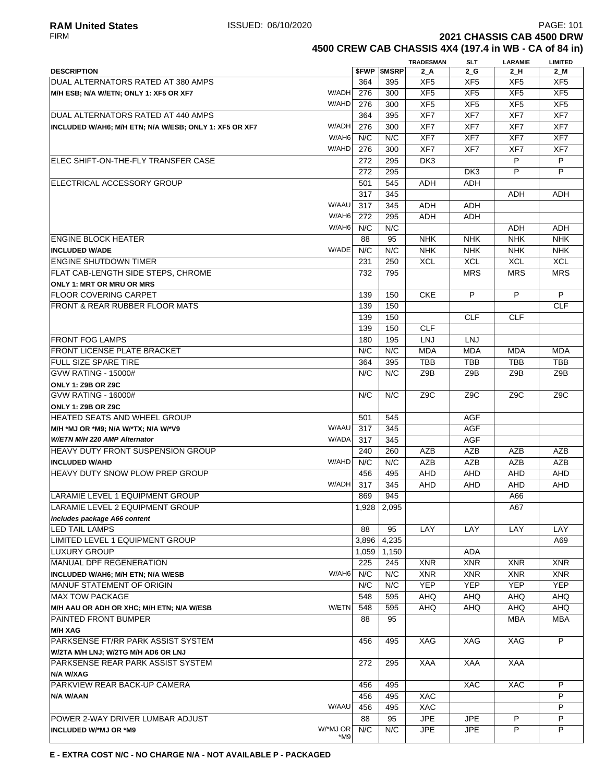**4500 CREW CAB CHASSIS 4X4 (197.4 in WB - CA of 84 in)**

|                                                                  |           |                          | <b>TRADESMAN</b> | <b>SLT</b>               | <b>LARAMIE</b>  | <b>LIMITED</b>  |
|------------------------------------------------------------------|-----------|--------------------------|------------------|--------------------------|-----------------|-----------------|
| <b>DESCRIPTION</b>                                               |           | <b><i>SFWP SMSRP</i></b> | 2 A              | $2_G$                    | 2H              | 2_M             |
| DUAL ALTERNATORS RATED AT 380 AMPS                               | 364       | 395                      | XF <sub>5</sub>  | XF <sub>5</sub>          | XF <sub>5</sub> | XF <sub>5</sub> |
| W/ADH<br>M/H ESB; N/A W/ETN; ONLY 1: XF5 OR XF7                  | 276       | 300                      | XF <sub>5</sub>  | XF <sub>5</sub>          | XF <sub>5</sub> | XF <sub>5</sub> |
| W/AHD                                                            | 276       | 300                      | XF <sub>5</sub>  | XF <sub>5</sub>          | XF <sub>5</sub> | XF <sub>5</sub> |
| DUAL ALTERNATORS RATED AT 440 AMPS                               | 364       | 395                      | XF7              | XF7                      | XF7             | XF7             |
| W/ADH<br>INCLUDED W/AH6; M/H ETN; N/A W/ESB; ONLY 1: XF5 OR XF7  | 276       | 300                      | XF7              | XF7                      | XF7             | XF7             |
| W/AH6                                                            | N/C       | N/C                      | XF7              | XF7                      | XF7             | XF7             |
| W/AHD                                                            | 276       | 300                      | XF7              | XF7                      | XF7             | XF7             |
| ELEC SHIFT-ON-THE-FLY TRANSFER CASE                              | 272       | 295                      | DK3              |                          | P               | P               |
|                                                                  | 272       | 295                      |                  | DK <sub>3</sub>          | P               | P               |
| <b>IELECTRICAL ACCESSORY GROUP</b>                               | 501       | 545                      | ADH              | ADH                      |                 |                 |
|                                                                  | 317       | 345                      |                  |                          | ADH             | ADH             |
| W/AAU                                                            | 317       | 345                      | ADH              | ADH                      |                 |                 |
| W/AH6                                                            | 272       | 295                      | <b>ADH</b>       | <b>ADH</b>               |                 |                 |
| W/AH6                                                            | N/C       | N/C                      |                  |                          | ADH             | ADH             |
| ENGINE BLOCK HEATER                                              | 88        | 95                       | <b>NHK</b>       | <b>NHK</b>               | <b>NHK</b>      | <b>NHK</b>      |
| W/ADE<br><b>INCLUDED W/ADE</b>                                   | N/C       | N/C                      | <b>NHK</b>       | <b>NHK</b>               | <b>NHK</b>      | <b>NHK</b>      |
| <b>ENGINE SHUTDOWN TIMER</b>                                     | 231       | 250                      | <b>XCL</b>       | <b>XCL</b>               | <b>XCL</b>      | <b>XCL</b>      |
| <b>FLAT CAB-LENGTH SIDE STEPS, CHROME</b>                        | 732       | 795                      |                  | <b>MRS</b>               | <b>MRS</b>      | <b>MRS</b>      |
| <b>ONLY 1: MRT OR MRU OR MRS</b><br><b>FLOOR COVERING CARPET</b> | 139       | 150                      | <b>CKE</b>       | P                        | P               | P               |
| <b>FRONT &amp; REAR RUBBER FLOOR MATS</b>                        | 139       | 150                      |                  |                          |                 | <b>CLF</b>      |
|                                                                  | 139       | 150                      |                  | <b>CLF</b>               | <b>CLF</b>      |                 |
|                                                                  | 139       | 150                      | <b>CLF</b>       |                          |                 |                 |
| <b>FRONT FOG LAMPS</b>                                           | 180       | 195                      | <b>LNJ</b>       | <b>LNJ</b>               |                 |                 |
| <b>FRONT LICENSE PLATE BRACKET</b>                               | N/C       | N/C                      | <b>MDA</b>       | <b>MDA</b>               | <b>MDA</b>      | <b>MDA</b>      |
| <b>FULL SIZE SPARE TIRE</b>                                      | 364       | 395                      | <b>TBB</b>       | <b>TBB</b>               | <b>TBB</b>      | <b>TBB</b>      |
| <b>GVW RATING - 15000#</b>                                       | N/C       | N/C                      | Z9B              | Z9B                      | Z9B             | Z9B             |
| ONLY 1: Z9B OR Z9C                                               |           |                          |                  |                          |                 |                 |
| <b>GVW RATING - 16000#</b>                                       | N/C       | N/C                      | Z9C              | Z9C                      | Z9C             | Z9C             |
| ONLY 1: Z9B OR Z9C                                               |           |                          |                  |                          |                 |                 |
| HEATED SEATS AND WHEEL GROUP                                     | 501       | 545                      |                  | AGF                      |                 |                 |
| W/AAU<br>M/H *MJ OR *M9; N/A W/*TX; N/A W/*V9                    | 317       | 345                      |                  | <b>AGF</b>               |                 |                 |
| W/ETN M/H 220 AMP Alternator<br>W/ADA                            | 317       | 345                      |                  | AGF                      |                 |                 |
| HEAVY DUTY FRONT SUSPENSION GROUP                                | 240       | 260                      | <b>AZB</b>       | <b>AZB</b>               | AZB             | <b>AZB</b>      |
| W/AHD<br><b>INCLUDED W/AHD</b>                                   | N/C       | N/C                      | <b>AZB</b>       | <b>AZB</b>               | <b>AZB</b>      | <b>AZB</b>      |
| <b>HEAVY DUTY SNOW PLOW PREP GROUP</b>                           | 456       | 495                      | AHD              | AHD                      | <b>AHD</b>      | <b>AHD</b>      |
| W/ADH                                                            | 317       | 345                      | AHD              | <b>AHD</b>               | AHD             | AHD             |
| LARAMIE LEVEL 1 EQUIPMENT GROUP                                  | 869       | 945                      |                  |                          | A66             |                 |
| LARAMIE LEVEL 2 EQUIPMENT GROUP                                  | 1,928     | 2,095                    |                  |                          | A67             |                 |
| includes package A66 content<br>LED TAIL LAMPS                   | 88        | 95                       | LAY              | LAY                      | LAY             | LAY             |
| LIMITED LEVEL 1 EQUIPMENT GROUP                                  | 3,896     | 4,235                    |                  |                          |                 | A69             |
| LUXURY GROUP                                                     | 1,059     | 1,150                    |                  | <b>ADA</b>               |                 |                 |
| <b>MANUAL DPF REGENERATION</b>                                   | 225       | 245                      | <b>XNR</b>       | <b>XNR</b>               | <b>XNR</b>      | <b>XNR</b>      |
| W/AH6<br>INCLUDED W/AH6; M/H ETN; N/A W/ESB                      | N/C       | N/C                      | <b>XNR</b>       | <b>XNR</b>               | <b>XNR</b>      | <b>XNR</b>      |
| MANUF STATEMENT OF ORIGIN                                        | N/C       | N/C                      | <b>YEP</b>       | <b>YEP</b>               | <b>YEP</b>      | <b>YEP</b>      |
| <b>MAX TOW PACKAGE</b>                                           | 548       | 595                      | AHQ              | <b>AHQ</b>               | <b>AHQ</b>      | AHQ             |
| W/ETN<br>M/H AAU OR ADH OR XHC; M/H ETN; N/A W/ESB               | 548       | 595                      | AHQ              | AHQ                      | AHQ             | <b>AHQ</b>      |
| PAINTED FRONT BUMPER                                             | 88        | 95                       |                  |                          | <b>MBA</b>      | <b>MBA</b>      |
| <b>M/H XAG</b>                                                   |           |                          |                  |                          |                 |                 |
| PARKSENSE FT/RR PARK ASSIST SYSTEM                               | 456       | 495                      | XAG              | XAG                      | XAG             | P               |
| W/2TA M/H LNJ; W/2TG M/H AD6 OR LNJ                              |           |                          |                  |                          |                 |                 |
| PARKSENSE REAR PARK ASSIST SYSTEM                                | 272       | 295                      | XAA              | <b>XAA</b>               | XAA             |                 |
| N/A W/XAG                                                        |           |                          |                  |                          |                 |                 |
| PARKVIEW REAR BACK-UP CAMERA                                     | 456       | 495                      |                  | XAC                      | XAC             | P               |
| N/A W/AAN                                                        | 456       | 495                      | <b>XAC</b>       |                          |                 | P               |
| W/AAU                                                            | 456       | 495                      | XAC              |                          |                 | P               |
| POWER 2-WAY DRIVER LUMBAR ADJUST<br>W/*MJ OR                     | 88<br>N/C | 95<br>N/C                | <b>JPE</b>       | <b>JPE</b><br><b>JPE</b> | P<br>P          | P<br>P          |
| INCLUDED W/*MJ OR *M9<br>*M9                                     |           |                          | <b>JPE</b>       |                          |                 |                 |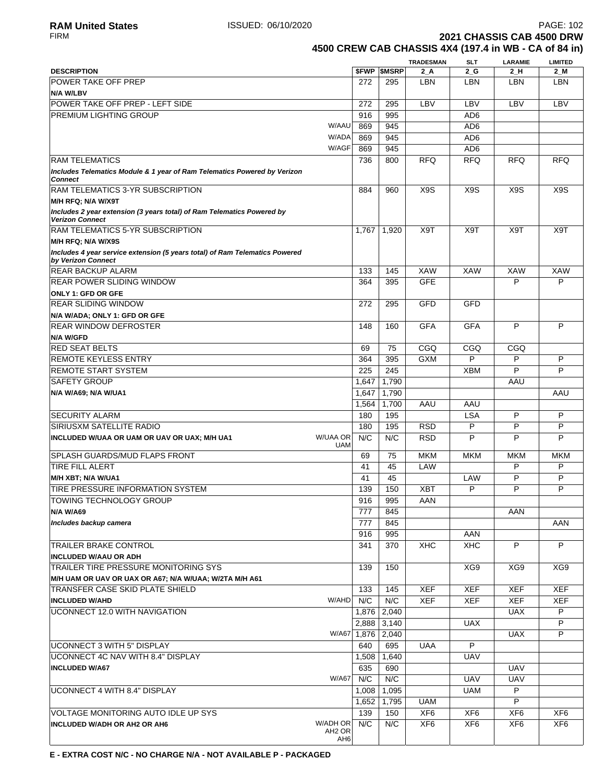**2021 CHASSIS CAB 4500 DRW** 

# **4500 CREW CAB CHASSIS 4X4 (197.4 in WB - CA of 84 in)**

| <b>SFWP SMSRP</b><br>$2$ M<br><b>DESCRIPTION</b><br>2 A<br>$2_G$<br>$2_H$<br><b>POWER TAKE OFF PREP</b><br><b>LBN</b><br>272<br>295<br>LBN<br>LBN<br><b>LBN</b><br>N/A W/LBV<br>POWER TAKE OFF PREP - LEFT SIDE<br>LBV<br>LBV<br>LBV<br>LBV<br>272<br>295<br><b>PREMIUM LIGHTING GROUP</b><br>916<br>995<br>AD <sub>6</sub><br>W/AAU<br>AD <sub>6</sub><br>869<br>945<br>W/ADA<br>869<br>945<br>AD <sub>6</sub><br>W/AGF<br>869<br>AD <sub>6</sub><br>945<br><b>RAM TELEMATICS</b><br>736<br><b>RFQ</b><br><b>RFQ</b><br><b>RFQ</b><br><b>RFQ</b><br>800<br>Includes Telematics Module & 1 year of Ram Telematics Powered by Verizon<br><b>Connect</b><br>X <sub>9</sub> S<br>X <sub>9</sub> S<br>RAM TELEMATICS 3-YR SUBSCRIPTION<br>884<br>960<br>X9S<br>X9S<br>M/H RFQ; N/A W/X9T<br>Includes 2 year extension (3 years total) of Ram Telematics Powered by<br><b>Verizon Connect</b><br><b>RAM TELEMATICS 5-YR SUBSCRIPTION</b><br>X9T<br>X <sub>9</sub> T<br>X9T<br>X9T<br>1,767<br>1,920<br>M/H RFQ; N/A W/X9S<br>Includes 4 year service extension (5 years total) of Ram Telematics Powered<br>by Verizon Connect<br><b>REAR BACKUP ALARM</b><br><b>XAW</b><br><b>XAW</b><br><b>XAW</b><br><b>XAW</b><br>133<br>145<br><b>GFE</b><br>P<br>P<br><b>REAR POWER SLIDING WINDOW</b><br>364<br>395<br>ONLY 1: GFD OR GFE<br><b>REAR SLIDING WINDOW</b><br><b>GFD</b><br>GFD<br>272<br>295<br>N/A W/ADA; ONLY 1: GFD OR GFE<br><b>GFA</b><br>P<br>P<br><b>GFA</b><br><b>REAR WINDOW DEFROSTER</b><br>148<br>160<br><b>N/A W/GFD</b><br><b>RED SEAT BELTS</b><br>CGQ<br>CGQ<br>CGQ<br>69<br>75<br>P<br>P<br><b>REMOTE KEYLESS ENTRY</b><br><b>GXM</b><br>P<br>364<br>395<br>P<br>P<br><b>REMOTE START SYSTEM</b><br>225<br>245<br><b>XBM</b><br><b>SAFETY GROUP</b><br>1,647<br>1,790<br>AAU<br>1,790<br>AAU<br>N/A W/A69; N/A W/UA1<br>1,647<br>1,700<br>AAU<br>AAU<br>1,564<br>P<br><b>SECURITY ALARM</b><br><b>LSA</b><br>P<br>180<br>195<br>P<br>P<br>P<br>180<br>195<br><b>RSD</b><br><b>SIRIUSXM SATELLITE RADIO</b><br>W/UAA OR<br>N/C<br>N/C<br>P<br>P<br>P<br><b>RSD</b><br>INCLUDED W/UAA OR UAM OR UAV OR UAX; M/H UA1<br><b>UAM</b><br>SPLASH GUARDS/MUD FLAPS FRONT<br>69<br>75<br><b>MKM</b><br><b>MKM</b><br><b>MKM</b><br><b>MKM</b><br>P<br><b>TIRE FILL ALERT</b><br>LAW<br>P<br>41<br>45<br>P<br>P<br>41<br>45<br>LAW<br>M/H XBT; N/A W/UA1<br>P<br>139<br>150<br>P<br>P<br>TIRE PRESSURE INFORMATION SYSTEM<br>XBT<br>TOWING TECHNOLOGY GROUP<br>916<br>995<br>AAN<br>777<br>AAN<br><b>N/A W/A69</b><br>845<br>AAN<br>Includes backup camera<br>777<br>845<br>AAN<br>916<br>995<br>P<br>P<br>341<br><b>XHC</b><br><b>XHC</b><br><b>TRAILER BRAKE CONTROL</b><br>370<br><b>INCLUDED W/AAU OR ADH</b><br>TRAILER TIRE PRESSURE MONITORING SYS<br>139<br>XG9<br>XG9<br>XG9<br>150<br>M/H UAM OR UAV OR UAX OR A67; N/A W/UAA; W/2TA M/H A61<br><b>XEF</b><br>TRANSFER CASE SKID PLATE SHIELD<br>133<br>145<br>XEF<br>XEF<br>XEF<br>N/C<br>W/AHD<br>N/C<br><b>XEF</b><br><b>XEF</b><br>XEF<br><b>INCLUDED W/AHD</b><br><b>XEF</b><br>UCONNECT 12.0 WITH NAVIGATION<br>1,876<br>2,040<br><b>UAX</b><br>P<br>P<br><b>UAX</b><br>2,888<br>3,140<br>P<br>W/A67<br>1,876<br>2,040<br><b>UAX</b><br>$\overline{P}$<br>UCONNECT 3 WITH 5" DISPLAY<br><b>UAA</b><br>640<br>695<br><b>UAV</b><br>UCONNECT 4C NAV WITH 8.4" DISPLAY<br>1,508<br>1,640<br>635<br>690<br><b>UAV</b><br><b>INCLUDED W/A67</b><br>W/A67<br>N/C<br>N/C<br><b>UAV</b><br><b>UAV</b><br><b>UCONNECT 4 WITH 8.4" DISPLAY</b><br>P<br>1,008<br>1,095<br><b>UAM</b><br>P<br>1,652<br>1,795<br><b>UAM</b><br>XF <sub>6</sub><br>VOLTAGE MONITORING AUTO IDLE UP SYS<br>139<br>XF <sub>6</sub><br>XF <sub>6</sub><br>XF <sub>6</sub><br>150<br>W/ADH OR<br>N/C<br>N/C<br>XF <sub>6</sub><br>XF <sub>6</sub><br>XF <sub>6</sub><br>XF <sub>6</sub><br><b>INCLUDED W/ADH OR AH2 OR AH6</b><br>AH <sub>2</sub> OR |                 |  | <b>TRADESMAN</b> | SLT | <b>LARAMIE</b> | <b>LIMITED</b> |
|-------------------------------------------------------------------------------------------------------------------------------------------------------------------------------------------------------------------------------------------------------------------------------------------------------------------------------------------------------------------------------------------------------------------------------------------------------------------------------------------------------------------------------------------------------------------------------------------------------------------------------------------------------------------------------------------------------------------------------------------------------------------------------------------------------------------------------------------------------------------------------------------------------------------------------------------------------------------------------------------------------------------------------------------------------------------------------------------------------------------------------------------------------------------------------------------------------------------------------------------------------------------------------------------------------------------------------------------------------------------------------------------------------------------------------------------------------------------------------------------------------------------------------------------------------------------------------------------------------------------------------------------------------------------------------------------------------------------------------------------------------------------------------------------------------------------------------------------------------------------------------------------------------------------------------------------------------------------------------------------------------------------------------------------------------------------------------------------------------------------------------------------------------------------------------------------------------------------------------------------------------------------------------------------------------------------------------------------------------------------------------------------------------------------------------------------------------------------------------------------------------------------------------------------------------------------------------------------------------------------------------------------------------------------------------------------------------------------------------------------------------------------------------------------------------------------------------------------------------------------------------------------------------------------------------------------------------------------------------------------------------------------------------------------------------------------------------------------------------------------------------------------------------------------------------------------------------------------------------------------------------------------------------------------------------------------------------------------------------------------------------------------------------------------------------------------------------------------------------------------------------------------------------------------------------------------------------------------------------------------------------------------------------------------------------------------------------------------------------------------------------------------------------------------------------------------------------------------------------------------------------------------|-----------------|--|------------------|-----|----------------|----------------|
|                                                                                                                                                                                                                                                                                                                                                                                                                                                                                                                                                                                                                                                                                                                                                                                                                                                                                                                                                                                                                                                                                                                                                                                                                                                                                                                                                                                                                                                                                                                                                                                                                                                                                                                                                                                                                                                                                                                                                                                                                                                                                                                                                                                                                                                                                                                                                                                                                                                                                                                                                                                                                                                                                                                                                                                                                                                                                                                                                                                                                                                                                                                                                                                                                                                                                                                                                                                                                                                                                                                                                                                                                                                                                                                                                                                                                                                                                           |                 |  |                  |     |                |                |
|                                                                                                                                                                                                                                                                                                                                                                                                                                                                                                                                                                                                                                                                                                                                                                                                                                                                                                                                                                                                                                                                                                                                                                                                                                                                                                                                                                                                                                                                                                                                                                                                                                                                                                                                                                                                                                                                                                                                                                                                                                                                                                                                                                                                                                                                                                                                                                                                                                                                                                                                                                                                                                                                                                                                                                                                                                                                                                                                                                                                                                                                                                                                                                                                                                                                                                                                                                                                                                                                                                                                                                                                                                                                                                                                                                                                                                                                                           |                 |  |                  |     |                |                |
|                                                                                                                                                                                                                                                                                                                                                                                                                                                                                                                                                                                                                                                                                                                                                                                                                                                                                                                                                                                                                                                                                                                                                                                                                                                                                                                                                                                                                                                                                                                                                                                                                                                                                                                                                                                                                                                                                                                                                                                                                                                                                                                                                                                                                                                                                                                                                                                                                                                                                                                                                                                                                                                                                                                                                                                                                                                                                                                                                                                                                                                                                                                                                                                                                                                                                                                                                                                                                                                                                                                                                                                                                                                                                                                                                                                                                                                                                           |                 |  |                  |     |                |                |
|                                                                                                                                                                                                                                                                                                                                                                                                                                                                                                                                                                                                                                                                                                                                                                                                                                                                                                                                                                                                                                                                                                                                                                                                                                                                                                                                                                                                                                                                                                                                                                                                                                                                                                                                                                                                                                                                                                                                                                                                                                                                                                                                                                                                                                                                                                                                                                                                                                                                                                                                                                                                                                                                                                                                                                                                                                                                                                                                                                                                                                                                                                                                                                                                                                                                                                                                                                                                                                                                                                                                                                                                                                                                                                                                                                                                                                                                                           |                 |  |                  |     |                |                |
|                                                                                                                                                                                                                                                                                                                                                                                                                                                                                                                                                                                                                                                                                                                                                                                                                                                                                                                                                                                                                                                                                                                                                                                                                                                                                                                                                                                                                                                                                                                                                                                                                                                                                                                                                                                                                                                                                                                                                                                                                                                                                                                                                                                                                                                                                                                                                                                                                                                                                                                                                                                                                                                                                                                                                                                                                                                                                                                                                                                                                                                                                                                                                                                                                                                                                                                                                                                                                                                                                                                                                                                                                                                                                                                                                                                                                                                                                           |                 |  |                  |     |                |                |
|                                                                                                                                                                                                                                                                                                                                                                                                                                                                                                                                                                                                                                                                                                                                                                                                                                                                                                                                                                                                                                                                                                                                                                                                                                                                                                                                                                                                                                                                                                                                                                                                                                                                                                                                                                                                                                                                                                                                                                                                                                                                                                                                                                                                                                                                                                                                                                                                                                                                                                                                                                                                                                                                                                                                                                                                                                                                                                                                                                                                                                                                                                                                                                                                                                                                                                                                                                                                                                                                                                                                                                                                                                                                                                                                                                                                                                                                                           |                 |  |                  |     |                |                |
|                                                                                                                                                                                                                                                                                                                                                                                                                                                                                                                                                                                                                                                                                                                                                                                                                                                                                                                                                                                                                                                                                                                                                                                                                                                                                                                                                                                                                                                                                                                                                                                                                                                                                                                                                                                                                                                                                                                                                                                                                                                                                                                                                                                                                                                                                                                                                                                                                                                                                                                                                                                                                                                                                                                                                                                                                                                                                                                                                                                                                                                                                                                                                                                                                                                                                                                                                                                                                                                                                                                                                                                                                                                                                                                                                                                                                                                                                           |                 |  |                  |     |                |                |
|                                                                                                                                                                                                                                                                                                                                                                                                                                                                                                                                                                                                                                                                                                                                                                                                                                                                                                                                                                                                                                                                                                                                                                                                                                                                                                                                                                                                                                                                                                                                                                                                                                                                                                                                                                                                                                                                                                                                                                                                                                                                                                                                                                                                                                                                                                                                                                                                                                                                                                                                                                                                                                                                                                                                                                                                                                                                                                                                                                                                                                                                                                                                                                                                                                                                                                                                                                                                                                                                                                                                                                                                                                                                                                                                                                                                                                                                                           |                 |  |                  |     |                |                |
|                                                                                                                                                                                                                                                                                                                                                                                                                                                                                                                                                                                                                                                                                                                                                                                                                                                                                                                                                                                                                                                                                                                                                                                                                                                                                                                                                                                                                                                                                                                                                                                                                                                                                                                                                                                                                                                                                                                                                                                                                                                                                                                                                                                                                                                                                                                                                                                                                                                                                                                                                                                                                                                                                                                                                                                                                                                                                                                                                                                                                                                                                                                                                                                                                                                                                                                                                                                                                                                                                                                                                                                                                                                                                                                                                                                                                                                                                           |                 |  |                  |     |                |                |
|                                                                                                                                                                                                                                                                                                                                                                                                                                                                                                                                                                                                                                                                                                                                                                                                                                                                                                                                                                                                                                                                                                                                                                                                                                                                                                                                                                                                                                                                                                                                                                                                                                                                                                                                                                                                                                                                                                                                                                                                                                                                                                                                                                                                                                                                                                                                                                                                                                                                                                                                                                                                                                                                                                                                                                                                                                                                                                                                                                                                                                                                                                                                                                                                                                                                                                                                                                                                                                                                                                                                                                                                                                                                                                                                                                                                                                                                                           |                 |  |                  |     |                |                |
|                                                                                                                                                                                                                                                                                                                                                                                                                                                                                                                                                                                                                                                                                                                                                                                                                                                                                                                                                                                                                                                                                                                                                                                                                                                                                                                                                                                                                                                                                                                                                                                                                                                                                                                                                                                                                                                                                                                                                                                                                                                                                                                                                                                                                                                                                                                                                                                                                                                                                                                                                                                                                                                                                                                                                                                                                                                                                                                                                                                                                                                                                                                                                                                                                                                                                                                                                                                                                                                                                                                                                                                                                                                                                                                                                                                                                                                                                           |                 |  |                  |     |                |                |
|                                                                                                                                                                                                                                                                                                                                                                                                                                                                                                                                                                                                                                                                                                                                                                                                                                                                                                                                                                                                                                                                                                                                                                                                                                                                                                                                                                                                                                                                                                                                                                                                                                                                                                                                                                                                                                                                                                                                                                                                                                                                                                                                                                                                                                                                                                                                                                                                                                                                                                                                                                                                                                                                                                                                                                                                                                                                                                                                                                                                                                                                                                                                                                                                                                                                                                                                                                                                                                                                                                                                                                                                                                                                                                                                                                                                                                                                                           |                 |  |                  |     |                |                |
|                                                                                                                                                                                                                                                                                                                                                                                                                                                                                                                                                                                                                                                                                                                                                                                                                                                                                                                                                                                                                                                                                                                                                                                                                                                                                                                                                                                                                                                                                                                                                                                                                                                                                                                                                                                                                                                                                                                                                                                                                                                                                                                                                                                                                                                                                                                                                                                                                                                                                                                                                                                                                                                                                                                                                                                                                                                                                                                                                                                                                                                                                                                                                                                                                                                                                                                                                                                                                                                                                                                                                                                                                                                                                                                                                                                                                                                                                           |                 |  |                  |     |                |                |
|                                                                                                                                                                                                                                                                                                                                                                                                                                                                                                                                                                                                                                                                                                                                                                                                                                                                                                                                                                                                                                                                                                                                                                                                                                                                                                                                                                                                                                                                                                                                                                                                                                                                                                                                                                                                                                                                                                                                                                                                                                                                                                                                                                                                                                                                                                                                                                                                                                                                                                                                                                                                                                                                                                                                                                                                                                                                                                                                                                                                                                                                                                                                                                                                                                                                                                                                                                                                                                                                                                                                                                                                                                                                                                                                                                                                                                                                                           |                 |  |                  |     |                |                |
|                                                                                                                                                                                                                                                                                                                                                                                                                                                                                                                                                                                                                                                                                                                                                                                                                                                                                                                                                                                                                                                                                                                                                                                                                                                                                                                                                                                                                                                                                                                                                                                                                                                                                                                                                                                                                                                                                                                                                                                                                                                                                                                                                                                                                                                                                                                                                                                                                                                                                                                                                                                                                                                                                                                                                                                                                                                                                                                                                                                                                                                                                                                                                                                                                                                                                                                                                                                                                                                                                                                                                                                                                                                                                                                                                                                                                                                                                           |                 |  |                  |     |                |                |
|                                                                                                                                                                                                                                                                                                                                                                                                                                                                                                                                                                                                                                                                                                                                                                                                                                                                                                                                                                                                                                                                                                                                                                                                                                                                                                                                                                                                                                                                                                                                                                                                                                                                                                                                                                                                                                                                                                                                                                                                                                                                                                                                                                                                                                                                                                                                                                                                                                                                                                                                                                                                                                                                                                                                                                                                                                                                                                                                                                                                                                                                                                                                                                                                                                                                                                                                                                                                                                                                                                                                                                                                                                                                                                                                                                                                                                                                                           |                 |  |                  |     |                |                |
|                                                                                                                                                                                                                                                                                                                                                                                                                                                                                                                                                                                                                                                                                                                                                                                                                                                                                                                                                                                                                                                                                                                                                                                                                                                                                                                                                                                                                                                                                                                                                                                                                                                                                                                                                                                                                                                                                                                                                                                                                                                                                                                                                                                                                                                                                                                                                                                                                                                                                                                                                                                                                                                                                                                                                                                                                                                                                                                                                                                                                                                                                                                                                                                                                                                                                                                                                                                                                                                                                                                                                                                                                                                                                                                                                                                                                                                                                           |                 |  |                  |     |                |                |
|                                                                                                                                                                                                                                                                                                                                                                                                                                                                                                                                                                                                                                                                                                                                                                                                                                                                                                                                                                                                                                                                                                                                                                                                                                                                                                                                                                                                                                                                                                                                                                                                                                                                                                                                                                                                                                                                                                                                                                                                                                                                                                                                                                                                                                                                                                                                                                                                                                                                                                                                                                                                                                                                                                                                                                                                                                                                                                                                                                                                                                                                                                                                                                                                                                                                                                                                                                                                                                                                                                                                                                                                                                                                                                                                                                                                                                                                                           |                 |  |                  |     |                |                |
|                                                                                                                                                                                                                                                                                                                                                                                                                                                                                                                                                                                                                                                                                                                                                                                                                                                                                                                                                                                                                                                                                                                                                                                                                                                                                                                                                                                                                                                                                                                                                                                                                                                                                                                                                                                                                                                                                                                                                                                                                                                                                                                                                                                                                                                                                                                                                                                                                                                                                                                                                                                                                                                                                                                                                                                                                                                                                                                                                                                                                                                                                                                                                                                                                                                                                                                                                                                                                                                                                                                                                                                                                                                                                                                                                                                                                                                                                           |                 |  |                  |     |                |                |
|                                                                                                                                                                                                                                                                                                                                                                                                                                                                                                                                                                                                                                                                                                                                                                                                                                                                                                                                                                                                                                                                                                                                                                                                                                                                                                                                                                                                                                                                                                                                                                                                                                                                                                                                                                                                                                                                                                                                                                                                                                                                                                                                                                                                                                                                                                                                                                                                                                                                                                                                                                                                                                                                                                                                                                                                                                                                                                                                                                                                                                                                                                                                                                                                                                                                                                                                                                                                                                                                                                                                                                                                                                                                                                                                                                                                                                                                                           |                 |  |                  |     |                |                |
|                                                                                                                                                                                                                                                                                                                                                                                                                                                                                                                                                                                                                                                                                                                                                                                                                                                                                                                                                                                                                                                                                                                                                                                                                                                                                                                                                                                                                                                                                                                                                                                                                                                                                                                                                                                                                                                                                                                                                                                                                                                                                                                                                                                                                                                                                                                                                                                                                                                                                                                                                                                                                                                                                                                                                                                                                                                                                                                                                                                                                                                                                                                                                                                                                                                                                                                                                                                                                                                                                                                                                                                                                                                                                                                                                                                                                                                                                           |                 |  |                  |     |                |                |
|                                                                                                                                                                                                                                                                                                                                                                                                                                                                                                                                                                                                                                                                                                                                                                                                                                                                                                                                                                                                                                                                                                                                                                                                                                                                                                                                                                                                                                                                                                                                                                                                                                                                                                                                                                                                                                                                                                                                                                                                                                                                                                                                                                                                                                                                                                                                                                                                                                                                                                                                                                                                                                                                                                                                                                                                                                                                                                                                                                                                                                                                                                                                                                                                                                                                                                                                                                                                                                                                                                                                                                                                                                                                                                                                                                                                                                                                                           |                 |  |                  |     |                |                |
|                                                                                                                                                                                                                                                                                                                                                                                                                                                                                                                                                                                                                                                                                                                                                                                                                                                                                                                                                                                                                                                                                                                                                                                                                                                                                                                                                                                                                                                                                                                                                                                                                                                                                                                                                                                                                                                                                                                                                                                                                                                                                                                                                                                                                                                                                                                                                                                                                                                                                                                                                                                                                                                                                                                                                                                                                                                                                                                                                                                                                                                                                                                                                                                                                                                                                                                                                                                                                                                                                                                                                                                                                                                                                                                                                                                                                                                                                           |                 |  |                  |     |                |                |
|                                                                                                                                                                                                                                                                                                                                                                                                                                                                                                                                                                                                                                                                                                                                                                                                                                                                                                                                                                                                                                                                                                                                                                                                                                                                                                                                                                                                                                                                                                                                                                                                                                                                                                                                                                                                                                                                                                                                                                                                                                                                                                                                                                                                                                                                                                                                                                                                                                                                                                                                                                                                                                                                                                                                                                                                                                                                                                                                                                                                                                                                                                                                                                                                                                                                                                                                                                                                                                                                                                                                                                                                                                                                                                                                                                                                                                                                                           |                 |  |                  |     |                |                |
|                                                                                                                                                                                                                                                                                                                                                                                                                                                                                                                                                                                                                                                                                                                                                                                                                                                                                                                                                                                                                                                                                                                                                                                                                                                                                                                                                                                                                                                                                                                                                                                                                                                                                                                                                                                                                                                                                                                                                                                                                                                                                                                                                                                                                                                                                                                                                                                                                                                                                                                                                                                                                                                                                                                                                                                                                                                                                                                                                                                                                                                                                                                                                                                                                                                                                                                                                                                                                                                                                                                                                                                                                                                                                                                                                                                                                                                                                           |                 |  |                  |     |                |                |
|                                                                                                                                                                                                                                                                                                                                                                                                                                                                                                                                                                                                                                                                                                                                                                                                                                                                                                                                                                                                                                                                                                                                                                                                                                                                                                                                                                                                                                                                                                                                                                                                                                                                                                                                                                                                                                                                                                                                                                                                                                                                                                                                                                                                                                                                                                                                                                                                                                                                                                                                                                                                                                                                                                                                                                                                                                                                                                                                                                                                                                                                                                                                                                                                                                                                                                                                                                                                                                                                                                                                                                                                                                                                                                                                                                                                                                                                                           |                 |  |                  |     |                |                |
|                                                                                                                                                                                                                                                                                                                                                                                                                                                                                                                                                                                                                                                                                                                                                                                                                                                                                                                                                                                                                                                                                                                                                                                                                                                                                                                                                                                                                                                                                                                                                                                                                                                                                                                                                                                                                                                                                                                                                                                                                                                                                                                                                                                                                                                                                                                                                                                                                                                                                                                                                                                                                                                                                                                                                                                                                                                                                                                                                                                                                                                                                                                                                                                                                                                                                                                                                                                                                                                                                                                                                                                                                                                                                                                                                                                                                                                                                           |                 |  |                  |     |                |                |
|                                                                                                                                                                                                                                                                                                                                                                                                                                                                                                                                                                                                                                                                                                                                                                                                                                                                                                                                                                                                                                                                                                                                                                                                                                                                                                                                                                                                                                                                                                                                                                                                                                                                                                                                                                                                                                                                                                                                                                                                                                                                                                                                                                                                                                                                                                                                                                                                                                                                                                                                                                                                                                                                                                                                                                                                                                                                                                                                                                                                                                                                                                                                                                                                                                                                                                                                                                                                                                                                                                                                                                                                                                                                                                                                                                                                                                                                                           |                 |  |                  |     |                |                |
|                                                                                                                                                                                                                                                                                                                                                                                                                                                                                                                                                                                                                                                                                                                                                                                                                                                                                                                                                                                                                                                                                                                                                                                                                                                                                                                                                                                                                                                                                                                                                                                                                                                                                                                                                                                                                                                                                                                                                                                                                                                                                                                                                                                                                                                                                                                                                                                                                                                                                                                                                                                                                                                                                                                                                                                                                                                                                                                                                                                                                                                                                                                                                                                                                                                                                                                                                                                                                                                                                                                                                                                                                                                                                                                                                                                                                                                                                           |                 |  |                  |     |                |                |
|                                                                                                                                                                                                                                                                                                                                                                                                                                                                                                                                                                                                                                                                                                                                                                                                                                                                                                                                                                                                                                                                                                                                                                                                                                                                                                                                                                                                                                                                                                                                                                                                                                                                                                                                                                                                                                                                                                                                                                                                                                                                                                                                                                                                                                                                                                                                                                                                                                                                                                                                                                                                                                                                                                                                                                                                                                                                                                                                                                                                                                                                                                                                                                                                                                                                                                                                                                                                                                                                                                                                                                                                                                                                                                                                                                                                                                                                                           |                 |  |                  |     |                |                |
|                                                                                                                                                                                                                                                                                                                                                                                                                                                                                                                                                                                                                                                                                                                                                                                                                                                                                                                                                                                                                                                                                                                                                                                                                                                                                                                                                                                                                                                                                                                                                                                                                                                                                                                                                                                                                                                                                                                                                                                                                                                                                                                                                                                                                                                                                                                                                                                                                                                                                                                                                                                                                                                                                                                                                                                                                                                                                                                                                                                                                                                                                                                                                                                                                                                                                                                                                                                                                                                                                                                                                                                                                                                                                                                                                                                                                                                                                           |                 |  |                  |     |                |                |
|                                                                                                                                                                                                                                                                                                                                                                                                                                                                                                                                                                                                                                                                                                                                                                                                                                                                                                                                                                                                                                                                                                                                                                                                                                                                                                                                                                                                                                                                                                                                                                                                                                                                                                                                                                                                                                                                                                                                                                                                                                                                                                                                                                                                                                                                                                                                                                                                                                                                                                                                                                                                                                                                                                                                                                                                                                                                                                                                                                                                                                                                                                                                                                                                                                                                                                                                                                                                                                                                                                                                                                                                                                                                                                                                                                                                                                                                                           |                 |  |                  |     |                |                |
|                                                                                                                                                                                                                                                                                                                                                                                                                                                                                                                                                                                                                                                                                                                                                                                                                                                                                                                                                                                                                                                                                                                                                                                                                                                                                                                                                                                                                                                                                                                                                                                                                                                                                                                                                                                                                                                                                                                                                                                                                                                                                                                                                                                                                                                                                                                                                                                                                                                                                                                                                                                                                                                                                                                                                                                                                                                                                                                                                                                                                                                                                                                                                                                                                                                                                                                                                                                                                                                                                                                                                                                                                                                                                                                                                                                                                                                                                           |                 |  |                  |     |                |                |
|                                                                                                                                                                                                                                                                                                                                                                                                                                                                                                                                                                                                                                                                                                                                                                                                                                                                                                                                                                                                                                                                                                                                                                                                                                                                                                                                                                                                                                                                                                                                                                                                                                                                                                                                                                                                                                                                                                                                                                                                                                                                                                                                                                                                                                                                                                                                                                                                                                                                                                                                                                                                                                                                                                                                                                                                                                                                                                                                                                                                                                                                                                                                                                                                                                                                                                                                                                                                                                                                                                                                                                                                                                                                                                                                                                                                                                                                                           |                 |  |                  |     |                |                |
|                                                                                                                                                                                                                                                                                                                                                                                                                                                                                                                                                                                                                                                                                                                                                                                                                                                                                                                                                                                                                                                                                                                                                                                                                                                                                                                                                                                                                                                                                                                                                                                                                                                                                                                                                                                                                                                                                                                                                                                                                                                                                                                                                                                                                                                                                                                                                                                                                                                                                                                                                                                                                                                                                                                                                                                                                                                                                                                                                                                                                                                                                                                                                                                                                                                                                                                                                                                                                                                                                                                                                                                                                                                                                                                                                                                                                                                                                           |                 |  |                  |     |                |                |
|                                                                                                                                                                                                                                                                                                                                                                                                                                                                                                                                                                                                                                                                                                                                                                                                                                                                                                                                                                                                                                                                                                                                                                                                                                                                                                                                                                                                                                                                                                                                                                                                                                                                                                                                                                                                                                                                                                                                                                                                                                                                                                                                                                                                                                                                                                                                                                                                                                                                                                                                                                                                                                                                                                                                                                                                                                                                                                                                                                                                                                                                                                                                                                                                                                                                                                                                                                                                                                                                                                                                                                                                                                                                                                                                                                                                                                                                                           |                 |  |                  |     |                |                |
|                                                                                                                                                                                                                                                                                                                                                                                                                                                                                                                                                                                                                                                                                                                                                                                                                                                                                                                                                                                                                                                                                                                                                                                                                                                                                                                                                                                                                                                                                                                                                                                                                                                                                                                                                                                                                                                                                                                                                                                                                                                                                                                                                                                                                                                                                                                                                                                                                                                                                                                                                                                                                                                                                                                                                                                                                                                                                                                                                                                                                                                                                                                                                                                                                                                                                                                                                                                                                                                                                                                                                                                                                                                                                                                                                                                                                                                                                           |                 |  |                  |     |                |                |
|                                                                                                                                                                                                                                                                                                                                                                                                                                                                                                                                                                                                                                                                                                                                                                                                                                                                                                                                                                                                                                                                                                                                                                                                                                                                                                                                                                                                                                                                                                                                                                                                                                                                                                                                                                                                                                                                                                                                                                                                                                                                                                                                                                                                                                                                                                                                                                                                                                                                                                                                                                                                                                                                                                                                                                                                                                                                                                                                                                                                                                                                                                                                                                                                                                                                                                                                                                                                                                                                                                                                                                                                                                                                                                                                                                                                                                                                                           |                 |  |                  |     |                |                |
|                                                                                                                                                                                                                                                                                                                                                                                                                                                                                                                                                                                                                                                                                                                                                                                                                                                                                                                                                                                                                                                                                                                                                                                                                                                                                                                                                                                                                                                                                                                                                                                                                                                                                                                                                                                                                                                                                                                                                                                                                                                                                                                                                                                                                                                                                                                                                                                                                                                                                                                                                                                                                                                                                                                                                                                                                                                                                                                                                                                                                                                                                                                                                                                                                                                                                                                                                                                                                                                                                                                                                                                                                                                                                                                                                                                                                                                                                           |                 |  |                  |     |                |                |
|                                                                                                                                                                                                                                                                                                                                                                                                                                                                                                                                                                                                                                                                                                                                                                                                                                                                                                                                                                                                                                                                                                                                                                                                                                                                                                                                                                                                                                                                                                                                                                                                                                                                                                                                                                                                                                                                                                                                                                                                                                                                                                                                                                                                                                                                                                                                                                                                                                                                                                                                                                                                                                                                                                                                                                                                                                                                                                                                                                                                                                                                                                                                                                                                                                                                                                                                                                                                                                                                                                                                                                                                                                                                                                                                                                                                                                                                                           |                 |  |                  |     |                |                |
|                                                                                                                                                                                                                                                                                                                                                                                                                                                                                                                                                                                                                                                                                                                                                                                                                                                                                                                                                                                                                                                                                                                                                                                                                                                                                                                                                                                                                                                                                                                                                                                                                                                                                                                                                                                                                                                                                                                                                                                                                                                                                                                                                                                                                                                                                                                                                                                                                                                                                                                                                                                                                                                                                                                                                                                                                                                                                                                                                                                                                                                                                                                                                                                                                                                                                                                                                                                                                                                                                                                                                                                                                                                                                                                                                                                                                                                                                           |                 |  |                  |     |                |                |
|                                                                                                                                                                                                                                                                                                                                                                                                                                                                                                                                                                                                                                                                                                                                                                                                                                                                                                                                                                                                                                                                                                                                                                                                                                                                                                                                                                                                                                                                                                                                                                                                                                                                                                                                                                                                                                                                                                                                                                                                                                                                                                                                                                                                                                                                                                                                                                                                                                                                                                                                                                                                                                                                                                                                                                                                                                                                                                                                                                                                                                                                                                                                                                                                                                                                                                                                                                                                                                                                                                                                                                                                                                                                                                                                                                                                                                                                                           |                 |  |                  |     |                |                |
|                                                                                                                                                                                                                                                                                                                                                                                                                                                                                                                                                                                                                                                                                                                                                                                                                                                                                                                                                                                                                                                                                                                                                                                                                                                                                                                                                                                                                                                                                                                                                                                                                                                                                                                                                                                                                                                                                                                                                                                                                                                                                                                                                                                                                                                                                                                                                                                                                                                                                                                                                                                                                                                                                                                                                                                                                                                                                                                                                                                                                                                                                                                                                                                                                                                                                                                                                                                                                                                                                                                                                                                                                                                                                                                                                                                                                                                                                           |                 |  |                  |     |                |                |
|                                                                                                                                                                                                                                                                                                                                                                                                                                                                                                                                                                                                                                                                                                                                                                                                                                                                                                                                                                                                                                                                                                                                                                                                                                                                                                                                                                                                                                                                                                                                                                                                                                                                                                                                                                                                                                                                                                                                                                                                                                                                                                                                                                                                                                                                                                                                                                                                                                                                                                                                                                                                                                                                                                                                                                                                                                                                                                                                                                                                                                                                                                                                                                                                                                                                                                                                                                                                                                                                                                                                                                                                                                                                                                                                                                                                                                                                                           |                 |  |                  |     |                |                |
|                                                                                                                                                                                                                                                                                                                                                                                                                                                                                                                                                                                                                                                                                                                                                                                                                                                                                                                                                                                                                                                                                                                                                                                                                                                                                                                                                                                                                                                                                                                                                                                                                                                                                                                                                                                                                                                                                                                                                                                                                                                                                                                                                                                                                                                                                                                                                                                                                                                                                                                                                                                                                                                                                                                                                                                                                                                                                                                                                                                                                                                                                                                                                                                                                                                                                                                                                                                                                                                                                                                                                                                                                                                                                                                                                                                                                                                                                           |                 |  |                  |     |                |                |
|                                                                                                                                                                                                                                                                                                                                                                                                                                                                                                                                                                                                                                                                                                                                                                                                                                                                                                                                                                                                                                                                                                                                                                                                                                                                                                                                                                                                                                                                                                                                                                                                                                                                                                                                                                                                                                                                                                                                                                                                                                                                                                                                                                                                                                                                                                                                                                                                                                                                                                                                                                                                                                                                                                                                                                                                                                                                                                                                                                                                                                                                                                                                                                                                                                                                                                                                                                                                                                                                                                                                                                                                                                                                                                                                                                                                                                                                                           |                 |  |                  |     |                |                |
|                                                                                                                                                                                                                                                                                                                                                                                                                                                                                                                                                                                                                                                                                                                                                                                                                                                                                                                                                                                                                                                                                                                                                                                                                                                                                                                                                                                                                                                                                                                                                                                                                                                                                                                                                                                                                                                                                                                                                                                                                                                                                                                                                                                                                                                                                                                                                                                                                                                                                                                                                                                                                                                                                                                                                                                                                                                                                                                                                                                                                                                                                                                                                                                                                                                                                                                                                                                                                                                                                                                                                                                                                                                                                                                                                                                                                                                                                           |                 |  |                  |     |                |                |
|                                                                                                                                                                                                                                                                                                                                                                                                                                                                                                                                                                                                                                                                                                                                                                                                                                                                                                                                                                                                                                                                                                                                                                                                                                                                                                                                                                                                                                                                                                                                                                                                                                                                                                                                                                                                                                                                                                                                                                                                                                                                                                                                                                                                                                                                                                                                                                                                                                                                                                                                                                                                                                                                                                                                                                                                                                                                                                                                                                                                                                                                                                                                                                                                                                                                                                                                                                                                                                                                                                                                                                                                                                                                                                                                                                                                                                                                                           |                 |  |                  |     |                |                |
|                                                                                                                                                                                                                                                                                                                                                                                                                                                                                                                                                                                                                                                                                                                                                                                                                                                                                                                                                                                                                                                                                                                                                                                                                                                                                                                                                                                                                                                                                                                                                                                                                                                                                                                                                                                                                                                                                                                                                                                                                                                                                                                                                                                                                                                                                                                                                                                                                                                                                                                                                                                                                                                                                                                                                                                                                                                                                                                                                                                                                                                                                                                                                                                                                                                                                                                                                                                                                                                                                                                                                                                                                                                                                                                                                                                                                                                                                           |                 |  |                  |     |                |                |
|                                                                                                                                                                                                                                                                                                                                                                                                                                                                                                                                                                                                                                                                                                                                                                                                                                                                                                                                                                                                                                                                                                                                                                                                                                                                                                                                                                                                                                                                                                                                                                                                                                                                                                                                                                                                                                                                                                                                                                                                                                                                                                                                                                                                                                                                                                                                                                                                                                                                                                                                                                                                                                                                                                                                                                                                                                                                                                                                                                                                                                                                                                                                                                                                                                                                                                                                                                                                                                                                                                                                                                                                                                                                                                                                                                                                                                                                                           |                 |  |                  |     |                |                |
|                                                                                                                                                                                                                                                                                                                                                                                                                                                                                                                                                                                                                                                                                                                                                                                                                                                                                                                                                                                                                                                                                                                                                                                                                                                                                                                                                                                                                                                                                                                                                                                                                                                                                                                                                                                                                                                                                                                                                                                                                                                                                                                                                                                                                                                                                                                                                                                                                                                                                                                                                                                                                                                                                                                                                                                                                                                                                                                                                                                                                                                                                                                                                                                                                                                                                                                                                                                                                                                                                                                                                                                                                                                                                                                                                                                                                                                                                           |                 |  |                  |     |                |                |
|                                                                                                                                                                                                                                                                                                                                                                                                                                                                                                                                                                                                                                                                                                                                                                                                                                                                                                                                                                                                                                                                                                                                                                                                                                                                                                                                                                                                                                                                                                                                                                                                                                                                                                                                                                                                                                                                                                                                                                                                                                                                                                                                                                                                                                                                                                                                                                                                                                                                                                                                                                                                                                                                                                                                                                                                                                                                                                                                                                                                                                                                                                                                                                                                                                                                                                                                                                                                                                                                                                                                                                                                                                                                                                                                                                                                                                                                                           |                 |  |                  |     |                |                |
|                                                                                                                                                                                                                                                                                                                                                                                                                                                                                                                                                                                                                                                                                                                                                                                                                                                                                                                                                                                                                                                                                                                                                                                                                                                                                                                                                                                                                                                                                                                                                                                                                                                                                                                                                                                                                                                                                                                                                                                                                                                                                                                                                                                                                                                                                                                                                                                                                                                                                                                                                                                                                                                                                                                                                                                                                                                                                                                                                                                                                                                                                                                                                                                                                                                                                                                                                                                                                                                                                                                                                                                                                                                                                                                                                                                                                                                                                           |                 |  |                  |     |                |                |
|                                                                                                                                                                                                                                                                                                                                                                                                                                                                                                                                                                                                                                                                                                                                                                                                                                                                                                                                                                                                                                                                                                                                                                                                                                                                                                                                                                                                                                                                                                                                                                                                                                                                                                                                                                                                                                                                                                                                                                                                                                                                                                                                                                                                                                                                                                                                                                                                                                                                                                                                                                                                                                                                                                                                                                                                                                                                                                                                                                                                                                                                                                                                                                                                                                                                                                                                                                                                                                                                                                                                                                                                                                                                                                                                                                                                                                                                                           |                 |  |                  |     |                |                |
|                                                                                                                                                                                                                                                                                                                                                                                                                                                                                                                                                                                                                                                                                                                                                                                                                                                                                                                                                                                                                                                                                                                                                                                                                                                                                                                                                                                                                                                                                                                                                                                                                                                                                                                                                                                                                                                                                                                                                                                                                                                                                                                                                                                                                                                                                                                                                                                                                                                                                                                                                                                                                                                                                                                                                                                                                                                                                                                                                                                                                                                                                                                                                                                                                                                                                                                                                                                                                                                                                                                                                                                                                                                                                                                                                                                                                                                                                           |                 |  |                  |     |                |                |
|                                                                                                                                                                                                                                                                                                                                                                                                                                                                                                                                                                                                                                                                                                                                                                                                                                                                                                                                                                                                                                                                                                                                                                                                                                                                                                                                                                                                                                                                                                                                                                                                                                                                                                                                                                                                                                                                                                                                                                                                                                                                                                                                                                                                                                                                                                                                                                                                                                                                                                                                                                                                                                                                                                                                                                                                                                                                                                                                                                                                                                                                                                                                                                                                                                                                                                                                                                                                                                                                                                                                                                                                                                                                                                                                                                                                                                                                                           |                 |  |                  |     |                |                |
|                                                                                                                                                                                                                                                                                                                                                                                                                                                                                                                                                                                                                                                                                                                                                                                                                                                                                                                                                                                                                                                                                                                                                                                                                                                                                                                                                                                                                                                                                                                                                                                                                                                                                                                                                                                                                                                                                                                                                                                                                                                                                                                                                                                                                                                                                                                                                                                                                                                                                                                                                                                                                                                                                                                                                                                                                                                                                                                                                                                                                                                                                                                                                                                                                                                                                                                                                                                                                                                                                                                                                                                                                                                                                                                                                                                                                                                                                           |                 |  |                  |     |                |                |
|                                                                                                                                                                                                                                                                                                                                                                                                                                                                                                                                                                                                                                                                                                                                                                                                                                                                                                                                                                                                                                                                                                                                                                                                                                                                                                                                                                                                                                                                                                                                                                                                                                                                                                                                                                                                                                                                                                                                                                                                                                                                                                                                                                                                                                                                                                                                                                                                                                                                                                                                                                                                                                                                                                                                                                                                                                                                                                                                                                                                                                                                                                                                                                                                                                                                                                                                                                                                                                                                                                                                                                                                                                                                                                                                                                                                                                                                                           |                 |  |                  |     |                |                |
|                                                                                                                                                                                                                                                                                                                                                                                                                                                                                                                                                                                                                                                                                                                                                                                                                                                                                                                                                                                                                                                                                                                                                                                                                                                                                                                                                                                                                                                                                                                                                                                                                                                                                                                                                                                                                                                                                                                                                                                                                                                                                                                                                                                                                                                                                                                                                                                                                                                                                                                                                                                                                                                                                                                                                                                                                                                                                                                                                                                                                                                                                                                                                                                                                                                                                                                                                                                                                                                                                                                                                                                                                                                                                                                                                                                                                                                                                           | AH <sub>6</sub> |  |                  |     |                |                |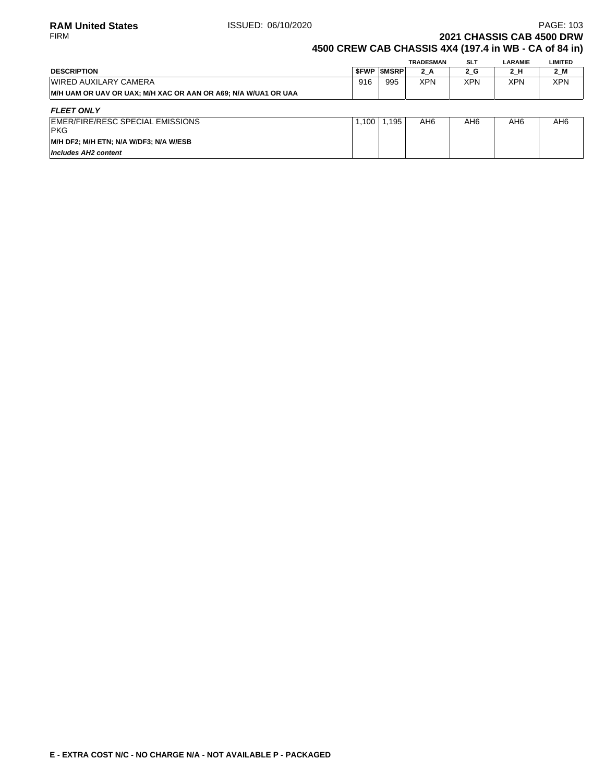# **2021 CHASSIS CAB 4500 DRW**

## **4500 CREW CAB CHASSIS 4X4 (197.4 in WB - CA of 84 in)**

|                                                                 |     |                   | <b>TRADESMAN</b> | <b>SLT</b> | LARAMIE | LIMITED |
|-----------------------------------------------------------------|-----|-------------------|------------------|------------|---------|---------|
| <b>DESCRIPTION</b>                                              |     | <b>SFWP SMSRP</b> | $2_A$            | 2 G        | 2 H     | 2_M     |
| <b>WIRED AUXILARY CAMERA</b>                                    | 916 | 995               | XPN              | <b>XPN</b> | XPN     | XPN     |
| IM/H UAM OR UAV OR UAX: M/H XAC OR AAN OR A69: N/A W/UA1 OR UAA |     |                   |                  |            |         |         |
| FI FFT ONI Y                                                    |     |                   |                  |            |         |         |

| FLEET VIVET                            |      |      |     |                 |     |     |
|----------------------------------------|------|------|-----|-----------------|-----|-----|
| EMER/FIRE/RESC SPECIAL EMISSIONS       | .100 | .195 | AH6 | AH <sub>6</sub> | AH6 | AH6 |
| <b>PKG</b>                             |      |      |     |                 |     |     |
| M/H DF2; M/H ETN; N/A W/DF3; N/A W/ESB |      |      |     |                 |     |     |
| Includes AH2 content                   |      |      |     |                 |     |     |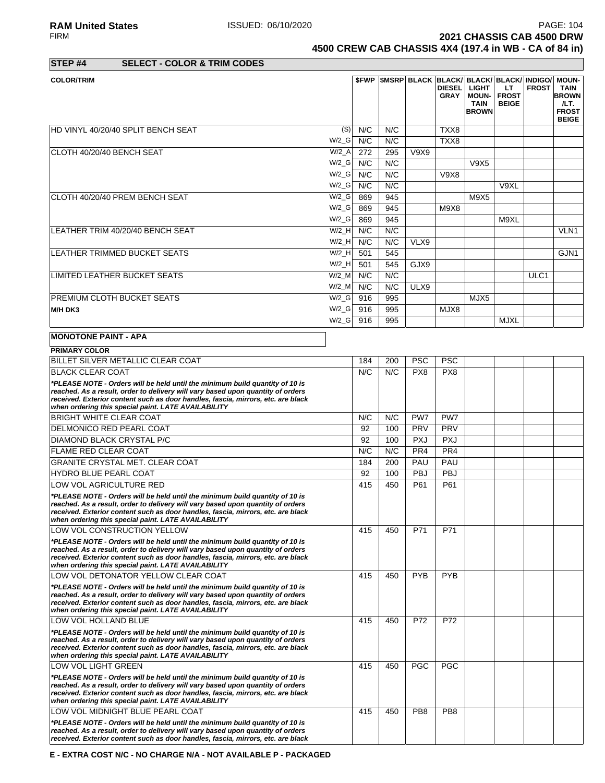**RAM United States ISSUED: 06/10/2020** PAGE: 104<br>FIRM **PAGE: 104**<br>**2021 CHASSIS CAB 4500 DRW 2021 CHASSIS CAB 4500 DRW 4500 CREW CAB CHASSIS 4X4 (197.4 in WB - CA of 84 in)**

**STEP #4 SELECT - COLOR & TRIM CODES**

| <b>COLOR/TRIM</b>                                                                                                                                                                                                                                                                                          |          |     |     |            | <b>DIESEL</b><br><b>GRAY</b> | <b>SFWP SMSRP BLACK BLACK BLACK BLACK BLACK INDIGO/</b><br><b>LIGHT</b><br><b>MOUN-</b><br><b>TAIN</b><br><b>BROWN</b> | LT.<br><b>FROST</b><br><b>BEIGE</b> | <b>FROST</b> | <b>MOUN-</b><br><b>TAIN</b><br><b>BROWN</b><br>/LT.<br><b>FROST</b><br><b>BEIGE</b> |
|------------------------------------------------------------------------------------------------------------------------------------------------------------------------------------------------------------------------------------------------------------------------------------------------------------|----------|-----|-----|------------|------------------------------|------------------------------------------------------------------------------------------------------------------------|-------------------------------------|--------------|-------------------------------------------------------------------------------------|
| HD VINYL 40/20/40 SPLIT BENCH SEAT                                                                                                                                                                                                                                                                         | (S)      | N/C | N/C |            | TXX8                         |                                                                                                                        |                                     |              |                                                                                     |
|                                                                                                                                                                                                                                                                                                            | $W/2_G$  | N/C | N/C |            | TXX8                         |                                                                                                                        |                                     |              |                                                                                     |
| CLOTH 40/20/40 BENCH SEAT                                                                                                                                                                                                                                                                                  | $W/2_A$  | 272 | 295 | V9X9       |                              |                                                                                                                        |                                     |              |                                                                                     |
|                                                                                                                                                                                                                                                                                                            | W/2 G    | N/C | N/C |            |                              | V9X5                                                                                                                   |                                     |              |                                                                                     |
|                                                                                                                                                                                                                                                                                                            | $W/2_G$  | N/C | N/C |            | <b>V9X8</b>                  |                                                                                                                        |                                     |              |                                                                                     |
|                                                                                                                                                                                                                                                                                                            | $W/2_G$  | N/C | N/C |            |                              |                                                                                                                        | V9XL                                |              |                                                                                     |
| CLOTH 40/20/40 PREM BENCH SEAT                                                                                                                                                                                                                                                                             | $W/2_G$  | 869 | 945 |            |                              | M9X5                                                                                                                   |                                     |              |                                                                                     |
|                                                                                                                                                                                                                                                                                                            | $W/2_G$  | 869 | 945 |            | M9X8                         |                                                                                                                        |                                     |              |                                                                                     |
|                                                                                                                                                                                                                                                                                                            | $W/2_G$  | 869 | 945 |            |                              |                                                                                                                        | M9XL                                |              |                                                                                     |
| LEATHER TRIM 40/20/40 BENCH SEAT                                                                                                                                                                                                                                                                           | $W/2$ H  | N/C | N/C |            |                              |                                                                                                                        |                                     |              | VLN <sub>1</sub>                                                                    |
|                                                                                                                                                                                                                                                                                                            | $W/2$ _H | N/C | N/C | VLX9       |                              |                                                                                                                        |                                     |              |                                                                                     |
| <b>LEATHER TRIMMED BUCKET SEATS</b>                                                                                                                                                                                                                                                                        | $W/2$ H  | 501 | 545 |            |                              |                                                                                                                        |                                     |              | GJN <sub>1</sub>                                                                    |
|                                                                                                                                                                                                                                                                                                            | $W/2$ _H | 501 | 545 | GJX9       |                              |                                                                                                                        |                                     |              |                                                                                     |
| LIMITED LEATHER BUCKET SEATS                                                                                                                                                                                                                                                                               | $W/2$ _M | N/C | N/C |            |                              |                                                                                                                        |                                     | ULC1         |                                                                                     |
|                                                                                                                                                                                                                                                                                                            | $W/2$ _M | N/C | N/C | ULX9       |                              |                                                                                                                        |                                     |              |                                                                                     |
| <b>PREMIUM CLOTH BUCKET SEATS</b>                                                                                                                                                                                                                                                                          | W/2 G    | 916 | 995 |            |                              | MJX5                                                                                                                   |                                     |              |                                                                                     |
| M/H DK3                                                                                                                                                                                                                                                                                                    | W/2 G    | 916 | 995 |            | MJX8                         |                                                                                                                        |                                     |              |                                                                                     |
|                                                                                                                                                                                                                                                                                                            | $W/2_G$  | 916 | 995 |            |                              |                                                                                                                        | <b>MJXL</b>                         |              |                                                                                     |
| <b>MONOTONE PAINT - APA</b>                                                                                                                                                                                                                                                                                |          |     |     |            |                              |                                                                                                                        |                                     |              |                                                                                     |
| <b>PRIMARY COLOR</b>                                                                                                                                                                                                                                                                                       |          |     |     |            |                              |                                                                                                                        |                                     |              |                                                                                     |
| BILLET SILVER METALLIC CLEAR COAT                                                                                                                                                                                                                                                                          |          | 184 | 200 | <b>PSC</b> | <b>PSC</b>                   |                                                                                                                        |                                     |              |                                                                                     |
| <b>BLACK CLEAR COAT</b>                                                                                                                                                                                                                                                                                    |          | N/C | N/C | PX8        | PX8                          |                                                                                                                        |                                     |              |                                                                                     |
| *PLEASE NOTE - Orders will be held until the minimum build quantity of 10 is<br>reached. As a result, order to delivery will vary based upon quantity of orders<br>received. Exterior content such as door handles, fascia, mirrors, etc. are black<br>when ordering this special paint. LATE AVAILABILITY |          |     |     |            |                              |                                                                                                                        |                                     |              |                                                                                     |
| <b>BRIGHT WHITE CLEAR COAT</b>                                                                                                                                                                                                                                                                             |          | N/C | N/C | PW7        | PW7                          |                                                                                                                        |                                     |              |                                                                                     |
| <b>DELMONICO RED PEARL COAT</b>                                                                                                                                                                                                                                                                            |          | 92  | 100 | PRV        | PRV                          |                                                                                                                        |                                     |              |                                                                                     |
| <b>DIAMOND BLACK CRYSTAL P/C</b>                                                                                                                                                                                                                                                                           |          | 92  | 100 | <b>PXJ</b> | <b>PXJ</b>                   |                                                                                                                        |                                     |              |                                                                                     |

| <b>DIAMOND BLACK CRYSTAL P/C</b>                                                                                                                                                                                                                                                                           | 92  | 100 | <b>PXJ</b>      | <b>PXJ</b>      |  |  |
|------------------------------------------------------------------------------------------------------------------------------------------------------------------------------------------------------------------------------------------------------------------------------------------------------------|-----|-----|-----------------|-----------------|--|--|
| <b>FLAME RED CLEAR COAT</b>                                                                                                                                                                                                                                                                                | N/C | N/C | PR <sub>4</sub> | PR4             |  |  |
| <b>GRANITE CRYSTAL MET. CLEAR COAT</b>                                                                                                                                                                                                                                                                     | 184 | 200 | PAU             | PAU             |  |  |
| <b>HYDRO BLUE PEARL COAT</b>                                                                                                                                                                                                                                                                               | 92  | 100 | <b>PBJ</b>      | <b>PBJ</b>      |  |  |
| LOW VOL AGRICULTURE RED                                                                                                                                                                                                                                                                                    | 415 | 450 | P61             | P61             |  |  |
| *PLEASE NOTE - Orders will be held until the minimum build quantity of 10 is<br>reached. As a result, order to delivery will vary based upon quantity of orders<br>received. Exterior content such as door handles, fascia, mirrors, etc. are black<br>when ordering this special paint. LATE AVAILABILITY |     |     |                 |                 |  |  |
| LOW VOL CONSTRUCTION YELLOW                                                                                                                                                                                                                                                                                | 415 | 450 | P71             | P71             |  |  |
| *PLEASE NOTE - Orders will be held until the minimum build quantity of 10 is<br>reached. As a result, order to delivery will vary based upon quantity of orders<br>received. Exterior content such as door handles, fascia, mirrors, etc. are black<br>when ordering this special paint. LATE AVAILABILITY |     |     |                 |                 |  |  |
| LOW VOL DETONATOR YELLOW CLEAR COAT                                                                                                                                                                                                                                                                        | 415 | 450 | <b>PYB</b>      | <b>PYB</b>      |  |  |
| *PLEASE NOTE - Orders will be held until the minimum build quantity of 10 is<br>reached. As a result, order to delivery will vary based upon quantity of orders<br>received. Exterior content such as door handles, fascia, mirrors, etc. are black<br>when ordering this special paint. LATE AVAILABILITY |     |     |                 |                 |  |  |
| LOW VOL HOLLAND BLUE                                                                                                                                                                                                                                                                                       | 415 | 450 | P72             | P72             |  |  |
| *PLEASE NOTE - Orders will be held until the minimum build quantity of 10 is<br>reached. As a result, order to delivery will vary based upon quantity of orders<br>received. Exterior content such as door handles, fascia, mirrors, etc. are black<br>when ordering this special paint. LATE AVAILABILITY |     |     |                 |                 |  |  |
| <b>LOW VOL LIGHT GREEN</b>                                                                                                                                                                                                                                                                                 | 415 | 450 | <b>PGC</b>      | <b>PGC</b>      |  |  |
| *PLEASE NOTE - Orders will be held until the minimum build quantity of 10 is<br>reached. As a result, order to delivery will vary based upon quantity of orders<br>received. Exterior content such as door handles, fascia, mirrors, etc. are black<br>when ordering this special paint. LATE AVAILABILITY |     |     |                 |                 |  |  |
| LOW VOL MIDNIGHT BLUE PEARL COAT                                                                                                                                                                                                                                                                           | 415 | 450 | PB <sub>8</sub> | PB <sub>8</sub> |  |  |
| *PLEASE NOTE - Orders will be held until the minimum build quantity of 10 is<br>reached. As a result, order to delivery will vary based upon quantity of orders<br>received. Exterior content such as door handles, fascia, mirrors, etc. are black                                                        |     |     |                 |                 |  |  |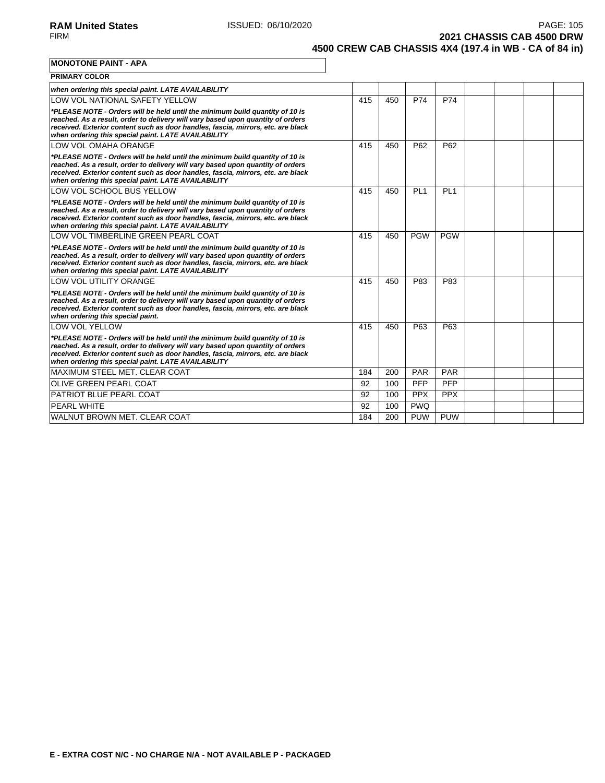**2021 CHASSIS CAB 4500 DRW 4500 CREW CAB CHASSIS 4X4 (197.4 in WB - CA of 84 in)**

**MONOTONE PAINT - APA**

| <b>PRIMARY COLOR</b>                                                                                                                                                                                                                                                                                       |     |     |                 |                 |  |  |
|------------------------------------------------------------------------------------------------------------------------------------------------------------------------------------------------------------------------------------------------------------------------------------------------------------|-----|-----|-----------------|-----------------|--|--|
| when ordering this special paint. LATE AVAILABILITY                                                                                                                                                                                                                                                        |     |     |                 |                 |  |  |
| LOW VOL NATIONAL SAFETY YELLOW                                                                                                                                                                                                                                                                             | 415 | 450 | P74             | P74             |  |  |
| *PLEASE NOTE - Orders will be held until the minimum build quantity of 10 is<br>reached. As a result, order to delivery will vary based upon quantity of orders<br>received. Exterior content such as door handles, fascia, mirrors, etc. are black<br>when ordering this special paint. LATE AVAILABILITY |     |     |                 |                 |  |  |
| LOW VOL OMAHA ORANGE                                                                                                                                                                                                                                                                                       | 415 | 450 | P62             | P62             |  |  |
| *PLEASE NOTE - Orders will be held until the minimum build quantity of 10 is<br>reached. As a result, order to delivery will vary based upon quantity of orders<br>received. Exterior content such as door handles, fascia, mirrors, etc. are black<br>when ordering this special paint. LATE AVAILABILITY |     |     |                 |                 |  |  |
| LOW VOL SCHOOL BUS YELLOW                                                                                                                                                                                                                                                                                  | 415 | 450 | PL <sub>1</sub> | PL <sub>1</sub> |  |  |
| *PLEASE NOTE - Orders will be held until the minimum build quantity of 10 is<br>reached. As a result, order to delivery will vary based upon quantity of orders<br>received. Exterior content such as door handles, fascia, mirrors, etc. are black<br>when ordering this special paint. LATE AVAILABILITY |     |     |                 |                 |  |  |
| LOW VOL TIMBERLINE GREEN PEARL COAT                                                                                                                                                                                                                                                                        | 415 | 450 | <b>PGW</b>      | <b>PGW</b>      |  |  |
| *PLEASE NOTE - Orders will be held until the minimum build quantity of 10 is<br>reached. As a result, order to delivery will vary based upon quantity of orders<br>received. Exterior content such as door handles, fascia, mirrors, etc. are black<br>when ordering this special paint. LATE AVAILABILITY |     |     |                 |                 |  |  |
| LOW VOL UTILITY ORANGE                                                                                                                                                                                                                                                                                     | 415 | 450 | P83             | P83             |  |  |
| *PLEASE NOTE - Orders will be held until the minimum build quantity of 10 is<br>reached. As a result, order to delivery will vary based upon quantity of orders<br>received. Exterior content such as door handles, fascia, mirrors, etc. are black<br>when ordering this special paint.                   |     |     |                 |                 |  |  |
| LOW VOL YELLOW                                                                                                                                                                                                                                                                                             | 415 | 450 | P63             | P63             |  |  |
| *PLEASE NOTE - Orders will be held until the minimum build quantity of 10 is<br>reached. As a result, order to delivery will vary based upon quantity of orders<br>received. Exterior content such as door handles, fascia, mirrors, etc. are black<br>when ordering this special paint. LATE AVAILABILITY |     |     |                 |                 |  |  |
| MAXIMUM STEEL MET. CLEAR COAT                                                                                                                                                                                                                                                                              | 184 | 200 | PAR             | <b>PAR</b>      |  |  |
| <b>OLIVE GREEN PEARL COAT</b>                                                                                                                                                                                                                                                                              | 92  | 100 | PFP             | PFP             |  |  |
| <b>PATRIOT BLUE PEARL COAT</b>                                                                                                                                                                                                                                                                             | 92  | 100 | <b>PPX</b>      | <b>PPX</b>      |  |  |
| <b>PEARL WHITE</b>                                                                                                                                                                                                                                                                                         | 92  | 100 | <b>PWQ</b>      |                 |  |  |
| WALNUT BROWN MET. CLEAR COAT                                                                                                                                                                                                                                                                               | 184 | 200 | <b>PUW</b>      | <b>PUW</b>      |  |  |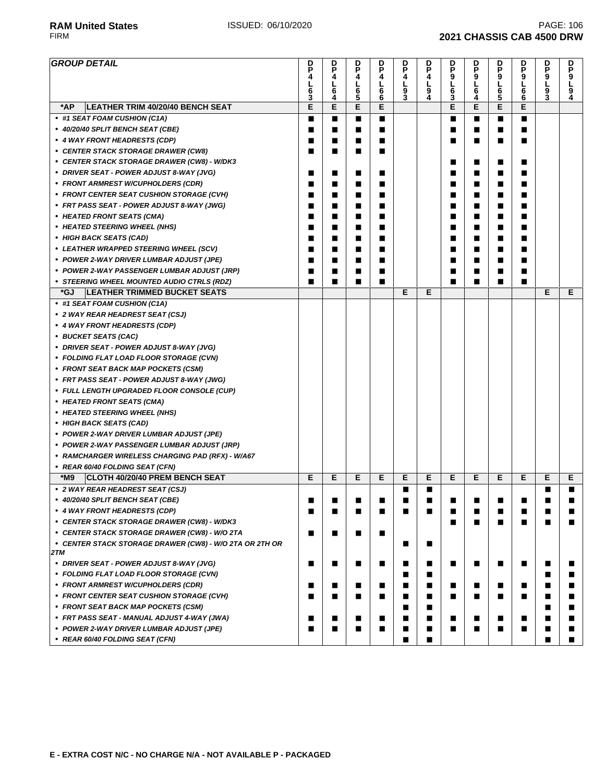**RAM United States ISSUED: 06/10/2020 PAGE: 106 PAGE: 106** FIRM **2021 CHASSIS CAB 4500 DRW**

#### **GROUP DETAIL P 4 L 6 3 D P 4 L 6 4 D P 4 L 6 5 D P 4 L 6 6 D P 4 L 9 3 D P 4 L 9 4 D P 9 L 6 3 D P 9 L 6 4 D P 9 L 6 5 D P 9 L 6 6 D P 9 L 9 3 D P 9 L 9 4 \*AP LEATHER TRIM 40/20/40 BENCH SEAT E E E E E E E E • #1 SEAT FOAM CUSHION (C1A)** ■ ■ ■ ■ ■ ■ ■ ■ **• 40/20/40 SPLIT BENCH SEAT (CBE)** ■ ■ ■ ■ ■ ■ ■ ■ **• 4 WAY FRONT HEADRESTS (CDP)** ■ ■ ■ ■ ■ ■ ■ ■ **• CENTER STACK STORAGE DRAWER (CW8)** ■ ■ ■ ■ **• CENTER STACK STORAGE DRAWER (CW8) - W/DK3** ■ ■ ■ ■ **• DRIVER SEAT - POWER ADJUST 8-WAY (JVG)** ■ ■ ■ ■ ■ ■ ■ ■ **• FRONT ARMREST W/CUPHOLDERS (CDR)** ■ ■ ■ ■ ■ ■ ■ ■ **• FRONT CENTER SEAT CUSHION STORAGE (CVH)** ■ ■ ■ ■ ■ ■ ■ ■ **• FRT PASS SEAT - POWER ADJUST 8-WAY (JWG)** ■ ■ ■ ■ ■ ■ ■ ■ **• HEATED FRONT SEATS (CMA)** ■ ■ ■ ■ ■ ■ ■ ■ **• HEATED STEERING WHEEL (NHS)** ■ ■ ■ ■ ■ ■ ■ ■ **• HIGH BACK SEATS (CAD)** ■ ■ ■ ■ ■ ■ ■ ■ **• LEATHER WRAPPED STEERING WHEEL (SCV)** ■ ■ ■ ■ ■ ■ ■ ■ **• POWER 2-WAY DRIVER LUMBAR ADJUST (JPE)** ■ ■ ■ ■ ■ ■ ■ ■ **• POWER 2-WAY PASSENGER LUMBAR ADJUST (JRP)** ■ ■ ■ ■ ■ ■ ■ ■ **• STEERING WHEEL MOUNTED AUDIO CTRLS (RDZ)** ■ ■ ■ ■ ■ ■ ■ ■ **\*GJ LEATHER TRIMMED BUCKET SEATS E E E E • #1 SEAT FOAM CUSHION (C1A) • 2 WAY REAR HEADREST SEAT (CSJ) • 4 WAY FRONT HEADRESTS (CDP) • BUCKET SEATS (CAC) • DRIVER SEAT - POWER ADJUST 8-WAY (JVG) • FOLDING FLAT LOAD FLOOR STORAGE (CVN) • FRONT SEAT BACK MAP POCKETS (CSM) • FRT PASS SEAT - POWER ADJUST 8-WAY (JWG) • FULL LENGTH UPGRADED FLOOR CONSOLE (CUP) • HEATED FRONT SEATS (CMA) • HEATED STEERING WHEEL (NHS) • HIGH BACK SEATS (CAD) • POWER 2-WAY DRIVER LUMBAR ADJUST (JPE) • POWER 2-WAY PASSENGER LUMBAR ADJUST (JRP) • RAMCHARGER WIRELESS CHARGING PAD (RFX) - W/A67 • REAR 60/40 FOLDING SEAT (CFN) \*M9 CLOTH 40/20/40 PREM BENCH SEAT E E E E E E E E E E E E • 2 WAY REAR HEADREST SEAT (CSJ)** ■ ■ ■ ■ **• 40/20/40 SPLIT BENCH SEAT (CBE)** ■ ■ ■ ■ ■ ■ ■ ■ ■ ■ ■ ■ **• 4 WAY FRONT HEADRESTS (CDP)** ■ ■ ■ ■ ■ ■ ■ ■ ■ ■ ■ ■ **• CENTER STACK STORAGE DRAWER (CW8) - W/DK3** ■ ■ ■ ■ ■ ■ • CENTER STACK STORAGE DRAWER (CW8) - W/O 2TA **■ ■ ■ ■ ■** ■ **• CENTER STACK STORAGE DRAWER (CW8) - W/O 2TA OR 2TH OR 2TM** ■ ■ **• DRIVER SEAT - POWER ADJUST 8-WAY (JVG)** ■ ■ ■ ■ ■ ■ ■ ■ ■ ■ ■ ■ **• FOLDING FLAT LOAD FLOOR STORAGE (CVN)** ■ ■ ■ ■ **• FRONT ARMREST W/CUPHOLDERS (CDR)** ■ ■ ■ ■ ■ ■ ■ ■ ■ ■ ■ ■ **• FRONT CENTER SEAT CUSHION STORAGE (CVH)** ■ ■ ■ ■ ■ ■ ■ ■ ■ ■ ■ ■ **• FRONT SEAT BACK MAP POCKETS (CSM)** ■ ■ ■ ■ **• FRT PASS SEAT - MANUAL ADJUST 4-WAY (JWA)** ■ ■ ■ ■ ■ ■ ■ ■ ■ ■ ■ ■ **• POWER 2-WAY DRIVER LUMBAR ADJUST (JPE)** ■ ■ ■ ■ ■ ■ ■ ■ ■ ■ ■ ■ **• REAR 60/40 FOLDING SEAT (CFN)** ■ ■ ■ ■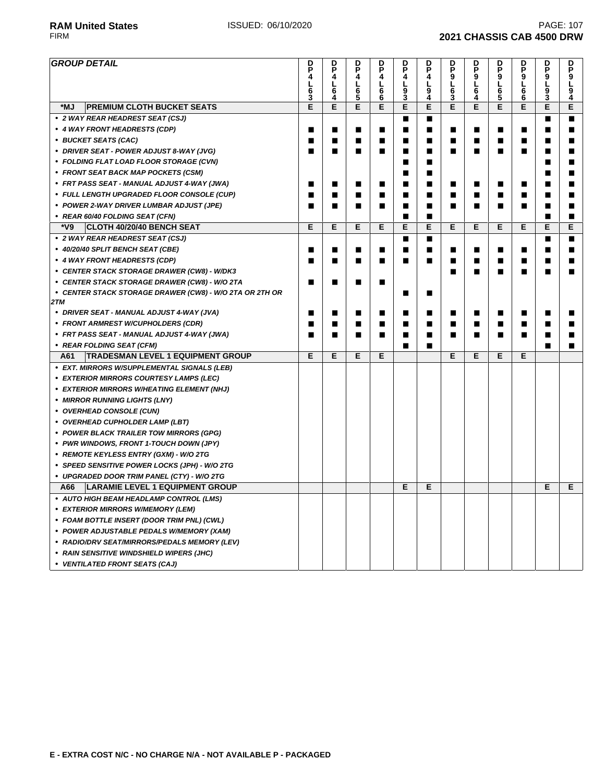| <b>GROUP DETAIL</b>                                     | D<br>P | D                     | D<br>P      | D<br>P    | D<br>P | D<br>P | D<br>P                  | D<br>P                  | D<br>P              | D              | D<br>P         | D<br>P         |
|---------------------------------------------------------|--------|-----------------------|-------------|-----------|--------|--------|-------------------------|-------------------------|---------------------|----------------|----------------|----------------|
|                                                         | 4<br>L | P<br>4<br>L           | 4           | 4<br>L    | 4<br>L | 4<br>L | $\mathbf{\bar{9}}$<br>L | $\mathbf{\bar{9}}$<br>L | $\overline{9}$<br>L | P<br>9         | 9<br>L         | 9<br>Г         |
|                                                         | 6      | $\bar{6\overline{4}}$ | L<br>6<br>5 | $\bar{6}$ | 9      | 9      | $\bar{6\over 3}$        | 6                       | $\frac{6}{5}$       | L<br>6<br>6    | 9              | $\overline{9}$ |
| *MJ<br><b>PREMIUM CLOTH BUCKET SEATS</b>                | 3<br>E | E                     | E           | E         | š<br>Е | 4<br>E | E                       | 4<br>E                  | E                   | E              | 3<br>E         | 4<br>E         |
| • 2 WAY REAR HEADREST SEAT (CSJ)                        |        |                       |             |           | П      | ■      |                         |                         |                     |                | ■              | ■              |
| • 4 WAY FRONT HEADRESTS (CDP)                           | ■      | ■                     | ■           | ■         | П      | ■      | ■                       | ■                       | ■                   | $\blacksquare$ | ■              | ■              |
| • BUCKET SEATS (CAC)                                    | п      | ■                     | ■           | ■         | ■      | п      | ■                       | ■                       | ■                   | ■              |                |                |
| • DRIVER SEAT - POWER ADJUST 8-WAY (JVG)                | П      | П                     | П           | П         | ■      |        | ■                       | П                       | п                   | п              | ■              | ■              |
|                                                         |        |                       |             |           | ■      | ■      |                         |                         |                     |                | ▅              |                |
| • FOLDING FLAT LOAD FLOOR STORAGE (CVN)                 |        |                       |             |           | ■      | п      |                         |                         |                     |                | ▅              |                |
| • FRONT SEAT BACK MAP POCKETS (CSM)                     |        |                       |             |           |        | ■      |                         |                         |                     |                |                | ▅              |
| • FRT PASS SEAT - MANUAL ADJUST 4-WAY (JWA)             | ■      | ■                     | п           | ■         | П      | п      | ■                       | ■                       | ■                   | ■              | ■              |                |
| • FULL LENGTH UPGRADED FLOOR CONSOLE (CUP)              | ш      | ■                     | ■           | ■         | ■      | п      | ■                       | ■                       |                     | ▅              |                |                |
| • POWER 2-WAY DRIVER LUMBAR ADJUST (JPE)                | п      | П                     | П           | п         | ■      | ■      | ■                       | П                       | п                   | ■              | ■              | п              |
| • REAR 60/40 FOLDING SEAT (CFN)                         |        |                       |             |           | П      | ■      |                         |                         |                     |                | ■              | г              |
| *V9<br><b>CLOTH 40/20/40 BENCH SEAT</b>                 | E      | E                     | Е           | E         | E      | E      | E                       | Е                       | E                   | E              | Е              | E              |
| • 2 WAY REAR HEADREST SEAT (CSJ)                        |        |                       |             |           | п      | П      |                         |                         |                     |                | ■              | ■              |
| • 40/20/40 SPLIT BENCH SEAT (CBE)                       | ■      | п                     | ■           | П         | ■      | ■      | ∎                       | ■                       | ■                   | ■              | ■              | п              |
| • 4 WAY FRONT HEADRESTS (CDP)                           | ■      | ■                     | П           | П         | ■      | ■      | ∎                       | ■                       | ■                   | ■              | ■              | ■              |
| • CENTER STACK STORAGE DRAWER (CW8) - W/DK3             |        |                       |             |           |        |        | ■                       | ■                       | г                   | ■              | ■              |                |
| • CENTER STACK STORAGE DRAWER (CW8) - W/O 2TA           | П      | ■                     | ■           | П         |        |        |                         |                         |                     |                |                |                |
| • CENTER STACK STORAGE DRAWER (CW8) - W/O 2TA OR 2TH OR |        |                       |             |           | ■      | ■      |                         |                         |                     |                |                |                |
| 2TM                                                     |        |                       |             |           |        |        |                         |                         |                     |                |                |                |
| • DRIVER SEAT - MANUAL ADJUST 4-WAY (JVA)               | п      | ■                     | п           | ■         | ■      | ■      | ■                       | ■                       | ■                   | ■              | $\blacksquare$ | п              |
| • FRONT ARMREST W/CUPHOLDERS (CDR)                      | ■      | ■                     | ■           | ■         | ■      | п      | ■                       | ■                       | ш                   | г              | ▅              |                |
| • FRT PASS SEAT - MANUAL ADJUST 4-WAY (JWA)             | п      | П                     | П           | П         | ■      | ■      | ■                       | ■                       | ■                   | ■              |                |                |
| • REAR FOLDING SEAT (CFM)                               |        |                       |             |           | П      | г      |                         |                         |                     |                | Г              | Г              |
| <b>TRADESMAN LEVEL 1 EQUIPMENT GROUP</b><br>A61         | Е      | Е                     | Е           | Е         |        |        | Е                       | Е                       | E                   | Е              |                |                |
| • EXT. MIRRORS W/SUPPLEMENTAL SIGNALS (LEB)             |        |                       |             |           |        |        |                         |                         |                     |                |                |                |
| • EXTERIOR MIRRORS COURTESY LAMPS (LEC)                 |        |                       |             |           |        |        |                         |                         |                     |                |                |                |
| • EXTERIOR MIRRORS W/HEATING ELEMENT (NHJ)              |        |                       |             |           |        |        |                         |                         |                     |                |                |                |
| • MIRROR RUNNING LIGHTS (LNY)                           |        |                       |             |           |        |        |                         |                         |                     |                |                |                |
| • OVERHEAD CONSOLE (CUN)                                |        |                       |             |           |        |        |                         |                         |                     |                |                |                |
| • OVERHEAD CUPHOLDER LAMP (LBT)                         |        |                       |             |           |        |        |                         |                         |                     |                |                |                |
| • POWER BLACK TRAILER TOW MIRRORS (GPG)                 |        |                       |             |           |        |        |                         |                         |                     |                |                |                |
| • PWR WINDOWS, FRONT 1-TOUCH DOWN (JPY)                 |        |                       |             |           |        |        |                         |                         |                     |                |                |                |
| • REMOTE KEYLESS ENTRY (GXM) - W/O 2TG                  |        |                       |             |           |        |        |                         |                         |                     |                |                |                |
| • SPEED SENSITIVE POWER LOCKS (JPH) - W/O 2TG           |        |                       |             |           |        |        |                         |                         |                     |                |                |                |
| • UPGRADED DOOR TRIM PANEL (CTY) - W/O 2TG              |        |                       |             |           |        |        |                         |                         |                     |                |                |                |
| <b>LARAMIE LEVEL 1 EQUIPMENT GROUP</b><br>A66           |        |                       |             |           | Е      | Е      |                         |                         |                     |                | Е              | E              |
| • AUTO HIGH BEAM HEADLAMP CONTROL (LMS)                 |        |                       |             |           |        |        |                         |                         |                     |                |                |                |
| • EXTERIOR MIRRORS W/MEMORY (LEM)                       |        |                       |             |           |        |        |                         |                         |                     |                |                |                |
| • FOAM BOTTLE INSERT (DOOR TRIM PNL) (CWL)              |        |                       |             |           |        |        |                         |                         |                     |                |                |                |
| • POWER ADJUSTABLE PEDALS W/MEMORY (XAM)                |        |                       |             |           |        |        |                         |                         |                     |                |                |                |
| • RADIO/DRV SEAT/MIRRORS/PEDALS MEMORY (LEV)            |        |                       |             |           |        |        |                         |                         |                     |                |                |                |
| • RAIN SENSITIVE WINDSHIELD WIPERS (JHC)                |        |                       |             |           |        |        |                         |                         |                     |                |                |                |
| • VENTILATED FRONT SEATS (CAJ)                          |        |                       |             |           |        |        |                         |                         |                     |                |                |                |
|                                                         |        |                       |             |           |        |        |                         |                         |                     |                |                |                |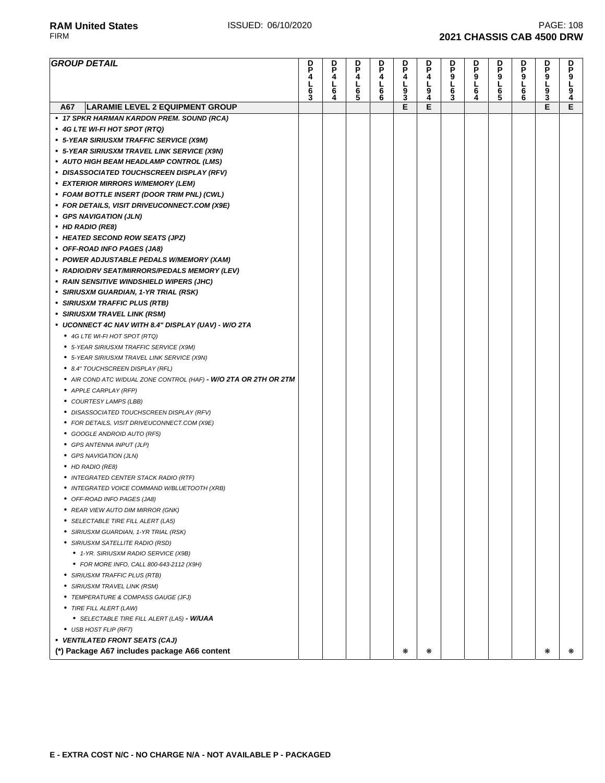**RAM United States ISSUED: 06/10/2020 PAGE: 108** PAGE: 108<br>FIRM **2021 CHASSIS CAB 4500 DRW 2021 CHASSIS CAB 4500 DRW** 

| <b>GROUP DETAIL</b>                                              | D<br>P<br>4 | D<br>P<br>4   | D<br>P<br>4 | D<br>P<br>4 | D<br>P<br>4   | D<br>P<br>4   | D<br>P<br>ġ | D<br>P<br>9 | <b>DP9L65</b> | D<br>P<br>ġ.                          | D<br>P<br>9 | <b>DP9L94</b> |
|------------------------------------------------------------------|-------------|---------------|-------------|-------------|---------------|---------------|-------------|-------------|---------------|---------------------------------------|-------------|---------------|
|                                                                  | 6           | L             | L<br>6<br>5 | L<br>6      | L             | $\frac{1}{9}$ | L<br>6      | L           |               | L                                     | L<br>9<br>3 |               |
|                                                                  | Š.          | $\frac{6}{4}$ |             | 6           | $\frac{9}{3}$ |               | 3           | $rac{6}{4}$ |               | $\begin{array}{c} 6 \\ 6 \end{array}$ |             |               |
| <b>LARAMIE LEVEL 2 EQUIPMENT GROUP</b><br>A67                    |             |               |             |             | E             | E             |             |             |               |                                       | E           | E             |
| • 17 SPKR HARMAN KARDON PREM. SOUND (RCA)                        |             |               |             |             |               |               |             |             |               |                                       |             |               |
| • 4G LTE WI-FI HOT SPOT (RTQ)                                    |             |               |             |             |               |               |             |             |               |                                       |             |               |
| • 5-YEAR SIRIUSXM TRAFFIC SERVICE (X9M)                          |             |               |             |             |               |               |             |             |               |                                       |             |               |
| • 5-YEAR SIRIUSXM TRAVEL LINK SERVICE (X9N)                      |             |               |             |             |               |               |             |             |               |                                       |             |               |
| • AUTO HIGH BEAM HEADLAMP CONTROL (LMS)                          |             |               |             |             |               |               |             |             |               |                                       |             |               |
| • DISASSOCIATED TOUCHSCREEN DISPLAY (RFV)                        |             |               |             |             |               |               |             |             |               |                                       |             |               |
| • EXTERIOR MIRRORS W/MEMORY (LEM)                                |             |               |             |             |               |               |             |             |               |                                       |             |               |
| • FOAM BOTTLE INSERT (DOOR TRIM PNL) (CWL)                       |             |               |             |             |               |               |             |             |               |                                       |             |               |
| • FOR DETAILS, VISIT DRIVEUCONNECT.COM (X9E)                     |             |               |             |             |               |               |             |             |               |                                       |             |               |
| • GPS NAVIGATION (JLN)                                           |             |               |             |             |               |               |             |             |               |                                       |             |               |
| • HD RADIO (RE8)                                                 |             |               |             |             |               |               |             |             |               |                                       |             |               |
| • HEATED SECOND ROW SEATS (JPZ)                                  |             |               |             |             |               |               |             |             |               |                                       |             |               |
| • OFF-ROAD INFO PAGES (JA8)                                      |             |               |             |             |               |               |             |             |               |                                       |             |               |
| • POWER ADJUSTABLE PEDALS W/MEMORY (XAM)                         |             |               |             |             |               |               |             |             |               |                                       |             |               |
| • RADIO/DRV SEAT/MIRRORS/PEDALS MEMORY (LEV)                     |             |               |             |             |               |               |             |             |               |                                       |             |               |
| • RAIN SENSITIVE WINDSHIELD WIPERS (JHC)                         |             |               |             |             |               |               |             |             |               |                                       |             |               |
| • SIRIUSXM GUARDIAN, 1-YR TRIAL (RSK)                            |             |               |             |             |               |               |             |             |               |                                       |             |               |
| • SIRIUSXM TRAFFIC PLUS (RTB)                                    |             |               |             |             |               |               |             |             |               |                                       |             |               |
| • SIRIUSXM TRAVEL LINK (RSM)                                     |             |               |             |             |               |               |             |             |               |                                       |             |               |
| • UCONNECT 4C NAV WITH 8.4" DISPLAY (UAV) - W/O 2TA              |             |               |             |             |               |               |             |             |               |                                       |             |               |
| ● 4G LTE WI-FI HOT SPOT (RTQ)                                    |             |               |             |             |               |               |             |             |               |                                       |             |               |
| • 5-YEAR SIRIUSXM TRAFFIC SERVICE (X9M)                          |             |               |             |             |               |               |             |             |               |                                       |             |               |
| • 5-YEAR SIRIUSXM TRAVEL LINK SERVICE (X9N)                      |             |               |             |             |               |               |             |             |               |                                       |             |               |
| ● 8.4" TOUCHSCREEN DISPLAY (RFL)                                 |             |               |             |             |               |               |             |             |               |                                       |             |               |
| • AIR COND ATC W/DUAL ZONE CONTROL (HAF) - W/O 2TA OR 2TH OR 2TM |             |               |             |             |               |               |             |             |               |                                       |             |               |
| • APPLE CARPLAY (RFP)                                            |             |               |             |             |               |               |             |             |               |                                       |             |               |
| • COURTESY LAMPS (LBB)                                           |             |               |             |             |               |               |             |             |               |                                       |             |               |
| • DISASSOCIATED TOUCHSCREEN DISPLAY (RFV)                        |             |               |             |             |               |               |             |             |               |                                       |             |               |
| • FOR DETAILS, VISIT DRIVEUCONNECT.COM (X9E)                     |             |               |             |             |               |               |             |             |               |                                       |             |               |
| • GOOGLE ANDROID AUTO (RF5)                                      |             |               |             |             |               |               |             |             |               |                                       |             |               |
| • GPS ANTENNA INPUT (JLP)                                        |             |               |             |             |               |               |             |             |               |                                       |             |               |
| • GPS NAVIGATION (JLN)                                           |             |               |             |             |               |               |             |             |               |                                       |             |               |
| • HD RADIO (RE8)                                                 |             |               |             |             |               |               |             |             |               |                                       |             |               |
| • INTEGRATED CENTER STACK RADIO (RTF)                            |             |               |             |             |               |               |             |             |               |                                       |             |               |
| • INTEGRATED VOICE COMMAND W/BLUETOOTH (XRB)                     |             |               |             |             |               |               |             |             |               |                                       |             |               |
| OFF-ROAD INFO PAGES (JA8)                                        |             |               |             |             |               |               |             |             |               |                                       |             |               |
| • REAR VIEW AUTO DIM MIRROR (GNK)                                |             |               |             |             |               |               |             |             |               |                                       |             |               |
| • SELECTABLE TIRE FILL ALERT (LA5)                               |             |               |             |             |               |               |             |             |               |                                       |             |               |
| • SIRIUSXM GUARDIAN, 1-YR TRIAL (RSK)                            |             |               |             |             |               |               |             |             |               |                                       |             |               |
| • SIRIUSXM SATELLITE RADIO (RSD)                                 |             |               |             |             |               |               |             |             |               |                                       |             |               |
| ● 1-YR. SIRIUSXM RADIO SERVICE (X9B)                             |             |               |             |             |               |               |             |             |               |                                       |             |               |
| • FOR MORE INFO, CALL 800-643-2112 (X9H)                         |             |               |             |             |               |               |             |             |               |                                       |             |               |
| • SIRIUSXM TRAFFIC PLUS (RTB)                                    |             |               |             |             |               |               |             |             |               |                                       |             |               |
| • SIRIUSXM TRAVEL LINK (RSM)                                     |             |               |             |             |               |               |             |             |               |                                       |             |               |
| ● TEMPERATURE & COMPASS GAUGE (JFJ)                              |             |               |             |             |               |               |             |             |               |                                       |             |               |
| • TIRE FILL ALERT (LAW)                                          |             |               |             |             |               |               |             |             |               |                                       |             |               |
| • SELECTABLE TIRE FILL ALERT (LA5) - W/UAA                       |             |               |             |             |               |               |             |             |               |                                       |             |               |
| • USB HOST FLIP (RF7)                                            |             |               |             |             |               |               |             |             |               |                                       |             |               |
| • VENTILATED FRONT SEATS (CAJ)                                   |             |               |             |             |               |               |             |             |               |                                       |             |               |
| (*) Package A67 includes package A66 content                     |             |               |             |             | ∗             | ₩             |             |             |               |                                       | ∗           | ⋇             |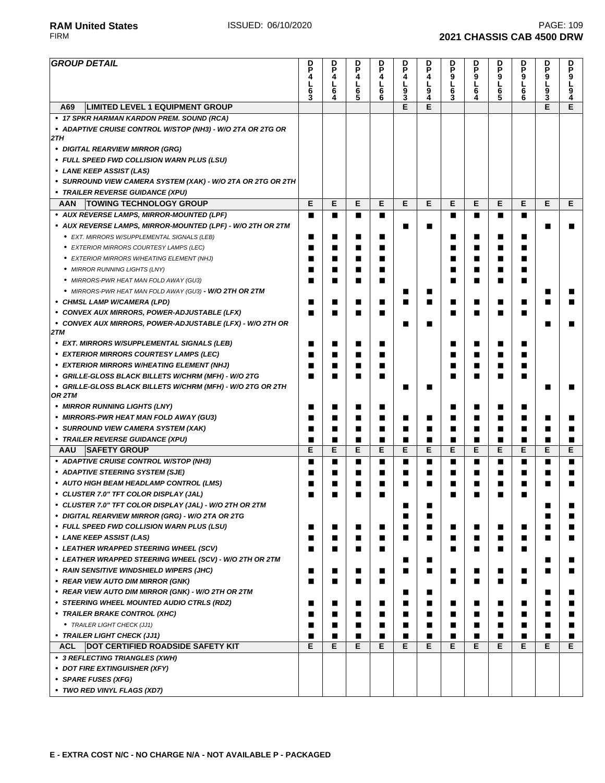**2021 CHASSIS CAB 4500 DRW** 

## **RAM United States ISSUED: 06/10/2020 PAGE: 109** PAGE: 109<br>FIRM **2021 CHASSIS CAB 4500 DRW**

| <b>GROUP DETAIL</b>                                               | D                   | D      | D      | D                   |               | D      | D<br>P      | D           | D                  | D<br>P | D      | D                |
|-------------------------------------------------------------------|---------------------|--------|--------|---------------------|---------------|--------|-------------|-------------|--------------------|--------|--------|------------------|
|                                                                   | P<br>4              | P<br>4 | P<br>4 | P<br>4              | D<br>P<br>4   | P<br>4 | 9           | P           | P<br>$\frac{9}{L}$ | 9      | P<br>9 | P                |
|                                                                   | L<br>$\overline{6}$ | L<br>6 | L<br>6 | L<br>$\overline{6}$ | $\frac{1}{9}$ | L<br>9 | L<br>6<br>3 | 9<br>L<br>6 | $\overline{6}$     | Ĺ<br>6 | L<br>9 | 9<br> <br>9<br>4 |
|                                                                   | 3                   | Ā.     | 5      | 6                   |               | 4      |             |             | 5                  | 6      | Š.     |                  |
| <b>LIMITED LEVEL 1 EQUIPMENT GROUP</b><br>A69                     |                     |        |        |                     | E             | Е      |             |             |                    |        | Е      | E                |
| • 17 SPKR HARMAN KARDON PREM. SOUND (RCA)                         |                     |        |        |                     |               |        |             |             |                    |        |        |                  |
| • ADAPTIVE CRUISE CONTROL W/STOP (NH3) - W/O 2TA OR 2TG OR<br>2TH |                     |        |        |                     |               |        |             |             |                    |        |        |                  |
| • DIGITAL REARVIEW MIRROR (GRG)                                   |                     |        |        |                     |               |        |             |             |                    |        |        |                  |
| • FULL SPEED FWD COLLISION WARN PLUS (LSU)                        |                     |        |        |                     |               |        |             |             |                    |        |        |                  |
| • LANE KEEP ASSIST (LAS)                                          |                     |        |        |                     |               |        |             |             |                    |        |        |                  |
| • SURROUND VIEW CAMERA SYSTEM (XAK) - W/O 2TA OR 2TG OR 2TH       |                     |        |        |                     |               |        |             |             |                    |        |        |                  |
| • TRAILER REVERSE GUIDANCE (XPU)                                  |                     |        |        |                     |               |        |             |             |                    |        |        |                  |
| <b>TOWING TECHNOLOGY GROUP</b><br>AAN                             | Е                   | E      | Е      | Е                   | E             | E      | Е           | Е           | Е                  | E      | E      | Е                |
| • AUX REVERSE LAMPS, MIRROR-MOUNTED (LPF)                         | ■                   | ■      | П      | п                   |               |        | ■           | П           | П                  | ■      |        |                  |
| • AUX REVERSE LAMPS, MIRROR-MOUNTED (LPF) - W/O 2TH OR 2TM        |                     |        |        |                     | П             | ■      |             |             |                    |        | ■      | п                |
| • EXT. MIRRORS W/SUPPLEMENTAL SIGNALS (LEB)                       | п                   | ■      | ■      | ■                   |               |        | ■           | ■           | ■                  | ■      |        |                  |
| • EXTERIOR MIRRORS COURTESY LAMPS (LEC)                           | П                   |        | ■      | ■                   |               |        | ■           | ■           |                    | ■      |        |                  |
| • EXTERIOR MIRRORS W/HEATING ELEMENT (NHJ)                        | ■                   |        | ■      | ■                   |               |        | ■           | ■           |                    |        |        |                  |
| • MIRROR RUNNING LIGHTS (LNY)                                     |                     |        | ■      | ■                   |               |        | ■           | ■           |                    | ■      |        |                  |
| • MIRRORS-PWR HEAT MAN FOLD AWAY (GU3)                            | П                   |        | ■      | ■                   |               |        | ■           | П           | ■                  | ■      |        |                  |
| • MIRRORS-PWR HEAT MAN FOLD AWAY (GU3) - W/O 2TH OR 2TM           |                     |        |        |                     | ■             | ■      |             |             |                    |        | ■      | п                |
| • CHMSL LAMP W/CAMERA (LPD)                                       | п                   | ш      | ■      | п                   | ■             | ■      | П           | ■           | ■                  | ■      | ■      | ■                |
| • CONVEX AUX MIRRORS, POWER-ADJUSTABLE (LFX)                      | ■                   |        | ■      | ■                   |               |        | ■           |             |                    | ■      |        |                  |
| • CONVEX AUX MIRRORS, POWER-ADJUSTABLE (LFX) - W/O 2TH OR<br>2TM  |                     |        |        |                     | ■             |        |             |             |                    |        |        |                  |
| • EXT. MIRRORS W/SUPPLEMENTAL SIGNALS (LEB)                       | п                   | ■      | П      | п                   |               |        | ■           | ■           | ■                  | ■      |        |                  |
| • EXTERIOR MIRRORS COURTESY LAMPS (LEC)                           | ■                   |        | ■      | ■                   |               |        | ■           | ■           |                    | ■      |        |                  |
| • EXTERIOR MIRRORS W/HEATING ELEMENT (NHJ)                        | ■                   |        |        |                     |               |        | ■           |             |                    |        |        |                  |
| • GRILLE-GLOSS BLACK BILLETS W/CHRM (MFH) - W/O 2TG               | ▬                   |        | г      | ■                   |               |        | ■           |             |                    | ▅      |        |                  |
| • GRILLE-GLOSS BLACK BILLETS W/CHRM (MFH) - W/O 2TG OR 2TH        |                     |        |        |                     | ■             |        |             |             |                    |        | ■      | ■                |
| OR 2TM                                                            |                     |        |        |                     |               |        |             |             |                    |        |        |                  |
| • MIRROR RUNNING LIGHTS (LNY)                                     | ■                   |        | ■      | ■                   |               |        | ∎           | ■           | ■                  | ■      |        |                  |
| • MIRRORS-PWR HEAT MAN FOLD AWAY (GU3)                            | ■                   | ш      | ■      | ■                   | ■             | ■      | ■           | ■           | ■                  | ■      | ■      | п                |
| • SURROUND VIEW CAMERA SYSTEM (XAK)                               | П                   | ■      | П      | п                   | ■             | ■      | ■           | ■           | ■                  | ■      | п      | ■                |
| • TRAILER REVERSE GUIDANCE (XPU)                                  | п                   | ■      | п      | п                   | ■             | ■      | ■           | ■           | ■                  | ■      | п      | п                |
| <b>AAU</b><br><b>SAFETY GROUP</b>                                 | Е                   | E      | Е      | Е                   | E             | E      | Е           | E           | E                  | E      | E      | Е                |
| • ADAPTIVE CRUISE CONTROL W/STOP (NH3)                            | ■                   | ■      | П      | п                   | П             | ■      | ■           | ■           | ■                  | ■      | п      | ■                |
| • ADAPTIVE STEERING SYSTEM (SJE)                                  | ■                   |        | ■      | ■                   | ■             | ■      | ■           | ■           | ■                  | ■      | ■      |                  |
| • AUTO HIGH BEAM HEADLAMP CONTROL (LMS)                           |                     |        |        | ■                   | ■             | ■      | ■           |             |                    | ■      |        |                  |
| • CLUSTER 7.0" TFT COLOR DISPLAY (JAL)                            | ■                   |        | ■      | ■                   |               |        |             |             |                    |        |        |                  |
| • CLUSTER 7.0" TFT COLOR DISPLAY (JAL) - W/O 2TH OR 2TM           |                     |        |        |                     | ■             | ■      |             |             |                    |        | ■      | ■                |
| • DIGITAL REARVIEW MIRROR (GRG) - W/O 2TA OR 2TG                  |                     |        |        |                     | П             | ■      |             |             |                    |        | ■      |                  |
| • FULL SPEED FWD COLLISION WARN PLUS (LSU)                        | п                   | ■      | ■      | ■                   | ■             | ■      | п           | П           | п                  | ■      | ■      | ■                |
| • LANE KEEP ASSIST (LAS)                                          | ■                   |        | ■      | ■                   | ■             |        | П           | ■           | ■                  | ■      | ■      | ■                |
| • LEATHER WRAPPED STEERING WHEEL (SCV)                            | ■                   |        | ■      | ■                   |               |        | П           | ■           | ■                  | ■      |        |                  |
| • LEATHER WRAPPED STEERING WHEEL (SCV) - W/O 2TH OR 2TM           |                     |        |        |                     | ■             | ■      |             |             |                    |        | ■      | ■                |
| • RAIN SENSITIVE WINDSHIELD WIPERS (JHC)                          | п                   | ■      | П      | п                   | ■             | ■      | ■           | П           | ■                  | ■      | ■      | ■                |
| • REAR VIEW AUTO DIM MIRROR (GNK)                                 | п                   | ■      | П      |                     |               |        | ■           | П           | ■                  | ■      |        |                  |
| • REAR VIEW AUTO DIM MIRROR (GNK) - W/O 2TH OR 2TM                |                     |        |        |                     | ■             | ■      |             |             |                    |        | ■      | п                |
| • STEERING WHEEL MOUNTED AUDIO CTRLS (RDZ)                        | ■<br>■              |        | ■<br>■ | ■<br>■              | ■<br>■        | ■<br>■ | ■<br>П      | ■<br>■      | ■                  | ■<br>■ | ■<br>■ | ■<br>■           |
| • TRAILER BRAKE CONTROL (XHC)<br>• TRAILER LIGHT CHECK (JJ1)      | ■                   | ■      | ■      | п                   | ■             | ■      | П           | ■           | ■                  | ■      | ■      | ■                |
| • TRAILER LIGHT CHECK (JJ1)                                       | П                   | ■      | п      | п                   | ■             | ∎      | ■           | ■           | ■                  | п      | п      | п                |
| <b>DOT CERTIFIED ROADSIDE SAFETY KIT</b><br>ACL                   | Е                   | Е      | Е      | Е                   | Е             | Е      | Е           | Е           | Е                  | E      | Е      | Е                |
| • 3 REFLECTING TRIANGLES (XWH)                                    |                     |        |        |                     |               |        |             |             |                    |        |        |                  |
| • DOT FIRE EXTINGUISHER (XFY)                                     |                     |        |        |                     |               |        |             |             |                    |        |        |                  |
| • SPARE FUSES (XFG)                                               |                     |        |        |                     |               |        |             |             |                    |        |        |                  |
| • TWO RED VINYL FLAGS (XD7)                                       |                     |        |        |                     |               |        |             |             |                    |        |        |                  |
|                                                                   |                     |        |        |                     |               |        |             |             |                    |        |        |                  |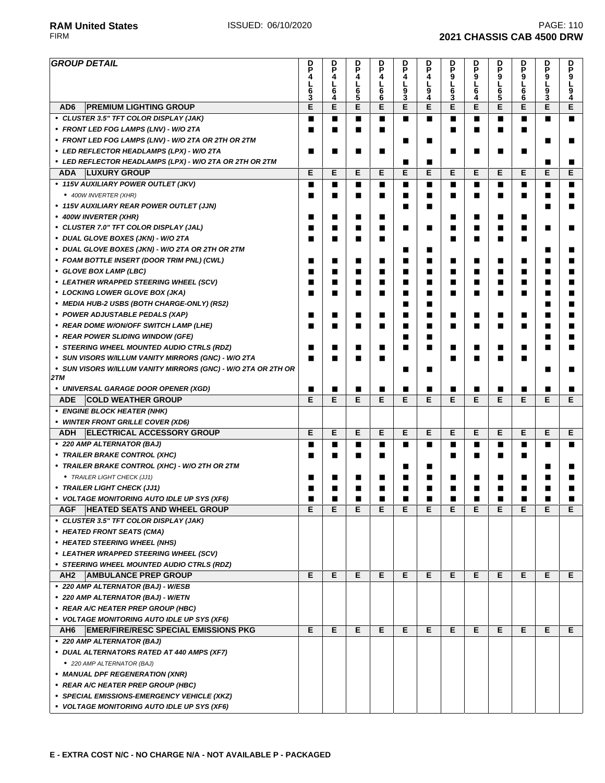| <b>GROUP DETAIL</b>                                            | D<br>P |               | D<br>P        | p<br>P | D<br>P | D<br>P | D           |                  |               | D<br>P |                     | D<br>P |
|----------------------------------------------------------------|--------|---------------|---------------|--------|--------|--------|-------------|------------------|---------------|--------|---------------------|--------|
|                                                                | 4      | <b>DP4L64</b> | 4<br>L        | 4<br>L | 4<br>L | 4<br>L | P<br>9      | D<br>P<br>9<br>L | <b>DP9L65</b> | 9<br>L | <b>DP9L</b>         | 9<br>L |
|                                                                | 6<br>3 |               | $\frac{6}{5}$ | ნ<br>6 | 9<br>3 | 9<br>4 | L<br>6<br>3 | 6<br>4           |               | 6<br>6 | $\overline{9}$<br>3 | 9<br>4 |
| AD <sub>6</sub><br><b>PREMIUM LIGHTING GROUP</b>               | E      | E             | E             | E      | E      | E      | E           | E                | Е             | E      | E                   | E      |
| • CLUSTER 3.5" TFT COLOR DISPLAY (JAK)                         | п      | П             | ■             | П      | П      | П      | ■           | П                | ■             | ■      | п                   | ■      |
| • FRONT LED FOG LAMPS (LNV) - W/O 2TA                          |        | ■             | ■             | ■      |        |        | ■           | ■                | ■             | ■      |                     |        |
| • FRONT LED FOG LAMPS (LNV) - W/O 2TA OR 2TH OR 2TM            |        |               |               |        | ■      | ■      |             |                  |               |        | ▅                   | ш      |
| • LED REFLECTOR HEADLAMPS (LPX) - W/O 2TA                      | п      | п             | ш             | П      |        |        | ■           | ■                | ■             | ■      |                     |        |
| • LED REFLECTOR HEADLAMPS (LPX) - W/O 2TA OR 2TH OR 2TM        |        |               |               |        | ■      | п      |             |                  |               |        | п                   | ■      |
| <b>LUXURY GROUP</b><br><b>ADA</b>                              | E      | E             | E             | E      | Е      | E      | Е           | Е                | Е             | E      | Е                   | Е      |
| • 115V AUXILIARY POWER OUTLET (JKV)                            | П      | П             | ■             | ■      | ■      | ■      | ■           | П                | ■             | п      | ■                   | ■      |
| • 400W INVERTER (XHR)                                          | п      | ■             | ■             | ■      | ■      | ■      | ■           | ■                | ■             | ■      | ■                   | ■      |
| • 115V AUXILIARY REAR POWER OUTLET (JJN)                       |        |               |               |        | ■      | ■      |             |                  |               |        | Г                   | ш      |
| • 400W INVERTER (XHR)                                          | ■      | ■             | ■             | ■      |        |        | ■           | ■                | ■             | ■      |                     |        |
| • CLUSTER 7.0" TFT COLOR DISPLAY (JAL)                         | ■      | ■             | ■             | ■      | ■      | ■      | ■           | ■                | ■             | ■      | ■                   | ■      |
| · DUAL GLOVE BOXES (JKN) - W/O 2TA                             | ■      | ■             | ■             | ■      |        |        | ■           | ■                | ■             | ■      |                     |        |
| • DUAL GLOVE BOXES (JKN) - W/O 2TA OR 2TH OR 2TM               |        |               |               |        | ■      | ■      |             |                  |               |        | ■                   |        |
| • FOAM BOTTLE INSERT (DOOR TRIM PNL) (CWL)                     | ш      | п             | ш             | ■      | ■      | ■      | ■           | ■                | ■             | ■      | ■                   |        |
| • GLOVE BOX LAMP (LBC)                                         | ш      | ■             | ■             | П      | ■      | ■      | ■           | ■                | ■             | ■      | ■                   |        |
| • LEATHER WRAPPED STEERING WHEEL (SCV)                         | ■      | ■             | ■             | П      | ■      | ■      | П           | ■                | п             | п      | ■                   |        |
| • LOCKING LOWER GLOVE BOX (JKA)                                | ■      | ■             | ■             | ■      | ■      | ■      | ■           | ■                | ■             | ■      | ■                   | ■      |
| • MEDIA HUB-2 USBS (BOTH CHARGE-ONLY) (RS2)                    |        |               |               |        | ■      | ■      |             |                  |               |        | ■                   | ш      |
| • POWER ADJUSTABLE PEDALS (XAP)                                | ■      | П             |               | ■      | ■      | ■      | ■           | ■                | ■             | ■      | ■                   |        |
| • REAR DOME W/ON/OFF SWITCH LAMP (LHE)                         | ш      | ■             | ш             | ■      | ■      | ■      | ■           | ■                | ■             | ■      | ■                   | ш      |
| • REAR POWER SLIDING WINDOW (GFE)                              |        |               |               |        | ■      | ■      |             |                  |               |        | ■                   | ш      |
| • STEERING WHEEL MOUNTED AUDIO CTRLS (RDZ)                     | ■      | ■             | ■             | ■      | ■      | ■      | ■           | ■                | ■             | ■      | ■                   |        |
| • SUN VISORS W/ILLUM VANITY MIRRORS (GNC) - W/O 2TA            | ■      | ■             | ■             | ■      |        |        | ■           | ■                | ■             | ■      |                     |        |
| • SUN VISORS W/ILLUM VANITY MIRRORS (GNC) - W/O 2TA OR 2TH OR  |        |               |               |        | ■      | ■      |             |                  |               |        | ■                   | ■      |
| 2TM                                                            |        |               |               |        |        |        |             |                  |               |        |                     |        |
| • UNIVERSAL GARAGE DOOR OPENER (XGD)                           | п      | п             | ■             | П      | ■      | ■      | ■           | ■                | ■             |        | ■                   | ■      |
| <b>COLD WEATHER GROUP</b><br><b>ADE</b>                        | E      | E             | Е             | E      | Е      | E      | Е           | Е                | Е             | E      | Е                   | Е      |
| • ENGINE BLOCK HEATER (NHK)                                    |        |               |               |        |        |        |             |                  |               |        |                     |        |
| • WINTER FRONT GRILLE COVER (XD6)                              |        |               |               |        |        |        |             |                  |               |        |                     |        |
| <b>ELECTRICAL ACCESSORY GROUP</b><br>ADH                       | Е      | Е             | Е             | Е      | Е      | Е      | Е           | Е                | Е             | Е      | Е                   | Е      |
| • 220 AMP ALTERNATOR (BAJ)                                     | ■      | ■             | ■             | П      | ■      | ■      | ■           | ■                | ■             | ■      | ■                   | ■      |
| • TRAILER BRAKE CONTROL (XHC)                                  | ш      | ■             | ■             | ■      |        |        | ■           | ■                | ■             | ■      |                     |        |
| • TRAILER BRAKE CONTROL (XHC) - W/O 2TH OR 2TM                 |        |               |               |        | ■      | П      |             |                  |               |        | ■                   | ■      |
| • TRAILER LIGHT CHECK (JJ1)                                    | ■      | ■             |               | ■      | ■      | ■      | ■           | ■                | ■             | ■      | ▅                   | ш      |
| • TRAILER LIGHT CHECK (JJ1)                                    | ■      | ■             | ■             | П      | ■      | П      | ■           | ■                | ■             |        | ■                   | ■      |
| • VOLTAGE MONITORING AUTO IDLE UP SYS (XF6)                    | ■      | ■             | ■             | ■      | ■      | ■      | ■           | ■                | ■             |        | ■                   |        |
| <b>HEATED SEATS AND WHEEL GROUP</b><br>AGF                     | Е      | E             | Е             | Е      | Е      | Е      | Е           | Е                | Е             | Е      | Е                   | Е      |
| • CLUSTER 3.5" TFT COLOR DISPLAY (JAK)                         |        |               |               |        |        |        |             |                  |               |        |                     |        |
| • HEATED FRONT SEATS (CMA)                                     |        |               |               |        |        |        |             |                  |               |        |                     |        |
| • HEATED STEERING WHEEL (NHS)                                  |        |               |               |        |        |        |             |                  |               |        |                     |        |
| • LEATHER WRAPPED STEERING WHEEL (SCV)                         |        |               |               |        |        |        |             |                  |               |        |                     |        |
| • STEERING WHEEL MOUNTED AUDIO CTRLS (RDZ)                     |        |               |               |        |        |        |             |                  |               |        |                     |        |
| AH <sub>2</sub><br><b>AMBULANCE PREP GROUP</b>                 | Е      | Е             | Е             | Е      | Е      | Е      | Е           | Е                | Е             | Е      | E.                  | E.     |
| • 220 AMP ALTERNATOR (BAJ) - W/ESB                             |        |               |               |        |        |        |             |                  |               |        |                     |        |
| • 220 AMP ALTERNATOR (BAJ) - W/ETN                             |        |               |               |        |        |        |             |                  |               |        |                     |        |
| • REAR A/C HEATER PREP GROUP (HBC)                             |        |               |               |        |        |        |             |                  |               |        |                     |        |
| • VOLTAGE MONITORING AUTO IDLE UP SYS (XF6)                    |        |               |               |        |        |        |             |                  |               |        |                     |        |
| <b>EMER/FIRE/RESC SPECIAL EMISSIONS PKG</b><br>AH <sub>6</sub> | Е      | Е             | Е             | Е      | Е      | E      | Е           | E                | Е             | E      | E                   | Е      |
| • 220 AMP ALTERNATOR (BAJ)                                     |        |               |               |        |        |        |             |                  |               |        |                     |        |
| • DUAL ALTERNATORS RATED AT 440 AMPS (XF7)                     |        |               |               |        |        |        |             |                  |               |        |                     |        |
|                                                                |        |               |               |        |        |        |             |                  |               |        |                     |        |
| • 220 AMP ALTERNATOR (BAJ)                                     |        |               |               |        |        |        |             |                  |               |        |                     |        |
| • MANUAL DPF REGENERATION (XNR)                                |        |               |               |        |        |        |             |                  |               |        |                     |        |
| • REAR A/C HEATER PREP GROUP (HBC)                             |        |               |               |        |        |        |             |                  |               |        |                     |        |
| • SPECIAL EMISSIONS-EMERGENCY VEHICLE (XKZ)                    |        |               |               |        |        |        |             |                  |               |        |                     |        |
| • VOLTAGE MONITORING AUTO IDLE UP SYS (XF6)                    |        |               |               |        |        |        |             |                  |               |        |                     |        |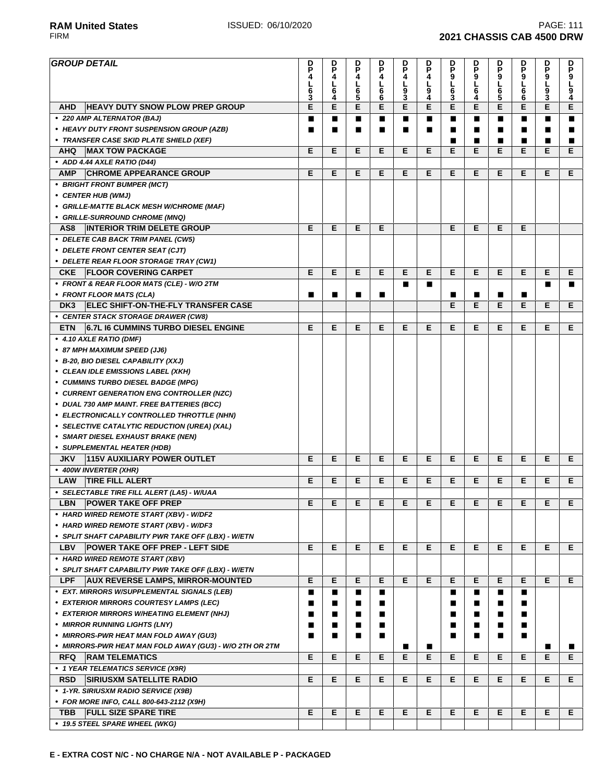| <b>RAM United States</b> | ISSUED: 06/10/2020 | <b>PAGE: 111</b>                 |
|--------------------------|--------------------|----------------------------------|
| <b>FIRM</b>              |                    | <b>2021 CHASSIS CAB 4500 DRW</b> |

| <b>GROUP DETAIL</b>                                           | D<br>P<br>4<br>L<br>6 | D<br>P<br>4<br>$\frac{1}{6}$ | D<br>P<br>4<br>L<br>6 | D<br>P<br>4<br>$\frac{L}{6}$ | D<br>P<br>4<br><u>լ</u><br>9 | D<br>P<br>4<br>L<br>9 | D<br>P<br>9<br>L<br>$\bar{6}$ | D<br>P<br>9<br>L<br>6 | D<br>P<br>9<br>L<br>6<br>5 | D<br>P<br>9<br>L<br>6 | p<br>9<br>L<br>5<br>3 | D<br>P<br>9<br>L<br>9 |
|---------------------------------------------------------------|-----------------------|------------------------------|-----------------------|------------------------------|------------------------------|-----------------------|-------------------------------|-----------------------|----------------------------|-----------------------|-----------------------|-----------------------|
| <b>HEAVY DUTY SNOW PLOW PREP GROUP</b><br><b>AHD</b>          | 3<br>E                | E                            | 5<br>Е                | 6<br>Е                       | 3<br>E                       | 4<br>Е                | 3<br>E                        | 4<br>Е                | E                          | 6<br>E                | E                     | 4<br>Е                |
| • 220 AMP ALTERNATOR (BAJ)                                    | п                     | ■                            | п                     | п                            | ■                            | П                     | п                             | п                     | п                          | п                     | ■                     | п                     |
| • HEAVY DUTY FRONT SUSPENSION GROUP (AZB)                     | ■                     | ■                            | п                     | П                            | П                            | ■                     | ■                             | ■                     | п                          | п                     | ■                     | ■                     |
| • TRANSFER CASE SKID PLATE SHIELD (XEF)                       |                       |                              |                       |                              |                              |                       | ■                             | ■                     | ■                          |                       | ■                     |                       |
| <b>MAX TOW PACKAGE</b><br><b>AHQ</b>                          | Е                     | Е                            | Е                     | E                            | Е                            | Е                     | E                             | Е                     | E                          | E                     | E                     | Е                     |
| • ADD 4.44 AXLE RATIO (D44)                                   |                       |                              |                       |                              |                              |                       |                               |                       |                            |                       |                       |                       |
| <b>CHROME APPEARANCE GROUP</b><br><b>AMP</b>                  | E                     | E                            | Е                     | E                            | Е                            | Е                     | E.                            | Е                     | Е                          | Е                     | E                     | Е                     |
| • BRIGHT FRONT BUMPER (MCT)                                   |                       |                              |                       |                              |                              |                       |                               |                       |                            |                       |                       |                       |
| • CENTER HUB (WMJ)                                            |                       |                              |                       |                              |                              |                       |                               |                       |                            |                       |                       |                       |
| • GRILLE-MATTE BLACK MESH W/CHROME (MAF)                      |                       |                              |                       |                              |                              |                       |                               |                       |                            |                       |                       |                       |
| • GRILLE-SURROUND CHROME (MNQ)                                |                       |                              |                       |                              |                              |                       |                               |                       |                            |                       |                       |                       |
| AS8<br><b>INTERIOR TRIM DELETE GROUP</b>                      | E                     | Е                            | Е                     | E                            |                              |                       | Е                             | Е                     | E                          | E                     |                       |                       |
| • DELETE CAB BACK TRIM PANEL (CW5)                            |                       |                              |                       |                              |                              |                       |                               |                       |                            |                       |                       |                       |
| • DELETE FRONT CENTER SEAT (CJT)                              |                       |                              |                       |                              |                              |                       |                               |                       |                            |                       |                       |                       |
| • DELETE REAR FLOOR STORAGE TRAY (CW1)                        |                       |                              |                       |                              |                              |                       |                               |                       |                            |                       |                       |                       |
| <b>CKE FLOOR COVERING CARPET</b>                              | E                     | Е                            | Е                     | E                            | Е                            | Е                     | E.                            | Е                     | Е                          | E                     | E                     | Е                     |
| • FRONT & REAR FLOOR MATS (CLE) - W/O 2TM                     |                       |                              |                       |                              | П                            | П                     |                               |                       |                            |                       | ■                     | п                     |
| • FRONT FLOOR MATS (CLA)                                      | п                     | П                            | ■                     | ■                            |                              |                       | ■                             | ∎                     | ■                          |                       |                       |                       |
| <b>ELEC SHIFT-ON-THE-FLY TRANSFER CASE</b><br>DK <sub>3</sub> |                       |                              |                       |                              |                              |                       | Е                             | Е                     | E                          | Е                     | E                     | Е                     |
| • CENTER STACK STORAGE DRAWER (CW8)                           |                       |                              |                       |                              |                              |                       |                               |                       |                            |                       |                       |                       |
| <b>6.7L I6 CUMMINS TURBO DIESEL ENGINE</b><br><b>ETN</b>      | E                     | E                            | Е                     | E                            | Е                            | Е                     | Е                             | Е                     | E                          | E                     | E                     | Е                     |
| • 4.10 AXLE RATIO (DMF)                                       |                       |                              |                       |                              |                              |                       |                               |                       |                            |                       |                       |                       |
| • 87 MPH MAXIMUM SPEED (JJ6)                                  |                       |                              |                       |                              |                              |                       |                               |                       |                            |                       |                       |                       |
| • B-20, BIO DIESEL CAPABILITY (XXJ)                           |                       |                              |                       |                              |                              |                       |                               |                       |                            |                       |                       |                       |
| • CLEAN IDLE EMISSIONS LABEL (XKH)                            |                       |                              |                       |                              |                              |                       |                               |                       |                            |                       |                       |                       |
| • CUMMINS TURBO DIESEL BADGE (MPG)                            |                       |                              |                       |                              |                              |                       |                               |                       |                            |                       |                       |                       |
| • CURRENT GENERATION ENG CONTROLLER (NZC)                     |                       |                              |                       |                              |                              |                       |                               |                       |                            |                       |                       |                       |
| • DUAL 730 AMP MAINT. FREE BATTERIES (BCC)                    |                       |                              |                       |                              |                              |                       |                               |                       |                            |                       |                       |                       |
| • ELECTRONICALLY CONTROLLED THROTTLE (NHN)                    |                       |                              |                       |                              |                              |                       |                               |                       |                            |                       |                       |                       |
| • SELECTIVE CATALYTIC REDUCTION (UREA) (XAL)                  |                       |                              |                       |                              |                              |                       |                               |                       |                            |                       |                       |                       |
| • SMART DIESEL EXHAUST BRAKE (NEN)                            |                       |                              |                       |                              |                              |                       |                               |                       |                            |                       |                       |                       |
| • SUPPLEMENTAL HEATER (HDB)                                   |                       |                              |                       |                              |                              |                       |                               |                       |                            |                       |                       |                       |
| <b>115V AUXILIARY POWER OUTLET</b><br><b>JKV</b>              | Е                     | Е                            | E                     | E                            | Е                            | Е                     | Е                             | Е                     | Е                          | E                     | Е                     | Е                     |
| • 400W INVERTER (XHR)                                         |                       |                              |                       |                              |                              |                       |                               |                       |                            |                       |                       |                       |
| <b>TIRE FILL ALERT</b><br><b>LAW</b>                          | Е                     | Е                            | Е                     | E                            | Е                            | Е                     | E.                            | Е                     | E                          | Е                     | E                     | Е                     |
| • SELECTABLE TIRE FILL ALERT (LA5) - W/UAA                    |                       |                              |                       |                              |                              |                       |                               |                       |                            |                       |                       |                       |
| <b>POWER TAKE OFF PREP</b><br><b>LBN</b>                      | Е                     | Е                            | Е                     | E.                           | Е                            | Е                     | Е.                            | E.                    | E.                         | Е                     | E.                    | Е                     |
| • HARD WIRED REMOTE START (XBV) - W/DF2                       |                       |                              |                       |                              |                              |                       |                               |                       |                            |                       |                       |                       |
| • HARD WIRED REMOTE START (XBV) - W/DF3                       |                       |                              |                       |                              |                              |                       |                               |                       |                            |                       |                       |                       |
| • SPLIT SHAFT CAPABILITY PWR TAKE OFF (LBX) - W/ETN           |                       |                              |                       |                              |                              |                       |                               |                       |                            |                       |                       |                       |
| <b>POWER TAKE OFF PREP - LEFT SIDE</b><br>LBV                 | Е                     | Е                            | Е                     | Е                            | Е                            | Е                     | E.                            | Е                     | E.                         | Е                     | E                     | Е                     |
| • HARD WIRED REMOTE START (XBV)                               |                       |                              |                       |                              |                              |                       |                               |                       |                            |                       |                       |                       |
| • SPLIT SHAFT CAPABILITY PWR TAKE OFF (LBX) - W/ETN           |                       |                              |                       |                              |                              |                       |                               |                       |                            |                       |                       |                       |
| <b>AUX REVERSE LAMPS, MIRROR-MOUNTED</b><br><b>LPF</b>        | Е                     | Е                            | Е                     | Е                            | Е                            | Е                     | Е.                            | Е                     | Е                          | Е                     | E.                    | Е                     |
| • EXT. MIRRORS W/SUPPLEMENTAL SIGNALS (LEB)                   | п                     | п                            | П                     | ■                            |                              |                       | ∎                             | ■                     | ■                          | п                     |                       |                       |
| • EXTERIOR MIRRORS COURTESY LAMPS (LEC)                       | ■                     | ■                            | ■                     | ■                            |                              |                       | ■                             | п                     | ■                          |                       |                       |                       |
| • EXTERIOR MIRRORS W/HEATING ELEMENT (NHJ)                    | ■                     | ■                            | ■                     | ■                            |                              |                       | ■                             |                       | ■                          |                       |                       |                       |
| • MIRROR RUNNING LIGHTS (LNY)                                 | ■                     | ■                            | П                     | ■                            |                              |                       | ■                             | ∎                     | ■                          |                       |                       |                       |
| • MIRRORS-PWR HEAT MAN FOLD AWAY (GU3)                        | п                     | п                            | п                     | п                            |                              |                       | ■                             | п                     | п                          |                       |                       |                       |
| • MIRRORS-PWR HEAT MAN FOLD AWAY (GU3) - W/O 2TH OR 2TM       |                       |                              |                       |                              | ■                            | П                     |                               |                       |                            |                       | ■                     | ■                     |
| <b>RFQ RAM TELEMATICS</b>                                     | Е                     | Е                            | E.                    | E                            | Е                            | Е                     | Е.                            | Е                     | E.                         | Е                     | E.                    | Е                     |
| • 1 YEAR TELEMATICS SERVICE (X9R)                             |                       |                              |                       |                              |                              |                       |                               |                       |                            |                       |                       |                       |
| <b>RSD</b><br><b>SIRIUSXM SATELLITE RADIO</b>                 | Е                     | Е                            | Е                     | Е                            | Е                            | Е                     | Е                             | Е                     | Е                          | Е                     | Е                     | Е                     |
| • 1-YR. SIRIUSXM RADIO SERVICE (X9B)                          |                       |                              |                       |                              |                              |                       |                               |                       |                            |                       |                       |                       |
| • FOR MORE INFO, CALL 800-643-2112 (X9H)                      |                       |                              |                       |                              |                              |                       |                               |                       |                            |                       |                       |                       |
| TBB<br><b>FULL SIZE SPARE TIRE</b>                            | Е                     | Е                            | Е                     | Е                            | Е                            | Е                     | Е.                            | Е                     | Е                          | Е                     | E.                    | Е                     |
| • 19.5 STEEL SPARE WHEEL (WKG)                                |                       |                              |                       |                              |                              |                       |                               |                       |                            |                       |                       |                       |
|                                                               |                       |                              |                       |                              |                              |                       |                               |                       |                            |                       |                       |                       |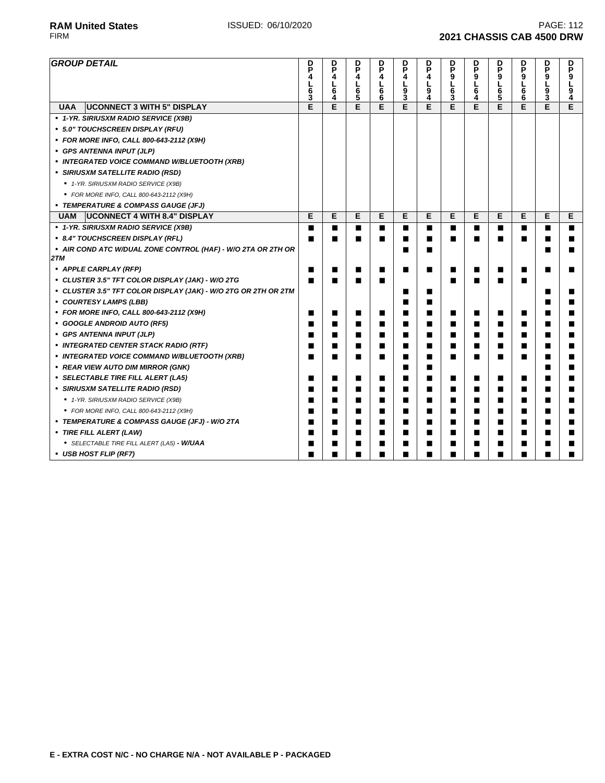| <b>GROUP DETAIL</b>                                            | D<br>P<br>4<br>L<br>$\frac{6}{3}$ | D<br>P<br>4<br>L<br>$\bar{6\over 4}$ | D<br>P<br>4<br>L<br>6<br>5 | D<br>P<br>4<br>L<br>$\begin{array}{c} 6 \\ 6 \end{array}$ | D<br>P<br>4<br>L<br>$\frac{1}{3}$ | D<br>P<br>4<br>L<br>9<br>4 | p<br>P<br>9<br>L<br>6<br>3 | D<br>P<br>9<br>L<br>$\overline{6}$<br>4 | D<br>P<br>9<br>L<br>6<br>5 | p<br>9<br>6<br>6 | D<br>P<br>9<br>L<br>$\bar{9}$ | D<br>P<br>9<br>Ĺ<br>$\frac{9}{4}$ |
|----------------------------------------------------------------|-----------------------------------|--------------------------------------|----------------------------|-----------------------------------------------------------|-----------------------------------|----------------------------|----------------------------|-----------------------------------------|----------------------------|------------------|-------------------------------|-----------------------------------|
| <b>UAA</b><br><b>UCONNECT 3 WITH 5" DISPLAY</b>                | E                                 | E                                    | E                          | E                                                         | E                                 | E                          | E                          | E                                       | E                          | E                | E                             | E                                 |
| • 1-YR. SIRIUSXM RADIO SERVICE (X9B)                           |                                   |                                      |                            |                                                           |                                   |                            |                            |                                         |                            |                  |                               |                                   |
| • 5.0" TOUCHSCREEN DISPLAY (RFU)                               |                                   |                                      |                            |                                                           |                                   |                            |                            |                                         |                            |                  |                               |                                   |
| • FOR MORE INFO, CALL 800-643-2112 (X9H)                       |                                   |                                      |                            |                                                           |                                   |                            |                            |                                         |                            |                  |                               |                                   |
| • GPS ANTENNA INPUT (JLP)                                      |                                   |                                      |                            |                                                           |                                   |                            |                            |                                         |                            |                  |                               |                                   |
| • INTEGRATED VOICE COMMAND W/BLUETOOTH (XRB)                   |                                   |                                      |                            |                                                           |                                   |                            |                            |                                         |                            |                  |                               |                                   |
| • SIRIUSXM SATELLITE RADIO (RSD)                               |                                   |                                      |                            |                                                           |                                   |                            |                            |                                         |                            |                  |                               |                                   |
| • 1-YR. SIRIUSXM RADIO SERVICE (X9B)                           |                                   |                                      |                            |                                                           |                                   |                            |                            |                                         |                            |                  |                               |                                   |
| • FOR MORE INFO, CALL 800-643-2112 (X9H)                       |                                   |                                      |                            |                                                           |                                   |                            |                            |                                         |                            |                  |                               |                                   |
| • TEMPERATURE & COMPASS GAUGE (JFJ)                            |                                   |                                      |                            |                                                           |                                   |                            |                            |                                         |                            |                  |                               |                                   |
| <b>UCONNECT 4 WITH 8.4" DISPLAY</b><br><b>UAM</b>              | Е                                 | Е                                    | Е                          | Е                                                         | Е                                 | Е                          | Е                          | Е                                       | Е                          | Е                | Е                             | Е                                 |
| • 1-YR. SIRIUSXM RADIO SERVICE (X9B)                           | п                                 | ■                                    | п                          | ■                                                         | ■                                 | ■                          | ■                          | ■                                       | п                          | ■                | ■                             | ■                                 |
| • 8.4" TOUCHSCREEN DISPLAY (RFL)                               | ■                                 | П                                    | п                          | ■                                                         | ■                                 | ■                          | ■                          | ■                                       | ■                          | ■                | ■                             |                                   |
| • AIR COND ATC W/DUAL ZONE CONTROL (HAF) - W/O 2TA OR 2TH OR   |                                   |                                      |                            |                                                           | ■                                 | ■                          |                            |                                         |                            |                  | ■                             |                                   |
| 2TM                                                            |                                   |                                      |                            |                                                           |                                   |                            |                            |                                         |                            |                  |                               |                                   |
| • APPLE CARPLAY (RFP)                                          |                                   | п                                    | ■                          | ■                                                         | ■                                 | ■                          | ■                          | ■                                       | ш                          | ■                | ■                             |                                   |
| • CLUSTER 3.5" TFT COLOR DISPLAY (JAK) - W/O 2TG               |                                   |                                      |                            | ■                                                         |                                   |                            | ■                          |                                         |                            |                  |                               |                                   |
| • CLUSTER 3.5" TFT COLOR DISPLAY (JAK) - W/O 2TG OR 2TH OR 2TM |                                   |                                      |                            |                                                           | ■                                 | ■                          |                            |                                         |                            |                  | ■                             |                                   |
| • COURTESY LAMPS (LBB)                                         |                                   |                                      |                            |                                                           | ■                                 | ■                          |                            |                                         |                            |                  | ■                             |                                   |
| • FOR MORE INFO, CALL 800-643-2112 (X9H)                       | ■                                 | ■                                    | ■                          | ■                                                         | ■                                 | ■                          | ■                          | ■                                       | п                          | ■                | ■                             |                                   |
| • GOOGLE ANDROID AUTO (RF5)                                    | ■                                 | ■                                    | ■                          | ■                                                         | ■                                 |                            | ■                          | ■                                       | ш                          | ■                | ■                             |                                   |
| • GPS ANTENNA INPUT (JLP)                                      | ш                                 | ■                                    | ■                          | ■                                                         | ■                                 | ■                          | ■                          | ■                                       | п                          | ■                | ■                             |                                   |
| • INTEGRATED CENTER STACK RADIO (RTF)                          | ■                                 | ■                                    | ■                          | ■                                                         | ■                                 | ■                          | ■                          | ■                                       | п                          | ■                | ■                             |                                   |
| • INTEGRATED VOICE COMMAND W/BLUETOOTH (XRB)                   | п                                 | ■                                    | ■                          | ■                                                         | ■                                 | ■                          | ∎                          | ■                                       | ■                          | ■                | ■                             | ■                                 |
| • REAR VIEW AUTO DIM MIRROR (GNK)                              |                                   |                                      |                            |                                                           | ∎                                 | ■                          |                            |                                         |                            |                  | ■                             |                                   |
| • SELECTABLE TIRE FILL ALERT (LA5)                             | п                                 | п                                    | ■                          | ■                                                         | ■                                 | ■                          | ■                          | ■                                       | п                          | п                | ■                             |                                   |
| • SIRIUSXM SATELLITE RADIO (RSD)                               | ■                                 | ■                                    | ■                          | ■                                                         | ■                                 | ■                          | ■                          | ■                                       | п                          | п                | ■                             |                                   |
| • 1-YR. SIRIUSXM RADIO SERVICE (X9B)                           | ■                                 | п                                    | ■                          | ■                                                         | ■                                 | п                          | ∎                          | ■                                       | п                          | п                | ■                             |                                   |
| • FOR MORE INFO, CALL 800-643-2112 (X9H)                       | ■                                 | ■                                    | ■                          | ■                                                         | ■                                 | п                          | ∎                          | ■                                       | п                          | п                | ■                             |                                   |
| • TEMPERATURE & COMPASS GAUGE (JFJ) - W/O 2TA                  | ■                                 | ■                                    | ■                          | ■                                                         | ■                                 | ■                          | ∎                          | ■                                       | п                          | п                | ■                             |                                   |
| • TIRE FILL ALERT (LAW)                                        | ■                                 | ■                                    | ■                          | ■                                                         | ■                                 | ■                          | ∎                          | ■                                       | п                          | ■                | ■                             |                                   |
| • SELECTABLE TIRE FILL ALERT (LA5) - W/UAA                     | ■                                 | ■                                    | ■                          | ■                                                         | ■                                 | ■                          | ■                          | ■                                       | ■                          | ■                | ■                             |                                   |
| • USB HOST FLIP (RF7)                                          | ■                                 | ■                                    | ■                          | ■                                                         | ■                                 | ■                          | ■                          | ■                                       | ■                          | ■                | ■                             |                                   |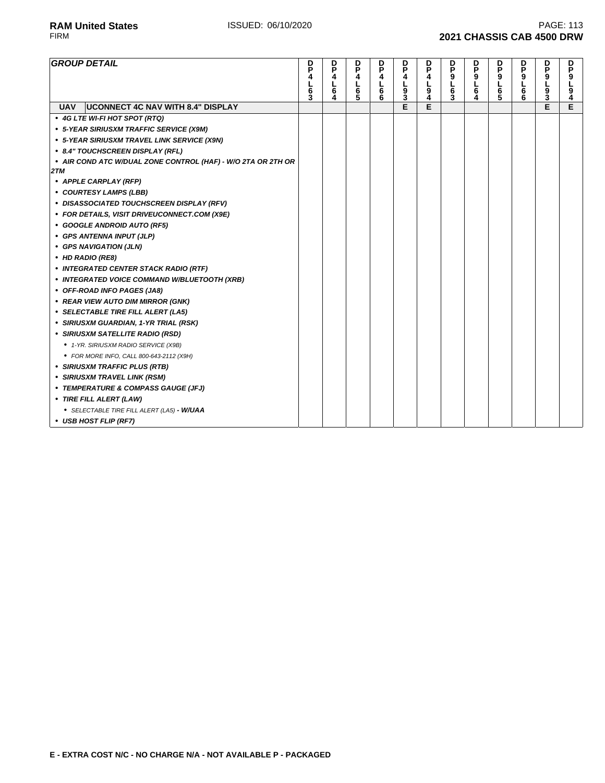**RAM United States ISSUED: 06/10/2020 PAGE: 113**<br>FIRM **PAGE: 113 2021 CHASSIS CAB 4500 DRW** 

| <b>GROUP DETAIL</b>                                          | D<br>P<br>4<br>6<br>3 | D<br>P<br>4<br>L<br>$\overline{6}$ | D<br>P<br>4<br>լ<br>5<br>5 | D<br>P<br>4<br>L<br>6<br>6 | p<br>P<br>4<br>$\frac{L}{9}$ | D<br>P<br>4<br>լ<br>9<br>4 | D<br>P<br>9<br>L<br>$\overline{6}$<br>3 | p<br>P<br>$0 - 6$ | D<br>P<br>9<br>L<br>$\overline{6}$ | D<br>P<br>9<br>L<br>$\overline{6}$ | D<br>P<br>9<br>L<br>9<br>3 | D<br>P<br>9<br>4 |
|--------------------------------------------------------------|-----------------------|------------------------------------|----------------------------|----------------------------|------------------------------|----------------------------|-----------------------------------------|-------------------|------------------------------------|------------------------------------|----------------------------|------------------|
| <b>UCONNECT 4C NAV WITH 8.4" DISPLAY</b><br><b>UAV</b>       |                       |                                    |                            |                            | E                            | Е                          |                                         |                   |                                    |                                    | E                          | E                |
| • 4G LTE WI-FI HOT SPOT (RTQ)                                |                       |                                    |                            |                            |                              |                            |                                         |                   |                                    |                                    |                            |                  |
| • 5-YEAR SIRIUSXM TRAFFIC SERVICE (X9M)                      |                       |                                    |                            |                            |                              |                            |                                         |                   |                                    |                                    |                            |                  |
| • 5-YEAR SIRIUSXM TRAVEL LINK SERVICE (X9N)                  |                       |                                    |                            |                            |                              |                            |                                         |                   |                                    |                                    |                            |                  |
| • 8.4" TOUCHSCREEN DISPLAY (RFL)                             |                       |                                    |                            |                            |                              |                            |                                         |                   |                                    |                                    |                            |                  |
| • AIR COND ATC W/DUAL ZONE CONTROL (HAF) - W/O 2TA OR 2TH OR |                       |                                    |                            |                            |                              |                            |                                         |                   |                                    |                                    |                            |                  |
| 2TM                                                          |                       |                                    |                            |                            |                              |                            |                                         |                   |                                    |                                    |                            |                  |
| • APPLE CARPLAY (RFP)                                        |                       |                                    |                            |                            |                              |                            |                                         |                   |                                    |                                    |                            |                  |
| • COURTESY LAMPS (LBB)                                       |                       |                                    |                            |                            |                              |                            |                                         |                   |                                    |                                    |                            |                  |
| • DISASSOCIATED TOUCHSCREEN DISPLAY (RFV)                    |                       |                                    |                            |                            |                              |                            |                                         |                   |                                    |                                    |                            |                  |
| • FOR DETAILS, VISIT DRIVEUCONNECT.COM (X9E)                 |                       |                                    |                            |                            |                              |                            |                                         |                   |                                    |                                    |                            |                  |
| • GOOGLE ANDROID AUTO (RF5)                                  |                       |                                    |                            |                            |                              |                            |                                         |                   |                                    |                                    |                            |                  |
| • GPS ANTENNA INPUT (JLP)                                    |                       |                                    |                            |                            |                              |                            |                                         |                   |                                    |                                    |                            |                  |
| • GPS NAVIGATION (JLN)                                       |                       |                                    |                            |                            |                              |                            |                                         |                   |                                    |                                    |                            |                  |
| • HD RADIO (RE8)                                             |                       |                                    |                            |                            |                              |                            |                                         |                   |                                    |                                    |                            |                  |
| • INTEGRATED CENTER STACK RADIO (RTF)                        |                       |                                    |                            |                            |                              |                            |                                         |                   |                                    |                                    |                            |                  |
| • INTEGRATED VOICE COMMAND W/BLUETOOTH (XRB)                 |                       |                                    |                            |                            |                              |                            |                                         |                   |                                    |                                    |                            |                  |
| • OFF-ROAD INFO PAGES (JA8)                                  |                       |                                    |                            |                            |                              |                            |                                         |                   |                                    |                                    |                            |                  |
| • REAR VIEW AUTO DIM MIRROR (GNK)                            |                       |                                    |                            |                            |                              |                            |                                         |                   |                                    |                                    |                            |                  |
| • SELECTABLE TIRE FILL ALERT (LA5)                           |                       |                                    |                            |                            |                              |                            |                                         |                   |                                    |                                    |                            |                  |
| • SIRIUSXM GUARDIAN, 1-YR TRIAL (RSK)                        |                       |                                    |                            |                            |                              |                            |                                         |                   |                                    |                                    |                            |                  |
| • SIRIUSXM SATELLITE RADIO (RSD)                             |                       |                                    |                            |                            |                              |                            |                                         |                   |                                    |                                    |                            |                  |
| • 1-YR. SIRIUSXM RADIO SERVICE (X9B)                         |                       |                                    |                            |                            |                              |                            |                                         |                   |                                    |                                    |                            |                  |
| • FOR MORE INFO, CALL 800-643-2112 (X9H)                     |                       |                                    |                            |                            |                              |                            |                                         |                   |                                    |                                    |                            |                  |
| • SIRIUSXM TRAFFIC PLUS (RTB)                                |                       |                                    |                            |                            |                              |                            |                                         |                   |                                    |                                    |                            |                  |
| • SIRIUSXM TRAVEL LINK (RSM)                                 |                       |                                    |                            |                            |                              |                            |                                         |                   |                                    |                                    |                            |                  |
| • TEMPERATURE & COMPASS GAUGE (JFJ)                          |                       |                                    |                            |                            |                              |                            |                                         |                   |                                    |                                    |                            |                  |
| • TIRE FILL ALERT (LAW)                                      |                       |                                    |                            |                            |                              |                            |                                         |                   |                                    |                                    |                            |                  |
| • SELECTABLE TIRE FILL ALERT (LA5) - W/UAA                   |                       |                                    |                            |                            |                              |                            |                                         |                   |                                    |                                    |                            |                  |
| • USB HOST FLIP (RF7)                                        |                       |                                    |                            |                            |                              |                            |                                         |                   |                                    |                                    |                            |                  |

**• USB HOST FLIP (RF7)**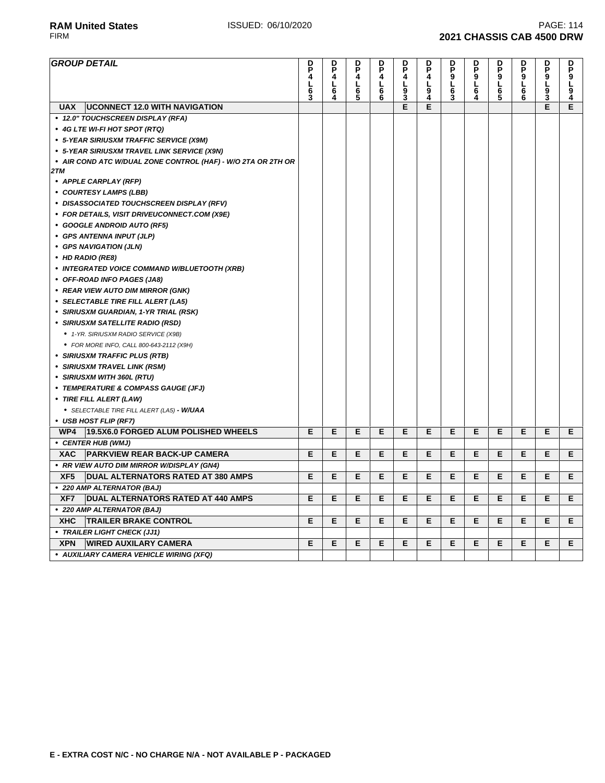| <b>GROUP DETAIL</b>                                                 | D<br>P<br>4<br>L<br>6<br>3 | D<br>P<br>4<br>L<br>6<br>4 | P<br>4<br>L6<br>5 | D<br>P<br>4<br>L<br>6<br>6 | P<br>4<br>L<br>$\frac{9}{3}$ | P<br>4<br>L<br>9<br>4 | <b>DP9L</b><br>6<br>3 | D<br>P<br>9<br>L<br>6<br>4 | <b>DP9L65</b> | <b>DP9L6</b><br>6 | <b>DP9L93</b> | <b>DP9L94</b> |
|---------------------------------------------------------------------|----------------------------|----------------------------|-------------------|----------------------------|------------------------------|-----------------------|-----------------------|----------------------------|---------------|-------------------|---------------|---------------|
| <b>UCONNECT 12.0 WITH NAVIGATION</b><br><b>UAX</b>                  |                            |                            |                   |                            | Ē                            | E                     |                       |                            |               |                   | E             | E             |
| • 12.0" TOUCHSCREEN DISPLAY (RFA)                                   |                            |                            |                   |                            |                              |                       |                       |                            |               |                   |               |               |
| • 4G LTE WI-FI HOT SPOT (RTQ)                                       |                            |                            |                   |                            |                              |                       |                       |                            |               |                   |               |               |
| • 5-YEAR SIRIUSXM TRAFFIC SERVICE (X9M)                             |                            |                            |                   |                            |                              |                       |                       |                            |               |                   |               |               |
| • 5-YEAR SIRIUSXM TRAVEL LINK SERVICE (X9N)                         |                            |                            |                   |                            |                              |                       |                       |                            |               |                   |               |               |
| • AIR COND ATC W/DUAL ZONE CONTROL (HAF) - W/O 2TA OR 2TH OR<br>2TM |                            |                            |                   |                            |                              |                       |                       |                            |               |                   |               |               |
| • APPLE CARPLAY (RFP)                                               |                            |                            |                   |                            |                              |                       |                       |                            |               |                   |               |               |
| • COURTESY LAMPS (LBB)                                              |                            |                            |                   |                            |                              |                       |                       |                            |               |                   |               |               |
| • DISASSOCIATED TOUCHSCREEN DISPLAY (RFV)                           |                            |                            |                   |                            |                              |                       |                       |                            |               |                   |               |               |
| • FOR DETAILS, VISIT DRIVEUCONNECT.COM (X9E)                        |                            |                            |                   |                            |                              |                       |                       |                            |               |                   |               |               |
| • GOOGLE ANDROID AUTO (RF5)                                         |                            |                            |                   |                            |                              |                       |                       |                            |               |                   |               |               |
| • GPS ANTENNA INPUT (JLP)                                           |                            |                            |                   |                            |                              |                       |                       |                            |               |                   |               |               |
| • GPS NAVIGATION (JLN)                                              |                            |                            |                   |                            |                              |                       |                       |                            |               |                   |               |               |
| • HD RADIO (RE8)                                                    |                            |                            |                   |                            |                              |                       |                       |                            |               |                   |               |               |
| • INTEGRATED VOICE COMMAND W/BLUETOOTH (XRB)                        |                            |                            |                   |                            |                              |                       |                       |                            |               |                   |               |               |
| • OFF-ROAD INFO PAGES (JA8)                                         |                            |                            |                   |                            |                              |                       |                       |                            |               |                   |               |               |
| • REAR VIEW AUTO DIM MIRROR (GNK)                                   |                            |                            |                   |                            |                              |                       |                       |                            |               |                   |               |               |
| • SELECTABLE TIRE FILL ALERT (LA5)                                  |                            |                            |                   |                            |                              |                       |                       |                            |               |                   |               |               |
| • SIRIUSXM GUARDIAN, 1-YR TRIAL (RSK)                               |                            |                            |                   |                            |                              |                       |                       |                            |               |                   |               |               |
| • SIRIUSXM SATELLITE RADIO (RSD)                                    |                            |                            |                   |                            |                              |                       |                       |                            |               |                   |               |               |
| ● 1-YR. SIRIUSXM RADIO SERVICE (X9B)                                |                            |                            |                   |                            |                              |                       |                       |                            |               |                   |               |               |
| • FOR MORE INFO, CALL 800-643-2112 (X9H)                            |                            |                            |                   |                            |                              |                       |                       |                            |               |                   |               |               |
| • SIRIUSXM TRAFFIC PLUS (RTB)                                       |                            |                            |                   |                            |                              |                       |                       |                            |               |                   |               |               |
| • SIRIUSXM TRAVEL LINK (RSM)                                        |                            |                            |                   |                            |                              |                       |                       |                            |               |                   |               |               |
| • SIRIUSXM WITH 360L (RTU)                                          |                            |                            |                   |                            |                              |                       |                       |                            |               |                   |               |               |
| • TEMPERATURE & COMPASS GAUGE (JFJ)                                 |                            |                            |                   |                            |                              |                       |                       |                            |               |                   |               |               |
| • TIRE FILL ALERT (LAW)                                             |                            |                            |                   |                            |                              |                       |                       |                            |               |                   |               |               |
| • SELECTABLE TIRE FILL ALERT (LA5) - W/UAA                          |                            |                            |                   |                            |                              |                       |                       |                            |               |                   |               |               |
| • USB HOST FLIP (RF7)                                               |                            |                            |                   |                            |                              |                       |                       |                            |               |                   |               |               |
| 19.5X6.0 FORGED ALUM POLISHED WHEELS<br>WP4                         | E                          | E                          | Е                 | E                          | Е                            | Е                     | Е                     | Е                          | E             | Е                 | Е             | E.            |
| • CENTER HUB (WMJ)                                                  |                            |                            |                   |                            |                              |                       |                       |                            |               |                   |               |               |
| <b>PARKVIEW REAR BACK-UP CAMERA</b><br>XAC                          | E                          | Е                          | Е                 | Е                          | Е                            | Е                     | Е                     | Е                          | Е             | Е                 | Е             | E.            |
| • RR VIEW AUTO DIM MIRROR W/DISPLAY (GN4)                           |                            |                            |                   |                            |                              |                       |                       |                            |               |                   |               |               |
| DUAL ALTERNATORS RATED AT 380 AMPS<br>XF <sub>5</sub>               | Е                          | Е                          | Е                 | Е                          | Е                            | Е                     | Е                     | Е                          | Е             | Е                 | Е             | Е             |
| • 220 AMP ALTERNATOR (BAJ)                                          |                            |                            |                   |                            |                              |                       |                       |                            |               |                   |               |               |
| DUAL ALTERNATORS RATED AT 440 AMPS<br>XF7                           | E                          | Е                          | E                 | Е                          | Е                            | E                     | Е                     | Е                          | E             | Е                 | Е             | E             |
| • 220 AMP ALTERNATOR (BAJ)                                          |                            |                            |                   |                            |                              |                       |                       |                            |               |                   |               |               |
| <b>TRAILER BRAKE CONTROL</b><br><b>XHC</b>                          | Е                          | Е                          | Е                 | Е                          | Е                            | E                     | Е                     | Е                          | E             | Е                 | Е             | E             |
| • TRAILER LIGHT CHECK (JJ1)                                         |                            |                            |                   |                            |                              |                       |                       |                            |               |                   |               |               |
| <b>XPN</b><br><b>WIRED AUXILARY CAMERA</b>                          | E                          | Е                          | Е                 | E                          | E                            | Е                     | E                     | E                          | E             | E                 | Е             | E             |
| • AUXILIARY CAMERA VEHICLE WIRING (XFQ)                             |                            |                            |                   |                            |                              |                       |                       |                            |               |                   |               |               |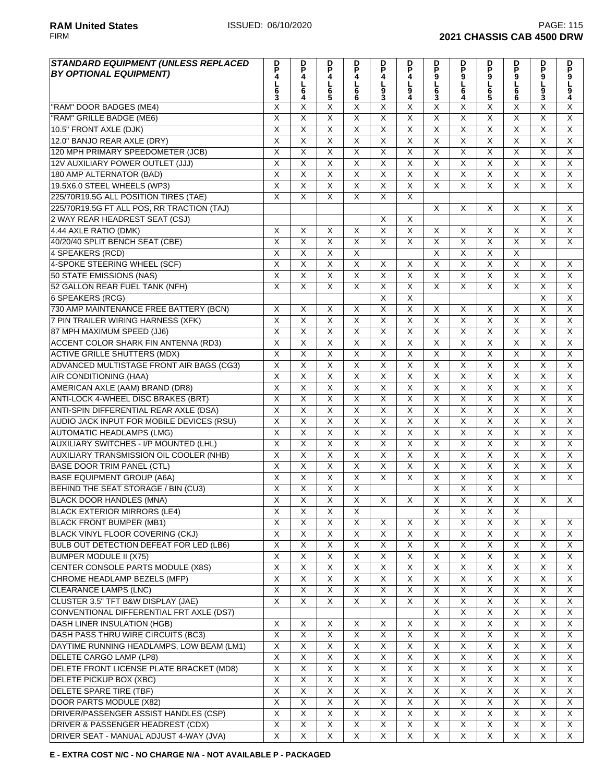| <b>STANDARD EQUIPMENT (UNLESS REPLACED</b>     | $\frac{D}{P}$                | p                            | p                       | p<br>P                  | D<br>P                  | D                            | P                            | p                            |                              | p<br>P                  |                         |                           |
|------------------------------------------------|------------------------------|------------------------------|-------------------------|-------------------------|-------------------------|------------------------------|------------------------------|------------------------------|------------------------------|-------------------------|-------------------------|---------------------------|
| <b>BY OPTIONAL EQUIPMENT)</b>                  | 4                            | 4                            | 4                       | 4                       | 4                       | P<br>4                       |                              | 9                            |                              | 9                       | <b>DP9L</b>             |                           |
|                                                |                              | $\frac{1}{6}$                | L                       | L                       | г                       | <u>լ</u><br>9                | $0$<br>$6$<br>$3$            | $rac{1}{6}$                  | <b>DP9L65</b>                | Г                       |                         | <b>DP9L94</b>             |
|                                                | L<br>6<br>3                  | 4                            | 6<br>5                  | 6<br>6                  | $\overline{9}$<br>3     | 4                            |                              | 4                            |                              | 6<br>6                  | $\overline{9}$<br>3     |                           |
| "RAM" DOOR BADGES (ME4)                        | X                            | Χ                            | X                       | X                       | Χ                       | X                            | X                            | X                            | Χ                            | X                       | X                       | Χ                         |
| "RAM" GRILLE BADGE (ME6)                       | $\overline{\mathsf{x}}$      | $\overline{\mathsf{x}}$      | $\overline{\mathsf{x}}$ | $\overline{\mathsf{x}}$ | $\overline{\mathsf{x}}$ | $\overline{\mathsf{x}}$      | $\overline{\mathsf{x}}$      | X                            | $\overline{\mathsf{x}}$      | $\overline{\mathsf{x}}$ | X                       | $\overline{\mathsf{x}}$   |
| 10.5" FRONT AXLE (DJK)                         | $\overline{X}$               | $\overline{\mathsf{x}}$      | $\overline{\mathsf{x}}$ | $\overline{\mathsf{X}}$ | X                       | X                            | Χ                            | $\overline{X}$               | Χ                            | X                       | $\overline{\mathsf{x}}$ | $\overline{\mathsf{x}}$   |
| 12.0" BANJO REAR AXLE (DRY)                    | $\overline{\mathsf{x}}$      | $\overline{\mathsf{x}}$      | $\overline{\mathsf{x}}$ | $\overline{\mathsf{x}}$ | X                       | $\overline{X}$               | $\overline{\mathsf{x}}$      | $\overline{\mathsf{x}}$      | $\overline{\mathsf{x}}$      | $\overline{\mathsf{x}}$ | $\overline{\mathsf{x}}$ | $\overline{\mathsf{x}}$   |
| 120 MPH PRIMARY SPEEDOMETER (JCB)              | X                            | $\overline{X}$               | $\pmb{\times}$          | $\overline{X}$          | X                       | X                            | X                            | $\boldsymbol{\mathsf{X}}$    | $\overline{X}$               | X                       | X                       | $\boldsymbol{\mathsf{X}}$ |
| 12V AUXILIARY POWER OUTLET (JJJ)               | $\overline{X}$               | $\overline{\mathsf{x}}$      | $\overline{\mathsf{x}}$ | $\overline{\mathsf{x}}$ | $\overline{\mathsf{x}}$ | $\overline{\mathsf{x}}$      | $\overline{\mathsf{x}}$      | $\overline{\mathsf{x}}$      | $\overline{\mathsf{x}}$      | $\overline{\mathsf{x}}$ | X                       | $\overline{X}$            |
| 180 AMP ALTERNATOR (BAD)                       | $\overline{\mathsf{x}}$      | $\overline{\mathsf{x}}$      | $\overline{\mathsf{x}}$ | $\overline{\mathsf{x}}$ | $\overline{\mathsf{x}}$ | X                            | X                            | $\overline{\mathsf{x}}$      | $\overline{\mathsf{x}}$      | $\overline{\mathsf{x}}$ | $\overline{\mathsf{x}}$ | $\overline{X}$            |
| 19.5X6.0 STEEL WHEELS (WP3)                    | $\overline{X}$               | $\overline{X}$               | $\overline{\mathsf{x}}$ | $\overline{\mathsf{X}}$ | $\overline{\mathsf{x}}$ | Χ                            | X                            | $\overline{\mathsf{x}}$      | $\overline{\mathsf{x}}$      | $\overline{\mathsf{x}}$ | X                       | $\overline{\mathsf{x}}$   |
| 225/70R19.5G ALL POSITION TIRES (TAE)          | $\overline{X}$               | $\overline{X}$               | $\overline{\mathsf{x}}$ | $\overline{X}$          | $\overline{\mathsf{x}}$ | $\overline{\mathsf{x}}$      |                              |                              |                              |                         |                         |                           |
| 225/70R19.5G FT ALL POS, RR TRACTION (TAJ)     |                              |                              |                         |                         |                         |                              | $\times$                     | X                            | X                            | X                       | X                       | X                         |
| 2 WAY REAR HEADREST SEAT (CSJ)                 |                              |                              |                         |                         | X                       | X                            |                              |                              |                              |                         | $\overline{\mathsf{x}}$ | $\overline{\mathsf{x}}$   |
| 4.44 AXLE RATIO (DMK)                          | $\times$                     | X                            | X                       | X                       | $\pmb{\times}$          | X                            | X                            | $\times$                     | X                            | X                       | X                       | $\pmb{\times}$            |
| 40/20/40 SPLIT BENCH SEAT (CBE)                | $\overline{\mathsf{x}}$      | $\overline{\mathsf{x}}$      | $\overline{\mathsf{x}}$ | $\overline{\mathsf{x}}$ | X                       | X                            | $\overline{\mathsf{x}}$      | $\overline{X}$               | $\overline{\mathsf{x}}$      | $\overline{\mathsf{x}}$ | X                       | X                         |
| 4 SPEAKERS (RCD)                               | $\overline{\mathsf{x}}$      | $\overline{\mathsf{x}}$      | $\overline{\mathsf{x}}$ | $\overline{\mathsf{x}}$ |                         |                              | $\overline{\mathsf{x}}$      | $\overline{\mathsf{x}}$      | $\overline{\mathsf{x}}$      | $\overline{\mathsf{x}}$ |                         |                           |
| 4-SPOKE STEERING WHEEL (SCF)                   | $\overline{\mathsf{x}}$      | $\overline{\mathsf{x}}$      | $\overline{\mathsf{x}}$ | $\overline{\mathsf{x}}$ | X                       | X                            | $\overline{\mathsf{x}}$      | $\overline{\mathsf{x}}$      | $\overline{\mathsf{x}}$      | $\overline{\mathsf{x}}$ | X                       | X                         |
| 50 STATE EMISSIONS (NAS)                       | $\overline{\mathsf{x}}$      | $\overline{\mathsf{x}}$      | $\overline{X}$          | $\overline{\mathsf{x}}$ | $\overline{X}$          | $\overline{\mathsf{x}}$      | $\overline{\mathsf{x}}$      | $\overline{\mathsf{x}}$      | $\overline{\mathsf{x}}$      | $\overline{\mathsf{x}}$ | $\overline{X}$          | $\overline{X}$            |
| 52 GALLON REAR FUEL TANK (NFH)                 | X                            | $\times$                     | X                       | X                       | X                       | Χ                            | X                            | X                            | X                            | X                       | X                       | $\overline{X}$            |
| <b>6 SPEAKERS (RCG)</b>                        |                              |                              |                         |                         | $\overline{\mathsf{x}}$ | $\overline{\mathsf{X}}$      |                              |                              |                              |                         | $\overline{\mathsf{x}}$ | $\overline{\mathsf{x}}$   |
| 730 AMP MAINTENANCE FREE BATTERY (BCN)         | $\overline{\mathsf{x}}$      | $\times$                     | $\overline{\mathsf{x}}$ | $\overline{\mathsf{x}}$ | $\overline{\mathsf{x}}$ | $\overline{\mathsf{x}}$      | X                            | $\overline{\mathsf{x}}$      | $\overline{\mathsf{x}}$      | X                       | $\overline{\mathsf{x}}$ | $\overline{\mathsf{x}}$   |
| 7 PIN TRAILER WIRING HARNESS (XFK)             | $\overline{\mathsf{x}}$      | $\overline{\mathsf{x}}$      | $\overline{\mathsf{x}}$ | $\overline{\mathsf{x}}$ | $\overline{\mathsf{x}}$ | $\overline{\mathsf{x}}$      | $\overline{\mathsf{x}}$      | $\overline{\mathsf{x}}$      | $\overline{\mathsf{x}}$      | $\overline{\mathsf{x}}$ | $\overline{\mathsf{x}}$ | $\overline{\mathsf{x}}$   |
| 87 MPH MAXIMUM SPEED (JJ6)                     | $\overline{\mathsf{x}}$      | $\overline{\mathsf{x}}$      | $\overline{\mathsf{x}}$ | $\overline{X}$          | $\overline{\mathsf{x}}$ | X                            | Χ                            | $\overline{\mathsf{x}}$      | $\overline{\mathsf{x}}$      | X                       | $\overline{\mathsf{x}}$ | $\overline{\mathsf{x}}$   |
|                                                |                              |                              | $\overline{\mathsf{x}}$ | $\overline{\mathsf{X}}$ |                         |                              |                              |                              |                              | X                       |                         | X                         |
| <b>ACCENT COLOR SHARK FIN ANTENNA (RD3)</b>    | Χ<br>$\overline{\mathsf{x}}$ | X<br>$\overline{\mathsf{x}}$ | $\overline{\mathsf{x}}$ | $\overline{\mathsf{x}}$ | Χ                       | Χ<br>$\overline{\mathsf{x}}$ | Χ<br>$\overline{\mathsf{x}}$ | Χ<br>$\overline{\mathsf{x}}$ | Χ<br>$\overline{\mathsf{x}}$ | $\overline{\mathsf{x}}$ | Χ<br>$\overline{X}$     | $\overline{\mathsf{x}}$   |
| <b>ACTIVE GRILLE SHUTTERS (MDX)</b>            |                              |                              |                         |                         | $\overline{\mathsf{x}}$ |                              |                              |                              |                              |                         |                         |                           |
| ADVANCED MULTISTAGE FRONT AIR BAGS (CG3)       | Χ                            | $\overline{\mathsf{x}}$      | $\overline{\mathsf{x}}$ | $\overline{\mathsf{x}}$ | $\overline{X}$          | $\overline{\mathsf{x}}$      | $\overline{X}$               | $\overline{X}$               | $\overline{\mathsf{x}}$      | $\overline{\mathsf{X}}$ | $\overline{\mathsf{X}}$ | $\overline{X}$            |
| AIR CONDITIONING (HAA)                         | $\overline{X}$               | $\overline{\mathsf{x}}$      | $\overline{\mathsf{x}}$ | $\overline{\mathsf{x}}$ | $\overline{\mathsf{x}}$ | $\overline{\mathsf{x}}$      | $\overline{\mathsf{x}}$      | $\overline{\mathsf{x}}$      | $\overline{\mathsf{x}}$      | $\overline{\mathsf{x}}$ | $\overline{\mathsf{x}}$ | $\overline{X}$            |
| AMERICAN AXLE (AAM) BRAND (DR8)                | $\overline{\mathsf{x}}$      | $\overline{\mathsf{x}}$      | $\overline{\mathsf{x}}$ | $\overline{\mathsf{x}}$ | $\overline{\mathsf{x}}$ | X                            | X                            | $\overline{\mathsf{x}}$      | $\overline{\mathsf{x}}$      | $\overline{\mathsf{x}}$ | $\overline{\mathsf{x}}$ | $\overline{\mathsf{x}}$   |
| ANTI-LOCK 4-WHEEL DISC BRAKES (BRT)            | $\overline{\mathsf{x}}$      | $\overline{\mathsf{x}}$      | $\overline{\mathsf{x}}$ | $\overline{\mathsf{X}}$ | X                       | Χ                            | Χ                            | $\overline{X}$               | X                            | X                       | X                       | $\overline{\mathsf{x}}$   |
| ANTI-SPIN DIFFERENTIAL REAR AXLE (DSA)         | $\overline{\mathsf{x}}$      | $\overline{\mathsf{x}}$      | $\overline{\mathsf{x}}$ | $\overline{\mathsf{x}}$ | $\overline{\mathsf{x}}$ | $\overline{\mathsf{x}}$      | Χ                            | $\overline{\mathsf{x}}$      | $\overline{\mathsf{x}}$      | $\overline{\mathsf{x}}$ | $\overline{\mathsf{x}}$ | $\overline{\mathsf{x}}$   |
| AUDIO JACK INPUT FOR MOBILE DEVICES (RSU)      | $\overline{X}$               | $\times$                     | $\pmb{\times}$          | $\overline{X}$          | $\pmb{\times}$          | X                            | $\overline{X}$               | $\overline{X}$               | X                            | X                       | X                       | $\overline{X}$            |
| <b>AUTOMATIC HEADLAMPS (LMG)</b>               | $\overline{X}$               | $\overline{\mathsf{x}}$      | $\overline{\mathsf{x}}$ | $\overline{\mathsf{x}}$ | $\overline{\mathsf{x}}$ | $\overline{\mathsf{x}}$      | $\overline{\mathsf{x}}$      | $\overline{\mathsf{x}}$      | $\overline{\mathsf{x}}$      | $\overline{\mathsf{x}}$ | $\overline{\mathsf{x}}$ | $\overline{\mathsf{x}}$   |
| AUXILIARY SWITCHES - I/P MOUNTED (LHL)         | $\overline{X}$               | $\overline{X}$               | $\overline{X}$          | $\overline{\mathsf{X}}$ | X                       | X                            | Χ                            | X                            | X                            | X                       | X                       | X                         |
| AUXILIARY TRANSMISSION OIL COOLER (NHB)        | $\overline{\mathsf{X}}$      | $\overline{\mathsf{x}}$      | $\overline{\mathsf{x}}$ | $\overline{\mathsf{x}}$ | X                       | $\overline{\mathsf{x}}$      | $\overline{\mathsf{x}}$      | $\overline{\mathsf{x}}$      | $\overline{\mathsf{x}}$      | X                       | X                       | $\overline{\mathsf{x}}$   |
| <b>BASE DOOR TRIM PANEL (CTL)</b>              | $\overline{\mathsf{x}}$      | $\overline{\mathsf{x}}$      | $\overline{\mathsf{x}}$ | $\overline{\mathsf{x}}$ | $\overline{\mathsf{x}}$ | $\overline{\mathsf{x}}$      | $\overline{\mathsf{x}}$      | $\overline{\mathsf{x}}$      | $\overline{\mathsf{x}}$      | $\overline{\mathsf{x}}$ | $\overline{\mathsf{x}}$ | $\overline{\mathsf{x}}$   |
| <b>BASE EQUIPMENT GROUP (A6A)</b>              | $\overline{\mathsf{x}}$      | $\overline{\mathsf{x}}$      | $\overline{\mathsf{x}}$ | $\overline{\mathsf{x}}$ | $\overline{\mathsf{x}}$ | $\overline{\mathsf{x}}$      | $\overline{\mathsf{x}}$      | $\overline{X}$               | $\overline{\mathsf{x}}$      | $\overline{\mathsf{X}}$ | X                       | $\overline{\mathsf{x}}$   |
| BEHIND THE SEAT STORAGE / BIN (CU3)            | $\overline{\mathsf{x}}$      | $\overline{\mathsf{x}}$      | $\overline{\mathsf{x}}$ | $\overline{\mathsf{x}}$ |                         |                              | $\overline{\mathsf{x}}$      | $\overline{\mathsf{x}}$      | $\overline{\mathsf{x}}$      | $\overline{\mathsf{x}}$ |                         |                           |
| <b>BLACK DOOR HANDLES (MNA)</b>                | $\overline{\mathsf{X}}$      | $\overline{\mathsf{X}}$      | $\overline{X}$          | $\overline{X}$          | $\overline{X}$          | $\overline{X}$               | $\overline{X}$               | $\overline{\mathsf{X}}$      | $\overline{\mathsf{X}}$      | $\overline{\mathsf{X}}$ | $\overline{X}$          | $\overline{X}$            |
| <b>BLACK EXTERIOR MIRRORS (LE4)</b>            | X                            | X                            | X                       | X                       |                         |                              | $\times$                     | X                            | X                            | X                       |                         |                           |
| <b>BLACK FRONT BUMPER (MB1)</b>                | $\overline{X}$               | X                            | X                       | X                       | X                       | $\overline{X}$               | X                            | $\overline{X}$               | $\overline{X}$               | X                       | X                       | X                         |
| BLACK VINYL FLOOR COVERING (CKJ)               | $\overline{\mathsf{X}}$      | X                            | X                       | $\overline{X}$          | X                       | X                            | X                            | $\overline{X}$               | X                            | X                       | X                       | X                         |
| <b>BULB OUT DETECTION DEFEAT FOR LED (LB6)</b> | $\overline{X}$               | X                            | X                       | X                       | X                       | X                            | X                            | X                            | X                            | X                       | X                       | X                         |
| <b>BUMPER MODULE II (X75)</b>                  | $\overline{X}$               | $\overline{X}$               | $\overline{X}$          | $\overline{X}$          | X                       | X                            | $\overline{X}$               | $\overline{X}$               | $\overline{X}$               | X                       | X                       | X                         |
| CENTER CONSOLE PARTS MODULE (X8S)              | $\overline{X}$               | $\overline{X}$               | $\overline{\mathsf{x}}$ | $\overline{X}$          | X                       | $\overline{\mathsf{x}}$      | $\overline{\mathsf{x}}$      | $\overline{X}$               | $\overline{\mathsf{X}}$      | $\overline{\mathsf{x}}$ | X                       | X                         |
| CHROME HEADLAMP BEZELS (MFP)                   | $\overline{\mathsf{X}}$      | $\overline{\mathsf{x}}$      | $\overline{X}$          | $\overline{X}$          | X                       | $\overline{X}$               | $\overline{\mathsf{x}}$      | $\overline{X}$               | $\overline{\mathsf{X}}$      | $\overline{\mathsf{X}}$ | X                       | X                         |
| CLEARANCE LAMPS (LNC)                          | $\overline{X}$               | $\overline{\mathsf{x}}$      | $\overline{X}$          | $\overline{X}$          | $\overline{X}$          | $\overline{\mathsf{x}}$      | $\overline{\mathsf{x}}$      | $\overline{X}$               | $\overline{\mathsf{X}}$      | $\overline{\mathsf{X}}$ | X                       | X                         |
| CLUSTER 3.5" TFT B&W DISPLAY (JAE)             | $\overline{X}$               | X                            | X                       | X                       | X                       | X                            | $\boldsymbol{\mathsf{X}}$    | X                            | X                            | X                       | X                       | X                         |
| CONVENTIONAL DIFFERENTIAL FRT AXLE (DS7)       |                              |                              |                         |                         |                         |                              | $\overline{\mathsf{x}}$      | $\overline{X}$               | $\overline{X}$               | X                       | X                       | X                         |
| <b>DASH LINER INSULATION (HGB)</b>             | $\overline{X}$               | X                            | X                       | X                       | X                       | X                            | $\overline{\mathsf{x}}$      | $\overline{X}$               | $\overline{\mathsf{X}}$      | X                       | X                       | X                         |
| DASH PASS THRU WIRE CIRCUITS (BC3)             | $\overline{\mathsf{X}}$      | $\overline{X}$               | X                       | $\overline{X}$          | X                       | $\overline{\mathsf{X}}$      | $\overline{X}$               | $\overline{X}$               | $\overline{X}$               | X                       | $\overline{X}$          | X                         |
| DAYTIME RUNNING HEADLAMPS, LOW BEAM (LM1)      | $\overline{X}$               | X                            | X                       | X                       | X                       | X                            | $\overline{\mathsf{X}}$      | X                            | X                            | X                       | X                       | X                         |
| DELETE CARGO LAMP (LP8)                        | $\overline{X}$               | X                            | X                       | X                       | X                       | X                            | X                            | $\overline{X}$               | X                            | X                       | X                       | X                         |
| DELETE FRONT LICENSE PLATE BRACKET (MD8)       | $\overline{\mathsf{X}}$      | X                            | X                       | $\overline{X}$          | X                       | $\overline{X}$               | X                            | $\overline{X}$               | $\overline{\mathsf{X}}$      | X                       | X                       | X                         |
| DELETE PICKUP BOX (XBC)                        | $\overline{X}$               | $\overline{\mathsf{x}}$      | $\overline{X}$          | $\overline{\mathsf{X}}$ | X                       | $\overline{X}$               | $\overline{\mathsf{x}}$      | $\overline{X}$               | $\overline{\mathsf{x}}$      | $\overline{\mathsf{X}}$ | X                       | X                         |
| DELETE SPARE TIRE (TBF)                        | $\overline{X}$               | $\overline{X}$               | $\overline{X}$          | $\overline{X}$          | $\pmb{\times}$          | $\overline{X}$               | $\overline{\mathsf{x}}$      | $\overline{X}$               | $\overline{X}$               | $\overline{X}$          | X                       | $\mathsf{X}$              |
| DOOR PARTS MODULE (X82)                        | $\overline{X}$               | X                            | X                       | $\overline{X}$          | X                       | X                            | X                            | $\overline{\mathsf{x}}$      | $\overline{\mathsf{X}}$      | X                       | X                       | X                         |
| DRIVER/PASSENGER ASSIST HANDLES (CSP)          | $\overline{X}$               | X                            | X                       | X                       | X                       | X                            | X                            | X                            | X                            | X                       | X                       | X                         |
| DRIVER & PASSENGER HEADREST (CDX)              | $\overline{X}$               | $\overline{\mathsf{x}}$      | $\overline{\mathsf{x}}$ | $\overline{X}$          | X                       | $\overline{\mathsf{x}}$      | X                            | $\overline{X}$               | $\overline{X}$               | X                       | X                       | X                         |
| DRIVER SEAT - MANUAL ADJUST 4-WAY (JVA)        | $\overline{\mathsf{x}}$      | $\overline{\mathsf{x}}$      | X                       | X                       | X                       | $\overline{X}$               | $\overline{X}$               | $\overline{\mathsf{x}}$      | X                            | X                       | X                       | X                         |
|                                                |                              |                              |                         |                         |                         |                              |                              |                              |                              |                         |                         |                           |

**E - EXTRA COST N/C - NO CHARGE N/A - NOT AVAILABLE P - PACKAGED**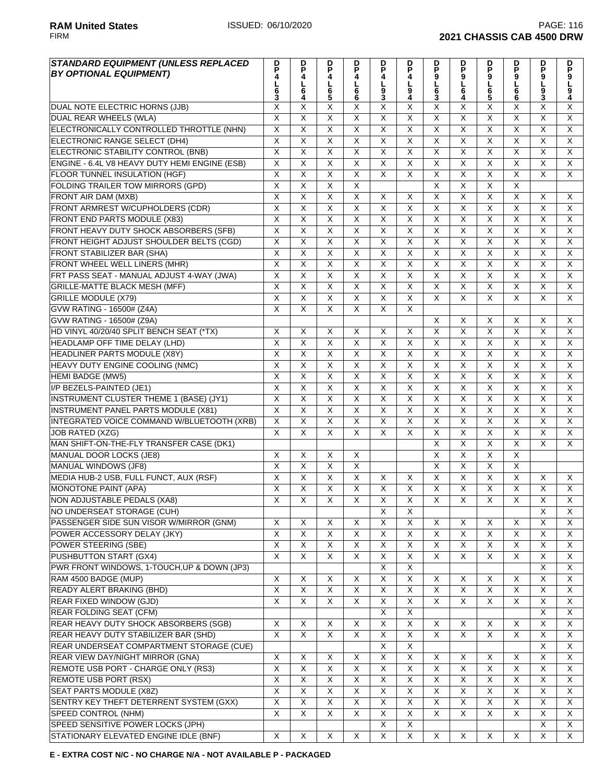| <b>STANDARD EQUIPMENT (UNLESS REPLACED</b><br><b>BY OPTIONAL EQUIPMENT)</b> | D<br>P<br>4             | D<br>$\bar{P}$          | D<br>P<br>4             | D<br>P<br>4             | P<br>4                    | D<br>P<br>4             |                         | D<br>9                  | D                         | D<br>P<br>9             | D<br>9                  | D<br>9                  |
|-----------------------------------------------------------------------------|-------------------------|-------------------------|-------------------------|-------------------------|---------------------------|-------------------------|-------------------------|-------------------------|---------------------------|-------------------------|-------------------------|-------------------------|
|                                                                             | 6<br>Š.                 | $\frac{1}{6}$           | $\frac{L}{6}$<br>5      | L<br>6<br>6             | L<br>$\frac{9}{3}$        | լ<br>9<br>4             | <b>DP9L63</b>           | $rac{1}{6}$<br>4        | <b>P9L65</b>              | $\frac{1}{6}$<br>6      | L<br>9<br>3             | L<br>9<br>4             |
| DUAL NOTE ELECTRIC HORNS (JJB)                                              | X                       | X                       | X                       | X                       | X                         | X                       | X                       | X                       | X                         | X                       | X                       | Χ                       |
| DUAL REAR WHEELS (WLA)                                                      | $\overline{X}$          | $\overline{\mathsf{x}}$ | $\overline{\mathsf{x}}$ | $\overline{\mathsf{x}}$ | X                         | $\overline{\mathsf{x}}$ | $\overline{\mathsf{x}}$ | $\overline{\mathsf{X}}$ | X                         | $\overline{\mathsf{x}}$ | $\overline{\mathsf{x}}$ | $\overline{X}$          |
| ELECTRONICALLY CONTROLLED THROTTLE (NHN)                                    | $\overline{X}$          | $\overline{\mathsf{x}}$ | $\overline{\mathsf{x}}$ | $\overline{\mathsf{x}}$ | $\overline{\mathsf{x}}$   | $\overline{X}$          | X                       | $\overline{\mathsf{x}}$ | $\overline{\mathsf{x}}$   | $\overline{\mathsf{x}}$ | $\overline{\mathsf{x}}$ | $\overline{X}$          |
| ELECTRONIC RANGE SELECT (DH4)                                               | $\overline{\mathsf{x}}$ | $\overline{\mathsf{x}}$ | $\overline{X}$          | $\overline{\mathsf{x}}$ | $\overline{\mathsf{x}}$   | $\overline{\mathsf{x}}$ | $\overline{\mathsf{x}}$ | $\overline{\mathsf{X}}$ | $\overline{\mathsf{X}}$   | $\overline{\mathsf{x}}$ | $\overline{\mathsf{x}}$ | $\overline{X}$          |
| ELECTRONIC STABILITY CONTROL (BNB)                                          | $\overline{X}$          | $\overline{X}$          | $\overline{X}$          | $\overline{X}$          | $\overline{\mathsf{x}}$   | Χ                       | X                       | $\overline{X}$          | $\overline{X}$            | $\overline{X}$          | $\overline{X}$          | $\overline{X}$          |
| ENGINE - 6.4L V8 HEAVY DUTY HEMI ENGINE (ESB)                               | $\overline{X}$          | $\overline{\mathsf{x}}$ | $\overline{\mathsf{x}}$ | $\overline{\mathsf{x}}$ | $\overline{\mathsf{x}}$   | X                       | Χ                       | $\overline{\mathsf{x}}$ | $\overline{\mathsf{x}}$   | $\overline{\mathsf{x}}$ | $\overline{\mathsf{x}}$ | $\overline{X}$          |
| FLOOR TUNNEL INSULATION (HGF)                                               | $\overline{\mathsf{x}}$ | $\overline{\mathsf{x}}$ | $\overline{\mathsf{x}}$ | $\overline{\mathsf{x}}$ | $\overline{\mathsf{x}}$   | $\overline{\mathsf{x}}$ | $\overline{\mathsf{x}}$ | $\overline{\mathsf{x}}$ | $\overline{\mathsf{x}}$   | $\overline{\mathsf{x}}$ | $\overline{X}$          | $\overline{X}$          |
| <b>FOLDING TRAILER TOW MIRRORS (GPD)</b>                                    | X                       | $\overline{\mathsf{x}}$ | X                       | X                       |                           |                         | X                       | X                       | $\overline{\mathsf{x}}$   | X                       |                         |                         |
| FRONT AIR DAM (MXB)                                                         | X                       | $\overline{\mathsf{x}}$ | X                       | $\overline{\mathsf{X}}$ | X                         | X                       | $\overline{X}$          | $\overline{\mathsf{X}}$ | $\overline{X}$            | X                       | X                       | X                       |
| FRONT ARMREST W/CUPHOLDERS (CDR)                                            | $\overline{X}$          | $\overline{\mathsf{x}}$ | X                       | $\overline{\mathsf{x}}$ | $\overline{\mathsf{x}}$   | $\overline{\mathsf{x}}$ | $\overline{\mathsf{x}}$ | $\overline{\mathsf{x}}$ | $\overline{\mathsf{x}}$   | $\overline{\mathsf{x}}$ | $\overline{\mathsf{x}}$ | X                       |
| FRONT END PARTS MODULE (X83)                                                | $\overline{X}$          | $\overline{\mathsf{x}}$ | $\overline{\mathsf{x}}$ | $\overline{\mathsf{x}}$ | X                         | $\overline{\mathsf{x}}$ | $\overline{\mathsf{x}}$ | $\overline{X}$          | $\overline{\mathsf{x}}$   | $\overline{\mathsf{x}}$ | $\overline{\mathsf{x}}$ | $\overline{X}$          |
|                                                                             | $\overline{\mathsf{x}}$ | $\overline{X}$          | X                       | X                       | X                         | $\pmb{\times}$          | $\pmb{\times}$          | $\overline{X}$          | $\overline{X}$            | X                       | X                       | X                       |
| FRONT HEAVY DUTY SHOCK ABSORBERS (SFB)                                      | $\overline{X}$          | $\overline{\mathsf{X}}$ | $\overline{\mathsf{x}}$ | $\overline{\mathsf{X}}$ | $\overline{\mathsf{x}}$   | $\overline{\mathsf{x}}$ | $\overline{\mathsf{x}}$ | $\overline{X}$          | $\overline{\mathsf{X}}$   | $\overline{\mathsf{x}}$ | $\overline{\mathsf{x}}$ | $\overline{\mathsf{x}}$ |
| FRONT HEIGHT ADJUST SHOULDER BELTS (CGD)                                    | $\overline{\mathsf{x}}$ | $\overline{\mathsf{x}}$ | $\overline{\mathsf{x}}$ | $\overline{\mathsf{x}}$ | $\overline{\mathsf{x}}$   | $\overline{\mathsf{x}}$ |                         | $\overline{\mathsf{x}}$ | $\overline{\mathsf{x}}$   | $\overline{\mathsf{x}}$ | $\overline{\mathsf{x}}$ | $\overline{X}$          |
| <b>FRONT STABILIZER BAR (SHA)</b>                                           |                         |                         |                         |                         |                           |                         | $\overline{\mathsf{x}}$ |                         |                           |                         |                         |                         |
| FRONT WHEEL WELL LINERS (MHR)                                               | $\overline{X}$          | $\overline{\mathsf{x}}$ | $\overline{\mathsf{x}}$ | $\overline{\mathsf{x}}$ | $\overline{\mathsf{x}}$   | X                       | X                       | $\overline{\mathsf{x}}$ | $\overline{\mathsf{x}}$   | $\overline{\mathsf{x}}$ | $\overline{\mathsf{x}}$ | X                       |
| FRT PASS SEAT - MANUAL ADJUST 4-WAY (JWA)                                   | $\overline{X}$          | $\overline{X}$          | X                       | Χ                       | X                         | Χ                       | Χ                       | $\overline{X}$          | X                         | X                       | $\overline{\mathsf{X}}$ | $\overline{\mathsf{X}}$ |
| <b>GRILLE-MATTE BLACK MESH (MFF)</b>                                        | $\overline{\mathsf{x}}$ | $\overline{\mathsf{x}}$ | $\overline{\mathsf{x}}$ | $\overline{X}$          | $\overline{\mathsf{x}}$   | $\overline{\mathsf{x}}$ | X                       | $\overline{\mathsf{x}}$ | $\overline{\mathsf{x}}$   | $\overline{\mathsf{x}}$ | $\overline{\mathsf{x}}$ | $\overline{X}$          |
| <b>GRILLE MODULE (X79)</b>                                                  | $\overline{X}$          | $\overline{\mathsf{x}}$ | $\overline{\mathsf{x}}$ | $\overline{\mathsf{x}}$ | $\overline{\mathsf{x}}$   | $\overline{\mathsf{x}}$ | X                       | $\overline{\mathsf{x}}$ | $\overline{\mathsf{x}}$   | X                       | $\overline{\mathsf{x}}$ | $\overline{X}$          |
| <b>GVW RATING - 16500# (Z4A)</b>                                            | $\overline{\mathsf{x}}$ | $\overline{\mathsf{x}}$ | X                       | $\overline{\mathsf{x}}$ | $\overline{\mathsf{x}}$   | X                       |                         |                         |                           |                         |                         |                         |
| GVW RATING - 16500# (Z9A)                                                   |                         |                         |                         |                         |                           |                         | X                       | X                       | X                         | X                       | X                       | X                       |
| HD VINYL 40/20/40 SPLIT BENCH SEAT (*TX)                                    | X                       | X                       | X                       | X                       | $\times$                  | $\times$                | X                       | $\overline{\mathsf{x}}$ | $\overline{\mathsf{x}}$   | $\overline{\mathsf{x}}$ | $\overline{\mathsf{x}}$ | $\overline{X}$          |
| HEADLAMP OFF TIME DELAY (LHD)                                               | $\overline{\mathsf{x}}$ | $\overline{\mathsf{x}}$ | $\overline{\mathsf{x}}$ | $\overline{\mathsf{x}}$ | $\overline{\mathsf{x}}$   | $\overline{\mathsf{x}}$ | $\overline{\mathsf{x}}$ | $\overline{\mathsf{x}}$ | $\overline{\mathsf{x}}$   | $\overline{\mathsf{x}}$ | $\overline{\mathsf{x}}$ | $\overline{X}$          |
| <b>HEADLINER PARTS MODULE (X8Y)</b>                                         | $\overline{\mathsf{x}}$ | $\overline{\mathsf{x}}$ | $\overline{\mathsf{x}}$ | $\overline{\mathsf{x}}$ | $\overline{\mathsf{x}}$   | $\overline{\mathsf{x}}$ | $\overline{\mathsf{x}}$ | $\overline{\mathsf{x}}$ | $\overline{\mathsf{x}}$   | $\overline{\mathsf{x}}$ | $\overline{\mathsf{x}}$ | $\overline{X}$          |
| HEAVY DUTY ENGINE COOLING (NMC)                                             | $\overline{X}$          | $\overline{\mathsf{x}}$ | $\overline{\mathsf{x}}$ | $\overline{\mathsf{x}}$ | $\overline{\mathsf{x}}$   | X                       | X                       | $\overline{\mathsf{x}}$ | $\overline{\mathsf{x}}$   | $\overline{\mathsf{x}}$ | $\overline{\mathsf{x}}$ | $\overline{X}$          |
| <b>HEMI BADGE (MW5)</b>                                                     | $\overline{X}$          | $\overline{\mathsf{x}}$ | $\overline{\mathsf{x}}$ | $\overline{\mathsf{X}}$ | X                         | Χ                       | Χ                       | $\overline{X}$          | $\overline{X}$            | $\overline{\mathsf{x}}$ | $\overline{\mathsf{X}}$ | $\overline{\mathsf{X}}$ |
| I/P BEZELS-PAINTED (JE1)                                                    | $\overline{X}$          | $\overline{\mathsf{x}}$ | $\overline{X}$          | $\overline{X}$          | $\overline{\mathsf{x}}$   | $\overline{\mathsf{x}}$ | $\overline{\mathsf{x}}$ | $\overline{\mathsf{x}}$ | $\overline{\mathsf{x}}$   | $\overline{\mathsf{x}}$ | $\overline{\mathsf{x}}$ | $\overline{X}$          |
| <b>INSTRUMENT CLUSTER THEME 1 (BASE) (JY1)</b>                              | X                       | $\overline{\mathsf{x}}$ | X                       | $\overline{\mathsf{X}}$ | $\overline{\mathsf{x}}$   | $\overline{\mathsf{x}}$ | X                       | X                       | $\overline{\mathsf{x}}$   | X                       | $\overline{\mathsf{X}}$ | X                       |
| <b>INSTRUMENT PANEL PARTS MODULE (X81)</b>                                  | $\overline{\mathsf{x}}$ | $\overline{\mathsf{x}}$ | $\overline{X}$          | $\overline{\mathsf{x}}$ | $\overline{\mathsf{x}}$   | X                       | $\overline{X}$          | $\overline{X}$          | $\overline{X}$            | $\overline{\mathsf{x}}$ | $\overline{\mathsf{x}}$ | $\overline{X}$          |
| INTEGRATED VOICE COMMAND W/BLUETOOTH (XRB)                                  | $\times$                | $\pmb{\times}$          | X                       | X                       | $\pmb{\times}$            | X                       | X                       | X                       | $\boldsymbol{\mathsf{X}}$ | X                       | X                       | X                       |
| <b>JOB RATED (XZG)</b>                                                      | $\overline{X}$          | $\overline{\mathsf{x}}$ | X                       | $\overline{\mathsf{x}}$ | X                         | X                       | X                       | $\overline{X}$          | $\overline{\mathsf{x}}$   | $\overline{\mathsf{x}}$ | $\overline{\mathsf{x}}$ | $\overline{X}$          |
| MAN SHIFT-ON-THE-FLY TRANSFER CASE (DK1)                                    |                         |                         |                         |                         |                           |                         | X                       | $\overline{\mathsf{x}}$ | $\overline{\mathsf{x}}$   | $\overline{\mathsf{x}}$ | $\overline{\mathsf{x}}$ | $\overline{X}$          |
| MANUAL DOOR LOCKS (JE8)                                                     | X                       | X                       | X                       | X                       |                           |                         | $\overline{\mathsf{x}}$ | $\overline{\mathsf{x}}$ | $\overline{\mathsf{x}}$   | $\overline{\mathsf{X}}$ |                         |                         |
| <b>MANUAL WINDOWS (JF8)</b>                                                 | $\overline{\mathsf{x}}$ | $\overline{\mathsf{x}}$ | $\overline{\mathsf{x}}$ | $\overline{\mathsf{x}}$ |                           |                         | $\overline{\mathsf{x}}$ | $\overline{\mathsf{x}}$ | $\overline{\mathsf{x}}$   | $\overline{\mathsf{x}}$ |                         |                         |
| MEDIA HUB-2 USB, FULL FUNCT, AUX (RSF)                                      | $\overline{X}$          | $\overline{\mathsf{x}}$ | X                       | X                       | X                         | X                       | Χ                       | $\overline{X}$          | $\overline{\mathsf{x}}$   | $\overline{\mathsf{x}}$ | X                       | X                       |
| MONOTONE PAINT (APA)                                                        | $\overline{\mathsf{x}}$ | $\overline{\mathsf{x}}$ | $\overline{\mathsf{x}}$ | $\overline{\mathsf{x}}$ | $\overline{\mathsf{x}}$   | $\overline{\mathsf{x}}$ | $\overline{\mathsf{x}}$ | $\overline{\mathsf{x}}$ | $\overline{\mathsf{x}}$   | $\overline{\mathsf{x}}$ | $\overline{\mathsf{x}}$ | $\overline{\mathsf{x}}$ |
| NON ADJUSTABLE PEDALS (XA8)                                                 | X                       | $\overline{X}$          | $\overline{X}$          | $\overline{\mathsf{X}}$ | $\overline{X}$            | X                       | X                       | $\overline{X}$          | $\overline{X}$            | $\overline{X}$          | $\overline{X}$          | $\overline{X}$          |
| NO UNDERSEAT STORAGE (CUH)                                                  |                         |                         |                         |                         | $\boldsymbol{\mathsf{X}}$ | X                       |                         |                         |                           |                         | X                       | X                       |
| PASSENGER SIDE SUN VISOR W/MIRROR (GNM)                                     | X                       | X                       | X                       | X                       | X                         | X                       | X                       | X                       | X                         | X                       | X                       | X                       |
| POWER ACCESSORY DELAY (JKY)                                                 | $\overline{\mathsf{X}}$ | $\overline{\mathsf{X}}$ | X                       | $\overline{\mathsf{x}}$ | $\overline{X}$            | $\overline{X}$          | $\overline{X}$          | $\overline{\mathsf{X}}$ | $\overline{\mathsf{X}}$   | X                       | $\overline{X}$          | X                       |
| POWER STEERING (SBE)                                                        | $\overline{\mathsf{X}}$ | $\overline{X}$          | $\overline{X}$          | X                       | X                         | $\overline{X}$          | X                       | $\overline{\mathsf{x}}$ | $\overline{X}$            | $\overline{X}$          | X                       | X                       |
| PUSHBUTTON START (GX4)                                                      | $\overline{X}$          | $\overline{X}$          | $\overline{\mathsf{x}}$ | $\overline{\mathsf{X}}$ | $\overline{\mathsf{x}}$   | $\overline{X}$          | $\overline{X}$          | $\overline{X}$          | $\overline{X}$            | $\overline{\mathsf{x}}$ | $\overline{X}$          | $\overline{X}$          |
| PWR FRONT WINDOWS, 1-TOUCH, UP & DOWN (JP3)                                 |                         |                         |                         |                         | $\overline{X}$            | $\overline{\mathsf{x}}$ |                         |                         |                           |                         | $\overline{\mathsf{x}}$ | X                       |
| RAM 4500 BADGE (MUP)                                                        | X                       | X                       | X                       | X                       | X                         | X                       | X                       | X                       | X                         | X                       | X                       | X                       |
| READY ALERT BRAKING (BHD)                                                   | $\overline{\mathsf{X}}$ | $\overline{X}$          | X                       | $\overline{X}$          | X                         | $\overline{X}$          | $\overline{\mathsf{X}}$ | $\overline{\mathsf{X}}$ | $\overline{\mathsf{X}}$   | X                       | X                       | X                       |
| REAR FIXED WINDOW (GJD)                                                     | $\overline{\mathsf{x}}$ | $\overline{\mathsf{x}}$ | X                       | $\overline{X}$          | $\overline{X}$            | $\overline{X}$          | $\overline{X}$          | $\overline{\mathsf{x}}$ | $\overline{\mathsf{x}}$   | X                       | X                       | X                       |
| <b>REAR FOLDING SEAT (CFM)</b>                                              |                         |                         |                         |                         | X                         | $\overline{X}$          |                         |                         |                           |                         | X                       | X                       |
| REAR HEAVY DUTY SHOCK ABSORBERS (SGB)                                       | X                       | X                       | X                       | X                       | X                         | $\overline{X}$          | X                       | X                       | X                         | X                       | X                       | X                       |
| REAR HEAVY DUTY STABILIZER BAR (SHD)                                        | $\overline{X}$          | X                       | X                       | $\overline{X}$          | X                         | Χ                       | X                       | $\overline{\mathsf{x}}$ | X                         | X                       | X                       | X                       |
| REAR UNDERSEAT COMPARTMENT STORAGE (CUE)                                    |                         |                         |                         |                         | X                         | $\overline{X}$          |                         |                         |                           |                         | X                       | X                       |
| <b>REAR VIEW DAY/NIGHT MIRROR (GNA)</b>                                     | X                       | X                       | X                       | X                       | X                         | $\overline{\mathsf{x}}$ | X                       | X                       | X                         | X                       | $\overline{X}$          | X                       |
| REMOTE USB PORT - CHARGE ONLY (RS3)                                         | $\overline{X}$          | $\overline{\mathsf{x}}$ | $\overline{X}$          | $\overline{\mathsf{x}}$ | $\overline{X}$            | $\overline{\mathsf{x}}$ | $\overline{X}$          | $\overline{X}$          | $\overline{\mathsf{x}}$   | $\overline{X}$          | $\overline{\mathsf{X}}$ | X                       |
| REMOTE USB PORT (RSX)                                                       | $\overline{X}$          | X                       | X                       | $\overline{\mathsf{X}}$ | X                         | $\overline{X}$          | X                       | $\overline{\mathsf{x}}$ | X                         | X                       | X                       | X                       |
| SEAT PARTS MODULE (X8Z)                                                     | $\overline{X}$          | X                       | X                       | X                       | X                         | X                       | X                       | $\mathsf X$             | X                         | X                       | X                       | X                       |
| SENTRY KEY THEFT DETERRENT SYSTEM (GXX)                                     | $\overline{X}$          | $\overline{X}$          | $\overline{\mathsf{x}}$ | $\overline{X}$          | $\overline{\mathsf{x}}$   | $\overline{X}$          | $\overline{X}$          | $\overline{\mathsf{x}}$ | $\overline{X}$            | $\overline{\mathsf{x}}$ | X                       | X                       |
| SPEED CONTROL (NHM)                                                         | X                       | X                       | X                       | $\overline{X}$          | X                         | X                       | X                       | X                       | X                         | X                       | X                       | X                       |
| SPEED SENSITIVE POWER LOCKS (JPH)                                           |                         |                         |                         |                         | X                         | $\overline{X}$          |                         |                         |                           |                         | $\overline{X}$          | X                       |
| STATIONARY ELEVATED ENGINE IDLE (BNF)                                       | X                       | X                       | X                       | X                       | X                         | $\overline{\mathsf{x}}$ | $\overline{X}$          | X                       | X                         | X                       | X                       | $\overline{X}$          |

**E - EXTRA COST N/C - NO CHARGE N/A - NOT AVAILABLE P - PACKAGED**